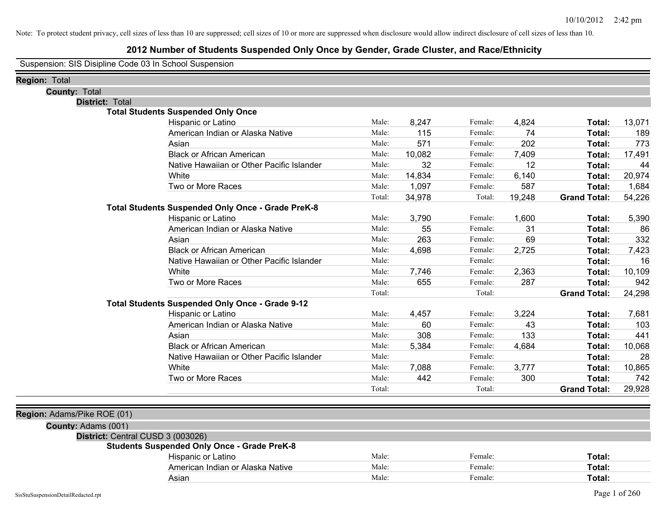## **2012 Number of Students Suspended Only Once by Gender, Grade Cluster, and Race/Ethnicity**

Suspension: SIS Disipline Code 03 In School Suspension

| Region: Total                     |                                                    |        |        |         |        |                     |        |
|-----------------------------------|----------------------------------------------------|--------|--------|---------|--------|---------------------|--------|
| <b>County: Total</b>              |                                                    |        |        |         |        |                     |        |
| District: Total                   |                                                    |        |        |         |        |                     |        |
|                                   | <b>Total Students Suspended Only Once</b>          |        |        |         |        |                     |        |
|                                   | Hispanic or Latino                                 | Male:  | 8,247  | Female: | 4,824  | Total:              | 13,071 |
|                                   | American Indian or Alaska Native                   | Male:  | 115    | Female: | 74     | Total:              | 189    |
|                                   | Asian                                              | Male:  | 571    | Female: | 202    | Total:              | 773    |
|                                   | <b>Black or African American</b>                   | Male:  | 10,082 | Female: | 7,409  | Total:              | 17,491 |
|                                   | Native Hawaiian or Other Pacific Islander          | Male:  | 32     | Female: | 12     | Total:              | 44     |
|                                   | White                                              | Male:  | 14,834 | Female: | 6,140  | Total:              | 20,974 |
|                                   | Two or More Races                                  | Male:  | 1,097  | Female: | 587    | Total:              | 1,684  |
|                                   |                                                    | Total: | 34,978 | Total:  | 19,248 | <b>Grand Total:</b> | 54,226 |
|                                   | Total Students Suspended Only Once - Grade PreK-8  |        |        |         |        |                     |        |
|                                   | Hispanic or Latino                                 | Male:  | 3,790  | Female: | 1,600  | Total:              | 5,390  |
|                                   | American Indian or Alaska Native                   | Male:  | 55     | Female: | 31     | Total:              | 86     |
|                                   | Asian                                              | Male:  | 263    | Female: | 69     | Total:              | 332    |
|                                   | <b>Black or African American</b>                   | Male:  | 4,698  | Female: | 2,725  | Total:              | 7,423  |
|                                   | Native Hawaiian or Other Pacific Islander          | Male:  |        | Female: |        | Total:              | 16     |
|                                   | White                                              | Male:  | 7,746  | Female: | 2,363  | Total:              | 10,109 |
|                                   | Two or More Races                                  | Male:  | 655    | Female: | 287    | Total:              | 942    |
|                                   |                                                    | Total: |        | Total:  |        | <b>Grand Total:</b> | 24,298 |
|                                   | Total Students Suspended Only Once - Grade 9-12    |        |        |         |        |                     |        |
|                                   | Hispanic or Latino                                 | Male:  | 4,457  | Female: | 3,224  | Total:              | 7,681  |
|                                   | American Indian or Alaska Native                   | Male:  | 60     | Female: | 43     | Total:              | 103    |
|                                   | Asian                                              | Male:  | 308    | Female: | 133    | Total:              | 441    |
|                                   | <b>Black or African American</b>                   | Male:  | 5,384  | Female: | 4,684  | Total:              | 10,068 |
|                                   | Native Hawaiian or Other Pacific Islander          | Male:  |        | Female: |        | Total:              | 28     |
|                                   | White                                              | Male:  | 7,088  | Female: | 3,777  | Total:              | 10,865 |
|                                   | Two or More Races                                  | Male:  | 442    | Female: | 300    | Total:              | 742    |
|                                   |                                                    | Total: |        | Total:  |        | <b>Grand Total:</b> | 29,928 |
|                                   |                                                    |        |        |         |        |                     |        |
| Region: Adams/Pike ROE (01)       |                                                    |        |        |         |        |                     |        |
| County: Adams (001)               |                                                    |        |        |         |        |                     |        |
| District: Central CUSD 3 (003026) |                                                    |        |        |         |        |                     |        |
|                                   | <b>Students Suspended Only Once - Grade PreK-8</b> |        |        |         |        |                     |        |
|                                   | Hispanic or Latino                                 | Male:  |        | Female: |        | Total:              |        |
|                                   | American Indian or Alaska Native                   | Male:  |        | Female: |        | Total:              |        |
|                                   | Asian                                              | Male:  |        | Female: |        | Total:              |        |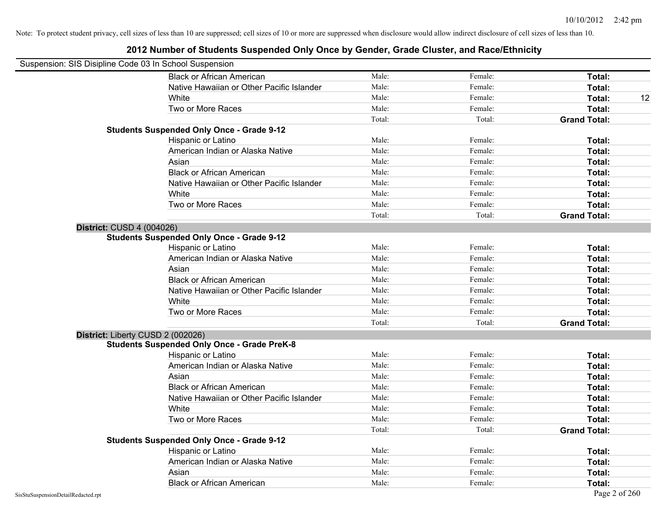| Suspension: SIS Disipline Code 03 In School Suspension |                                                    |        |         |                     |
|--------------------------------------------------------|----------------------------------------------------|--------|---------|---------------------|
|                                                        | <b>Black or African American</b>                   | Male:  | Female: | Total:              |
|                                                        | Native Hawaiian or Other Pacific Islander          | Male:  | Female: | Total:              |
|                                                        | White                                              | Male:  | Female: | Total:<br>12        |
|                                                        | Two or More Races                                  | Male:  | Female: | Total:              |
|                                                        |                                                    | Total: | Total:  | <b>Grand Total:</b> |
|                                                        | <b>Students Suspended Only Once - Grade 9-12</b>   |        |         |                     |
|                                                        | Hispanic or Latino                                 | Male:  | Female: | Total:              |
|                                                        | American Indian or Alaska Native                   | Male:  | Female: | Total:              |
|                                                        | Asian                                              | Male:  | Female: | Total:              |
|                                                        | <b>Black or African American</b>                   | Male:  | Female: | Total:              |
|                                                        | Native Hawaiian or Other Pacific Islander          | Male:  | Female: | Total:              |
|                                                        | White                                              | Male:  | Female: | Total:              |
|                                                        | Two or More Races                                  | Male:  | Female: | Total:              |
|                                                        |                                                    | Total: | Total:  | <b>Grand Total:</b> |
| <b>District: CUSD 4 (004026)</b>                       |                                                    |        |         |                     |
|                                                        | <b>Students Suspended Only Once - Grade 9-12</b>   |        |         |                     |
|                                                        | Hispanic or Latino                                 | Male:  | Female: | Total:              |
|                                                        | American Indian or Alaska Native                   | Male:  | Female: | Total:              |
|                                                        | Asian                                              | Male:  | Female: | Total:              |
|                                                        | <b>Black or African American</b>                   | Male:  | Female: | Total:              |
|                                                        | Native Hawaiian or Other Pacific Islander          | Male:  | Female: | Total:              |
|                                                        | White                                              | Male:  | Female: | Total:              |
|                                                        | Two or More Races                                  | Male:  | Female: | Total:              |
|                                                        |                                                    | Total: | Total:  | <b>Grand Total:</b> |
| District: Liberty CUSD 2 (002026)                      |                                                    |        |         |                     |
|                                                        | <b>Students Suspended Only Once - Grade PreK-8</b> |        |         |                     |
|                                                        | Hispanic or Latino                                 | Male:  | Female: | Total:              |
|                                                        | American Indian or Alaska Native                   | Male:  | Female: | Total:              |
|                                                        | Asian                                              | Male:  | Female: | Total:              |
|                                                        | <b>Black or African American</b>                   | Male:  | Female: | Total:              |
|                                                        | Native Hawaiian or Other Pacific Islander          | Male:  | Female: | Total:              |
|                                                        | White                                              | Male:  | Female: | Total:              |
|                                                        | Two or More Races                                  | Male:  | Female: | Total:              |
|                                                        |                                                    | Total: | Total:  | <b>Grand Total:</b> |
|                                                        | <b>Students Suspended Only Once - Grade 9-12</b>   |        |         |                     |
|                                                        | Hispanic or Latino                                 | Male:  | Female: | Total:              |
|                                                        | American Indian or Alaska Native                   | Male:  | Female: | Total:              |
|                                                        | Asian                                              | Male:  | Female: | Total:              |
|                                                        | <b>Black or African American</b>                   | Male:  | Female: | Total:              |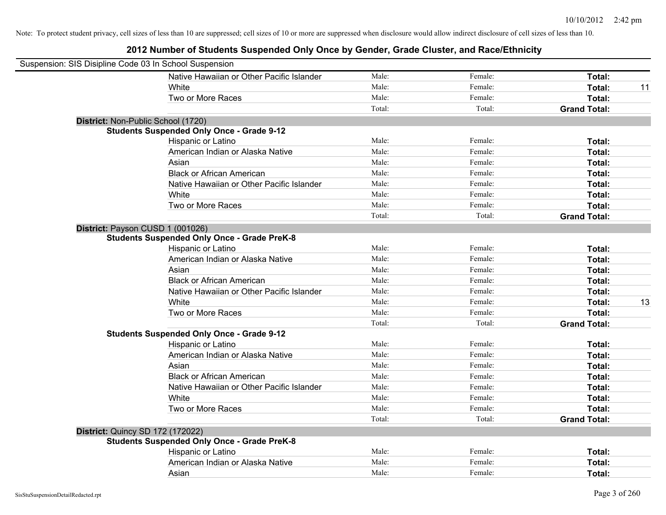| Suspension: SIS Disipline Code 03 In School Suspension |                                                    |        |         |                     |    |
|--------------------------------------------------------|----------------------------------------------------|--------|---------|---------------------|----|
|                                                        | Native Hawaiian or Other Pacific Islander          | Male:  | Female: | Total:              |    |
|                                                        | White                                              | Male:  | Female: | Total:              | 11 |
|                                                        | Two or More Races                                  | Male:  | Female: | Total:              |    |
|                                                        |                                                    | Total: | Total:  | <b>Grand Total:</b> |    |
| District: Non-Public School (1720)                     |                                                    |        |         |                     |    |
|                                                        | <b>Students Suspended Only Once - Grade 9-12</b>   |        |         |                     |    |
|                                                        | Hispanic or Latino                                 | Male:  | Female: | Total:              |    |
|                                                        | American Indian or Alaska Native                   | Male:  | Female: | Total:              |    |
|                                                        | Asian                                              | Male:  | Female: | Total:              |    |
|                                                        | <b>Black or African American</b>                   | Male:  | Female: | Total:              |    |
|                                                        | Native Hawaiian or Other Pacific Islander          | Male:  | Female: | Total:              |    |
|                                                        | White                                              | Male:  | Female: | Total:              |    |
|                                                        | Two or More Races                                  | Male:  | Female: | Total:              |    |
|                                                        |                                                    | Total: | Total:  | <b>Grand Total:</b> |    |
| District: Payson CUSD 1 (001026)                       |                                                    |        |         |                     |    |
|                                                        | <b>Students Suspended Only Once - Grade PreK-8</b> |        |         |                     |    |
|                                                        | Hispanic or Latino                                 | Male:  | Female: | Total:              |    |
|                                                        | American Indian or Alaska Native                   | Male:  | Female: | Total:              |    |
|                                                        | Asian                                              | Male:  | Female: | Total:              |    |
|                                                        | <b>Black or African American</b>                   | Male:  | Female: | Total:              |    |
|                                                        | Native Hawaiian or Other Pacific Islander          | Male:  | Female: | Total:              |    |
|                                                        | White                                              | Male:  | Female: | Total:              | 13 |
|                                                        | Two or More Races                                  | Male:  | Female: | Total:              |    |
|                                                        |                                                    | Total: | Total:  | <b>Grand Total:</b> |    |
|                                                        | <b>Students Suspended Only Once - Grade 9-12</b>   |        |         |                     |    |
|                                                        | Hispanic or Latino                                 | Male:  | Female: | Total:              |    |
|                                                        | American Indian or Alaska Native                   | Male:  | Female: | Total:              |    |
|                                                        | Asian                                              | Male:  | Female: | Total:              |    |
|                                                        | <b>Black or African American</b>                   | Male:  | Female: | Total:              |    |
|                                                        | Native Hawaiian or Other Pacific Islander          | Male:  | Female: | Total:              |    |
|                                                        | White                                              | Male:  | Female: | Total:              |    |
|                                                        | Two or More Races                                  | Male:  | Female: | Total:              |    |
|                                                        |                                                    | Total: | Total:  | <b>Grand Total:</b> |    |
| <b>District: Quincy SD 172 (172022)</b>                |                                                    |        |         |                     |    |
|                                                        | <b>Students Suspended Only Once - Grade PreK-8</b> |        |         |                     |    |
|                                                        | Hispanic or Latino                                 | Male:  | Female: | Total:              |    |
|                                                        | American Indian or Alaska Native                   | Male:  | Female: | Total:              |    |
|                                                        | Asian                                              | Male:  | Female: | Total:              |    |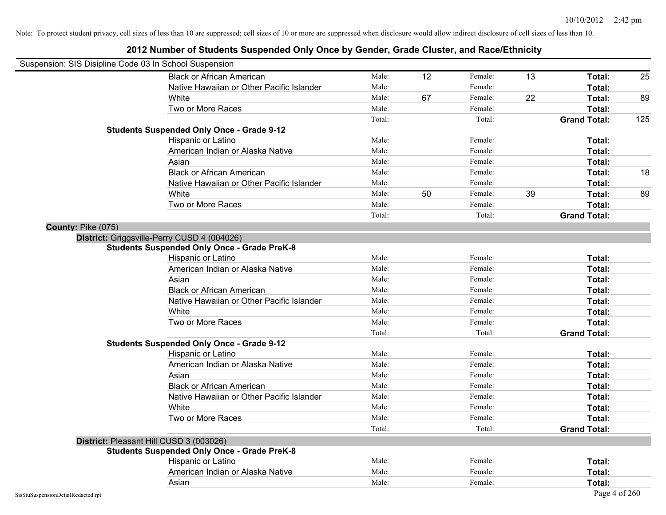| Suspension: SIS Disipline Code 03 In School Suspension |                                                    |        |    |         |    |                     |     |
|--------------------------------------------------------|----------------------------------------------------|--------|----|---------|----|---------------------|-----|
|                                                        | <b>Black or African American</b>                   | Male:  | 12 | Female: | 13 | Total:              | 25  |
|                                                        | Native Hawaiian or Other Pacific Islander          | Male:  |    | Female: |    | Total:              |     |
|                                                        | White                                              | Male:  | 67 | Female: | 22 | Total:              | 89  |
|                                                        | Two or More Races                                  | Male:  |    | Female: |    | Total:              |     |
|                                                        |                                                    | Total: |    | Total:  |    | <b>Grand Total:</b> | 125 |
|                                                        | <b>Students Suspended Only Once - Grade 9-12</b>   |        |    |         |    |                     |     |
|                                                        | Hispanic or Latino                                 | Male:  |    | Female: |    | Total:              |     |
|                                                        | American Indian or Alaska Native                   | Male:  |    | Female: |    | Total:              |     |
|                                                        | Asian                                              | Male:  |    | Female: |    | Total:              |     |
|                                                        | <b>Black or African American</b>                   | Male:  |    | Female: |    | Total:              | 18  |
|                                                        | Native Hawaiian or Other Pacific Islander          | Male:  |    | Female: |    | Total:              |     |
|                                                        | White                                              | Male:  | 50 | Female: | 39 | Total:              | 89  |
|                                                        | Two or More Races                                  | Male:  |    | Female: |    | Total:              |     |
|                                                        |                                                    | Total: |    | Total:  |    | <b>Grand Total:</b> |     |
| County: Pike (075)                                     |                                                    |        |    |         |    |                     |     |
|                                                        | District: Griggsville-Perry CUSD 4 (004026)        |        |    |         |    |                     |     |
|                                                        | <b>Students Suspended Only Once - Grade PreK-8</b> |        |    |         |    |                     |     |
|                                                        | Hispanic or Latino                                 | Male:  |    | Female: |    | Total:              |     |
|                                                        | American Indian or Alaska Native                   | Male:  |    | Female: |    | Total:              |     |
|                                                        | Asian                                              | Male:  |    | Female: |    | Total:              |     |
|                                                        | <b>Black or African American</b>                   | Male:  |    | Female: |    | Total:              |     |
|                                                        | Native Hawaiian or Other Pacific Islander          | Male:  |    | Female: |    | Total:              |     |
|                                                        | White                                              | Male:  |    | Female: |    | Total:              |     |
|                                                        | Two or More Races                                  | Male:  |    | Female: |    | Total:              |     |
|                                                        |                                                    | Total: |    | Total:  |    | <b>Grand Total:</b> |     |
|                                                        | <b>Students Suspended Only Once - Grade 9-12</b>   |        |    |         |    |                     |     |
|                                                        | Hispanic or Latino                                 | Male:  |    | Female: |    | Total:              |     |
|                                                        | American Indian or Alaska Native                   | Male:  |    | Female: |    | Total:              |     |
|                                                        | Asian                                              | Male:  |    | Female: |    | Total:              |     |
|                                                        | <b>Black or African American</b>                   | Male:  |    | Female: |    | Total:              |     |
|                                                        | Native Hawaiian or Other Pacific Islander          | Male:  |    | Female: |    | Total:              |     |
|                                                        | White                                              | Male:  |    | Female: |    | Total:              |     |
|                                                        | Two or More Races                                  | Male:  |    | Female: |    | <b>Total:</b>       |     |
|                                                        |                                                    | Total: |    | Total:  |    | <b>Grand Total:</b> |     |
|                                                        | District: Pleasant Hill CUSD 3 (003026)            |        |    |         |    |                     |     |
|                                                        | <b>Students Suspended Only Once - Grade PreK-8</b> |        |    |         |    |                     |     |
|                                                        | Hispanic or Latino                                 | Male:  |    | Female: |    | Total:              |     |
|                                                        | American Indian or Alaska Native                   | Male:  |    | Female: |    | Total:              |     |
|                                                        | Asian                                              | Male:  |    | Female: |    | Total:              |     |
| SisStuSuspensionDetailRedacted.rpt                     |                                                    |        |    |         |    | Page 4 of 260       |     |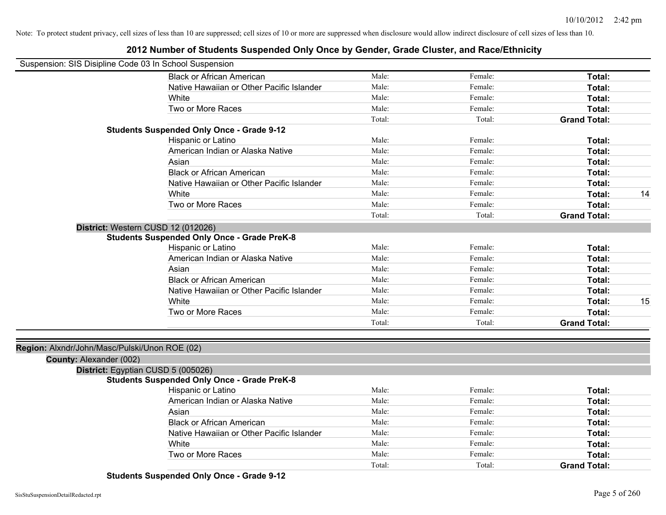## **2012 Number of Students Suspended Only Once by Gender, Grade Cluster, and Race/Ethnicity**

| Suspension: SIS Disipline Code 03 In School Suspension |                                                    |        |         |                     |    |
|--------------------------------------------------------|----------------------------------------------------|--------|---------|---------------------|----|
|                                                        | <b>Black or African American</b>                   | Male:  | Female: | Total:              |    |
|                                                        | Native Hawaiian or Other Pacific Islander          | Male:  | Female: | Total:              |    |
|                                                        | White                                              | Male:  | Female: | Total:              |    |
|                                                        | Two or More Races                                  | Male:  | Female: | Total:              |    |
|                                                        |                                                    | Total: | Total:  | <b>Grand Total:</b> |    |
|                                                        | <b>Students Suspended Only Once - Grade 9-12</b>   |        |         |                     |    |
|                                                        | Hispanic or Latino                                 | Male:  | Female: | Total:              |    |
|                                                        | American Indian or Alaska Native                   | Male:  | Female: | Total:              |    |
|                                                        | Asian                                              | Male:  | Female: | Total:              |    |
|                                                        | <b>Black or African American</b>                   | Male:  | Female: | Total:              |    |
|                                                        | Native Hawaiian or Other Pacific Islander          | Male:  | Female: | Total:              |    |
|                                                        | White                                              | Male:  | Female: | Total:              | 14 |
|                                                        | Two or More Races                                  | Male:  | Female: | Total:              |    |
|                                                        |                                                    | Total: | Total:  | <b>Grand Total:</b> |    |
|                                                        | District: Western CUSD 12 (012026)                 |        |         |                     |    |
|                                                        | <b>Students Suspended Only Once - Grade PreK-8</b> |        |         |                     |    |
|                                                        | Hispanic or Latino                                 | Male:  | Female: | Total:              |    |
|                                                        | American Indian or Alaska Native                   | Male:  | Female: | Total:              |    |
|                                                        | Asian                                              | Male:  | Female: | Total:              |    |
|                                                        | <b>Black or African American</b>                   | Male:  | Female: | Total:              |    |
|                                                        | Native Hawaiian or Other Pacific Islander          | Male:  | Female: | Total:              |    |
|                                                        | White                                              | Male:  | Female: | Total:              | 15 |
|                                                        | Two or More Races                                  | Male:  | Female: | Total:              |    |
|                                                        |                                                    | Total: | Total:  | <b>Grand Total:</b> |    |
|                                                        |                                                    |        |         |                     |    |
| Region: Alxndr/John/Masc/Pulski/Unon ROE (02)          |                                                    |        |         |                     |    |
| County: Alexander (002)                                |                                                    |        |         |                     |    |
|                                                        | District: Egyptian CUSD 5 (005026)                 |        |         |                     |    |
|                                                        | <b>Students Suspended Only Once - Grade PreK-8</b> |        |         |                     |    |
|                                                        | Hispanic or Latino                                 | Male:  | Female: | Total:              |    |
|                                                        | American Indian or Alaska Native                   | Male:  | Female: | Total:              |    |
|                                                        | Asian                                              | Male:  | Female: | Total:              |    |
|                                                        | <b>Black or African American</b>                   | Male:  | Female: | Total:              |    |
|                                                        | Native Hawaiian or Other Pacific Islander          | Male:  | Female: | Total:              |    |
|                                                        | White                                              | Male:  | Female: | Total:              |    |
|                                                        | Two or More Races                                  | Male:  | Female: | Total:              |    |
|                                                        |                                                    | Total: | Total:  | <b>Grand Total:</b> |    |
|                                                        |                                                    |        |         |                     |    |

**Students Suspended Only Once - Grade 9-12**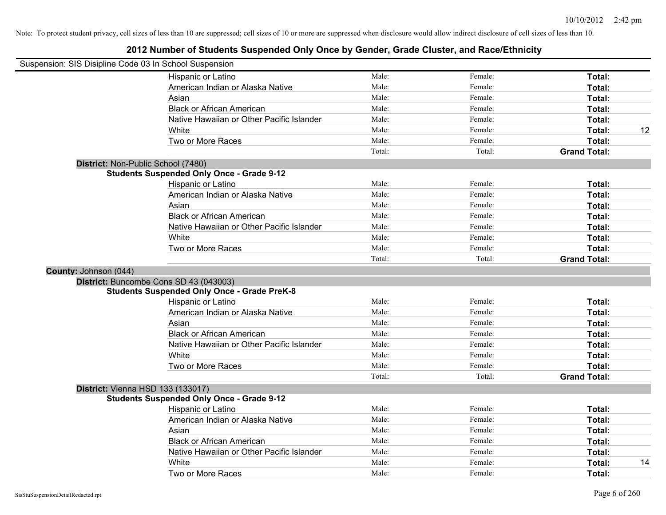|                       | Suspension: SIS Disipline Code 03 In School Suspension |        |         |                     |    |
|-----------------------|--------------------------------------------------------|--------|---------|---------------------|----|
|                       | Hispanic or Latino                                     | Male:  | Female: | Total:              |    |
|                       | American Indian or Alaska Native                       | Male:  | Female: | Total:              |    |
|                       | Asian                                                  | Male:  | Female: | Total:              |    |
|                       | <b>Black or African American</b>                       | Male:  | Female: | Total:              |    |
|                       | Native Hawaiian or Other Pacific Islander              | Male:  | Female: | Total:              |    |
|                       | White                                                  | Male:  | Female: | Total:              | 12 |
|                       | Two or More Races                                      | Male:  | Female: | Total:              |    |
|                       |                                                        | Total: | Total:  | <b>Grand Total:</b> |    |
|                       | District: Non-Public School (7480)                     |        |         |                     |    |
|                       | <b>Students Suspended Only Once - Grade 9-12</b>       |        |         |                     |    |
|                       | Hispanic or Latino                                     | Male:  | Female: | Total:              |    |
|                       | American Indian or Alaska Native                       | Male:  | Female: | Total:              |    |
|                       | Asian                                                  | Male:  | Female: | Total:              |    |
|                       | <b>Black or African American</b>                       | Male:  | Female: | Total:              |    |
|                       | Native Hawaiian or Other Pacific Islander              | Male:  | Female: | Total:              |    |
|                       | White                                                  | Male:  | Female: | Total:              |    |
|                       | Two or More Races                                      | Male:  | Female: | Total:              |    |
|                       |                                                        | Total: | Total:  | <b>Grand Total:</b> |    |
| County: Johnson (044) |                                                        |        |         |                     |    |
|                       | District: Buncombe Cons SD 43 (043003)                 |        |         |                     |    |
|                       | <b>Students Suspended Only Once - Grade PreK-8</b>     |        |         |                     |    |
|                       | Hispanic or Latino                                     | Male:  | Female: | Total:              |    |
|                       | American Indian or Alaska Native                       | Male:  | Female: | Total:              |    |
|                       | Asian                                                  | Male:  | Female: | Total:              |    |
|                       | <b>Black or African American</b>                       | Male:  | Female: | Total:              |    |
|                       | Native Hawaiian or Other Pacific Islander              | Male:  | Female: | Total:              |    |
|                       | White                                                  | Male:  | Female: | Total:              |    |
|                       | Two or More Races                                      | Male:  | Female: | Total:              |    |
|                       |                                                        | Total: | Total:  | <b>Grand Total:</b> |    |
|                       | <b>District: Vienna HSD 133 (133017)</b>               |        |         |                     |    |
|                       | <b>Students Suspended Only Once - Grade 9-12</b>       |        |         |                     |    |
|                       | Hispanic or Latino                                     | Male:  | Female: | Total:              |    |
|                       | American Indian or Alaska Native                       | Male:  | Female: | Total:              |    |
|                       | Asian                                                  | Male:  | Female: | Total:              |    |
|                       | <b>Black or African American</b>                       | Male:  | Female: | Total:              |    |
|                       | Native Hawaiian or Other Pacific Islander              | Male:  | Female: | <b>Total:</b>       |    |
|                       | White                                                  | Male:  | Female: | <b>Total:</b>       | 14 |
|                       | Two or More Races                                      | Male:  | Female: | Total:              |    |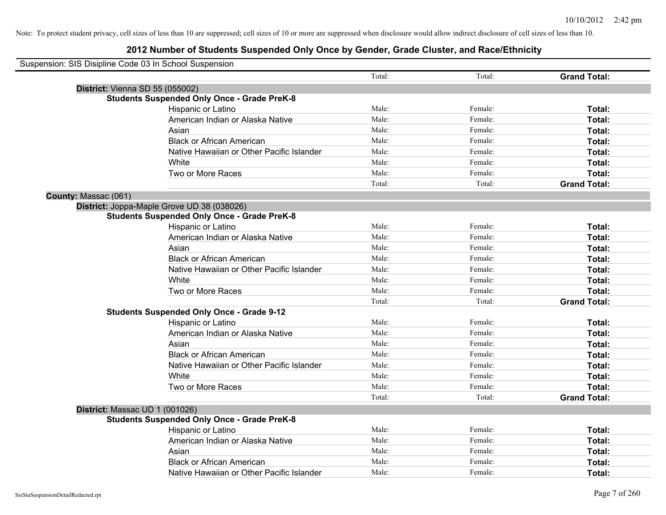| Suspension: SIS Disipline Code 03 In School Suspension |                                                    |        |         |                     |
|--------------------------------------------------------|----------------------------------------------------|--------|---------|---------------------|
|                                                        |                                                    | Total: | Total:  | <b>Grand Total:</b> |
| District: Vienna SD 55 (055002)                        |                                                    |        |         |                     |
|                                                        | <b>Students Suspended Only Once - Grade PreK-8</b> |        |         |                     |
|                                                        | Hispanic or Latino                                 | Male:  | Female: | Total:              |
|                                                        | American Indian or Alaska Native                   | Male:  | Female: | Total:              |
|                                                        | Asian                                              | Male:  | Female: | Total:              |
|                                                        | <b>Black or African American</b>                   | Male:  | Female: | Total:              |
|                                                        | Native Hawaiian or Other Pacific Islander          | Male:  | Female: | Total:              |
|                                                        | White                                              | Male:  | Female: | Total:              |
|                                                        | Two or More Races                                  | Male:  | Female: | Total:              |
|                                                        |                                                    | Total: | Total:  | <b>Grand Total:</b> |
| County: Massac (061)                                   |                                                    |        |         |                     |
|                                                        | District: Joppa-Maple Grove UD 38 (038026)         |        |         |                     |
|                                                        | <b>Students Suspended Only Once - Grade PreK-8</b> |        |         |                     |
|                                                        | Hispanic or Latino                                 | Male:  | Female: | Total:              |
|                                                        | American Indian or Alaska Native                   | Male:  | Female: | Total:              |
|                                                        | Asian                                              | Male:  | Female: | Total:              |
|                                                        | <b>Black or African American</b>                   | Male:  | Female: | Total:              |
|                                                        | Native Hawaiian or Other Pacific Islander          | Male:  | Female: | Total:              |
|                                                        | White                                              | Male:  | Female: | Total:              |
|                                                        | Two or More Races                                  | Male:  | Female: | Total:              |
|                                                        |                                                    | Total: | Total:  | <b>Grand Total:</b> |
|                                                        | <b>Students Suspended Only Once - Grade 9-12</b>   |        |         |                     |
|                                                        | Hispanic or Latino                                 | Male:  | Female: | Total:              |
|                                                        | American Indian or Alaska Native                   | Male:  | Female: | Total:              |
|                                                        | Asian                                              | Male:  | Female: | Total:              |
|                                                        | <b>Black or African American</b>                   | Male:  | Female: | Total:              |
|                                                        | Native Hawaiian or Other Pacific Islander          | Male:  | Female: | Total:              |
|                                                        | White                                              | Male:  | Female: | Total:              |
|                                                        | Two or More Races                                  | Male:  | Female: | Total:              |
|                                                        |                                                    | Total: | Total:  | <b>Grand Total:</b> |
| District: Massac UD 1 (001026)                         |                                                    |        |         |                     |
|                                                        | <b>Students Suspended Only Once - Grade PreK-8</b> |        |         |                     |
|                                                        | Hispanic or Latino                                 | Male:  | Female: | Total:              |
|                                                        | American Indian or Alaska Native                   | Male:  | Female: | Total:              |
|                                                        | Asian                                              | Male:  | Female: | Total:              |
|                                                        | <b>Black or African American</b>                   | Male:  | Female: | <b>Total:</b>       |
|                                                        | Native Hawaiian or Other Pacific Islander          | Male:  | Female: | Total:              |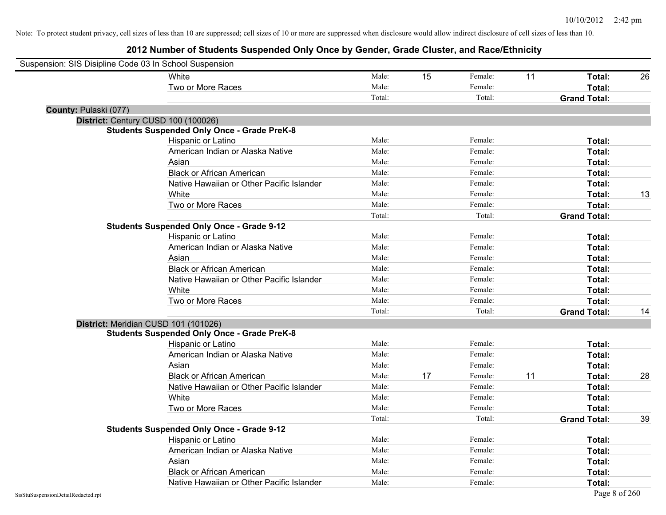| Suspension: SIS Disipline Code 03 In School Suspension |                                                    |        |    |         |    |                     |    |
|--------------------------------------------------------|----------------------------------------------------|--------|----|---------|----|---------------------|----|
|                                                        | <b>White</b>                                       | Male:  | 15 | Female: | 11 | Total:              | 26 |
|                                                        | Two or More Races                                  | Male:  |    | Female: |    | Total:              |    |
|                                                        |                                                    | Total: |    | Total:  |    | <b>Grand Total:</b> |    |
| County: Pulaski (077)                                  |                                                    |        |    |         |    |                     |    |
|                                                        | District: Century CUSD 100 (100026)                |        |    |         |    |                     |    |
|                                                        | <b>Students Suspended Only Once - Grade PreK-8</b> |        |    |         |    |                     |    |
|                                                        | Hispanic or Latino                                 | Male:  |    | Female: |    | Total:              |    |
|                                                        | American Indian or Alaska Native                   | Male:  |    | Female: |    | Total:              |    |
|                                                        | Asian                                              | Male:  |    | Female: |    | Total:              |    |
|                                                        | <b>Black or African American</b>                   | Male:  |    | Female: |    | Total:              |    |
|                                                        | Native Hawaiian or Other Pacific Islander          | Male:  |    | Female: |    | Total:              |    |
|                                                        | White                                              | Male:  |    | Female: |    | Total:              | 13 |
|                                                        | Two or More Races                                  | Male:  |    | Female: |    | Total:              |    |
|                                                        |                                                    | Total: |    | Total:  |    | <b>Grand Total:</b> |    |
|                                                        | <b>Students Suspended Only Once - Grade 9-12</b>   |        |    |         |    |                     |    |
|                                                        | Hispanic or Latino                                 | Male:  |    | Female: |    | Total:              |    |
|                                                        | American Indian or Alaska Native                   | Male:  |    | Female: |    | Total:              |    |
|                                                        | Asian                                              | Male:  |    | Female: |    | Total:              |    |
|                                                        | <b>Black or African American</b>                   | Male:  |    | Female: |    | Total:              |    |
|                                                        | Native Hawaiian or Other Pacific Islander          | Male:  |    | Female: |    | Total:              |    |
|                                                        | White                                              | Male:  |    | Female: |    | Total:              |    |
|                                                        | Two or More Races                                  | Male:  |    | Female: |    | Total:              |    |
|                                                        |                                                    | Total: |    | Total:  |    | <b>Grand Total:</b> | 14 |
|                                                        | District: Meridian CUSD 101 (101026)               |        |    |         |    |                     |    |
|                                                        | <b>Students Suspended Only Once - Grade PreK-8</b> |        |    |         |    |                     |    |
|                                                        | Hispanic or Latino                                 | Male:  |    | Female: |    | Total:              |    |
|                                                        | American Indian or Alaska Native                   | Male:  |    | Female: |    | Total:              |    |
|                                                        | Asian                                              | Male:  |    | Female: |    | Total:              |    |
|                                                        | <b>Black or African American</b>                   | Male:  | 17 | Female: | 11 | Total:              | 28 |
|                                                        | Native Hawaiian or Other Pacific Islander          | Male:  |    | Female: |    | Total:              |    |
|                                                        | White                                              | Male:  |    | Female: |    | Total:              |    |
|                                                        | Two or More Races                                  | Male:  |    | Female: |    | Total:              |    |
|                                                        |                                                    | Total: |    | Total:  |    | <b>Grand Total:</b> | 39 |
|                                                        | <b>Students Suspended Only Once - Grade 9-12</b>   |        |    |         |    |                     |    |
|                                                        | Hispanic or Latino                                 | Male:  |    | Female: |    | Total:              |    |
|                                                        | American Indian or Alaska Native                   | Male:  |    | Female: |    | Total:              |    |
|                                                        | Asian                                              | Male:  |    | Female: |    | Total:              |    |
|                                                        | <b>Black or African American</b>                   | Male:  |    | Female: |    | Total:              |    |
|                                                        | Native Hawaiian or Other Pacific Islander          | Male:  |    | Female: |    | Total:              |    |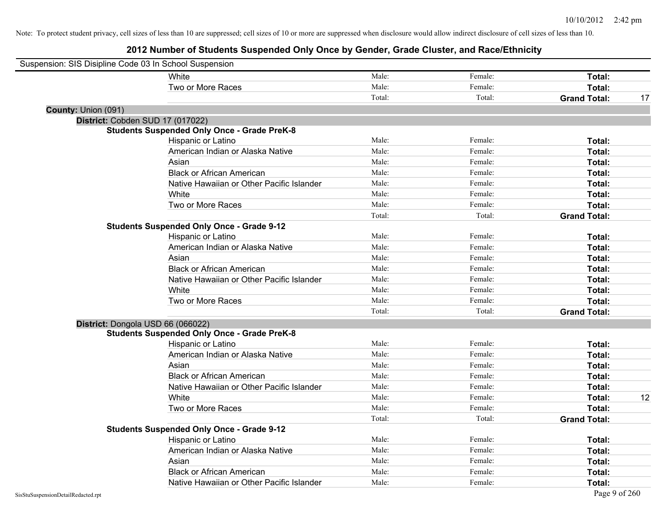| Suspension: SIS Disipline Code 03 In School Suspension |                                                    |        |         |                     |    |
|--------------------------------------------------------|----------------------------------------------------|--------|---------|---------------------|----|
|                                                        | <b>White</b>                                       | Male:  | Female: | Total:              |    |
|                                                        | Two or More Races                                  | Male:  | Female: | Total:              |    |
|                                                        |                                                    | Total: | Total:  | <b>Grand Total:</b> | 17 |
| County: Union (091)                                    |                                                    |        |         |                     |    |
| District: Cobden SUD 17 (017022)                       |                                                    |        |         |                     |    |
|                                                        | <b>Students Suspended Only Once - Grade PreK-8</b> |        |         |                     |    |
|                                                        | Hispanic or Latino                                 | Male:  | Female: | Total:              |    |
|                                                        | American Indian or Alaska Native                   | Male:  | Female: | Total:              |    |
|                                                        | Asian                                              | Male:  | Female: | Total:              |    |
|                                                        | <b>Black or African American</b>                   | Male:  | Female: | Total:              |    |
|                                                        | Native Hawaiian or Other Pacific Islander          | Male:  | Female: | Total:              |    |
|                                                        | White                                              | Male:  | Female: | Total:              |    |
|                                                        | Two or More Races                                  | Male:  | Female: | Total:              |    |
|                                                        |                                                    | Total: | Total:  | <b>Grand Total:</b> |    |
|                                                        | <b>Students Suspended Only Once - Grade 9-12</b>   |        |         |                     |    |
|                                                        | Hispanic or Latino                                 | Male:  | Female: | Total:              |    |
|                                                        | American Indian or Alaska Native                   | Male:  | Female: | Total:              |    |
|                                                        | Asian                                              | Male:  | Female: | Total:              |    |
|                                                        | <b>Black or African American</b>                   | Male:  | Female: | Total:              |    |
|                                                        | Native Hawaiian or Other Pacific Islander          | Male:  | Female: | Total:              |    |
|                                                        | White                                              | Male:  | Female: | Total:              |    |
|                                                        | Two or More Races                                  | Male:  | Female: | Total:              |    |
|                                                        |                                                    | Total: | Total:  | <b>Grand Total:</b> |    |
| District: Dongola USD 66 (066022)                      |                                                    |        |         |                     |    |
|                                                        | <b>Students Suspended Only Once - Grade PreK-8</b> |        |         |                     |    |
|                                                        | Hispanic or Latino                                 | Male:  | Female: | Total:              |    |
|                                                        | American Indian or Alaska Native                   | Male:  | Female: | Total:              |    |
|                                                        | Asian                                              | Male:  | Female: | Total:              |    |
|                                                        | <b>Black or African American</b>                   | Male:  | Female: | Total:              |    |
|                                                        | Native Hawaiian or Other Pacific Islander          | Male:  | Female: | Total:              |    |
|                                                        | White                                              | Male:  | Female: | Total:              | 12 |
|                                                        | Two or More Races                                  | Male:  | Female: | Total:              |    |
|                                                        |                                                    | Total: | Total:  | <b>Grand Total:</b> |    |
|                                                        | <b>Students Suspended Only Once - Grade 9-12</b>   |        |         |                     |    |
|                                                        | Hispanic or Latino                                 | Male:  | Female: | Total:              |    |
|                                                        | American Indian or Alaska Native                   | Male:  | Female: | Total:              |    |
|                                                        | Asian                                              | Male:  | Female: | Total:              |    |
|                                                        | <b>Black or African American</b>                   | Male:  | Female: | Total:              |    |
|                                                        | Native Hawaiian or Other Pacific Islander          | Male:  | Female: | Total:              |    |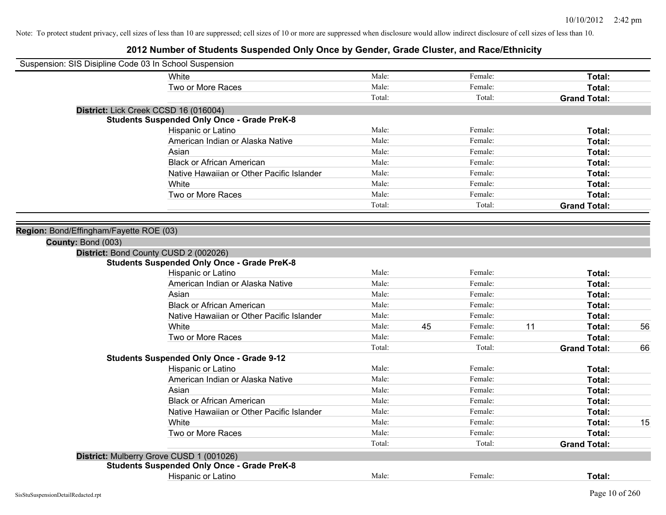| Suspension: SIS Disipline Code 03 In School Suspension |        |    |         |    |                     |    |
|--------------------------------------------------------|--------|----|---------|----|---------------------|----|
| White                                                  | Male:  |    | Female: |    | Total:              |    |
| Two or More Races                                      | Male:  |    | Female: |    | Total:              |    |
|                                                        | Total: |    | Total:  |    | <b>Grand Total:</b> |    |
| District: Lick Creek CCSD 16 (016004)                  |        |    |         |    |                     |    |
| <b>Students Suspended Only Once - Grade PreK-8</b>     |        |    |         |    |                     |    |
| Hispanic or Latino                                     | Male:  |    | Female: |    | Total:              |    |
| American Indian or Alaska Native                       | Male:  |    | Female: |    | Total:              |    |
| Asian                                                  | Male:  |    | Female: |    | Total:              |    |
| <b>Black or African American</b>                       | Male:  |    | Female: |    | Total:              |    |
| Native Hawaiian or Other Pacific Islander              | Male:  |    | Female: |    | Total:              |    |
| White                                                  | Male:  |    | Female: |    | Total:              |    |
| Two or More Races                                      | Male:  |    | Female: |    | Total:              |    |
|                                                        | Total: |    | Total:  |    | <b>Grand Total:</b> |    |
|                                                        |        |    |         |    |                     |    |
| Region: Bond/Effingham/Fayette ROE (03)                |        |    |         |    |                     |    |
| County: Bond (003)                                     |        |    |         |    |                     |    |
| District: Bond County CUSD 2 (002026)                  |        |    |         |    |                     |    |
| <b>Students Suspended Only Once - Grade PreK-8</b>     |        |    |         |    |                     |    |
| Hispanic or Latino                                     | Male:  |    | Female: |    | Total:              |    |
| American Indian or Alaska Native                       | Male:  |    | Female: |    | Total:              |    |
| Asian                                                  | Male:  |    | Female: |    | Total:              |    |
| <b>Black or African American</b>                       | Male:  |    | Female: |    | Total:              |    |
| Native Hawaiian or Other Pacific Islander              | Male:  |    | Female: |    | Total:              |    |
| White                                                  | Male:  | 45 | Female: | 11 | Total:              | 56 |
| Two or More Races                                      | Male:  |    | Female: |    | Total:              |    |
|                                                        | Total: |    | Total:  |    | <b>Grand Total:</b> | 66 |
| <b>Students Suspended Only Once - Grade 9-12</b>       |        |    |         |    |                     |    |
| Hispanic or Latino                                     | Male:  |    | Female: |    | Total:              |    |
| American Indian or Alaska Native                       | Male:  |    | Female: |    | Total:              |    |
| Asian                                                  | Male:  |    | Female: |    | Total:              |    |
| <b>Black or African American</b>                       | Male:  |    | Female: |    | Total:              |    |
| Native Hawaiian or Other Pacific Islander              | Male:  |    | Female: |    | Total:              |    |
| White                                                  | Male:  |    | Female: |    | Total:              | 15 |
| Two or More Races                                      | Male:  |    | Female: |    | Total:              |    |
|                                                        | Total: |    | Total:  |    | <b>Grand Total:</b> |    |
| District: Mulberry Grove CUSD 1 (001026)               |        |    |         |    |                     |    |
| <b>Students Suspended Only Once - Grade PreK-8</b>     |        |    |         |    |                     |    |
| <b>Hispanic or Latino</b>                              | Male:  |    | Female: |    | Total:              |    |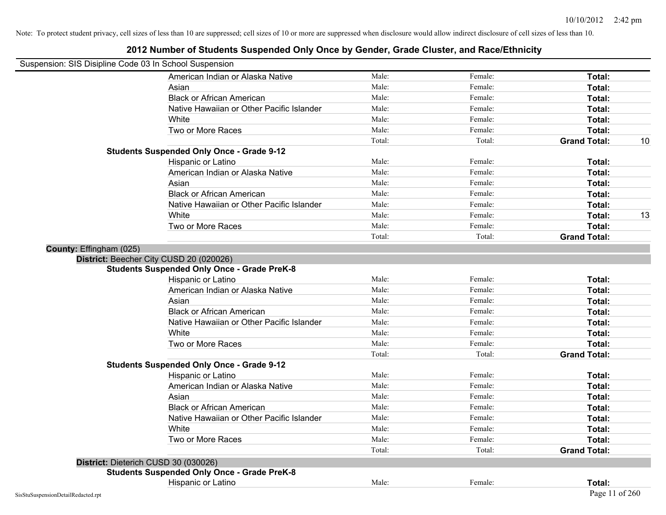| Suspension: SIS Disipline Code 03 In School Suspension |                                                    |        |         |                     |    |
|--------------------------------------------------------|----------------------------------------------------|--------|---------|---------------------|----|
|                                                        | American Indian or Alaska Native                   | Male:  | Female: | Total:              |    |
|                                                        | Asian                                              | Male:  | Female: | Total:              |    |
|                                                        | <b>Black or African American</b>                   | Male:  | Female: | Total:              |    |
|                                                        | Native Hawaiian or Other Pacific Islander          | Male:  | Female: | Total:              |    |
|                                                        | White                                              | Male:  | Female: | Total:              |    |
|                                                        | Two or More Races                                  | Male:  | Female: | Total:              |    |
|                                                        |                                                    | Total: | Total:  | <b>Grand Total:</b> | 10 |
|                                                        | <b>Students Suspended Only Once - Grade 9-12</b>   |        |         |                     |    |
|                                                        | Hispanic or Latino                                 | Male:  | Female: | Total:              |    |
|                                                        | American Indian or Alaska Native                   | Male:  | Female: | Total:              |    |
|                                                        | Asian                                              | Male:  | Female: | Total:              |    |
|                                                        | <b>Black or African American</b>                   | Male:  | Female: | Total:              |    |
|                                                        | Native Hawaiian or Other Pacific Islander          | Male:  | Female: | Total:              |    |
|                                                        | White                                              | Male:  | Female: | Total:              | 13 |
|                                                        | Two or More Races                                  | Male:  | Female: | Total:              |    |
|                                                        |                                                    | Total: | Total:  | <b>Grand Total:</b> |    |
| County: Effingham (025)                                |                                                    |        |         |                     |    |
|                                                        | District: Beecher City CUSD 20 (020026)            |        |         |                     |    |
|                                                        | <b>Students Suspended Only Once - Grade PreK-8</b> |        |         |                     |    |
|                                                        | Hispanic or Latino                                 | Male:  | Female: | Total:              |    |
|                                                        | American Indian or Alaska Native                   | Male:  | Female: | Total:              |    |
|                                                        | Asian                                              | Male:  | Female: | Total:              |    |
|                                                        | <b>Black or African American</b>                   | Male:  | Female: | Total:              |    |
|                                                        | Native Hawaiian or Other Pacific Islander          | Male:  | Female: | Total:              |    |
|                                                        | White                                              | Male:  | Female: | Total:              |    |
|                                                        | Two or More Races                                  | Male:  | Female: | Total:              |    |
|                                                        |                                                    | Total: | Total:  | <b>Grand Total:</b> |    |
|                                                        | <b>Students Suspended Only Once - Grade 9-12</b>   |        |         |                     |    |
|                                                        | Hispanic or Latino                                 | Male:  | Female: | Total:              |    |
|                                                        | American Indian or Alaska Native                   | Male:  | Female: | Total:              |    |
|                                                        | Asian                                              | Male:  | Female: | Total:              |    |
|                                                        | <b>Black or African American</b>                   | Male:  | Female: | Total:              |    |
|                                                        | Native Hawaiian or Other Pacific Islander          | Male:  | Female: | Total:              |    |
|                                                        | White                                              | Male:  | Female: | Total:              |    |
|                                                        | Two or More Races                                  | Male:  | Female: | Total:              |    |
|                                                        |                                                    | Total: | Total:  | <b>Grand Total:</b> |    |
|                                                        | District: Dieterich CUSD 30 (030026)               |        |         |                     |    |
|                                                        | <b>Students Suspended Only Once - Grade PreK-8</b> |        |         |                     |    |
|                                                        | Hispanic or Latino                                 | Male:  | Female: | Total:              |    |
| SisStuSuspensionDetailRedacted.rpt                     |                                                    |        |         | Page 11 of 260      |    |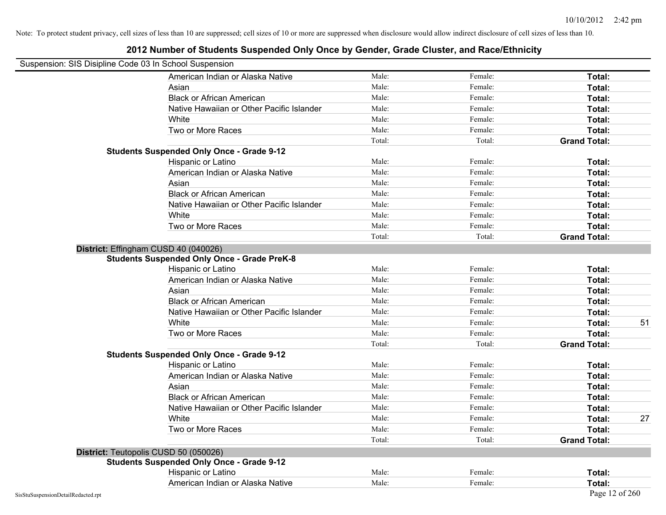| Suspension: SIS Disipline Code 03 In School Suspension |                                                    |        |         |                     |    |
|--------------------------------------------------------|----------------------------------------------------|--------|---------|---------------------|----|
|                                                        | American Indian or Alaska Native                   | Male:  | Female: | Total:              |    |
|                                                        | Asian                                              | Male:  | Female: | Total:              |    |
|                                                        | <b>Black or African American</b>                   | Male:  | Female: | Total:              |    |
|                                                        | Native Hawaiian or Other Pacific Islander          | Male:  | Female: | Total:              |    |
|                                                        | White                                              | Male:  | Female: | Total:              |    |
|                                                        | Two or More Races                                  | Male:  | Female: | Total:              |    |
|                                                        |                                                    | Total: | Total:  | <b>Grand Total:</b> |    |
|                                                        | <b>Students Suspended Only Once - Grade 9-12</b>   |        |         |                     |    |
|                                                        | Hispanic or Latino                                 | Male:  | Female: | Total:              |    |
|                                                        | American Indian or Alaska Native                   | Male:  | Female: | Total:              |    |
|                                                        | Asian                                              | Male:  | Female: | Total:              |    |
|                                                        | <b>Black or African American</b>                   | Male:  | Female: | Total:              |    |
|                                                        | Native Hawaiian or Other Pacific Islander          | Male:  | Female: | Total:              |    |
|                                                        | White                                              | Male:  | Female: | Total:              |    |
|                                                        | Two or More Races                                  | Male:  | Female: | Total:              |    |
|                                                        |                                                    | Total: | Total:  | <b>Grand Total:</b> |    |
|                                                        | District: Effingham CUSD 40 (040026)               |        |         |                     |    |
|                                                        | <b>Students Suspended Only Once - Grade PreK-8</b> |        |         |                     |    |
|                                                        | Hispanic or Latino                                 | Male:  | Female: | Total:              |    |
|                                                        | American Indian or Alaska Native                   | Male:  | Female: | Total:              |    |
|                                                        | Asian                                              | Male:  | Female: | Total:              |    |
|                                                        | <b>Black or African American</b>                   | Male:  | Female: | Total:              |    |
|                                                        | Native Hawaiian or Other Pacific Islander          | Male:  | Female: | Total:              |    |
|                                                        | White                                              | Male:  | Female: | Total:              | 51 |
|                                                        | Two or More Races                                  | Male:  | Female: | Total:              |    |
|                                                        |                                                    | Total: | Total:  | <b>Grand Total:</b> |    |
|                                                        | <b>Students Suspended Only Once - Grade 9-12</b>   |        |         |                     |    |
|                                                        | Hispanic or Latino                                 | Male:  | Female: | Total:              |    |
|                                                        | American Indian or Alaska Native                   | Male:  | Female: | Total:              |    |
|                                                        | Asian                                              | Male:  | Female: | Total:              |    |
|                                                        | <b>Black or African American</b>                   | Male:  | Female: | Total:              |    |
|                                                        | Native Hawaiian or Other Pacific Islander          | Male:  | Female: | Total:              |    |
|                                                        | White                                              | Male:  | Female: | Total:              | 27 |
|                                                        | Two or More Races                                  | Male:  | Female: | Total:              |    |
|                                                        |                                                    | Total: | Total:  | <b>Grand Total:</b> |    |
|                                                        | District: Teutopolis CUSD 50 (050026)              |        |         |                     |    |
|                                                        | <b>Students Suspended Only Once - Grade 9-12</b>   |        |         |                     |    |
|                                                        | Hispanic or Latino                                 | Male:  | Female: | Total:              |    |
|                                                        | American Indian or Alaska Native                   | Male:  | Female: | Total:              |    |
| SisStuSuspensionDetailRedacted.rpt                     |                                                    |        |         | Page 12 of 260      |    |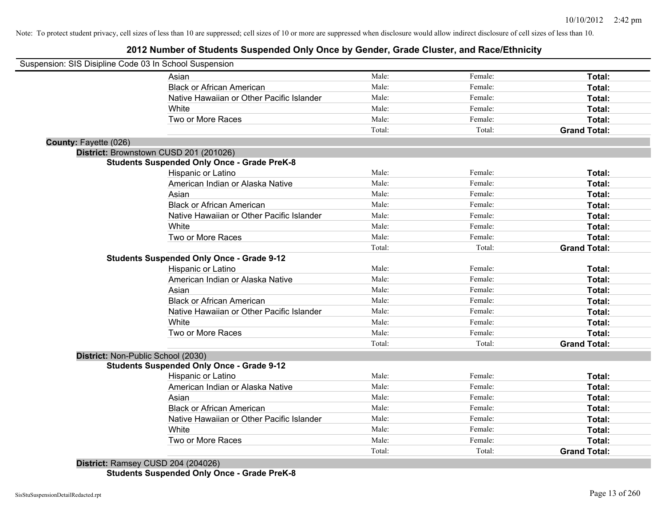## **2012 Number of Students Suspended Only Once by Gender, Grade Cluster, and Race/Ethnicity**

| Suspension: SIS Disipline Code 03 In School Suspension |                                                    |        |         |                     |
|--------------------------------------------------------|----------------------------------------------------|--------|---------|---------------------|
|                                                        | Asian                                              | Male:  | Female: | Total:              |
|                                                        | <b>Black or African American</b>                   | Male:  | Female: | Total:              |
|                                                        | Native Hawaiian or Other Pacific Islander          | Male:  | Female: | Total:              |
|                                                        | White                                              | Male:  | Female: | Total:              |
|                                                        | Two or More Races                                  | Male:  | Female: | Total:              |
|                                                        |                                                    | Total: | Total:  | <b>Grand Total:</b> |
| County: Fayette (026)                                  |                                                    |        |         |                     |
|                                                        | District: Brownstown CUSD 201 (201026)             |        |         |                     |
|                                                        | <b>Students Suspended Only Once - Grade PreK-8</b> |        |         |                     |
|                                                        | Hispanic or Latino                                 | Male:  | Female: | Total:              |
|                                                        | American Indian or Alaska Native                   | Male:  | Female: | Total:              |
|                                                        | Asian                                              | Male:  | Female: | Total:              |
|                                                        | <b>Black or African American</b>                   | Male:  | Female: | Total:              |
|                                                        | Native Hawaiian or Other Pacific Islander          | Male:  | Female: | Total:              |
|                                                        | White                                              | Male:  | Female: | Total:              |
|                                                        | Two or More Races                                  | Male:  | Female: | Total:              |
|                                                        |                                                    | Total: | Total:  | <b>Grand Total:</b> |
|                                                        | <b>Students Suspended Only Once - Grade 9-12</b>   |        |         |                     |
|                                                        | Hispanic or Latino                                 | Male:  | Female: | Total:              |
|                                                        | American Indian or Alaska Native                   | Male:  | Female: | Total:              |
|                                                        | Asian                                              | Male:  | Female: | Total:              |
|                                                        | <b>Black or African American</b>                   | Male:  | Female: | Total:              |
|                                                        | Native Hawaiian or Other Pacific Islander          | Male:  | Female: | Total:              |
|                                                        | White                                              | Male:  | Female: | Total:              |
|                                                        | Two or More Races                                  | Male:  | Female: | Total:              |
|                                                        |                                                    | Total: | Total:  | <b>Grand Total:</b> |
| District: Non-Public School (2030)                     |                                                    |        |         |                     |
|                                                        | <b>Students Suspended Only Once - Grade 9-12</b>   |        |         |                     |
|                                                        | Hispanic or Latino                                 | Male:  | Female: | Total:              |
|                                                        | American Indian or Alaska Native                   | Male:  | Female: | Total:              |
|                                                        | Asian                                              | Male:  | Female: | Total:              |
|                                                        | <b>Black or African American</b>                   | Male:  | Female: | Total:              |
|                                                        | Native Hawaiian or Other Pacific Islander          | Male:  | Female: | Total:              |
|                                                        | White                                              | Male:  | Female: | Total:              |
|                                                        | Two or More Races                                  | Male:  | Female: | Total:              |
|                                                        |                                                    | Total: | Total:  | <b>Grand Total:</b> |
|                                                        | District: Ramsey CUSD 204 (204026)                 |        |         |                     |

**Students Suspended Only Once - Grade PreK-8**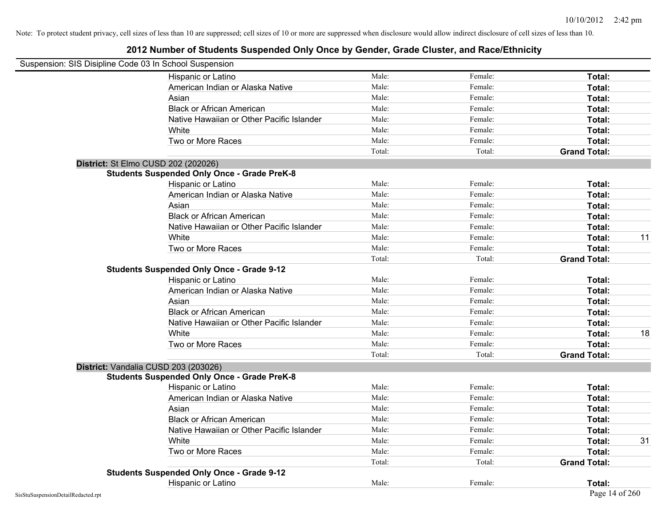| Suspension: SIS Disipline Code 03 In School Suspension |                                                    |        |         |                     |    |
|--------------------------------------------------------|----------------------------------------------------|--------|---------|---------------------|----|
|                                                        | Hispanic or Latino                                 | Male:  | Female: | Total:              |    |
|                                                        | American Indian or Alaska Native                   | Male:  | Female: | Total:              |    |
|                                                        | Asian                                              | Male:  | Female: | Total:              |    |
|                                                        | <b>Black or African American</b>                   | Male:  | Female: | Total:              |    |
|                                                        | Native Hawaiian or Other Pacific Islander          | Male:  | Female: | Total:              |    |
|                                                        | White                                              | Male:  | Female: | Total:              |    |
|                                                        | Two or More Races                                  | Male:  | Female: | Total:              |    |
|                                                        |                                                    | Total: | Total:  | <b>Grand Total:</b> |    |
|                                                        | District: St Elmo CUSD 202 (202026)                |        |         |                     |    |
|                                                        | <b>Students Suspended Only Once - Grade PreK-8</b> |        |         |                     |    |
|                                                        | Hispanic or Latino                                 | Male:  | Female: | Total:              |    |
|                                                        | American Indian or Alaska Native                   | Male:  | Female: | Total:              |    |
|                                                        | Asian                                              | Male:  | Female: | Total:              |    |
|                                                        | <b>Black or African American</b>                   | Male:  | Female: | Total:              |    |
|                                                        | Native Hawaiian or Other Pacific Islander          | Male:  | Female: | Total:              |    |
|                                                        | White                                              | Male:  | Female: | Total:              | 11 |
|                                                        | Two or More Races                                  | Male:  | Female: | Total:              |    |
|                                                        |                                                    | Total: | Total:  | <b>Grand Total:</b> |    |
|                                                        | <b>Students Suspended Only Once - Grade 9-12</b>   |        |         |                     |    |
|                                                        | Hispanic or Latino                                 | Male:  | Female: | Total:              |    |
|                                                        | American Indian or Alaska Native                   | Male:  | Female: | Total:              |    |
|                                                        | Asian                                              | Male:  | Female: | Total:              |    |
|                                                        | <b>Black or African American</b>                   | Male:  | Female: | Total:              |    |
|                                                        | Native Hawaiian or Other Pacific Islander          | Male:  | Female: | Total:              |    |
|                                                        | White                                              | Male:  | Female: | Total:              | 18 |
|                                                        | Two or More Races                                  | Male:  | Female: | Total:              |    |
|                                                        |                                                    | Total: | Total:  | <b>Grand Total:</b> |    |
|                                                        | District: Vandalia CUSD 203 (203026)               |        |         |                     |    |
|                                                        | <b>Students Suspended Only Once - Grade PreK-8</b> |        |         |                     |    |
|                                                        | Hispanic or Latino                                 | Male:  | Female: | Total:              |    |
|                                                        | American Indian or Alaska Native                   | Male:  | Female: | Total:              |    |
|                                                        | Asian                                              | Male:  | Female: | Total:              |    |
|                                                        | <b>Black or African American</b>                   | Male:  | Female: | Total:              |    |
|                                                        | Native Hawaiian or Other Pacific Islander          | Male:  | Female: | Total:              |    |
|                                                        | White                                              | Male:  | Female: | Total:              | 31 |
|                                                        | Two or More Races                                  | Male:  | Female: | Total:              |    |
|                                                        |                                                    | Total: | Total:  | <b>Grand Total:</b> |    |
|                                                        | <b>Students Suspended Only Once - Grade 9-12</b>   |        |         |                     |    |
|                                                        | Hispanic or Latino                                 | Male:  | Female: | Total:              |    |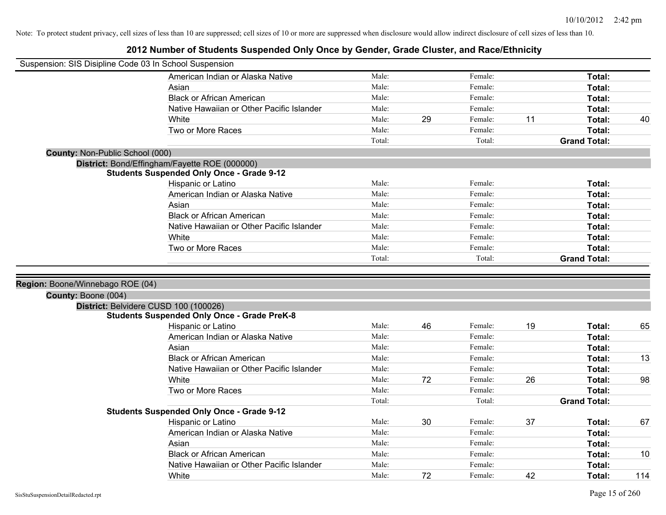| Suspension: SIS Disipline Code 03 In School Suspension  |                                                                                             |                |    |                    |    |                         |    |
|---------------------------------------------------------|---------------------------------------------------------------------------------------------|----------------|----|--------------------|----|-------------------------|----|
|                                                         | American Indian or Alaska Native                                                            | Male:          |    | Female:            |    | Total:                  |    |
|                                                         | Asian                                                                                       | Male:          |    | Female:            |    | Total:                  |    |
|                                                         | <b>Black or African American</b>                                                            | Male:          |    | Female:            |    | Total:                  |    |
|                                                         | Native Hawaiian or Other Pacific Islander                                                   | Male:          |    | Female:            |    | Total:                  |    |
|                                                         | White                                                                                       | Male:          | 29 | Female:            | 11 | Total:                  | 40 |
|                                                         | Two or More Races                                                                           | Male:          |    | Female:            |    | <b>Total:</b>           |    |
|                                                         |                                                                                             | Total:         |    | Total:             |    | <b>Grand Total:</b>     |    |
| County: Non-Public School (000)                         |                                                                                             |                |    |                    |    |                         |    |
|                                                         | District: Bond/Effingham/Fayette ROE (000000)                                               |                |    |                    |    |                         |    |
|                                                         | <b>Students Suspended Only Once - Grade 9-12</b>                                            |                |    |                    |    |                         |    |
|                                                         | Hispanic or Latino                                                                          | Male:          |    | Female:            |    | Total:                  |    |
|                                                         | American Indian or Alaska Native                                                            | Male:          |    | Female:            |    | Total:                  |    |
|                                                         | Asian                                                                                       | Male:          |    | Female:            |    | Total:                  |    |
|                                                         | <b>Black or African American</b>                                                            | Male:          |    | Female:            |    | Total:                  |    |
|                                                         | Native Hawaiian or Other Pacific Islander                                                   | Male:          |    | Female:            |    | Total:                  |    |
|                                                         | White                                                                                       | Male:          |    | Female:            |    | Total:                  |    |
|                                                         | Two or More Races                                                                           | Male:          |    | Female:            |    | <b>Total:</b>           |    |
|                                                         |                                                                                             | Total:         |    | Total:             |    | <b>Grand Total:</b>     |    |
| Region: Boone/Winnebago ROE (04)<br>County: Boone (004) |                                                                                             |                |    |                    |    |                         |    |
|                                                         | District: Belvidere CUSD 100 (100026)<br><b>Students Suspended Only Once - Grade PreK-8</b> |                |    |                    |    |                         |    |
|                                                         | Hispanic or Latino                                                                          | Male:          | 46 | Female:            | 19 | Total:                  | 65 |
|                                                         | American Indian or Alaska Native                                                            | Male:          |    | Female:            |    | Total:                  |    |
|                                                         | Asian                                                                                       | Male:          |    | Female:            |    | Total:                  |    |
|                                                         | <b>Black or African American</b>                                                            | Male:          |    | Female:            |    | Total:                  | 13 |
|                                                         | Native Hawaiian or Other Pacific Islander                                                   | Male:          |    | Female:            |    | Total:                  |    |
|                                                         | White                                                                                       | Male:          | 72 | Female:            | 26 | Total:                  | 98 |
|                                                         | Two or More Races                                                                           | Male:          |    | Female:            |    | Total:                  |    |
|                                                         |                                                                                             |                |    | Total:             |    | <b>Grand Total:</b>     |    |
|                                                         |                                                                                             |                |    |                    |    |                         |    |
|                                                         |                                                                                             | Total:         |    |                    |    |                         |    |
|                                                         | <b>Students Suspended Only Once - Grade 9-12</b>                                            |                |    |                    |    |                         |    |
|                                                         | Hispanic or Latino                                                                          | Male:<br>Male: | 30 | Female:<br>Female: | 37 | Total:                  | 67 |
|                                                         | American Indian or Alaska Native                                                            |                |    | Female:            |    | <b>Total:</b>           |    |
|                                                         | Asian                                                                                       | Male:<br>Male: |    | Female:            |    | Total:                  |    |
|                                                         | <b>Black or African American</b><br>Native Hawaiian or Other Pacific Islander               | Male:          |    | Female:            |    | Total:<br><b>Total:</b> | 10 |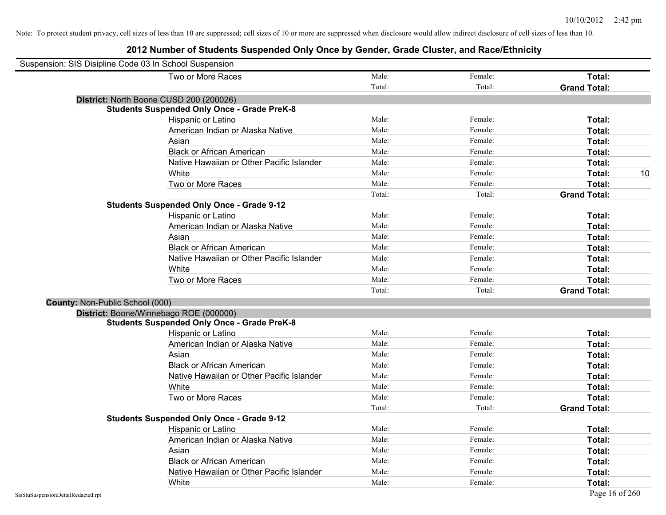| Suspension: SIS Disipline Code 03 In School Suspension |        |         |                     |
|--------------------------------------------------------|--------|---------|---------------------|
| Two or More Races                                      | Male:  | Female: | Total:              |
|                                                        | Total: | Total:  | <b>Grand Total:</b> |
| District: North Boone CUSD 200 (200026)                |        |         |                     |
| <b>Students Suspended Only Once - Grade PreK-8</b>     |        |         |                     |
| Hispanic or Latino                                     | Male:  | Female: | Total:              |
| American Indian or Alaska Native                       | Male:  | Female: | Total:              |
| Asian                                                  | Male:  | Female: | Total:              |
| <b>Black or African American</b>                       | Male:  | Female: | Total:              |
| Native Hawaiian or Other Pacific Islander              | Male:  | Female: | Total:              |
| White                                                  | Male:  | Female: | 10<br>Total:        |
| Two or More Races                                      | Male:  | Female: | Total:              |
|                                                        | Total: | Total:  | <b>Grand Total:</b> |
| <b>Students Suspended Only Once - Grade 9-12</b>       |        |         |                     |
| Hispanic or Latino                                     | Male:  | Female: | Total:              |
| American Indian or Alaska Native                       | Male:  | Female: | Total:              |
| Asian                                                  | Male:  | Female: | Total:              |
| <b>Black or African American</b>                       | Male:  | Female: | Total:              |
| Native Hawaiian or Other Pacific Islander              | Male:  | Female: | Total:              |
| White                                                  | Male:  | Female: | Total:              |
| Two or More Races                                      | Male:  | Female: | Total:              |
|                                                        | Total: | Total:  | <b>Grand Total:</b> |
| County: Non-Public School (000)                        |        |         |                     |
| District: Boone/Winnebago ROE (000000)                 |        |         |                     |
| <b>Students Suspended Only Once - Grade PreK-8</b>     |        |         |                     |
| Hispanic or Latino                                     | Male:  | Female: | Total:              |
| American Indian or Alaska Native                       | Male:  | Female: | Total:              |
| Asian                                                  | Male:  | Female: | Total:              |
| <b>Black or African American</b>                       | Male:  | Female: | Total:              |
| Native Hawaiian or Other Pacific Islander              | Male:  | Female: | Total:              |
| White                                                  | Male:  | Female: | Total:              |
| Two or More Races                                      | Male:  | Female: | Total:              |
|                                                        | Total: | Total:  | <b>Grand Total:</b> |
| <b>Students Suspended Only Once - Grade 9-12</b>       |        |         |                     |
| Hispanic or Latino                                     | Male:  | Female: | Total:              |
| American Indian or Alaska Native                       | Male:  | Female: | Total:              |
| Asian                                                  | Male:  | Female: | Total:              |
| <b>Black or African American</b>                       | Male:  | Female: | Total:              |
| Native Hawaiian or Other Pacific Islander              | Male:  | Female: | Total:              |
| White                                                  | Male:  | Female: | Total:              |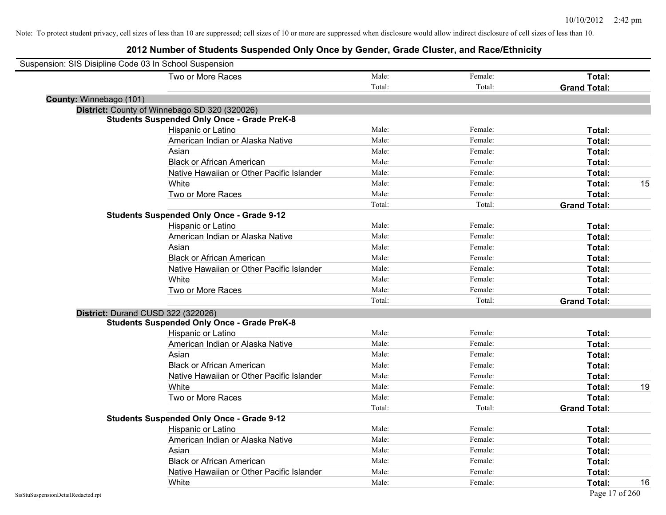| Suspension: SIS Disipline Code 03 In School Suspension |                                                    |        |         |                     |
|--------------------------------------------------------|----------------------------------------------------|--------|---------|---------------------|
|                                                        | Two or More Races                                  | Male:  | Female: | Total:              |
|                                                        |                                                    | Total: | Total:  | <b>Grand Total:</b> |
| County: Winnebago (101)                                |                                                    |        |         |                     |
|                                                        | District: County of Winnebago SD 320 (320026)      |        |         |                     |
|                                                        | <b>Students Suspended Only Once - Grade PreK-8</b> |        |         |                     |
|                                                        | Hispanic or Latino                                 | Male:  | Female: | Total:              |
|                                                        | American Indian or Alaska Native                   | Male:  | Female: | Total:              |
|                                                        | Asian                                              | Male:  | Female: | Total:              |
|                                                        | <b>Black or African American</b>                   | Male:  | Female: | Total:              |
|                                                        | Native Hawaiian or Other Pacific Islander          | Male:  | Female: | <b>Total:</b>       |
|                                                        | White                                              | Male:  | Female: | 15<br>Total:        |
|                                                        | Two or More Races                                  | Male:  | Female: | Total:              |
|                                                        |                                                    | Total: | Total:  | <b>Grand Total:</b> |
|                                                        | <b>Students Suspended Only Once - Grade 9-12</b>   |        |         |                     |
|                                                        | Hispanic or Latino                                 | Male:  | Female: | Total:              |
|                                                        | American Indian or Alaska Native                   | Male:  | Female: | Total:              |
|                                                        | Asian                                              | Male:  | Female: | <b>Total:</b>       |
|                                                        | <b>Black or African American</b>                   | Male:  | Female: | Total:              |
|                                                        | Native Hawaiian or Other Pacific Islander          | Male:  | Female: | Total:              |
|                                                        | White                                              | Male:  | Female: | Total:              |
|                                                        | Two or More Races                                  | Male:  | Female: | Total:              |
|                                                        |                                                    | Total: | Total:  | <b>Grand Total:</b> |
|                                                        | District: Durand CUSD 322 (322026)                 |        |         |                     |
|                                                        | <b>Students Suspended Only Once - Grade PreK-8</b> |        |         |                     |
|                                                        | Hispanic or Latino                                 | Male:  | Female: | Total:              |
|                                                        | American Indian or Alaska Native                   | Male:  | Female: | Total:              |
|                                                        | Asian                                              | Male:  | Female: | Total:              |
|                                                        | <b>Black or African American</b>                   | Male:  | Female: | Total:              |
|                                                        | Native Hawaiian or Other Pacific Islander          | Male:  | Female: | Total:              |
|                                                        | White                                              | Male:  | Female: | 19<br>Total:        |
|                                                        | Two or More Races                                  | Male:  | Female: | Total:              |
|                                                        |                                                    | Total: | Total:  | <b>Grand Total:</b> |
|                                                        | <b>Students Suspended Only Once - Grade 9-12</b>   |        |         |                     |
|                                                        | Hispanic or Latino                                 | Male:  | Female: | Total:              |
|                                                        | American Indian or Alaska Native                   | Male:  | Female: | Total:              |
|                                                        | Asian                                              | Male:  | Female: | Total:              |
|                                                        | <b>Black or African American</b>                   | Male:  | Female: | Total:              |
|                                                        | Native Hawaiian or Other Pacific Islander          | Male:  | Female: | Total:              |
|                                                        | White                                              | Male:  | Female: | 16<br>Total:        |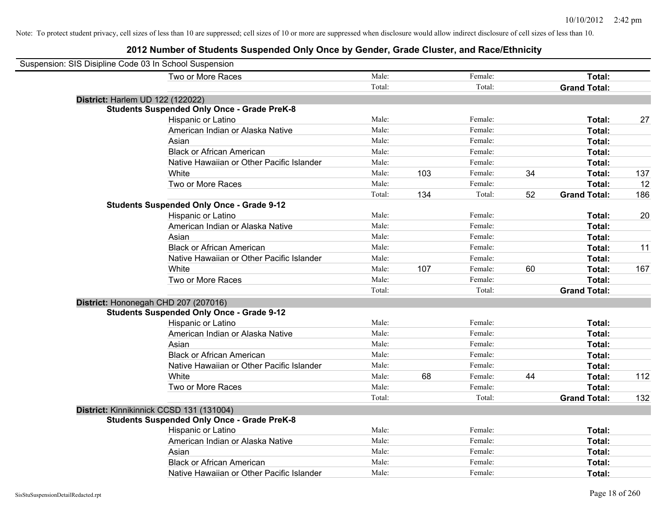| Suspension: SIS Disipline Code 03 In School Suspension |                                                    |        |     |         |    |                     |     |
|--------------------------------------------------------|----------------------------------------------------|--------|-----|---------|----|---------------------|-----|
|                                                        | Two or More Races                                  | Male:  |     | Female: |    | Total:              |     |
|                                                        |                                                    | Total: |     | Total:  |    | <b>Grand Total:</b> |     |
|                                                        | District: Harlem UD 122 (122022)                   |        |     |         |    |                     |     |
|                                                        | <b>Students Suspended Only Once - Grade PreK-8</b> |        |     |         |    |                     |     |
|                                                        | Hispanic or Latino                                 | Male:  |     | Female: |    | Total:              | 27  |
|                                                        | American Indian or Alaska Native                   | Male:  |     | Female: |    | Total:              |     |
|                                                        | Asian                                              | Male:  |     | Female: |    | Total:              |     |
|                                                        | <b>Black or African American</b>                   | Male:  |     | Female: |    | Total:              |     |
|                                                        | Native Hawaiian or Other Pacific Islander          | Male:  |     | Female: |    | Total:              |     |
|                                                        | White                                              | Male:  | 103 | Female: | 34 | Total:              | 137 |
|                                                        | Two or More Races                                  | Male:  |     | Female: |    | Total:              | 12  |
|                                                        |                                                    | Total: | 134 | Total:  | 52 | <b>Grand Total:</b> | 186 |
|                                                        | <b>Students Suspended Only Once - Grade 9-12</b>   |        |     |         |    |                     |     |
|                                                        | Hispanic or Latino                                 | Male:  |     | Female: |    | Total:              | 20  |
|                                                        | American Indian or Alaska Native                   | Male:  |     | Female: |    | Total:              |     |
|                                                        | Asian                                              | Male:  |     | Female: |    | Total:              |     |
|                                                        | <b>Black or African American</b>                   | Male:  |     | Female: |    | Total:              | 11  |
|                                                        | Native Hawaiian or Other Pacific Islander          | Male:  |     | Female: |    | Total:              |     |
|                                                        | White                                              | Male:  | 107 | Female: | 60 | Total:              | 167 |
|                                                        | Two or More Races                                  | Male:  |     | Female: |    | Total:              |     |
|                                                        |                                                    | Total: |     | Total:  |    | <b>Grand Total:</b> |     |
|                                                        | District: Hononegah CHD 207 (207016)               |        |     |         |    |                     |     |
|                                                        | <b>Students Suspended Only Once - Grade 9-12</b>   |        |     |         |    |                     |     |
|                                                        | Hispanic or Latino                                 | Male:  |     | Female: |    | Total:              |     |
|                                                        | American Indian or Alaska Native                   | Male:  |     | Female: |    | Total:              |     |
|                                                        | Asian                                              | Male:  |     | Female: |    | Total:              |     |
|                                                        | <b>Black or African American</b>                   | Male:  |     | Female: |    | Total:              |     |
|                                                        | Native Hawaiian or Other Pacific Islander          | Male:  |     | Female: |    | Total:              |     |
|                                                        | White                                              | Male:  | 68  | Female: | 44 | Total:              | 112 |
|                                                        | Two or More Races                                  | Male:  |     | Female: |    | Total:              |     |
|                                                        |                                                    | Total: |     | Total:  |    | <b>Grand Total:</b> | 132 |
|                                                        | District: Kinnikinnick CCSD 131 (131004)           |        |     |         |    |                     |     |
|                                                        | <b>Students Suspended Only Once - Grade PreK-8</b> |        |     |         |    |                     |     |
|                                                        | Hispanic or Latino                                 | Male:  |     | Female: |    | Total:              |     |
|                                                        | American Indian or Alaska Native                   | Male:  |     | Female: |    | Total:              |     |
|                                                        | Asian                                              | Male:  |     | Female: |    | Total:              |     |
|                                                        | <b>Black or African American</b>                   | Male:  |     | Female: |    | Total:              |     |
|                                                        | Native Hawaiian or Other Pacific Islander          | Male:  |     | Female: |    | Total:              |     |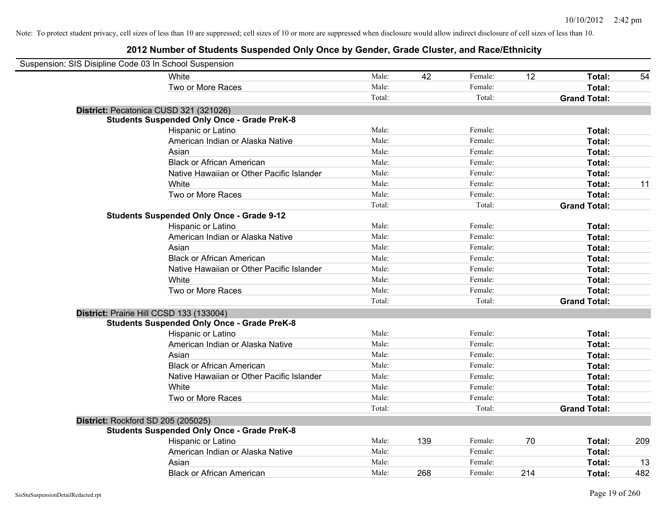| Suspension: SIS Disipline Code 03 In School Suspension |                                                    |        |     |         |     |                     |     |
|--------------------------------------------------------|----------------------------------------------------|--------|-----|---------|-----|---------------------|-----|
|                                                        | <b>White</b>                                       | Male:  | 42  | Female: | 12  | Total:              | 54  |
|                                                        | Two or More Races                                  | Male:  |     | Female: |     | Total:              |     |
|                                                        |                                                    | Total: |     | Total:  |     | <b>Grand Total:</b> |     |
|                                                        | District: Pecatonica CUSD 321 (321026)             |        |     |         |     |                     |     |
|                                                        | <b>Students Suspended Only Once - Grade PreK-8</b> |        |     |         |     |                     |     |
|                                                        | Hispanic or Latino                                 | Male:  |     | Female: |     | Total:              |     |
|                                                        | American Indian or Alaska Native                   | Male:  |     | Female: |     | Total:              |     |
|                                                        | Asian                                              | Male:  |     | Female: |     | Total:              |     |
|                                                        | <b>Black or African American</b>                   | Male:  |     | Female: |     | Total:              |     |
|                                                        | Native Hawaiian or Other Pacific Islander          | Male:  |     | Female: |     | Total:              |     |
|                                                        | White                                              | Male:  |     | Female: |     | Total:              | 11  |
|                                                        | Two or More Races                                  | Male:  |     | Female: |     | Total:              |     |
|                                                        |                                                    | Total: |     | Total:  |     | <b>Grand Total:</b> |     |
|                                                        | <b>Students Suspended Only Once - Grade 9-12</b>   |        |     |         |     |                     |     |
|                                                        | Hispanic or Latino                                 | Male:  |     | Female: |     | Total:              |     |
|                                                        | American Indian or Alaska Native                   | Male:  |     | Female: |     | Total:              |     |
|                                                        | Asian                                              | Male:  |     | Female: |     | Total:              |     |
|                                                        | <b>Black or African American</b>                   | Male:  |     | Female: |     | Total:              |     |
|                                                        | Native Hawaiian or Other Pacific Islander          | Male:  |     | Female: |     | Total:              |     |
|                                                        | White                                              | Male:  |     | Female: |     | Total:              |     |
|                                                        | Two or More Races                                  | Male:  |     | Female: |     | Total:              |     |
|                                                        |                                                    | Total: |     | Total:  |     | <b>Grand Total:</b> |     |
|                                                        | District: Prairie Hill CCSD 133 (133004)           |        |     |         |     |                     |     |
|                                                        | <b>Students Suspended Only Once - Grade PreK-8</b> |        |     |         |     |                     |     |
|                                                        | Hispanic or Latino                                 | Male:  |     | Female: |     | Total:              |     |
|                                                        | American Indian or Alaska Native                   | Male:  |     | Female: |     | Total:              |     |
|                                                        | Asian                                              | Male:  |     | Female: |     | Total:              |     |
|                                                        | <b>Black or African American</b>                   | Male:  |     | Female: |     | Total:              |     |
|                                                        | Native Hawaiian or Other Pacific Islander          | Male:  |     | Female: |     | Total:              |     |
|                                                        | White                                              | Male:  |     | Female: |     | Total:              |     |
|                                                        | Two or More Races                                  | Male:  |     | Female: |     | Total:              |     |
|                                                        |                                                    | Total: |     | Total:  |     | <b>Grand Total:</b> |     |
| District: Rockford SD 205 (205025)                     |                                                    |        |     |         |     |                     |     |
|                                                        | <b>Students Suspended Only Once - Grade PreK-8</b> |        |     |         |     |                     |     |
|                                                        | Hispanic or Latino                                 | Male:  | 139 | Female: | 70  | Total:              | 209 |
|                                                        | American Indian or Alaska Native                   | Male:  |     | Female: |     | Total:              |     |
|                                                        | Asian                                              | Male:  |     | Female: |     | Total:              | 13  |
|                                                        | <b>Black or African American</b>                   | Male:  | 268 | Female: | 214 | Total:              | 482 |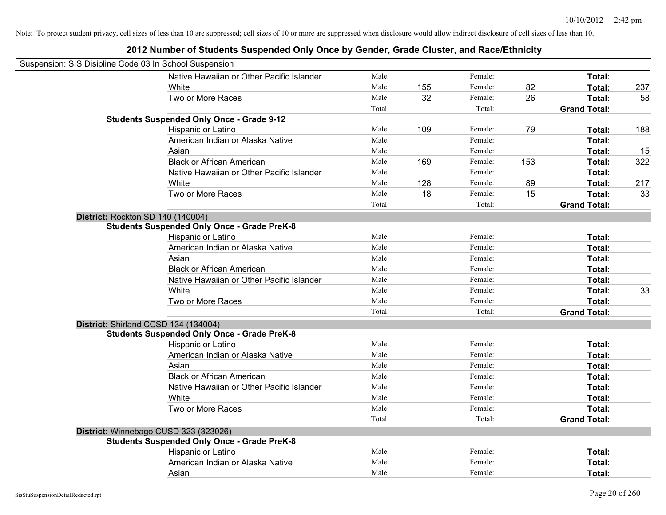| Suspension: SIS Disipline Code 03 In School Suspension |        |     |         |     |                     |     |
|--------------------------------------------------------|--------|-----|---------|-----|---------------------|-----|
| Native Hawaiian or Other Pacific Islander              | Male:  |     | Female: |     | Total:              |     |
| White                                                  | Male:  | 155 | Female: | 82  | Total:              | 237 |
| Two or More Races                                      | Male:  | 32  | Female: | 26  | Total:              | 58  |
|                                                        | Total: |     | Total:  |     | <b>Grand Total:</b> |     |
| <b>Students Suspended Only Once - Grade 9-12</b>       |        |     |         |     |                     |     |
| Hispanic or Latino                                     | Male:  | 109 | Female: | 79  | Total:              | 188 |
| American Indian or Alaska Native                       | Male:  |     | Female: |     | Total:              |     |
| Asian                                                  | Male:  |     | Female: |     | Total:              | 15  |
| <b>Black or African American</b>                       | Male:  | 169 | Female: | 153 | Total:              | 322 |
| Native Hawaiian or Other Pacific Islander              | Male:  |     | Female: |     | Total:              |     |
| White                                                  | Male:  | 128 | Female: | 89  | Total:              | 217 |
| Two or More Races                                      | Male:  | 18  | Female: | 15  | Total:              | 33  |
|                                                        | Total: |     | Total:  |     | <b>Grand Total:</b> |     |
| District: Rockton SD 140 (140004)                      |        |     |         |     |                     |     |
| <b>Students Suspended Only Once - Grade PreK-8</b>     |        |     |         |     |                     |     |
| Hispanic or Latino                                     | Male:  |     | Female: |     | Total:              |     |
| American Indian or Alaska Native                       | Male:  |     | Female: |     | Total:              |     |
| Asian                                                  | Male:  |     | Female: |     | Total:              |     |
| <b>Black or African American</b>                       | Male:  |     | Female: |     | Total:              |     |
| Native Hawaiian or Other Pacific Islander              | Male:  |     | Female: |     | Total:              |     |
| White                                                  | Male:  |     | Female: |     | Total:              | 33  |
| Two or More Races                                      | Male:  |     | Female: |     | Total:              |     |
|                                                        | Total: |     | Total:  |     | <b>Grand Total:</b> |     |
| District: Shirland CCSD 134 (134004)                   |        |     |         |     |                     |     |
| <b>Students Suspended Only Once - Grade PreK-8</b>     |        |     |         |     |                     |     |
| Hispanic or Latino                                     | Male:  |     | Female: |     | Total:              |     |
| American Indian or Alaska Native                       | Male:  |     | Female: |     | Total:              |     |
| Asian                                                  | Male:  |     | Female: |     | Total:              |     |
| <b>Black or African American</b>                       | Male:  |     | Female: |     | Total:              |     |
| Native Hawaiian or Other Pacific Islander              | Male:  |     | Female: |     | Total:              |     |
| White                                                  | Male:  |     | Female: |     | Total:              |     |
| Two or More Races                                      | Male:  |     | Female: |     | Total:              |     |
|                                                        | Total: |     | Total:  |     | <b>Grand Total:</b> |     |
| District: Winnebago CUSD 323 (323026)                  |        |     |         |     |                     |     |
| <b>Students Suspended Only Once - Grade PreK-8</b>     |        |     |         |     |                     |     |
| Hispanic or Latino                                     | Male:  |     | Female: |     | Total:              |     |
| American Indian or Alaska Native                       | Male:  |     | Female: |     | Total:              |     |
| Asian                                                  | Male:  |     | Female: |     | Total:              |     |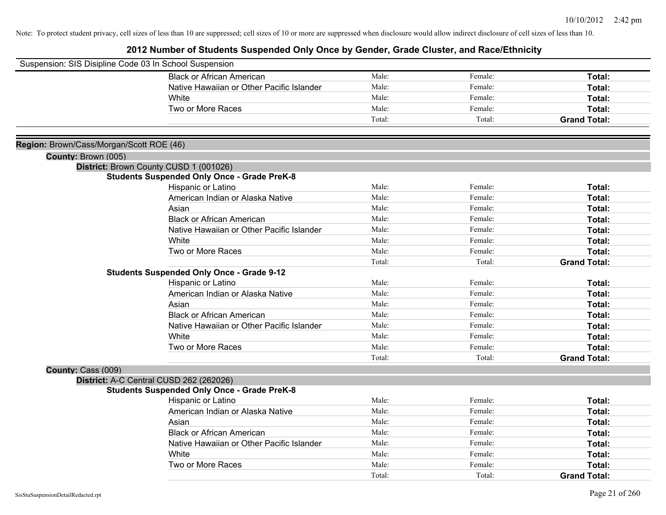| Suspension: SIS Disipline Code 03 In School Suspension |                                                    |        |         |                     |
|--------------------------------------------------------|----------------------------------------------------|--------|---------|---------------------|
|                                                        | <b>Black or African American</b>                   | Male:  | Female: | Total:              |
|                                                        | Native Hawaiian or Other Pacific Islander          | Male:  | Female: | Total:              |
|                                                        | White                                              | Male:  | Female: | <b>Total:</b>       |
|                                                        | Two or More Races                                  | Male:  | Female: | Total:              |
|                                                        |                                                    | Total: | Total:  | <b>Grand Total:</b> |
| Region: Brown/Cass/Morgan/Scott ROE (46)               |                                                    |        |         |                     |
| County: Brown (005)                                    |                                                    |        |         |                     |
|                                                        | District: Brown County CUSD 1 (001026)             |        |         |                     |
|                                                        | <b>Students Suspended Only Once - Grade PreK-8</b> |        |         |                     |
|                                                        | Hispanic or Latino                                 | Male:  | Female: | Total:              |
|                                                        | American Indian or Alaska Native                   | Male:  | Female: | Total:              |
|                                                        | Asian                                              | Male:  | Female: | Total:              |
|                                                        | <b>Black or African American</b>                   | Male:  | Female: | Total:              |
|                                                        | Native Hawaiian or Other Pacific Islander          | Male:  | Female: | Total:              |
|                                                        | White                                              | Male:  | Female: | Total:              |
|                                                        | Two or More Races                                  | Male:  | Female: | <b>Total:</b>       |
|                                                        |                                                    | Total: | Total:  | <b>Grand Total:</b> |
|                                                        | <b>Students Suspended Only Once - Grade 9-12</b>   |        |         |                     |
|                                                        | Hispanic or Latino                                 | Male:  | Female: | Total:              |
|                                                        | American Indian or Alaska Native                   | Male:  | Female: | Total:              |
|                                                        | Asian                                              | Male:  | Female: | Total:              |
|                                                        | <b>Black or African American</b>                   | Male:  | Female: | Total:              |
|                                                        | Native Hawaiian or Other Pacific Islander          | Male:  | Female: | Total:              |
|                                                        | White                                              | Male:  | Female: | <b>Total:</b>       |
|                                                        | Two or More Races                                  | Male:  | Female: | Total:              |
|                                                        |                                                    | Total: | Total:  | <b>Grand Total:</b> |
| County: Cass (009)                                     |                                                    |        |         |                     |
|                                                        | District: A-C Central CUSD 262 (262026)            |        |         |                     |
|                                                        | <b>Students Suspended Only Once - Grade PreK-8</b> |        |         |                     |
|                                                        | Hispanic or Latino                                 | Male:  | Female: | Total:              |
|                                                        | American Indian or Alaska Native                   | Male:  | Female: | Total:              |
|                                                        | Asian                                              | Male:  | Female: | Total:              |
|                                                        | <b>Black or African American</b>                   | Male:  | Female: | Total:              |
|                                                        | Native Hawaiian or Other Pacific Islander          | Male:  | Female: | Total:              |
|                                                        | White                                              | Male:  | Female: | <b>Total:</b>       |
|                                                        | Two or More Races                                  | Male:  | Female: | Total:              |
|                                                        |                                                    | Total: | Total:  | <b>Grand Total:</b> |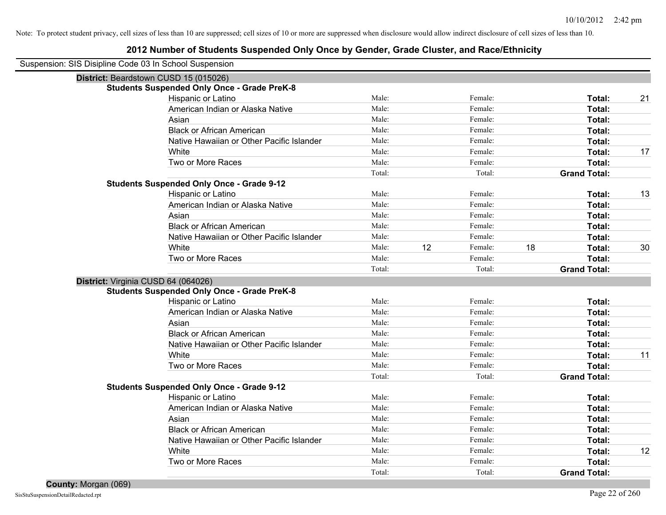| Suspension: SIS Disipline Code 03 In School Suspension |        |    |         |    |                     |    |
|--------------------------------------------------------|--------|----|---------|----|---------------------|----|
| District: Beardstown CUSD 15 (015026)                  |        |    |         |    |                     |    |
| <b>Students Suspended Only Once - Grade PreK-8</b>     |        |    |         |    |                     |    |
| Hispanic or Latino                                     | Male:  |    | Female: |    | Total:              | 21 |
| American Indian or Alaska Native                       | Male:  |    | Female: |    | Total:              |    |
| Asian                                                  | Male:  |    | Female: |    | Total:              |    |
| <b>Black or African American</b>                       | Male:  |    | Female: |    | Total:              |    |
| Native Hawaiian or Other Pacific Islander              | Male:  |    | Female: |    | Total:              |    |
| White                                                  | Male:  |    | Female: |    | Total:              | 17 |
| Two or More Races                                      | Male:  |    | Female: |    | Total:              |    |
|                                                        | Total: |    | Total:  |    | <b>Grand Total:</b> |    |
| <b>Students Suspended Only Once - Grade 9-12</b>       |        |    |         |    |                     |    |
| Hispanic or Latino                                     | Male:  |    | Female: |    | Total:              | 13 |
| American Indian or Alaska Native                       | Male:  |    | Female: |    | Total:              |    |
| Asian                                                  | Male:  |    | Female: |    | Total:              |    |
| <b>Black or African American</b>                       | Male:  |    | Female: |    | Total:              |    |
| Native Hawaiian or Other Pacific Islander              | Male:  |    | Female: |    | Total:              |    |
| White                                                  | Male:  | 12 | Female: | 18 | Total:              | 30 |
| Two or More Races                                      | Male:  |    | Female: |    | Total:              |    |
|                                                        | Total: |    | Total:  |    | <b>Grand Total:</b> |    |
| District: Virginia CUSD 64 (064026)                    |        |    |         |    |                     |    |
| <b>Students Suspended Only Once - Grade PreK-8</b>     |        |    |         |    |                     |    |
| Hispanic or Latino                                     | Male:  |    | Female: |    | Total:              |    |
| American Indian or Alaska Native                       | Male:  |    | Female: |    | Total:              |    |
| Asian                                                  | Male:  |    | Female: |    | Total:              |    |
| <b>Black or African American</b>                       | Male:  |    | Female: |    | Total:              |    |
| Native Hawaiian or Other Pacific Islander              | Male:  |    | Female: |    | Total:              |    |
| White                                                  | Male:  |    | Female: |    | Total:              | 11 |
| Two or More Races                                      | Male:  |    | Female: |    | Total:              |    |
|                                                        | Total: |    | Total:  |    | <b>Grand Total:</b> |    |
| <b>Students Suspended Only Once - Grade 9-12</b>       |        |    |         |    |                     |    |
| Hispanic or Latino                                     | Male:  |    | Female: |    | Total:              |    |
| American Indian or Alaska Native                       | Male:  |    | Female: |    | Total:              |    |
| Asian                                                  | Male:  |    | Female: |    | Total:              |    |
| <b>Black or African American</b>                       | Male:  |    | Female: |    | Total:              |    |
| Native Hawaiian or Other Pacific Islander              | Male:  |    | Female: |    | Total:              |    |
| White                                                  | Male:  |    | Female: |    | Total:              | 12 |
| Two or More Races                                      | Male:  |    | Female: |    | Total:              |    |
|                                                        | Total: |    | Total:  |    | <b>Grand Total:</b> |    |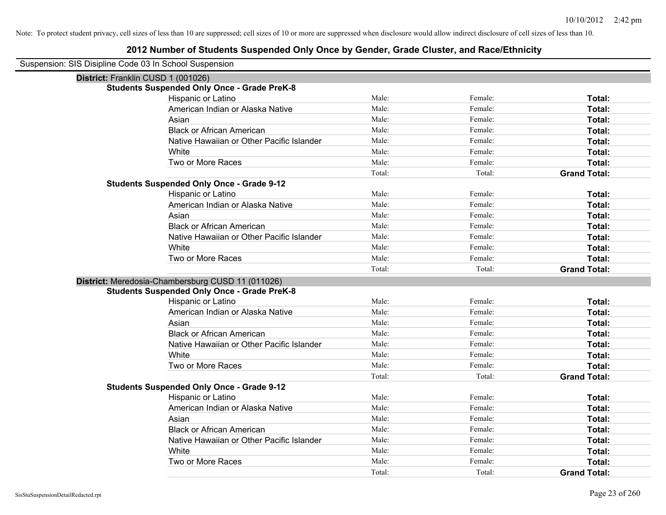| Suspension: SIS Disipline Code 03 In School Suspension |
|--------------------------------------------------------|
|--------------------------------------------------------|

| District: Franklin CUSD 1 (001026)                 |        |         |                     |
|----------------------------------------------------|--------|---------|---------------------|
| <b>Students Suspended Only Once - Grade PreK-8</b> |        |         |                     |
| Hispanic or Latino                                 | Male:  | Female: | Total:              |
| American Indian or Alaska Native                   | Male:  | Female: | Total:              |
| Asian                                              | Male:  | Female: | Total:              |
| <b>Black or African American</b>                   | Male:  | Female: | Total:              |
| Native Hawaiian or Other Pacific Islander          | Male:  | Female: | Total:              |
| White                                              | Male:  | Female: | Total:              |
| Two or More Races                                  | Male:  | Female: | Total:              |
|                                                    | Total: | Total:  | <b>Grand Total:</b> |
| <b>Students Suspended Only Once - Grade 9-12</b>   |        |         |                     |
| Hispanic or Latino                                 | Male:  | Female: | Total:              |
| American Indian or Alaska Native                   | Male:  | Female: | Total:              |
| Asian                                              | Male:  | Female: | Total:              |
| <b>Black or African American</b>                   | Male:  | Female: | Total:              |
| Native Hawaiian or Other Pacific Islander          | Male:  | Female: | Total:              |
| White                                              | Male:  | Female: | Total:              |
| Two or More Races                                  | Male:  | Female: | Total:              |
|                                                    | Total: | Total:  | <b>Grand Total:</b> |
| District: Meredosia-Chambersburg CUSD 11 (011026)  |        |         |                     |
| <b>Students Suspended Only Once - Grade PreK-8</b> |        |         |                     |
| Hispanic or Latino                                 | Male:  | Female: | Total:              |
| American Indian or Alaska Native                   | Male:  | Female: | Total:              |
| Asian                                              | Male:  | Female: | Total:              |
| <b>Black or African American</b>                   | Male:  | Female: | Total:              |
| Native Hawaiian or Other Pacific Islander          | Male:  | Female: | Total:              |
| White                                              | Male:  | Female: | Total:              |
| Two or More Races                                  | Male:  | Female: | Total:              |
|                                                    | Total: | Total:  | <b>Grand Total:</b> |
| <b>Students Suspended Only Once - Grade 9-12</b>   |        |         |                     |
| Hispanic or Latino                                 | Male:  | Female: | Total:              |
| American Indian or Alaska Native                   | Male:  | Female: | Total:              |
| Asian                                              | Male:  | Female: | Total:              |
| <b>Black or African American</b>                   | Male:  | Female: | Total:              |
| Native Hawaiian or Other Pacific Islander          | Male:  | Female: | Total:              |
| White                                              | Male:  | Female: | Total:              |
| Two or More Races                                  | Male:  | Female: | <b>Total:</b>       |
|                                                    | Total: | Total:  | <b>Grand Total:</b> |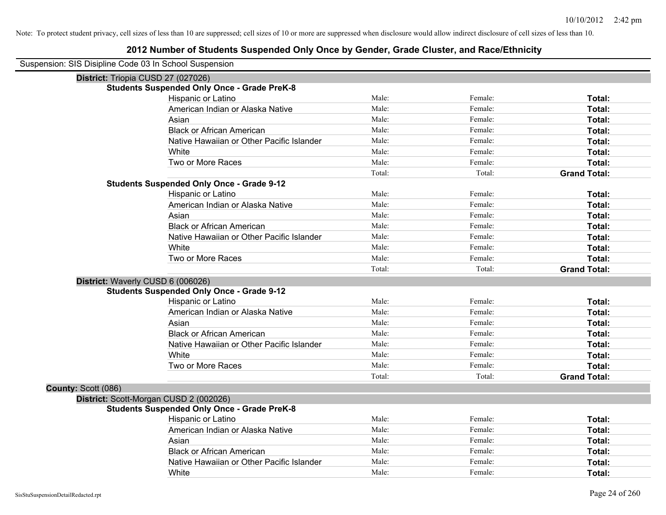| Suspension: SIS Disipline Code 03 In School Suspension |
|--------------------------------------------------------|
|--------------------------------------------------------|

| District: Triopia CUSD 27 (027026)     |                                                    |        |         |                     |
|----------------------------------------|----------------------------------------------------|--------|---------|---------------------|
|                                        | <b>Students Suspended Only Once - Grade PreK-8</b> |        |         |                     |
|                                        | Hispanic or Latino                                 | Male:  | Female: | Total:              |
|                                        | American Indian or Alaska Native                   | Male:  | Female: | Total:              |
|                                        | Asian                                              | Male:  | Female: | Total:              |
|                                        | <b>Black or African American</b>                   | Male:  | Female: | Total:              |
|                                        | Native Hawaiian or Other Pacific Islander          | Male:  | Female: | Total:              |
|                                        | White                                              | Male:  | Female: | Total:              |
|                                        | Two or More Races                                  | Male:  | Female: | Total:              |
|                                        |                                                    | Total: | Total:  | <b>Grand Total:</b> |
|                                        | <b>Students Suspended Only Once - Grade 9-12</b>   |        |         |                     |
|                                        | Hispanic or Latino                                 | Male:  | Female: | Total:              |
|                                        | American Indian or Alaska Native                   | Male:  | Female: | Total:              |
|                                        | Asian                                              | Male:  | Female: | Total:              |
|                                        | <b>Black or African American</b>                   | Male:  | Female: | Total:              |
|                                        | Native Hawaiian or Other Pacific Islander          | Male:  | Female: | Total:              |
|                                        | White                                              | Male:  | Female: | Total:              |
|                                        | Two or More Races                                  | Male:  | Female: | Total:              |
|                                        |                                                    | Total: | Total:  | <b>Grand Total:</b> |
| District: Waverly CUSD 6 (006026)      |                                                    |        |         |                     |
|                                        | <b>Students Suspended Only Once - Grade 9-12</b>   |        |         |                     |
|                                        | Hispanic or Latino                                 | Male:  | Female: | Total:              |
|                                        | American Indian or Alaska Native                   | Male:  | Female: | Total:              |
|                                        | Asian                                              | Male:  | Female: | Total:              |
|                                        | <b>Black or African American</b>                   | Male:  | Female: | Total:              |
|                                        | Native Hawaiian or Other Pacific Islander          | Male:  | Female: | Total:              |
|                                        | White                                              | Male:  | Female: | Total:              |
|                                        | Two or More Races                                  | Male:  | Female: | Total:              |
|                                        |                                                    | Total: | Total:  | <b>Grand Total:</b> |
| County: Scott (086)                    |                                                    |        |         |                     |
| District: Scott-Morgan CUSD 2 (002026) |                                                    |        |         |                     |
|                                        | <b>Students Suspended Only Once - Grade PreK-8</b> |        |         |                     |
|                                        | Hispanic or Latino                                 | Male:  | Female: | Total:              |
|                                        | American Indian or Alaska Native                   | Male:  | Female: | Total:              |
|                                        | Asian                                              | Male:  | Female: | Total:              |
|                                        | <b>Black or African American</b>                   | Male:  | Female: | Total:              |
|                                        | Native Hawaiian or Other Pacific Islander          | Male:  | Female: | Total:              |
|                                        | White                                              | Male:  | Female: | Total:              |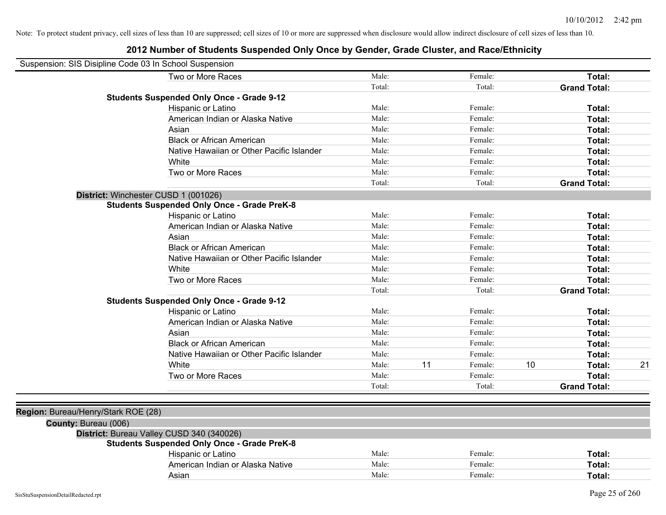| Suspension: SIS Disipline Code 03 In School Suspension |                                                    |        |    |         |    |                     |    |
|--------------------------------------------------------|----------------------------------------------------|--------|----|---------|----|---------------------|----|
|                                                        | Two or More Races                                  | Male:  |    | Female: |    | Total:              |    |
|                                                        |                                                    | Total: |    | Total:  |    | <b>Grand Total:</b> |    |
|                                                        | <b>Students Suspended Only Once - Grade 9-12</b>   |        |    |         |    |                     |    |
|                                                        | Hispanic or Latino                                 | Male:  |    | Female: |    | Total:              |    |
|                                                        | American Indian or Alaska Native                   | Male:  |    | Female: |    | Total:              |    |
|                                                        | Asian                                              | Male:  |    | Female: |    | Total:              |    |
|                                                        | <b>Black or African American</b>                   | Male:  |    | Female: |    | Total:              |    |
|                                                        | Native Hawaiian or Other Pacific Islander          | Male:  |    | Female: |    | Total:              |    |
|                                                        | White                                              | Male:  |    | Female: |    | Total:              |    |
|                                                        | Two or More Races                                  | Male:  |    | Female: |    | Total:              |    |
|                                                        |                                                    | Total: |    | Total:  |    | <b>Grand Total:</b> |    |
|                                                        | District: Winchester CUSD 1 (001026)               |        |    |         |    |                     |    |
|                                                        | <b>Students Suspended Only Once - Grade PreK-8</b> |        |    |         |    |                     |    |
|                                                        | Hispanic or Latino                                 | Male:  |    | Female: |    | Total:              |    |
|                                                        | American Indian or Alaska Native                   | Male:  |    | Female: |    | Total:              |    |
|                                                        | Asian                                              | Male:  |    | Female: |    | Total:              |    |
|                                                        | <b>Black or African American</b>                   | Male:  |    | Female: |    | Total:              |    |
|                                                        | Native Hawaiian or Other Pacific Islander          | Male:  |    | Female: |    | Total:              |    |
|                                                        | White                                              | Male:  |    | Female: |    | Total:              |    |
|                                                        | Two or More Races                                  | Male:  |    | Female: |    | Total:              |    |
|                                                        |                                                    | Total: |    | Total:  |    | <b>Grand Total:</b> |    |
|                                                        | <b>Students Suspended Only Once - Grade 9-12</b>   |        |    |         |    |                     |    |
|                                                        | Hispanic or Latino                                 | Male:  |    | Female: |    | Total:              |    |
|                                                        | American Indian or Alaska Native                   | Male:  |    | Female: |    | Total:              |    |
|                                                        | Asian                                              | Male:  |    | Female: |    | Total:              |    |
|                                                        | <b>Black or African American</b>                   | Male:  |    | Female: |    | Total:              |    |
|                                                        | Native Hawaiian or Other Pacific Islander          | Male:  |    | Female: |    | Total:              |    |
|                                                        | White                                              | Male:  | 11 | Female: | 10 | Total:              | 21 |
|                                                        | Two or More Races                                  | Male:  |    | Female: |    | Total:              |    |
|                                                        |                                                    | Total: |    | Total:  |    | <b>Grand Total:</b> |    |
|                                                        |                                                    |        |    |         |    |                     |    |
| Region: Bureau/Henry/Stark ROE (28)                    |                                                    |        |    |         |    |                     |    |
| County: Bureau (006)                                   |                                                    |        |    |         |    |                     |    |
|                                                        | District: Bureau Valley CUSD 340 (340026)          |        |    |         |    |                     |    |
|                                                        | <b>Students Suspended Only Once - Grade PreK-8</b> |        |    |         |    |                     |    |
|                                                        | Hispanic or Latino                                 | Male:  |    | Female: |    | Total:              |    |
|                                                        | American Indian or Alaska Native                   | Male:  |    | Female: |    | Total:              |    |
|                                                        | Asian                                              | Male:  |    | Female: |    | Total:              |    |
|                                                        |                                                    |        |    |         |    |                     |    |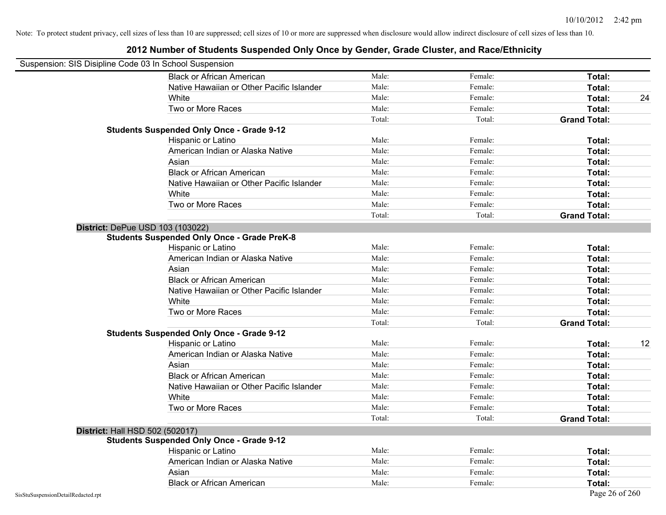| Suspension: SIS Disipline Code 03 In School Suspension |                                                    |        |         |                     |
|--------------------------------------------------------|----------------------------------------------------|--------|---------|---------------------|
|                                                        | <b>Black or African American</b>                   | Male:  | Female: | Total:              |
|                                                        | Native Hawaiian or Other Pacific Islander          | Male:  | Female: | Total:              |
|                                                        | White                                              | Male:  | Female: | 24<br>Total:        |
|                                                        | Two or More Races                                  | Male:  | Female: | Total:              |
|                                                        |                                                    | Total: | Total:  | <b>Grand Total:</b> |
|                                                        | <b>Students Suspended Only Once - Grade 9-12</b>   |        |         |                     |
|                                                        | Hispanic or Latino                                 | Male:  | Female: | Total:              |
|                                                        | American Indian or Alaska Native                   | Male:  | Female: | Total:              |
|                                                        | Asian                                              | Male:  | Female: | Total:              |
|                                                        | <b>Black or African American</b>                   | Male:  | Female: | Total:              |
|                                                        | Native Hawaiian or Other Pacific Islander          | Male:  | Female: | Total:              |
|                                                        | White                                              | Male:  | Female: | Total:              |
|                                                        | Two or More Races                                  | Male:  | Female: | Total:              |
|                                                        |                                                    | Total: | Total:  | <b>Grand Total:</b> |
| District: DePue USD 103 (103022)                       |                                                    |        |         |                     |
|                                                        | <b>Students Suspended Only Once - Grade PreK-8</b> |        |         |                     |
|                                                        | Hispanic or Latino                                 | Male:  | Female: | Total:              |
|                                                        | American Indian or Alaska Native                   | Male:  | Female: | Total:              |
|                                                        | Asian                                              | Male:  | Female: | Total:              |
|                                                        | <b>Black or African American</b>                   | Male:  | Female: | Total:              |
|                                                        | Native Hawaiian or Other Pacific Islander          | Male:  | Female: | Total:              |
|                                                        | White                                              | Male:  | Female: | Total:              |
|                                                        | Two or More Races                                  | Male:  | Female: | Total:              |
|                                                        |                                                    | Total: | Total:  | <b>Grand Total:</b> |
|                                                        | <b>Students Suspended Only Once - Grade 9-12</b>   |        |         |                     |
|                                                        | Hispanic or Latino                                 | Male:  | Female: | 12<br>Total:        |
|                                                        | American Indian or Alaska Native                   | Male:  | Female: | Total:              |
|                                                        | Asian                                              | Male:  | Female: | Total:              |
|                                                        | <b>Black or African American</b>                   | Male:  | Female: | Total:              |
|                                                        | Native Hawaiian or Other Pacific Islander          | Male:  | Female: | Total:              |
|                                                        | White                                              | Male:  | Female: | Total:              |
|                                                        | Two or More Races                                  | Male:  | Female: | Total:              |
|                                                        |                                                    | Total: | Total:  | <b>Grand Total:</b> |
| <b>District: Hall HSD 502 (502017)</b>                 |                                                    |        |         |                     |
|                                                        | <b>Students Suspended Only Once - Grade 9-12</b>   |        |         |                     |
|                                                        | Hispanic or Latino                                 | Male:  | Female: | Total:              |
|                                                        | American Indian or Alaska Native                   | Male:  | Female: | Total:              |
|                                                        | Asian                                              | Male:  | Female: | Total:              |
|                                                        | <b>Black or African American</b>                   | Male:  | Female: | Total:              |
| SisStuSuspensionDetailRedacted.rpt                     |                                                    |        |         | Page 26 of 260      |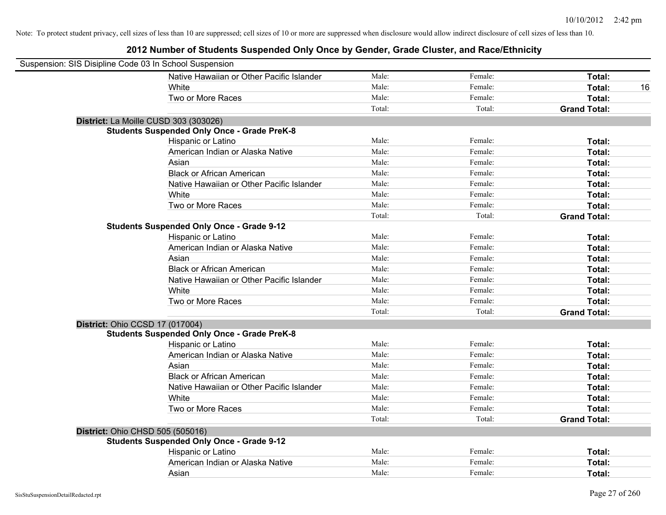| Suspension: SIS Disipline Code 03 In School Suspension |                                                    |        |         |                     |
|--------------------------------------------------------|----------------------------------------------------|--------|---------|---------------------|
|                                                        | Native Hawaiian or Other Pacific Islander          | Male:  | Female: | Total:              |
|                                                        | White                                              | Male:  | Female: | Total:<br>16        |
|                                                        | Two or More Races                                  | Male:  | Female: | Total:              |
|                                                        |                                                    | Total: | Total:  | <b>Grand Total:</b> |
| District: La Moille CUSD 303 (303026)                  |                                                    |        |         |                     |
|                                                        | <b>Students Suspended Only Once - Grade PreK-8</b> |        |         |                     |
|                                                        | Hispanic or Latino                                 | Male:  | Female: | Total:              |
|                                                        | American Indian or Alaska Native                   | Male:  | Female: | Total:              |
|                                                        | Asian                                              | Male:  | Female: | Total:              |
|                                                        | <b>Black or African American</b>                   | Male:  | Female: | Total:              |
|                                                        | Native Hawaiian or Other Pacific Islander          | Male:  | Female: | Total:              |
|                                                        | White                                              | Male:  | Female: | Total:              |
|                                                        | Two or More Races                                  | Male:  | Female: | Total:              |
|                                                        |                                                    | Total: | Total:  | <b>Grand Total:</b> |
|                                                        | <b>Students Suspended Only Once - Grade 9-12</b>   |        |         |                     |
|                                                        | Hispanic or Latino                                 | Male:  | Female: | Total:              |
|                                                        | American Indian or Alaska Native                   | Male:  | Female: | Total:              |
|                                                        | Asian                                              | Male:  | Female: | Total:              |
|                                                        | <b>Black or African American</b>                   | Male:  | Female: | Total:              |
|                                                        | Native Hawaiian or Other Pacific Islander          | Male:  | Female: | Total:              |
|                                                        | White                                              | Male:  | Female: | Total:              |
|                                                        | Two or More Races                                  | Male:  | Female: | Total:              |
|                                                        |                                                    | Total: | Total:  | <b>Grand Total:</b> |
| District: Ohio CCSD 17 (017004)                        |                                                    |        |         |                     |
|                                                        | <b>Students Suspended Only Once - Grade PreK-8</b> |        |         |                     |
|                                                        | Hispanic or Latino                                 | Male:  | Female: | Total:              |
|                                                        | American Indian or Alaska Native                   | Male:  | Female: | Total:              |
|                                                        | Asian                                              | Male:  | Female: | Total:              |
|                                                        | <b>Black or African American</b>                   | Male:  | Female: | Total:              |
|                                                        | Native Hawaiian or Other Pacific Islander          | Male:  | Female: | Total:              |
|                                                        | White                                              | Male:  | Female: | Total:              |
|                                                        | Two or More Races                                  | Male:  | Female: | Total:              |
|                                                        |                                                    | Total: | Total:  | <b>Grand Total:</b> |
| <b>District: Ohio CHSD 505 (505016)</b>                |                                                    |        |         |                     |
|                                                        | <b>Students Suspended Only Once - Grade 9-12</b>   |        |         |                     |
|                                                        | Hispanic or Latino                                 | Male:  | Female: | Total:              |
|                                                        | American Indian or Alaska Native                   | Male:  | Female: | Total:              |
|                                                        | Asian                                              | Male:  | Female: | Total:              |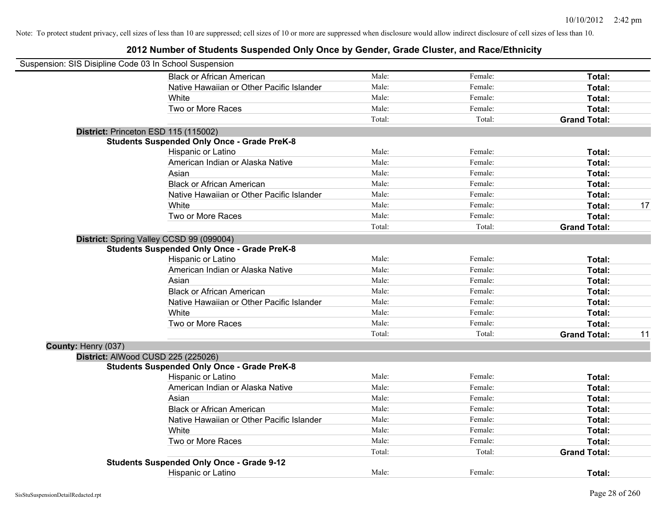| Suspension: SIS Disipline Code 03 In School Suspension |                                                    |        |         |                     |    |
|--------------------------------------------------------|----------------------------------------------------|--------|---------|---------------------|----|
|                                                        | <b>Black or African American</b>                   | Male:  | Female: | Total:              |    |
|                                                        | Native Hawaiian or Other Pacific Islander          | Male:  | Female: | Total:              |    |
|                                                        | White                                              | Male:  | Female: | Total:              |    |
|                                                        | Two or More Races                                  | Male:  | Female: | Total:              |    |
|                                                        |                                                    | Total: | Total:  | <b>Grand Total:</b> |    |
|                                                        | District: Princeton ESD 115 (115002)               |        |         |                     |    |
|                                                        | <b>Students Suspended Only Once - Grade PreK-8</b> |        |         |                     |    |
|                                                        | Hispanic or Latino                                 | Male:  | Female: | Total:              |    |
|                                                        | American Indian or Alaska Native                   | Male:  | Female: | Total:              |    |
|                                                        | Asian                                              | Male:  | Female: | Total:              |    |
|                                                        | <b>Black or African American</b>                   | Male:  | Female: | Total:              |    |
|                                                        | Native Hawaiian or Other Pacific Islander          | Male:  | Female: | Total:              |    |
|                                                        | White                                              | Male:  | Female: | Total:              | 17 |
|                                                        | Two or More Races                                  | Male:  | Female: | Total:              |    |
|                                                        |                                                    | Total: | Total:  | <b>Grand Total:</b> |    |
|                                                        | District: Spring Valley CCSD 99 (099004)           |        |         |                     |    |
|                                                        | <b>Students Suspended Only Once - Grade PreK-8</b> |        |         |                     |    |
|                                                        | Hispanic or Latino                                 | Male:  | Female: | Total:              |    |
|                                                        | American Indian or Alaska Native                   | Male:  | Female: | Total:              |    |
|                                                        | Asian                                              | Male:  | Female: | Total:              |    |
|                                                        | <b>Black or African American</b>                   | Male:  | Female: | Total:              |    |
|                                                        | Native Hawaiian or Other Pacific Islander          | Male:  | Female: | Total:              |    |
|                                                        | White                                              | Male:  | Female: | Total:              |    |
|                                                        | Two or More Races                                  | Male:  | Female: | Total:              |    |
|                                                        |                                                    | Total: | Total:  | <b>Grand Total:</b> | 11 |
| County: Henry (037)                                    |                                                    |        |         |                     |    |
|                                                        | District: AlWood CUSD 225 (225026)                 |        |         |                     |    |
|                                                        | <b>Students Suspended Only Once - Grade PreK-8</b> |        |         |                     |    |
|                                                        | Hispanic or Latino                                 | Male:  | Female: | Total:              |    |
|                                                        | American Indian or Alaska Native                   | Male:  | Female: | Total:              |    |
|                                                        | Asian                                              | Male:  | Female: | Total:              |    |
|                                                        | <b>Black or African American</b>                   | Male:  | Female: | Total:              |    |
|                                                        | Native Hawaiian or Other Pacific Islander          | Male:  | Female: | Total:              |    |
|                                                        | White                                              | Male:  | Female: | Total:              |    |
|                                                        | Two or More Races                                  | Male:  | Female: | Total:              |    |
|                                                        |                                                    | Total: | Total:  | <b>Grand Total:</b> |    |
|                                                        | <b>Students Suspended Only Once - Grade 9-12</b>   |        |         |                     |    |
|                                                        | <b>Hispanic or Latino</b>                          | Male:  | Female: | Total:              |    |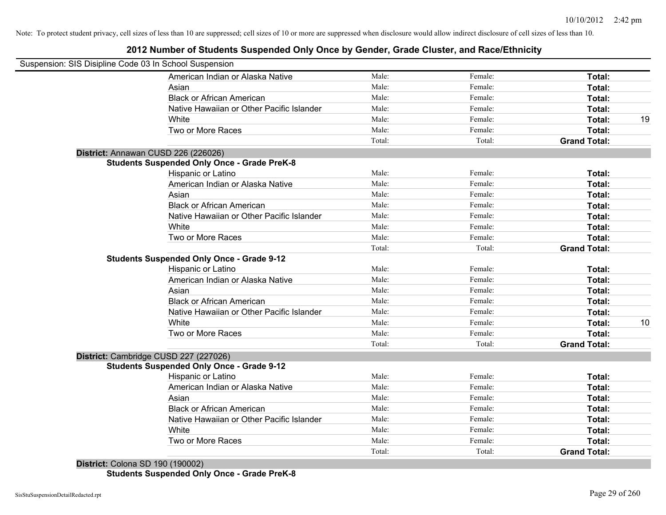# **2012 Number of Students Suspended Only Once by Gender, Grade Cluster, and Race/Ethnicity**

| Suspension: SIS Disipline Code 03 In School Suspension |        |         |                     |    |
|--------------------------------------------------------|--------|---------|---------------------|----|
| American Indian or Alaska Native                       | Male:  | Female: | Total:              |    |
| Asian                                                  | Male:  | Female: | Total:              |    |
| <b>Black or African American</b>                       | Male:  | Female: | Total:              |    |
| Native Hawaiian or Other Pacific Islander              | Male:  | Female: | Total:              |    |
| White                                                  | Male:  | Female: | Total:              | 19 |
| Two or More Races                                      | Male:  | Female: | Total:              |    |
|                                                        | Total: | Total:  | <b>Grand Total:</b> |    |
| District: Annawan CUSD 226 (226026)                    |        |         |                     |    |
| <b>Students Suspended Only Once - Grade PreK-8</b>     |        |         |                     |    |
| Hispanic or Latino                                     | Male:  | Female: | Total:              |    |
| American Indian or Alaska Native                       | Male:  | Female: | Total:              |    |
| Asian                                                  | Male:  | Female: | Total:              |    |
| <b>Black or African American</b>                       | Male:  | Female: | Total:              |    |
| Native Hawaiian or Other Pacific Islander              | Male:  | Female: | Total:              |    |
| White                                                  | Male:  | Female: | Total:              |    |
| Two or More Races                                      | Male:  | Female: | Total:              |    |
|                                                        | Total: | Total:  | <b>Grand Total:</b> |    |
| <b>Students Suspended Only Once - Grade 9-12</b>       |        |         |                     |    |
| Hispanic or Latino                                     | Male:  | Female: | Total:              |    |
| American Indian or Alaska Native                       | Male:  | Female: | Total:              |    |
| Asian                                                  | Male:  | Female: | Total:              |    |
| <b>Black or African American</b>                       | Male:  | Female: | Total:              |    |
| Native Hawaiian or Other Pacific Islander              | Male:  | Female: | Total:              |    |
| White                                                  | Male:  | Female: | Total:              | 10 |
| Two or More Races                                      | Male:  | Female: | Total:              |    |
|                                                        | Total: | Total:  | <b>Grand Total:</b> |    |
| District: Cambridge CUSD 227 (227026)                  |        |         |                     |    |
| <b>Students Suspended Only Once - Grade 9-12</b>       |        |         |                     |    |
| Hispanic or Latino                                     | Male:  | Female: | Total:              |    |
| American Indian or Alaska Native                       | Male:  | Female: | Total:              |    |
| Asian                                                  | Male:  | Female: | Total:              |    |
| <b>Black or African American</b>                       | Male:  | Female: | Total:              |    |
| Native Hawaiian or Other Pacific Islander              | Male:  | Female: | Total:              |    |
| White                                                  | Male:  | Female: | Total:              |    |
| Two or More Races                                      | Male:  | Female: | Total:              |    |
|                                                        | Total: | Total:  | <b>Grand Total:</b> |    |

**District:** Colona SD 190 (190002) **Students Suspended Only Once - Grade PreK-8**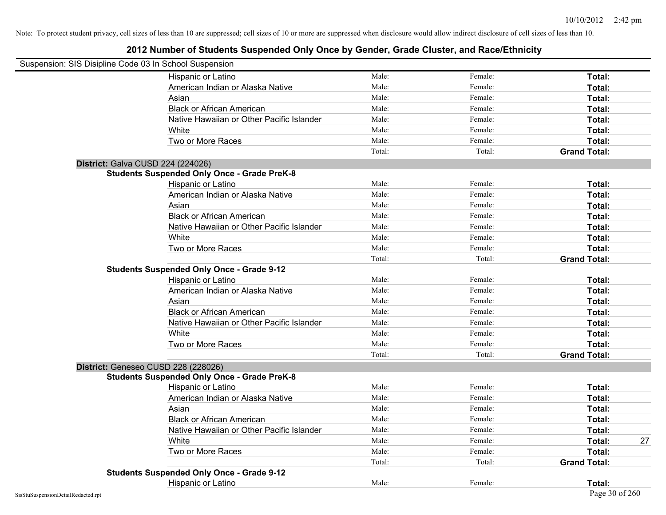| Suspension: SIS Disipline Code 03 In School Suspension |                                                    |        |         |                     |
|--------------------------------------------------------|----------------------------------------------------|--------|---------|---------------------|
|                                                        | Hispanic or Latino                                 | Male:  | Female: | Total:              |
|                                                        | American Indian or Alaska Native                   | Male:  | Female: | Total:              |
|                                                        | Asian                                              | Male:  | Female: | Total:              |
|                                                        | <b>Black or African American</b>                   | Male:  | Female: | Total:              |
|                                                        | Native Hawaiian or Other Pacific Islander          | Male:  | Female: | Total:              |
|                                                        | White                                              | Male:  | Female: | Total:              |
|                                                        | Two or More Races                                  | Male:  | Female: | Total:              |
|                                                        |                                                    | Total: | Total:  | <b>Grand Total:</b> |
|                                                        | District: Galva CUSD 224 (224026)                  |        |         |                     |
|                                                        | <b>Students Suspended Only Once - Grade PreK-8</b> |        |         |                     |
|                                                        | Hispanic or Latino                                 | Male:  | Female: | Total:              |
|                                                        | American Indian or Alaska Native                   | Male:  | Female: | Total:              |
|                                                        | Asian                                              | Male:  | Female: | Total:              |
|                                                        | <b>Black or African American</b>                   | Male:  | Female: | Total:              |
|                                                        | Native Hawaiian or Other Pacific Islander          | Male:  | Female: | Total:              |
|                                                        | White                                              | Male:  | Female: | Total:              |
|                                                        | Two or More Races                                  | Male:  | Female: | Total:              |
|                                                        |                                                    | Total: | Total:  | <b>Grand Total:</b> |
|                                                        | <b>Students Suspended Only Once - Grade 9-12</b>   |        |         |                     |
|                                                        | Hispanic or Latino                                 | Male:  | Female: | Total:              |
|                                                        | American Indian or Alaska Native                   | Male:  | Female: | Total:              |
|                                                        | Asian                                              | Male:  | Female: | Total:              |
|                                                        | <b>Black or African American</b>                   | Male:  | Female: | Total:              |
|                                                        | Native Hawaiian or Other Pacific Islander          | Male:  | Female: | Total:              |
|                                                        | White                                              | Male:  | Female: | Total:              |
|                                                        | Two or More Races                                  | Male:  | Female: | Total:              |
|                                                        |                                                    | Total: | Total:  | <b>Grand Total:</b> |
|                                                        | District: Geneseo CUSD 228 (228026)                |        |         |                     |
|                                                        | <b>Students Suspended Only Once - Grade PreK-8</b> |        |         |                     |
|                                                        | <b>Hispanic or Latino</b>                          | Male:  | Female: | Total:              |
|                                                        | American Indian or Alaska Native                   | Male:  | Female: | Total:              |
|                                                        | Asian                                              | Male:  | Female: | Total:              |
|                                                        | <b>Black or African American</b>                   | Male:  | Female: | Total:              |
|                                                        | Native Hawaiian or Other Pacific Islander          | Male:  | Female: | Total:              |
|                                                        | White                                              | Male:  | Female: | Total:<br>27        |
|                                                        | Two or More Races                                  | Male:  | Female: | Total:              |
|                                                        |                                                    | Total: | Total:  | <b>Grand Total:</b> |
|                                                        | <b>Students Suspended Only Once - Grade 9-12</b>   |        |         |                     |
|                                                        | Hispanic or Latino                                 | Male:  | Female: | Total:              |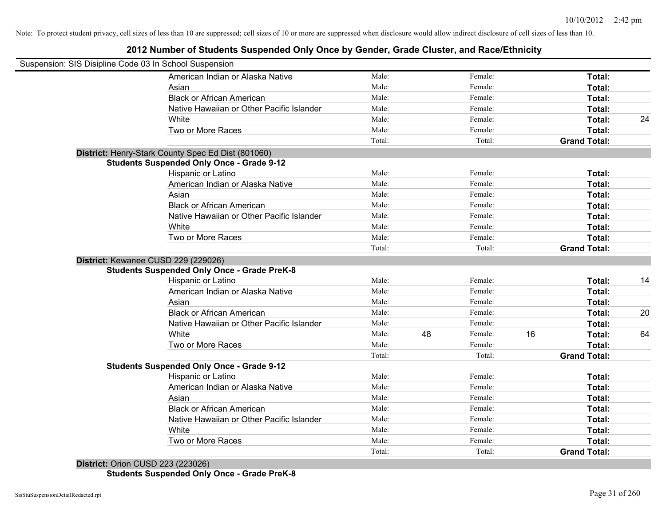## **2012 Number of Students Suspended Only Once by Gender, Grade Cluster, and Race/Ethnicity**

| Suspension: SIS Disipline Code 03 In School Suspension |        |    |         |    |                     |    |
|--------------------------------------------------------|--------|----|---------|----|---------------------|----|
| American Indian or Alaska Native                       | Male:  |    | Female: |    | Total:              |    |
| Asian                                                  | Male:  |    | Female: |    | Total:              |    |
| <b>Black or African American</b>                       | Male:  |    | Female: |    | Total:              |    |
| Native Hawaiian or Other Pacific Islander              | Male:  |    | Female: |    | Total:              |    |
| White                                                  | Male:  |    | Female: |    | Total:              | 24 |
| Two or More Races                                      | Male:  |    | Female: |    | Total:              |    |
|                                                        | Total: |    | Total:  |    | <b>Grand Total:</b> |    |
| District: Henry-Stark County Spec Ed Dist (801060)     |        |    |         |    |                     |    |
| <b>Students Suspended Only Once - Grade 9-12</b>       |        |    |         |    |                     |    |
| Hispanic or Latino                                     | Male:  |    | Female: |    | Total:              |    |
| American Indian or Alaska Native                       | Male:  |    | Female: |    | Total:              |    |
| Asian                                                  | Male:  |    | Female: |    | Total:              |    |
| <b>Black or African American</b>                       | Male:  |    | Female: |    | Total:              |    |
| Native Hawaiian or Other Pacific Islander              | Male:  |    | Female: |    | Total:              |    |
| White                                                  | Male:  |    | Female: |    | Total:              |    |
| Two or More Races                                      | Male:  |    | Female: |    | Total:              |    |
|                                                        | Total: |    | Total:  |    | <b>Grand Total:</b> |    |
| District: Kewanee CUSD 229 (229026)                    |        |    |         |    |                     |    |
| <b>Students Suspended Only Once - Grade PreK-8</b>     |        |    |         |    |                     |    |
| Hispanic or Latino                                     | Male:  |    | Female: |    | Total:              | 14 |
| American Indian or Alaska Native                       | Male:  |    | Female: |    | Total:              |    |
| Asian                                                  | Male:  |    | Female: |    | Total:              |    |
| <b>Black or African American</b>                       | Male:  |    | Female: |    | Total:              | 20 |
| Native Hawaiian or Other Pacific Islander              | Male:  |    | Female: |    | Total:              |    |
| White                                                  | Male:  | 48 | Female: | 16 | Total:              | 64 |
| Two or More Races                                      | Male:  |    | Female: |    | Total:              |    |
|                                                        | Total: |    | Total:  |    | <b>Grand Total:</b> |    |
| <b>Students Suspended Only Once - Grade 9-12</b>       |        |    |         |    |                     |    |
| Hispanic or Latino                                     | Male:  |    | Female: |    | Total:              |    |
| American Indian or Alaska Native                       | Male:  |    | Female: |    | Total:              |    |
| Asian                                                  | Male:  |    | Female: |    | Total:              |    |
| <b>Black or African American</b>                       | Male:  |    | Female: |    | Total:              |    |
| Native Hawaiian or Other Pacific Islander              | Male:  |    | Female: |    | Total:              |    |
| White                                                  | Male:  |    | Female: |    | Total:              |    |
| Two or More Races                                      | Male:  |    | Female: |    | Total:              |    |
|                                                        | Total: |    | Total:  |    | <b>Grand Total:</b> |    |

**District:** Orion CUSD 223 (223026) **Students Suspended Only Once - Grade PreK-8**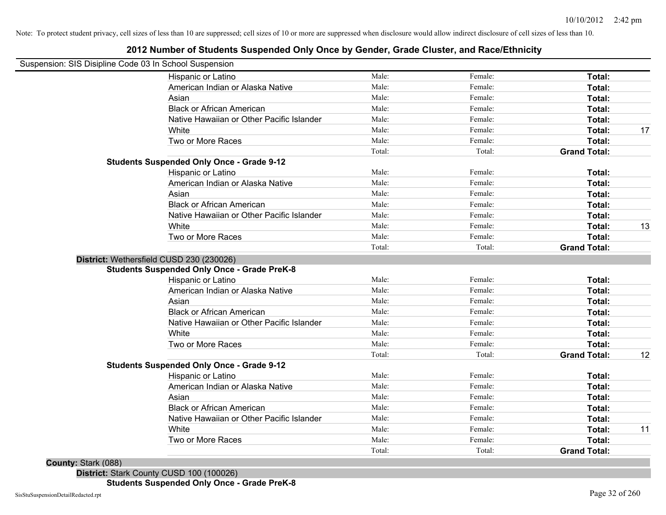## **2012 Number of Students Suspended Only Once by Gender, Grade Cluster, and Race/Ethnicity**

| Suspension: SIS Disipline Code 03 In School Suspension |        |         |                     |    |
|--------------------------------------------------------|--------|---------|---------------------|----|
| Hispanic or Latino                                     | Male:  | Female: | Total:              |    |
| American Indian or Alaska Native                       | Male:  | Female: | Total:              |    |
| Asian                                                  | Male:  | Female: | Total:              |    |
| <b>Black or African American</b>                       | Male:  | Female: | Total:              |    |
| Native Hawaiian or Other Pacific Islander              | Male:  | Female: | Total:              |    |
| White                                                  | Male:  | Female: | Total:              | 17 |
| Two or More Races                                      | Male:  | Female: | Total:              |    |
|                                                        | Total: | Total:  | <b>Grand Total:</b> |    |
| <b>Students Suspended Only Once - Grade 9-12</b>       |        |         |                     |    |
| Hispanic or Latino                                     | Male:  | Female: | Total:              |    |
| American Indian or Alaska Native                       | Male:  | Female: | Total:              |    |
| Asian                                                  | Male:  | Female: | Total:              |    |
| <b>Black or African American</b>                       | Male:  | Female: | Total:              |    |
| Native Hawaiian or Other Pacific Islander              | Male:  | Female: | Total:              |    |
| White                                                  | Male:  | Female: | Total:              | 13 |
| Two or More Races                                      | Male:  | Female: | Total:              |    |
|                                                        | Total: | Total:  | <b>Grand Total:</b> |    |
| District: Wethersfield CUSD 230 (230026)               |        |         |                     |    |
| <b>Students Suspended Only Once - Grade PreK-8</b>     |        |         |                     |    |
| Hispanic or Latino                                     | Male:  | Female: | Total:              |    |
| American Indian or Alaska Native                       | Male:  | Female: | Total:              |    |
| Asian                                                  | Male:  | Female: | Total:              |    |
| <b>Black or African American</b>                       | Male:  | Female: | Total:              |    |
| Native Hawaiian or Other Pacific Islander              | Male:  | Female: | Total:              |    |
| White                                                  | Male:  | Female: | Total:              |    |
| Two or More Races                                      | Male:  | Female: | Total:              |    |
|                                                        | Total: | Total:  | <b>Grand Total:</b> | 12 |
| <b>Students Suspended Only Once - Grade 9-12</b>       |        |         |                     |    |
| Hispanic or Latino                                     | Male:  | Female: | Total:              |    |
| American Indian or Alaska Native                       | Male:  | Female: | Total:              |    |
| Asian                                                  | Male:  | Female: | Total:              |    |
| <b>Black or African American</b>                       | Male:  | Female: | Total:              |    |
| Native Hawaiian or Other Pacific Islander              | Male:  | Female: | Total:              |    |
| White                                                  | Male:  | Female: | Total:              | 11 |
| Two or More Races                                      | Male:  | Female: | Total:              |    |
|                                                        | Total: | Total:  | <b>Grand Total:</b> |    |

**County:** Stark (088) **District:** Stark County CUSD 100 (100026)

**Students Suspended Only Once - Grade PreK-8**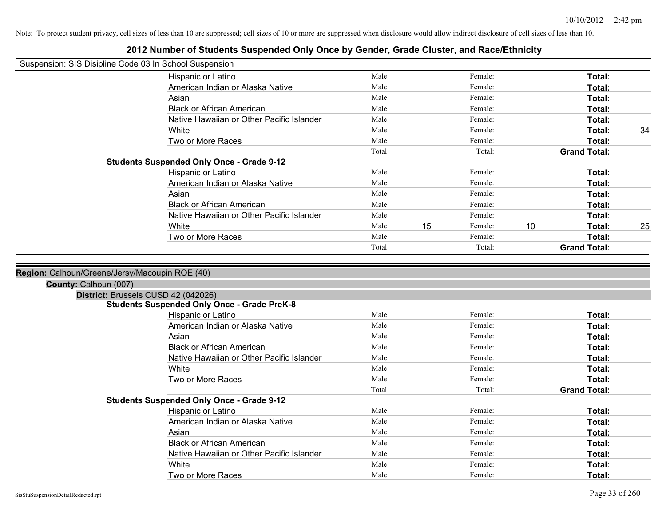|                       | Suspension: SIS Disipline Code 03 In School Suspension |        |    |         |    |                     |    |
|-----------------------|--------------------------------------------------------|--------|----|---------|----|---------------------|----|
|                       | Hispanic or Latino                                     | Male:  |    | Female: |    | Total:              |    |
|                       | American Indian or Alaska Native                       | Male:  |    | Female: |    | Total:              |    |
|                       | Asian                                                  | Male:  |    | Female: |    | <b>Total:</b>       |    |
|                       | <b>Black or African American</b>                       | Male:  |    | Female: |    | Total:              |    |
|                       | Native Hawaiian or Other Pacific Islander              | Male:  |    | Female: |    | Total:              |    |
|                       | White                                                  | Male:  |    | Female: |    | Total:              | 34 |
|                       | Two or More Races                                      | Male:  |    | Female: |    | Total:              |    |
|                       |                                                        | Total: |    | Total:  |    | <b>Grand Total:</b> |    |
|                       | <b>Students Suspended Only Once - Grade 9-12</b>       |        |    |         |    |                     |    |
|                       | Hispanic or Latino                                     | Male:  |    | Female: |    | Total:              |    |
|                       | American Indian or Alaska Native                       | Male:  |    | Female: |    | Total:              |    |
|                       | Asian                                                  | Male:  |    | Female: |    | Total:              |    |
|                       | <b>Black or African American</b>                       | Male:  |    | Female: |    | Total:              |    |
|                       | Native Hawaiian or Other Pacific Islander              | Male:  |    | Female: |    | Total:              |    |
|                       | White                                                  | Male:  | 15 | Female: | 10 | Total:              | 25 |
|                       | Two or More Races                                      | Male:  |    | Female: |    | Total:              |    |
|                       |                                                        | Total: |    | Total:  |    | <b>Grand Total:</b> |    |
| County: Calhoun (007) | District: Brussels CUSD 42 (042026)                    |        |    |         |    |                     |    |
|                       | <b>Students Suspended Only Once - Grade PreK-8</b>     |        |    |         |    |                     |    |
|                       | Hispanic or Latino                                     | Male:  |    | Female: |    | Total:              |    |
|                       | American Indian or Alaska Native                       | Male:  |    | Female: |    | Total:              |    |
|                       | Asian                                                  | Male:  |    | Female: |    | Total:              |    |
|                       | <b>Black or African American</b>                       | Male:  |    | Female: |    | Total:              |    |
|                       | Native Hawaiian or Other Pacific Islander              | Male:  |    | Female: |    | Total:              |    |
|                       | White                                                  | Male:  |    | Female: |    | Total:              |    |
|                       | Two or More Races                                      | Male:  |    | Female: |    | Total:              |    |
|                       |                                                        | Total: |    | Total:  |    | <b>Grand Total:</b> |    |
|                       | <b>Students Suspended Only Once - Grade 9-12</b>       |        |    |         |    |                     |    |
|                       | Hispanic or Latino                                     | Male:  |    | Female: |    | Total:              |    |
|                       | American Indian or Alaska Native                       | Male:  |    | Female: |    | Total:              |    |
|                       | Asian                                                  | Male:  |    | Female: |    | Total:              |    |
|                       | <b>Black or African American</b>                       | Male:  |    | Female: |    | Total:              |    |
|                       | Native Hawaiian or Other Pacific Islander              | Male:  |    | Female: |    | Total:              |    |
|                       | White                                                  | Male:  |    | Female: |    | Total:              |    |
|                       | Two or More Races                                      | Male:  |    | Female: |    | Total:              |    |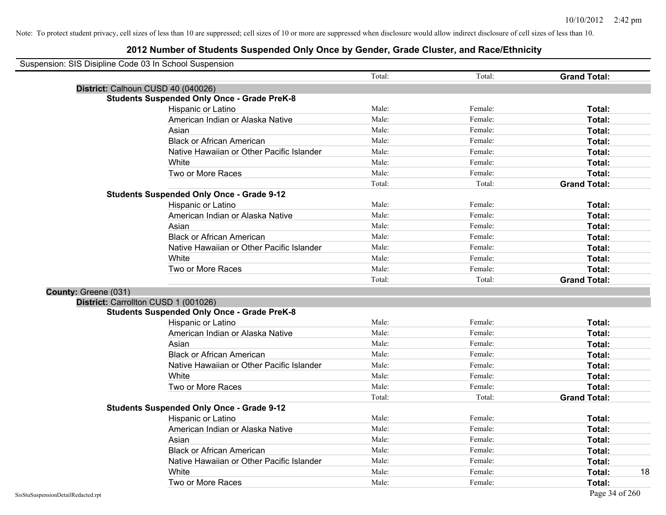| Suspension: SIS Disipline Code 03 In School Suspension |                                                    |        |         |                     |
|--------------------------------------------------------|----------------------------------------------------|--------|---------|---------------------|
|                                                        |                                                    | Total: | Total:  | <b>Grand Total:</b> |
|                                                        | District: Calhoun CUSD 40 (040026)                 |        |         |                     |
|                                                        | <b>Students Suspended Only Once - Grade PreK-8</b> |        |         |                     |
|                                                        | Hispanic or Latino                                 | Male:  | Female: | Total:              |
|                                                        | American Indian or Alaska Native                   | Male:  | Female: | Total:              |
|                                                        | Asian                                              | Male:  | Female: | Total:              |
|                                                        | <b>Black or African American</b>                   | Male:  | Female: | Total:              |
|                                                        | Native Hawaiian or Other Pacific Islander          | Male:  | Female: | Total:              |
|                                                        | White                                              | Male:  | Female: | Total:              |
|                                                        | Two or More Races                                  | Male:  | Female: | Total:              |
|                                                        |                                                    | Total: | Total:  | <b>Grand Total:</b> |
|                                                        | <b>Students Suspended Only Once - Grade 9-12</b>   |        |         |                     |
|                                                        | Hispanic or Latino                                 | Male:  | Female: | Total:              |
|                                                        | American Indian or Alaska Native                   | Male:  | Female: | Total:              |
|                                                        | Asian                                              | Male:  | Female: | Total:              |
|                                                        | <b>Black or African American</b>                   | Male:  | Female: | Total:              |
|                                                        | Native Hawaiian or Other Pacific Islander          | Male:  | Female: | Total:              |
|                                                        | White                                              | Male:  | Female: | Total:              |
|                                                        | Two or More Races                                  | Male:  | Female: | Total:              |
|                                                        |                                                    | Total: | Total:  | <b>Grand Total:</b> |
| County: Greene (031)                                   |                                                    |        |         |                     |
|                                                        | District: Carrollton CUSD 1 (001026)               |        |         |                     |
|                                                        | <b>Students Suspended Only Once - Grade PreK-8</b> |        |         |                     |
|                                                        | Hispanic or Latino                                 | Male:  | Female: | Total:              |
|                                                        | American Indian or Alaska Native                   | Male:  | Female: | Total:              |
|                                                        | Asian                                              | Male:  | Female: | Total:              |
|                                                        | <b>Black or African American</b>                   | Male:  | Female: | Total:              |
|                                                        | Native Hawaiian or Other Pacific Islander          | Male:  | Female: | Total:              |
|                                                        | White                                              | Male:  | Female: | Total:              |
|                                                        | Two or More Races                                  | Male:  | Female: | Total:              |
|                                                        |                                                    | Total: | Total:  | <b>Grand Total:</b> |
|                                                        | <b>Students Suspended Only Once - Grade 9-12</b>   |        |         |                     |
|                                                        | Hispanic or Latino                                 | Male:  | Female: | Total:              |
|                                                        | American Indian or Alaska Native                   | Male:  | Female: | Total:              |
|                                                        | Asian                                              | Male:  | Female: | Total:              |
|                                                        | <b>Black or African American</b>                   | Male:  | Female: | Total:              |
|                                                        | Native Hawaiian or Other Pacific Islander          | Male:  | Female: | Total:              |
|                                                        | White                                              | Male:  | Female: | 18<br><b>Total:</b> |
|                                                        | Two or More Races                                  | Male:  | Female: | Total:              |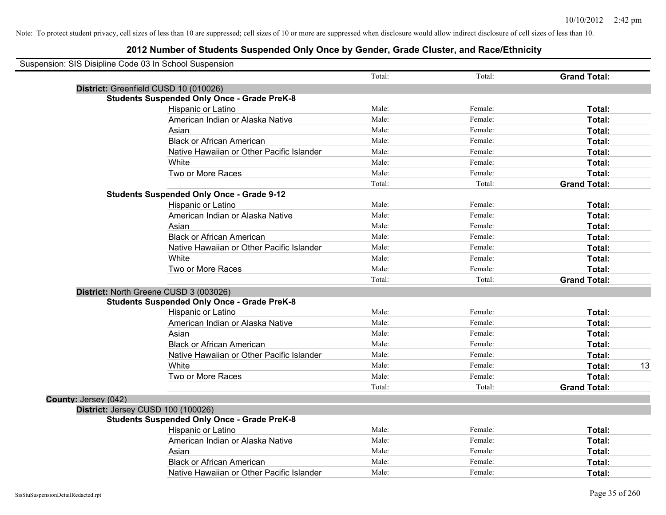| Suspension: SIS Disipline Code 03 In School Suspension |                                                    |        |         |                     |    |
|--------------------------------------------------------|----------------------------------------------------|--------|---------|---------------------|----|
|                                                        |                                                    | Total: | Total:  | <b>Grand Total:</b> |    |
|                                                        | District: Greenfield CUSD 10 (010026)              |        |         |                     |    |
|                                                        | <b>Students Suspended Only Once - Grade PreK-8</b> |        |         |                     |    |
|                                                        | Hispanic or Latino                                 | Male:  | Female: | Total:              |    |
|                                                        | American Indian or Alaska Native                   | Male:  | Female: | Total:              |    |
|                                                        | Asian                                              | Male:  | Female: | Total:              |    |
|                                                        | <b>Black or African American</b>                   | Male:  | Female: | Total:              |    |
|                                                        | Native Hawaiian or Other Pacific Islander          | Male:  | Female: | Total:              |    |
|                                                        | White                                              | Male:  | Female: | Total:              |    |
|                                                        | Two or More Races                                  | Male:  | Female: | Total:              |    |
|                                                        |                                                    | Total: | Total:  | <b>Grand Total:</b> |    |
|                                                        | <b>Students Suspended Only Once - Grade 9-12</b>   |        |         |                     |    |
|                                                        | Hispanic or Latino                                 | Male:  | Female: | Total:              |    |
|                                                        | American Indian or Alaska Native                   | Male:  | Female: | Total:              |    |
|                                                        | Asian                                              | Male:  | Female: | Total:              |    |
|                                                        | <b>Black or African American</b>                   | Male:  | Female: | Total:              |    |
|                                                        | Native Hawaiian or Other Pacific Islander          | Male:  | Female: | Total:              |    |
|                                                        | White                                              | Male:  | Female: | Total:              |    |
|                                                        | Two or More Races                                  | Male:  | Female: | Total:              |    |
|                                                        |                                                    | Total: | Total:  | <b>Grand Total:</b> |    |
|                                                        | District: North Greene CUSD 3 (003026)             |        |         |                     |    |
|                                                        | <b>Students Suspended Only Once - Grade PreK-8</b> |        |         |                     |    |
|                                                        | Hispanic or Latino                                 | Male:  | Female: | Total:              |    |
|                                                        | American Indian or Alaska Native                   | Male:  | Female: | Total:              |    |
|                                                        | Asian                                              | Male:  | Female: | Total:              |    |
|                                                        | <b>Black or African American</b>                   | Male:  | Female: | Total:              |    |
|                                                        | Native Hawaiian or Other Pacific Islander          | Male:  | Female: | Total:              |    |
|                                                        | White                                              | Male:  | Female: | Total:              | 13 |
|                                                        | Two or More Races                                  | Male:  | Female: | Total:              |    |
|                                                        |                                                    | Total: | Total:  | <b>Grand Total:</b> |    |
| County: Jersey (042)                                   |                                                    |        |         |                     |    |
|                                                        | District: Jersey CUSD 100 (100026)                 |        |         |                     |    |
|                                                        | <b>Students Suspended Only Once - Grade PreK-8</b> |        |         |                     |    |
|                                                        | Hispanic or Latino                                 | Male:  | Female: | Total:              |    |
|                                                        | American Indian or Alaska Native                   | Male:  | Female: | Total:              |    |
|                                                        | Asian                                              | Male:  | Female: | Total:              |    |
|                                                        | <b>Black or African American</b>                   | Male:  | Female: | Total:              |    |
|                                                        | Native Hawaiian or Other Pacific Islander          | Male:  | Female: | Total:              |    |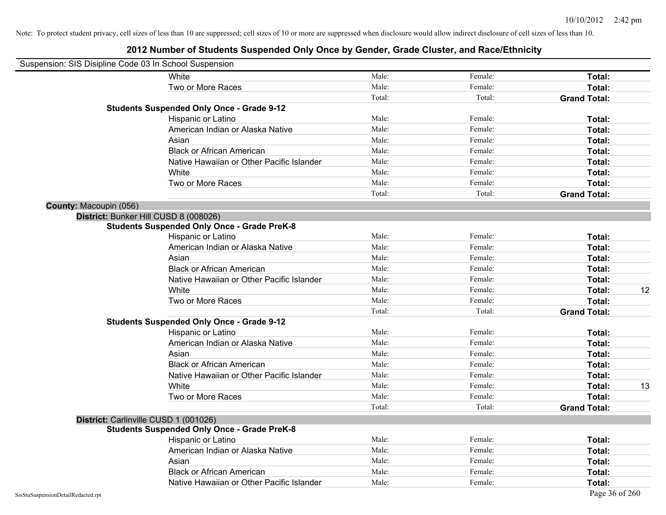| Suspension: SIS Disipline Code 03 In School Suspension |                                                    |        |         |                     |
|--------------------------------------------------------|----------------------------------------------------|--------|---------|---------------------|
|                                                        | White                                              | Male:  | Female: | Total:              |
|                                                        | Two or More Races                                  | Male:  | Female: | Total:              |
|                                                        |                                                    | Total: | Total:  | <b>Grand Total:</b> |
|                                                        | <b>Students Suspended Only Once - Grade 9-12</b>   |        |         |                     |
|                                                        | Hispanic or Latino                                 | Male:  | Female: | Total:              |
|                                                        | American Indian or Alaska Native                   | Male:  | Female: | Total:              |
|                                                        | Asian                                              | Male:  | Female: | Total:              |
|                                                        | <b>Black or African American</b>                   | Male:  | Female: | Total:              |
|                                                        | Native Hawaiian or Other Pacific Islander          | Male:  | Female: | Total:              |
|                                                        | White                                              | Male:  | Female: | Total:              |
|                                                        | Two or More Races                                  | Male:  | Female: | Total:              |
|                                                        |                                                    | Total: | Total:  | <b>Grand Total:</b> |
| County: Macoupin (056)                                 |                                                    |        |         |                     |
|                                                        | District: Bunker Hill CUSD 8 (008026)              |        |         |                     |
|                                                        | <b>Students Suspended Only Once - Grade PreK-8</b> |        |         |                     |
|                                                        | Hispanic or Latino                                 | Male:  | Female: | Total:              |
|                                                        | American Indian or Alaska Native                   | Male:  | Female: | Total:              |
|                                                        | Asian                                              | Male:  | Female: | Total:              |
|                                                        | <b>Black or African American</b>                   | Male:  | Female: | Total:              |
|                                                        | Native Hawaiian or Other Pacific Islander          | Male:  | Female: | Total:              |
|                                                        | White                                              | Male:  | Female: | 12<br>Total:        |
|                                                        | Two or More Races                                  | Male:  | Female: | Total:              |
|                                                        |                                                    | Total: | Total:  | <b>Grand Total:</b> |
|                                                        | <b>Students Suspended Only Once - Grade 9-12</b>   |        |         |                     |
|                                                        | Hispanic or Latino                                 | Male:  | Female: | Total:              |
|                                                        | American Indian or Alaska Native                   | Male:  | Female: | Total:              |
|                                                        | Asian                                              | Male:  | Female: | Total:              |
|                                                        | <b>Black or African American</b>                   | Male:  | Female: | Total:              |
|                                                        | Native Hawaiian or Other Pacific Islander          | Male:  | Female: | Total:              |
|                                                        | White                                              | Male:  | Female: | 13<br>Total:        |
|                                                        | Two or More Races                                  | Male:  | Female: | Total:              |
|                                                        |                                                    | Total: | Total:  | <b>Grand Total:</b> |
|                                                        | District: Carlinville CUSD 1 (001026)              |        |         |                     |
|                                                        | <b>Students Suspended Only Once - Grade PreK-8</b> |        |         |                     |
|                                                        | Hispanic or Latino                                 | Male:  | Female: | Total:              |
|                                                        | American Indian or Alaska Native                   | Male:  | Female: | Total:              |
|                                                        | Asian                                              | Male:  | Female: | Total:              |
|                                                        | <b>Black or African American</b>                   | Male:  | Female: | Total:              |
|                                                        | Native Hawaiian or Other Pacific Islander          | Male:  | Female: | Total:              |
| SisStuSuspensionDetailRedacted.rpt                     |                                                    |        |         | Page 36 of 260      |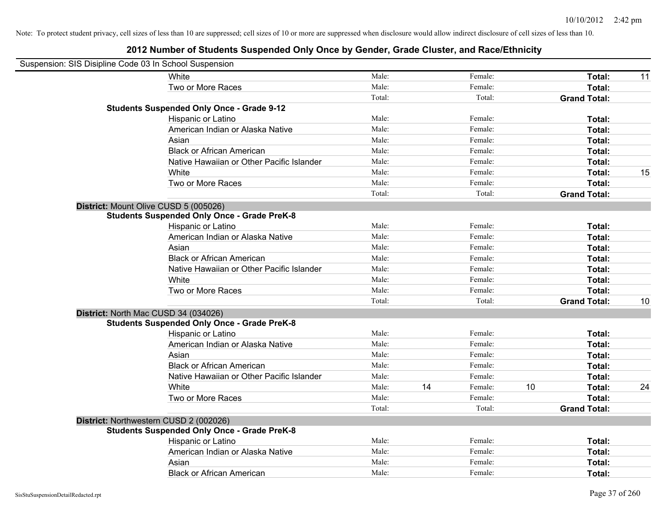| Suspension: SIS Disipline Code 03 In School Suspension |                                                    |        |    |         |    |                     |    |
|--------------------------------------------------------|----------------------------------------------------|--------|----|---------|----|---------------------|----|
|                                                        | White                                              | Male:  |    | Female: |    | Total:              | 11 |
|                                                        | Two or More Races                                  | Male:  |    | Female: |    | Total:              |    |
|                                                        |                                                    | Total: |    | Total:  |    | <b>Grand Total:</b> |    |
|                                                        | <b>Students Suspended Only Once - Grade 9-12</b>   |        |    |         |    |                     |    |
|                                                        | Hispanic or Latino                                 | Male:  |    | Female: |    | Total:              |    |
|                                                        | American Indian or Alaska Native                   | Male:  |    | Female: |    | Total:              |    |
|                                                        | Asian                                              | Male:  |    | Female: |    | Total:              |    |
|                                                        | <b>Black or African American</b>                   | Male:  |    | Female: |    | Total:              |    |
|                                                        | Native Hawaiian or Other Pacific Islander          | Male:  |    | Female: |    | Total:              |    |
|                                                        | White                                              | Male:  |    | Female: |    | Total:              | 15 |
|                                                        | Two or More Races                                  | Male:  |    | Female: |    | Total:              |    |
|                                                        |                                                    | Total: |    | Total:  |    | <b>Grand Total:</b> |    |
|                                                        | District: Mount Olive CUSD 5 (005026)              |        |    |         |    |                     |    |
|                                                        | <b>Students Suspended Only Once - Grade PreK-8</b> |        |    |         |    |                     |    |
|                                                        | Hispanic or Latino                                 | Male:  |    | Female: |    | Total:              |    |
|                                                        | American Indian or Alaska Native                   | Male:  |    | Female: |    | Total:              |    |
|                                                        | Asian                                              | Male:  |    | Female: |    | Total:              |    |
|                                                        | <b>Black or African American</b>                   | Male:  |    | Female: |    | Total:              |    |
|                                                        | Native Hawaiian or Other Pacific Islander          | Male:  |    | Female: |    | Total:              |    |
|                                                        | White                                              | Male:  |    | Female: |    | Total:              |    |
|                                                        | Two or More Races                                  | Male:  |    | Female: |    | Total:              |    |
|                                                        |                                                    | Total: |    | Total:  |    | <b>Grand Total:</b> | 10 |
|                                                        | District: North Mac CUSD 34 (034026)               |        |    |         |    |                     |    |
|                                                        | <b>Students Suspended Only Once - Grade PreK-8</b> |        |    |         |    |                     |    |
|                                                        | Hispanic or Latino                                 | Male:  |    | Female: |    | Total:              |    |
|                                                        | American Indian or Alaska Native                   | Male:  |    | Female: |    | Total:              |    |
|                                                        | Asian                                              | Male:  |    | Female: |    | Total:              |    |
|                                                        | <b>Black or African American</b>                   | Male:  |    | Female: |    | Total:              |    |
|                                                        | Native Hawaiian or Other Pacific Islander          | Male:  |    | Female: |    | Total:              |    |
|                                                        | White                                              | Male:  | 14 | Female: | 10 | Total:              | 24 |
|                                                        | Two or More Races                                  | Male:  |    | Female: |    | Total:              |    |
|                                                        |                                                    | Total: |    | Total:  |    | <b>Grand Total:</b> |    |
|                                                        | District: Northwestern CUSD 2 (002026)             |        |    |         |    |                     |    |
|                                                        | <b>Students Suspended Only Once - Grade PreK-8</b> |        |    |         |    |                     |    |
|                                                        | Hispanic or Latino                                 | Male:  |    | Female: |    | Total:              |    |
|                                                        | American Indian or Alaska Native                   | Male:  |    | Female: |    | Total:              |    |
|                                                        | Asian                                              | Male:  |    | Female: |    | Total:              |    |
|                                                        | <b>Black or African American</b>                   | Male:  |    | Female: |    | Total:              |    |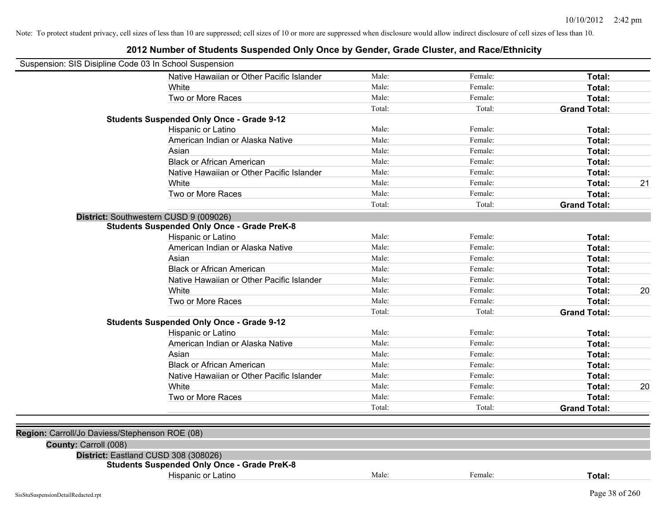| Suspension: SIS Disipline Code 03 In School Suspension |                                                    |        |         |                     |    |
|--------------------------------------------------------|----------------------------------------------------|--------|---------|---------------------|----|
|                                                        | Native Hawaiian or Other Pacific Islander          | Male:  | Female: | Total:              |    |
|                                                        | White                                              | Male:  | Female: | Total:              |    |
|                                                        | Two or More Races                                  | Male:  | Female: | Total:              |    |
|                                                        |                                                    | Total: | Total:  | <b>Grand Total:</b> |    |
|                                                        | <b>Students Suspended Only Once - Grade 9-12</b>   |        |         |                     |    |
|                                                        | Hispanic or Latino                                 | Male:  | Female: | Total:              |    |
|                                                        | American Indian or Alaska Native                   | Male:  | Female: | Total:              |    |
|                                                        | Asian                                              | Male:  | Female: | Total:              |    |
|                                                        | <b>Black or African American</b>                   | Male:  | Female: | Total:              |    |
|                                                        | Native Hawaiian or Other Pacific Islander          | Male:  | Female: | Total:              |    |
|                                                        | White                                              | Male:  | Female: | Total:              | 21 |
|                                                        | Two or More Races                                  | Male:  | Female: | Total:              |    |
|                                                        |                                                    | Total: | Total:  | <b>Grand Total:</b> |    |
|                                                        | District: Southwestern CUSD 9 (009026)             |        |         |                     |    |
|                                                        | <b>Students Suspended Only Once - Grade PreK-8</b> |        |         |                     |    |
|                                                        | Hispanic or Latino                                 | Male:  | Female: | Total:              |    |
|                                                        | American Indian or Alaska Native                   | Male:  | Female: | Total:              |    |
|                                                        | Asian                                              | Male:  | Female: | Total:              |    |
|                                                        | <b>Black or African American</b>                   | Male:  | Female: | Total:              |    |
|                                                        | Native Hawaiian or Other Pacific Islander          | Male:  | Female: | Total:              |    |
|                                                        | White                                              | Male:  | Female: | Total:              | 20 |
|                                                        | Two or More Races                                  | Male:  | Female: | Total:              |    |
|                                                        |                                                    | Total: | Total:  | <b>Grand Total:</b> |    |
|                                                        | <b>Students Suspended Only Once - Grade 9-12</b>   |        |         |                     |    |
|                                                        | Hispanic or Latino                                 | Male:  | Female: | Total:              |    |
|                                                        | American Indian or Alaska Native                   | Male:  | Female: | Total:              |    |
|                                                        | Asian                                              | Male:  | Female: | Total:              |    |
|                                                        | <b>Black or African American</b>                   | Male:  | Female: | Total:              |    |
|                                                        | Native Hawaiian or Other Pacific Islander          | Male:  | Female: | Total:              |    |
|                                                        | White                                              | Male:  | Female: | Total:              | 20 |
|                                                        | Two or More Races                                  | Male:  | Female: | Total:              |    |
|                                                        |                                                    | Total: | Total:  | <b>Grand Total:</b> |    |
|                                                        |                                                    |        |         |                     |    |
| Region: Carroll/Jo Daviess/Stephenson ROE (08)         |                                                    |        |         |                     |    |
| County: Carroll (008)                                  |                                                    |        |         |                     |    |
|                                                        | District: Eastland CUSD 308 (308026)               |        |         |                     |    |
|                                                        | <b>Students Suspended Only Once - Grade PreK-8</b> |        |         |                     |    |
|                                                        | Hispanic or Latino                                 | Male:  | Female: | Total:              |    |
|                                                        |                                                    |        |         |                     |    |
| SisStuSuspensionDetailRedacted.rpt                     |                                                    |        |         | Page 38 of 260      |    |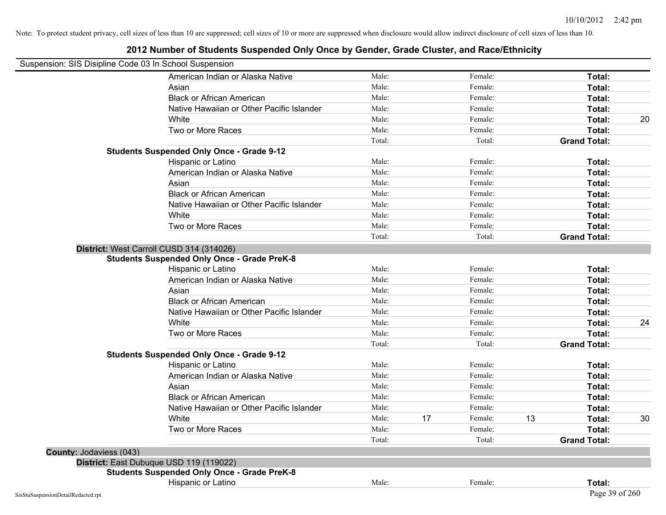| Suspension: SIS Disipline Code 03 In School Suspension |                                                                                                |        |    |         |    |                     |    |
|--------------------------------------------------------|------------------------------------------------------------------------------------------------|--------|----|---------|----|---------------------|----|
|                                                        | American Indian or Alaska Native                                                               | Male:  |    | Female: |    | Total:              |    |
|                                                        | Asian                                                                                          | Male:  |    | Female: |    | Total:              |    |
|                                                        | <b>Black or African American</b>                                                               | Male:  |    | Female: |    | Total:              |    |
|                                                        | Native Hawaiian or Other Pacific Islander                                                      | Male:  |    | Female: |    | Total:              |    |
|                                                        | White                                                                                          | Male:  |    | Female: |    | Total:              | 20 |
|                                                        | Two or More Races                                                                              | Male:  |    | Female: |    | Total:              |    |
|                                                        |                                                                                                | Total: |    | Total:  |    | <b>Grand Total:</b> |    |
|                                                        | <b>Students Suspended Only Once - Grade 9-12</b>                                               |        |    |         |    |                     |    |
|                                                        | Hispanic or Latino                                                                             | Male:  |    | Female: |    | Total:              |    |
|                                                        | American Indian or Alaska Native                                                               | Male:  |    | Female: |    | Total:              |    |
|                                                        | Asian                                                                                          | Male:  |    | Female: |    | Total:              |    |
|                                                        | <b>Black or African American</b>                                                               | Male:  |    | Female: |    | Total:              |    |
|                                                        | Native Hawaiian or Other Pacific Islander                                                      | Male:  |    | Female: |    | Total:              |    |
|                                                        | White                                                                                          | Male:  |    | Female: |    | Total:              |    |
|                                                        | Two or More Races                                                                              | Male:  |    | Female: |    | Total:              |    |
|                                                        |                                                                                                | Total: |    | Total:  |    | <b>Grand Total:</b> |    |
|                                                        | District: West Carroll CUSD 314 (314026)<br><b>Students Suspended Only Once - Grade PreK-8</b> |        |    |         |    |                     |    |
|                                                        | Hispanic or Latino                                                                             | Male:  |    | Female: |    | Total:              |    |
|                                                        | American Indian or Alaska Native                                                               | Male:  |    | Female: |    | Total:              |    |
|                                                        | Asian                                                                                          | Male:  |    | Female: |    | Total:              |    |
|                                                        | <b>Black or African American</b>                                                               | Male:  |    | Female: |    | Total:              |    |
|                                                        | Native Hawaiian or Other Pacific Islander                                                      | Male:  |    | Female: |    | Total:              |    |
|                                                        | White                                                                                          | Male:  |    | Female: |    | Total:              | 24 |
|                                                        | Two or More Races                                                                              | Male:  |    | Female: |    | Total:              |    |
|                                                        |                                                                                                | Total: |    | Total:  |    | <b>Grand Total:</b> |    |
|                                                        | <b>Students Suspended Only Once - Grade 9-12</b>                                               |        |    |         |    |                     |    |
|                                                        | Hispanic or Latino                                                                             | Male:  |    | Female: |    | Total:              |    |
|                                                        | American Indian or Alaska Native                                                               | Male:  |    | Female: |    | Total:              |    |
|                                                        | Asian                                                                                          | Male:  |    | Female: |    | Total:              |    |
|                                                        | <b>Black or African American</b>                                                               | Male:  |    | Female: |    | Total:              |    |
|                                                        | Native Hawaiian or Other Pacific Islander                                                      | Male:  |    | Female: |    | Total:              |    |
|                                                        | White                                                                                          | Male:  | 17 | Female: | 13 | Total:              | 30 |
|                                                        | Two or More Races                                                                              | Male:  |    | Female: |    | Total:              |    |
|                                                        |                                                                                                | Total: |    | Total:  |    | <b>Grand Total:</b> |    |
| County: Jodaviess (043)                                |                                                                                                |        |    |         |    |                     |    |
|                                                        | District: East Dubuque USD 119 (119022)                                                        |        |    |         |    |                     |    |
|                                                        | <b>Students Suspended Only Once - Grade PreK-8</b>                                             |        |    |         |    |                     |    |
|                                                        | <b>Hispanic or Latino</b>                                                                      | Male:  |    | Female: |    | Total:              |    |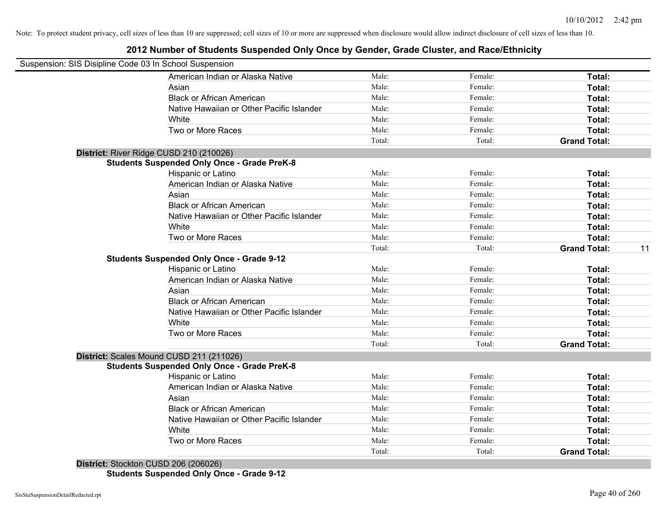### **2012 Number of Students Suspended Only Once by Gender, Grade Cluster, and Race/Ethnicity**

| Suspension: SIS Disipline Code 03 In School Suspension |        |         |                     |    |
|--------------------------------------------------------|--------|---------|---------------------|----|
| American Indian or Alaska Native                       | Male:  | Female: | Total:              |    |
| Asian                                                  | Male:  | Female: | Total:              |    |
| <b>Black or African American</b>                       | Male:  | Female: | Total:              |    |
| Native Hawaiian or Other Pacific Islander              | Male:  | Female: | Total:              |    |
| White                                                  | Male:  | Female: | Total:              |    |
| Two or More Races                                      | Male:  | Female: | Total:              |    |
|                                                        | Total: | Total:  | <b>Grand Total:</b> |    |
| District: River Ridge CUSD 210 (210026)                |        |         |                     |    |
| <b>Students Suspended Only Once - Grade PreK-8</b>     |        |         |                     |    |
| Hispanic or Latino                                     | Male:  | Female: | Total:              |    |
| American Indian or Alaska Native                       | Male:  | Female: | Total:              |    |
| Asian                                                  | Male:  | Female: | Total:              |    |
| <b>Black or African American</b>                       | Male:  | Female: | Total:              |    |
| Native Hawaiian or Other Pacific Islander              | Male:  | Female: | Total:              |    |
| White                                                  | Male:  | Female: | Total:              |    |
| Two or More Races                                      | Male:  | Female: | Total:              |    |
|                                                        | Total: | Total:  | <b>Grand Total:</b> | 11 |
| <b>Students Suspended Only Once - Grade 9-12</b>       |        |         |                     |    |
| Hispanic or Latino                                     | Male:  | Female: | Total:              |    |
| American Indian or Alaska Native                       | Male:  | Female: | Total:              |    |
| Asian                                                  | Male:  | Female: | Total:              |    |
| <b>Black or African American</b>                       | Male:  | Female: | Total:              |    |
| Native Hawaiian or Other Pacific Islander              | Male:  | Female: | Total:              |    |
| White                                                  | Male:  | Female: | Total:              |    |
| Two or More Races                                      | Male:  | Female: | Total:              |    |
|                                                        | Total: | Total:  | <b>Grand Total:</b> |    |
| District: Scales Mound CUSD 211 (211026)               |        |         |                     |    |
| <b>Students Suspended Only Once - Grade PreK-8</b>     |        |         |                     |    |
| Hispanic or Latino                                     | Male:  | Female: | Total:              |    |
| American Indian or Alaska Native                       | Male:  | Female: | Total:              |    |
| Asian                                                  | Male:  | Female: | Total:              |    |
| <b>Black or African American</b>                       | Male:  | Female: | Total:              |    |
| Native Hawaiian or Other Pacific Islander              | Male:  | Female: | Total:              |    |
| White                                                  | Male:  | Female: | Total:              |    |
| Two or More Races                                      | Male:  | Female: | Total:              |    |
|                                                        | Total: |         | <b>Grand Total:</b> |    |

**Students Suspended Only Once - Grade 9-12**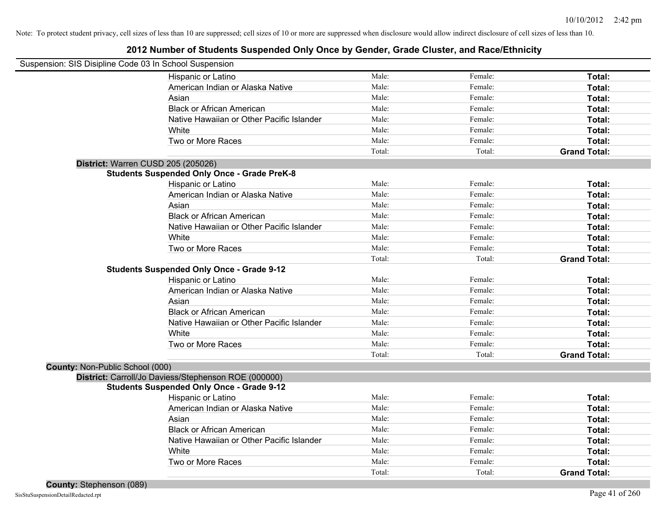|                                 | Suspension: SIS Disipline Code 03 In School Suspension |        |         |                     |
|---------------------------------|--------------------------------------------------------|--------|---------|---------------------|
|                                 | Hispanic or Latino                                     | Male:  | Female: | Total:              |
|                                 | American Indian or Alaska Native                       | Male:  | Female: | Total:              |
|                                 | Asian                                                  | Male:  | Female: | Total:              |
|                                 | <b>Black or African American</b>                       | Male:  | Female: | Total:              |
|                                 | Native Hawaiian or Other Pacific Islander              | Male:  | Female: | Total:              |
|                                 | White                                                  | Male:  | Female: | Total:              |
|                                 | Two or More Races                                      | Male:  | Female: | Total:              |
|                                 |                                                        | Total: | Total:  | <b>Grand Total:</b> |
|                                 | District: Warren CUSD 205 (205026)                     |        |         |                     |
|                                 | <b>Students Suspended Only Once - Grade PreK-8</b>     |        |         |                     |
|                                 | Hispanic or Latino                                     | Male:  | Female: | Total:              |
|                                 | American Indian or Alaska Native                       | Male:  | Female: | Total:              |
|                                 | Asian                                                  | Male:  | Female: | Total:              |
|                                 | <b>Black or African American</b>                       | Male:  | Female: | Total:              |
|                                 | Native Hawaiian or Other Pacific Islander              | Male:  | Female: | Total:              |
|                                 | White                                                  | Male:  | Female: | Total:              |
|                                 | Two or More Races                                      | Male:  | Female: | Total:              |
|                                 |                                                        | Total: | Total:  | <b>Grand Total:</b> |
|                                 | <b>Students Suspended Only Once - Grade 9-12</b>       |        |         |                     |
|                                 | Hispanic or Latino                                     | Male:  | Female: | Total:              |
|                                 | American Indian or Alaska Native                       | Male:  | Female: | Total:              |
|                                 | Asian                                                  | Male:  | Female: | Total:              |
|                                 | <b>Black or African American</b>                       | Male:  | Female: | Total:              |
|                                 | Native Hawaiian or Other Pacific Islander              | Male:  | Female: | Total:              |
|                                 | White                                                  | Male:  | Female: | Total:              |
|                                 | Two or More Races                                      | Male:  | Female: | Total:              |
|                                 |                                                        | Total: | Total:  | <b>Grand Total:</b> |
| County: Non-Public School (000) |                                                        |        |         |                     |
|                                 | District: Carroll/Jo Daviess/Stephenson ROE (000000)   |        |         |                     |
|                                 | <b>Students Suspended Only Once - Grade 9-12</b>       |        |         |                     |
|                                 | Hispanic or Latino                                     | Male:  | Female: | Total:              |
|                                 | American Indian or Alaska Native                       | Male:  | Female: | Total:              |
|                                 | Asian                                                  | Male:  | Female: | Total:              |
|                                 | <b>Black or African American</b>                       | Male:  | Female: | Total:              |
|                                 | Native Hawaiian or Other Pacific Islander              | Male:  | Female: | Total:              |
|                                 | White                                                  | Male:  | Female: | Total:              |
|                                 | Two or More Races                                      | Male:  | Female: | Total:              |
|                                 |                                                        | Total: | Total:  | <b>Grand Total:</b> |
|                                 |                                                        |        |         |                     |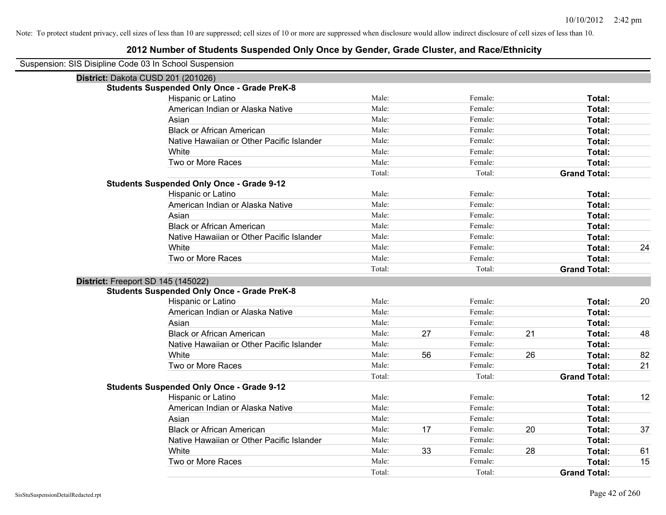| Suspension: SIS Disipline Code 03 In School Suspension |
|--------------------------------------------------------|
|--------------------------------------------------------|

| District: Dakota CUSD 201 (201026)                 |        |    |         |    |                     |    |
|----------------------------------------------------|--------|----|---------|----|---------------------|----|
| <b>Students Suspended Only Once - Grade PreK-8</b> |        |    |         |    |                     |    |
| Hispanic or Latino                                 | Male:  |    | Female: |    | Total:              |    |
| American Indian or Alaska Native                   | Male:  |    | Female: |    | Total:              |    |
| Asian                                              | Male:  |    | Female: |    | Total:              |    |
| <b>Black or African American</b>                   | Male:  |    | Female: |    | Total:              |    |
| Native Hawaiian or Other Pacific Islander          | Male:  |    | Female: |    | Total:              |    |
| White                                              | Male:  |    | Female: |    | <b>Total:</b>       |    |
| Two or More Races                                  | Male:  |    | Female: |    | Total:              |    |
|                                                    | Total: |    | Total:  |    | <b>Grand Total:</b> |    |
| <b>Students Suspended Only Once - Grade 9-12</b>   |        |    |         |    |                     |    |
| Hispanic or Latino                                 | Male:  |    | Female: |    | Total:              |    |
| American Indian or Alaska Native                   | Male:  |    | Female: |    | Total:              |    |
| Asian                                              | Male:  |    | Female: |    | Total:              |    |
| <b>Black or African American</b>                   | Male:  |    | Female: |    | Total:              |    |
| Native Hawaiian or Other Pacific Islander          | Male:  |    | Female: |    | Total:              |    |
| White                                              | Male:  |    | Female: |    | Total:              | 24 |
| Two or More Races                                  | Male:  |    | Female: |    | Total:              |    |
|                                                    | Total: |    | Total:  |    | <b>Grand Total:</b> |    |
| District: Freeport SD 145 (145022)                 |        |    |         |    |                     |    |
| <b>Students Suspended Only Once - Grade PreK-8</b> |        |    |         |    |                     |    |
| Hispanic or Latino                                 | Male:  |    | Female: |    | Total:              | 20 |
| American Indian or Alaska Native                   | Male:  |    | Female: |    | Total:              |    |
| Asian                                              | Male:  |    | Female: |    | Total:              |    |
| <b>Black or African American</b>                   | Male:  | 27 | Female: | 21 | Total:              | 48 |
| Native Hawaiian or Other Pacific Islander          | Male:  |    | Female: |    | <b>Total:</b>       |    |
| White                                              | Male:  | 56 | Female: | 26 | <b>Total:</b>       | 82 |
| Two or More Races                                  | Male:  |    | Female: |    | Total:              | 21 |
|                                                    | Total: |    | Total:  |    | <b>Grand Total:</b> |    |
| <b>Students Suspended Only Once - Grade 9-12</b>   |        |    |         |    |                     |    |
| Hispanic or Latino                                 | Male:  |    | Female: |    | Total:              | 12 |
| American Indian or Alaska Native                   | Male:  |    | Female: |    | Total:              |    |
| Asian                                              | Male:  |    | Female: |    | Total:              |    |
| <b>Black or African American</b>                   | Male:  | 17 | Female: | 20 | Total:              | 37 |
| Native Hawaiian or Other Pacific Islander          | Male:  |    | Female: |    | Total:              |    |
| White                                              | Male:  | 33 | Female: | 28 | Total:              | 61 |
| Two or More Races                                  | Male:  |    | Female: |    | Total:              | 15 |
|                                                    | Total: |    | Total:  |    | <b>Grand Total:</b> |    |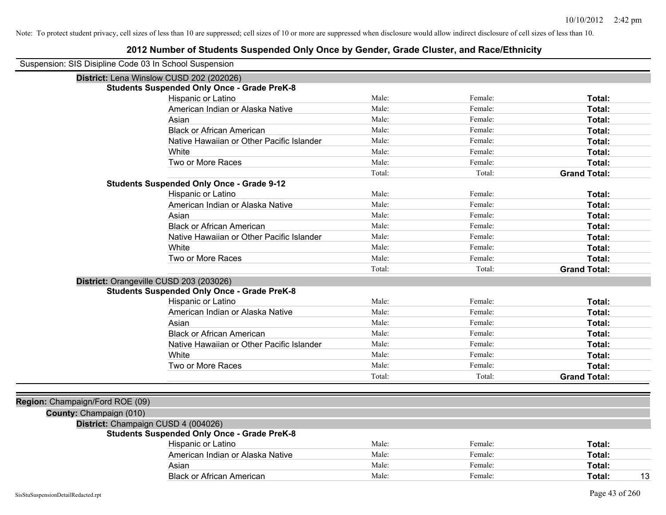| Suspension: SIS Disipline Code 03 In School Suspension |                                                    |        |         |                     |
|--------------------------------------------------------|----------------------------------------------------|--------|---------|---------------------|
|                                                        | District: Lena Winslow CUSD 202 (202026)           |        |         |                     |
|                                                        | <b>Students Suspended Only Once - Grade PreK-8</b> |        |         |                     |
|                                                        | Hispanic or Latino                                 | Male:  | Female: | Total:              |
|                                                        | American Indian or Alaska Native                   | Male:  | Female: | <b>Total:</b>       |
|                                                        | Asian                                              | Male:  | Female: | Total:              |
|                                                        | <b>Black or African American</b>                   | Male:  | Female: | Total:              |
|                                                        | Native Hawaiian or Other Pacific Islander          | Male:  | Female: | Total:              |
|                                                        | White                                              | Male:  | Female: | Total:              |
|                                                        | Two or More Races                                  | Male:  | Female: | Total:              |
|                                                        |                                                    | Total: | Total:  | <b>Grand Total:</b> |
|                                                        | <b>Students Suspended Only Once - Grade 9-12</b>   |        |         |                     |
|                                                        | Hispanic or Latino                                 | Male:  | Female: | Total:              |
|                                                        | American Indian or Alaska Native                   | Male:  | Female: | Total:              |
|                                                        | Asian                                              | Male:  | Female: | Total:              |
|                                                        | <b>Black or African American</b>                   | Male:  | Female: | Total:              |
|                                                        | Native Hawaiian or Other Pacific Islander          | Male:  | Female: | Total:              |
|                                                        | White                                              | Male:  | Female: | Total:              |
|                                                        | Two or More Races                                  | Male:  | Female: | Total:              |
|                                                        |                                                    | Total: | Total:  | <b>Grand Total:</b> |
|                                                        | District: Orangeville CUSD 203 (203026)            |        |         |                     |
|                                                        | <b>Students Suspended Only Once - Grade PreK-8</b> |        |         |                     |
|                                                        | Hispanic or Latino                                 | Male:  | Female: | Total:              |
|                                                        | American Indian or Alaska Native                   | Male:  | Female: | Total:              |
|                                                        | Asian                                              | Male:  | Female: | Total:              |
|                                                        | <b>Black or African American</b>                   | Male:  | Female: | Total:              |
|                                                        | Native Hawaiian or Other Pacific Islander          | Male:  | Female: | <b>Total:</b>       |
|                                                        | White                                              | Male:  | Female: | Total:              |
|                                                        | Two or More Races                                  | Male:  | Female: | Total:              |
|                                                        |                                                    | Total: | Total:  | <b>Grand Total:</b> |
|                                                        |                                                    |        |         |                     |
| Region: Champaign/Ford ROE (09)                        |                                                    |        |         |                     |
| County: Champaign (010)                                |                                                    |        |         |                     |
|                                                        | District: Champaign CUSD 4 (004026)                |        |         |                     |
|                                                        | <b>Students Suspended Only Once - Grade PreK-8</b> |        |         |                     |
|                                                        | Hispanic or Latino                                 | Male:  | Female: | Total:              |
|                                                        | American Indian or Alaska Native                   | Male:  | Female: | Total:              |
|                                                        | Asian                                              | Male:  | Female: | Total:              |
|                                                        | <b>Black or African American</b>                   | Male:  | Female: | 13<br>Total:        |
|                                                        |                                                    |        |         |                     |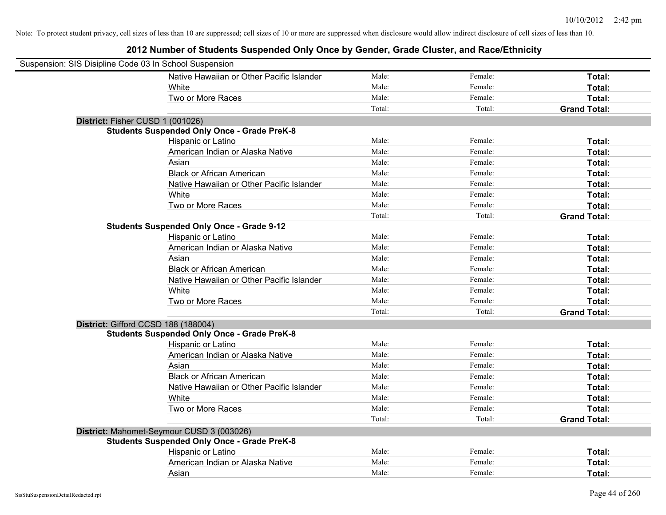| Suspension: SIS Disipline Code 03 In School Suspension |                                                    |        |         |                     |
|--------------------------------------------------------|----------------------------------------------------|--------|---------|---------------------|
|                                                        | Native Hawaiian or Other Pacific Islander          | Male:  | Female: | Total:              |
|                                                        | White                                              | Male:  | Female: | Total:              |
|                                                        | Two or More Races                                  | Male:  | Female: | Total:              |
|                                                        |                                                    | Total: | Total:  | <b>Grand Total:</b> |
| District: Fisher CUSD 1 (001026)                       |                                                    |        |         |                     |
|                                                        | <b>Students Suspended Only Once - Grade PreK-8</b> |        |         |                     |
|                                                        | Hispanic or Latino                                 | Male:  | Female: | Total:              |
|                                                        | American Indian or Alaska Native                   | Male:  | Female: | Total:              |
|                                                        | Asian                                              | Male:  | Female: | Total:              |
|                                                        | <b>Black or African American</b>                   | Male:  | Female: | Total:              |
|                                                        | Native Hawaiian or Other Pacific Islander          | Male:  | Female: | Total:              |
|                                                        | White                                              | Male:  | Female: | Total:              |
|                                                        | Two or More Races                                  | Male:  | Female: | Total:              |
|                                                        |                                                    | Total: | Total:  | <b>Grand Total:</b> |
|                                                        | <b>Students Suspended Only Once - Grade 9-12</b>   |        |         |                     |
|                                                        | Hispanic or Latino                                 | Male:  | Female: | Total:              |
|                                                        | American Indian or Alaska Native                   | Male:  | Female: | Total:              |
|                                                        | Asian                                              | Male:  | Female: | Total:              |
|                                                        | <b>Black or African American</b>                   | Male:  | Female: | Total:              |
|                                                        | Native Hawaiian or Other Pacific Islander          | Male:  | Female: | Total:              |
|                                                        | White                                              | Male:  | Female: | Total:              |
|                                                        | Two or More Races                                  | Male:  | Female: | Total:              |
|                                                        |                                                    | Total: | Total:  | <b>Grand Total:</b> |
| District: Gifford CCSD 188 (188004)                    |                                                    |        |         |                     |
|                                                        | <b>Students Suspended Only Once - Grade PreK-8</b> |        |         |                     |
|                                                        | Hispanic or Latino                                 | Male:  | Female: | Total:              |
|                                                        | American Indian or Alaska Native                   | Male:  | Female: | Total:              |
|                                                        | Asian                                              | Male:  | Female: | Total:              |
|                                                        | <b>Black or African American</b>                   | Male:  | Female: | Total:              |
|                                                        | Native Hawaiian or Other Pacific Islander          | Male:  | Female: | Total:              |
|                                                        | White                                              | Male:  | Female: | Total:              |
|                                                        | Two or More Races                                  | Male:  | Female: | Total:              |
|                                                        |                                                    | Total: | Total:  | <b>Grand Total:</b> |
|                                                        | District: Mahomet-Seymour CUSD 3 (003026)          |        |         |                     |
|                                                        | <b>Students Suspended Only Once - Grade PreK-8</b> |        |         |                     |
|                                                        | Hispanic or Latino                                 | Male:  | Female: | Total:              |
|                                                        | American Indian or Alaska Native                   | Male:  | Female: | Total:              |
|                                                        | Asian                                              | Male:  | Female: | Total:              |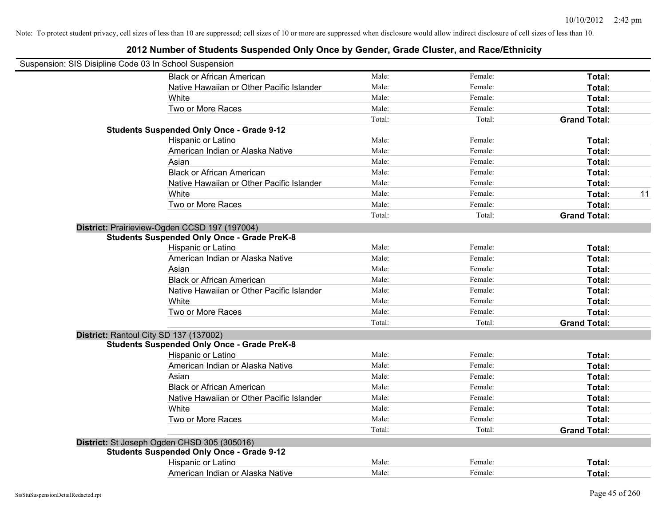| Suspension: SIS Disipline Code 03 In School Suspension |                                           |        |         |                     |    |
|--------------------------------------------------------|-------------------------------------------|--------|---------|---------------------|----|
| <b>Black or African American</b>                       |                                           | Male:  | Female: | Total:              |    |
|                                                        | Native Hawaiian or Other Pacific Islander | Male:  | Female: | Total:              |    |
| White                                                  |                                           | Male:  | Female: | Total:              |    |
| Two or More Races                                      |                                           | Male:  | Female: | Total:              |    |
|                                                        |                                           | Total: | Total:  | <b>Grand Total:</b> |    |
| <b>Students Suspended Only Once - Grade 9-12</b>       |                                           |        |         |                     |    |
| Hispanic or Latino                                     |                                           | Male:  | Female: | Total:              |    |
| American Indian or Alaska Native                       |                                           | Male:  | Female: | Total:              |    |
| Asian                                                  |                                           | Male:  | Female: | Total:              |    |
| <b>Black or African American</b>                       |                                           | Male:  | Female: | Total:              |    |
|                                                        | Native Hawaiian or Other Pacific Islander | Male:  | Female: | Total:              |    |
| White                                                  |                                           | Male:  | Female: | Total:              | 11 |
| Two or More Races                                      |                                           | Male:  | Female: | Total:              |    |
|                                                        |                                           | Total: | Total:  | <b>Grand Total:</b> |    |
| District: Prairieview-Ogden CCSD 197 (197004)          |                                           |        |         |                     |    |
| <b>Students Suspended Only Once - Grade PreK-8</b>     |                                           |        |         |                     |    |
| Hispanic or Latino                                     |                                           | Male:  | Female: | Total:              |    |
| American Indian or Alaska Native                       |                                           | Male:  | Female: | Total:              |    |
| Asian                                                  |                                           | Male:  | Female: | Total:              |    |
| <b>Black or African American</b>                       |                                           | Male:  | Female: | Total:              |    |
|                                                        | Native Hawaiian or Other Pacific Islander | Male:  | Female: | Total:              |    |
| White                                                  |                                           | Male:  | Female: | Total:              |    |
| Two or More Races                                      |                                           | Male:  | Female: | Total:              |    |
|                                                        |                                           | Total: | Total:  | <b>Grand Total:</b> |    |
| District: Rantoul City SD 137 (137002)                 |                                           |        |         |                     |    |
| <b>Students Suspended Only Once - Grade PreK-8</b>     |                                           |        |         |                     |    |
| Hispanic or Latino                                     |                                           | Male:  | Female: | Total:              |    |
| American Indian or Alaska Native                       |                                           | Male:  | Female: | Total:              |    |
| Asian                                                  |                                           | Male:  | Female: | Total:              |    |
| <b>Black or African American</b>                       |                                           | Male:  | Female: | Total:              |    |
|                                                        | Native Hawaiian or Other Pacific Islander | Male:  | Female: | Total:              |    |
| White                                                  |                                           | Male:  | Female: | Total:              |    |
| Two or More Races                                      |                                           | Male:  | Female: | Total:              |    |
|                                                        |                                           | Total: | Total:  | <b>Grand Total:</b> |    |
| District: St Joseph Ogden CHSD 305 (305016)            |                                           |        |         |                     |    |
| <b>Students Suspended Only Once - Grade 9-12</b>       |                                           |        |         |                     |    |
| Hispanic or Latino                                     |                                           | Male:  | Female: | Total:              |    |
| American Indian or Alaska Native                       |                                           | Male:  | Female: | Total:              |    |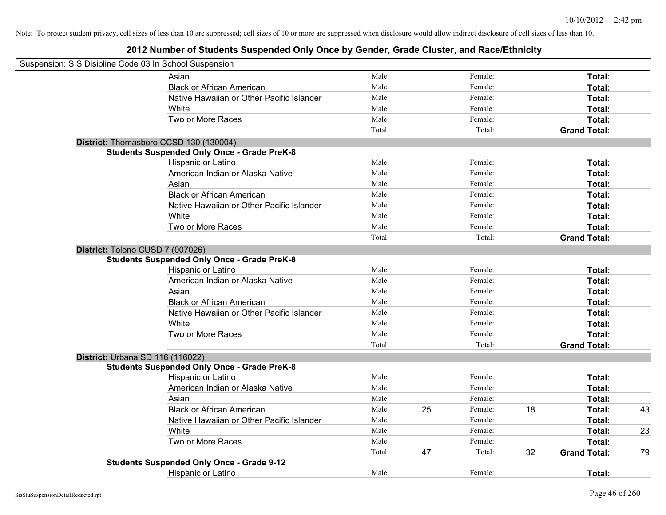| Suspension: SIS Disipline Code 03 In School Suspension |                                                    |        |    |         |    |                     |    |
|--------------------------------------------------------|----------------------------------------------------|--------|----|---------|----|---------------------|----|
|                                                        | Asian                                              | Male:  |    | Female: |    | Total:              |    |
|                                                        | <b>Black or African American</b>                   | Male:  |    | Female: |    | Total:              |    |
|                                                        | Native Hawaiian or Other Pacific Islander          | Male:  |    | Female: |    | Total:              |    |
|                                                        | White                                              | Male:  |    | Female: |    | Total:              |    |
|                                                        | Two or More Races                                  | Male:  |    | Female: |    | Total:              |    |
|                                                        |                                                    | Total: |    | Total:  |    | <b>Grand Total:</b> |    |
|                                                        | District: Thomasboro CCSD 130 (130004)             |        |    |         |    |                     |    |
|                                                        | <b>Students Suspended Only Once - Grade PreK-8</b> |        |    |         |    |                     |    |
|                                                        | Hispanic or Latino                                 | Male:  |    | Female: |    | Total:              |    |
|                                                        | American Indian or Alaska Native                   | Male:  |    | Female: |    | Total:              |    |
|                                                        | Asian                                              | Male:  |    | Female: |    | Total:              |    |
|                                                        | <b>Black or African American</b>                   | Male:  |    | Female: |    | Total:              |    |
|                                                        | Native Hawaiian or Other Pacific Islander          | Male:  |    | Female: |    | Total:              |    |
|                                                        | White                                              | Male:  |    | Female: |    | Total:              |    |
|                                                        | Two or More Races                                  | Male:  |    | Female: |    | Total:              |    |
|                                                        |                                                    | Total: |    | Total:  |    | <b>Grand Total:</b> |    |
| District: Tolono CUSD 7 (007026)                       |                                                    |        |    |         |    |                     |    |
|                                                        | <b>Students Suspended Only Once - Grade PreK-8</b> |        |    |         |    |                     |    |
|                                                        | Hispanic or Latino                                 | Male:  |    | Female: |    | Total:              |    |
|                                                        | American Indian or Alaska Native                   | Male:  |    | Female: |    | Total:              |    |
|                                                        | Asian                                              | Male:  |    | Female: |    | Total:              |    |
|                                                        | <b>Black or African American</b>                   | Male:  |    | Female: |    | Total:              |    |
|                                                        | Native Hawaiian or Other Pacific Islander          | Male:  |    | Female: |    | Total:              |    |
|                                                        | White                                              | Male:  |    | Female: |    | Total:              |    |
|                                                        | Two or More Races                                  | Male:  |    | Female: |    | Total:              |    |
|                                                        |                                                    | Total: |    | Total:  |    | <b>Grand Total:</b> |    |
| District: Urbana SD 116 (116022)                       |                                                    |        |    |         |    |                     |    |
|                                                        | <b>Students Suspended Only Once - Grade PreK-8</b> |        |    |         |    |                     |    |
|                                                        | Hispanic or Latino                                 | Male:  |    | Female: |    | Total:              |    |
|                                                        | American Indian or Alaska Native                   | Male:  |    | Female: |    | Total:              |    |
|                                                        | Asian                                              | Male:  |    | Female: |    | Total:              |    |
|                                                        | <b>Black or African American</b>                   | Male:  | 25 | Female: | 18 | Total:              | 43 |
|                                                        | Native Hawaiian or Other Pacific Islander          | Male:  |    | Female: |    | Total:              |    |
|                                                        | White                                              | Male:  |    | Female: |    | Total:              | 23 |
|                                                        | Two or More Races                                  | Male:  |    | Female: |    | Total:              |    |
|                                                        |                                                    | Total: | 47 | Total:  | 32 | <b>Grand Total:</b> | 79 |
|                                                        | <b>Students Suspended Only Once - Grade 9-12</b>   |        |    |         |    |                     |    |
|                                                        | Hispanic or Latino                                 | Male:  |    | Female: |    | Total:              |    |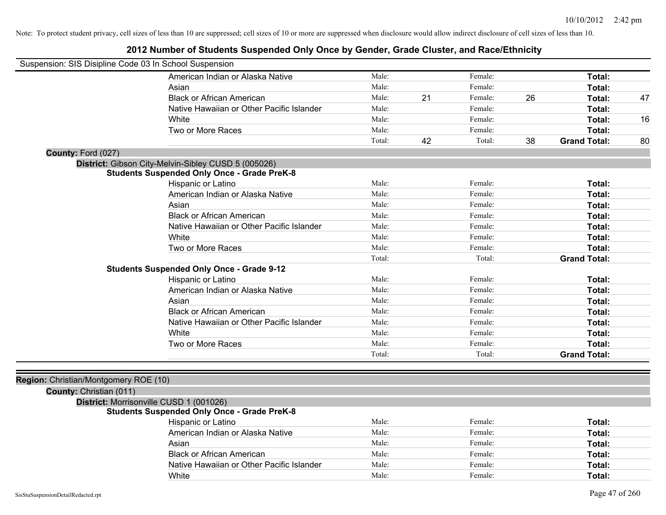## **2012 Number of Students Suspended Only Once by Gender, Grade Cluster, and Race/Ethnicity**

| Suspension: SIS Disipline Code 03 In School Suspension |                                                     |        |    |         |    |                     |    |
|--------------------------------------------------------|-----------------------------------------------------|--------|----|---------|----|---------------------|----|
|                                                        | American Indian or Alaska Native                    | Male:  |    | Female: |    | Total:              |    |
|                                                        | Asian                                               | Male:  |    | Female: |    | Total:              |    |
|                                                        | <b>Black or African American</b>                    | Male:  | 21 | Female: | 26 | Total:              | 47 |
|                                                        | Native Hawaiian or Other Pacific Islander           | Male:  |    | Female: |    | Total:              |    |
|                                                        | White                                               | Male:  |    | Female: |    | Total:              | 16 |
|                                                        | Two or More Races                                   | Male:  |    | Female: |    | <b>Total:</b>       |    |
|                                                        |                                                     | Total: | 42 | Total:  | 38 | <b>Grand Total:</b> | 80 |
| County: Ford (027)                                     |                                                     |        |    |         |    |                     |    |
|                                                        | District: Gibson City-Melvin-Sibley CUSD 5 (005026) |        |    |         |    |                     |    |
|                                                        | <b>Students Suspended Only Once - Grade PreK-8</b>  |        |    |         |    |                     |    |
|                                                        | Hispanic or Latino                                  | Male:  |    | Female: |    | Total:              |    |
|                                                        | American Indian or Alaska Native                    | Male:  |    | Female: |    | Total:              |    |
|                                                        | Asian                                               | Male:  |    | Female: |    | Total:              |    |
|                                                        | <b>Black or African American</b>                    | Male:  |    | Female: |    | Total:              |    |
|                                                        | Native Hawaiian or Other Pacific Islander           | Male:  |    | Female: |    | Total:              |    |
|                                                        | White                                               | Male:  |    | Female: |    | Total:              |    |
|                                                        | Two or More Races                                   | Male:  |    | Female: |    | <b>Total:</b>       |    |
|                                                        |                                                     | Total: |    | Total:  |    | <b>Grand Total:</b> |    |
|                                                        | <b>Students Suspended Only Once - Grade 9-12</b>    |        |    |         |    |                     |    |
|                                                        | Hispanic or Latino                                  | Male:  |    | Female: |    | Total:              |    |
|                                                        | American Indian or Alaska Native                    | Male:  |    | Female: |    | Total:              |    |
|                                                        | Asian                                               | Male:  |    | Female: |    | Total:              |    |
|                                                        | <b>Black or African American</b>                    | Male:  |    | Female: |    | Total:              |    |
|                                                        | Native Hawaiian or Other Pacific Islander           | Male:  |    | Female: |    | Total:              |    |
|                                                        | White                                               | Male:  |    | Female: |    | Total:              |    |
|                                                        | Two or More Races                                   | Male:  |    | Female: |    | Total:              |    |
|                                                        |                                                     | Total: |    | Total:  |    | <b>Grand Total:</b> |    |
| Region: Christian/Montgomery ROE (10)                  |                                                     |        |    |         |    |                     |    |
| County: Christian (011)                                |                                                     |        |    |         |    |                     |    |
|                                                        | District: Morrisonville CUSD 1 (001026)             |        |    |         |    |                     |    |
|                                                        | <b>Students Suspended Only Once - Grade PreK-8</b>  |        |    |         |    |                     |    |
|                                                        | Hispanic or Latino                                  | Male:  |    | Female: |    | Total:              |    |
|                                                        | American Indian or Alaska Native                    | Male:  |    | Female: |    | Total:              |    |
|                                                        | Asian                                               | Male:  |    | Female: |    | Total:              |    |
|                                                        | <b>Black or African American</b>                    | Male:  |    | Female: |    | Total:              |    |
|                                                        | Native Hawaiian or Other Pacific Islander           | Male:  |    | Female: |    | Total:              |    |

White **Total:** Male: Female: **Total:** Total: **Total:** Female: **Total:** Total: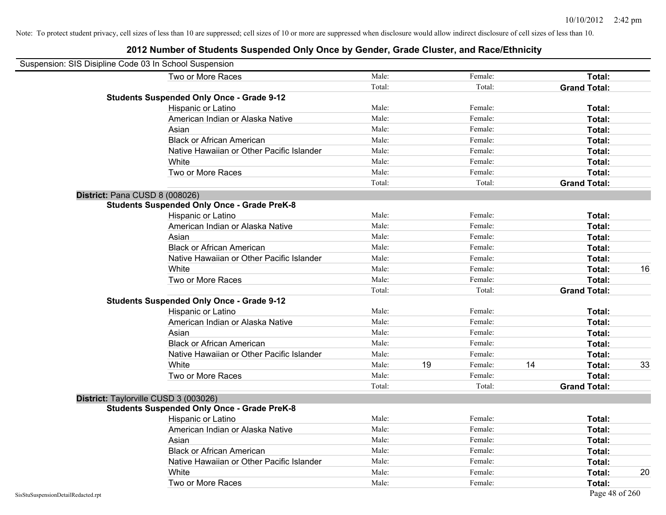| Suspension: SIS Disipline Code 03 In School Suspension |                                                    |        |    |         |    |                     |    |
|--------------------------------------------------------|----------------------------------------------------|--------|----|---------|----|---------------------|----|
|                                                        | Two or More Races                                  | Male:  |    | Female: |    | <b>Total:</b>       |    |
|                                                        |                                                    | Total: |    | Total:  |    | <b>Grand Total:</b> |    |
|                                                        | <b>Students Suspended Only Once - Grade 9-12</b>   |        |    |         |    |                     |    |
|                                                        | Hispanic or Latino                                 | Male:  |    | Female: |    | Total:              |    |
|                                                        | American Indian or Alaska Native                   | Male:  |    | Female: |    | <b>Total:</b>       |    |
|                                                        | Asian                                              | Male:  |    | Female: |    | Total:              |    |
|                                                        | <b>Black or African American</b>                   | Male:  |    | Female: |    | Total:              |    |
|                                                        | Native Hawaiian or Other Pacific Islander          | Male:  |    | Female: |    | Total:              |    |
|                                                        | White                                              | Male:  |    | Female: |    | Total:              |    |
|                                                        | Two or More Races                                  | Male:  |    | Female: |    | <b>Total:</b>       |    |
|                                                        |                                                    | Total: |    | Total:  |    | <b>Grand Total:</b> |    |
|                                                        | District: Pana CUSD 8 (008026)                     |        |    |         |    |                     |    |
|                                                        | <b>Students Suspended Only Once - Grade PreK-8</b> |        |    |         |    |                     |    |
|                                                        | Hispanic or Latino                                 | Male:  |    | Female: |    | Total:              |    |
|                                                        | American Indian or Alaska Native                   | Male:  |    | Female: |    | Total:              |    |
|                                                        | Asian                                              | Male:  |    | Female: |    | Total:              |    |
|                                                        | <b>Black or African American</b>                   | Male:  |    | Female: |    | <b>Total:</b>       |    |
|                                                        | Native Hawaiian or Other Pacific Islander          | Male:  |    | Female: |    | Total:              |    |
|                                                        | White                                              | Male:  |    | Female: |    | Total:              | 16 |
|                                                        | Two or More Races                                  | Male:  |    | Female: |    | Total:              |    |
|                                                        |                                                    | Total: |    | Total:  |    | <b>Grand Total:</b> |    |
|                                                        | <b>Students Suspended Only Once - Grade 9-12</b>   |        |    |         |    |                     |    |
|                                                        | Hispanic or Latino                                 | Male:  |    | Female: |    | Total:              |    |
|                                                        | American Indian or Alaska Native                   | Male:  |    | Female: |    | <b>Total:</b>       |    |
|                                                        | Asian                                              | Male:  |    | Female: |    | <b>Total:</b>       |    |
|                                                        | <b>Black or African American</b>                   | Male:  |    | Female: |    | Total:              |    |
|                                                        | Native Hawaiian or Other Pacific Islander          | Male:  |    | Female: |    | Total:              |    |
|                                                        | White                                              | Male:  | 19 | Female: | 14 | <b>Total:</b>       | 33 |
|                                                        | Two or More Races                                  | Male:  |    | Female: |    | Total:              |    |
|                                                        |                                                    | Total: |    | Total:  |    | <b>Grand Total:</b> |    |
|                                                        | District: Taylorville CUSD 3 (003026)              |        |    |         |    |                     |    |
|                                                        | <b>Students Suspended Only Once - Grade PreK-8</b> |        |    |         |    |                     |    |
|                                                        | Hispanic or Latino                                 | Male:  |    | Female: |    | <b>Total:</b>       |    |
|                                                        | American Indian or Alaska Native                   | Male:  |    | Female: |    | <b>Total:</b>       |    |
|                                                        | Asian                                              | Male:  |    | Female: |    | Total:              |    |
|                                                        | <b>Black or African American</b>                   | Male:  |    | Female: |    | Total:              |    |
|                                                        | Native Hawaiian or Other Pacific Islander          | Male:  |    | Female: |    | Total:              |    |
|                                                        | White                                              | Male:  |    | Female: |    | <b>Total:</b>       | 20 |
|                                                        | Two or More Races                                  | Male:  |    | Female: |    | <b>Total:</b>       |    |
| SisStuSuspensionDetailRedacted.rpt                     |                                                    |        |    |         |    | Page 48 of 260      |    |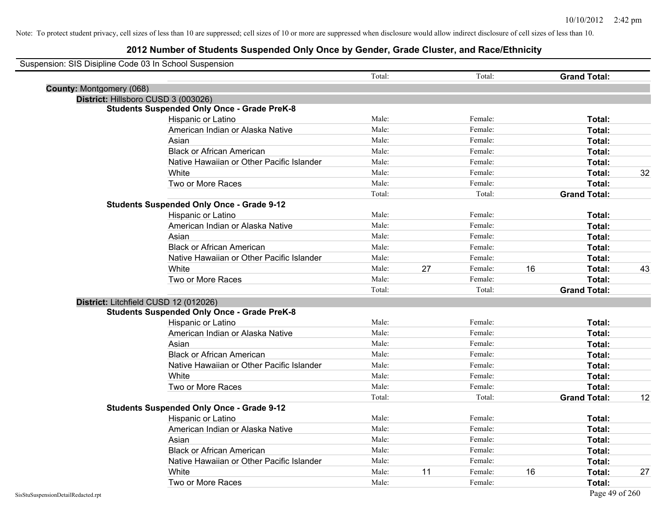|                                 | Suspension: SIS Disipline Code 03 In School Suspension |        |    |         |    |                     |    |
|---------------------------------|--------------------------------------------------------|--------|----|---------|----|---------------------|----|
|                                 |                                                        | Total: |    | Total:  |    | <b>Grand Total:</b> |    |
| <b>County: Montgomery (068)</b> |                                                        |        |    |         |    |                     |    |
|                                 | District: Hillsboro CUSD 3 (003026)                    |        |    |         |    |                     |    |
|                                 | <b>Students Suspended Only Once - Grade PreK-8</b>     |        |    |         |    |                     |    |
|                                 | Hispanic or Latino                                     | Male:  |    | Female: |    | Total:              |    |
|                                 | American Indian or Alaska Native                       | Male:  |    | Female: |    | Total:              |    |
|                                 | Asian                                                  | Male:  |    | Female: |    | Total:              |    |
|                                 | <b>Black or African American</b>                       | Male:  |    | Female: |    | Total:              |    |
|                                 | Native Hawaiian or Other Pacific Islander              | Male:  |    | Female: |    | Total:              |    |
|                                 | White                                                  | Male:  |    | Female: |    | Total:              | 32 |
|                                 | Two or More Races                                      | Male:  |    | Female: |    | Total:              |    |
|                                 |                                                        | Total: |    | Total:  |    | <b>Grand Total:</b> |    |
|                                 | <b>Students Suspended Only Once - Grade 9-12</b>       |        |    |         |    |                     |    |
|                                 | Hispanic or Latino                                     | Male:  |    | Female: |    | Total:              |    |
|                                 | American Indian or Alaska Native                       | Male:  |    | Female: |    | Total:              |    |
|                                 | Asian                                                  | Male:  |    | Female: |    | Total:              |    |
|                                 | <b>Black or African American</b>                       | Male:  |    | Female: |    | Total:              |    |
|                                 | Native Hawaiian or Other Pacific Islander              | Male:  |    | Female: |    | Total:              |    |
|                                 | White                                                  | Male:  | 27 | Female: | 16 | Total:              | 43 |
|                                 | Two or More Races                                      | Male:  |    | Female: |    | Total:              |    |
|                                 |                                                        | Total: |    | Total:  |    | <b>Grand Total:</b> |    |
|                                 | District: Litchfield CUSD 12 (012026)                  |        |    |         |    |                     |    |
|                                 | <b>Students Suspended Only Once - Grade PreK-8</b>     |        |    |         |    |                     |    |
|                                 | Hispanic or Latino                                     | Male:  |    | Female: |    | Total:              |    |
|                                 | American Indian or Alaska Native                       | Male:  |    | Female: |    | Total:              |    |
|                                 | Asian                                                  | Male:  |    | Female: |    | Total:              |    |
|                                 | <b>Black or African American</b>                       | Male:  |    | Female: |    | Total:              |    |
|                                 | Native Hawaiian or Other Pacific Islander              | Male:  |    | Female: |    | Total:              |    |
|                                 | White                                                  | Male:  |    | Female: |    | Total:              |    |
|                                 | Two or More Races                                      | Male:  |    | Female: |    | Total:              |    |
|                                 |                                                        | Total: |    | Total:  |    | <b>Grand Total:</b> | 12 |
|                                 | <b>Students Suspended Only Once - Grade 9-12</b>       |        |    |         |    |                     |    |
|                                 | Hispanic or Latino                                     | Male:  |    | Female: |    | Total:              |    |
|                                 | American Indian or Alaska Native                       | Male:  |    | Female: |    | Total:              |    |
|                                 | Asian                                                  | Male:  |    | Female: |    | Total:              |    |
|                                 | <b>Black or African American</b>                       | Male:  |    | Female: |    | Total:              |    |
|                                 | Native Hawaiian or Other Pacific Islander              | Male:  |    | Female: |    | Total:              |    |
|                                 | White                                                  | Male:  | 11 | Female: | 16 | Total:              | 27 |
|                                 | Two or More Races                                      | Male:  |    | Female: |    | Total:              |    |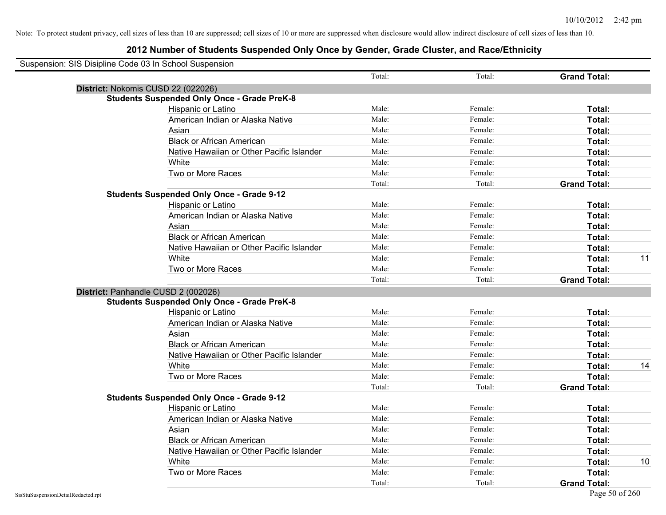| Suspension: SIS Disipline Code 03 In School Suspension |                                                    |        |         |                     |    |
|--------------------------------------------------------|----------------------------------------------------|--------|---------|---------------------|----|
|                                                        |                                                    | Total: | Total:  | <b>Grand Total:</b> |    |
| District: Nokomis CUSD 22 (022026)                     |                                                    |        |         |                     |    |
|                                                        | <b>Students Suspended Only Once - Grade PreK-8</b> |        |         |                     |    |
|                                                        | Hispanic or Latino                                 | Male:  | Female: | Total:              |    |
|                                                        | American Indian or Alaska Native                   | Male:  | Female: | Total:              |    |
| Asian                                                  |                                                    | Male:  | Female: | Total:              |    |
|                                                        | <b>Black or African American</b>                   | Male:  | Female: | Total:              |    |
|                                                        | Native Hawaiian or Other Pacific Islander          | Male:  | Female: | Total:              |    |
| White                                                  |                                                    | Male:  | Female: | Total:              |    |
|                                                        | Two or More Races                                  | Male:  | Female: | Total:              |    |
|                                                        |                                                    | Total: | Total:  | <b>Grand Total:</b> |    |
|                                                        | <b>Students Suspended Only Once - Grade 9-12</b>   |        |         |                     |    |
|                                                        | Hispanic or Latino                                 | Male:  | Female: | Total:              |    |
|                                                        | American Indian or Alaska Native                   | Male:  | Female: | Total:              |    |
|                                                        | Asian                                              | Male:  | Female: | Total:              |    |
|                                                        | <b>Black or African American</b>                   | Male:  | Female: | Total:              |    |
|                                                        | Native Hawaiian or Other Pacific Islander          | Male:  | Female: | Total:              |    |
|                                                        | White                                              | Male:  | Female: | Total:              | 11 |
|                                                        | Two or More Races                                  | Male:  | Female: | Total:              |    |
|                                                        |                                                    | Total: | Total:  | <b>Grand Total:</b> |    |
| District: Panhandle CUSD 2 (002026)                    |                                                    |        |         |                     |    |
|                                                        | <b>Students Suspended Only Once - Grade PreK-8</b> |        |         |                     |    |
|                                                        | Hispanic or Latino                                 | Male:  | Female: | Total:              |    |
|                                                        | American Indian or Alaska Native                   | Male:  | Female: | Total:              |    |
| Asian                                                  |                                                    | Male:  | Female: | Total:              |    |
|                                                        | <b>Black or African American</b>                   | Male:  | Female: | Total:              |    |
|                                                        | Native Hawaiian or Other Pacific Islander          | Male:  | Female: | Total:              |    |
|                                                        | White                                              | Male:  | Female: | Total:              | 14 |
|                                                        | Two or More Races                                  | Male:  | Female: | Total:              |    |
|                                                        |                                                    | Total: | Total:  | <b>Grand Total:</b> |    |
|                                                        | <b>Students Suspended Only Once - Grade 9-12</b>   |        |         |                     |    |
|                                                        | Hispanic or Latino                                 | Male:  | Female: | Total:              |    |
|                                                        | American Indian or Alaska Native                   | Male:  | Female: | Total:              |    |
| Asian                                                  |                                                    | Male:  | Female: | Total:              |    |
|                                                        | <b>Black or African American</b>                   | Male:  | Female: | Total:              |    |
|                                                        | Native Hawaiian or Other Pacific Islander          | Male:  | Female: | Total:              |    |
| White                                                  |                                                    | Male:  | Female: | Total:              | 10 |
|                                                        | Two or More Races                                  | Male:  | Female: | <b>Total:</b>       |    |
|                                                        |                                                    | Total: | Total:  | <b>Grand Total:</b> |    |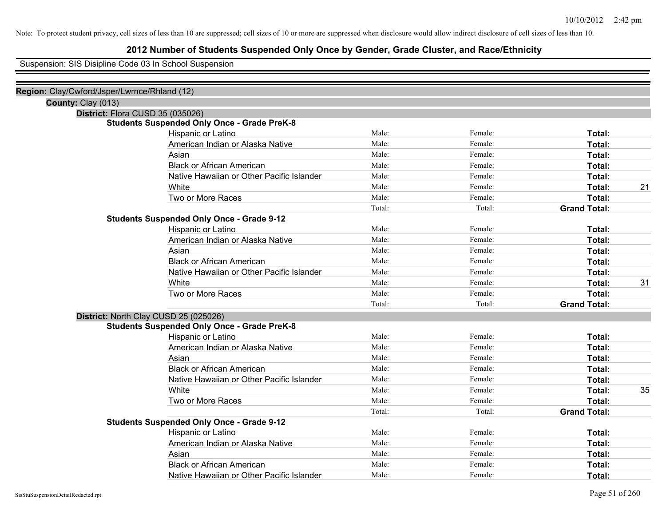### **2012 Number of Students Suspended Only Once by Gender, Grade Cluster, and Race/Ethnicity**

Suspension: SIS Disipline Code 03 In School Suspension

| Region: Clay/Cwford/Jsper/Lwrnce/Rhland (12) |                                                    |        |         |                     |    |
|----------------------------------------------|----------------------------------------------------|--------|---------|---------------------|----|
| County: Clay (013)                           |                                                    |        |         |                     |    |
|                                              | District: Flora CUSD 35 (035026)                   |        |         |                     |    |
|                                              | <b>Students Suspended Only Once - Grade PreK-8</b> |        |         |                     |    |
|                                              | Hispanic or Latino                                 | Male:  | Female: | Total:              |    |
|                                              | American Indian or Alaska Native                   | Male:  | Female: | Total:              |    |
|                                              | Asian                                              | Male:  | Female: | Total:              |    |
|                                              | <b>Black or African American</b>                   | Male:  | Female: | Total:              |    |
|                                              | Native Hawaiian or Other Pacific Islander          | Male:  | Female: | Total:              |    |
|                                              | White                                              | Male:  | Female: | Total:              | 21 |
|                                              | Two or More Races                                  | Male:  | Female: | Total:              |    |
|                                              |                                                    | Total: | Total:  | <b>Grand Total:</b> |    |
|                                              | <b>Students Suspended Only Once - Grade 9-12</b>   |        |         |                     |    |
|                                              | Hispanic or Latino                                 | Male:  | Female: | Total:              |    |
|                                              | American Indian or Alaska Native                   | Male:  | Female: | Total:              |    |
|                                              | Asian                                              | Male:  | Female: | Total:              |    |
|                                              | <b>Black or African American</b>                   | Male:  | Female: | Total:              |    |
|                                              | Native Hawaiian or Other Pacific Islander          | Male:  | Female: | Total:              |    |
|                                              | White                                              | Male:  | Female: | Total:              | 31 |
|                                              | Two or More Races                                  | Male:  | Female: | Total:              |    |
|                                              |                                                    | Total: | Total:  | <b>Grand Total:</b> |    |
|                                              | District: North Clay CUSD 25 (025026)              |        |         |                     |    |
|                                              | <b>Students Suspended Only Once - Grade PreK-8</b> |        |         |                     |    |
|                                              | Hispanic or Latino                                 | Male:  | Female: | Total:              |    |
|                                              | American Indian or Alaska Native                   | Male:  | Female: | Total:              |    |
|                                              | Asian                                              | Male:  | Female: | Total:              |    |
|                                              | <b>Black or African American</b>                   | Male:  | Female: | Total:              |    |
|                                              | Native Hawaiian or Other Pacific Islander          | Male:  | Female: | Total:              |    |
|                                              | White                                              | Male:  | Female: | Total:              | 35 |
|                                              | Two or More Races                                  | Male:  | Female: | Total:              |    |
|                                              |                                                    | Total: | Total:  | <b>Grand Total:</b> |    |
|                                              | <b>Students Suspended Only Once - Grade 9-12</b>   |        |         |                     |    |
|                                              | Hispanic or Latino                                 | Male:  | Female: | Total:              |    |
|                                              | American Indian or Alaska Native                   | Male:  | Female: | Total:              |    |
|                                              | Asian                                              | Male:  | Female: | Total:              |    |
|                                              | <b>Black or African American</b>                   | Male:  | Female: | Total:              |    |
|                                              | Native Hawaiian or Other Pacific Islander          | Male:  | Female: | Total:              |    |
|                                              |                                                    |        |         |                     |    |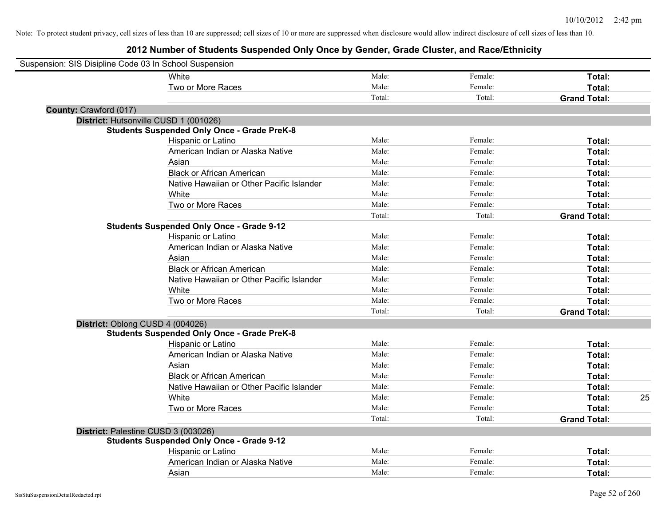| Suspension: SIS Disipline Code 03 In School Suspension |                                                    |        |         |                     |    |
|--------------------------------------------------------|----------------------------------------------------|--------|---------|---------------------|----|
|                                                        | White                                              | Male:  | Female: | Total:              |    |
|                                                        | Two or More Races                                  | Male:  | Female: | Total:              |    |
|                                                        |                                                    | Total: | Total:  | <b>Grand Total:</b> |    |
| County: Crawford (017)                                 |                                                    |        |         |                     |    |
|                                                        | District: Hutsonville CUSD 1 (001026)              |        |         |                     |    |
|                                                        | <b>Students Suspended Only Once - Grade PreK-8</b> |        |         |                     |    |
|                                                        | Hispanic or Latino                                 | Male:  | Female: | Total:              |    |
|                                                        | American Indian or Alaska Native                   | Male:  | Female: | Total:              |    |
|                                                        | Asian                                              | Male:  | Female: | Total:              |    |
|                                                        | <b>Black or African American</b>                   | Male:  | Female: | Total:              |    |
|                                                        | Native Hawaiian or Other Pacific Islander          | Male:  | Female: | Total:              |    |
|                                                        | White                                              | Male:  | Female: | Total:              |    |
|                                                        | Two or More Races                                  | Male:  | Female: | Total:              |    |
|                                                        |                                                    | Total: | Total:  | <b>Grand Total:</b> |    |
|                                                        | <b>Students Suspended Only Once - Grade 9-12</b>   |        |         |                     |    |
|                                                        | Hispanic or Latino                                 | Male:  | Female: | Total:              |    |
|                                                        | American Indian or Alaska Native                   | Male:  | Female: | Total:              |    |
|                                                        | Asian                                              | Male:  | Female: | Total:              |    |
|                                                        | <b>Black or African American</b>                   | Male:  | Female: | Total:              |    |
|                                                        | Native Hawaiian or Other Pacific Islander          | Male:  | Female: | Total:              |    |
|                                                        | White                                              | Male:  | Female: | Total:              |    |
|                                                        | Two or More Races                                  | Male:  | Female: | Total:              |    |
|                                                        |                                                    | Total: | Total:  | <b>Grand Total:</b> |    |
| District: Oblong CUSD 4 (004026)                       |                                                    |        |         |                     |    |
|                                                        | <b>Students Suspended Only Once - Grade PreK-8</b> |        |         |                     |    |
|                                                        | Hispanic or Latino                                 | Male:  | Female: | Total:              |    |
|                                                        | American Indian or Alaska Native                   | Male:  | Female: | Total:              |    |
|                                                        | Asian                                              | Male:  | Female: | Total:              |    |
|                                                        | <b>Black or African American</b>                   | Male:  | Female: | Total:              |    |
|                                                        | Native Hawaiian or Other Pacific Islander          | Male:  | Female: | Total:              |    |
|                                                        | White                                              | Male:  | Female: | Total:              | 25 |
|                                                        | Two or More Races                                  | Male:  | Female: | Total:              |    |
|                                                        |                                                    | Total: | Total:  | <b>Grand Total:</b> |    |
| District: Palestine CUSD 3 (003026)                    |                                                    |        |         |                     |    |
|                                                        | <b>Students Suspended Only Once - Grade 9-12</b>   |        |         |                     |    |
|                                                        | Hispanic or Latino                                 | Male:  | Female: | Total:              |    |
|                                                        | American Indian or Alaska Native                   | Male:  | Female: | Total:              |    |
|                                                        | Asian                                              | Male:  | Female: | Total:              |    |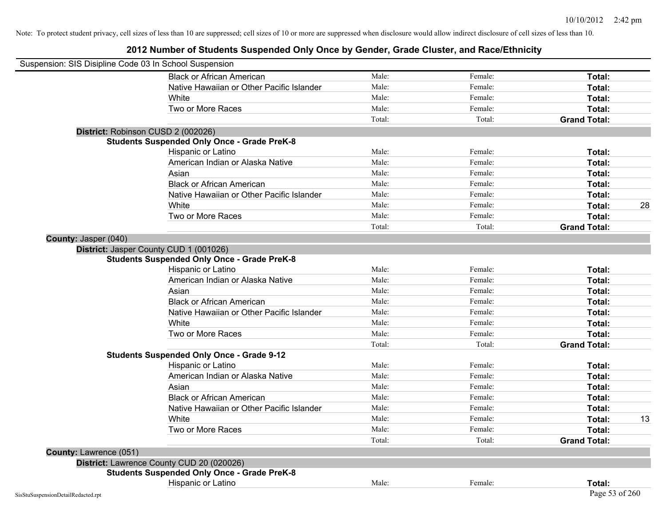|                               | Suspension: SIS Disipline Code 03 In School Suspension |        |         |                     |    |
|-------------------------------|--------------------------------------------------------|--------|---------|---------------------|----|
|                               | <b>Black or African American</b>                       | Male:  | Female: | Total:              |    |
|                               | Native Hawaiian or Other Pacific Islander              | Male:  | Female: | Total:              |    |
|                               | White                                                  | Male:  | Female: | Total:              |    |
|                               | Two or More Races                                      | Male:  | Female: | Total:              |    |
|                               |                                                        | Total: | Total:  | <b>Grand Total:</b> |    |
|                               | District: Robinson CUSD 2 (002026)                     |        |         |                     |    |
|                               | <b>Students Suspended Only Once - Grade PreK-8</b>     |        |         |                     |    |
|                               | Hispanic or Latino                                     | Male:  | Female: | Total:              |    |
|                               | American Indian or Alaska Native                       | Male:  | Female: | Total:              |    |
|                               | Asian                                                  | Male:  | Female: | Total:              |    |
|                               | <b>Black or African American</b>                       | Male:  | Female: | Total:              |    |
|                               | Native Hawaiian or Other Pacific Islander              | Male:  | Female: | Total:              |    |
|                               | White                                                  | Male:  | Female: | Total:              | 28 |
|                               | Two or More Races                                      | Male:  | Female: | Total:              |    |
|                               |                                                        | Total: | Total:  | <b>Grand Total:</b> |    |
| County: Jasper (040)          |                                                        |        |         |                     |    |
|                               | District: Jasper County CUD 1 (001026)                 |        |         |                     |    |
|                               | <b>Students Suspended Only Once - Grade PreK-8</b>     |        |         |                     |    |
|                               | Hispanic or Latino                                     | Male:  | Female: | Total:              |    |
|                               | American Indian or Alaska Native                       | Male:  | Female: | Total:              |    |
|                               | Asian                                                  | Male:  | Female: | Total:              |    |
|                               | <b>Black or African American</b>                       | Male:  | Female: | Total:              |    |
|                               | Native Hawaiian or Other Pacific Islander              | Male:  | Female: | Total:              |    |
|                               | White                                                  | Male:  | Female: | Total:              |    |
|                               | Two or More Races                                      | Male:  | Female: | Total:              |    |
|                               |                                                        | Total: | Total:  | <b>Grand Total:</b> |    |
|                               | <b>Students Suspended Only Once - Grade 9-12</b>       |        |         |                     |    |
|                               | Hispanic or Latino                                     | Male:  | Female: | Total:              |    |
|                               | American Indian or Alaska Native                       | Male:  | Female: | Total:              |    |
|                               | Asian                                                  | Male:  | Female: | Total:              |    |
|                               | <b>Black or African American</b>                       | Male:  | Female: | Total:              |    |
|                               | Native Hawaiian or Other Pacific Islander              | Male:  | Female: | Total:              |    |
|                               | White                                                  | Male:  | Female: | Total:              | 13 |
|                               | Two or More Races                                      | Male:  | Female: | Total:              |    |
|                               |                                                        | Total: | Total:  | <b>Grand Total:</b> |    |
| <b>County: Lawrence (051)</b> |                                                        |        |         |                     |    |
|                               | District: Lawrence County CUD 20 (020026)              |        |         |                     |    |
|                               | <b>Students Suspended Only Once - Grade PreK-8</b>     |        |         |                     |    |
|                               | Hispanic or Latino                                     | Male:  | Female: | Total:              |    |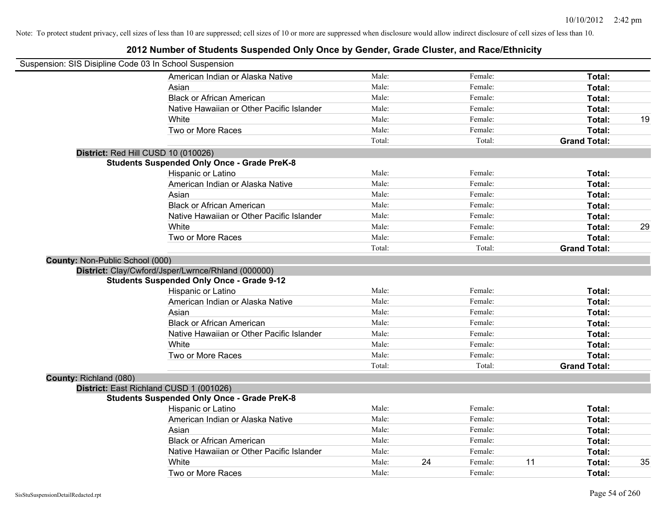| Suspension: SIS Disipline Code 03 In School Suspension |                                                    |        |    |         |                     |    |
|--------------------------------------------------------|----------------------------------------------------|--------|----|---------|---------------------|----|
|                                                        | American Indian or Alaska Native                   | Male:  |    | Female: | Total:              |    |
|                                                        | Asian                                              | Male:  |    | Female: | Total:              |    |
|                                                        | <b>Black or African American</b>                   | Male:  |    | Female: | Total:              |    |
|                                                        | Native Hawaiian or Other Pacific Islander          | Male:  |    | Female: | Total:              |    |
|                                                        | White                                              | Male:  |    | Female: | Total:              | 19 |
|                                                        | Two or More Races                                  | Male:  |    | Female: | Total:              |    |
|                                                        |                                                    | Total: |    | Total:  | <b>Grand Total:</b> |    |
|                                                        | District: Red Hill CUSD 10 (010026)                |        |    |         |                     |    |
|                                                        | <b>Students Suspended Only Once - Grade PreK-8</b> |        |    |         |                     |    |
|                                                        | Hispanic or Latino                                 | Male:  |    | Female: | Total:              |    |
|                                                        | American Indian or Alaska Native                   | Male:  |    | Female: | Total:              |    |
|                                                        | Asian                                              | Male:  |    | Female: | Total:              |    |
|                                                        | <b>Black or African American</b>                   | Male:  |    | Female: | Total:              |    |
|                                                        | Native Hawaiian or Other Pacific Islander          | Male:  |    | Female: | Total:              |    |
|                                                        | White                                              | Male:  |    | Female: | Total:              | 29 |
|                                                        | Two or More Races                                  | Male:  |    | Female: | Total:              |    |
|                                                        |                                                    | Total: |    | Total:  | <b>Grand Total:</b> |    |
| County: Non-Public School (000)                        |                                                    |        |    |         |                     |    |
|                                                        | District: Clay/Cwford/Jsper/Lwrnce/Rhland (000000) |        |    |         |                     |    |
|                                                        | <b>Students Suspended Only Once - Grade 9-12</b>   |        |    |         |                     |    |
|                                                        | Hispanic or Latino                                 | Male:  |    | Female: | Total:              |    |
|                                                        | American Indian or Alaska Native                   | Male:  |    | Female: | Total:              |    |
|                                                        | Asian                                              | Male:  |    | Female: | Total:              |    |
|                                                        | <b>Black or African American</b>                   | Male:  |    | Female: | Total:              |    |
|                                                        | Native Hawaiian or Other Pacific Islander          | Male:  |    | Female: | Total:              |    |
|                                                        | White                                              | Male:  |    | Female: | Total:              |    |
|                                                        | Two or More Races                                  | Male:  |    | Female: | Total:              |    |
|                                                        |                                                    | Total: |    | Total:  | <b>Grand Total:</b> |    |
| County: Richland (080)                                 |                                                    |        |    |         |                     |    |
|                                                        | District: East Richland CUSD 1 (001026)            |        |    |         |                     |    |
|                                                        | <b>Students Suspended Only Once - Grade PreK-8</b> |        |    |         |                     |    |
|                                                        | Hispanic or Latino                                 | Male:  |    | Female: | Total:              |    |
|                                                        | American Indian or Alaska Native                   | Male:  |    | Female: | Total:              |    |
|                                                        | Asian                                              | Male:  |    | Female: | Total:              |    |
|                                                        | <b>Black or African American</b>                   | Male:  |    | Female: | Total:              |    |
|                                                        | Native Hawaiian or Other Pacific Islander          | Male:  |    | Female: | Total:              |    |
|                                                        | White                                              | Male:  | 24 | Female: | 11<br>Total:        | 35 |
|                                                        | Two or More Races                                  | Male:  |    | Female: | Total:              |    |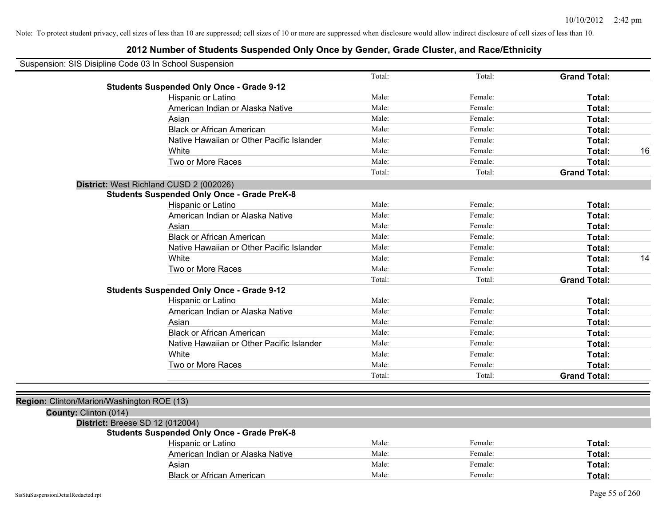| Suspension: SIS Disipline Code 03 In School Suspension |                                                    |        |         |                     |    |
|--------------------------------------------------------|----------------------------------------------------|--------|---------|---------------------|----|
|                                                        |                                                    | Total: | Total:  | <b>Grand Total:</b> |    |
|                                                        | <b>Students Suspended Only Once - Grade 9-12</b>   |        |         |                     |    |
|                                                        | Hispanic or Latino                                 | Male:  | Female: | Total:              |    |
|                                                        | American Indian or Alaska Native                   | Male:  | Female: | Total:              |    |
|                                                        | Asian                                              | Male:  | Female: | Total:              |    |
|                                                        | <b>Black or African American</b>                   | Male:  | Female: | Total:              |    |
|                                                        | Native Hawaiian or Other Pacific Islander          | Male:  | Female: | Total:              |    |
|                                                        | White                                              | Male:  | Female: | Total:              | 16 |
|                                                        | Two or More Races                                  | Male:  | Female: | Total:              |    |
|                                                        |                                                    | Total: | Total:  | <b>Grand Total:</b> |    |
|                                                        | District: West Richland CUSD 2 (002026)            |        |         |                     |    |
|                                                        | <b>Students Suspended Only Once - Grade PreK-8</b> |        |         |                     |    |
|                                                        | Hispanic or Latino                                 | Male:  | Female: | Total:              |    |
|                                                        | American Indian or Alaska Native                   | Male:  | Female: | Total:              |    |
|                                                        | Asian                                              | Male:  | Female: | Total:              |    |
|                                                        | <b>Black or African American</b>                   | Male:  | Female: | Total:              |    |
|                                                        | Native Hawaiian or Other Pacific Islander          | Male:  | Female: | Total:              |    |
|                                                        | White                                              | Male:  | Female: | Total:              | 14 |
|                                                        | Two or More Races                                  | Male:  | Female: | Total:              |    |
|                                                        |                                                    | Total: | Total:  | <b>Grand Total:</b> |    |
|                                                        | <b>Students Suspended Only Once - Grade 9-12</b>   |        |         |                     |    |
|                                                        | Hispanic or Latino                                 | Male:  | Female: | Total:              |    |
|                                                        | American Indian or Alaska Native                   | Male:  | Female: | Total:              |    |
|                                                        | Asian                                              | Male:  | Female: | Total:              |    |
|                                                        | <b>Black or African American</b>                   | Male:  | Female: | Total:              |    |
|                                                        | Native Hawaiian or Other Pacific Islander          | Male:  | Female: | Total:              |    |
|                                                        | White                                              | Male:  | Female: | Total:              |    |
|                                                        | Two or More Races                                  | Male:  | Female: | Total:              |    |
|                                                        |                                                    | Total: | Total:  | <b>Grand Total:</b> |    |
|                                                        |                                                    |        |         |                     |    |
| Region: Clinton/Marion/Washington ROE (13)             |                                                    |        |         |                     |    |
| County: Clinton (014)                                  |                                                    |        |         |                     |    |
| District: Breese SD 12 (012004)                        |                                                    |        |         |                     |    |
|                                                        | <b>Students Suspended Only Once - Grade PreK-8</b> |        |         |                     |    |
|                                                        | Hispanic or Latino                                 | Male:  | Female: | Total:              |    |
|                                                        | American Indian or Alaska Native                   | Male:  | Female: | Total:              |    |
|                                                        | Asian                                              | Male:  | Female: | Total:              |    |
|                                                        | <b>Black or African American</b>                   | Male:  | Female: | Total:              |    |
|                                                        |                                                    |        |         |                     |    |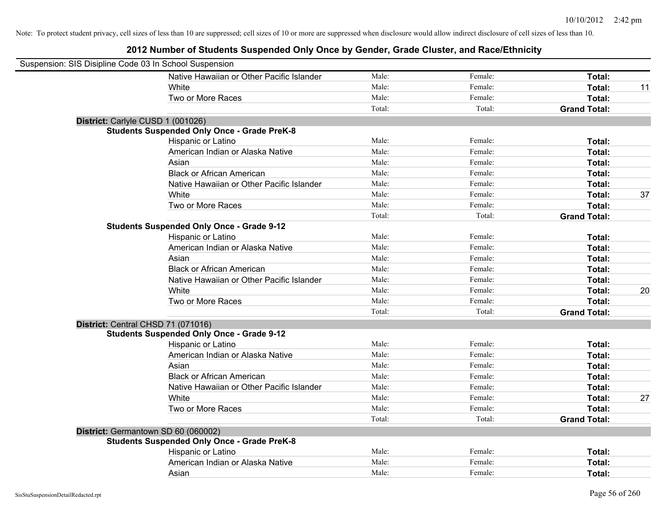| Suspension: SIS Disipline Code 03 In School Suspension |                                                    |        |         |                     |    |
|--------------------------------------------------------|----------------------------------------------------|--------|---------|---------------------|----|
|                                                        | Native Hawaiian or Other Pacific Islander          | Male:  | Female: | Total:              |    |
|                                                        | White                                              | Male:  | Female: | <b>Total:</b>       | 11 |
|                                                        | Two or More Races                                  | Male:  | Female: | Total:              |    |
|                                                        |                                                    | Total: | Total:  | <b>Grand Total:</b> |    |
| District: Carlyle CUSD 1 (001026)                      |                                                    |        |         |                     |    |
|                                                        | <b>Students Suspended Only Once - Grade PreK-8</b> |        |         |                     |    |
|                                                        | Hispanic or Latino                                 | Male:  | Female: | Total:              |    |
|                                                        | American Indian or Alaska Native                   | Male:  | Female: | Total:              |    |
|                                                        | Asian                                              | Male:  | Female: | Total:              |    |
|                                                        | <b>Black or African American</b>                   | Male:  | Female: | Total:              |    |
|                                                        | Native Hawaiian or Other Pacific Islander          | Male:  | Female: | Total:              |    |
|                                                        | White                                              | Male:  | Female: | Total:              | 37 |
|                                                        | Two or More Races                                  | Male:  | Female: | Total:              |    |
|                                                        |                                                    | Total: | Total:  | <b>Grand Total:</b> |    |
|                                                        | <b>Students Suspended Only Once - Grade 9-12</b>   |        |         |                     |    |
|                                                        | Hispanic or Latino                                 | Male:  | Female: | Total:              |    |
|                                                        | American Indian or Alaska Native                   | Male:  | Female: | Total:              |    |
|                                                        | Asian                                              | Male:  | Female: | Total:              |    |
|                                                        | <b>Black or African American</b>                   | Male:  | Female: | Total:              |    |
|                                                        | Native Hawaiian or Other Pacific Islander          | Male:  | Female: | Total:              |    |
|                                                        | White                                              | Male:  | Female: | Total:              | 20 |
|                                                        | Two or More Races                                  | Male:  | Female: | Total:              |    |
|                                                        |                                                    | Total: | Total:  | <b>Grand Total:</b> |    |
| District: Central CHSD 71 (071016)                     |                                                    |        |         |                     |    |
|                                                        | <b>Students Suspended Only Once - Grade 9-12</b>   |        |         |                     |    |
|                                                        | Hispanic or Latino                                 | Male:  | Female: | Total:              |    |
|                                                        | American Indian or Alaska Native                   | Male:  | Female: | Total:              |    |
|                                                        | Asian                                              | Male:  | Female: | Total:              |    |
|                                                        | <b>Black or African American</b>                   | Male:  | Female: | Total:              |    |
|                                                        | Native Hawaiian or Other Pacific Islander          | Male:  | Female: | Total:              |    |
|                                                        | White                                              | Male:  | Female: | Total:              | 27 |
|                                                        | Two or More Races                                  | Male:  | Female: | Total:              |    |
|                                                        |                                                    | Total: | Total:  | <b>Grand Total:</b> |    |
| District: Germantown SD 60 (060002)                    |                                                    |        |         |                     |    |
|                                                        | <b>Students Suspended Only Once - Grade PreK-8</b> |        |         |                     |    |
|                                                        | Hispanic or Latino                                 | Male:  | Female: | Total:              |    |
|                                                        | American Indian or Alaska Native                   | Male:  | Female: | Total:              |    |
|                                                        | Asian                                              | Male:  | Female: | Total:              |    |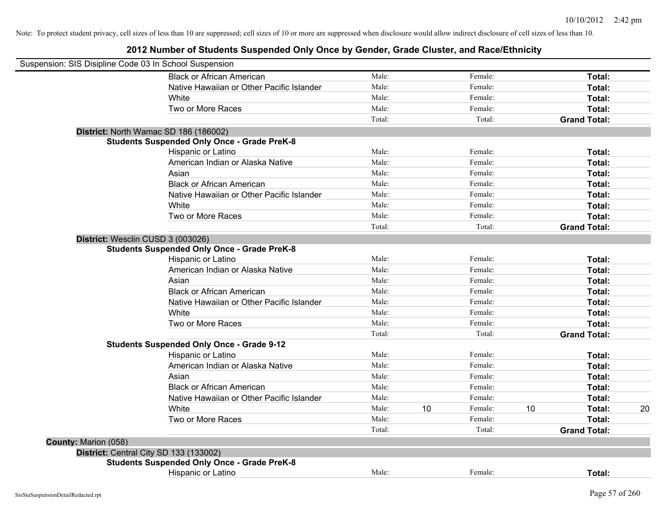| Suspension: SIS Disipline Code 03 In School Suspension |                                                    |        |    |         |    |                     |    |
|--------------------------------------------------------|----------------------------------------------------|--------|----|---------|----|---------------------|----|
|                                                        | <b>Black or African American</b>                   | Male:  |    | Female: |    | Total:              |    |
|                                                        | Native Hawaiian or Other Pacific Islander          | Male:  |    | Female: |    | Total:              |    |
|                                                        | White                                              | Male:  |    | Female: |    | Total:              |    |
|                                                        | Two or More Races                                  | Male:  |    | Female: |    | Total:              |    |
|                                                        |                                                    | Total: |    | Total:  |    | <b>Grand Total:</b> |    |
|                                                        | District: North Wamac SD 186 (186002)              |        |    |         |    |                     |    |
|                                                        | <b>Students Suspended Only Once - Grade PreK-8</b> |        |    |         |    |                     |    |
|                                                        | Hispanic or Latino                                 | Male:  |    | Female: |    | Total:              |    |
|                                                        | American Indian or Alaska Native                   | Male:  |    | Female: |    | Total:              |    |
|                                                        | Asian                                              | Male:  |    | Female: |    | Total:              |    |
|                                                        | <b>Black or African American</b>                   | Male:  |    | Female: |    | Total:              |    |
|                                                        | Native Hawaiian or Other Pacific Islander          | Male:  |    | Female: |    | Total:              |    |
|                                                        | White                                              | Male:  |    | Female: |    | Total:              |    |
|                                                        | Two or More Races                                  | Male:  |    | Female: |    | Total:              |    |
|                                                        |                                                    | Total: |    | Total:  |    | <b>Grand Total:</b> |    |
| District: Wesclin CUSD 3 (003026)                      |                                                    |        |    |         |    |                     |    |
|                                                        | <b>Students Suspended Only Once - Grade PreK-8</b> |        |    |         |    |                     |    |
|                                                        | Hispanic or Latino                                 | Male:  |    | Female: |    | Total:              |    |
|                                                        | American Indian or Alaska Native                   | Male:  |    | Female: |    | Total:              |    |
|                                                        | Asian                                              | Male:  |    | Female: |    | Total:              |    |
|                                                        | <b>Black or African American</b>                   | Male:  |    | Female: |    | Total:              |    |
|                                                        | Native Hawaiian or Other Pacific Islander          | Male:  |    | Female: |    | Total:              |    |
|                                                        | White                                              | Male:  |    | Female: |    | Total:              |    |
|                                                        | Two or More Races                                  | Male:  |    | Female: |    | Total:              |    |
|                                                        |                                                    | Total: |    | Total:  |    | <b>Grand Total:</b> |    |
|                                                        | <b>Students Suspended Only Once - Grade 9-12</b>   |        |    |         |    |                     |    |
|                                                        | Hispanic or Latino                                 | Male:  |    | Female: |    | Total:              |    |
|                                                        | American Indian or Alaska Native                   | Male:  |    | Female: |    | Total:              |    |
|                                                        | Asian                                              | Male:  |    | Female: |    | Total:              |    |
|                                                        | <b>Black or African American</b>                   | Male:  |    | Female: |    | Total:              |    |
|                                                        | Native Hawaiian or Other Pacific Islander          | Male:  |    | Female: |    | Total:              |    |
|                                                        | White                                              | Male:  | 10 | Female: | 10 | Total:              | 20 |
|                                                        | Two or More Races                                  | Male:  |    | Female: |    | Total:              |    |
|                                                        |                                                    | Total: |    | Total:  |    | <b>Grand Total:</b> |    |
| County: Marion (058)                                   |                                                    |        |    |         |    |                     |    |
|                                                        | District: Central City SD 133 (133002)             |        |    |         |    |                     |    |
|                                                        | <b>Students Suspended Only Once - Grade PreK-8</b> |        |    |         |    |                     |    |
|                                                        | Hispanic or Latino                                 | Male:  |    | Female: |    | Total:              |    |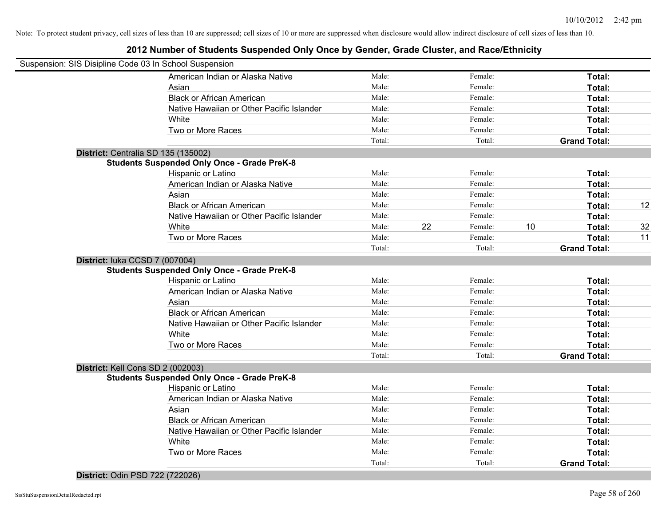### **2012 Number of Students Suspended Only Once by Gender, Grade Cluster, and Race/Ethnicity**

|                                   | Suspension: SIS Disipline Code 03 In School Suspension |        |    |         |    |                     |    |
|-----------------------------------|--------------------------------------------------------|--------|----|---------|----|---------------------|----|
|                                   | American Indian or Alaska Native                       | Male:  |    | Female: |    | Total:              |    |
|                                   | Asian                                                  | Male:  |    | Female: |    | Total:              |    |
|                                   | <b>Black or African American</b>                       | Male:  |    | Female: |    | Total:              |    |
|                                   | Native Hawaiian or Other Pacific Islander              | Male:  |    | Female: |    | Total:              |    |
|                                   | White                                                  | Male:  |    | Female: |    | Total:              |    |
|                                   | Two or More Races                                      | Male:  |    | Female: |    | Total:              |    |
|                                   |                                                        | Total: |    | Total:  |    | <b>Grand Total:</b> |    |
|                                   | District: Centralia SD 135 (135002)                    |        |    |         |    |                     |    |
|                                   | <b>Students Suspended Only Once - Grade PreK-8</b>     |        |    |         |    |                     |    |
|                                   | Hispanic or Latino                                     | Male:  |    | Female: |    | Total:              |    |
|                                   | American Indian or Alaska Native                       | Male:  |    | Female: |    | Total:              |    |
|                                   | Asian                                                  | Male:  |    | Female: |    | Total:              |    |
|                                   | <b>Black or African American</b>                       | Male:  |    | Female: |    | Total:              | 12 |
|                                   | Native Hawaiian or Other Pacific Islander              | Male:  |    | Female: |    | Total:              |    |
|                                   | White                                                  | Male:  | 22 | Female: | 10 | Total:              | 32 |
|                                   | Two or More Races                                      | Male:  |    | Female: |    | Total:              | 11 |
|                                   |                                                        | Total: |    | Total:  |    | <b>Grand Total:</b> |    |
| District: luka CCSD 7 (007004)    |                                                        |        |    |         |    |                     |    |
|                                   | <b>Students Suspended Only Once - Grade PreK-8</b>     |        |    |         |    |                     |    |
|                                   | Hispanic or Latino                                     | Male:  |    | Female: |    | Total:              |    |
|                                   | American Indian or Alaska Native                       | Male:  |    | Female: |    | Total:              |    |
|                                   | Asian                                                  | Male:  |    | Female: |    | Total:              |    |
|                                   | <b>Black or African American</b>                       | Male:  |    | Female: |    | Total:              |    |
|                                   | Native Hawaiian or Other Pacific Islander              | Male:  |    | Female: |    | Total:              |    |
|                                   | White                                                  | Male:  |    | Female: |    | Total:              |    |
|                                   | Two or More Races                                      | Male:  |    | Female: |    | Total:              |    |
|                                   |                                                        | Total: |    | Total:  |    | <b>Grand Total:</b> |    |
| District: Kell Cons SD 2 (002003) |                                                        |        |    |         |    |                     |    |
|                                   | <b>Students Suspended Only Once - Grade PreK-8</b>     |        |    |         |    |                     |    |
|                                   | Hispanic or Latino                                     | Male:  |    | Female: |    | Total:              |    |
|                                   | American Indian or Alaska Native                       | Male:  |    | Female: |    | Total:              |    |
|                                   | Asian                                                  | Male:  |    | Female: |    | Total:              |    |
|                                   | <b>Black or African American</b>                       | Male:  |    | Female: |    | Total:              |    |
|                                   | Native Hawaiian or Other Pacific Islander              | Male:  |    | Female: |    | Total:              |    |
|                                   | White                                                  | Male:  |    | Female: |    | Total:              |    |
|                                   | Two or More Races                                      | Male:  |    | Female: |    | Total:              |    |
|                                   |                                                        | Total: |    | Total:  |    | <b>Grand Total:</b> |    |
|                                   |                                                        |        |    |         |    |                     |    |

#### **District:** Odin PSD 722 (722026)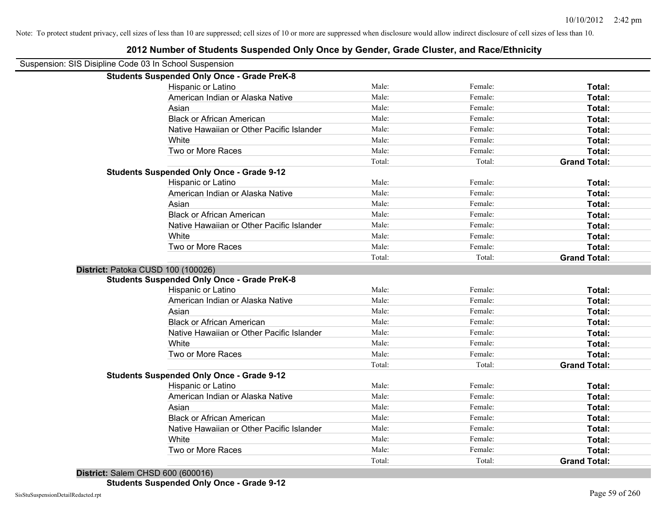| Suspension: SIS Disipline Code 03 In School Suspension |                                                    |                 |                   |                               |
|--------------------------------------------------------|----------------------------------------------------|-----------------|-------------------|-------------------------------|
|                                                        | <b>Students Suspended Only Once - Grade PreK-8</b> |                 |                   |                               |
|                                                        | Hispanic or Latino                                 | Male:           | Female:           | Total:                        |
|                                                        | American Indian or Alaska Native                   | Male:           | Female:           | Total:                        |
|                                                        | Asian                                              | Male:           | Female:           | Total:                        |
|                                                        | <b>Black or African American</b>                   | Male:           | Female:           | Total:                        |
|                                                        | Native Hawaiian or Other Pacific Islander          | Male:           | Female:           | Total:                        |
|                                                        | White                                              | Male:           | Female:           | Total:                        |
|                                                        | Two or More Races                                  | Male:           | Female:           | Total:                        |
|                                                        |                                                    | Total:          | Total:            | <b>Grand Total:</b>           |
|                                                        | <b>Students Suspended Only Once - Grade 9-12</b>   |                 |                   |                               |
|                                                        | Hispanic or Latino                                 | Male:           | Female:           | Total:                        |
|                                                        | American Indian or Alaska Native                   | Male:           | Female:           | Total:                        |
|                                                        | Asian                                              | Male:           | Female:           | Total:                        |
|                                                        | <b>Black or African American</b>                   | Male:           | Female:           | Total:                        |
|                                                        | Native Hawaiian or Other Pacific Islander          | Male:           | Female:           | Total:                        |
|                                                        | White                                              | Male:           | Female:           | Total:                        |
|                                                        | Two or More Races                                  | Male:           | Female:           | Total:                        |
|                                                        |                                                    | Total:          | Total:            | <b>Grand Total:</b>           |
| District: Patoka CUSD 100 (100026)                     |                                                    |                 |                   |                               |
|                                                        | <b>Students Suspended Only Once - Grade PreK-8</b> |                 |                   |                               |
|                                                        | Hispanic or Latino                                 | Male:           | Female:           | Total:                        |
|                                                        | American Indian or Alaska Native                   | Male:           | Female:           | Total:                        |
|                                                        | Asian                                              | Male:           | Female:           | Total:                        |
|                                                        | <b>Black or African American</b>                   | Male:           | Female:           | Total:                        |
|                                                        | Native Hawaiian or Other Pacific Islander          | Male:           | Female:           | Total:                        |
|                                                        | White                                              | Male:           | Female:           | Total:                        |
|                                                        | Two or More Races                                  | Male:           | Female:           | Total:                        |
|                                                        |                                                    | Total:          | Total:            | <b>Grand Total:</b>           |
|                                                        | <b>Students Suspended Only Once - Grade 9-12</b>   |                 |                   |                               |
|                                                        | Hispanic or Latino                                 | Male:           | Female:           | Total:                        |
|                                                        | American Indian or Alaska Native                   | Male:           | Female:           | Total:                        |
|                                                        | Asian                                              | Male:           | Female:           | Total:                        |
|                                                        | <b>Black or African American</b>                   | Male:           | Female:           | Total:                        |
|                                                        | Native Hawaiian or Other Pacific Islander          | Male:           | Female:           | Total:                        |
|                                                        | White                                              | Male:           | Female:           | Total:                        |
|                                                        |                                                    |                 |                   |                               |
|                                                        | Two or More Races                                  | Male:<br>Total: | Female:<br>Total: | Total:<br><b>Grand Total:</b> |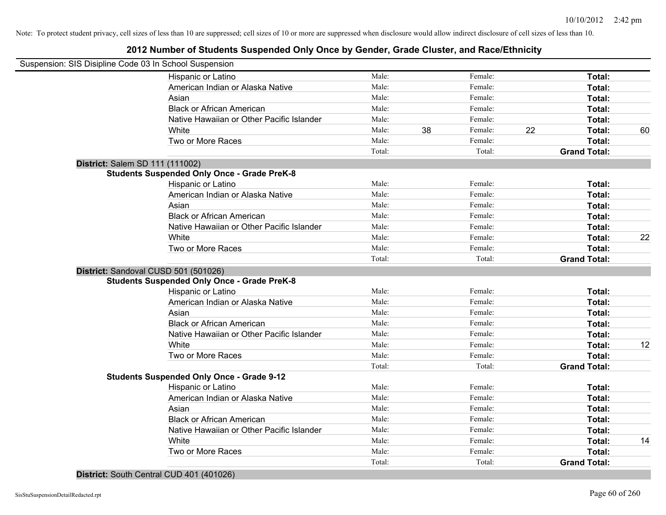### **2012 Number of Students Suspended Only Once by Gender, Grade Cluster, and Race/Ethnicity**

|                                 | Suspension: SIS Disipline Code 03 In School Suspension |        |    |         |    |                     |    |
|---------------------------------|--------------------------------------------------------|--------|----|---------|----|---------------------|----|
|                                 | Hispanic or Latino                                     | Male:  |    | Female: |    | Total:              |    |
|                                 | American Indian or Alaska Native                       | Male:  |    | Female: |    | Total:              |    |
|                                 | Asian                                                  | Male:  |    | Female: |    | Total:              |    |
|                                 | <b>Black or African American</b>                       | Male:  |    | Female: |    | Total:              |    |
|                                 | Native Hawaiian or Other Pacific Islander              | Male:  |    | Female: |    | Total:              |    |
|                                 | White                                                  | Male:  | 38 | Female: | 22 | Total:              | 60 |
|                                 | Two or More Races                                      | Male:  |    | Female: |    | Total:              |    |
|                                 |                                                        | Total: |    | Total:  |    | <b>Grand Total:</b> |    |
| District: Salem SD 111 (111002) |                                                        |        |    |         |    |                     |    |
|                                 | <b>Students Suspended Only Once - Grade PreK-8</b>     |        |    |         |    |                     |    |
|                                 | Hispanic or Latino                                     | Male:  |    | Female: |    | Total:              |    |
|                                 | American Indian or Alaska Native                       | Male:  |    | Female: |    | Total:              |    |
|                                 | Asian                                                  | Male:  |    | Female: |    | Total:              |    |
|                                 | <b>Black or African American</b>                       | Male:  |    | Female: |    | Total:              |    |
|                                 | Native Hawaiian or Other Pacific Islander              | Male:  |    | Female: |    | Total:              |    |
|                                 | White                                                  | Male:  |    | Female: |    | Total:              | 22 |
|                                 | Two or More Races                                      | Male:  |    | Female: |    | Total:              |    |
|                                 |                                                        | Total: |    | Total:  |    | <b>Grand Total:</b> |    |
|                                 | District: Sandoval CUSD 501 (501026)                   |        |    |         |    |                     |    |
|                                 | <b>Students Suspended Only Once - Grade PreK-8</b>     |        |    |         |    |                     |    |
|                                 | Hispanic or Latino                                     | Male:  |    | Female: |    | Total:              |    |
|                                 | American Indian or Alaska Native                       | Male:  |    | Female: |    | Total:              |    |
|                                 | Asian                                                  | Male:  |    | Female: |    | Total:              |    |
|                                 | <b>Black or African American</b>                       | Male:  |    | Female: |    | Total:              |    |
|                                 | Native Hawaiian or Other Pacific Islander              | Male:  |    | Female: |    | Total:              |    |
|                                 | White                                                  | Male:  |    | Female: |    | Total:              | 12 |
|                                 | Two or More Races                                      | Male:  |    | Female: |    | Total:              |    |
|                                 |                                                        | Total: |    | Total:  |    | <b>Grand Total:</b> |    |
|                                 | <b>Students Suspended Only Once - Grade 9-12</b>       |        |    |         |    |                     |    |
|                                 | Hispanic or Latino                                     | Male:  |    | Female: |    | Total:              |    |
|                                 | American Indian or Alaska Native                       | Male:  |    | Female: |    | Total:              |    |
|                                 | Asian                                                  | Male:  |    | Female: |    | Total:              |    |
|                                 | <b>Black or African American</b>                       | Male:  |    | Female: |    | Total:              |    |
|                                 | Native Hawaiian or Other Pacific Islander              | Male:  |    | Female: |    | Total:              |    |
|                                 | White                                                  | Male:  |    | Female: |    | Total:              | 14 |
|                                 | Two or More Races                                      | Male:  |    | Female: |    | Total:              |    |
|                                 |                                                        | Total: |    | Total:  |    | <b>Grand Total:</b> |    |
|                                 |                                                        |        |    |         |    |                     |    |

**District:** South Central CUD 401 (401026)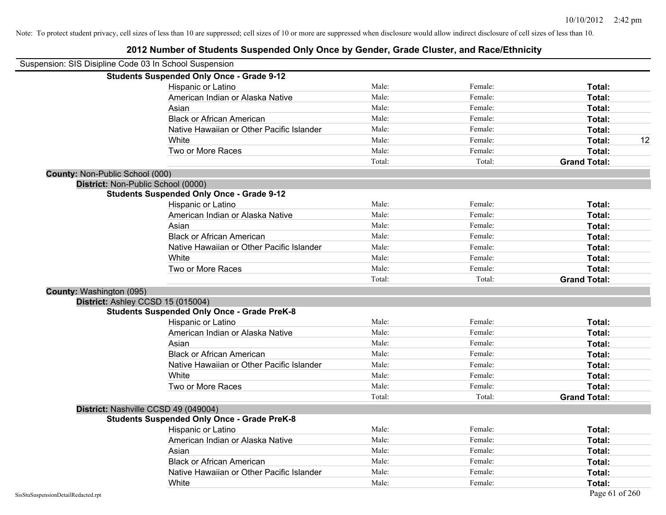| Suspension: SIS Disipline Code 03 In School Suspension |                                                    |        |         |                     |    |
|--------------------------------------------------------|----------------------------------------------------|--------|---------|---------------------|----|
|                                                        | <b>Students Suspended Only Once - Grade 9-12</b>   |        |         |                     |    |
|                                                        | Hispanic or Latino                                 | Male:  | Female: | Total:              |    |
|                                                        | American Indian or Alaska Native                   | Male:  | Female: | Total:              |    |
|                                                        | Asian                                              | Male:  | Female: | Total:              |    |
|                                                        | <b>Black or African American</b>                   | Male:  | Female: | Total:              |    |
|                                                        | Native Hawaiian or Other Pacific Islander          | Male:  | Female: | Total:              |    |
|                                                        | White                                              | Male:  | Female: | Total:              | 12 |
|                                                        | Two or More Races                                  | Male:  | Female: | Total:              |    |
|                                                        |                                                    | Total: | Total:  | <b>Grand Total:</b> |    |
| <b>County: Non-Public School (000)</b>                 |                                                    |        |         |                     |    |
|                                                        | District: Non-Public School (0000)                 |        |         |                     |    |
|                                                        | <b>Students Suspended Only Once - Grade 9-12</b>   |        |         |                     |    |
|                                                        | Hispanic or Latino                                 | Male:  | Female: | Total:              |    |
|                                                        | American Indian or Alaska Native                   | Male:  | Female: | Total:              |    |
|                                                        | Asian                                              | Male:  | Female: | Total:              |    |
|                                                        | <b>Black or African American</b>                   | Male:  | Female: | Total:              |    |
|                                                        | Native Hawaiian or Other Pacific Islander          | Male:  | Female: | Total:              |    |
|                                                        | White                                              | Male:  | Female: | Total:              |    |
|                                                        | Two or More Races                                  | Male:  | Female: | Total:              |    |
|                                                        |                                                    | Total: | Total:  | <b>Grand Total:</b> |    |
| County: Washington (095)                               |                                                    |        |         |                     |    |
|                                                        | District: Ashley CCSD 15 (015004)                  |        |         |                     |    |
|                                                        | <b>Students Suspended Only Once - Grade PreK-8</b> |        |         |                     |    |
|                                                        | Hispanic or Latino                                 | Male:  | Female: | Total:              |    |
|                                                        | American Indian or Alaska Native                   | Male:  | Female: | Total:              |    |
|                                                        | Asian                                              | Male:  | Female: | Total:              |    |
|                                                        | <b>Black or African American</b>                   | Male:  | Female: | Total:              |    |
|                                                        | Native Hawaiian or Other Pacific Islander          | Male:  | Female: | Total:              |    |
|                                                        | White                                              | Male:  | Female: | Total:              |    |
|                                                        | Two or More Races                                  | Male:  | Female: | Total:              |    |
|                                                        |                                                    | Total: | Total:  | <b>Grand Total:</b> |    |
|                                                        | District: Nashville CCSD 49 (049004)               |        |         |                     |    |
|                                                        | <b>Students Suspended Only Once - Grade PreK-8</b> |        |         |                     |    |
|                                                        | <b>Hispanic or Latino</b>                          | Male:  | Female: | Total:              |    |
|                                                        | American Indian or Alaska Native                   | Male:  | Female: | Total:              |    |
|                                                        | Asian                                              | Male:  | Female: | Total:              |    |
|                                                        | <b>Black or African American</b>                   | Male:  | Female: | Total:              |    |
|                                                        | Native Hawaiian or Other Pacific Islander          | Male:  | Female: | Total:              |    |
|                                                        | White                                              | Male:  | Female: | Total:              |    |
| SisStuSuspensionDetailRedacted.rpt                     |                                                    |        |         | Page 61 of 260      |    |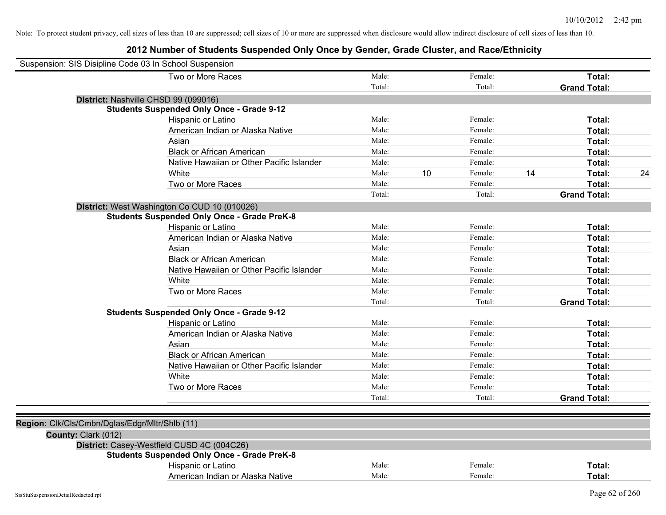| Male:<br>Female:<br>Total:<br>Two or More Races<br>Total:<br>Total:<br><b>Grand Total:</b><br>District: Nashville CHSD 99 (099016)<br><b>Students Suspended Only Once - Grade 9-12</b><br>Hispanic or Latino<br>Male:<br>Female:<br>Total:<br>American Indian or Alaska Native<br>Male:<br>Female:<br>Total:<br>Male:<br>Female:<br>Asian<br>Total:<br>Male:<br><b>Black or African American</b><br>Female:<br>Total:<br>Native Hawaiian or Other Pacific Islander<br>Male:<br>Female:<br>Total:<br>10<br>White<br>Male:<br>14<br>Female:<br>Total:<br>Two or More Races<br>Male:<br>Female:<br>Total:<br>Total:<br>Total:<br><b>Grand Total:</b><br>District: West Washington Co CUD 10 (010026)<br><b>Students Suspended Only Once - Grade PreK-8</b><br>Male:<br>Female:<br>Total:<br>Hispanic or Latino<br>Male:<br>Female:<br>American Indian or Alaska Native<br>Total:<br>Male:<br>Female:<br>Asian<br>Total:<br>Male:<br>Female:<br><b>Black or African American</b><br>Total:<br>Male:<br>Native Hawaiian or Other Pacific Islander<br>Female:<br>Total:<br>Male:<br>White<br>Female:<br>Total:<br>Two or More Races<br>Male:<br>Female:<br>Total:<br>Total:<br><b>Grand Total:</b><br>Total:<br><b>Students Suspended Only Once - Grade 9-12</b><br>Male:<br>Female:<br>Hispanic or Latino<br>Total:<br>Male:<br>Female:<br>American Indian or Alaska Native<br>Total:<br>Male:<br>Asian<br>Female:<br>Total:<br>Male:<br><b>Black or African American</b><br>Female:<br>Total:<br>Male:<br>Female:<br>Native Hawaiian or Other Pacific Islander<br>Total:<br>Female:<br>White<br>Male:<br>Total:<br>Two or More Races<br>Male:<br>Female:<br>Total:<br>Total:<br>Total:<br><b>Grand Total:</b><br>Region: Clk/Cls/Cmbn/Dglas/Edgr/Mltr/Shlb (11)<br>County: Clark (012)<br>District: Casey-Westfield CUSD 4C (004C26)<br><b>Students Suspended Only Once - Grade PreK-8</b><br>Male:<br>Female:<br>Hispanic or Latino<br>Total:<br>Male:<br>Female:<br>American Indian or Alaska Native<br>Total: | Suspension: SIS Disipline Code 03 In School Suspension |  |  |    |
|--------------------------------------------------------------------------------------------------------------------------------------------------------------------------------------------------------------------------------------------------------------------------------------------------------------------------------------------------------------------------------------------------------------------------------------------------------------------------------------------------------------------------------------------------------------------------------------------------------------------------------------------------------------------------------------------------------------------------------------------------------------------------------------------------------------------------------------------------------------------------------------------------------------------------------------------------------------------------------------------------------------------------------------------------------------------------------------------------------------------------------------------------------------------------------------------------------------------------------------------------------------------------------------------------------------------------------------------------------------------------------------------------------------------------------------------------------------------------------------------------------------------------------------------------------------------------------------------------------------------------------------------------------------------------------------------------------------------------------------------------------------------------------------------------------------------------------------------------------------------------------------------------------------------------------------------------------------------------------------------------------------|--------------------------------------------------------|--|--|----|
|                                                                                                                                                                                                                                                                                                                                                                                                                                                                                                                                                                                                                                                                                                                                                                                                                                                                                                                                                                                                                                                                                                                                                                                                                                                                                                                                                                                                                                                                                                                                                                                                                                                                                                                                                                                                                                                                                                                                                                                                              |                                                        |  |  |    |
|                                                                                                                                                                                                                                                                                                                                                                                                                                                                                                                                                                                                                                                                                                                                                                                                                                                                                                                                                                                                                                                                                                                                                                                                                                                                                                                                                                                                                                                                                                                                                                                                                                                                                                                                                                                                                                                                                                                                                                                                              |                                                        |  |  |    |
|                                                                                                                                                                                                                                                                                                                                                                                                                                                                                                                                                                                                                                                                                                                                                                                                                                                                                                                                                                                                                                                                                                                                                                                                                                                                                                                                                                                                                                                                                                                                                                                                                                                                                                                                                                                                                                                                                                                                                                                                              |                                                        |  |  |    |
|                                                                                                                                                                                                                                                                                                                                                                                                                                                                                                                                                                                                                                                                                                                                                                                                                                                                                                                                                                                                                                                                                                                                                                                                                                                                                                                                                                                                                                                                                                                                                                                                                                                                                                                                                                                                                                                                                                                                                                                                              |                                                        |  |  |    |
|                                                                                                                                                                                                                                                                                                                                                                                                                                                                                                                                                                                                                                                                                                                                                                                                                                                                                                                                                                                                                                                                                                                                                                                                                                                                                                                                                                                                                                                                                                                                                                                                                                                                                                                                                                                                                                                                                                                                                                                                              |                                                        |  |  |    |
|                                                                                                                                                                                                                                                                                                                                                                                                                                                                                                                                                                                                                                                                                                                                                                                                                                                                                                                                                                                                                                                                                                                                                                                                                                                                                                                                                                                                                                                                                                                                                                                                                                                                                                                                                                                                                                                                                                                                                                                                              |                                                        |  |  |    |
|                                                                                                                                                                                                                                                                                                                                                                                                                                                                                                                                                                                                                                                                                                                                                                                                                                                                                                                                                                                                                                                                                                                                                                                                                                                                                                                                                                                                                                                                                                                                                                                                                                                                                                                                                                                                                                                                                                                                                                                                              |                                                        |  |  |    |
|                                                                                                                                                                                                                                                                                                                                                                                                                                                                                                                                                                                                                                                                                                                                                                                                                                                                                                                                                                                                                                                                                                                                                                                                                                                                                                                                                                                                                                                                                                                                                                                                                                                                                                                                                                                                                                                                                                                                                                                                              |                                                        |  |  |    |
|                                                                                                                                                                                                                                                                                                                                                                                                                                                                                                                                                                                                                                                                                                                                                                                                                                                                                                                                                                                                                                                                                                                                                                                                                                                                                                                                                                                                                                                                                                                                                                                                                                                                                                                                                                                                                                                                                                                                                                                                              |                                                        |  |  |    |
|                                                                                                                                                                                                                                                                                                                                                                                                                                                                                                                                                                                                                                                                                                                                                                                                                                                                                                                                                                                                                                                                                                                                                                                                                                                                                                                                                                                                                                                                                                                                                                                                                                                                                                                                                                                                                                                                                                                                                                                                              |                                                        |  |  | 24 |
|                                                                                                                                                                                                                                                                                                                                                                                                                                                                                                                                                                                                                                                                                                                                                                                                                                                                                                                                                                                                                                                                                                                                                                                                                                                                                                                                                                                                                                                                                                                                                                                                                                                                                                                                                                                                                                                                                                                                                                                                              |                                                        |  |  |    |
|                                                                                                                                                                                                                                                                                                                                                                                                                                                                                                                                                                                                                                                                                                                                                                                                                                                                                                                                                                                                                                                                                                                                                                                                                                                                                                                                                                                                                                                                                                                                                                                                                                                                                                                                                                                                                                                                                                                                                                                                              |                                                        |  |  |    |
|                                                                                                                                                                                                                                                                                                                                                                                                                                                                                                                                                                                                                                                                                                                                                                                                                                                                                                                                                                                                                                                                                                                                                                                                                                                                                                                                                                                                                                                                                                                                                                                                                                                                                                                                                                                                                                                                                                                                                                                                              |                                                        |  |  |    |
|                                                                                                                                                                                                                                                                                                                                                                                                                                                                                                                                                                                                                                                                                                                                                                                                                                                                                                                                                                                                                                                                                                                                                                                                                                                                                                                                                                                                                                                                                                                                                                                                                                                                                                                                                                                                                                                                                                                                                                                                              |                                                        |  |  |    |
|                                                                                                                                                                                                                                                                                                                                                                                                                                                                                                                                                                                                                                                                                                                                                                                                                                                                                                                                                                                                                                                                                                                                                                                                                                                                                                                                                                                                                                                                                                                                                                                                                                                                                                                                                                                                                                                                                                                                                                                                              |                                                        |  |  |    |
|                                                                                                                                                                                                                                                                                                                                                                                                                                                                                                                                                                                                                                                                                                                                                                                                                                                                                                                                                                                                                                                                                                                                                                                                                                                                                                                                                                                                                                                                                                                                                                                                                                                                                                                                                                                                                                                                                                                                                                                                              |                                                        |  |  |    |
|                                                                                                                                                                                                                                                                                                                                                                                                                                                                                                                                                                                                                                                                                                                                                                                                                                                                                                                                                                                                                                                                                                                                                                                                                                                                                                                                                                                                                                                                                                                                                                                                                                                                                                                                                                                                                                                                                                                                                                                                              |                                                        |  |  |    |
|                                                                                                                                                                                                                                                                                                                                                                                                                                                                                                                                                                                                                                                                                                                                                                                                                                                                                                                                                                                                                                                                                                                                                                                                                                                                                                                                                                                                                                                                                                                                                                                                                                                                                                                                                                                                                                                                                                                                                                                                              |                                                        |  |  |    |
|                                                                                                                                                                                                                                                                                                                                                                                                                                                                                                                                                                                                                                                                                                                                                                                                                                                                                                                                                                                                                                                                                                                                                                                                                                                                                                                                                                                                                                                                                                                                                                                                                                                                                                                                                                                                                                                                                                                                                                                                              |                                                        |  |  |    |
|                                                                                                                                                                                                                                                                                                                                                                                                                                                                                                                                                                                                                                                                                                                                                                                                                                                                                                                                                                                                                                                                                                                                                                                                                                                                                                                                                                                                                                                                                                                                                                                                                                                                                                                                                                                                                                                                                                                                                                                                              |                                                        |  |  |    |
|                                                                                                                                                                                                                                                                                                                                                                                                                                                                                                                                                                                                                                                                                                                                                                                                                                                                                                                                                                                                                                                                                                                                                                                                                                                                                                                                                                                                                                                                                                                                                                                                                                                                                                                                                                                                                                                                                                                                                                                                              |                                                        |  |  |    |
|                                                                                                                                                                                                                                                                                                                                                                                                                                                                                                                                                                                                                                                                                                                                                                                                                                                                                                                                                                                                                                                                                                                                                                                                                                                                                                                                                                                                                                                                                                                                                                                                                                                                                                                                                                                                                                                                                                                                                                                                              |                                                        |  |  |    |
|                                                                                                                                                                                                                                                                                                                                                                                                                                                                                                                                                                                                                                                                                                                                                                                                                                                                                                                                                                                                                                                                                                                                                                                                                                                                                                                                                                                                                                                                                                                                                                                                                                                                                                                                                                                                                                                                                                                                                                                                              |                                                        |  |  |    |
|                                                                                                                                                                                                                                                                                                                                                                                                                                                                                                                                                                                                                                                                                                                                                                                                                                                                                                                                                                                                                                                                                                                                                                                                                                                                                                                                                                                                                                                                                                                                                                                                                                                                                                                                                                                                                                                                                                                                                                                                              |                                                        |  |  |    |
|                                                                                                                                                                                                                                                                                                                                                                                                                                                                                                                                                                                                                                                                                                                                                                                                                                                                                                                                                                                                                                                                                                                                                                                                                                                                                                                                                                                                                                                                                                                                                                                                                                                                                                                                                                                                                                                                                                                                                                                                              |                                                        |  |  |    |
|                                                                                                                                                                                                                                                                                                                                                                                                                                                                                                                                                                                                                                                                                                                                                                                                                                                                                                                                                                                                                                                                                                                                                                                                                                                                                                                                                                                                                                                                                                                                                                                                                                                                                                                                                                                                                                                                                                                                                                                                              |                                                        |  |  |    |
|                                                                                                                                                                                                                                                                                                                                                                                                                                                                                                                                                                                                                                                                                                                                                                                                                                                                                                                                                                                                                                                                                                                                                                                                                                                                                                                                                                                                                                                                                                                                                                                                                                                                                                                                                                                                                                                                                                                                                                                                              |                                                        |  |  |    |
|                                                                                                                                                                                                                                                                                                                                                                                                                                                                                                                                                                                                                                                                                                                                                                                                                                                                                                                                                                                                                                                                                                                                                                                                                                                                                                                                                                                                                                                                                                                                                                                                                                                                                                                                                                                                                                                                                                                                                                                                              |                                                        |  |  |    |
|                                                                                                                                                                                                                                                                                                                                                                                                                                                                                                                                                                                                                                                                                                                                                                                                                                                                                                                                                                                                                                                                                                                                                                                                                                                                                                                                                                                                                                                                                                                                                                                                                                                                                                                                                                                                                                                                                                                                                                                                              |                                                        |  |  |    |
|                                                                                                                                                                                                                                                                                                                                                                                                                                                                                                                                                                                                                                                                                                                                                                                                                                                                                                                                                                                                                                                                                                                                                                                                                                                                                                                                                                                                                                                                                                                                                                                                                                                                                                                                                                                                                                                                                                                                                                                                              |                                                        |  |  |    |
|                                                                                                                                                                                                                                                                                                                                                                                                                                                                                                                                                                                                                                                                                                                                                                                                                                                                                                                                                                                                                                                                                                                                                                                                                                                                                                                                                                                                                                                                                                                                                                                                                                                                                                                                                                                                                                                                                                                                                                                                              |                                                        |  |  |    |
|                                                                                                                                                                                                                                                                                                                                                                                                                                                                                                                                                                                                                                                                                                                                                                                                                                                                                                                                                                                                                                                                                                                                                                                                                                                                                                                                                                                                                                                                                                                                                                                                                                                                                                                                                                                                                                                                                                                                                                                                              |                                                        |  |  |    |
|                                                                                                                                                                                                                                                                                                                                                                                                                                                                                                                                                                                                                                                                                                                                                                                                                                                                                                                                                                                                                                                                                                                                                                                                                                                                                                                                                                                                                                                                                                                                                                                                                                                                                                                                                                                                                                                                                                                                                                                                              |                                                        |  |  |    |
|                                                                                                                                                                                                                                                                                                                                                                                                                                                                                                                                                                                                                                                                                                                                                                                                                                                                                                                                                                                                                                                                                                                                                                                                                                                                                                                                                                                                                                                                                                                                                                                                                                                                                                                                                                                                                                                                                                                                                                                                              |                                                        |  |  |    |
|                                                                                                                                                                                                                                                                                                                                                                                                                                                                                                                                                                                                                                                                                                                                                                                                                                                                                                                                                                                                                                                                                                                                                                                                                                                                                                                                                                                                                                                                                                                                                                                                                                                                                                                                                                                                                                                                                                                                                                                                              |                                                        |  |  |    |
|                                                                                                                                                                                                                                                                                                                                                                                                                                                                                                                                                                                                                                                                                                                                                                                                                                                                                                                                                                                                                                                                                                                                                                                                                                                                                                                                                                                                                                                                                                                                                                                                                                                                                                                                                                                                                                                                                                                                                                                                              |                                                        |  |  |    |
|                                                                                                                                                                                                                                                                                                                                                                                                                                                                                                                                                                                                                                                                                                                                                                                                                                                                                                                                                                                                                                                                                                                                                                                                                                                                                                                                                                                                                                                                                                                                                                                                                                                                                                                                                                                                                                                                                                                                                                                                              |                                                        |  |  |    |
|                                                                                                                                                                                                                                                                                                                                                                                                                                                                                                                                                                                                                                                                                                                                                                                                                                                                                                                                                                                                                                                                                                                                                                                                                                                                                                                                                                                                                                                                                                                                                                                                                                                                                                                                                                                                                                                                                                                                                                                                              |                                                        |  |  |    |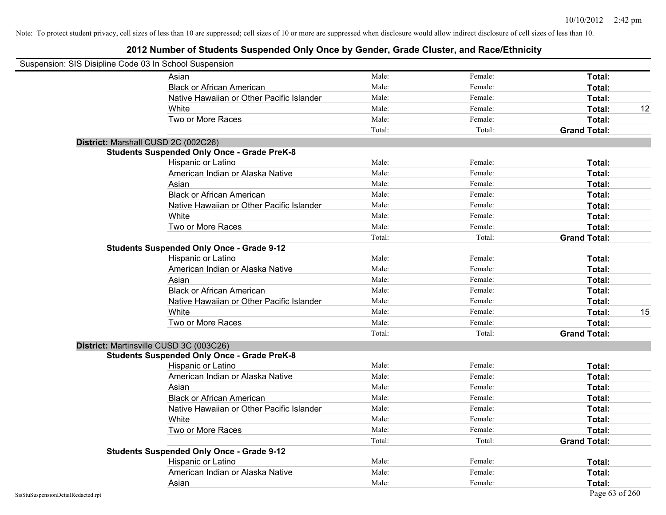| Suspension: SIS Disipline Code 03 In School Suspension |                                                    |        |         |                     |
|--------------------------------------------------------|----------------------------------------------------|--------|---------|---------------------|
|                                                        | Asian                                              | Male:  | Female: | Total:              |
|                                                        | <b>Black or African American</b>                   | Male:  | Female: | Total:              |
|                                                        | Native Hawaiian or Other Pacific Islander          | Male:  | Female: | Total:              |
|                                                        | White                                              | Male:  | Female: | 12<br>Total:        |
|                                                        | Two or More Races                                  | Male:  | Female: | Total:              |
|                                                        |                                                    | Total: | Total:  | <b>Grand Total:</b> |
|                                                        | District: Marshall CUSD 2C (002C26)                |        |         |                     |
|                                                        | <b>Students Suspended Only Once - Grade PreK-8</b> |        |         |                     |
|                                                        | Hispanic or Latino                                 | Male:  | Female: | Total:              |
|                                                        | American Indian or Alaska Native                   | Male:  | Female: | Total:              |
|                                                        | Asian                                              | Male:  | Female: | Total:              |
|                                                        | <b>Black or African American</b>                   | Male:  | Female: | Total:              |
|                                                        | Native Hawaiian or Other Pacific Islander          | Male:  | Female: | Total:              |
|                                                        | White                                              | Male:  | Female: | Total:              |
|                                                        | Two or More Races                                  | Male:  | Female: | Total:              |
|                                                        |                                                    | Total: | Total:  | <b>Grand Total:</b> |
|                                                        | <b>Students Suspended Only Once - Grade 9-12</b>   |        |         |                     |
|                                                        | Hispanic or Latino                                 | Male:  | Female: | Total:              |
|                                                        | American Indian or Alaska Native                   | Male:  | Female: | Total:              |
|                                                        | Asian                                              | Male:  | Female: | Total:              |
|                                                        | <b>Black or African American</b>                   | Male:  | Female: | Total:              |
|                                                        | Native Hawaiian or Other Pacific Islander          | Male:  | Female: | Total:              |
|                                                        | White                                              | Male:  | Female: | 15<br>Total:        |
|                                                        | Two or More Races                                  | Male:  | Female: | Total:              |
|                                                        |                                                    | Total: | Total:  | <b>Grand Total:</b> |
|                                                        | District: Martinsville CUSD 3C (003C26)            |        |         |                     |
|                                                        | <b>Students Suspended Only Once - Grade PreK-8</b> |        |         |                     |
|                                                        | Hispanic or Latino                                 | Male:  | Female: | Total:              |
|                                                        | American Indian or Alaska Native                   | Male:  | Female: | Total:              |
|                                                        | Asian                                              | Male:  | Female: | Total:              |
|                                                        | <b>Black or African American</b>                   | Male:  | Female: | Total:              |
|                                                        | Native Hawaiian or Other Pacific Islander          | Male:  | Female: | Total:              |
|                                                        | White                                              | Male:  | Female: | <b>Total:</b>       |
|                                                        | Two or More Races                                  | Male:  | Female: | Total:              |
|                                                        |                                                    | Total: | Total:  | <b>Grand Total:</b> |
|                                                        | <b>Students Suspended Only Once - Grade 9-12</b>   |        |         |                     |
|                                                        | Hispanic or Latino                                 | Male:  | Female: | Total:              |
|                                                        | American Indian or Alaska Native                   | Male:  | Female: | Total:              |
|                                                        | Asian                                              | Male:  | Female: | Total:              |
| SisStuSuspensionDetailRedacted.rpt                     |                                                    |        |         | Page 63 of 260      |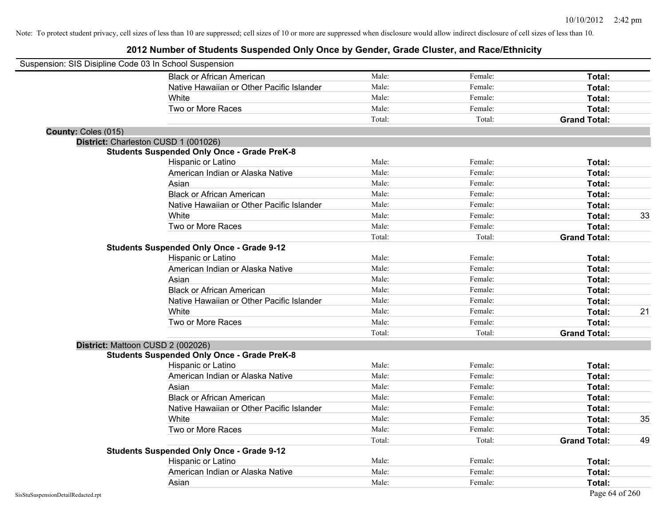| Suspension: SIS Disipline Code 03 In School Suspension |                                                    |        |         |                     |    |
|--------------------------------------------------------|----------------------------------------------------|--------|---------|---------------------|----|
|                                                        | <b>Black or African American</b>                   | Male:  | Female: | Total:              |    |
|                                                        | Native Hawaiian or Other Pacific Islander          | Male:  | Female: | Total:              |    |
|                                                        | White                                              | Male:  | Female: | Total:              |    |
|                                                        | Two or More Races                                  | Male:  | Female: | Total:              |    |
|                                                        |                                                    | Total: | Total:  | <b>Grand Total:</b> |    |
| County: Coles (015)                                    |                                                    |        |         |                     |    |
| District: Charleston CUSD 1 (001026)                   |                                                    |        |         |                     |    |
|                                                        | <b>Students Suspended Only Once - Grade PreK-8</b> |        |         |                     |    |
|                                                        | Hispanic or Latino                                 | Male:  | Female: | Total:              |    |
|                                                        | American Indian or Alaska Native                   | Male:  | Female: | Total:              |    |
|                                                        | Asian                                              | Male:  | Female: | Total:              |    |
|                                                        | <b>Black or African American</b>                   | Male:  | Female: | Total:              |    |
|                                                        | Native Hawaiian or Other Pacific Islander          | Male:  | Female: | Total:              |    |
|                                                        | White                                              | Male:  | Female: | Total:              | 33 |
|                                                        | Two or More Races                                  | Male:  | Female: | Total:              |    |
|                                                        |                                                    | Total: | Total:  | <b>Grand Total:</b> |    |
|                                                        | <b>Students Suspended Only Once - Grade 9-12</b>   |        |         |                     |    |
|                                                        | Hispanic or Latino                                 | Male:  | Female: | Total:              |    |
|                                                        | American Indian or Alaska Native                   | Male:  | Female: | Total:              |    |
|                                                        | Asian                                              | Male:  | Female: | Total:              |    |
|                                                        | <b>Black or African American</b>                   | Male:  | Female: | Total:              |    |
|                                                        | Native Hawaiian or Other Pacific Islander          | Male:  | Female: | Total:              |    |
|                                                        | White                                              | Male:  | Female: | Total:              | 21 |
|                                                        | Two or More Races                                  | Male:  | Female: | Total:              |    |
|                                                        |                                                    | Total: | Total:  | <b>Grand Total:</b> |    |
| District: Mattoon CUSD 2 (002026)                      |                                                    |        |         |                     |    |
|                                                        | <b>Students Suspended Only Once - Grade PreK-8</b> |        |         |                     |    |
|                                                        | Hispanic or Latino                                 | Male:  | Female: | Total:              |    |
|                                                        | American Indian or Alaska Native                   | Male:  | Female: | Total:              |    |
|                                                        | Asian                                              | Male:  | Female: | Total:              |    |
|                                                        | <b>Black or African American</b>                   | Male:  | Female: | Total:              |    |
|                                                        | Native Hawaiian or Other Pacific Islander          | Male:  | Female: | Total:              |    |
|                                                        | White                                              | Male:  | Female: | Total:              | 35 |
|                                                        | Two or More Races                                  | Male:  | Female: | Total:              |    |
|                                                        |                                                    | Total: | Total:  | <b>Grand Total:</b> | 49 |
|                                                        | <b>Students Suspended Only Once - Grade 9-12</b>   |        |         |                     |    |
|                                                        | Hispanic or Latino                                 | Male:  | Female: | Total:              |    |
|                                                        | American Indian or Alaska Native                   | Male:  | Female: | Total:              |    |
|                                                        | Asian                                              | Male:  | Female: | Total:              |    |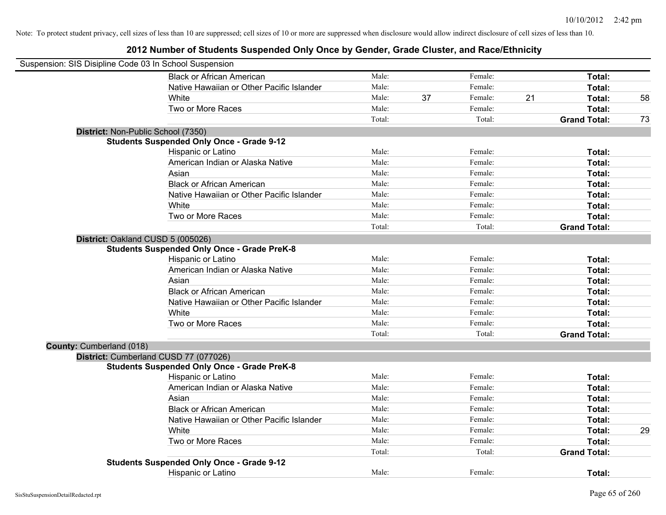| Suspension: SIS Disipline Code 03 In School Suspension |                                                    |        |    |         |    |                     |    |
|--------------------------------------------------------|----------------------------------------------------|--------|----|---------|----|---------------------|----|
|                                                        | <b>Black or African American</b>                   | Male:  |    | Female: |    | Total:              |    |
|                                                        | Native Hawaiian or Other Pacific Islander          | Male:  |    | Female: |    | Total:              |    |
|                                                        | White                                              | Male:  | 37 | Female: | 21 | Total:              | 58 |
|                                                        | Two or More Races                                  | Male:  |    | Female: |    | Total:              |    |
|                                                        |                                                    | Total: |    | Total:  |    | <b>Grand Total:</b> | 73 |
|                                                        | District: Non-Public School (7350)                 |        |    |         |    |                     |    |
|                                                        | <b>Students Suspended Only Once - Grade 9-12</b>   |        |    |         |    |                     |    |
|                                                        | Hispanic or Latino                                 | Male:  |    | Female: |    | Total:              |    |
|                                                        | American Indian or Alaska Native                   | Male:  |    | Female: |    | Total:              |    |
|                                                        | Asian                                              | Male:  |    | Female: |    | Total:              |    |
|                                                        | <b>Black or African American</b>                   | Male:  |    | Female: |    | Total:              |    |
|                                                        | Native Hawaiian or Other Pacific Islander          | Male:  |    | Female: |    | Total:              |    |
|                                                        | White                                              | Male:  |    | Female: |    | Total:              |    |
|                                                        | Two or More Races                                  | Male:  |    | Female: |    | Total:              |    |
|                                                        |                                                    | Total: |    | Total:  |    | <b>Grand Total:</b> |    |
|                                                        | District: Oakland CUSD 5 (005026)                  |        |    |         |    |                     |    |
|                                                        | <b>Students Suspended Only Once - Grade PreK-8</b> |        |    |         |    |                     |    |
|                                                        | Hispanic or Latino                                 | Male:  |    | Female: |    | Total:              |    |
|                                                        | American Indian or Alaska Native                   | Male:  |    | Female: |    | Total:              |    |
|                                                        | Asian                                              | Male:  |    | Female: |    | Total:              |    |
|                                                        | <b>Black or African American</b>                   | Male:  |    | Female: |    | Total:              |    |
|                                                        | Native Hawaiian or Other Pacific Islander          | Male:  |    | Female: |    | Total:              |    |
|                                                        | White                                              | Male:  |    | Female: |    | Total:              |    |
|                                                        | Two or More Races                                  | Male:  |    | Female: |    | Total:              |    |
|                                                        |                                                    | Total: |    | Total:  |    | <b>Grand Total:</b> |    |
| County: Cumberland (018)                               |                                                    |        |    |         |    |                     |    |
|                                                        | District: Cumberland CUSD 77 (077026)              |        |    |         |    |                     |    |
|                                                        | <b>Students Suspended Only Once - Grade PreK-8</b> |        |    |         |    |                     |    |
|                                                        | Hispanic or Latino                                 | Male:  |    | Female: |    | Total:              |    |
|                                                        | American Indian or Alaska Native                   | Male:  |    | Female: |    | Total:              |    |
|                                                        | Asian                                              | Male:  |    | Female: |    | Total:              |    |
|                                                        | <b>Black or African American</b>                   | Male:  |    | Female: |    | Total:              |    |
|                                                        | Native Hawaiian or Other Pacific Islander          | Male:  |    | Female: |    | Total:              |    |
|                                                        | White                                              | Male:  |    | Female: |    | Total:              | 29 |
|                                                        | Two or More Races                                  | Male:  |    | Female: |    | Total:              |    |
|                                                        |                                                    | Total: |    | Total:  |    | <b>Grand Total:</b> |    |
|                                                        | <b>Students Suspended Only Once - Grade 9-12</b>   |        |    |         |    |                     |    |
|                                                        | <b>Hispanic or Latino</b>                          | Male:  |    | Female: |    | Total:              |    |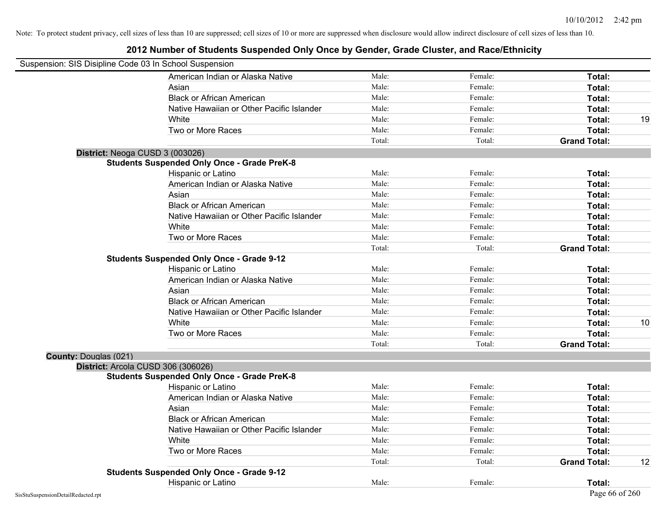| Suspension: SIS Disipline Code 03 In School Suspension |                                           |        |         |                     |    |
|--------------------------------------------------------|-------------------------------------------|--------|---------|---------------------|----|
|                                                        | American Indian or Alaska Native          | Male:  | Female: | Total:              |    |
| Asian                                                  |                                           | Male:  | Female: | Total:              |    |
|                                                        | <b>Black or African American</b>          | Male:  | Female: | Total:              |    |
|                                                        | Native Hawaiian or Other Pacific Islander | Male:  | Female: | Total:              |    |
| White                                                  |                                           | Male:  | Female: | Total:              | 19 |
| Two or More Races                                      |                                           | Male:  | Female: | Total:              |    |
|                                                        |                                           | Total: | Total:  | <b>Grand Total:</b> |    |
| District: Neoga CUSD 3 (003026)                        |                                           |        |         |                     |    |
| <b>Students Suspended Only Once - Grade PreK-8</b>     |                                           |        |         |                     |    |
| Hispanic or Latino                                     |                                           | Male:  | Female: | Total:              |    |
|                                                        | American Indian or Alaska Native          | Male:  | Female: | Total:              |    |
| Asian                                                  |                                           | Male:  | Female: | Total:              |    |
|                                                        | <b>Black or African American</b>          | Male:  | Female: | Total:              |    |
|                                                        | Native Hawaiian or Other Pacific Islander | Male:  | Female: | Total:              |    |
| White                                                  |                                           | Male:  | Female: | Total:              |    |
| Two or More Races                                      |                                           | Male:  | Female: | Total:              |    |
|                                                        |                                           | Total: | Total:  | <b>Grand Total:</b> |    |
| <b>Students Suspended Only Once - Grade 9-12</b>       |                                           |        |         |                     |    |
| Hispanic or Latino                                     |                                           | Male:  | Female: | Total:              |    |
|                                                        | American Indian or Alaska Native          | Male:  | Female: | Total:              |    |
| Asian                                                  |                                           | Male:  | Female: | Total:              |    |
|                                                        | <b>Black or African American</b>          | Male:  | Female: | Total:              |    |
|                                                        | Native Hawaiian or Other Pacific Islander | Male:  | Female: | Total:              |    |
| White                                                  |                                           | Male:  | Female: | Total:              | 10 |
| Two or More Races                                      |                                           | Male:  | Female: | Total:              |    |
|                                                        |                                           | Total: | Total:  | <b>Grand Total:</b> |    |
| <b>County: Douglas (021)</b>                           |                                           |        |         |                     |    |
| District: Arcola CUSD 306 (306026)                     |                                           |        |         |                     |    |
| <b>Students Suspended Only Once - Grade PreK-8</b>     |                                           |        |         |                     |    |
| Hispanic or Latino                                     |                                           | Male:  | Female: | Total:              |    |
|                                                        | American Indian or Alaska Native          | Male:  | Female: | <b>Total:</b>       |    |
| Asian                                                  |                                           | Male:  | Female: | Total:              |    |
|                                                        | <b>Black or African American</b>          | Male:  | Female: | Total:              |    |
|                                                        | Native Hawaiian or Other Pacific Islander | Male:  | Female: | Total:              |    |
| White                                                  |                                           | Male:  | Female: | Total:              |    |
| Two or More Races                                      |                                           | Male:  | Female: | Total:              |    |
|                                                        |                                           | Total: | Total:  | <b>Grand Total:</b> | 12 |
| <b>Students Suspended Only Once - Grade 9-12</b>       |                                           |        |         |                     |    |
| Hispanic or Latino                                     |                                           | Male:  | Female: | Total:              |    |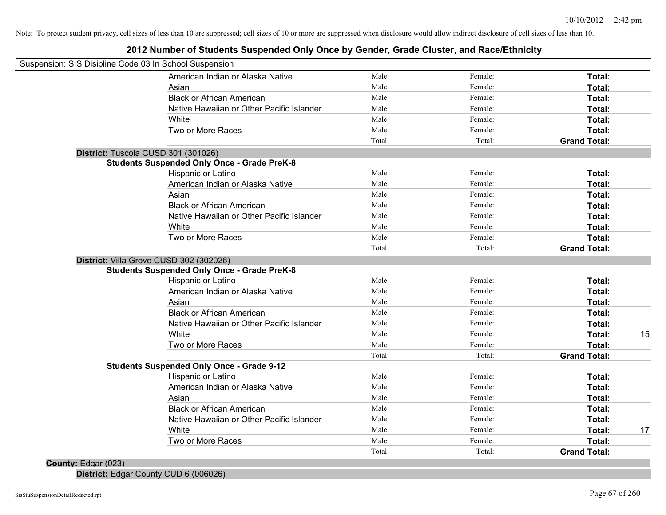### **2012 Number of Students Suspended Only Once by Gender, Grade Cluster, and Race/Ethnicity**

| Suspension: SIS Disipline Code 03 In School Suspension |        |         |                     |  |
|--------------------------------------------------------|--------|---------|---------------------|--|
| American Indian or Alaska Native                       | Male:  | Female: | Total:              |  |
| Asian                                                  | Male:  | Female: | Total:              |  |
| <b>Black or African American</b>                       | Male:  | Female: | Total:              |  |
| Native Hawaiian or Other Pacific Islander              | Male:  | Female: | Total:              |  |
| White                                                  | Male:  | Female: | Total:              |  |
| Two or More Races                                      | Male:  | Female: | Total:              |  |
|                                                        | Total: | Total:  | <b>Grand Total:</b> |  |
| District: Tuscola CUSD 301 (301026)                    |        |         |                     |  |
| <b>Students Suspended Only Once - Grade PreK-8</b>     |        |         |                     |  |
| Hispanic or Latino                                     | Male:  | Female: | Total:              |  |
| American Indian or Alaska Native                       | Male:  | Female: | Total:              |  |
| Asian                                                  | Male:  | Female: | Total:              |  |
| <b>Black or African American</b>                       | Male:  | Female: | Total:              |  |
| Native Hawaiian or Other Pacific Islander              | Male:  | Female: | Total:              |  |
| White                                                  | Male:  | Female: | Total:              |  |
| Two or More Races                                      | Male:  | Female: | Total:              |  |
|                                                        | Total: | Total:  | <b>Grand Total:</b> |  |
| District: Villa Grove CUSD 302 (302026)                |        |         |                     |  |
| <b>Students Suspended Only Once - Grade PreK-8</b>     |        |         |                     |  |
| Hispanic or Latino                                     | Male:  | Female: | Total:              |  |
| American Indian or Alaska Native                       | Male:  | Female: | Total:              |  |
| Asian                                                  | Male:  | Female: | Total:              |  |
| <b>Black or African American</b>                       | Male:  | Female: | Total:              |  |
| Native Hawaiian or Other Pacific Islander              | Male:  | Female: | Total:              |  |
| White                                                  | Male:  | Female: | Total:              |  |
| Two or More Races                                      | Male:  | Female: | Total:              |  |
|                                                        | Total: | Total:  | <b>Grand Total:</b> |  |
| <b>Students Suspended Only Once - Grade 9-12</b>       |        |         |                     |  |
| Hispanic or Latino                                     | Male:  | Female: | Total:              |  |
| American Indian or Alaska Native                       | Male:  | Female: | Total:              |  |
| Asian                                                  | Male:  | Female: | Total:              |  |
| <b>Black or African American</b>                       | Male:  | Female: | Total:              |  |
| Native Hawaiian or Other Pacific Islander              | Male:  | Female: | Total:              |  |
| White                                                  | Male:  | Female: | Total:              |  |
| Two or More Races                                      | Male:  | Female: | Total:              |  |
|                                                        | Total: | Total:  | <b>Grand Total:</b> |  |

**District:** Edgar County CUD 6 (006026)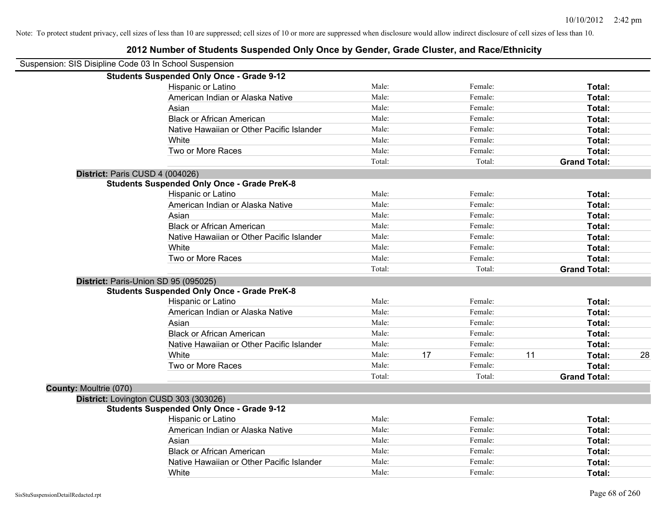# **2012 Number of Students Suspended Only Once by Gender, Grade Cluster, and Race/Ethnicity** Suspension: SIS Disipline Code 03 In School Suspension

|                               | <b>Students Suspended Only Once - Grade 9-12</b>   |        |    |         |    |                     |    |
|-------------------------------|----------------------------------------------------|--------|----|---------|----|---------------------|----|
|                               | Hispanic or Latino                                 | Male:  |    | Female: |    | Total:              |    |
|                               | American Indian or Alaska Native                   | Male:  |    | Female: |    | Total:              |    |
|                               | Asian                                              | Male:  |    | Female: |    | Total:              |    |
|                               | <b>Black or African American</b>                   | Male:  |    | Female: |    | Total:              |    |
|                               | Native Hawaiian or Other Pacific Islander          | Male:  |    | Female: |    | Total:              |    |
|                               | White                                              | Male:  |    | Female: |    | Total:              |    |
|                               | Two or More Races                                  | Male:  |    | Female: |    | Total:              |    |
|                               |                                                    | Total: |    | Total:  |    | <b>Grand Total:</b> |    |
|                               | District: Paris CUSD 4 (004026)                    |        |    |         |    |                     |    |
|                               | <b>Students Suspended Only Once - Grade PreK-8</b> |        |    |         |    |                     |    |
|                               | Hispanic or Latino                                 | Male:  |    | Female: |    | Total:              |    |
|                               | American Indian or Alaska Native                   | Male:  |    | Female: |    | Total:              |    |
|                               | Asian                                              | Male:  |    | Female: |    | Total:              |    |
|                               | <b>Black or African American</b>                   | Male:  |    | Female: |    | Total:              |    |
|                               | Native Hawaiian or Other Pacific Islander          | Male:  |    | Female: |    | Total:              |    |
|                               | White                                              | Male:  |    | Female: |    | Total:              |    |
|                               | Two or More Races                                  | Male:  |    | Female: |    | Total:              |    |
|                               |                                                    | Total: |    | Total:  |    | <b>Grand Total:</b> |    |
|                               | District: Paris-Union SD 95 (095025)               |        |    |         |    |                     |    |
|                               | <b>Students Suspended Only Once - Grade PreK-8</b> |        |    |         |    |                     |    |
|                               | Hispanic or Latino                                 | Male:  |    | Female: |    | Total:              |    |
|                               | American Indian or Alaska Native                   | Male:  |    | Female: |    | Total:              |    |
|                               | Asian                                              | Male:  |    | Female: |    | Total:              |    |
|                               | <b>Black or African American</b>                   | Male:  |    | Female: |    | Total:              |    |
|                               | Native Hawaiian or Other Pacific Islander          | Male:  |    | Female: |    | Total:              |    |
|                               | White                                              | Male:  | 17 | Female: | 11 | <b>Total:</b>       | 28 |
|                               | Two or More Races                                  | Male:  |    | Female: |    | Total:              |    |
|                               |                                                    | Total: |    | Total:  |    | <b>Grand Total:</b> |    |
| <b>County: Moultrie (070)</b> |                                                    |        |    |         |    |                     |    |
|                               | District: Lovington CUSD 303 (303026)              |        |    |         |    |                     |    |
|                               | <b>Students Suspended Only Once - Grade 9-12</b>   |        |    |         |    |                     |    |
|                               | Hispanic or Latino                                 | Male:  |    | Female: |    | Total:              |    |
|                               | American Indian or Alaska Native                   | Male:  |    | Female: |    | Total:              |    |
|                               | Asian                                              | Male:  |    | Female: |    | Total:              |    |
|                               | <b>Black or African American</b>                   | Male:  |    | Female: |    | Total:              |    |
|                               | Native Hawaiian or Other Pacific Islander          | Male:  |    | Female: |    | <b>Total:</b>       |    |
|                               | White                                              | Male:  |    | Female: |    | Total:              |    |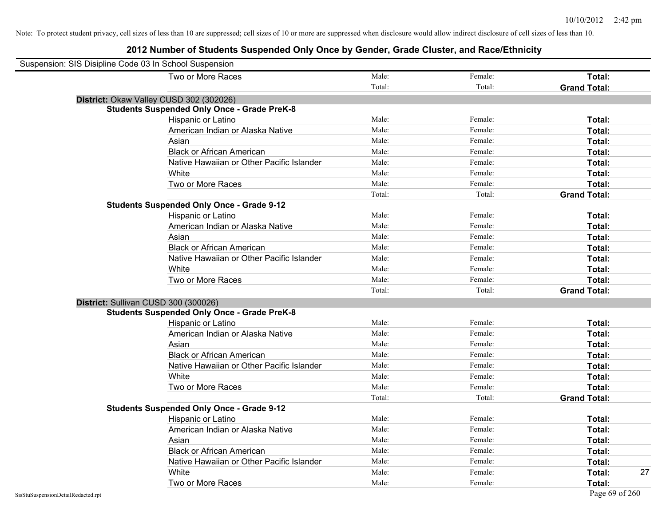| Suspension: SIS Disipline Code 03 In School Suspension |                                                    |        |         |                     |
|--------------------------------------------------------|----------------------------------------------------|--------|---------|---------------------|
|                                                        | Two or More Races                                  | Male:  | Female: | Total:              |
|                                                        |                                                    | Total: | Total:  | <b>Grand Total:</b> |
|                                                        | District: Okaw Valley CUSD 302 (302026)            |        |         |                     |
|                                                        | <b>Students Suspended Only Once - Grade PreK-8</b> |        |         |                     |
|                                                        | Hispanic or Latino                                 | Male:  | Female: | Total:              |
|                                                        | American Indian or Alaska Native                   | Male:  | Female: | Total:              |
|                                                        | Asian                                              | Male:  | Female: | Total:              |
|                                                        | <b>Black or African American</b>                   | Male:  | Female: | Total:              |
|                                                        | Native Hawaiian or Other Pacific Islander          | Male:  | Female: | Total:              |
|                                                        | White                                              | Male:  | Female: | Total:              |
|                                                        | Two or More Races                                  | Male:  | Female: | Total:              |
|                                                        |                                                    | Total: | Total:  | <b>Grand Total:</b> |
|                                                        | <b>Students Suspended Only Once - Grade 9-12</b>   |        |         |                     |
|                                                        | Hispanic or Latino                                 | Male:  | Female: | Total:              |
|                                                        | American Indian or Alaska Native                   | Male:  | Female: | Total:              |
|                                                        | Asian                                              | Male:  | Female: | Total:              |
|                                                        | <b>Black or African American</b>                   | Male:  | Female: | Total:              |
|                                                        | Native Hawaiian or Other Pacific Islander          | Male:  | Female: | Total:              |
|                                                        | White                                              | Male:  | Female: | Total:              |
|                                                        | Two or More Races                                  | Male:  | Female: | Total:              |
|                                                        |                                                    | Total: | Total:  | <b>Grand Total:</b> |
| District: Sullivan CUSD 300 (300026)                   |                                                    |        |         |                     |
|                                                        | <b>Students Suspended Only Once - Grade PreK-8</b> |        |         |                     |
|                                                        | Hispanic or Latino                                 | Male:  | Female: | Total:              |
|                                                        | American Indian or Alaska Native                   | Male:  | Female: | Total:              |
|                                                        | Asian                                              | Male:  | Female: | Total:              |
|                                                        | <b>Black or African American</b>                   | Male:  | Female: | Total:              |
|                                                        | Native Hawaiian or Other Pacific Islander          | Male:  | Female: | Total:              |
|                                                        | White                                              | Male:  | Female: | Total:              |
|                                                        | Two or More Races                                  | Male:  | Female: | Total:              |
|                                                        |                                                    | Total: | Total:  | <b>Grand Total:</b> |
|                                                        | <b>Students Suspended Only Once - Grade 9-12</b>   |        |         |                     |
|                                                        | Hispanic or Latino                                 | Male:  | Female: | Total:              |
|                                                        | American Indian or Alaska Native                   | Male:  | Female: | Total:              |
|                                                        | Asian                                              | Male:  | Female: | Total:              |
|                                                        | <b>Black or African American</b>                   | Male:  | Female: | Total:              |
|                                                        | Native Hawaiian or Other Pacific Islander          | Male:  | Female: | Total:              |
|                                                        | White                                              | Male:  | Female: | Total:<br>27        |
|                                                        | Two or More Races                                  | Male:  | Female: | Total:              |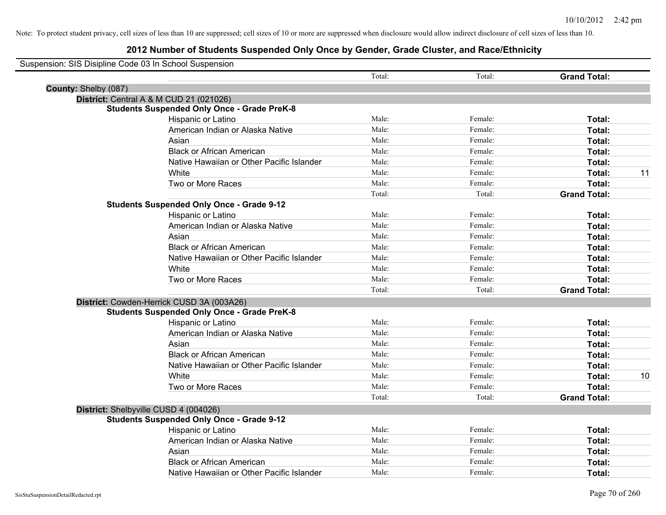| Suspension: SIS Disipline Code 03 In School Suspension |                                                    |        |         |                     |    |
|--------------------------------------------------------|----------------------------------------------------|--------|---------|---------------------|----|
|                                                        |                                                    | Total: | Total:  | <b>Grand Total:</b> |    |
| County: Shelby (087)                                   |                                                    |        |         |                     |    |
|                                                        | District: Central A & M CUD 21 (021026)            |        |         |                     |    |
|                                                        | <b>Students Suspended Only Once - Grade PreK-8</b> |        |         |                     |    |
|                                                        | Hispanic or Latino                                 | Male:  | Female: | Total:              |    |
|                                                        | American Indian or Alaska Native                   | Male:  | Female: | Total:              |    |
|                                                        | Asian                                              | Male:  | Female: | Total:              |    |
|                                                        | <b>Black or African American</b>                   | Male:  | Female: | Total:              |    |
|                                                        | Native Hawaiian or Other Pacific Islander          | Male:  | Female: | Total:              |    |
|                                                        | White                                              | Male:  | Female: | Total:              | 11 |
|                                                        | Two or More Races                                  | Male:  | Female: | Total:              |    |
|                                                        |                                                    | Total: | Total:  | <b>Grand Total:</b> |    |
|                                                        | <b>Students Suspended Only Once - Grade 9-12</b>   |        |         |                     |    |
|                                                        | Hispanic or Latino                                 | Male:  | Female: | Total:              |    |
|                                                        | American Indian or Alaska Native                   | Male:  | Female: | Total:              |    |
|                                                        | Asian                                              | Male:  | Female: | Total:              |    |
|                                                        | <b>Black or African American</b>                   | Male:  | Female: | Total:              |    |
|                                                        | Native Hawaiian or Other Pacific Islander          | Male:  | Female: | Total:              |    |
|                                                        | White                                              | Male:  | Female: | Total:              |    |
|                                                        | Two or More Races                                  | Male:  | Female: | Total:              |    |
|                                                        |                                                    | Total: | Total:  | <b>Grand Total:</b> |    |
|                                                        | District: Cowden-Herrick CUSD 3A (003A26)          |        |         |                     |    |
|                                                        | <b>Students Suspended Only Once - Grade PreK-8</b> |        |         |                     |    |
|                                                        | Hispanic or Latino                                 | Male:  | Female: | Total:              |    |
|                                                        | American Indian or Alaska Native                   | Male:  | Female: | Total:              |    |
|                                                        | Asian                                              | Male:  | Female: | Total:              |    |
|                                                        | <b>Black or African American</b>                   | Male:  | Female: | Total:              |    |
|                                                        | Native Hawaiian or Other Pacific Islander          | Male:  | Female: | Total:              |    |
|                                                        | White                                              | Male:  | Female: | Total:              | 10 |
|                                                        | Two or More Races                                  | Male:  | Female: | Total:              |    |
|                                                        |                                                    | Total: | Total:  | <b>Grand Total:</b> |    |
|                                                        | District: Shelbyville CUSD 4 (004026)              |        |         |                     |    |
|                                                        | <b>Students Suspended Only Once - Grade 9-12</b>   |        |         |                     |    |
|                                                        | Hispanic or Latino                                 | Male:  | Female: | Total:              |    |
|                                                        | American Indian or Alaska Native                   | Male:  | Female: | Total:              |    |
|                                                        | Asian                                              | Male:  | Female: | Total:              |    |
|                                                        | <b>Black or African American</b>                   | Male:  | Female: | Total:              |    |
|                                                        | Native Hawaiian or Other Pacific Islander          | Male:  | Female: | Total:              |    |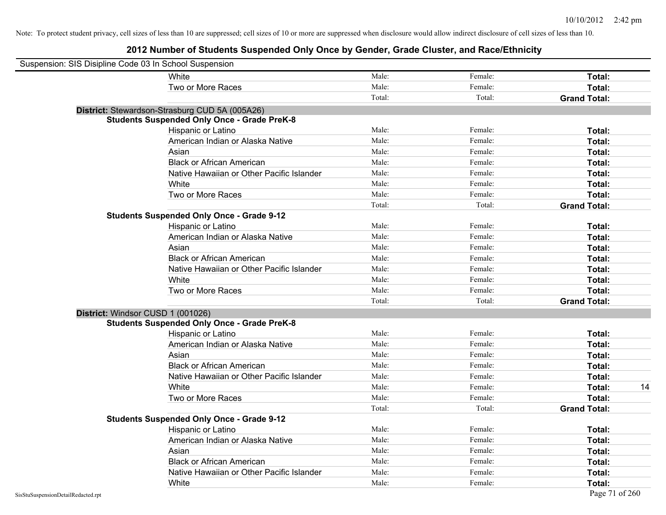| Suspension: SIS Disipline Code 03 In School Suspension |                                                    |        |         |                     |    |
|--------------------------------------------------------|----------------------------------------------------|--------|---------|---------------------|----|
|                                                        | White                                              | Male:  | Female: | Total:              |    |
|                                                        | Two or More Races                                  | Male:  | Female: | Total:              |    |
|                                                        |                                                    | Total: | Total:  | <b>Grand Total:</b> |    |
|                                                        | District: Stewardson-Strasburg CUD 5A (005A26)     |        |         |                     |    |
|                                                        | <b>Students Suspended Only Once - Grade PreK-8</b> |        |         |                     |    |
|                                                        | Hispanic or Latino                                 | Male:  | Female: | Total:              |    |
|                                                        | American Indian or Alaska Native                   | Male:  | Female: | Total:              |    |
|                                                        | Asian                                              | Male:  | Female: | Total:              |    |
|                                                        | <b>Black or African American</b>                   | Male:  | Female: | Total:              |    |
|                                                        | Native Hawaiian or Other Pacific Islander          | Male:  | Female: | Total:              |    |
|                                                        | White                                              | Male:  | Female: | Total:              |    |
|                                                        | Two or More Races                                  | Male:  | Female: | Total:              |    |
|                                                        |                                                    | Total: | Total:  | <b>Grand Total:</b> |    |
|                                                        | <b>Students Suspended Only Once - Grade 9-12</b>   |        |         |                     |    |
|                                                        | Hispanic or Latino                                 | Male:  | Female: | Total:              |    |
|                                                        | American Indian or Alaska Native                   | Male:  | Female: | Total:              |    |
|                                                        | Asian                                              | Male:  | Female: | Total:              |    |
|                                                        | <b>Black or African American</b>                   | Male:  | Female: | Total:              |    |
|                                                        | Native Hawaiian or Other Pacific Islander          | Male:  | Female: | Total:              |    |
|                                                        | White                                              | Male:  | Female: | Total:              |    |
|                                                        | Two or More Races                                  | Male:  | Female: | Total:              |    |
|                                                        |                                                    | Total: | Total:  | <b>Grand Total:</b> |    |
| District: Windsor CUSD 1 (001026)                      |                                                    |        |         |                     |    |
|                                                        | <b>Students Suspended Only Once - Grade PreK-8</b> |        |         |                     |    |
|                                                        | Hispanic or Latino                                 | Male:  | Female: | Total:              |    |
|                                                        | American Indian or Alaska Native                   | Male:  | Female: | Total:              |    |
|                                                        | Asian                                              | Male:  | Female: | Total:              |    |
|                                                        | <b>Black or African American</b>                   | Male:  | Female: | Total:              |    |
|                                                        | Native Hawaiian or Other Pacific Islander          | Male:  | Female: | Total:              |    |
|                                                        | White                                              | Male:  | Female: | Total:              | 14 |
|                                                        | Two or More Races                                  | Male:  | Female: | Total:              |    |
|                                                        |                                                    | Total: | Total:  | <b>Grand Total:</b> |    |
|                                                        | <b>Students Suspended Only Once - Grade 9-12</b>   |        |         |                     |    |
|                                                        | Hispanic or Latino                                 | Male:  | Female: | Total:              |    |
|                                                        | American Indian or Alaska Native                   | Male:  | Female: | Total:              |    |
|                                                        | Asian                                              | Male:  | Female: | Total:              |    |
|                                                        | <b>Black or African American</b>                   | Male:  | Female: | Total:              |    |
|                                                        | Native Hawaiian or Other Pacific Islander          | Male:  | Female: | Total:              |    |
|                                                        | White                                              | Male:  | Female: | Total:              |    |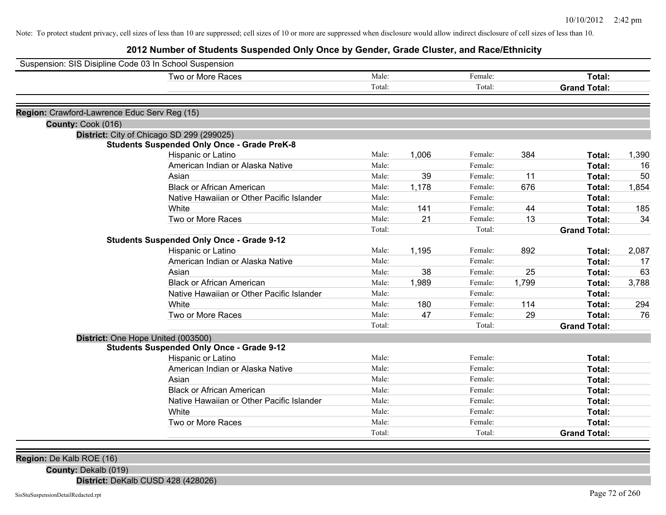**2012 Number of Students Suspended Only Once by Gender, Grade Cluster, and Race/Ethnicity**

|                                              | Suspension: SIS Disipline Code 03 In School Suspension | Male:  |       | Female: |       |                               |       |
|----------------------------------------------|--------------------------------------------------------|--------|-------|---------|-------|-------------------------------|-------|
|                                              | Two or More Races                                      | Total: |       | Total:  |       | Total:<br><b>Grand Total:</b> |       |
|                                              |                                                        |        |       |         |       |                               |       |
| Region: Crawford-Lawrence Educ Serv Reg (15) |                                                        |        |       |         |       |                               |       |
| County: Cook (016)                           |                                                        |        |       |         |       |                               |       |
|                                              | District: City of Chicago SD 299 (299025)              |        |       |         |       |                               |       |
|                                              | <b>Students Suspended Only Once - Grade PreK-8</b>     |        |       |         |       |                               |       |
|                                              | Hispanic or Latino                                     | Male:  | 1,006 | Female: | 384   | Total:                        | 1,390 |
|                                              | American Indian or Alaska Native                       | Male:  |       | Female: |       | Total:                        | 16    |
|                                              | Asian                                                  | Male:  | 39    | Female: | 11    | Total:                        | 50    |
|                                              | <b>Black or African American</b>                       | Male:  | 1,178 | Female: | 676   | Total:                        | 1,854 |
|                                              | Native Hawaiian or Other Pacific Islander              | Male:  |       | Female: |       | Total:                        |       |
|                                              | White                                                  | Male:  | 141   | Female: | 44    | Total:                        | 185   |
|                                              | Two or More Races                                      | Male:  | 21    | Female: | 13    | Total:                        | 34    |
|                                              |                                                        | Total: |       | Total:  |       | <b>Grand Total:</b>           |       |
|                                              | <b>Students Suspended Only Once - Grade 9-12</b>       |        |       |         |       |                               |       |
|                                              | Hispanic or Latino                                     | Male:  | 1,195 | Female: | 892   | Total:                        | 2,087 |
|                                              | American Indian or Alaska Native                       | Male:  |       | Female: |       | Total:                        | 17    |
|                                              | Asian                                                  | Male:  | 38    | Female: | 25    | Total:                        | 63    |
|                                              | <b>Black or African American</b>                       | Male:  | 1,989 | Female: | 1,799 | Total:                        | 3,788 |
|                                              | Native Hawaiian or Other Pacific Islander              | Male:  |       | Female: |       | Total:                        |       |
|                                              | White                                                  | Male:  | 180   | Female: | 114   | Total:                        | 294   |
|                                              | Two or More Races                                      | Male:  | 47    | Female: | 29    | Total:                        | 76    |
|                                              |                                                        | Total: |       | Total:  |       | <b>Grand Total:</b>           |       |
|                                              | District: One Hope United (003500)                     |        |       |         |       |                               |       |
|                                              | <b>Students Suspended Only Once - Grade 9-12</b>       |        |       |         |       |                               |       |
|                                              | Hispanic or Latino                                     | Male:  |       | Female: |       | Total:                        |       |
|                                              | American Indian or Alaska Native                       | Male:  |       | Female: |       | Total:                        |       |
|                                              | Asian                                                  | Male:  |       | Female: |       | Total:                        |       |
|                                              | <b>Black or African American</b>                       | Male:  |       | Female: |       | Total:                        |       |
|                                              | Native Hawaiian or Other Pacific Islander              | Male:  |       | Female: |       | Total:                        |       |
|                                              | White                                                  | Male:  |       | Female: |       | Total:                        |       |
|                                              | Two or More Races                                      | Male:  |       | Female: |       | Total:                        |       |
|                                              |                                                        | Total: |       | Total:  |       | <b>Grand Total:</b>           |       |

**Region:** De Kalb ROE (16)

**County:** Dekalb (019)

**District:** DeKalb CUSD 428 (428026)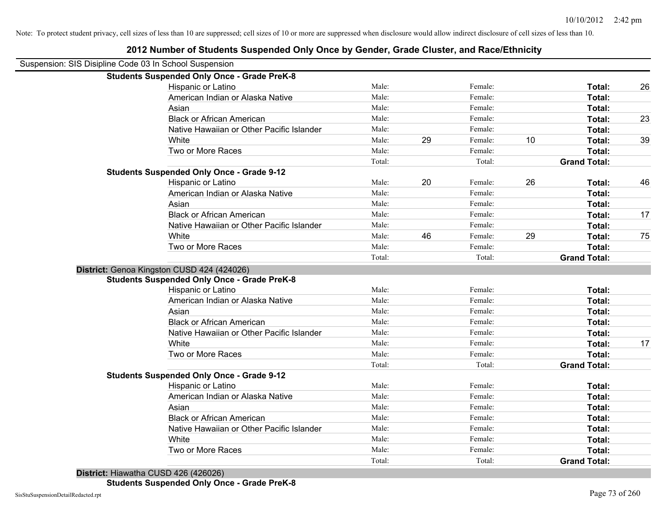| Suspension: SIS Disipline Code 03 In School Suspension |                                                    |                 |    |                   |    |                               |    |
|--------------------------------------------------------|----------------------------------------------------|-----------------|----|-------------------|----|-------------------------------|----|
|                                                        | <b>Students Suspended Only Once - Grade PreK-8</b> |                 |    |                   |    |                               |    |
|                                                        | Hispanic or Latino                                 | Male:           |    | Female:           |    | Total:                        | 26 |
|                                                        | American Indian or Alaska Native                   | Male:           |    | Female:           |    | Total:                        |    |
|                                                        | Asian                                              | Male:           |    | Female:           |    | Total:                        |    |
|                                                        | <b>Black or African American</b>                   | Male:           |    | Female:           |    | Total:                        | 23 |
|                                                        | Native Hawaiian or Other Pacific Islander          | Male:           |    | Female:           |    | Total:                        |    |
|                                                        | White                                              | Male:           | 29 | Female:           | 10 | Total:                        | 39 |
|                                                        | Two or More Races                                  | Male:           |    | Female:           |    | Total:                        |    |
|                                                        |                                                    | Total:          |    | Total:            |    | <b>Grand Total:</b>           |    |
|                                                        | <b>Students Suspended Only Once - Grade 9-12</b>   |                 |    |                   |    |                               |    |
|                                                        | Hispanic or Latino                                 | Male:           | 20 | Female:           | 26 | Total:                        | 46 |
|                                                        | American Indian or Alaska Native                   | Male:           |    | Female:           |    | Total:                        |    |
|                                                        | Asian                                              | Male:           |    | Female:           |    | Total:                        |    |
|                                                        | <b>Black or African American</b>                   | Male:           |    | Female:           |    | Total:                        | 17 |
|                                                        | Native Hawaiian or Other Pacific Islander          | Male:           |    | Female:           |    | Total:                        |    |
|                                                        | White                                              | Male:           | 46 | Female:           | 29 | Total:                        | 75 |
|                                                        | Two or More Races                                  | Male:           |    | Female:           |    | Total:                        |    |
|                                                        |                                                    | Total:          |    | Total:            |    | <b>Grand Total:</b>           |    |
|                                                        | District: Genoa Kingston CUSD 424 (424026)         |                 |    |                   |    |                               |    |
|                                                        | <b>Students Suspended Only Once - Grade PreK-8</b> |                 |    |                   |    |                               |    |
|                                                        | Hispanic or Latino                                 | Male:           |    | Female:           |    | Total:                        |    |
|                                                        | American Indian or Alaska Native                   | Male:           |    | Female:           |    | Total:                        |    |
|                                                        | Asian                                              | Male:           |    | Female:           |    | Total:                        |    |
|                                                        | <b>Black or African American</b>                   | Male:           |    | Female:           |    | Total:                        |    |
|                                                        | Native Hawaiian or Other Pacific Islander          | Male:           |    | Female:           |    | <b>Total:</b>                 |    |
|                                                        | White                                              | Male:           |    | Female:           |    | Total:                        | 17 |
|                                                        | Two or More Races                                  | Male:           |    | Female:           |    | Total:                        |    |
|                                                        |                                                    | Total:          |    | Total:            |    | <b>Grand Total:</b>           |    |
|                                                        | <b>Students Suspended Only Once - Grade 9-12</b>   |                 |    |                   |    |                               |    |
|                                                        | Hispanic or Latino                                 | Male:           |    | Female:           |    | Total:                        |    |
|                                                        | American Indian or Alaska Native                   | Male:           |    | Female:           |    | Total:                        |    |
|                                                        | Asian                                              | Male:           |    | Female:           |    | Total:                        |    |
|                                                        | <b>Black or African American</b>                   | Male:           |    | Female:           |    | Total:                        |    |
|                                                        | Native Hawaiian or Other Pacific Islander          | Male:           |    | Female:           |    | Total:                        |    |
|                                                        | White                                              | Male:           |    | Female:           |    | Total:                        |    |
|                                                        |                                                    |                 |    |                   |    |                               |    |
|                                                        | Two or More Races                                  | Male:<br>Total: |    | Female:<br>Total: |    | Total:<br><b>Grand Total:</b> |    |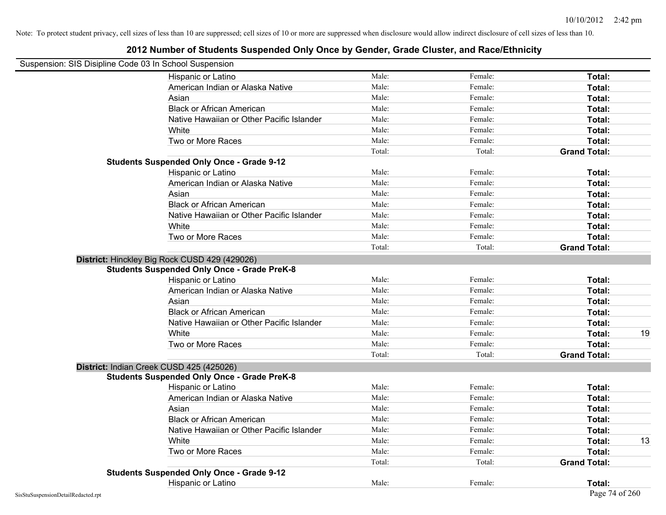| Suspension: SIS Disipline Code 03 In School Suspension |                                                    |        |         |                     |    |
|--------------------------------------------------------|----------------------------------------------------|--------|---------|---------------------|----|
|                                                        | Hispanic or Latino                                 | Male:  | Female: | Total:              |    |
|                                                        | American Indian or Alaska Native                   | Male:  | Female: | Total:              |    |
|                                                        | Asian                                              | Male:  | Female: | Total:              |    |
|                                                        | <b>Black or African American</b>                   | Male:  | Female: | Total:              |    |
|                                                        | Native Hawaiian or Other Pacific Islander          | Male:  | Female: | Total:              |    |
|                                                        | White                                              | Male:  | Female: | Total:              |    |
|                                                        | Two or More Races                                  | Male:  | Female: | Total:              |    |
|                                                        |                                                    | Total: | Total:  | <b>Grand Total:</b> |    |
|                                                        | <b>Students Suspended Only Once - Grade 9-12</b>   |        |         |                     |    |
|                                                        | Hispanic or Latino                                 | Male:  | Female: | Total:              |    |
|                                                        | American Indian or Alaska Native                   | Male:  | Female: | Total:              |    |
|                                                        | Asian                                              | Male:  | Female: | Total:              |    |
|                                                        | <b>Black or African American</b>                   | Male:  | Female: | Total:              |    |
|                                                        | Native Hawaiian or Other Pacific Islander          | Male:  | Female: | Total:              |    |
|                                                        | White                                              | Male:  | Female: | Total:              |    |
|                                                        | Two or More Races                                  | Male:  | Female: | Total:              |    |
|                                                        |                                                    | Total: | Total:  | <b>Grand Total:</b> |    |
|                                                        | District: Hinckley Big Rock CUSD 429 (429026)      |        |         |                     |    |
|                                                        | <b>Students Suspended Only Once - Grade PreK-8</b> |        |         |                     |    |
|                                                        | Hispanic or Latino                                 | Male:  | Female: | Total:              |    |
|                                                        | American Indian or Alaska Native                   | Male:  | Female: | Total:              |    |
|                                                        | Asian                                              | Male:  | Female: | Total:              |    |
|                                                        | <b>Black or African American</b>                   | Male:  | Female: | Total:              |    |
|                                                        | Native Hawaiian or Other Pacific Islander          | Male:  | Female: | Total:              |    |
|                                                        | White                                              | Male:  | Female: | Total:              | 19 |
|                                                        | Two or More Races                                  | Male:  | Female: | Total:              |    |
|                                                        |                                                    | Total: | Total:  | <b>Grand Total:</b> |    |
|                                                        | District: Indian Creek CUSD 425 (425026)           |        |         |                     |    |
|                                                        | <b>Students Suspended Only Once - Grade PreK-8</b> |        |         |                     |    |
|                                                        | Hispanic or Latino                                 | Male:  | Female: | Total:              |    |
|                                                        | American Indian or Alaska Native                   | Male:  | Female: | Total:              |    |
|                                                        | Asian                                              | Male:  | Female: | Total:              |    |
|                                                        | <b>Black or African American</b>                   | Male:  | Female: | Total:              |    |
|                                                        | Native Hawaiian or Other Pacific Islander          | Male:  | Female: | Total:              |    |
|                                                        | White                                              | Male:  | Female: | Total:              | 13 |
|                                                        | Two or More Races                                  | Male:  | Female: | Total:              |    |
|                                                        |                                                    | Total: | Total:  | <b>Grand Total:</b> |    |
|                                                        | <b>Students Suspended Only Once - Grade 9-12</b>   |        |         |                     |    |
|                                                        | Hispanic or Latino                                 | Male:  | Female: | <b>Total:</b>       |    |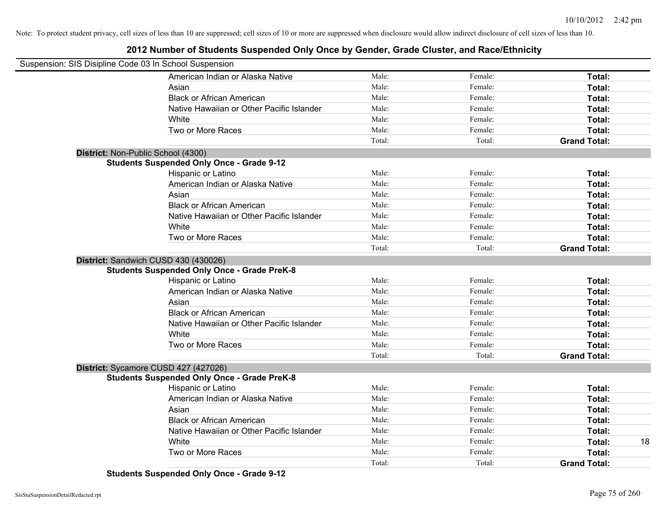### **2012 Number of Students Suspended Only Once by Gender, Grade Cluster, and Race/Ethnicity**

| Suspension: SIS Disipline Code 03 In School Suspension |                                                    |        |         |                     |    |
|--------------------------------------------------------|----------------------------------------------------|--------|---------|---------------------|----|
|                                                        | American Indian or Alaska Native                   | Male:  | Female: | Total:              |    |
|                                                        | Asian                                              | Male:  | Female: | Total:              |    |
|                                                        | <b>Black or African American</b>                   | Male:  | Female: | Total:              |    |
|                                                        | Native Hawaiian or Other Pacific Islander          | Male:  | Female: | Total:              |    |
|                                                        | White                                              | Male:  | Female: | Total:              |    |
|                                                        | Two or More Races                                  | Male:  | Female: | Total:              |    |
|                                                        |                                                    | Total: | Total:  | <b>Grand Total:</b> |    |
|                                                        | District: Non-Public School (4300)                 |        |         |                     |    |
|                                                        | <b>Students Suspended Only Once - Grade 9-12</b>   |        |         |                     |    |
|                                                        | Hispanic or Latino                                 | Male:  | Female: | Total:              |    |
|                                                        | American Indian or Alaska Native                   | Male:  | Female: | Total:              |    |
|                                                        | Asian                                              | Male:  | Female: | Total:              |    |
|                                                        | <b>Black or African American</b>                   | Male:  | Female: | Total:              |    |
|                                                        | Native Hawaiian or Other Pacific Islander          | Male:  | Female: | Total:              |    |
|                                                        | White                                              | Male:  | Female: | Total:              |    |
|                                                        | Two or More Races                                  | Male:  | Female: | Total:              |    |
|                                                        |                                                    | Total: | Total:  | <b>Grand Total:</b> |    |
|                                                        | District: Sandwich CUSD 430 (430026)               |        |         |                     |    |
|                                                        | <b>Students Suspended Only Once - Grade PreK-8</b> |        |         |                     |    |
|                                                        | Hispanic or Latino                                 | Male:  | Female: | Total:              |    |
|                                                        | American Indian or Alaska Native                   | Male:  | Female: | Total:              |    |
|                                                        | Asian                                              | Male:  | Female: | Total:              |    |
|                                                        | <b>Black or African American</b>                   | Male:  | Female: | Total:              |    |
|                                                        | Native Hawaiian or Other Pacific Islander          | Male:  | Female: | Total:              |    |
|                                                        | White                                              | Male:  | Female: | Total:              |    |
|                                                        | Two or More Races                                  | Male:  | Female: | Total:              |    |
|                                                        |                                                    | Total: | Total:  | <b>Grand Total:</b> |    |
|                                                        | District: Sycamore CUSD 427 (427026)               |        |         |                     |    |
|                                                        | <b>Students Suspended Only Once - Grade PreK-8</b> |        |         |                     |    |
|                                                        | Hispanic or Latino                                 | Male:  | Female: | Total:              |    |
|                                                        | American Indian or Alaska Native                   | Male:  | Female: | Total:              |    |
|                                                        | Asian                                              | Male:  | Female: | Total:              |    |
|                                                        | <b>Black or African American</b>                   | Male:  | Female: | Total:              |    |
|                                                        | Native Hawaiian or Other Pacific Islander          | Male:  | Female: | Total:              |    |
|                                                        | White                                              | Male:  | Female: | Total:              | 18 |
|                                                        | Two or More Races                                  | Male:  | Female: | Total:              |    |
|                                                        |                                                    | Total: | Total:  | <b>Grand Total:</b> |    |

**Students Suspended Only Once - Grade 9-12**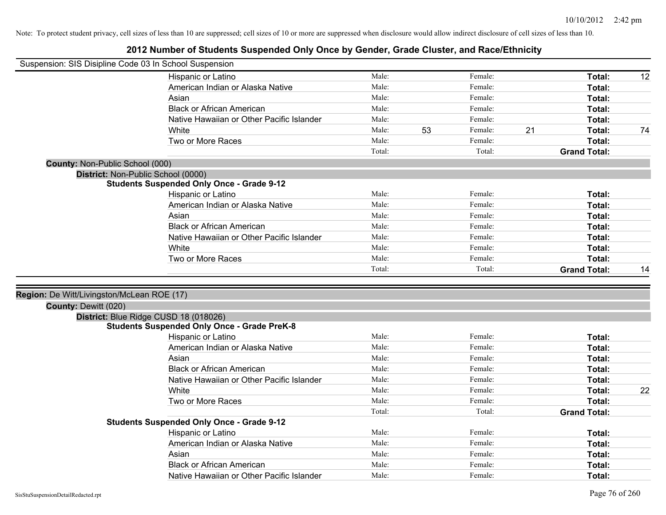| Suspension: SIS Disipline Code 03 In School Suspension |                                                    |        |    |         |    |                     |    |
|--------------------------------------------------------|----------------------------------------------------|--------|----|---------|----|---------------------|----|
|                                                        | Hispanic or Latino                                 | Male:  |    | Female: |    | Total:              | 12 |
|                                                        | American Indian or Alaska Native                   | Male:  |    | Female: |    | Total:              |    |
|                                                        | Asian                                              | Male:  |    | Female: |    | Total:              |    |
|                                                        | <b>Black or African American</b>                   | Male:  |    | Female: |    | Total:              |    |
|                                                        | Native Hawaiian or Other Pacific Islander          | Male:  |    | Female: |    | Total:              |    |
|                                                        | White                                              | Male:  | 53 | Female: | 21 | Total:              | 74 |
|                                                        | Two or More Races                                  | Male:  |    | Female: |    | Total:              |    |
|                                                        |                                                    | Total: |    | Total:  |    | <b>Grand Total:</b> |    |
| County: Non-Public School (000)                        |                                                    |        |    |         |    |                     |    |
|                                                        | District: Non-Public School (0000)                 |        |    |         |    |                     |    |
|                                                        | <b>Students Suspended Only Once - Grade 9-12</b>   |        |    |         |    |                     |    |
|                                                        | Hispanic or Latino                                 | Male:  |    | Female: |    | Total:              |    |
|                                                        | American Indian or Alaska Native                   | Male:  |    | Female: |    | Total:              |    |
|                                                        | Asian                                              | Male:  |    | Female: |    | Total:              |    |
|                                                        | <b>Black or African American</b>                   | Male:  |    | Female: |    | Total:              |    |
|                                                        | Native Hawaiian or Other Pacific Islander          | Male:  |    | Female: |    | Total:              |    |
|                                                        | White                                              | Male:  |    | Female: |    | Total:              |    |
|                                                        | Two or More Races                                  | Male:  |    | Female: |    | <b>Total:</b>       |    |
|                                                        |                                                    | Total: |    | Total:  |    | <b>Grand Total:</b> | 14 |
|                                                        |                                                    |        |    |         |    |                     |    |
| Region: De Witt/Livingston/McLean ROE (17)             |                                                    |        |    |         |    |                     |    |
| County: Dewitt (020)                                   |                                                    |        |    |         |    |                     |    |
|                                                        | District: Blue Ridge CUSD 18 (018026)              |        |    |         |    |                     |    |
|                                                        | <b>Students Suspended Only Once - Grade PreK-8</b> |        |    |         |    |                     |    |
|                                                        | Hispanic or Latino                                 | Male:  |    | Female: |    | Total:              |    |
|                                                        | American Indian or Alaska Native                   | Male:  |    | Female: |    | Total:              |    |
|                                                        | Asian                                              | Male:  |    | Female: |    | Total:              |    |
|                                                        | <b>Black or African American</b>                   | Male:  |    | Female: |    | Total:              |    |
|                                                        | Native Hawaiian or Other Pacific Islander          | Male:  |    | Female: |    | Total:              |    |
|                                                        | White                                              | Male:  |    | Female: |    | Total:              | 22 |
|                                                        | Two or More Races                                  | Male:  |    | Female: |    | Total:              |    |
|                                                        |                                                    | Total: |    | Total:  |    | <b>Grand Total:</b> |    |
|                                                        | <b>Students Suspended Only Once - Grade 9-12</b>   |        |    |         |    |                     |    |
|                                                        | Hispanic or Latino                                 | Male:  |    | Female: |    | Total:              |    |
|                                                        | American Indian or Alaska Native                   | Male:  |    | Female: |    | Total:              |    |
|                                                        | Asian                                              | Male:  |    | Female: |    | Total:              |    |
|                                                        | <b>Black or African American</b>                   | Male:  |    | Female: |    | <b>Total:</b>       |    |
|                                                        | Native Hawaiian or Other Pacific Islander          | Male:  |    | Female: |    | <b>Total:</b>       |    |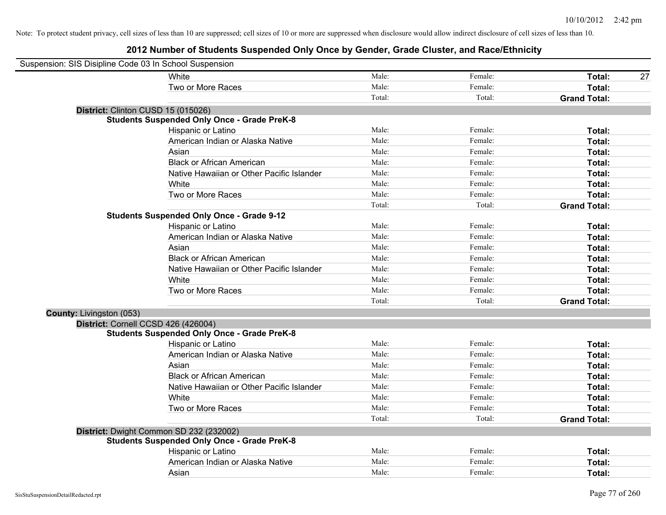| Suspension: SIS Disipline Code 03 In School Suspension |                                                    |        |         |                     |
|--------------------------------------------------------|----------------------------------------------------|--------|---------|---------------------|
|                                                        | White                                              | Male:  | Female: | Total:<br>27        |
|                                                        | Two or More Races                                  | Male:  | Female: | Total:              |
|                                                        |                                                    | Total: | Total:  | <b>Grand Total:</b> |
| District: Clinton CUSD 15 (015026)                     |                                                    |        |         |                     |
|                                                        | <b>Students Suspended Only Once - Grade PreK-8</b> |        |         |                     |
|                                                        | Hispanic or Latino                                 | Male:  | Female: | Total:              |
|                                                        | American Indian or Alaska Native                   | Male:  | Female: | Total:              |
|                                                        | Asian                                              | Male:  | Female: | Total:              |
|                                                        | <b>Black or African American</b>                   | Male:  | Female: | Total:              |
|                                                        | Native Hawaiian or Other Pacific Islander          | Male:  | Female: | Total:              |
|                                                        | White                                              | Male:  | Female: | Total:              |
|                                                        | Two or More Races                                  | Male:  | Female: | Total:              |
|                                                        |                                                    | Total: | Total:  | <b>Grand Total:</b> |
|                                                        | <b>Students Suspended Only Once - Grade 9-12</b>   |        |         |                     |
|                                                        | Hispanic or Latino                                 | Male:  | Female: | Total:              |
|                                                        | American Indian or Alaska Native                   | Male:  | Female: | Total:              |
|                                                        | Asian                                              | Male:  | Female: | Total:              |
|                                                        | <b>Black or African American</b>                   | Male:  | Female: | Total:              |
|                                                        | Native Hawaiian or Other Pacific Islander          | Male:  | Female: | Total:              |
|                                                        | White                                              | Male:  | Female: | Total:              |
|                                                        | Two or More Races                                  | Male:  | Female: | Total:              |
|                                                        |                                                    | Total: | Total:  | <b>Grand Total:</b> |
| County: Livingston (053)                               |                                                    |        |         |                     |
| District: Cornell CCSD 426 (426004)                    |                                                    |        |         |                     |
|                                                        | <b>Students Suspended Only Once - Grade PreK-8</b> |        |         |                     |
|                                                        | Hispanic or Latino                                 | Male:  | Female: | Total:              |
|                                                        | American Indian or Alaska Native                   | Male:  | Female: | Total:              |
|                                                        | Asian                                              | Male:  | Female: | Total:              |
|                                                        | <b>Black or African American</b>                   | Male:  | Female: | Total:              |
|                                                        | Native Hawaiian or Other Pacific Islander          | Male:  | Female: | Total:              |
|                                                        | White                                              | Male:  | Female: | Total:              |
|                                                        | Two or More Races                                  | Male:  | Female: | Total:              |
|                                                        |                                                    | Total: | Total:  | <b>Grand Total:</b> |
|                                                        | District: Dwight Common SD 232 (232002)            |        |         |                     |
|                                                        | <b>Students Suspended Only Once - Grade PreK-8</b> |        |         |                     |
|                                                        | Hispanic or Latino                                 | Male:  | Female: | Total:              |
|                                                        | American Indian or Alaska Native                   | Male:  | Female: | Total:              |
|                                                        | Asian                                              | Male:  | Female: | Total:              |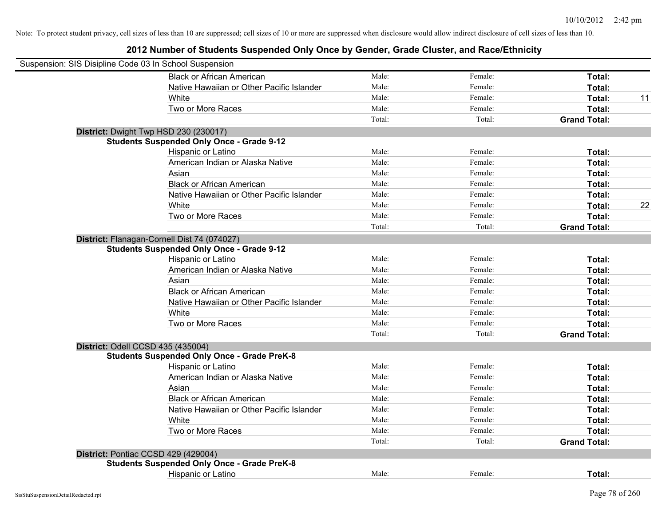| Suspension: SIS Disipline Code 03 In School Suspension |                                                    |        |         |                     |    |
|--------------------------------------------------------|----------------------------------------------------|--------|---------|---------------------|----|
|                                                        | <b>Black or African American</b>                   | Male:  | Female: | Total:              |    |
|                                                        | Native Hawaiian or Other Pacific Islander          | Male:  | Female: | Total:              |    |
|                                                        | White                                              | Male:  | Female: | Total:              | 11 |
|                                                        | Two or More Races                                  | Male:  | Female: | Total:              |    |
|                                                        |                                                    | Total: | Total:  | <b>Grand Total:</b> |    |
|                                                        | District: Dwight Twp HSD 230 (230017)              |        |         |                     |    |
|                                                        | <b>Students Suspended Only Once - Grade 9-12</b>   |        |         |                     |    |
|                                                        | Hispanic or Latino                                 | Male:  | Female: | Total:              |    |
|                                                        | American Indian or Alaska Native                   | Male:  | Female: | Total:              |    |
|                                                        | Asian                                              | Male:  | Female: | Total:              |    |
|                                                        | <b>Black or African American</b>                   | Male:  | Female: | Total:              |    |
|                                                        | Native Hawaiian or Other Pacific Islander          | Male:  | Female: | Total:              |    |
|                                                        | White                                              | Male:  | Female: | Total:              | 22 |
|                                                        | Two or More Races                                  | Male:  | Female: | Total:              |    |
|                                                        |                                                    | Total: | Total:  | <b>Grand Total:</b> |    |
|                                                        | District: Flanagan-Cornell Dist 74 (074027)        |        |         |                     |    |
|                                                        | <b>Students Suspended Only Once - Grade 9-12</b>   |        |         |                     |    |
|                                                        | Hispanic or Latino                                 | Male:  | Female: | Total:              |    |
|                                                        | American Indian or Alaska Native                   | Male:  | Female: | Total:              |    |
|                                                        | Asian                                              | Male:  | Female: | Total:              |    |
|                                                        | <b>Black or African American</b>                   | Male:  | Female: | Total:              |    |
|                                                        | Native Hawaiian or Other Pacific Islander          | Male:  | Female: | Total:              |    |
|                                                        | White                                              | Male:  | Female: | Total:              |    |
|                                                        | Two or More Races                                  | Male:  | Female: | Total:              |    |
|                                                        |                                                    | Total: | Total:  | <b>Grand Total:</b> |    |
|                                                        | District: Odell CCSD 435 (435004)                  |        |         |                     |    |
|                                                        | <b>Students Suspended Only Once - Grade PreK-8</b> |        |         |                     |    |
|                                                        | Hispanic or Latino                                 | Male:  | Female: | Total:              |    |
|                                                        | American Indian or Alaska Native                   | Male:  | Female: | Total:              |    |
|                                                        | Asian                                              | Male:  | Female: | Total:              |    |
|                                                        | <b>Black or African American</b>                   | Male:  | Female: | Total:              |    |
|                                                        | Native Hawaiian or Other Pacific Islander          | Male:  | Female: | Total:              |    |
|                                                        | White                                              | Male:  | Female: | Total:              |    |
|                                                        | Two or More Races                                  | Male:  | Female: | Total:              |    |
|                                                        |                                                    | Total: | Total:  | <b>Grand Total:</b> |    |
|                                                        | District: Pontiac CCSD 429 (429004)                |        |         |                     |    |
|                                                        | <b>Students Suspended Only Once - Grade PreK-8</b> |        |         |                     |    |
|                                                        | <b>Hispanic or Latino</b>                          | Male:  | Female: | Total:              |    |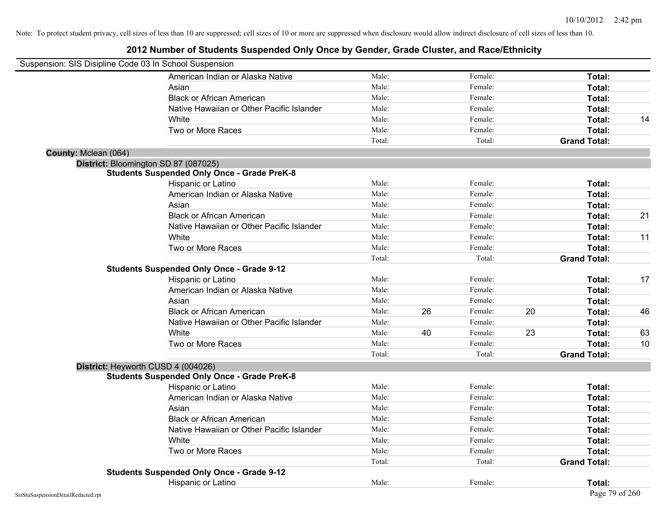| Suspension: SIS Disipline Code 03 In School Suspension |                                                    |        |    |         |    |                     |    |
|--------------------------------------------------------|----------------------------------------------------|--------|----|---------|----|---------------------|----|
|                                                        | American Indian or Alaska Native                   | Male:  |    | Female: |    | Total:              |    |
|                                                        | Asian                                              | Male:  |    | Female: |    | Total:              |    |
|                                                        | <b>Black or African American</b>                   | Male:  |    | Female: |    | Total:              |    |
|                                                        | Native Hawaiian or Other Pacific Islander          | Male:  |    | Female: |    | Total:              |    |
|                                                        | White                                              | Male:  |    | Female: |    | Total:              | 14 |
|                                                        | Two or More Races                                  | Male:  |    | Female: |    | Total:              |    |
|                                                        |                                                    | Total: |    | Total:  |    | <b>Grand Total:</b> |    |
| County: Mclean (064)                                   |                                                    |        |    |         |    |                     |    |
| District: Bloomington SD 87 (087025)                   |                                                    |        |    |         |    |                     |    |
|                                                        | <b>Students Suspended Only Once - Grade PreK-8</b> |        |    |         |    |                     |    |
|                                                        | Hispanic or Latino                                 | Male:  |    | Female: |    | Total:              |    |
|                                                        | American Indian or Alaska Native                   | Male:  |    | Female: |    | Total:              |    |
|                                                        | Asian                                              | Male:  |    | Female: |    | Total:              |    |
|                                                        | <b>Black or African American</b>                   | Male:  |    | Female: |    | Total:              | 21 |
|                                                        | Native Hawaiian or Other Pacific Islander          | Male:  |    | Female: |    | Total:              |    |
|                                                        | White                                              | Male:  |    | Female: |    | Total:              | 11 |
|                                                        | Two or More Races                                  | Male:  |    | Female: |    | Total:              |    |
|                                                        |                                                    | Total: |    | Total:  |    | <b>Grand Total:</b> |    |
|                                                        | <b>Students Suspended Only Once - Grade 9-12</b>   |        |    |         |    |                     |    |
|                                                        | Hispanic or Latino                                 | Male:  |    | Female: |    | Total:              | 17 |
|                                                        | American Indian or Alaska Native                   | Male:  |    | Female: |    | Total:              |    |
|                                                        | Asian                                              | Male:  |    | Female: |    | Total:              |    |
|                                                        | <b>Black or African American</b>                   | Male:  | 26 | Female: | 20 | Total:              | 46 |
|                                                        | Native Hawaiian or Other Pacific Islander          | Male:  |    | Female: |    | Total:              |    |
|                                                        | White                                              | Male:  | 40 | Female: | 23 | Total:              | 63 |
|                                                        | Two or More Races                                  | Male:  |    | Female: |    | Total:              | 10 |
|                                                        |                                                    | Total: |    | Total:  |    | <b>Grand Total:</b> |    |
| District: Heyworth CUSD 4 (004026)                     |                                                    |        |    |         |    |                     |    |
|                                                        | <b>Students Suspended Only Once - Grade PreK-8</b> |        |    |         |    |                     |    |
|                                                        | Hispanic or Latino                                 | Male:  |    | Female: |    | Total:              |    |
|                                                        | American Indian or Alaska Native                   | Male:  |    | Female: |    | Total:              |    |
|                                                        | Asian                                              | Male:  |    | Female: |    | Total:              |    |
|                                                        | <b>Black or African American</b>                   | Male:  |    | Female: |    | Total:              |    |
|                                                        | Native Hawaiian or Other Pacific Islander          | Male:  |    | Female: |    | Total:              |    |
|                                                        | White                                              | Male:  |    | Female: |    | Total:              |    |
|                                                        | Two or More Races                                  | Male:  |    | Female: |    | Total:              |    |
|                                                        |                                                    | Total: |    | Total:  |    | <b>Grand Total:</b> |    |
|                                                        | <b>Students Suspended Only Once - Grade 9-12</b>   |        |    |         |    |                     |    |
|                                                        | Hispanic or Latino                                 | Male:  |    | Female: |    | Total:              |    |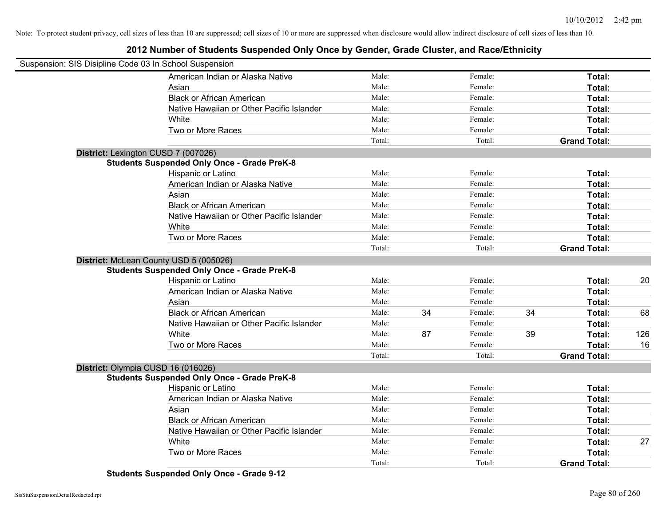### **2012 Number of Students Suspended Only Once by Gender, Grade Cluster, and Race/Ethnicity**

| Suspension: SIS Disipline Code 03 In School Suspension |                                                    |        |    |         |    |                     |     |
|--------------------------------------------------------|----------------------------------------------------|--------|----|---------|----|---------------------|-----|
|                                                        | American Indian or Alaska Native                   | Male:  |    | Female: |    | Total:              |     |
|                                                        | Asian                                              | Male:  |    | Female: |    | Total:              |     |
|                                                        | <b>Black or African American</b>                   | Male:  |    | Female: |    | Total:              |     |
|                                                        | Native Hawaiian or Other Pacific Islander          | Male:  |    | Female: |    | <b>Total:</b>       |     |
|                                                        | White                                              | Male:  |    | Female: |    | Total:              |     |
|                                                        | Two or More Races                                  | Male:  |    | Female: |    | Total:              |     |
|                                                        |                                                    | Total: |    | Total:  |    | <b>Grand Total:</b> |     |
|                                                        | District: Lexington CUSD 7 (007026)                |        |    |         |    |                     |     |
|                                                        | <b>Students Suspended Only Once - Grade PreK-8</b> |        |    |         |    |                     |     |
|                                                        | Hispanic or Latino                                 | Male:  |    | Female: |    | Total:              |     |
|                                                        | American Indian or Alaska Native                   | Male:  |    | Female: |    | Total:              |     |
|                                                        | Asian                                              | Male:  |    | Female: |    | Total:              |     |
|                                                        | <b>Black or African American</b>                   | Male:  |    | Female: |    | Total:              |     |
|                                                        | Native Hawaiian or Other Pacific Islander          | Male:  |    | Female: |    | Total:              |     |
|                                                        | White                                              | Male:  |    | Female: |    | Total:              |     |
|                                                        | Two or More Races                                  | Male:  |    | Female: |    | Total:              |     |
|                                                        |                                                    | Total: |    | Total:  |    | <b>Grand Total:</b> |     |
|                                                        | District: McLean County USD 5 (005026)             |        |    |         |    |                     |     |
|                                                        | <b>Students Suspended Only Once - Grade PreK-8</b> |        |    |         |    |                     |     |
|                                                        | Hispanic or Latino                                 | Male:  |    | Female: |    | Total:              | 20  |
|                                                        | American Indian or Alaska Native                   | Male:  |    | Female: |    | Total:              |     |
|                                                        | Asian                                              | Male:  |    | Female: |    | Total:              |     |
|                                                        | <b>Black or African American</b>                   | Male:  | 34 | Female: | 34 | Total:              | 68  |
|                                                        | Native Hawaiian or Other Pacific Islander          | Male:  |    | Female: |    | Total:              |     |
|                                                        | White                                              | Male:  | 87 | Female: | 39 | Total:              | 126 |
|                                                        | Two or More Races                                  | Male:  |    | Female: |    | Total:              | 16  |
|                                                        |                                                    | Total: |    | Total:  |    | <b>Grand Total:</b> |     |
|                                                        | District: Olympia CUSD 16 (016026)                 |        |    |         |    |                     |     |
|                                                        | <b>Students Suspended Only Once - Grade PreK-8</b> |        |    |         |    |                     |     |
|                                                        | Hispanic or Latino                                 | Male:  |    | Female: |    | Total:              |     |
|                                                        | American Indian or Alaska Native                   | Male:  |    | Female: |    | Total:              |     |
|                                                        | Asian                                              | Male:  |    | Female: |    | Total:              |     |
|                                                        | <b>Black or African American</b>                   | Male:  |    | Female: |    | Total:              |     |
|                                                        | Native Hawaiian or Other Pacific Islander          | Male:  |    | Female: |    | Total:              |     |
|                                                        | White                                              | Male:  |    | Female: |    | Total:              | 27  |
|                                                        | Two or More Races                                  | Male:  |    | Female: |    | Total:              |     |
|                                                        |                                                    | Total: |    | Total:  |    | <b>Grand Total:</b> |     |

**Students Suspended Only Once - Grade 9-12**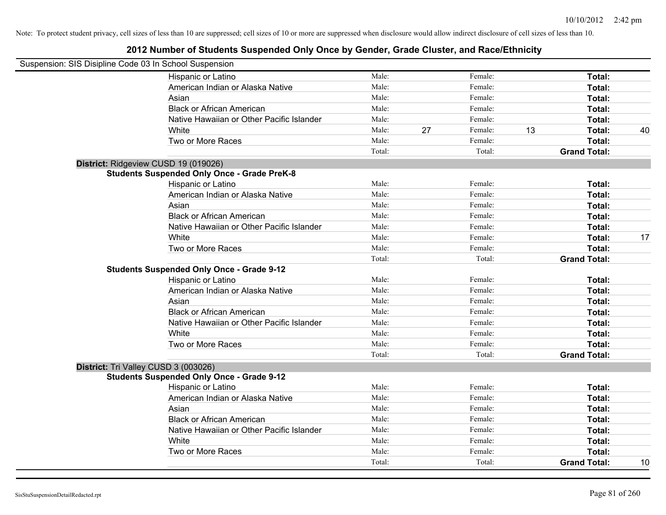| Suspension: SIS Disipline Code 03 In School Suspension |                                                    |        |    |         |    |                     |    |
|--------------------------------------------------------|----------------------------------------------------|--------|----|---------|----|---------------------|----|
|                                                        | <b>Hispanic or Latino</b>                          | Male:  |    | Female: |    | Total:              |    |
|                                                        | American Indian or Alaska Native                   | Male:  |    | Female: |    | Total:              |    |
|                                                        | Asian                                              | Male:  |    | Female: |    | Total:              |    |
|                                                        | <b>Black or African American</b>                   | Male:  |    | Female: |    | Total:              |    |
|                                                        | Native Hawaiian or Other Pacific Islander          | Male:  |    | Female: |    | Total:              |    |
|                                                        | White                                              | Male:  | 27 | Female: | 13 | Total:              | 40 |
|                                                        | Two or More Races                                  | Male:  |    | Female: |    | Total:              |    |
|                                                        |                                                    | Total: |    | Total:  |    | <b>Grand Total:</b> |    |
| District: Ridgeview CUSD 19 (019026)                   |                                                    |        |    |         |    |                     |    |
|                                                        | <b>Students Suspended Only Once - Grade PreK-8</b> |        |    |         |    |                     |    |
|                                                        | Hispanic or Latino                                 | Male:  |    | Female: |    | Total:              |    |
|                                                        | American Indian or Alaska Native                   | Male:  |    | Female: |    | Total:              |    |
|                                                        | Asian                                              | Male:  |    | Female: |    | Total:              |    |
|                                                        | <b>Black or African American</b>                   | Male:  |    | Female: |    | Total:              |    |
|                                                        | Native Hawaiian or Other Pacific Islander          | Male:  |    | Female: |    | Total:              |    |
|                                                        | White                                              | Male:  |    | Female: |    | Total:              | 17 |
|                                                        | Two or More Races                                  | Male:  |    | Female: |    | Total:              |    |
|                                                        |                                                    | Total: |    | Total:  |    | <b>Grand Total:</b> |    |
|                                                        | <b>Students Suspended Only Once - Grade 9-12</b>   |        |    |         |    |                     |    |
|                                                        | Hispanic or Latino                                 | Male:  |    | Female: |    | Total:              |    |
|                                                        | American Indian or Alaska Native                   | Male:  |    | Female: |    | Total:              |    |
|                                                        | Asian                                              | Male:  |    | Female: |    | Total:              |    |
|                                                        | <b>Black or African American</b>                   | Male:  |    | Female: |    | Total:              |    |
|                                                        | Native Hawaiian or Other Pacific Islander          | Male:  |    | Female: |    | Total:              |    |
|                                                        | White                                              | Male:  |    | Female: |    | Total:              |    |
|                                                        | Two or More Races                                  | Male:  |    | Female: |    | Total:              |    |
|                                                        |                                                    | Total: |    | Total:  |    | <b>Grand Total:</b> |    |
| District: Tri Valley CUSD 3 (003026)                   |                                                    |        |    |         |    |                     |    |
|                                                        | <b>Students Suspended Only Once - Grade 9-12</b>   |        |    |         |    |                     |    |
|                                                        | Hispanic or Latino                                 | Male:  |    | Female: |    | Total:              |    |
|                                                        | American Indian or Alaska Native                   | Male:  |    | Female: |    | Total:              |    |
|                                                        | Asian                                              | Male:  |    | Female: |    | Total:              |    |
|                                                        | <b>Black or African American</b>                   | Male:  |    | Female: |    | Total:              |    |
|                                                        | Native Hawaiian or Other Pacific Islander          | Male:  |    | Female: |    | Total:              |    |
|                                                        | White                                              | Male:  |    | Female: |    | Total:              |    |
|                                                        | Two or More Races                                  | Male:  |    | Female: |    | Total:              |    |
|                                                        |                                                    | Total: |    | Total:  |    | <b>Grand Total:</b> | 10 |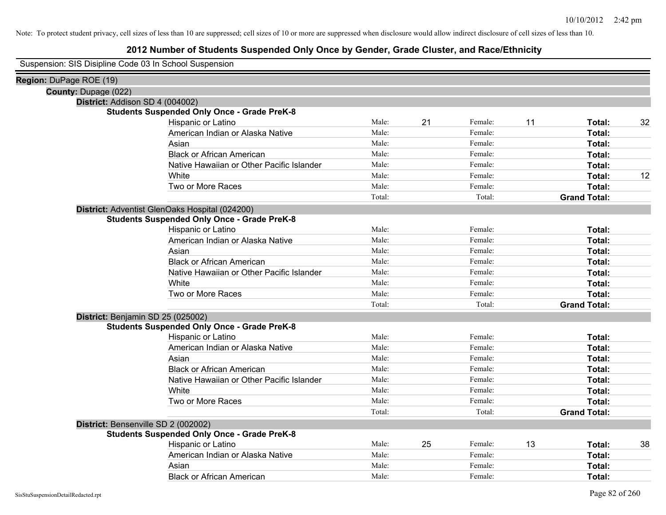### **2012 Number of Students Suspended Only Once by Gender, Grade Cluster, and Race/Ethnicity**

Suspension: SIS Disipline Code 03 In School Suspension

| Region: DuPage ROE (19)     |                                                    |        |    |         |    |                     |    |
|-----------------------------|----------------------------------------------------|--------|----|---------|----|---------------------|----|
| <b>County: Dupage (022)</b> |                                                    |        |    |         |    |                     |    |
|                             | District: Addison SD 4 (004002)                    |        |    |         |    |                     |    |
|                             | <b>Students Suspended Only Once - Grade PreK-8</b> |        |    |         |    |                     |    |
|                             | Hispanic or Latino                                 | Male:  | 21 | Female: | 11 | Total:              | 32 |
|                             | American Indian or Alaska Native                   | Male:  |    | Female: |    | Total:              |    |
|                             | Asian                                              | Male:  |    | Female: |    | Total:              |    |
|                             | <b>Black or African American</b>                   | Male:  |    | Female: |    | Total:              |    |
|                             | Native Hawaiian or Other Pacific Islander          | Male:  |    | Female: |    | Total:              |    |
|                             | White                                              | Male:  |    | Female: |    | Total:              | 12 |
|                             | Two or More Races                                  | Male:  |    | Female: |    | Total:              |    |
|                             |                                                    | Total: |    | Total:  |    | <b>Grand Total:</b> |    |
|                             | District: Adventist GlenOaks Hospital (024200)     |        |    |         |    |                     |    |
|                             | <b>Students Suspended Only Once - Grade PreK-8</b> |        |    |         |    |                     |    |
|                             | Hispanic or Latino                                 | Male:  |    | Female: |    | Total:              |    |
|                             | American Indian or Alaska Native                   | Male:  |    | Female: |    | Total:              |    |
|                             | Asian                                              | Male:  |    | Female: |    | Total:              |    |
|                             | <b>Black or African American</b>                   | Male:  |    | Female: |    | Total:              |    |
|                             | Native Hawaiian or Other Pacific Islander          | Male:  |    | Female: |    | Total:              |    |
|                             | White                                              | Male:  |    | Female: |    | Total:              |    |
|                             | Two or More Races                                  | Male:  |    | Female: |    | Total:              |    |
|                             |                                                    | Total: |    | Total:  |    | <b>Grand Total:</b> |    |
|                             | District: Benjamin SD 25 (025002)                  |        |    |         |    |                     |    |
|                             | <b>Students Suspended Only Once - Grade PreK-8</b> |        |    |         |    |                     |    |
|                             | Hispanic or Latino                                 | Male:  |    | Female: |    | Total:              |    |
|                             | American Indian or Alaska Native                   | Male:  |    | Female: |    | Total:              |    |
|                             | Asian                                              | Male:  |    | Female: |    | Total:              |    |
|                             | <b>Black or African American</b>                   | Male:  |    | Female: |    | Total:              |    |
|                             | Native Hawaiian or Other Pacific Islander          | Male:  |    | Female: |    | Total:              |    |
|                             | White                                              | Male:  |    | Female: |    | Total:              |    |
|                             | Two or More Races                                  | Male:  |    | Female: |    | Total:              |    |
|                             |                                                    | Total: |    | Total:  |    | <b>Grand Total:</b> |    |
|                             | District: Bensenville SD 2 (002002)                |        |    |         |    |                     |    |
|                             | <b>Students Suspended Only Once - Grade PreK-8</b> |        |    |         |    |                     |    |
|                             | Hispanic or Latino                                 | Male:  | 25 | Female: | 13 | Total:              | 38 |
|                             | American Indian or Alaska Native                   | Male:  |    | Female: |    | Total:              |    |
|                             | Asian                                              | Male:  |    | Female: |    | Total:              |    |
|                             | <b>Black or African American</b>                   | Male:  |    | Female: |    | Total:              |    |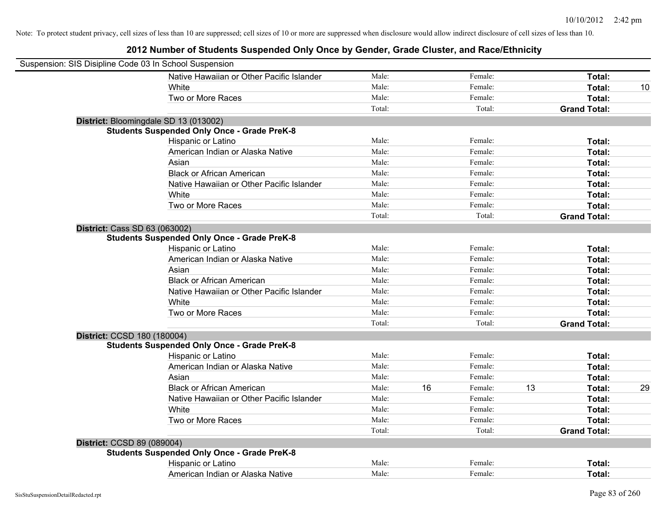| Suspension: SIS Disipline Code 03 In School Suspension |                                                    |        |    |         |    |                     |    |
|--------------------------------------------------------|----------------------------------------------------|--------|----|---------|----|---------------------|----|
|                                                        | Native Hawaiian or Other Pacific Islander          | Male:  |    | Female: |    | Total:              |    |
|                                                        | White                                              | Male:  |    | Female: |    | Total:              | 10 |
|                                                        | Two or More Races                                  | Male:  |    | Female: |    | Total:              |    |
|                                                        |                                                    | Total: |    | Total:  |    | <b>Grand Total:</b> |    |
|                                                        | District: Bloomingdale SD 13 (013002)              |        |    |         |    |                     |    |
|                                                        | <b>Students Suspended Only Once - Grade PreK-8</b> |        |    |         |    |                     |    |
|                                                        | Hispanic or Latino                                 | Male:  |    | Female: |    | Total:              |    |
|                                                        | American Indian or Alaska Native                   | Male:  |    | Female: |    | Total:              |    |
|                                                        | Asian                                              | Male:  |    | Female: |    | Total:              |    |
|                                                        | <b>Black or African American</b>                   | Male:  |    | Female: |    | Total:              |    |
|                                                        | Native Hawaiian or Other Pacific Islander          | Male:  |    | Female: |    | Total:              |    |
|                                                        | White                                              | Male:  |    | Female: |    | Total:              |    |
|                                                        | Two or More Races                                  | Male:  |    | Female: |    | Total:              |    |
|                                                        |                                                    | Total: |    | Total:  |    | <b>Grand Total:</b> |    |
| <b>District: Cass SD 63 (063002)</b>                   |                                                    |        |    |         |    |                     |    |
|                                                        | <b>Students Suspended Only Once - Grade PreK-8</b> |        |    |         |    |                     |    |
|                                                        | Hispanic or Latino                                 | Male:  |    | Female: |    | Total:              |    |
|                                                        | American Indian or Alaska Native                   | Male:  |    | Female: |    | Total:              |    |
|                                                        | Asian                                              | Male:  |    | Female: |    | Total:              |    |
|                                                        | <b>Black or African American</b>                   | Male:  |    | Female: |    | Total:              |    |
|                                                        | Native Hawaiian or Other Pacific Islander          | Male:  |    | Female: |    | Total:              |    |
|                                                        | White                                              | Male:  |    | Female: |    | Total:              |    |
|                                                        | Two or More Races                                  | Male:  |    | Female: |    | Total:              |    |
|                                                        |                                                    | Total: |    | Total:  |    | <b>Grand Total:</b> |    |
| District: CCSD 180 (180004)                            |                                                    |        |    |         |    |                     |    |
|                                                        | <b>Students Suspended Only Once - Grade PreK-8</b> |        |    |         |    |                     |    |
|                                                        | Hispanic or Latino                                 | Male:  |    | Female: |    | Total:              |    |
|                                                        | American Indian or Alaska Native                   | Male:  |    | Female: |    | Total:              |    |
|                                                        | Asian                                              | Male:  |    | Female: |    | Total:              |    |
|                                                        | <b>Black or African American</b>                   | Male:  | 16 | Female: | 13 | Total:              | 29 |
|                                                        | Native Hawaiian or Other Pacific Islander          | Male:  |    | Female: |    | Total:              |    |
|                                                        | White                                              | Male:  |    | Female: |    | Total:              |    |
|                                                        | Two or More Races                                  | Male:  |    | Female: |    | Total:              |    |
|                                                        |                                                    | Total: |    | Total:  |    | <b>Grand Total:</b> |    |
| District: CCSD 89 (089004)                             |                                                    |        |    |         |    |                     |    |
|                                                        | <b>Students Suspended Only Once - Grade PreK-8</b> |        |    |         |    |                     |    |
|                                                        | Hispanic or Latino                                 | Male:  |    | Female: |    | Total:              |    |
|                                                        | American Indian or Alaska Native                   | Male:  |    | Female: |    | Total:              |    |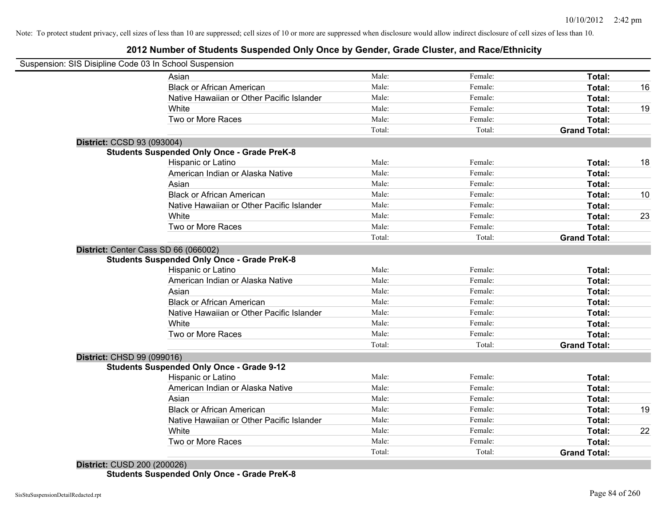### **2012 Number of Students Suspended Only Once by Gender, Grade Cluster, and Race/Ethnicity**

| Suspension: SIS Disipline Code 03 In School Suspension |                                                    |        |         |                     |    |
|--------------------------------------------------------|----------------------------------------------------|--------|---------|---------------------|----|
|                                                        | Asian                                              | Male:  | Female: | Total:              |    |
|                                                        | <b>Black or African American</b>                   | Male:  | Female: | Total:              | 16 |
|                                                        | Native Hawaiian or Other Pacific Islander          | Male:  | Female: | Total:              |    |
|                                                        | White                                              | Male:  | Female: | Total:              | 19 |
|                                                        | Two or More Races                                  | Male:  | Female: | Total:              |    |
|                                                        |                                                    | Total: | Total:  | <b>Grand Total:</b> |    |
| District: CCSD 93 (093004)                             |                                                    |        |         |                     |    |
|                                                        | <b>Students Suspended Only Once - Grade PreK-8</b> |        |         |                     |    |
|                                                        | Hispanic or Latino                                 | Male:  | Female: | Total:              | 18 |
|                                                        | American Indian or Alaska Native                   | Male:  | Female: | Total:              |    |
|                                                        | Asian                                              | Male:  | Female: | Total:              |    |
|                                                        | <b>Black or African American</b>                   | Male:  | Female: | Total:              | 10 |
|                                                        | Native Hawaiian or Other Pacific Islander          | Male:  | Female: | Total:              |    |
|                                                        | White                                              | Male:  | Female: | Total:              | 23 |
|                                                        | Two or More Races                                  | Male:  | Female: | Total:              |    |
|                                                        |                                                    | Total: | Total:  | <b>Grand Total:</b> |    |
| District: Center Cass SD 66 (066002)                   | <b>Students Suspended Only Once - Grade PreK-8</b> |        |         |                     |    |
|                                                        | Hispanic or Latino                                 | Male:  | Female: | Total:              |    |
|                                                        | American Indian or Alaska Native                   | Male:  | Female: | Total:              |    |
|                                                        | Asian                                              | Male:  | Female: | Total:              |    |
|                                                        | <b>Black or African American</b>                   | Male:  | Female: | Total:              |    |
|                                                        | Native Hawaiian or Other Pacific Islander          | Male:  | Female: | Total:              |    |
|                                                        | White                                              | Male:  | Female: | Total:              |    |
|                                                        | Two or More Races                                  | Male:  | Female: | Total:              |    |
|                                                        |                                                    | Total: | Total:  | <b>Grand Total:</b> |    |
| <b>District: CHSD 99 (099016)</b>                      |                                                    |        |         |                     |    |
|                                                        | <b>Students Suspended Only Once - Grade 9-12</b>   |        |         |                     |    |
|                                                        | Hispanic or Latino                                 | Male:  | Female: | Total:              |    |
|                                                        | American Indian or Alaska Native                   | Male:  | Female: | Total:              |    |
|                                                        | Asian                                              | Male:  | Female: | Total:              |    |
|                                                        | <b>Black or African American</b>                   | Male:  | Female: | Total:              | 19 |
|                                                        | Native Hawaiian or Other Pacific Islander          | Male:  | Female: | Total:              |    |
|                                                        | White                                              | Male:  | Female: | Total:              | 22 |
|                                                        | Two or More Races                                  | Male:  | Female: | Total:              |    |
|                                                        |                                                    | Total: | Total:  | <b>Grand Total:</b> |    |

**District:** CUSD 200 (200026) **Students Suspended Only Once - Grade PreK-8**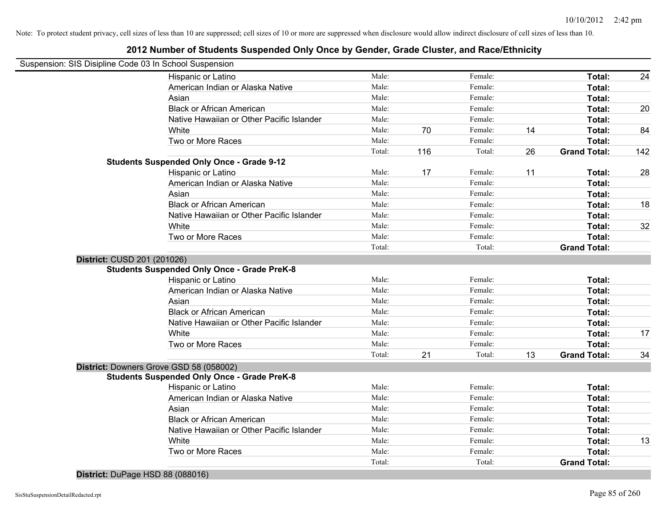### **2012 Number of Students Suspended Only Once by Gender, Grade Cluster, and Race/Ethnicity**

|                             | Suspension: SIS Disipline Code 03 In School Suspension |        |     |         |    |                     |     |
|-----------------------------|--------------------------------------------------------|--------|-----|---------|----|---------------------|-----|
|                             | Hispanic or Latino                                     | Male:  |     | Female: |    | Total:              | 24  |
|                             | American Indian or Alaska Native                       | Male:  |     | Female: |    | Total:              |     |
|                             | Asian                                                  | Male:  |     | Female: |    | Total:              |     |
|                             | <b>Black or African American</b>                       | Male:  |     | Female: |    | Total:              | 20  |
|                             | Native Hawaiian or Other Pacific Islander              | Male:  |     | Female: |    | Total:              |     |
|                             | White                                                  | Male:  | 70  | Female: | 14 | Total:              | 84  |
|                             | Two or More Races                                      | Male:  |     | Female: |    | Total:              |     |
|                             |                                                        | Total: | 116 | Total:  | 26 | <b>Grand Total:</b> | 142 |
|                             | <b>Students Suspended Only Once - Grade 9-12</b>       |        |     |         |    |                     |     |
|                             | Hispanic or Latino                                     | Male:  | 17  | Female: | 11 | Total:              | 28  |
|                             | American Indian or Alaska Native                       | Male:  |     | Female: |    | Total:              |     |
|                             | Asian                                                  | Male:  |     | Female: |    | Total:              |     |
|                             | <b>Black or African American</b>                       | Male:  |     | Female: |    | Total:              | 18  |
|                             | Native Hawaiian or Other Pacific Islander              | Male:  |     | Female: |    | Total:              |     |
|                             | White                                                  | Male:  |     | Female: |    | Total:              | 32  |
|                             | Two or More Races                                      | Male:  |     | Female: |    | Total:              |     |
|                             |                                                        | Total: |     | Total:  |    | <b>Grand Total:</b> |     |
| District: CUSD 201 (201026) |                                                        |        |     |         |    |                     |     |
|                             | <b>Students Suspended Only Once - Grade PreK-8</b>     |        |     |         |    |                     |     |
|                             | Hispanic or Latino                                     | Male:  |     | Female: |    | Total:              |     |
|                             | American Indian or Alaska Native                       | Male:  |     | Female: |    | Total:              |     |
|                             | Asian                                                  | Male:  |     | Female: |    | Total:              |     |
|                             | <b>Black or African American</b>                       | Male:  |     | Female: |    | Total:              |     |
|                             | Native Hawaiian or Other Pacific Islander              | Male:  |     | Female: |    | Total:              |     |
|                             | White                                                  | Male:  |     | Female: |    | Total:              | 17  |
|                             | Two or More Races                                      | Male:  |     | Female: |    | Total:              |     |
|                             |                                                        | Total: | 21  | Total:  | 13 | <b>Grand Total:</b> | 34  |
|                             | District: Downers Grove GSD 58 (058002)                |        |     |         |    |                     |     |
|                             | <b>Students Suspended Only Once - Grade PreK-8</b>     |        |     |         |    |                     |     |
|                             | Hispanic or Latino                                     | Male:  |     | Female: |    | Total:              |     |
|                             | American Indian or Alaska Native                       | Male:  |     | Female: |    | Total:              |     |
|                             | Asian                                                  | Male:  |     | Female: |    | Total:              |     |
|                             | <b>Black or African American</b>                       | Male:  |     | Female: |    | Total:              |     |
|                             | Native Hawaiian or Other Pacific Islander              | Male:  |     | Female: |    | Total:              |     |
|                             | White                                                  | Male:  |     | Female: |    | Total:              | 13  |
|                             | Two or More Races                                      | Male:  |     | Female: |    | Total:              |     |
|                             |                                                        | Total: |     | Total:  |    | <b>Grand Total:</b> |     |
|                             |                                                        |        |     |         |    |                     |     |

**District:** DuPage HSD 88 (088016)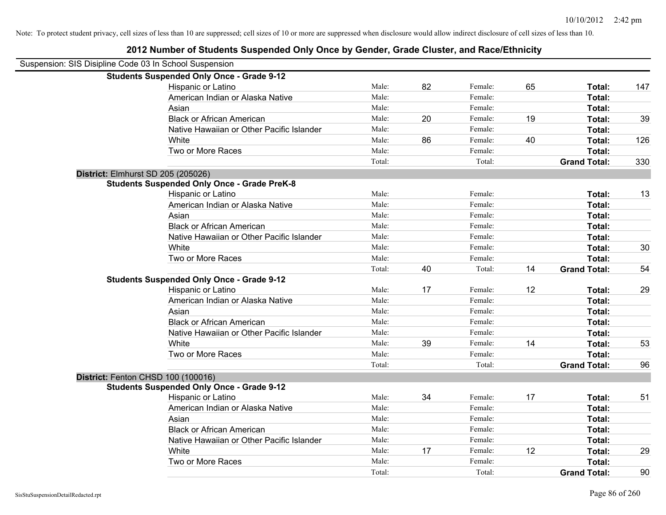| Suspension: SIS Disipline Code 03 In School Suspension |                                                    |        |    |         |    |                     |     |
|--------------------------------------------------------|----------------------------------------------------|--------|----|---------|----|---------------------|-----|
|                                                        | <b>Students Suspended Only Once - Grade 9-12</b>   |        |    |         |    |                     |     |
|                                                        | Hispanic or Latino                                 | Male:  | 82 | Female: | 65 | Total:              | 147 |
|                                                        | American Indian or Alaska Native                   | Male:  |    | Female: |    | <b>Total:</b>       |     |
|                                                        | Asian                                              | Male:  |    | Female: |    | Total:              |     |
|                                                        | <b>Black or African American</b>                   | Male:  | 20 | Female: | 19 | Total:              | 39  |
|                                                        | Native Hawaiian or Other Pacific Islander          | Male:  |    | Female: |    | Total:              |     |
|                                                        | White                                              | Male:  | 86 | Female: | 40 | Total:              | 126 |
|                                                        | Two or More Races                                  | Male:  |    | Female: |    | Total:              |     |
|                                                        |                                                    | Total: |    | Total:  |    | <b>Grand Total:</b> | 330 |
| District: Elmhurst SD 205 (205026)                     |                                                    |        |    |         |    |                     |     |
|                                                        | <b>Students Suspended Only Once - Grade PreK-8</b> |        |    |         |    |                     |     |
|                                                        | Hispanic or Latino                                 | Male:  |    | Female: |    | Total:              | 13  |
|                                                        | American Indian or Alaska Native                   | Male:  |    | Female: |    | Total:              |     |
|                                                        | Asian                                              | Male:  |    | Female: |    | Total:              |     |
|                                                        | <b>Black or African American</b>                   | Male:  |    | Female: |    | Total:              |     |
|                                                        | Native Hawaiian or Other Pacific Islander          | Male:  |    | Female: |    | Total:              |     |
|                                                        | White                                              | Male:  |    | Female: |    | Total:              | 30  |
|                                                        | Two or More Races                                  | Male:  |    | Female: |    | Total:              |     |
|                                                        |                                                    | Total: | 40 | Total:  | 14 | <b>Grand Total:</b> | 54  |
|                                                        | <b>Students Suspended Only Once - Grade 9-12</b>   |        |    |         |    |                     |     |
|                                                        | Hispanic or Latino                                 | Male:  | 17 | Female: | 12 | Total:              | 29  |
|                                                        | American Indian or Alaska Native                   | Male:  |    | Female: |    | Total:              |     |
|                                                        | Asian                                              | Male:  |    | Female: |    | Total:              |     |
|                                                        | <b>Black or African American</b>                   | Male:  |    | Female: |    | Total:              |     |
|                                                        | Native Hawaiian or Other Pacific Islander          | Male:  |    | Female: |    | Total:              |     |
|                                                        | White                                              | Male:  | 39 | Female: | 14 | Total:              | 53  |
|                                                        | Two or More Races                                  | Male:  |    | Female: |    | Total:              |     |
|                                                        |                                                    | Total: |    | Total:  |    | <b>Grand Total:</b> | 96  |
| District: Fenton CHSD 100 (100016)                     |                                                    |        |    |         |    |                     |     |
|                                                        | <b>Students Suspended Only Once - Grade 9-12</b>   |        |    |         |    |                     |     |
|                                                        | Hispanic or Latino                                 | Male:  | 34 | Female: | 17 | Total:              | 51  |
|                                                        | American Indian or Alaska Native                   | Male:  |    | Female: |    | Total:              |     |
|                                                        | Asian                                              | Male:  |    | Female: |    | Total:              |     |
|                                                        | <b>Black or African American</b>                   | Male:  |    | Female: |    | Total:              |     |
|                                                        | Native Hawaiian or Other Pacific Islander          | Male:  |    | Female: |    | Total:              |     |
|                                                        | White                                              | Male:  | 17 | Female: | 12 | Total:              | 29  |
|                                                        | Two or More Races                                  | Male:  |    | Female: |    | <b>Total:</b>       |     |
|                                                        |                                                    | Total: |    | Total:  |    | <b>Grand Total:</b> | 90  |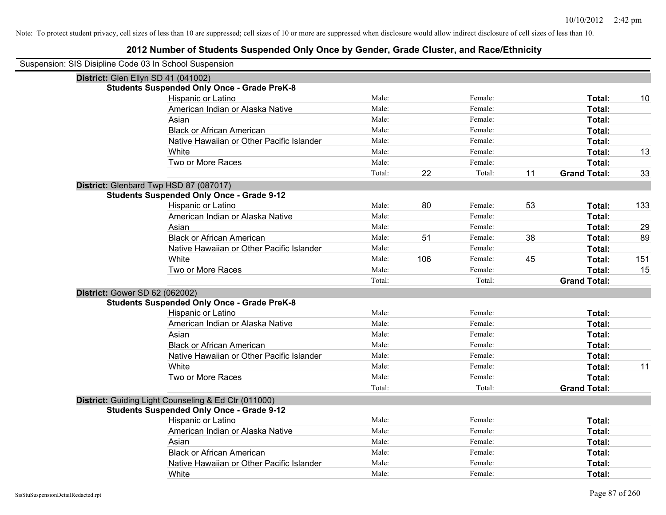| Suspension: SIS Disipline Code 03 In School Suspension |        |     |         |    |                     |     |
|--------------------------------------------------------|--------|-----|---------|----|---------------------|-----|
| District: Glen Ellyn SD 41 (041002)                    |        |     |         |    |                     |     |
| <b>Students Suspended Only Once - Grade PreK-8</b>     |        |     |         |    |                     |     |
| Hispanic or Latino                                     | Male:  |     | Female: |    | Total:              | 10  |
| American Indian or Alaska Native                       | Male:  |     | Female: |    | Total:              |     |
| Asian                                                  | Male:  |     | Female: |    | Total:              |     |
| <b>Black or African American</b>                       | Male:  |     | Female: |    | Total:              |     |
| Native Hawaiian or Other Pacific Islander              | Male:  |     | Female: |    | Total:              |     |
| White                                                  | Male:  |     | Female: |    | Total:              | 13  |
| Two or More Races                                      | Male:  |     | Female: |    | Total:              |     |
|                                                        | Total: | 22  | Total:  | 11 | <b>Grand Total:</b> | 33  |
| District: Glenbard Twp HSD 87 (087017)                 |        |     |         |    |                     |     |
| <b>Students Suspended Only Once - Grade 9-12</b>       |        |     |         |    |                     |     |
| Hispanic or Latino                                     | Male:  | 80  | Female: | 53 | Total:              | 133 |
| American Indian or Alaska Native                       | Male:  |     | Female: |    | Total:              |     |
| Asian                                                  | Male:  |     | Female: |    | Total:              | 29  |
| <b>Black or African American</b>                       | Male:  | 51  | Female: | 38 | Total:              | 89  |
| Native Hawaiian or Other Pacific Islander              | Male:  |     | Female: |    | Total:              |     |
| White                                                  | Male:  | 106 | Female: | 45 | Total:              | 151 |
| Two or More Races                                      | Male:  |     | Female: |    | Total:              | 15  |
|                                                        | Total: |     | Total:  |    | <b>Grand Total:</b> |     |
| District: Gower SD 62 (062002)                         |        |     |         |    |                     |     |
| <b>Students Suspended Only Once - Grade PreK-8</b>     |        |     |         |    |                     |     |
| Hispanic or Latino                                     | Male:  |     | Female: |    | Total:              |     |
| American Indian or Alaska Native                       | Male:  |     | Female: |    | Total:              |     |
| Asian                                                  | Male:  |     | Female: |    | Total:              |     |
| <b>Black or African American</b>                       | Male:  |     | Female: |    | Total:              |     |
| Native Hawaiian or Other Pacific Islander              | Male:  |     | Female: |    | Total:              |     |
| White                                                  | Male:  |     | Female: |    | Total:              | 11  |
| Two or More Races                                      | Male:  |     | Female: |    | Total:              |     |
|                                                        | Total: |     | Total:  |    | <b>Grand Total:</b> |     |
| District: Guiding Light Counseling & Ed Ctr (011000)   |        |     |         |    |                     |     |
| <b>Students Suspended Only Once - Grade 9-12</b>       |        |     |         |    |                     |     |
| Hispanic or Latino                                     | Male:  |     | Female: |    | Total:              |     |
| American Indian or Alaska Native                       | Male:  |     | Female: |    | Total:              |     |
| Asian                                                  | Male:  |     | Female: |    | Total:              |     |
| <b>Black or African American</b>                       | Male:  |     | Female: |    | Total:              |     |
| Native Hawaiian or Other Pacific Islander              | Male:  |     | Female: |    | Total:              |     |
| White                                                  | Male:  |     | Female: |    | Total:              |     |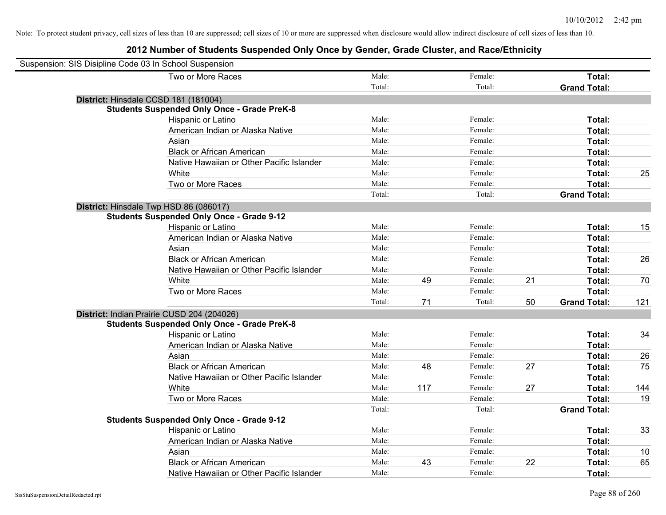| Suspension: SIS Disipline Code 03 In School Suspension |                                                    |        |     |         |    |                     |     |
|--------------------------------------------------------|----------------------------------------------------|--------|-----|---------|----|---------------------|-----|
|                                                        | Two or More Races                                  | Male:  |     | Female: |    | Total:              |     |
|                                                        |                                                    | Total: |     | Total:  |    | <b>Grand Total:</b> |     |
| District: Hinsdale CCSD 181 (181004)                   |                                                    |        |     |         |    |                     |     |
|                                                        | <b>Students Suspended Only Once - Grade PreK-8</b> |        |     |         |    |                     |     |
|                                                        | Hispanic or Latino                                 | Male:  |     | Female: |    | Total:              |     |
|                                                        | American Indian or Alaska Native                   | Male:  |     | Female: |    | Total:              |     |
|                                                        | Asian                                              | Male:  |     | Female: |    | Total:              |     |
|                                                        | <b>Black or African American</b>                   | Male:  |     | Female: |    | Total:              |     |
|                                                        | Native Hawaiian or Other Pacific Islander          | Male:  |     | Female: |    | Total:              |     |
|                                                        | White                                              | Male:  |     | Female: |    | Total:              | 25  |
|                                                        | Two or More Races                                  | Male:  |     | Female: |    | Total:              |     |
|                                                        |                                                    | Total: |     | Total:  |    | <b>Grand Total:</b> |     |
|                                                        | District: Hinsdale Twp HSD 86 (086017)             |        |     |         |    |                     |     |
|                                                        | <b>Students Suspended Only Once - Grade 9-12</b>   |        |     |         |    |                     |     |
|                                                        | Hispanic or Latino                                 | Male:  |     | Female: |    | Total:              | 15  |
|                                                        | American Indian or Alaska Native                   | Male:  |     | Female: |    | Total:              |     |
|                                                        | Asian                                              | Male:  |     | Female: |    | Total:              |     |
|                                                        | <b>Black or African American</b>                   | Male:  |     | Female: |    | Total:              | 26  |
|                                                        | Native Hawaiian or Other Pacific Islander          | Male:  |     | Female: |    | Total:              |     |
|                                                        | White                                              | Male:  | 49  | Female: | 21 | Total:              | 70  |
|                                                        | Two or More Races                                  | Male:  |     | Female: |    | Total:              |     |
|                                                        |                                                    | Total: | 71  | Total:  | 50 | <b>Grand Total:</b> | 121 |
|                                                        | District: Indian Prairie CUSD 204 (204026)         |        |     |         |    |                     |     |
|                                                        | <b>Students Suspended Only Once - Grade PreK-8</b> |        |     |         |    |                     |     |
|                                                        | <b>Hispanic or Latino</b>                          | Male:  |     | Female: |    | Total:              | 34  |
|                                                        | American Indian or Alaska Native                   | Male:  |     | Female: |    | Total:              |     |
|                                                        | Asian                                              | Male:  |     | Female: |    | Total:              | 26  |
|                                                        | <b>Black or African American</b>                   | Male:  | 48  | Female: | 27 | Total:              | 75  |
|                                                        | Native Hawaiian or Other Pacific Islander          | Male:  |     | Female: |    | Total:              |     |
|                                                        | White                                              | Male:  | 117 | Female: | 27 | Total:              | 144 |
|                                                        | Two or More Races                                  | Male:  |     | Female: |    | Total:              | 19  |
|                                                        |                                                    | Total: |     | Total:  |    | <b>Grand Total:</b> |     |
|                                                        | <b>Students Suspended Only Once - Grade 9-12</b>   |        |     |         |    |                     |     |
|                                                        | Hispanic or Latino                                 | Male:  |     | Female: |    | Total:              | 33  |
|                                                        | American Indian or Alaska Native                   | Male:  |     | Female: |    | Total:              |     |
|                                                        | Asian                                              | Male:  |     | Female: |    | Total:              | 10  |
|                                                        | <b>Black or African American</b>                   | Male:  | 43  | Female: | 22 | Total:              | 65  |
|                                                        | Native Hawaiian or Other Pacific Islander          | Male:  |     | Female: |    | Total:              |     |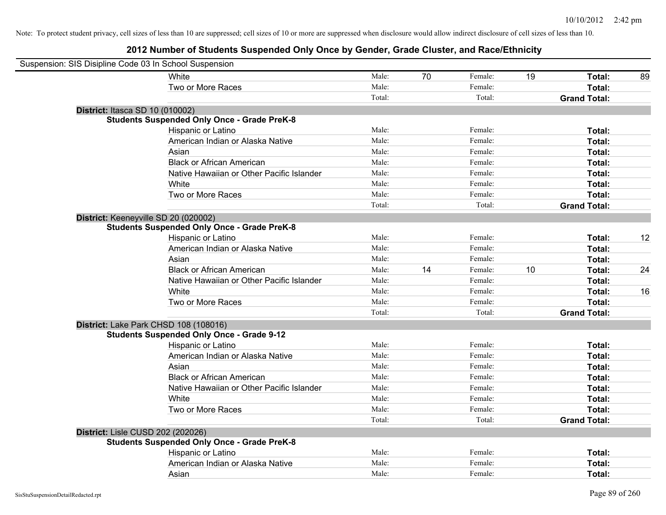| Suspension: SIS Disipline Code 03 In School Suspension |                                                    |        |    |         |    |                     |    |
|--------------------------------------------------------|----------------------------------------------------|--------|----|---------|----|---------------------|----|
|                                                        | White                                              | Male:  | 70 | Female: | 19 | Total:              | 89 |
|                                                        | Two or More Races                                  | Male:  |    | Female: |    | <b>Total:</b>       |    |
|                                                        |                                                    | Total: |    | Total:  |    | <b>Grand Total:</b> |    |
| <b>District: Itasca SD 10 (010002)</b>                 |                                                    |        |    |         |    |                     |    |
|                                                        | <b>Students Suspended Only Once - Grade PreK-8</b> |        |    |         |    |                     |    |
|                                                        | Hispanic or Latino                                 | Male:  |    | Female: |    | Total:              |    |
|                                                        | American Indian or Alaska Native                   | Male:  |    | Female: |    | Total:              |    |
|                                                        | Asian                                              | Male:  |    | Female: |    | Total:              |    |
|                                                        | <b>Black or African American</b>                   | Male:  |    | Female: |    | Total:              |    |
|                                                        | Native Hawaiian or Other Pacific Islander          | Male:  |    | Female: |    | Total:              |    |
|                                                        | White                                              | Male:  |    | Female: |    | Total:              |    |
|                                                        | Two or More Races                                  | Male:  |    | Female: |    | Total:              |    |
|                                                        |                                                    | Total: |    | Total:  |    | <b>Grand Total:</b> |    |
| District: Keeneyville SD 20 (020002)                   |                                                    |        |    |         |    |                     |    |
|                                                        | <b>Students Suspended Only Once - Grade PreK-8</b> |        |    |         |    |                     |    |
|                                                        | Hispanic or Latino                                 | Male:  |    | Female: |    | Total:              | 12 |
|                                                        | American Indian or Alaska Native                   | Male:  |    | Female: |    | Total:              |    |
|                                                        | Asian                                              | Male:  |    | Female: |    | Total:              |    |
|                                                        | <b>Black or African American</b>                   | Male:  | 14 | Female: | 10 | Total:              | 24 |
|                                                        | Native Hawaiian or Other Pacific Islander          | Male:  |    | Female: |    | Total:              |    |
|                                                        | White                                              | Male:  |    | Female: |    | Total:              | 16 |
|                                                        | Two or More Races                                  | Male:  |    | Female: |    | Total:              |    |
|                                                        |                                                    | Total: |    | Total:  |    | <b>Grand Total:</b> |    |
| District: Lake Park CHSD 108 (108016)                  |                                                    |        |    |         |    |                     |    |
|                                                        | <b>Students Suspended Only Once - Grade 9-12</b>   |        |    |         |    |                     |    |
|                                                        | Hispanic or Latino                                 | Male:  |    | Female: |    | Total:              |    |
|                                                        | American Indian or Alaska Native                   | Male:  |    | Female: |    | Total:              |    |
|                                                        | Asian                                              | Male:  |    | Female: |    | Total:              |    |
|                                                        | <b>Black or African American</b>                   | Male:  |    | Female: |    | Total:              |    |
|                                                        | Native Hawaiian or Other Pacific Islander          | Male:  |    | Female: |    | Total:              |    |
|                                                        | White                                              | Male:  |    | Female: |    | Total:              |    |
|                                                        | Two or More Races                                  | Male:  |    | Female: |    | Total:              |    |
|                                                        |                                                    | Total: |    | Total:  |    | <b>Grand Total:</b> |    |
| District: Lisle CUSD 202 (202026)                      |                                                    |        |    |         |    |                     |    |
|                                                        | <b>Students Suspended Only Once - Grade PreK-8</b> |        |    |         |    |                     |    |
|                                                        | Hispanic or Latino                                 | Male:  |    | Female: |    | Total:              |    |
|                                                        | American Indian or Alaska Native                   | Male:  |    | Female: |    | Total:              |    |
|                                                        | Asian                                              | Male:  |    | Female: |    | Total:              |    |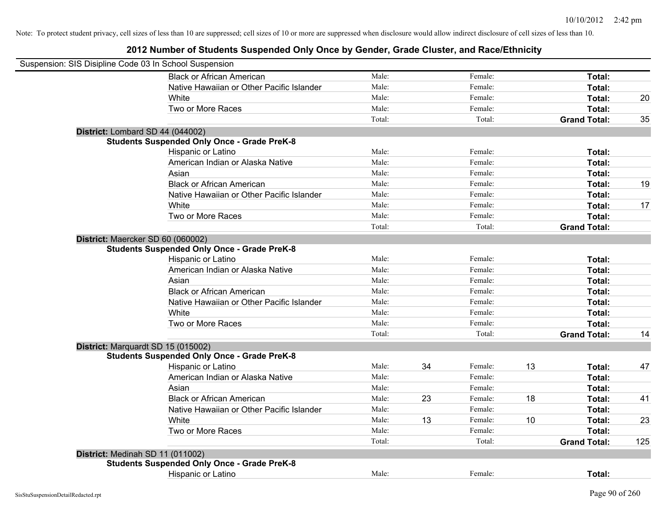| Suspension: SIS Disipline Code 03 In School Suspension |                                                    |        |    |         |    |                     |     |
|--------------------------------------------------------|----------------------------------------------------|--------|----|---------|----|---------------------|-----|
|                                                        | <b>Black or African American</b>                   | Male:  |    | Female: |    | Total:              |     |
|                                                        | Native Hawaiian or Other Pacific Islander          | Male:  |    | Female: |    | Total:              |     |
|                                                        | White                                              | Male:  |    | Female: |    | Total:              | 20  |
|                                                        | Two or More Races                                  | Male:  |    | Female: |    | Total:              |     |
|                                                        |                                                    | Total: |    | Total:  |    | <b>Grand Total:</b> | 35  |
|                                                        | District: Lombard SD 44 (044002)                   |        |    |         |    |                     |     |
|                                                        | <b>Students Suspended Only Once - Grade PreK-8</b> |        |    |         |    |                     |     |
|                                                        | Hispanic or Latino                                 | Male:  |    | Female: |    | Total:              |     |
|                                                        | American Indian or Alaska Native                   | Male:  |    | Female: |    | Total:              |     |
|                                                        | Asian                                              | Male:  |    | Female: |    | Total:              |     |
|                                                        | <b>Black or African American</b>                   | Male:  |    | Female: |    | Total:              | 19  |
|                                                        | Native Hawaiian or Other Pacific Islander          | Male:  |    | Female: |    | Total:              |     |
|                                                        | White                                              | Male:  |    | Female: |    | Total:              | 17  |
|                                                        | Two or More Races                                  | Male:  |    | Female: |    | Total:              |     |
|                                                        |                                                    | Total: |    | Total:  |    | <b>Grand Total:</b> |     |
|                                                        | District: Maercker SD 60 (060002)                  |        |    |         |    |                     |     |
|                                                        | <b>Students Suspended Only Once - Grade PreK-8</b> |        |    |         |    |                     |     |
|                                                        | Hispanic or Latino                                 | Male:  |    | Female: |    | Total:              |     |
|                                                        | American Indian or Alaska Native                   | Male:  |    | Female: |    | Total:              |     |
|                                                        | Asian                                              | Male:  |    | Female: |    | Total:              |     |
|                                                        | <b>Black or African American</b>                   | Male:  |    | Female: |    | Total:              |     |
|                                                        | Native Hawaiian or Other Pacific Islander          | Male:  |    | Female: |    | Total:              |     |
|                                                        | White                                              | Male:  |    | Female: |    | Total:              |     |
|                                                        | Two or More Races                                  | Male:  |    | Female: |    | Total:              |     |
|                                                        |                                                    | Total: |    | Total:  |    | <b>Grand Total:</b> | 14  |
|                                                        | District: Marquardt SD 15 (015002)                 |        |    |         |    |                     |     |
|                                                        | <b>Students Suspended Only Once - Grade PreK-8</b> |        |    |         |    |                     |     |
|                                                        | Hispanic or Latino                                 | Male:  | 34 | Female: | 13 | Total:              | 47  |
|                                                        | American Indian or Alaska Native                   | Male:  |    | Female: |    | Total:              |     |
|                                                        | Asian                                              | Male:  |    | Female: |    | Total:              |     |
|                                                        | <b>Black or African American</b>                   | Male:  | 23 | Female: | 18 | Total:              | 41  |
|                                                        | Native Hawaiian or Other Pacific Islander          | Male:  |    | Female: |    | Total:              |     |
|                                                        | White                                              | Male:  | 13 | Female: | 10 | Total:              | 23  |
|                                                        | Two or More Races                                  | Male:  |    | Female: |    | Total:              |     |
|                                                        |                                                    | Total: |    | Total:  |    | <b>Grand Total:</b> | 125 |
|                                                        | District: Medinah SD 11 (011002)                   |        |    |         |    |                     |     |
|                                                        | <b>Students Suspended Only Once - Grade PreK-8</b> |        |    |         |    |                     |     |
|                                                        | Hispanic or Latino                                 | Male:  |    | Female: |    | Total:              |     |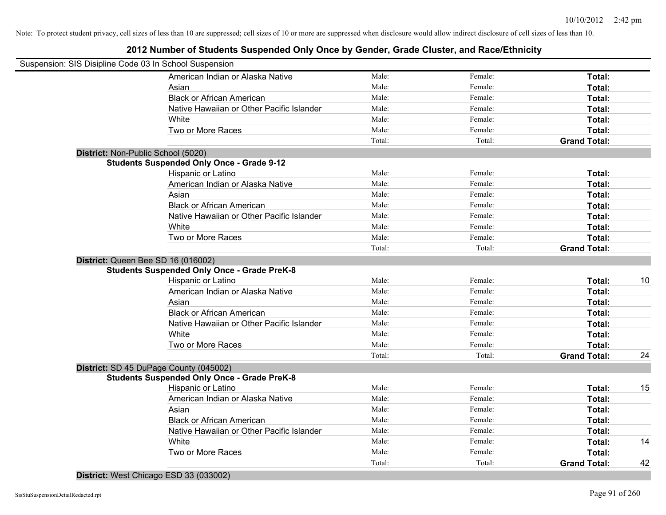### **2012 Number of Students Suspended Only Once by Gender, Grade Cluster, and Race/Ethnicity**

| Suspension: SIS Disipline Code 03 In School Suspension |                                                    |        |         |                     |    |
|--------------------------------------------------------|----------------------------------------------------|--------|---------|---------------------|----|
|                                                        | American Indian or Alaska Native                   | Male:  | Female: | Total:              |    |
|                                                        | Asian                                              | Male:  | Female: | Total:              |    |
|                                                        | <b>Black or African American</b>                   | Male:  | Female: | Total:              |    |
|                                                        | Native Hawaiian or Other Pacific Islander          | Male:  | Female: | Total:              |    |
|                                                        | White                                              | Male:  | Female: | Total:              |    |
|                                                        | Two or More Races                                  | Male:  | Female: | Total:              |    |
|                                                        |                                                    | Total: | Total:  | <b>Grand Total:</b> |    |
| District: Non-Public School (5020)                     |                                                    |        |         |                     |    |
|                                                        | <b>Students Suspended Only Once - Grade 9-12</b>   |        |         |                     |    |
|                                                        | Hispanic or Latino                                 | Male:  | Female: | Total:              |    |
|                                                        | American Indian or Alaska Native                   | Male:  | Female: | Total:              |    |
|                                                        | Asian                                              | Male:  | Female: | Total:              |    |
|                                                        | <b>Black or African American</b>                   | Male:  | Female: | Total:              |    |
|                                                        | Native Hawaiian or Other Pacific Islander          | Male:  | Female: | Total:              |    |
|                                                        | White                                              | Male:  | Female: | Total:              |    |
|                                                        | Two or More Races                                  | Male:  | Female: | Total:              |    |
|                                                        |                                                    | Total: | Total:  | <b>Grand Total:</b> |    |
| District: Queen Bee SD 16 (016002)                     |                                                    |        |         |                     |    |
|                                                        | <b>Students Suspended Only Once - Grade PreK-8</b> |        |         |                     |    |
|                                                        | Hispanic or Latino                                 | Male:  | Female: | Total:              | 10 |
|                                                        | American Indian or Alaska Native                   | Male:  | Female: | <b>Total:</b>       |    |
|                                                        | Asian                                              | Male:  | Female: | Total:              |    |
|                                                        | <b>Black or African American</b>                   | Male:  | Female: | Total:              |    |
|                                                        | Native Hawaiian or Other Pacific Islander          | Male:  | Female: | Total:              |    |
|                                                        | White                                              | Male:  | Female: | Total:              |    |
|                                                        | Two or More Races                                  | Male:  | Female: | Total:              |    |
|                                                        |                                                    | Total: | Total:  | <b>Grand Total:</b> | 24 |
| District: SD 45 DuPage County (045002)                 |                                                    |        |         |                     |    |
|                                                        | <b>Students Suspended Only Once - Grade PreK-8</b> |        |         |                     |    |
|                                                        | Hispanic or Latino                                 | Male:  | Female: | Total:              | 15 |
|                                                        | American Indian or Alaska Native                   | Male:  | Female: | Total:              |    |
|                                                        | Asian                                              | Male:  | Female: | Total:              |    |
|                                                        | <b>Black or African American</b>                   | Male:  | Female: | Total:              |    |
|                                                        | Native Hawaiian or Other Pacific Islander          | Male:  | Female: | Total:              |    |
|                                                        | White                                              | Male:  | Female: | Total:              | 14 |
|                                                        | Two or More Races                                  | Male:  | Female: | <b>Total:</b>       |    |
|                                                        |                                                    | Total: | Total:  | <b>Grand Total:</b> | 42 |

**District:** West Chicago ESD 33 (033002)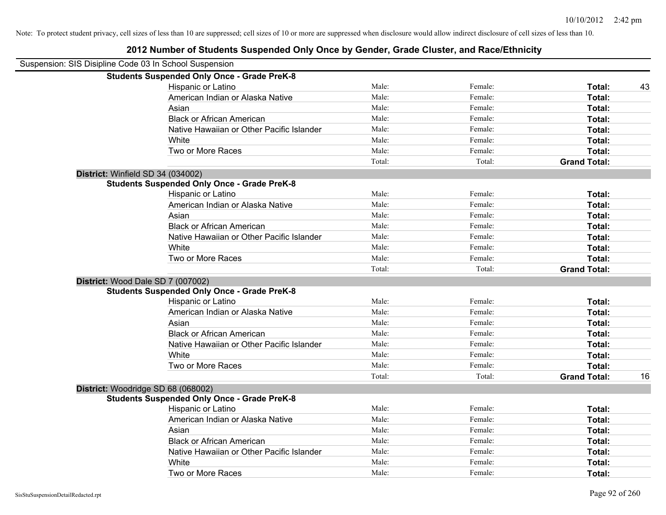| Suspension: SIS Disipline Code 03 In School Suspension |                                                    |        |         |                           |
|--------------------------------------------------------|----------------------------------------------------|--------|---------|---------------------------|
|                                                        | <b>Students Suspended Only Once - Grade PreK-8</b> |        |         |                           |
|                                                        | Hispanic or Latino                                 | Male:  | Female: | Total:<br>43              |
|                                                        | American Indian or Alaska Native                   | Male:  | Female: | Total:                    |
|                                                        | Asian                                              | Male:  | Female: | Total:                    |
|                                                        | <b>Black or African American</b>                   | Male:  | Female: | Total:                    |
|                                                        | Native Hawaiian or Other Pacific Islander          | Male:  | Female: | Total:                    |
|                                                        | White                                              | Male:  | Female: | Total:                    |
|                                                        | Two or More Races                                  | Male:  | Female: | Total:                    |
|                                                        |                                                    | Total: | Total:  | <b>Grand Total:</b>       |
|                                                        | District: Winfield SD 34 (034002)                  |        |         |                           |
|                                                        | <b>Students Suspended Only Once - Grade PreK-8</b> |        |         |                           |
|                                                        | Hispanic or Latino                                 | Male:  | Female: | Total:                    |
|                                                        | American Indian or Alaska Native                   | Male:  | Female: | Total:                    |
|                                                        | Asian                                              | Male:  | Female: | Total:                    |
|                                                        | <b>Black or African American</b>                   | Male:  | Female: | Total:                    |
|                                                        | Native Hawaiian or Other Pacific Islander          | Male:  | Female: | Total:                    |
|                                                        | White                                              | Male:  | Female: | Total:                    |
|                                                        | Two or More Races                                  | Male:  | Female: | Total:                    |
|                                                        |                                                    | Total: | Total:  | <b>Grand Total:</b>       |
|                                                        | District: Wood Dale SD 7 (007002)                  |        |         |                           |
|                                                        | <b>Students Suspended Only Once - Grade PreK-8</b> |        |         |                           |
|                                                        | Hispanic or Latino                                 | Male:  | Female: | Total:                    |
|                                                        | American Indian or Alaska Native                   | Male:  | Female: | Total:                    |
|                                                        | Asian                                              | Male:  | Female: | Total:                    |
|                                                        | <b>Black or African American</b>                   | Male:  | Female: | Total:                    |
|                                                        | Native Hawaiian or Other Pacific Islander          | Male:  | Female: | Total:                    |
|                                                        | White                                              | Male:  | Female: | Total:                    |
|                                                        | Two or More Races                                  | Male:  | Female: | Total:                    |
|                                                        |                                                    | Total: | Total:  | <b>Grand Total:</b><br>16 |
|                                                        | District: Woodridge SD 68 (068002)                 |        |         |                           |
|                                                        | <b>Students Suspended Only Once - Grade PreK-8</b> |        |         |                           |
|                                                        | Hispanic or Latino                                 | Male:  | Female: | Total:                    |
|                                                        | American Indian or Alaska Native                   | Male:  | Female: | Total:                    |
|                                                        | Asian                                              | Male:  | Female: | Total:                    |
|                                                        | <b>Black or African American</b>                   | Male:  | Female: | Total:                    |
|                                                        | Native Hawaiian or Other Pacific Islander          | Male:  | Female: | Total:                    |
|                                                        | White                                              | Male:  | Female: | Total:                    |
|                                                        | Two or More Races                                  | Male:  | Female: | Total:                    |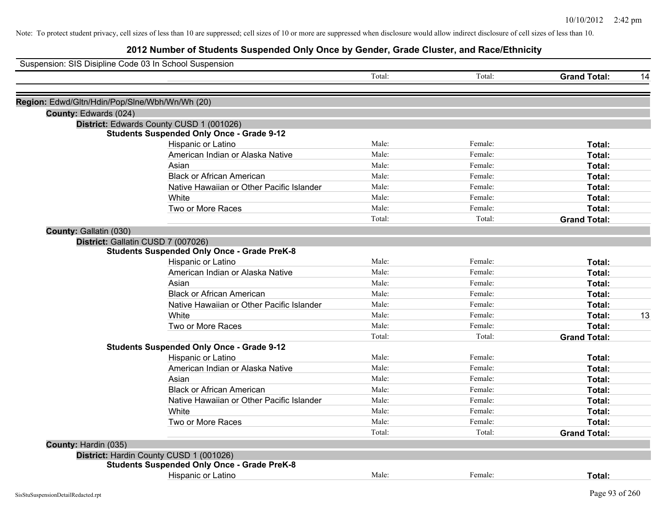| Suspension: SIS Disipline Code 03 In School Suspension |        |         |                     |    |
|--------------------------------------------------------|--------|---------|---------------------|----|
|                                                        | Total: | Total:  | <b>Grand Total:</b> | 14 |
| Region: Edwd/Gltn/Hdin/Pop/Slne/Wbh/Wn/Wh (20)         |        |         |                     |    |
| County: Edwards (024)                                  |        |         |                     |    |
| District: Edwards County CUSD 1 (001026)               |        |         |                     |    |
| <b>Students Suspended Only Once - Grade 9-12</b>       |        |         |                     |    |
| Hispanic or Latino                                     | Male:  | Female: | Total:              |    |
| American Indian or Alaska Native                       | Male:  | Female: | Total:              |    |
| Asian                                                  | Male:  | Female: | Total:              |    |
| <b>Black or African American</b>                       | Male:  | Female: | Total:              |    |
| Native Hawaiian or Other Pacific Islander              | Male:  | Female: | Total:              |    |
| White                                                  | Male:  | Female: | Total:              |    |
| Two or More Races                                      | Male:  | Female: | Total:              |    |
|                                                        | Total: | Total:  | <b>Grand Total:</b> |    |
| County: Gallatin (030)                                 |        |         |                     |    |
| District: Gallatin CUSD 7 (007026)                     |        |         |                     |    |
| <b>Students Suspended Only Once - Grade PreK-8</b>     |        |         |                     |    |
| Hispanic or Latino                                     | Male:  | Female: | Total:              |    |
| American Indian or Alaska Native                       | Male:  | Female: | Total:              |    |
| Asian                                                  | Male:  | Female: | Total:              |    |
| <b>Black or African American</b>                       | Male:  | Female: | Total:              |    |
| Native Hawaiian or Other Pacific Islander              | Male:  | Female: | Total:              |    |
| White                                                  | Male:  | Female: | Total:              | 13 |
| Two or More Races                                      | Male:  | Female: | Total:              |    |
|                                                        | Total: | Total:  | <b>Grand Total:</b> |    |
| <b>Students Suspended Only Once - Grade 9-12</b>       |        |         |                     |    |
| Hispanic or Latino                                     | Male:  | Female: | Total:              |    |
| American Indian or Alaska Native                       | Male:  | Female: | Total:              |    |
| Asian                                                  | Male:  | Female: | Total:              |    |
| <b>Black or African American</b>                       | Male:  | Female: | Total:              |    |
| Native Hawaiian or Other Pacific Islander              | Male:  | Female: | Total:              |    |
| White                                                  | Male:  | Female: | Total:              |    |
| Two or More Races                                      | Male:  | Female: | Total:              |    |
|                                                        | Total: | Total:  | <b>Grand Total:</b> |    |
| County: Hardin (035)                                   |        |         |                     |    |
| District: Hardin County CUSD 1 (001026)                |        |         |                     |    |
| <b>Students Suspended Only Once - Grade PreK-8</b>     |        |         |                     |    |
| Hispanic or Latino                                     | Male:  | Female: | Total:              |    |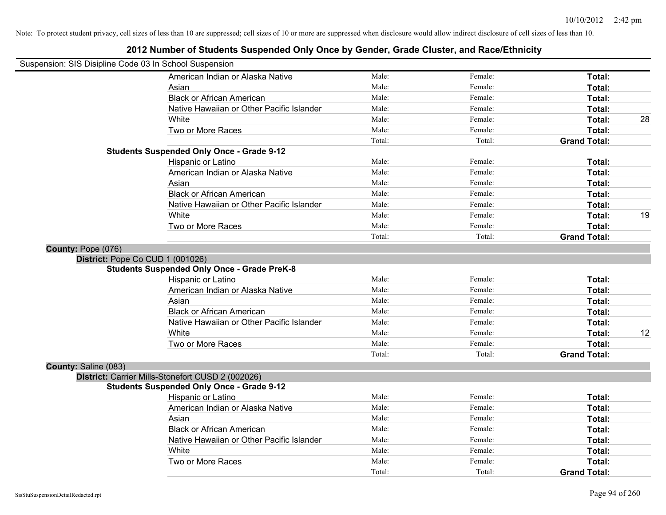| Suspension: SIS Disipline Code 03 In School Suspension |                                                    |        |         |                     |    |
|--------------------------------------------------------|----------------------------------------------------|--------|---------|---------------------|----|
|                                                        | American Indian or Alaska Native                   | Male:  | Female: | Total:              |    |
|                                                        | Asian                                              | Male:  | Female: | Total:              |    |
|                                                        | <b>Black or African American</b>                   | Male:  | Female: | Total:              |    |
|                                                        | Native Hawaiian or Other Pacific Islander          | Male:  | Female: | Total:              |    |
|                                                        | White                                              | Male:  | Female: | Total:              | 28 |
|                                                        | Two or More Races                                  | Male:  | Female: | Total:              |    |
|                                                        |                                                    | Total: | Total:  | <b>Grand Total:</b> |    |
|                                                        | <b>Students Suspended Only Once - Grade 9-12</b>   |        |         |                     |    |
|                                                        | Hispanic or Latino                                 | Male:  | Female: | Total:              |    |
|                                                        | American Indian or Alaska Native                   | Male:  | Female: | Total:              |    |
|                                                        | Asian                                              | Male:  | Female: | Total:              |    |
|                                                        | <b>Black or African American</b>                   | Male:  | Female: | Total:              |    |
|                                                        | Native Hawaiian or Other Pacific Islander          | Male:  | Female: | Total:              |    |
|                                                        | White                                              | Male:  | Female: | Total:              | 19 |
|                                                        | Two or More Races                                  | Male:  | Female: | Total:              |    |
|                                                        |                                                    | Total: | Total:  | <b>Grand Total:</b> |    |
| County: Pope (076)                                     |                                                    |        |         |                     |    |
| District: Pope Co CUD 1 (001026)                       |                                                    |        |         |                     |    |
|                                                        | <b>Students Suspended Only Once - Grade PreK-8</b> |        |         |                     |    |
|                                                        | Hispanic or Latino                                 | Male:  | Female: | Total:              |    |
|                                                        | American Indian or Alaska Native                   | Male:  | Female: | Total:              |    |
|                                                        | Asian                                              | Male:  | Female: | Total:              |    |
|                                                        | <b>Black or African American</b>                   | Male:  | Female: | Total:              |    |
|                                                        | Native Hawaiian or Other Pacific Islander          | Male:  | Female: | Total:              |    |
|                                                        | White                                              | Male:  | Female: | Total:              | 12 |
|                                                        | Two or More Races                                  | Male:  | Female: | Total:              |    |
|                                                        |                                                    | Total: | Total:  | <b>Grand Total:</b> |    |
| County: Saline (083)                                   |                                                    |        |         |                     |    |
|                                                        | District: Carrier Mills-Stonefort CUSD 2 (002026)  |        |         |                     |    |
|                                                        | <b>Students Suspended Only Once - Grade 9-12</b>   |        |         |                     |    |
|                                                        | Hispanic or Latino                                 | Male:  | Female: | Total:              |    |
|                                                        | American Indian or Alaska Native                   | Male:  | Female: | Total:              |    |
|                                                        | Asian                                              | Male:  | Female: | Total:              |    |
|                                                        | <b>Black or African American</b>                   | Male:  | Female: | Total:              |    |
|                                                        | Native Hawaiian or Other Pacific Islander          | Male:  | Female: | Total:              |    |
|                                                        | White                                              | Male:  | Female: | Total:              |    |
|                                                        | Two or More Races                                  | Male:  | Female: | Total:              |    |
|                                                        |                                                    | Total: | Total:  | <b>Grand Total:</b> |    |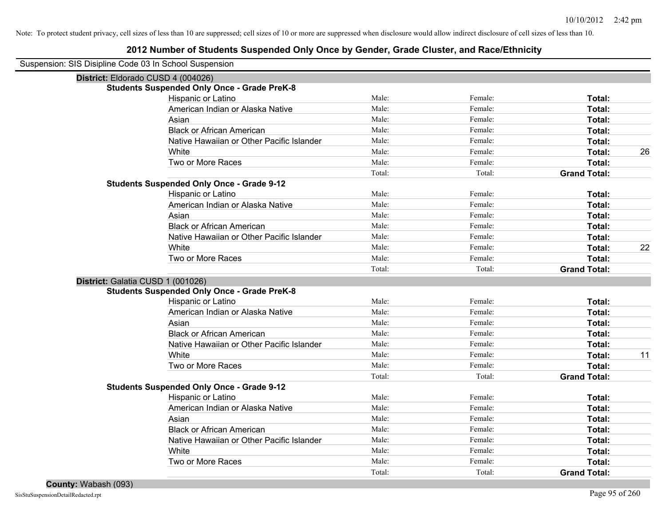### **2012 Number of Students Suspended Only Once by Gender, Grade Cluster, and Race/Ethnicity**

Suspension: SIS Disipline Code 03 In School Suspension

|                                    | rision: SiS Disipline Code 03 in Scribol Suspension |        |         |                     |    |
|------------------------------------|-----------------------------------------------------|--------|---------|---------------------|----|
| District: Eldorado CUSD 4 (004026) |                                                     |        |         |                     |    |
|                                    | <b>Students Suspended Only Once - Grade PreK-8</b>  |        |         |                     |    |
|                                    | Hispanic or Latino                                  | Male:  | Female: | Total:              |    |
|                                    | American Indian or Alaska Native                    | Male:  | Female: | <b>Total:</b>       |    |
|                                    | Asian                                               | Male:  | Female: | <b>Total:</b>       |    |
|                                    | <b>Black or African American</b>                    | Male:  | Female: | <b>Total:</b>       |    |
|                                    | Native Hawaiian or Other Pacific Islander           | Male:  | Female: | <b>Total:</b>       |    |
|                                    | White                                               | Male:  | Female: | <b>Total:</b>       | 26 |
|                                    | Two or More Races                                   | Male:  | Female: | <b>Total:</b>       |    |
|                                    |                                                     | Total: | Total:  | <b>Grand Total:</b> |    |
|                                    | <b>Students Suspended Only Once - Grade 9-12</b>    |        |         |                     |    |
|                                    | Hispanic or Latino                                  | Male:  | Female: | Total:              |    |
|                                    | American Indian or Alaska Native                    | Male:  | Female: | <b>Total:</b>       |    |
|                                    | Asian                                               | Male:  | Female: | Total:              |    |
|                                    | <b>Black or African American</b>                    | Male:  | Female: | Total:              |    |
|                                    | Native Hawaiian or Other Pacific Islander           | Male:  | Female: | <b>Total:</b>       |    |
|                                    | White                                               | Male:  | Female: | <b>Total:</b>       | 22 |
|                                    | Two or More Races                                   | Male:  | Female: | <b>Total:</b>       |    |
|                                    |                                                     | Total: | Total:  | <b>Grand Total:</b> |    |
| District: Galatia CUSD 1 (001026)  |                                                     |        |         |                     |    |
|                                    | <b>Students Suspended Only Once - Grade PreK-8</b>  |        |         |                     |    |
|                                    | Hispanic or Latino                                  | Male:  | Female: | <b>Total:</b>       |    |
|                                    | American Indian or Alaska Native                    | Male:  | Female: | <b>Total:</b>       |    |
|                                    | Asian                                               | Male:  | Female: | <b>Total:</b>       |    |
|                                    | <b>Black or African American</b>                    | Male:  | Female: | <b>Total:</b>       |    |
|                                    | Native Hawaiian or Other Pacific Islander           | Male:  | Female: | <b>Total:</b>       |    |
|                                    | White                                               | Male:  | Female: | Total:              | 11 |
|                                    | Two or More Races                                   | Male:  | Female: | <b>Total:</b>       |    |
|                                    |                                                     | Total: | Total:  | <b>Grand Total:</b> |    |
|                                    | <b>Students Suspended Only Once - Grade 9-12</b>    |        |         |                     |    |
|                                    | Hispanic or Latino                                  | Male:  | Female: | Total:              |    |
|                                    | American Indian or Alaska Native                    | Male:  | Female: | <b>Total:</b>       |    |
|                                    | Asian                                               | Male:  | Female: | <b>Total:</b>       |    |
|                                    | <b>Black or African American</b>                    | Male:  | Female: | Total:              |    |
|                                    | Native Hawaiian or Other Pacific Islander           | Male:  | Female: | Total:              |    |
|                                    | White                                               | Male:  | Female: | Total:              |    |
|                                    | Two or More Races                                   | Male:  | Female: | <b>Total:</b>       |    |
|                                    |                                                     | Total: | Total:  | <b>Grand Total:</b> |    |
|                                    |                                                     |        |         |                     |    |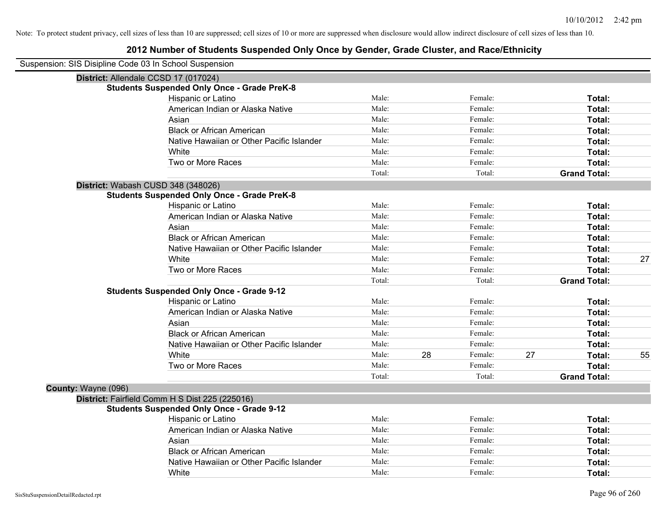| Suspension: SIS Disipline Code 03 In School Suspension |                                                    |        |    |         |    |                     |    |
|--------------------------------------------------------|----------------------------------------------------|--------|----|---------|----|---------------------|----|
|                                                        | District: Allendale CCSD 17 (017024)               |        |    |         |    |                     |    |
|                                                        | <b>Students Suspended Only Once - Grade PreK-8</b> |        |    |         |    |                     |    |
|                                                        | Hispanic or Latino                                 | Male:  |    | Female: |    | Total:              |    |
|                                                        | American Indian or Alaska Native                   | Male:  |    | Female: |    | Total:              |    |
|                                                        | Asian                                              | Male:  |    | Female: |    | Total:              |    |
|                                                        | <b>Black or African American</b>                   | Male:  |    | Female: |    | Total:              |    |
|                                                        | Native Hawaiian or Other Pacific Islander          | Male:  |    | Female: |    | Total:              |    |
|                                                        | White                                              | Male:  |    | Female: |    | Total:              |    |
|                                                        | Two or More Races                                  | Male:  |    | Female: |    | Total:              |    |
|                                                        |                                                    | Total: |    | Total:  |    | <b>Grand Total:</b> |    |
|                                                        | District: Wabash CUSD 348 (348026)                 |        |    |         |    |                     |    |
|                                                        | <b>Students Suspended Only Once - Grade PreK-8</b> |        |    |         |    |                     |    |
|                                                        | Hispanic or Latino                                 | Male:  |    | Female: |    | Total:              |    |
|                                                        | American Indian or Alaska Native                   | Male:  |    | Female: |    | Total:              |    |
|                                                        | Asian                                              | Male:  |    | Female: |    | Total:              |    |
|                                                        | <b>Black or African American</b>                   | Male:  |    | Female: |    | Total:              |    |
|                                                        | Native Hawaiian or Other Pacific Islander          | Male:  |    | Female: |    | Total:              |    |
|                                                        | White                                              | Male:  |    | Female: |    | Total:              | 27 |
|                                                        | Two or More Races                                  | Male:  |    | Female: |    | Total:              |    |
|                                                        |                                                    | Total: |    | Total:  |    | <b>Grand Total:</b> |    |
|                                                        | <b>Students Suspended Only Once - Grade 9-12</b>   |        |    |         |    |                     |    |
|                                                        | Hispanic or Latino                                 | Male:  |    | Female: |    | Total:              |    |
|                                                        | American Indian or Alaska Native                   | Male:  |    | Female: |    | Total:              |    |
|                                                        | Asian                                              | Male:  |    | Female: |    | Total:              |    |
|                                                        | <b>Black or African American</b>                   | Male:  |    | Female: |    | Total:              |    |
|                                                        | Native Hawaiian or Other Pacific Islander          | Male:  |    | Female: |    | Total:              |    |
|                                                        | White                                              | Male:  | 28 | Female: | 27 | Total:              | 55 |
|                                                        | Two or More Races                                  | Male:  |    | Female: |    | Total:              |    |
|                                                        |                                                    | Total: |    | Total:  |    | <b>Grand Total:</b> |    |
| County: Wayne (096)                                    |                                                    |        |    |         |    |                     |    |
|                                                        | District: Fairfield Comm H S Dist 225 (225016)     |        |    |         |    |                     |    |
|                                                        | <b>Students Suspended Only Once - Grade 9-12</b>   |        |    |         |    |                     |    |
|                                                        | Hispanic or Latino                                 | Male:  |    | Female: |    | Total:              |    |
|                                                        | American Indian or Alaska Native                   | Male:  |    | Female: |    | Total:              |    |
|                                                        | Asian                                              | Male:  |    | Female: |    | Total:              |    |
|                                                        | <b>Black or African American</b>                   | Male:  |    | Female: |    | Total:              |    |
|                                                        | Native Hawaiian or Other Pacific Islander          | Male:  |    | Female: |    | <b>Total:</b>       |    |
|                                                        | White                                              | Male:  |    | Female: |    | Total:              |    |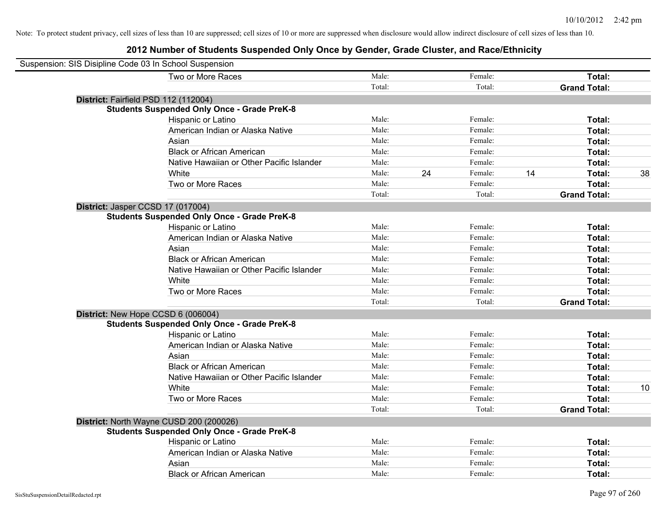| Suspension: SIS Disipline Code 03 In School Suspension |                                                    |        |    |         |    |                     |    |
|--------------------------------------------------------|----------------------------------------------------|--------|----|---------|----|---------------------|----|
|                                                        | Two or More Races                                  | Male:  |    | Female: |    | Total:              |    |
|                                                        |                                                    | Total: |    | Total:  |    | <b>Grand Total:</b> |    |
|                                                        | District: Fairfield PSD 112 (112004)               |        |    |         |    |                     |    |
|                                                        | <b>Students Suspended Only Once - Grade PreK-8</b> |        |    |         |    |                     |    |
|                                                        | Hispanic or Latino                                 | Male:  |    | Female: |    | Total:              |    |
|                                                        | American Indian or Alaska Native                   | Male:  |    | Female: |    | Total:              |    |
|                                                        | Asian                                              | Male:  |    | Female: |    | Total:              |    |
|                                                        | <b>Black or African American</b>                   | Male:  |    | Female: |    | Total:              |    |
|                                                        | Native Hawaiian or Other Pacific Islander          | Male:  |    | Female: |    | Total:              |    |
|                                                        | White                                              | Male:  | 24 | Female: | 14 | Total:              | 38 |
|                                                        | Two or More Races                                  | Male:  |    | Female: |    | Total:              |    |
|                                                        |                                                    | Total: |    | Total:  |    | <b>Grand Total:</b> |    |
|                                                        | District: Jasper CCSD 17 (017004)                  |        |    |         |    |                     |    |
|                                                        | <b>Students Suspended Only Once - Grade PreK-8</b> |        |    |         |    |                     |    |
|                                                        | Hispanic or Latino                                 | Male:  |    | Female: |    | Total:              |    |
|                                                        | American Indian or Alaska Native                   | Male:  |    | Female: |    | Total:              |    |
|                                                        | Asian                                              | Male:  |    | Female: |    | Total:              |    |
|                                                        | <b>Black or African American</b>                   | Male:  |    | Female: |    | Total:              |    |
|                                                        | Native Hawaiian or Other Pacific Islander          | Male:  |    | Female: |    | Total:              |    |
|                                                        | White                                              | Male:  |    | Female: |    | Total:              |    |
|                                                        | Two or More Races                                  | Male:  |    | Female: |    | Total:              |    |
|                                                        |                                                    | Total: |    | Total:  |    | <b>Grand Total:</b> |    |
|                                                        | District: New Hope CCSD 6 (006004)                 |        |    |         |    |                     |    |
|                                                        | <b>Students Suspended Only Once - Grade PreK-8</b> |        |    |         |    |                     |    |
|                                                        | Hispanic or Latino                                 | Male:  |    | Female: |    | Total:              |    |
|                                                        | American Indian or Alaska Native                   | Male:  |    | Female: |    | Total:              |    |
|                                                        | Asian                                              | Male:  |    | Female: |    | Total:              |    |
|                                                        | <b>Black or African American</b>                   | Male:  |    | Female: |    | Total:              |    |
|                                                        | Native Hawaiian or Other Pacific Islander          | Male:  |    | Female: |    | Total:              |    |
|                                                        | White                                              | Male:  |    | Female: |    | Total:              | 10 |
|                                                        | Two or More Races                                  | Male:  |    | Female: |    | Total:              |    |
|                                                        |                                                    | Total: |    | Total:  |    | <b>Grand Total:</b> |    |
|                                                        | District: North Wayne CUSD 200 (200026)            |        |    |         |    |                     |    |
|                                                        | <b>Students Suspended Only Once - Grade PreK-8</b> |        |    |         |    |                     |    |
|                                                        | Hispanic or Latino                                 | Male:  |    | Female: |    | Total:              |    |
|                                                        | American Indian or Alaska Native                   | Male:  |    | Female: |    | Total:              |    |
|                                                        | Asian                                              | Male:  |    | Female: |    | Total:              |    |
|                                                        | <b>Black or African American</b>                   | Male:  |    | Female: |    | Total:              |    |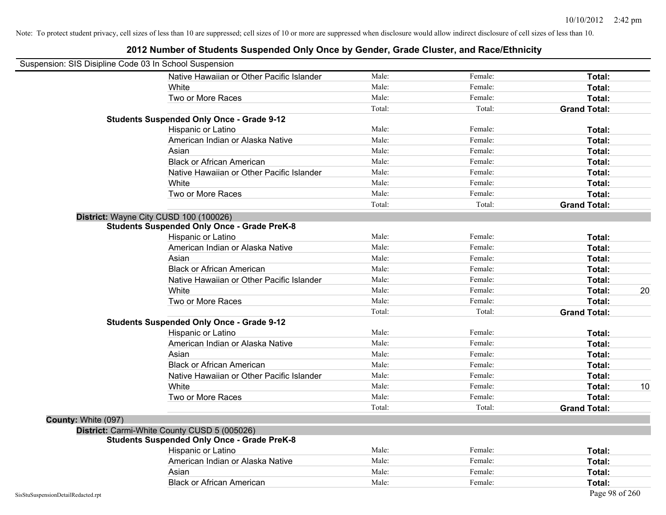| Suspension: SIS Disipline Code 03 In School Suspension |                                                    |        |         |                     |
|--------------------------------------------------------|----------------------------------------------------|--------|---------|---------------------|
|                                                        | Native Hawaiian or Other Pacific Islander          | Male:  | Female: | Total:              |
|                                                        | White                                              | Male:  | Female: | Total:              |
|                                                        | Two or More Races                                  | Male:  | Female: | Total:              |
|                                                        |                                                    | Total: | Total:  | <b>Grand Total:</b> |
|                                                        | <b>Students Suspended Only Once - Grade 9-12</b>   |        |         |                     |
|                                                        | Hispanic or Latino                                 | Male:  | Female: | Total:              |
|                                                        | American Indian or Alaska Native                   | Male:  | Female: | Total:              |
|                                                        | Asian                                              | Male:  | Female: | Total:              |
|                                                        | <b>Black or African American</b>                   | Male:  | Female: | Total:              |
|                                                        | Native Hawaiian or Other Pacific Islander          | Male:  | Female: | Total:              |
|                                                        | White                                              | Male:  | Female: | Total:              |
|                                                        | Two or More Races                                  | Male:  | Female: | Total:              |
|                                                        |                                                    | Total: | Total:  | <b>Grand Total:</b> |
|                                                        | District: Wayne City CUSD 100 (100026)             |        |         |                     |
|                                                        | <b>Students Suspended Only Once - Grade PreK-8</b> |        |         |                     |
|                                                        | Hispanic or Latino                                 | Male:  | Female: | Total:              |
|                                                        | American Indian or Alaska Native                   | Male:  | Female: | Total:              |
|                                                        | Asian                                              | Male:  | Female: | Total:              |
|                                                        | <b>Black or African American</b>                   | Male:  | Female: | Total:              |
|                                                        | Native Hawaiian or Other Pacific Islander          | Male:  | Female: | Total:              |
|                                                        | White                                              | Male:  | Female: | 20<br>Total:        |
|                                                        | Two or More Races                                  | Male:  | Female: | Total:              |
|                                                        |                                                    | Total: | Total:  | <b>Grand Total:</b> |
|                                                        | <b>Students Suspended Only Once - Grade 9-12</b>   |        |         |                     |
|                                                        | Hispanic or Latino                                 | Male:  | Female: | Total:              |
|                                                        | American Indian or Alaska Native                   | Male:  | Female: | Total:              |
|                                                        | Asian                                              | Male:  | Female: | Total:              |
|                                                        | <b>Black or African American</b>                   | Male:  | Female: | Total:              |
|                                                        | Native Hawaiian or Other Pacific Islander          | Male:  | Female: | Total:              |
|                                                        | White                                              | Male:  | Female: | 10<br>Total:        |
|                                                        | Two or More Races                                  | Male:  | Female: | Total:              |
|                                                        |                                                    | Total: | Total:  | <b>Grand Total:</b> |
| County: White (097)                                    |                                                    |        |         |                     |
|                                                        | District: Carmi-White County CUSD 5 (005026)       |        |         |                     |
|                                                        | <b>Students Suspended Only Once - Grade PreK-8</b> |        |         |                     |
|                                                        | Hispanic or Latino                                 | Male:  | Female: | Total:              |
|                                                        | American Indian or Alaska Native                   | Male:  | Female: | Total:              |
|                                                        | Asian                                              | Male:  | Female: | Total:              |
|                                                        | <b>Black or African American</b>                   | Male:  | Female: | Total:              |
| SisStuSuspensionDetailRedacted.rpt                     |                                                    |        |         | Page 98 of 260      |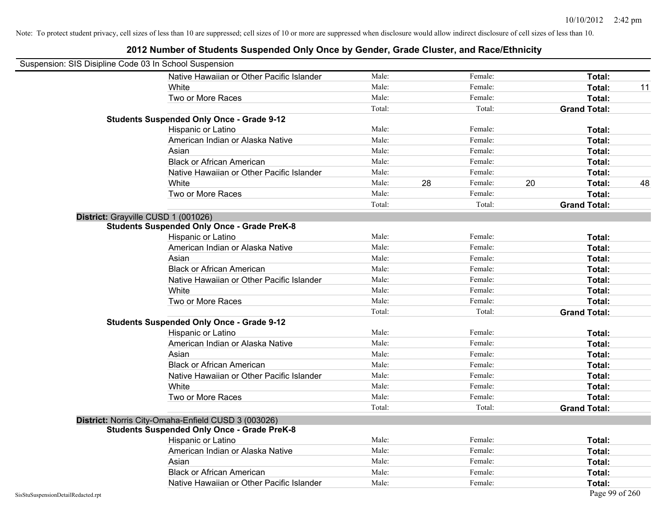|                                    | Suspension: SIS Disipline Code 03 In School Suspension |        |    |         |    |                     |    |
|------------------------------------|--------------------------------------------------------|--------|----|---------|----|---------------------|----|
|                                    | Native Hawaiian or Other Pacific Islander              | Male:  |    | Female: |    | Total:              |    |
|                                    | White                                                  | Male:  |    | Female: |    | Total:              | 11 |
|                                    | Two or More Races                                      | Male:  |    | Female: |    | Total:              |    |
|                                    |                                                        | Total: |    | Total:  |    | <b>Grand Total:</b> |    |
|                                    | <b>Students Suspended Only Once - Grade 9-12</b>       |        |    |         |    |                     |    |
|                                    | Hispanic or Latino                                     | Male:  |    | Female: |    | Total:              |    |
|                                    | American Indian or Alaska Native                       | Male:  |    | Female: |    | Total:              |    |
|                                    | Asian                                                  | Male:  |    | Female: |    | Total:              |    |
|                                    | <b>Black or African American</b>                       | Male:  |    | Female: |    | Total:              |    |
|                                    | Native Hawaiian or Other Pacific Islander              | Male:  |    | Female: |    | Total:              |    |
|                                    | White                                                  | Male:  | 28 | Female: | 20 | Total:              | 48 |
|                                    | Two or More Races                                      | Male:  |    | Female: |    | Total:              |    |
|                                    |                                                        | Total: |    | Total:  |    | <b>Grand Total:</b> |    |
|                                    | District: Grayville CUSD 1 (001026)                    |        |    |         |    |                     |    |
|                                    | <b>Students Suspended Only Once - Grade PreK-8</b>     |        |    |         |    |                     |    |
|                                    | Hispanic or Latino                                     | Male:  |    | Female: |    | Total:              |    |
|                                    | American Indian or Alaska Native                       | Male:  |    | Female: |    | <b>Total:</b>       |    |
|                                    | Asian                                                  | Male:  |    | Female: |    | Total:              |    |
|                                    | <b>Black or African American</b>                       | Male:  |    | Female: |    | Total:              |    |
|                                    | Native Hawaiian or Other Pacific Islander              | Male:  |    | Female: |    | Total:              |    |
|                                    | White                                                  | Male:  |    | Female: |    | Total:              |    |
|                                    | Two or More Races                                      | Male:  |    | Female: |    | <b>Total:</b>       |    |
|                                    |                                                        | Total: |    | Total:  |    | <b>Grand Total:</b> |    |
|                                    | <b>Students Suspended Only Once - Grade 9-12</b>       |        |    |         |    |                     |    |
|                                    | Hispanic or Latino                                     | Male:  |    | Female: |    | Total:              |    |
|                                    | American Indian or Alaska Native                       | Male:  |    | Female: |    | Total:              |    |
|                                    | Asian                                                  | Male:  |    | Female: |    | Total:              |    |
|                                    | <b>Black or African American</b>                       | Male:  |    | Female: |    | <b>Total:</b>       |    |
|                                    | Native Hawaiian or Other Pacific Islander              | Male:  |    | Female: |    | Total:              |    |
|                                    | White                                                  | Male:  |    | Female: |    | Total:              |    |
|                                    | Two or More Races                                      | Male:  |    | Female: |    | Total:              |    |
|                                    |                                                        | Total: |    | Total:  |    | <b>Grand Total:</b> |    |
|                                    | District: Norris City-Omaha-Enfield CUSD 3 (003026)    |        |    |         |    |                     |    |
|                                    | <b>Students Suspended Only Once - Grade PreK-8</b>     |        |    |         |    |                     |    |
|                                    | Hispanic or Latino                                     | Male:  |    | Female: |    | <b>Total:</b>       |    |
|                                    | American Indian or Alaska Native                       | Male:  |    | Female: |    | Total:              |    |
|                                    | Asian                                                  | Male:  |    | Female: |    | Total:              |    |
|                                    | <b>Black or African American</b>                       | Male:  |    | Female: |    | <b>Total:</b>       |    |
|                                    | Native Hawaiian or Other Pacific Islander              | Male:  |    | Female: |    | <b>Total:</b>       |    |
| SisStuSuspensionDetailRedacted.rpt |                                                        |        |    |         |    | Page 99 of 260      |    |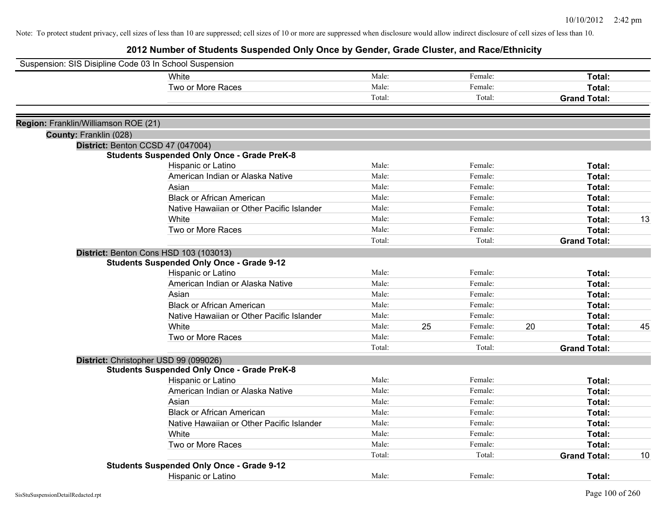| Suspension: SIS Disipline Code 03 In School Suspension |                                                    |        |    |         |    |                     |    |
|--------------------------------------------------------|----------------------------------------------------|--------|----|---------|----|---------------------|----|
|                                                        | White                                              | Male:  |    | Female: |    | Total:              |    |
|                                                        | Two or More Races                                  | Male:  |    | Female: |    | Total:              |    |
|                                                        |                                                    | Total: |    | Total:  |    | <b>Grand Total:</b> |    |
| Region: Franklin/Williamson ROE (21)                   |                                                    |        |    |         |    |                     |    |
| County: Franklin (028)                                 |                                                    |        |    |         |    |                     |    |
|                                                        | District: Benton CCSD 47 (047004)                  |        |    |         |    |                     |    |
|                                                        | <b>Students Suspended Only Once - Grade PreK-8</b> |        |    |         |    |                     |    |
|                                                        | Hispanic or Latino                                 | Male:  |    | Female: |    | Total:              |    |
|                                                        | American Indian or Alaska Native                   | Male:  |    | Female: |    | Total:              |    |
|                                                        | Asian                                              | Male:  |    | Female: |    | Total:              |    |
|                                                        | <b>Black or African American</b>                   | Male:  |    | Female: |    | Total:              |    |
|                                                        | Native Hawaiian or Other Pacific Islander          | Male:  |    | Female: |    | Total:              |    |
|                                                        | White                                              | Male:  |    | Female: |    | Total:              | 13 |
|                                                        | Two or More Races                                  | Male:  |    | Female: |    | Total:              |    |
|                                                        |                                                    | Total: |    | Total:  |    | <b>Grand Total:</b> |    |
|                                                        | District: Benton Cons HSD 103 (103013)             |        |    |         |    |                     |    |
|                                                        | <b>Students Suspended Only Once - Grade 9-12</b>   |        |    |         |    |                     |    |
|                                                        | Hispanic or Latino                                 | Male:  |    | Female: |    | Total:              |    |
|                                                        | American Indian or Alaska Native                   | Male:  |    | Female: |    | Total:              |    |
|                                                        | Asian                                              | Male:  |    | Female: |    | Total:              |    |
|                                                        | <b>Black or African American</b>                   | Male:  |    | Female: |    | Total:              |    |
|                                                        | Native Hawaiian or Other Pacific Islander          | Male:  |    | Female: |    | Total:              |    |
|                                                        | White                                              | Male:  | 25 | Female: | 20 | Total:              | 45 |
|                                                        | Two or More Races                                  | Male:  |    | Female: |    | Total:              |    |
|                                                        |                                                    | Total: |    | Total:  |    | <b>Grand Total:</b> |    |
|                                                        | District: Christopher USD 99 (099026)              |        |    |         |    |                     |    |
|                                                        | <b>Students Suspended Only Once - Grade PreK-8</b> |        |    |         |    |                     |    |
|                                                        | Hispanic or Latino                                 | Male:  |    | Female: |    | Total:              |    |
|                                                        | American Indian or Alaska Native                   | Male:  |    | Female: |    | Total:              |    |
|                                                        | Asian                                              | Male:  |    | Female: |    | Total:              |    |
|                                                        | <b>Black or African American</b>                   | Male:  |    | Female: |    | Total:              |    |
|                                                        | Native Hawaiian or Other Pacific Islander          | Male:  |    | Female: |    | Total:              |    |
|                                                        | White                                              | Male:  |    | Female: |    | Total:              |    |
|                                                        | Two or More Races                                  | Male:  |    | Female: |    | Total:              |    |
|                                                        |                                                    | Total: |    | Total:  |    | <b>Grand Total:</b> | 10 |
|                                                        | <b>Students Suspended Only Once - Grade 9-12</b>   |        |    |         |    |                     |    |
|                                                        | <b>Hispanic or Latino</b>                          | Male:  |    | Female: |    | Total:              |    |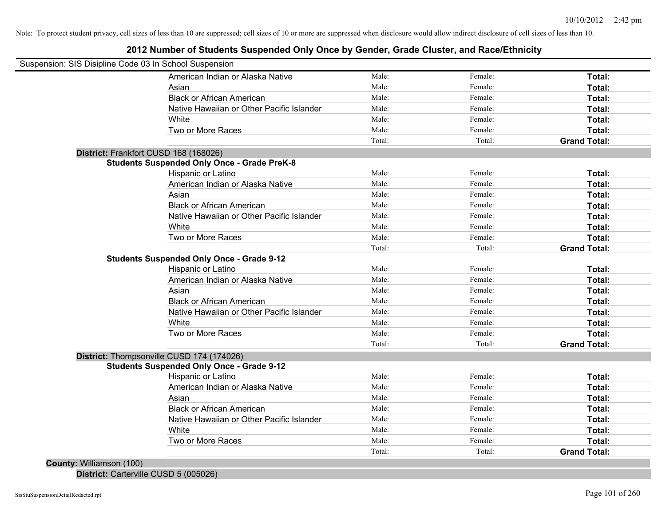### **2012 Number of Students Suspended Only Once by Gender, Grade Cluster, and Race/Ethnicity**

| Suspension: SIS Disipline Code 03 In School Suspension |        |         |                     |
|--------------------------------------------------------|--------|---------|---------------------|
| American Indian or Alaska Native                       | Male:  | Female: | Total:              |
| Asian                                                  | Male:  | Female: | Total:              |
| <b>Black or African American</b>                       | Male:  | Female: | Total:              |
| Native Hawaiian or Other Pacific Islander              | Male:  | Female: | Total:              |
| White                                                  | Male:  | Female: | Total:              |
| Two or More Races                                      | Male:  | Female: | Total:              |
|                                                        | Total: | Total:  | <b>Grand Total:</b> |
| District: Frankfort CUSD 168 (168026)                  |        |         |                     |
| <b>Students Suspended Only Once - Grade PreK-8</b>     |        |         |                     |
| Hispanic or Latino                                     | Male:  | Female: | Total:              |
| American Indian or Alaska Native                       | Male:  | Female: | Total:              |
| Asian                                                  | Male:  | Female: | Total:              |
| <b>Black or African American</b>                       | Male:  | Female: | Total:              |
| Native Hawaiian or Other Pacific Islander              | Male:  | Female: | Total:              |
| White                                                  | Male:  | Female: | Total:              |
| Two or More Races                                      | Male:  | Female: | Total:              |
|                                                        | Total: | Total:  | <b>Grand Total:</b> |
| <b>Students Suspended Only Once - Grade 9-12</b>       |        |         |                     |
| Hispanic or Latino                                     | Male:  | Female: | Total:              |
| American Indian or Alaska Native                       | Male:  | Female: | Total:              |
| Asian                                                  | Male:  | Female: | Total:              |
| <b>Black or African American</b>                       | Male:  | Female: | Total:              |
| Native Hawaiian or Other Pacific Islander              | Male:  | Female: | Total:              |
| White                                                  | Male:  | Female: | Total:              |
| Two or More Races                                      | Male:  | Female: | Total:              |
|                                                        | Total: | Total:  | <b>Grand Total:</b> |
| District: Thompsonville CUSD 174 (174026)              |        |         |                     |
| <b>Students Suspended Only Once - Grade 9-12</b>       |        |         |                     |
| Hispanic or Latino                                     | Male:  | Female: | Total:              |
| American Indian or Alaska Native                       | Male:  | Female: | Total:              |
| Asian                                                  | Male:  | Female: | Total:              |
| <b>Black or African American</b>                       | Male:  | Female: | Total:              |
| Native Hawaiian or Other Pacific Islander              | Male:  | Female: | Total:              |
| White                                                  | Male:  | Female: | Total:              |
| Two or More Races                                      | Male:  | Female: | Total:              |
|                                                        | Total: | Total:  | <b>Grand Total:</b> |
| County: Williamson (100)                               |        |         |                     |

**District:** Carterville CUSD 5 (005026)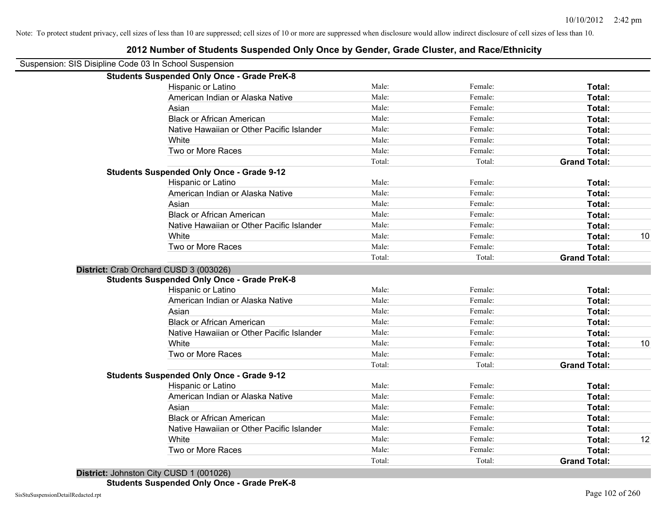| Suspension: SIS Disipline Code 03 In School Suspension |                                                    |        |         |                     |    |
|--------------------------------------------------------|----------------------------------------------------|--------|---------|---------------------|----|
|                                                        | <b>Students Suspended Only Once - Grade PreK-8</b> |        |         |                     |    |
|                                                        | Hispanic or Latino                                 | Male:  | Female: | Total:              |    |
|                                                        | American Indian or Alaska Native                   | Male:  | Female: | Total:              |    |
|                                                        | Asian                                              | Male:  | Female: | Total:              |    |
|                                                        | <b>Black or African American</b>                   | Male:  | Female: | Total:              |    |
|                                                        | Native Hawaiian or Other Pacific Islander          | Male:  | Female: | Total:              |    |
|                                                        | White                                              | Male:  | Female: | Total:              |    |
|                                                        | Two or More Races                                  | Male:  | Female: | Total:              |    |
|                                                        |                                                    | Total: | Total:  | <b>Grand Total:</b> |    |
|                                                        | <b>Students Suspended Only Once - Grade 9-12</b>   |        |         |                     |    |
|                                                        | Hispanic or Latino                                 | Male:  | Female: | Total:              |    |
|                                                        | American Indian or Alaska Native                   | Male:  | Female: | Total:              |    |
|                                                        | Asian                                              | Male:  | Female: | Total:              |    |
|                                                        | <b>Black or African American</b>                   | Male:  | Female: | Total:              |    |
|                                                        | Native Hawaiian or Other Pacific Islander          | Male:  | Female: | Total:              |    |
|                                                        | White                                              | Male:  | Female: | Total:              | 10 |
|                                                        | Two or More Races                                  | Male:  | Female: | Total:              |    |
|                                                        |                                                    | Total: | Total:  | <b>Grand Total:</b> |    |
|                                                        | District: Crab Orchard CUSD 3 (003026)             |        |         |                     |    |
|                                                        | <b>Students Suspended Only Once - Grade PreK-8</b> |        |         |                     |    |
|                                                        | Hispanic or Latino                                 | Male:  | Female: | Total:              |    |
|                                                        | American Indian or Alaska Native                   | Male:  | Female: | Total:              |    |
|                                                        | Asian                                              | Male:  | Female: | Total:              |    |
|                                                        | <b>Black or African American</b>                   | Male:  | Female: | Total:              |    |
|                                                        | Native Hawaiian or Other Pacific Islander          | Male:  | Female: | Total:              |    |
|                                                        | White                                              | Male:  | Female: | Total:              | 10 |
|                                                        | Two or More Races                                  | Male:  | Female: | Total:              |    |
|                                                        |                                                    | Total: | Total:  | <b>Grand Total:</b> |    |
|                                                        | <b>Students Suspended Only Once - Grade 9-12</b>   |        |         |                     |    |
|                                                        | Hispanic or Latino                                 | Male:  | Female: | Total:              |    |
|                                                        | American Indian or Alaska Native                   | Male:  | Female: | Total:              |    |
|                                                        | Asian                                              | Male:  | Female: | Total:              |    |
|                                                        | <b>Black or African American</b>                   | Male:  | Female: | Total:              |    |
|                                                        | Native Hawaiian or Other Pacific Islander          | Male:  | Female: | Total:              |    |
|                                                        | White                                              | Male:  | Female: | Total:              | 12 |
|                                                        | Two or More Races                                  | Male:  | Female: | Total:              |    |
|                                                        |                                                    | Total: | Total:  | <b>Grand Total:</b> |    |
|                                                        |                                                    |        |         |                     |    |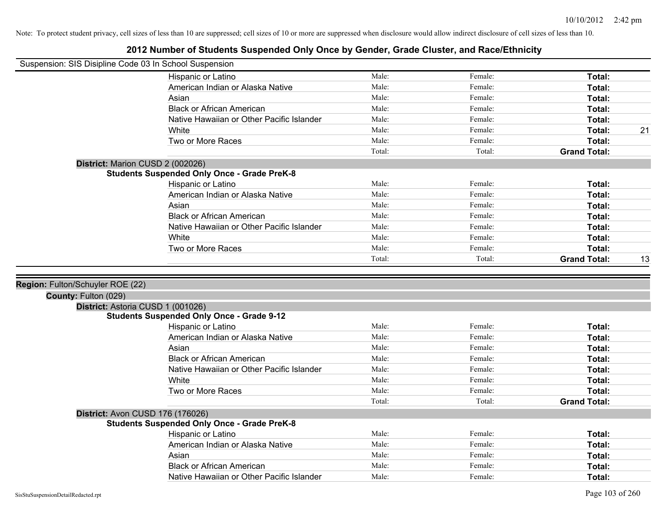| Suspension: SIS Disipline Code 03 In School Suspension |                                                    |        |         |                     |    |
|--------------------------------------------------------|----------------------------------------------------|--------|---------|---------------------|----|
|                                                        | Hispanic or Latino                                 | Male:  | Female: | Total:              |    |
|                                                        | American Indian or Alaska Native                   | Male:  | Female: | Total:              |    |
|                                                        | Asian                                              | Male:  | Female: | Total:              |    |
|                                                        | <b>Black or African American</b>                   | Male:  | Female: | Total:              |    |
|                                                        | Native Hawaiian or Other Pacific Islander          | Male:  | Female: | Total:              |    |
|                                                        | White                                              | Male:  | Female: | Total:              | 21 |
|                                                        | Two or More Races                                  | Male:  | Female: | Total:              |    |
|                                                        |                                                    | Total: | Total:  | <b>Grand Total:</b> |    |
|                                                        | District: Marion CUSD 2 (002026)                   |        |         |                     |    |
|                                                        | <b>Students Suspended Only Once - Grade PreK-8</b> |        |         |                     |    |
|                                                        | Hispanic or Latino                                 | Male:  | Female: | Total:              |    |
|                                                        | American Indian or Alaska Native                   | Male:  | Female: | Total:              |    |
|                                                        | Asian                                              | Male:  | Female: | Total:              |    |
|                                                        | <b>Black or African American</b>                   | Male:  | Female: | Total:              |    |
|                                                        | Native Hawaiian or Other Pacific Islander          | Male:  | Female: | Total:              |    |
|                                                        | White                                              | Male:  | Female: | Total:              |    |
|                                                        | Two or More Races                                  | Male:  | Female: | Total:              |    |
|                                                        |                                                    | Total: | Total:  | <b>Grand Total:</b> | 13 |
|                                                        |                                                    |        |         |                     |    |
| Region: Fulton/Schuyler ROE (22)                       |                                                    |        |         |                     |    |
| County: Fulton (029)                                   |                                                    |        |         |                     |    |
|                                                        | District: Astoria CUSD 1 (001026)                  |        |         |                     |    |
|                                                        | <b>Students Suspended Only Once - Grade 9-12</b>   |        |         |                     |    |
|                                                        | Hispanic or Latino                                 | Male:  | Female: | Total:              |    |
|                                                        | American Indian or Alaska Native                   | Male:  | Female: | Total:              |    |
|                                                        | Asian                                              | Male:  | Female: | Total:              |    |
|                                                        | <b>Black or African American</b>                   | Male:  | Female: | Total:              |    |
|                                                        | Native Hawaiian or Other Pacific Islander          | Male:  | Female: | Total:              |    |
|                                                        | White                                              | Male:  | Female: | Total:              |    |
|                                                        | Two or More Races                                  | Male:  | Female: | Total:              |    |
|                                                        |                                                    | Total: | Total:  | <b>Grand Total:</b> |    |
|                                                        | District: Avon CUSD 176 (176026)                   |        |         |                     |    |
|                                                        | <b>Students Suspended Only Once - Grade PreK-8</b> |        |         |                     |    |
|                                                        | Hispanic or Latino                                 | Male:  | Female: | Total:              |    |
|                                                        | American Indian or Alaska Native                   | Male:  | Female: | Total:              |    |
|                                                        | Asian                                              | Male:  | Female: | Total:              |    |
|                                                        | <b>Black or African American</b>                   | Male:  | Female: | Total:              |    |
|                                                        | Native Hawaiian or Other Pacific Islander          | Male:  | Female: | Total:              |    |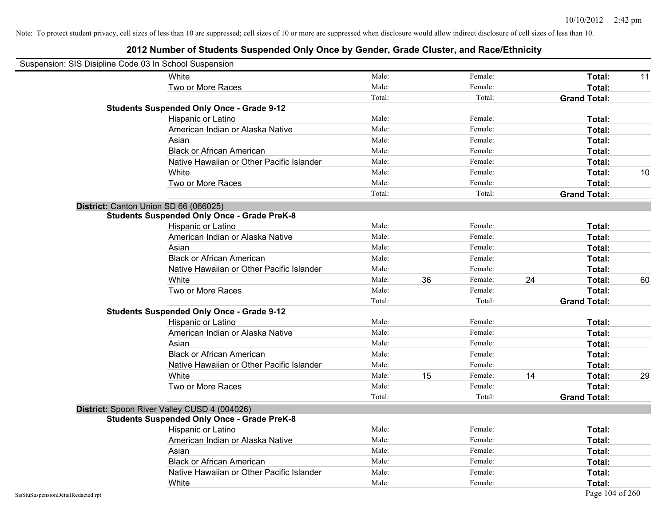|                                    | Suspension: SIS Disipline Code 03 In School Suspension |        |    |         |    |                     |    |
|------------------------------------|--------------------------------------------------------|--------|----|---------|----|---------------------|----|
|                                    | White                                                  | Male:  |    | Female: |    | Total:              | 11 |
|                                    | Two or More Races                                      | Male:  |    | Female: |    | Total:              |    |
|                                    |                                                        | Total: |    | Total:  |    | <b>Grand Total:</b> |    |
|                                    | <b>Students Suspended Only Once - Grade 9-12</b>       |        |    |         |    |                     |    |
|                                    | Hispanic or Latino                                     | Male:  |    | Female: |    | Total:              |    |
|                                    | American Indian or Alaska Native                       | Male:  |    | Female: |    | Total:              |    |
|                                    | Asian                                                  | Male:  |    | Female: |    | Total:              |    |
|                                    | <b>Black or African American</b>                       | Male:  |    | Female: |    | Total:              |    |
|                                    | Native Hawaiian or Other Pacific Islander              | Male:  |    | Female: |    | Total:              |    |
|                                    | White                                                  | Male:  |    | Female: |    | Total:              | 10 |
|                                    | Two or More Races                                      | Male:  |    | Female: |    | Total:              |    |
|                                    |                                                        | Total: |    | Total:  |    | <b>Grand Total:</b> |    |
|                                    | District: Canton Union SD 66 (066025)                  |        |    |         |    |                     |    |
|                                    | <b>Students Suspended Only Once - Grade PreK-8</b>     |        |    |         |    |                     |    |
|                                    | Hispanic or Latino                                     | Male:  |    | Female: |    | Total:              |    |
|                                    | American Indian or Alaska Native                       | Male:  |    | Female: |    | Total:              |    |
|                                    | Asian                                                  | Male:  |    | Female: |    | Total:              |    |
|                                    | <b>Black or African American</b>                       | Male:  |    | Female: |    | Total:              |    |
|                                    | Native Hawaiian or Other Pacific Islander              | Male:  |    | Female: |    | Total:              |    |
|                                    | White                                                  | Male:  | 36 | Female: | 24 | Total:              | 60 |
|                                    | Two or More Races                                      | Male:  |    | Female: |    | Total:              |    |
|                                    |                                                        | Total: |    | Total:  |    | <b>Grand Total:</b> |    |
|                                    | <b>Students Suspended Only Once - Grade 9-12</b>       |        |    |         |    |                     |    |
|                                    | Hispanic or Latino                                     | Male:  |    | Female: |    | Total:              |    |
|                                    | American Indian or Alaska Native                       | Male:  |    | Female: |    | Total:              |    |
|                                    | Asian                                                  | Male:  |    | Female: |    | Total:              |    |
|                                    | <b>Black or African American</b>                       | Male:  |    | Female: |    | Total:              |    |
|                                    | Native Hawaiian or Other Pacific Islander              | Male:  |    | Female: |    | Total:              |    |
|                                    | White                                                  | Male:  | 15 | Female: | 14 | Total:              | 29 |
|                                    | Two or More Races                                      | Male:  |    | Female: |    | Total:              |    |
|                                    |                                                        | Total: |    | Total:  |    | <b>Grand Total:</b> |    |
|                                    | District: Spoon River Valley CUSD 4 (004026)           |        |    |         |    |                     |    |
|                                    | <b>Students Suspended Only Once - Grade PreK-8</b>     |        |    |         |    |                     |    |
|                                    | <b>Hispanic or Latino</b>                              | Male:  |    | Female: |    | Total:              |    |
|                                    | American Indian or Alaska Native                       | Male:  |    | Female: |    | Total:              |    |
|                                    | Asian                                                  | Male:  |    | Female: |    | Total:              |    |
|                                    | <b>Black or African American</b>                       | Male:  |    | Female: |    | Total:              |    |
|                                    | Native Hawaiian or Other Pacific Islander              | Male:  |    | Female: |    | Total:              |    |
|                                    | White                                                  | Male:  |    | Female: |    | Total:              |    |
| SisStuSuspensionDetailRedacted.rpt |                                                        |        |    |         |    | Page 104 of 260     |    |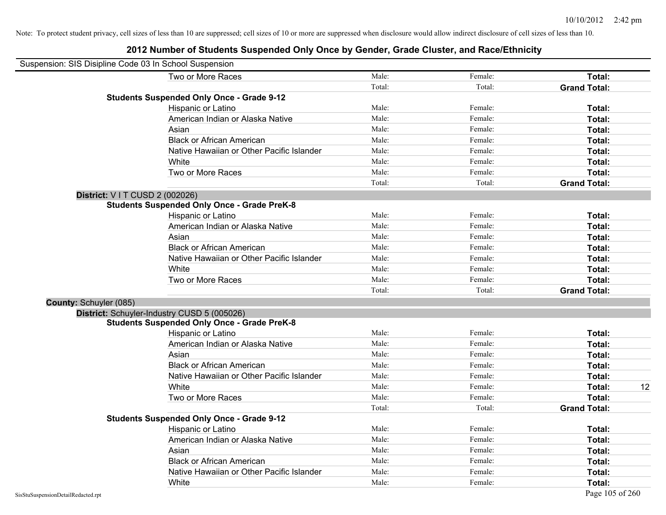|                        | Suspension: SIS Disipline Code 03 In School Suspension |        |         |                     |    |
|------------------------|--------------------------------------------------------|--------|---------|---------------------|----|
|                        | Two or More Races                                      | Male:  | Female: | Total:              |    |
|                        |                                                        | Total: | Total:  | <b>Grand Total:</b> |    |
|                        | <b>Students Suspended Only Once - Grade 9-12</b>       |        |         |                     |    |
|                        | Hispanic or Latino                                     | Male:  | Female: | Total:              |    |
|                        | American Indian or Alaska Native                       | Male:  | Female: | Total:              |    |
|                        | Asian                                                  | Male:  | Female: | Total:              |    |
|                        | <b>Black or African American</b>                       | Male:  | Female: | Total:              |    |
|                        | Native Hawaiian or Other Pacific Islander              | Male:  | Female: | Total:              |    |
|                        | White                                                  | Male:  | Female: | Total:              |    |
|                        | Two or More Races                                      | Male:  | Female: | Total:              |    |
|                        |                                                        | Total: | Total:  | <b>Grand Total:</b> |    |
|                        | District: V I T CUSD 2 (002026)                        |        |         |                     |    |
|                        | <b>Students Suspended Only Once - Grade PreK-8</b>     |        |         |                     |    |
|                        | Hispanic or Latino                                     | Male:  | Female: | Total:              |    |
|                        | American Indian or Alaska Native                       | Male:  | Female: | Total:              |    |
|                        | Asian                                                  | Male:  | Female: | Total:              |    |
|                        | <b>Black or African American</b>                       | Male:  | Female: | Total:              |    |
|                        | Native Hawaiian or Other Pacific Islander              | Male:  | Female: | Total:              |    |
|                        | White                                                  | Male:  | Female: | Total:              |    |
|                        | Two or More Races                                      | Male:  | Female: | Total:              |    |
|                        |                                                        | Total: | Total:  | <b>Grand Total:</b> |    |
| County: Schuyler (085) |                                                        |        |         |                     |    |
|                        | District: Schuyler-Industry CUSD 5 (005026)            |        |         |                     |    |
|                        | <b>Students Suspended Only Once - Grade PreK-8</b>     |        |         |                     |    |
|                        | Hispanic or Latino                                     | Male:  | Female: | Total:              |    |
|                        | American Indian or Alaska Native                       | Male:  | Female: | Total:              |    |
|                        | Asian                                                  | Male:  | Female: | Total:              |    |
|                        | <b>Black or African American</b>                       | Male:  | Female: | Total:              |    |
|                        | Native Hawaiian or Other Pacific Islander              | Male:  | Female: | Total:              |    |
|                        | White                                                  | Male:  | Female: | Total:              | 12 |
|                        | Two or More Races                                      | Male:  | Female: | Total:              |    |
|                        |                                                        | Total: | Total:  | <b>Grand Total:</b> |    |
|                        | <b>Students Suspended Only Once - Grade 9-12</b>       |        |         |                     |    |
|                        | Hispanic or Latino                                     | Male:  | Female: | Total:              |    |
|                        | American Indian or Alaska Native                       | Male:  | Female: | Total:              |    |
|                        | Asian                                                  | Male:  | Female: | Total:              |    |
|                        | <b>Black or African American</b>                       | Male:  | Female: | Total:              |    |
|                        | Native Hawaiian or Other Pacific Islander              | Male:  | Female: | Total:              |    |
|                        | White                                                  | Male:  | Female: | Total:              |    |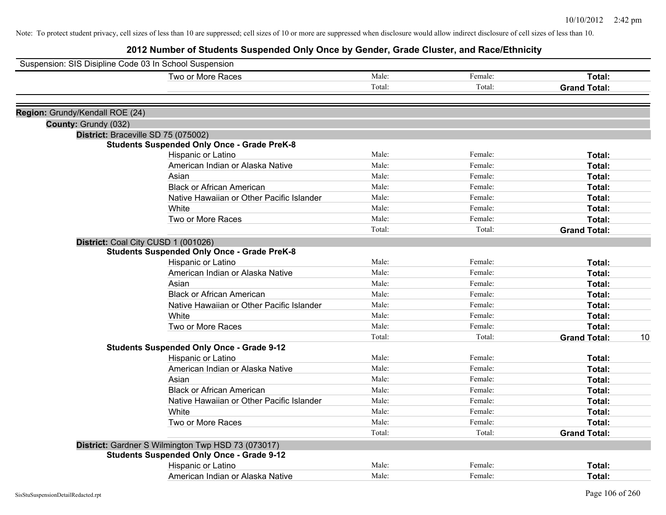| Suspension: SIS Disipline Code 03 In School Suspension |                                                    |                |                    |                           |
|--------------------------------------------------------|----------------------------------------------------|----------------|--------------------|---------------------------|
|                                                        | Two or More Races                                  | Male:          | Female:            | Total:                    |
|                                                        |                                                    | Total:         | Total:             | <b>Grand Total:</b>       |
|                                                        |                                                    |                |                    |                           |
| Region: Grundy/Kendall ROE (24)                        |                                                    |                |                    |                           |
| County: Grundy (032)                                   |                                                    |                |                    |                           |
|                                                        | District: Braceville SD 75 (075002)                |                |                    |                           |
|                                                        | <b>Students Suspended Only Once - Grade PreK-8</b> | Male:          | Female:            |                           |
|                                                        | Hispanic or Latino                                 | Male:          | Female:            | Total:                    |
|                                                        | American Indian or Alaska Native                   |                |                    | Total:                    |
|                                                        | Asian                                              | Male:          | Female:            | Total:                    |
|                                                        | <b>Black or African American</b>                   | Male:<br>Male: | Female:<br>Female: | Total:                    |
|                                                        | Native Hawaiian or Other Pacific Islander          |                |                    | Total:                    |
|                                                        | White                                              | Male:          | Female:            | Total:                    |
|                                                        | Two or More Races                                  | Male:          | Female:            | Total:                    |
|                                                        |                                                    | Total:         | Total:             | <b>Grand Total:</b>       |
|                                                        | District: Coal City CUSD 1 (001026)                |                |                    |                           |
|                                                        | <b>Students Suspended Only Once - Grade PreK-8</b> |                |                    |                           |
|                                                        | Hispanic or Latino                                 | Male:          | Female:            | Total:                    |
|                                                        | American Indian or Alaska Native                   | Male:          | Female:            | Total:                    |
|                                                        | Asian                                              | Male:          | Female:            | Total:                    |
|                                                        | <b>Black or African American</b>                   | Male:          | Female:            | Total:                    |
|                                                        | Native Hawaiian or Other Pacific Islander          | Male:          | Female:            | Total:                    |
|                                                        | White                                              | Male:          | Female:            | Total:                    |
|                                                        | Two or More Races                                  | Male:          | Female:            | Total:                    |
|                                                        |                                                    | Total:         | Total:             | <b>Grand Total:</b><br>10 |
|                                                        | <b>Students Suspended Only Once - Grade 9-12</b>   |                |                    |                           |
|                                                        | Hispanic or Latino                                 | Male:          | Female:            | Total:                    |
|                                                        | American Indian or Alaska Native                   | Male:          | Female:            | Total:                    |
|                                                        | Asian                                              | Male:          | Female:            | Total:                    |
|                                                        | <b>Black or African American</b>                   | Male:          | Female:            | Total:                    |
|                                                        | Native Hawaiian or Other Pacific Islander          | Male:          | Female:            | Total:                    |
|                                                        | White                                              | Male:          | Female:            | Total:                    |
|                                                        | Two or More Races                                  | Male:          | Female:            | Total:                    |
|                                                        |                                                    | Total:         | Total:             | <b>Grand Total:</b>       |
|                                                        | District: Gardner S Wilmington Twp HSD 73 (073017) |                |                    |                           |
|                                                        | <b>Students Suspended Only Once - Grade 9-12</b>   |                |                    |                           |
|                                                        | Hispanic or Latino                                 | Male:          | Female:            | Total:                    |
|                                                        | American Indian or Alaska Native                   | Male:          | Female:            | Total:                    |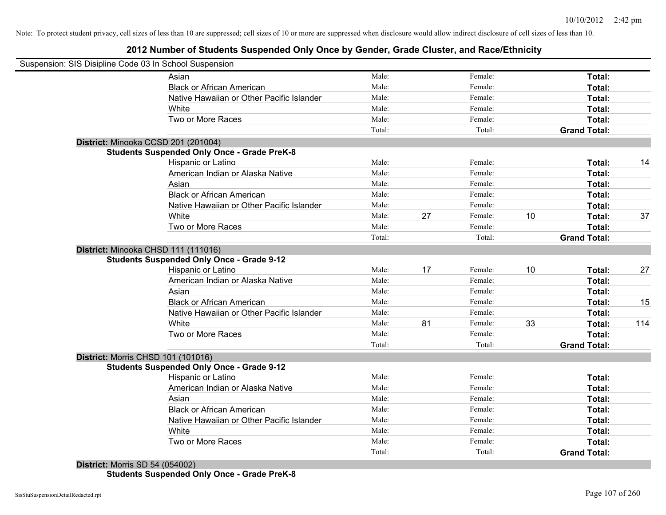### **2012 Number of Students Suspended Only Once by Gender, Grade Cluster, and Race/Ethnicity**

| Suspension: SIS Disipline Code 03 In School Suspension |        |    |         |    |                     |     |
|--------------------------------------------------------|--------|----|---------|----|---------------------|-----|
| Asian                                                  | Male:  |    | Female: |    | Total:              |     |
| <b>Black or African American</b>                       | Male:  |    | Female: |    | Total:              |     |
| Native Hawaiian or Other Pacific Islander              | Male:  |    | Female: |    | Total:              |     |
| White                                                  | Male:  |    | Female: |    | Total:              |     |
| Two or More Races                                      | Male:  |    | Female: |    | Total:              |     |
|                                                        | Total: |    | Total:  |    | <b>Grand Total:</b> |     |
| District: Minooka CCSD 201 (201004)                    |        |    |         |    |                     |     |
| <b>Students Suspended Only Once - Grade PreK-8</b>     |        |    |         |    |                     |     |
| Hispanic or Latino                                     | Male:  |    | Female: |    | Total:              | 14  |
| American Indian or Alaska Native                       | Male:  |    | Female: |    | Total:              |     |
| Asian                                                  | Male:  |    | Female: |    | Total:              |     |
| <b>Black or African American</b>                       | Male:  |    | Female: |    | Total:              |     |
| Native Hawaiian or Other Pacific Islander              | Male:  |    | Female: |    | Total:              |     |
| White                                                  | Male:  | 27 | Female: | 10 | Total:              | 37  |
| Two or More Races                                      | Male:  |    | Female: |    | Total:              |     |
|                                                        | Total: |    | Total:  |    | <b>Grand Total:</b> |     |
| District: Minooka CHSD 111 (111016)                    |        |    |         |    |                     |     |
| <b>Students Suspended Only Once - Grade 9-12</b>       |        |    |         |    |                     |     |
| Hispanic or Latino                                     | Male:  | 17 | Female: | 10 | Total:              | 27  |
| American Indian or Alaska Native                       | Male:  |    | Female: |    | Total:              |     |
| Asian                                                  | Male:  |    | Female: |    | Total:              |     |
| <b>Black or African American</b>                       | Male:  |    | Female: |    | Total:              | 15  |
| Native Hawaiian or Other Pacific Islander              | Male:  |    | Female: |    | Total:              |     |
| White                                                  | Male:  | 81 | Female: | 33 | Total:              | 114 |
| Two or More Races                                      | Male:  |    | Female: |    | Total:              |     |
|                                                        | Total: |    | Total:  |    | <b>Grand Total:</b> |     |
| <b>District: Morris CHSD 101 (101016)</b>              |        |    |         |    |                     |     |
| <b>Students Suspended Only Once - Grade 9-12</b>       |        |    |         |    |                     |     |
| Hispanic or Latino                                     | Male:  |    | Female: |    | Total:              |     |
| American Indian or Alaska Native                       | Male:  |    | Female: |    | Total:              |     |
| Asian                                                  | Male:  |    | Female: |    | Total:              |     |
| <b>Black or African American</b>                       | Male:  |    | Female: |    | Total:              |     |
| Native Hawaiian or Other Pacific Islander              | Male:  |    | Female: |    | Total:              |     |
| White                                                  | Male:  |    | Female: |    | Total:              |     |
| Two or More Races                                      | Male:  |    | Female: |    | Total:              |     |
|                                                        | Total: |    | Total:  |    | <b>Grand Total:</b> |     |

**Students Suspended Only Once - Grade PreK-8**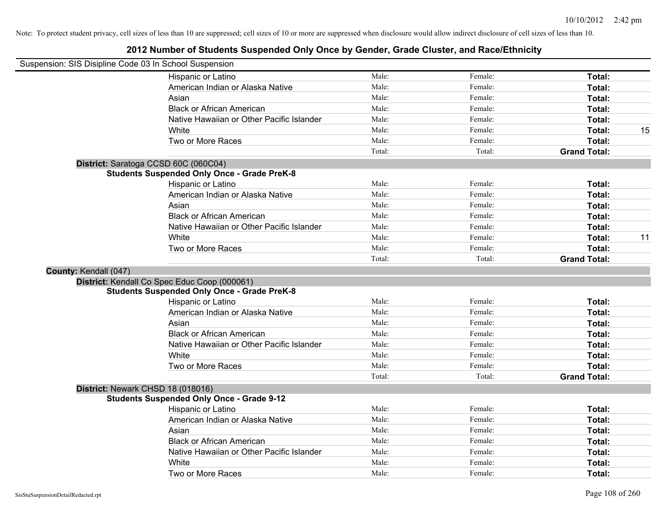|                       | Suspension: SIS Disipline Code 03 In School Suspension |        |         |                     |    |
|-----------------------|--------------------------------------------------------|--------|---------|---------------------|----|
|                       | Hispanic or Latino                                     | Male:  | Female: | Total:              |    |
|                       | American Indian or Alaska Native                       | Male:  | Female: | Total:              |    |
|                       | Asian                                                  | Male:  | Female: | Total:              |    |
|                       | <b>Black or African American</b>                       | Male:  | Female: | Total:              |    |
|                       | Native Hawaiian or Other Pacific Islander              | Male:  | Female: | Total:              |    |
|                       | White                                                  | Male:  | Female: | Total:              | 15 |
|                       | Two or More Races                                      | Male:  | Female: | Total:              |    |
|                       |                                                        | Total: | Total:  | <b>Grand Total:</b> |    |
|                       | District: Saratoga CCSD 60C (060C04)                   |        |         |                     |    |
|                       | <b>Students Suspended Only Once - Grade PreK-8</b>     |        |         |                     |    |
|                       | Hispanic or Latino                                     | Male:  | Female: | Total:              |    |
|                       | American Indian or Alaska Native                       | Male:  | Female: | Total:              |    |
|                       | Asian                                                  | Male:  | Female: | Total:              |    |
|                       | <b>Black or African American</b>                       | Male:  | Female: | Total:              |    |
|                       | Native Hawaiian or Other Pacific Islander              | Male:  | Female: | Total:              |    |
|                       | White                                                  | Male:  | Female: | Total:              | 11 |
|                       | Two or More Races                                      | Male:  | Female: | Total:              |    |
|                       |                                                        | Total: | Total:  | <b>Grand Total:</b> |    |
| County: Kendall (047) |                                                        |        |         |                     |    |
|                       | District: Kendall Co Spec Educ Coop (000061)           |        |         |                     |    |
|                       | <b>Students Suspended Only Once - Grade PreK-8</b>     |        |         |                     |    |
|                       | Hispanic or Latino                                     | Male:  | Female: | Total:              |    |
|                       | American Indian or Alaska Native                       | Male:  | Female: | Total:              |    |
|                       | Asian                                                  | Male:  | Female: | Total:              |    |
|                       | <b>Black or African American</b>                       | Male:  | Female: | Total:              |    |
|                       | Native Hawaiian or Other Pacific Islander              | Male:  | Female: | Total:              |    |
|                       | White                                                  | Male:  | Female: | Total:              |    |
|                       | Two or More Races                                      | Male:  | Female: | Total:              |    |
|                       |                                                        | Total: | Total:  | <b>Grand Total:</b> |    |
|                       | District: Newark CHSD 18 (018016)                      |        |         |                     |    |
|                       | <b>Students Suspended Only Once - Grade 9-12</b>       |        |         |                     |    |
|                       | Hispanic or Latino                                     | Male:  | Female: | Total:              |    |
|                       | American Indian or Alaska Native                       | Male:  | Female: | Total:              |    |
|                       | Asian                                                  | Male:  | Female: | Total:              |    |
|                       | <b>Black or African American</b>                       | Male:  | Female: | Total:              |    |
|                       | Native Hawaiian or Other Pacific Islander              | Male:  | Female: | Total:              |    |
|                       | White                                                  | Male:  | Female: | <b>Total:</b>       |    |
|                       | Two or More Races                                      | Male:  | Female: | Total:              |    |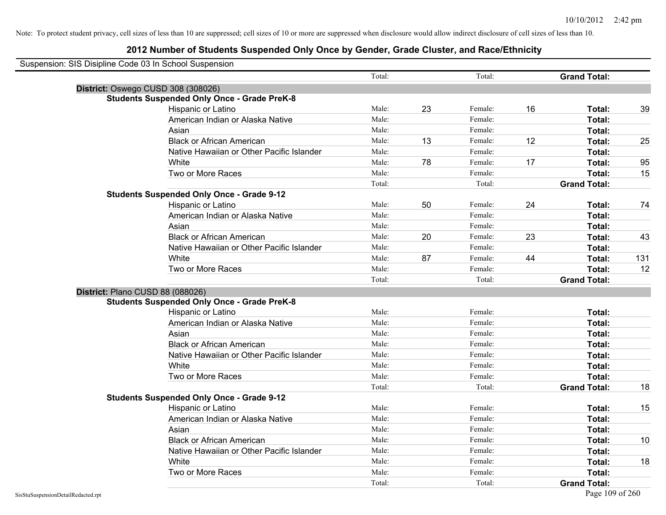| Suspension: SIS Disipline Code 03 In School Suspension |                                                    |        |    |         |    |                     |     |
|--------------------------------------------------------|----------------------------------------------------|--------|----|---------|----|---------------------|-----|
|                                                        |                                                    | Total: |    | Total:  |    | <b>Grand Total:</b> |     |
| District: Oswego CUSD 308 (308026)                     |                                                    |        |    |         |    |                     |     |
|                                                        | <b>Students Suspended Only Once - Grade PreK-8</b> |        |    |         |    |                     |     |
|                                                        | Hispanic or Latino                                 | Male:  | 23 | Female: | 16 | Total:              | 39  |
|                                                        | American Indian or Alaska Native                   | Male:  |    | Female: |    | Total:              |     |
|                                                        | Asian                                              | Male:  |    | Female: |    | Total:              |     |
|                                                        | <b>Black or African American</b>                   | Male:  | 13 | Female: | 12 | Total:              | 25  |
|                                                        | Native Hawaiian or Other Pacific Islander          | Male:  |    | Female: |    | Total:              |     |
|                                                        | White                                              | Male:  | 78 | Female: | 17 | Total:              | 95  |
|                                                        | Two or More Races                                  | Male:  |    | Female: |    | Total:              | 15  |
|                                                        |                                                    | Total: |    | Total:  |    | <b>Grand Total:</b> |     |
|                                                        | <b>Students Suspended Only Once - Grade 9-12</b>   |        |    |         |    |                     |     |
|                                                        | Hispanic or Latino                                 | Male:  | 50 | Female: | 24 | Total:              | 74  |
|                                                        | American Indian or Alaska Native                   | Male:  |    | Female: |    | Total:              |     |
|                                                        | Asian                                              | Male:  |    | Female: |    | Total:              |     |
|                                                        | <b>Black or African American</b>                   | Male:  | 20 | Female: | 23 | Total:              | 43  |
|                                                        | Native Hawaiian or Other Pacific Islander          | Male:  |    | Female: |    | Total:              |     |
|                                                        | White                                              | Male:  | 87 | Female: | 44 | Total:              | 131 |
|                                                        | Two or More Races                                  | Male:  |    | Female: |    | Total:              | 12  |
|                                                        |                                                    | Total: |    | Total:  |    | <b>Grand Total:</b> |     |
| District: Plano CUSD 88 (088026)                       |                                                    |        |    |         |    |                     |     |
|                                                        | <b>Students Suspended Only Once - Grade PreK-8</b> |        |    |         |    |                     |     |
|                                                        | Hispanic or Latino                                 | Male:  |    | Female: |    | Total:              |     |
|                                                        | American Indian or Alaska Native                   | Male:  |    | Female: |    | Total:              |     |
|                                                        | Asian                                              | Male:  |    | Female: |    | Total:              |     |
|                                                        | <b>Black or African American</b>                   | Male:  |    | Female: |    | Total:              |     |
|                                                        | Native Hawaiian or Other Pacific Islander          | Male:  |    | Female: |    | Total:              |     |
|                                                        | White                                              | Male:  |    | Female: |    | Total:              |     |
|                                                        | Two or More Races                                  | Male:  |    | Female: |    | Total:              |     |
|                                                        |                                                    | Total: |    | Total:  |    | <b>Grand Total:</b> | 18  |
|                                                        | <b>Students Suspended Only Once - Grade 9-12</b>   |        |    |         |    |                     |     |
|                                                        | Hispanic or Latino                                 | Male:  |    | Female: |    | Total:              | 15  |
|                                                        | American Indian or Alaska Native                   | Male:  |    | Female: |    | Total:              |     |
|                                                        | Asian                                              | Male:  |    | Female: |    | Total:              |     |
|                                                        | <b>Black or African American</b>                   | Male:  |    | Female: |    | Total:              | 10  |
|                                                        | Native Hawaiian or Other Pacific Islander          | Male:  |    | Female: |    | Total:              |     |
|                                                        | White                                              | Male:  |    | Female: |    | Total:              | 18  |
|                                                        | Two or More Races                                  | Male:  |    | Female: |    | Total:              |     |
|                                                        |                                                    | Total: |    | Total:  |    | <b>Grand Total:</b> |     |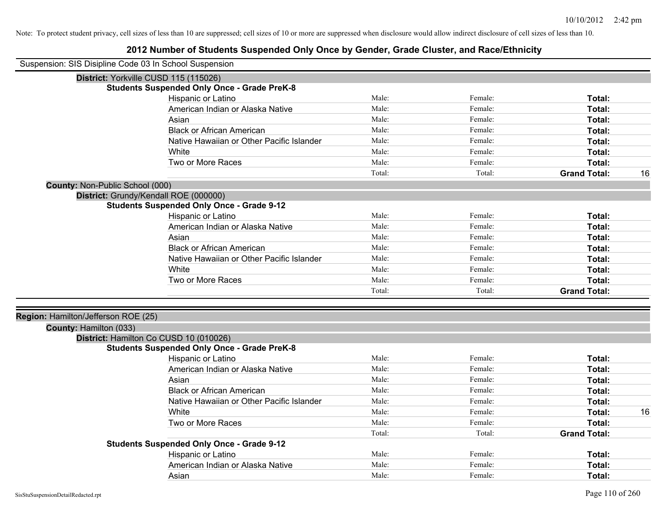| Suspension: SIS Disipline Code 03 In School Suspension |                                                                                              |        |         |                     |    |
|--------------------------------------------------------|----------------------------------------------------------------------------------------------|--------|---------|---------------------|----|
|                                                        | District: Yorkville CUSD 115 (115026)                                                        |        |         |                     |    |
|                                                        | <b>Students Suspended Only Once - Grade PreK-8</b>                                           |        |         |                     |    |
|                                                        | Hispanic or Latino                                                                           | Male:  | Female: | Total:              |    |
|                                                        | American Indian or Alaska Native                                                             | Male:  | Female: | Total:              |    |
|                                                        | Asian                                                                                        | Male:  | Female: | Total:              |    |
|                                                        | <b>Black or African American</b>                                                             | Male:  | Female: | Total:              |    |
|                                                        | Native Hawaiian or Other Pacific Islander                                                    | Male:  | Female: | Total:              |    |
|                                                        | White                                                                                        | Male:  | Female: | Total:              |    |
|                                                        | Two or More Races                                                                            | Male:  | Female: | Total:              |    |
|                                                        |                                                                                              | Total: | Total:  | <b>Grand Total:</b> | 16 |
| County: Non-Public School (000)                        |                                                                                              |        |         |                     |    |
|                                                        | District: Grundy/Kendall ROE (000000)                                                        |        |         |                     |    |
|                                                        | <b>Students Suspended Only Once - Grade 9-12</b>                                             |        |         |                     |    |
|                                                        | Hispanic or Latino                                                                           | Male:  | Female: | Total:              |    |
|                                                        | American Indian or Alaska Native                                                             | Male:  | Female: | Total:              |    |
|                                                        | Asian                                                                                        | Male:  | Female: | Total:              |    |
|                                                        | <b>Black or African American</b>                                                             | Male:  | Female: | Total:              |    |
|                                                        | Native Hawaiian or Other Pacific Islander                                                    | Male:  | Female: | Total:              |    |
|                                                        | White                                                                                        | Male:  | Female: | Total:              |    |
|                                                        | Two or More Races                                                                            | Male:  | Female: | Total:              |    |
|                                                        |                                                                                              | Total: | Total:  | <b>Grand Total:</b> |    |
|                                                        |                                                                                              |        |         |                     |    |
| Region: Hamilton/Jefferson ROE (25)                    |                                                                                              |        |         |                     |    |
| County: Hamilton (033)                                 |                                                                                              |        |         |                     |    |
|                                                        | District: Hamilton Co CUSD 10 (010026)<br><b>Students Suspended Only Once - Grade PreK-8</b> |        |         |                     |    |
|                                                        | Hispanic or Latino                                                                           | Male:  | Female: | Total:              |    |
|                                                        | American Indian or Alaska Native                                                             | Male:  | Female: | Total:              |    |
|                                                        | Asian                                                                                        | Male:  | Female: | Total:              |    |
|                                                        | <b>Black or African American</b>                                                             | Male:  | Female: | Total:              |    |
|                                                        | Native Hawaiian or Other Pacific Islander                                                    | Male:  | Female: |                     |    |
|                                                        | White                                                                                        | Male:  | Female: | Total:<br>Total:    | 16 |
|                                                        | Two or More Races                                                                            | Male:  | Female: | Total:              |    |
|                                                        |                                                                                              |        |         |                     |    |
|                                                        | <b>Students Suspended Only Once - Grade 9-12</b>                                             | Total: | Total:  | <b>Grand Total:</b> |    |
|                                                        | Hispanic or Latino                                                                           | Male:  | Female: | Total:              |    |
|                                                        | American Indian or Alaska Native                                                             | Male:  | Female: | <b>Total:</b>       |    |
|                                                        | Asian                                                                                        | Male:  | Female: | Total:              |    |
|                                                        |                                                                                              |        |         |                     |    |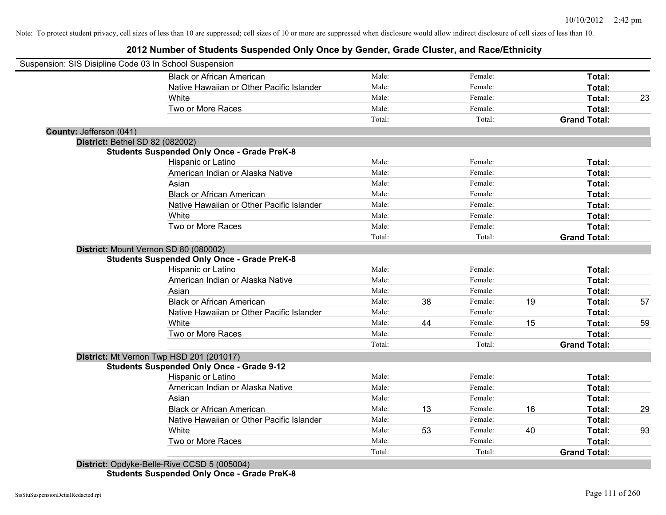# **2012 Number of Students Suspended Only Once by Gender, Grade Cluster, and Race/Ethnicity**

| Suspension: SIS Disipline Code 03 In School Suspension |                                                    |        |    |         |    |                     |    |
|--------------------------------------------------------|----------------------------------------------------|--------|----|---------|----|---------------------|----|
|                                                        | <b>Black or African American</b>                   | Male:  |    | Female: |    | Total:              |    |
|                                                        | Native Hawaiian or Other Pacific Islander          | Male:  |    | Female: |    | Total:              |    |
|                                                        | White                                              | Male:  |    | Female: |    | Total:              | 23 |
|                                                        | Two or More Races                                  | Male:  |    | Female: |    | <b>Total:</b>       |    |
|                                                        |                                                    | Total: |    | Total:  |    | <b>Grand Total:</b> |    |
| County: Jefferson (041)                                |                                                    |        |    |         |    |                     |    |
| <b>District: Bethel SD 82 (082002)</b>                 |                                                    |        |    |         |    |                     |    |
|                                                        | <b>Students Suspended Only Once - Grade PreK-8</b> |        |    |         |    |                     |    |
|                                                        | Hispanic or Latino                                 | Male:  |    | Female: |    | Total:              |    |
|                                                        | American Indian or Alaska Native                   | Male:  |    | Female: |    | Total:              |    |
|                                                        | Asian                                              | Male:  |    | Female: |    | Total:              |    |
|                                                        | <b>Black or African American</b>                   | Male:  |    | Female: |    | Total:              |    |
|                                                        | Native Hawaiian or Other Pacific Islander          | Male:  |    | Female: |    | Total:              |    |
|                                                        | White                                              | Male:  |    | Female: |    | Total:              |    |
|                                                        | Two or More Races                                  | Male:  |    | Female: |    | Total:              |    |
|                                                        |                                                    | Total: |    | Total:  |    | <b>Grand Total:</b> |    |
|                                                        | District: Mount Vernon SD 80 (080002)              |        |    |         |    |                     |    |
|                                                        | <b>Students Suspended Only Once - Grade PreK-8</b> |        |    |         |    |                     |    |
|                                                        | Hispanic or Latino                                 | Male:  |    | Female: |    | Total:              |    |
|                                                        | American Indian or Alaska Native                   | Male:  |    | Female: |    | Total:              |    |
|                                                        | Asian                                              | Male:  |    | Female: |    | Total:              |    |
|                                                        | <b>Black or African American</b>                   | Male:  | 38 | Female: | 19 | Total:              | 57 |
|                                                        | Native Hawaiian or Other Pacific Islander          | Male:  |    | Female: |    | Total:              |    |
|                                                        | White                                              | Male:  | 44 | Female: | 15 | Total:              | 59 |
|                                                        | Two or More Races                                  | Male:  |    | Female: |    | Total:              |    |
|                                                        |                                                    | Total: |    | Total:  |    | <b>Grand Total:</b> |    |
|                                                        | District: Mt Vernon Twp HSD 201 (201017)           |        |    |         |    |                     |    |
|                                                        | <b>Students Suspended Only Once - Grade 9-12</b>   |        |    |         |    |                     |    |
|                                                        | Hispanic or Latino                                 | Male:  |    | Female: |    | Total:              |    |
|                                                        | American Indian or Alaska Native                   | Male:  |    | Female: |    | Total:              |    |
|                                                        | Asian                                              | Male:  |    | Female: |    | Total:              |    |
|                                                        | <b>Black or African American</b>                   | Male:  | 13 | Female: | 16 | Total:              | 29 |
|                                                        | Native Hawaiian or Other Pacific Islander          | Male:  |    | Female: |    | Total:              |    |
|                                                        | White                                              | Male:  | 53 | Female: | 40 | Total:              | 93 |
|                                                        | Two or More Races                                  | Male:  |    | Female: |    | Total:              |    |
|                                                        |                                                    | Total: |    | Total:  |    | <b>Grand Total:</b> |    |
|                                                        | District: Opdyke-Belle-Rive CCSD 5 (005004)        |        |    |         |    |                     |    |

**Students Suspended Only Once - Grade PreK-8**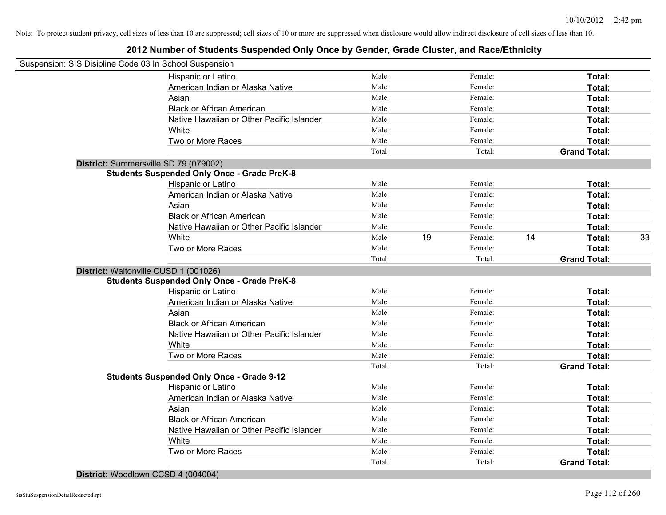# **2012 Number of Students Suspended Only Once by Gender, Grade Cluster, and Race/Ethnicity**

| Suspension: SIS Disipline Code 03 In School Suspension |        |    |         |    |                     |    |
|--------------------------------------------------------|--------|----|---------|----|---------------------|----|
| Hispanic or Latino                                     | Male:  |    | Female: |    | Total:              |    |
| American Indian or Alaska Native                       | Male:  |    | Female: |    | Total:              |    |
| Asian                                                  | Male:  |    | Female: |    | Total:              |    |
| <b>Black or African American</b>                       | Male:  |    | Female: |    | Total:              |    |
| Native Hawaiian or Other Pacific Islander              | Male:  |    | Female: |    | Total:              |    |
| White                                                  | Male:  |    | Female: |    | Total:              |    |
| Two or More Races                                      | Male:  |    | Female: |    | Total:              |    |
|                                                        | Total: |    | Total:  |    | <b>Grand Total:</b> |    |
| District: Summersville SD 79 (079002)                  |        |    |         |    |                     |    |
| <b>Students Suspended Only Once - Grade PreK-8</b>     |        |    |         |    |                     |    |
| Hispanic or Latino                                     | Male:  |    | Female: |    | Total:              |    |
| American Indian or Alaska Native                       | Male:  |    | Female: |    | Total:              |    |
| Asian                                                  | Male:  |    | Female: |    | Total:              |    |
| <b>Black or African American</b>                       | Male:  |    | Female: |    | Total:              |    |
| Native Hawaiian or Other Pacific Islander              | Male:  |    | Female: |    | Total:              |    |
| White                                                  | Male:  | 19 | Female: | 14 | Total:              | 33 |
| Two or More Races                                      | Male:  |    | Female: |    | Total:              |    |
|                                                        | Total: |    | Total:  |    | <b>Grand Total:</b> |    |
| District: Waltonville CUSD 1 (001026)                  |        |    |         |    |                     |    |
| <b>Students Suspended Only Once - Grade PreK-8</b>     |        |    |         |    |                     |    |
| Hispanic or Latino                                     | Male:  |    | Female: |    | Total:              |    |
| American Indian or Alaska Native                       | Male:  |    | Female: |    | Total:              |    |
| Asian                                                  | Male:  |    | Female: |    | Total:              |    |
| <b>Black or African American</b>                       | Male:  |    | Female: |    | Total:              |    |
| Native Hawaiian or Other Pacific Islander              | Male:  |    | Female: |    | Total:              |    |
| White                                                  | Male:  |    | Female: |    | Total:              |    |
| Two or More Races                                      | Male:  |    | Female: |    | Total:              |    |
|                                                        | Total: |    | Total:  |    | <b>Grand Total:</b> |    |
| <b>Students Suspended Only Once - Grade 9-12</b>       |        |    |         |    |                     |    |
| Hispanic or Latino                                     | Male:  |    | Female: |    | Total:              |    |
| American Indian or Alaska Native                       | Male:  |    | Female: |    | Total:              |    |
| Asian                                                  | Male:  |    | Female: |    | Total:              |    |
| <b>Black or African American</b>                       | Male:  |    | Female: |    | Total:              |    |
| Native Hawaiian or Other Pacific Islander              | Male:  |    | Female: |    | Total:              |    |
| White                                                  | Male:  |    | Female: |    | Total:              |    |
| Two or More Races                                      | Male:  |    | Female: |    | Total:              |    |
|                                                        | Total: |    | Total:  |    | <b>Grand Total:</b> |    |
|                                                        |        |    |         |    |                     |    |

**District:** Woodlawn CCSD 4 (004004)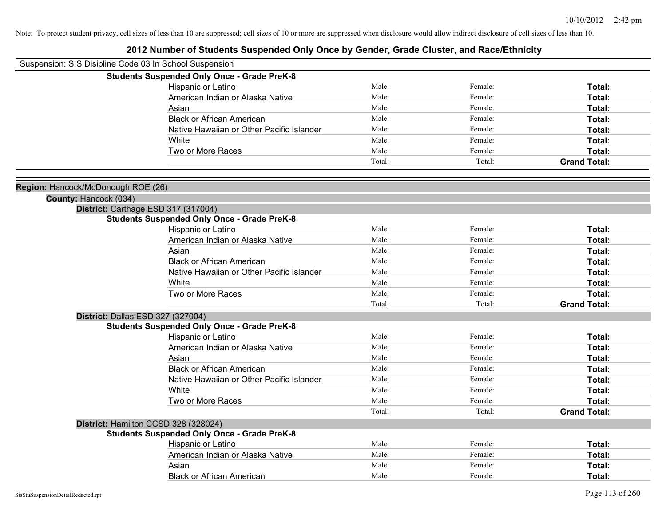| Suspension: SIS Disipline Code 03 In School Suspension<br><b>Students Suspended Only Once - Grade PreK-8</b><br>Male:<br>Female:<br>Hispanic or Latino<br>Total:<br>Male:<br>American Indian or Alaska Native<br>Female:<br><b>Total:</b><br>Male:<br>Female:<br>Total:<br>Asian<br>Male:<br><b>Black or African American</b><br>Female:<br>Total:<br>Male:<br>Female:<br>Native Hawaiian or Other Pacific Islander<br><b>Total:</b><br>Male:<br>White<br>Female:<br>Total:<br>Two or More Races<br>Male:<br>Female:<br>Total:<br>Total:<br><b>Grand Total:</b><br>Total:<br>Region: Hancock/McDonough ROE (26)<br>County: Hancock (034)<br>District: Carthage ESD 317 (317004)<br><b>Students Suspended Only Once - Grade PreK-8</b><br>Male:<br>Hispanic or Latino<br>Female:<br>Total:<br>Male:<br>American Indian or Alaska Native<br>Female:<br>Total:<br>Male:<br>Female:<br>Asian<br>Total:<br>Male:<br><b>Black or African American</b><br>Female:<br>Total:<br>Male:<br>Native Hawaiian or Other Pacific Islander<br>Female:<br>Total:<br>Male:<br>White<br>Female:<br>Total:<br>Male:<br>Two or More Races<br>Female:<br><b>Total:</b><br>Total:<br><b>Grand Total:</b><br>Total:<br>District: Dallas ESD 327 (327004)<br><b>Students Suspended Only Once - Grade PreK-8</b><br>Male:<br>Hispanic or Latino<br>Female:<br><b>Total:</b><br>Male:<br>American Indian or Alaska Native<br>Female:<br><b>Total:</b><br>Male:<br>Asian<br>Female:<br>Total:<br><b>Black or African American</b><br>Male:<br>Female:<br>Total:<br>Native Hawaiian or Other Pacific Islander<br>Male:<br>Female:<br>Total:<br>White<br>Male:<br>Female:<br>Total:<br>Two or More Races<br>Male:<br>Total:<br>Female:<br>Total:<br>Total:<br><b>Grand Total:</b><br>District: Hamilton CCSD 328 (328024)<br><b>Students Suspended Only Once - Grade PreK-8</b><br>Male:<br>Female:<br>Hispanic or Latino<br>Total:<br>American Indian or Alaska Native<br>Male:<br>Female:<br>Total:<br>Male:<br>Female:<br>Asian<br>Total:<br>Male:<br>Female:<br><b>Black or African American</b><br>Total: |  |  |  |
|----------------------------------------------------------------------------------------------------------------------------------------------------------------------------------------------------------------------------------------------------------------------------------------------------------------------------------------------------------------------------------------------------------------------------------------------------------------------------------------------------------------------------------------------------------------------------------------------------------------------------------------------------------------------------------------------------------------------------------------------------------------------------------------------------------------------------------------------------------------------------------------------------------------------------------------------------------------------------------------------------------------------------------------------------------------------------------------------------------------------------------------------------------------------------------------------------------------------------------------------------------------------------------------------------------------------------------------------------------------------------------------------------------------------------------------------------------------------------------------------------------------------------------------------------------------------------------------------------------------------------------------------------------------------------------------------------------------------------------------------------------------------------------------------------------------------------------------------------------------------------------------------------------------------------------------------------------------------------------------------------------------------------------------------------------------------------------|--|--|--|
|                                                                                                                                                                                                                                                                                                                                                                                                                                                                                                                                                                                                                                                                                                                                                                                                                                                                                                                                                                                                                                                                                                                                                                                                                                                                                                                                                                                                                                                                                                                                                                                                                                                                                                                                                                                                                                                                                                                                                                                                                                                                                  |  |  |  |
|                                                                                                                                                                                                                                                                                                                                                                                                                                                                                                                                                                                                                                                                                                                                                                                                                                                                                                                                                                                                                                                                                                                                                                                                                                                                                                                                                                                                                                                                                                                                                                                                                                                                                                                                                                                                                                                                                                                                                                                                                                                                                  |  |  |  |
|                                                                                                                                                                                                                                                                                                                                                                                                                                                                                                                                                                                                                                                                                                                                                                                                                                                                                                                                                                                                                                                                                                                                                                                                                                                                                                                                                                                                                                                                                                                                                                                                                                                                                                                                                                                                                                                                                                                                                                                                                                                                                  |  |  |  |
|                                                                                                                                                                                                                                                                                                                                                                                                                                                                                                                                                                                                                                                                                                                                                                                                                                                                                                                                                                                                                                                                                                                                                                                                                                                                                                                                                                                                                                                                                                                                                                                                                                                                                                                                                                                                                                                                                                                                                                                                                                                                                  |  |  |  |
|                                                                                                                                                                                                                                                                                                                                                                                                                                                                                                                                                                                                                                                                                                                                                                                                                                                                                                                                                                                                                                                                                                                                                                                                                                                                                                                                                                                                                                                                                                                                                                                                                                                                                                                                                                                                                                                                                                                                                                                                                                                                                  |  |  |  |
|                                                                                                                                                                                                                                                                                                                                                                                                                                                                                                                                                                                                                                                                                                                                                                                                                                                                                                                                                                                                                                                                                                                                                                                                                                                                                                                                                                                                                                                                                                                                                                                                                                                                                                                                                                                                                                                                                                                                                                                                                                                                                  |  |  |  |
|                                                                                                                                                                                                                                                                                                                                                                                                                                                                                                                                                                                                                                                                                                                                                                                                                                                                                                                                                                                                                                                                                                                                                                                                                                                                                                                                                                                                                                                                                                                                                                                                                                                                                                                                                                                                                                                                                                                                                                                                                                                                                  |  |  |  |
|                                                                                                                                                                                                                                                                                                                                                                                                                                                                                                                                                                                                                                                                                                                                                                                                                                                                                                                                                                                                                                                                                                                                                                                                                                                                                                                                                                                                                                                                                                                                                                                                                                                                                                                                                                                                                                                                                                                                                                                                                                                                                  |  |  |  |
|                                                                                                                                                                                                                                                                                                                                                                                                                                                                                                                                                                                                                                                                                                                                                                                                                                                                                                                                                                                                                                                                                                                                                                                                                                                                                                                                                                                                                                                                                                                                                                                                                                                                                                                                                                                                                                                                                                                                                                                                                                                                                  |  |  |  |
|                                                                                                                                                                                                                                                                                                                                                                                                                                                                                                                                                                                                                                                                                                                                                                                                                                                                                                                                                                                                                                                                                                                                                                                                                                                                                                                                                                                                                                                                                                                                                                                                                                                                                                                                                                                                                                                                                                                                                                                                                                                                                  |  |  |  |
|                                                                                                                                                                                                                                                                                                                                                                                                                                                                                                                                                                                                                                                                                                                                                                                                                                                                                                                                                                                                                                                                                                                                                                                                                                                                                                                                                                                                                                                                                                                                                                                                                                                                                                                                                                                                                                                                                                                                                                                                                                                                                  |  |  |  |
|                                                                                                                                                                                                                                                                                                                                                                                                                                                                                                                                                                                                                                                                                                                                                                                                                                                                                                                                                                                                                                                                                                                                                                                                                                                                                                                                                                                                                                                                                                                                                                                                                                                                                                                                                                                                                                                                                                                                                                                                                                                                                  |  |  |  |
|                                                                                                                                                                                                                                                                                                                                                                                                                                                                                                                                                                                                                                                                                                                                                                                                                                                                                                                                                                                                                                                                                                                                                                                                                                                                                                                                                                                                                                                                                                                                                                                                                                                                                                                                                                                                                                                                                                                                                                                                                                                                                  |  |  |  |
|                                                                                                                                                                                                                                                                                                                                                                                                                                                                                                                                                                                                                                                                                                                                                                                                                                                                                                                                                                                                                                                                                                                                                                                                                                                                                                                                                                                                                                                                                                                                                                                                                                                                                                                                                                                                                                                                                                                                                                                                                                                                                  |  |  |  |
|                                                                                                                                                                                                                                                                                                                                                                                                                                                                                                                                                                                                                                                                                                                                                                                                                                                                                                                                                                                                                                                                                                                                                                                                                                                                                                                                                                                                                                                                                                                                                                                                                                                                                                                                                                                                                                                                                                                                                                                                                                                                                  |  |  |  |
|                                                                                                                                                                                                                                                                                                                                                                                                                                                                                                                                                                                                                                                                                                                                                                                                                                                                                                                                                                                                                                                                                                                                                                                                                                                                                                                                                                                                                                                                                                                                                                                                                                                                                                                                                                                                                                                                                                                                                                                                                                                                                  |  |  |  |
|                                                                                                                                                                                                                                                                                                                                                                                                                                                                                                                                                                                                                                                                                                                                                                                                                                                                                                                                                                                                                                                                                                                                                                                                                                                                                                                                                                                                                                                                                                                                                                                                                                                                                                                                                                                                                                                                                                                                                                                                                                                                                  |  |  |  |
|                                                                                                                                                                                                                                                                                                                                                                                                                                                                                                                                                                                                                                                                                                                                                                                                                                                                                                                                                                                                                                                                                                                                                                                                                                                                                                                                                                                                                                                                                                                                                                                                                                                                                                                                                                                                                                                                                                                                                                                                                                                                                  |  |  |  |
|                                                                                                                                                                                                                                                                                                                                                                                                                                                                                                                                                                                                                                                                                                                                                                                                                                                                                                                                                                                                                                                                                                                                                                                                                                                                                                                                                                                                                                                                                                                                                                                                                                                                                                                                                                                                                                                                                                                                                                                                                                                                                  |  |  |  |
|                                                                                                                                                                                                                                                                                                                                                                                                                                                                                                                                                                                                                                                                                                                                                                                                                                                                                                                                                                                                                                                                                                                                                                                                                                                                                                                                                                                                                                                                                                                                                                                                                                                                                                                                                                                                                                                                                                                                                                                                                                                                                  |  |  |  |
|                                                                                                                                                                                                                                                                                                                                                                                                                                                                                                                                                                                                                                                                                                                                                                                                                                                                                                                                                                                                                                                                                                                                                                                                                                                                                                                                                                                                                                                                                                                                                                                                                                                                                                                                                                                                                                                                                                                                                                                                                                                                                  |  |  |  |
|                                                                                                                                                                                                                                                                                                                                                                                                                                                                                                                                                                                                                                                                                                                                                                                                                                                                                                                                                                                                                                                                                                                                                                                                                                                                                                                                                                                                                                                                                                                                                                                                                                                                                                                                                                                                                                                                                                                                                                                                                                                                                  |  |  |  |
|                                                                                                                                                                                                                                                                                                                                                                                                                                                                                                                                                                                                                                                                                                                                                                                                                                                                                                                                                                                                                                                                                                                                                                                                                                                                                                                                                                                                                                                                                                                                                                                                                                                                                                                                                                                                                                                                                                                                                                                                                                                                                  |  |  |  |
|                                                                                                                                                                                                                                                                                                                                                                                                                                                                                                                                                                                                                                                                                                                                                                                                                                                                                                                                                                                                                                                                                                                                                                                                                                                                                                                                                                                                                                                                                                                                                                                                                                                                                                                                                                                                                                                                                                                                                                                                                                                                                  |  |  |  |
|                                                                                                                                                                                                                                                                                                                                                                                                                                                                                                                                                                                                                                                                                                                                                                                                                                                                                                                                                                                                                                                                                                                                                                                                                                                                                                                                                                                                                                                                                                                                                                                                                                                                                                                                                                                                                                                                                                                                                                                                                                                                                  |  |  |  |
|                                                                                                                                                                                                                                                                                                                                                                                                                                                                                                                                                                                                                                                                                                                                                                                                                                                                                                                                                                                                                                                                                                                                                                                                                                                                                                                                                                                                                                                                                                                                                                                                                                                                                                                                                                                                                                                                                                                                                                                                                                                                                  |  |  |  |
|                                                                                                                                                                                                                                                                                                                                                                                                                                                                                                                                                                                                                                                                                                                                                                                                                                                                                                                                                                                                                                                                                                                                                                                                                                                                                                                                                                                                                                                                                                                                                                                                                                                                                                                                                                                                                                                                                                                                                                                                                                                                                  |  |  |  |
|                                                                                                                                                                                                                                                                                                                                                                                                                                                                                                                                                                                                                                                                                                                                                                                                                                                                                                                                                                                                                                                                                                                                                                                                                                                                                                                                                                                                                                                                                                                                                                                                                                                                                                                                                                                                                                                                                                                                                                                                                                                                                  |  |  |  |
|                                                                                                                                                                                                                                                                                                                                                                                                                                                                                                                                                                                                                                                                                                                                                                                                                                                                                                                                                                                                                                                                                                                                                                                                                                                                                                                                                                                                                                                                                                                                                                                                                                                                                                                                                                                                                                                                                                                                                                                                                                                                                  |  |  |  |
|                                                                                                                                                                                                                                                                                                                                                                                                                                                                                                                                                                                                                                                                                                                                                                                                                                                                                                                                                                                                                                                                                                                                                                                                                                                                                                                                                                                                                                                                                                                                                                                                                                                                                                                                                                                                                                                                                                                                                                                                                                                                                  |  |  |  |
|                                                                                                                                                                                                                                                                                                                                                                                                                                                                                                                                                                                                                                                                                                                                                                                                                                                                                                                                                                                                                                                                                                                                                                                                                                                                                                                                                                                                                                                                                                                                                                                                                                                                                                                                                                                                                                                                                                                                                                                                                                                                                  |  |  |  |
|                                                                                                                                                                                                                                                                                                                                                                                                                                                                                                                                                                                                                                                                                                                                                                                                                                                                                                                                                                                                                                                                                                                                                                                                                                                                                                                                                                                                                                                                                                                                                                                                                                                                                                                                                                                                                                                                                                                                                                                                                                                                                  |  |  |  |
|                                                                                                                                                                                                                                                                                                                                                                                                                                                                                                                                                                                                                                                                                                                                                                                                                                                                                                                                                                                                                                                                                                                                                                                                                                                                                                                                                                                                                                                                                                                                                                                                                                                                                                                                                                                                                                                                                                                                                                                                                                                                                  |  |  |  |
|                                                                                                                                                                                                                                                                                                                                                                                                                                                                                                                                                                                                                                                                                                                                                                                                                                                                                                                                                                                                                                                                                                                                                                                                                                                                                                                                                                                                                                                                                                                                                                                                                                                                                                                                                                                                                                                                                                                                                                                                                                                                                  |  |  |  |
|                                                                                                                                                                                                                                                                                                                                                                                                                                                                                                                                                                                                                                                                                                                                                                                                                                                                                                                                                                                                                                                                                                                                                                                                                                                                                                                                                                                                                                                                                                                                                                                                                                                                                                                                                                                                                                                                                                                                                                                                                                                                                  |  |  |  |
|                                                                                                                                                                                                                                                                                                                                                                                                                                                                                                                                                                                                                                                                                                                                                                                                                                                                                                                                                                                                                                                                                                                                                                                                                                                                                                                                                                                                                                                                                                                                                                                                                                                                                                                                                                                                                                                                                                                                                                                                                                                                                  |  |  |  |
|                                                                                                                                                                                                                                                                                                                                                                                                                                                                                                                                                                                                                                                                                                                                                                                                                                                                                                                                                                                                                                                                                                                                                                                                                                                                                                                                                                                                                                                                                                                                                                                                                                                                                                                                                                                                                                                                                                                                                                                                                                                                                  |  |  |  |
|                                                                                                                                                                                                                                                                                                                                                                                                                                                                                                                                                                                                                                                                                                                                                                                                                                                                                                                                                                                                                                                                                                                                                                                                                                                                                                                                                                                                                                                                                                                                                                                                                                                                                                                                                                                                                                                                                                                                                                                                                                                                                  |  |  |  |
|                                                                                                                                                                                                                                                                                                                                                                                                                                                                                                                                                                                                                                                                                                                                                                                                                                                                                                                                                                                                                                                                                                                                                                                                                                                                                                                                                                                                                                                                                                                                                                                                                                                                                                                                                                                                                                                                                                                                                                                                                                                                                  |  |  |  |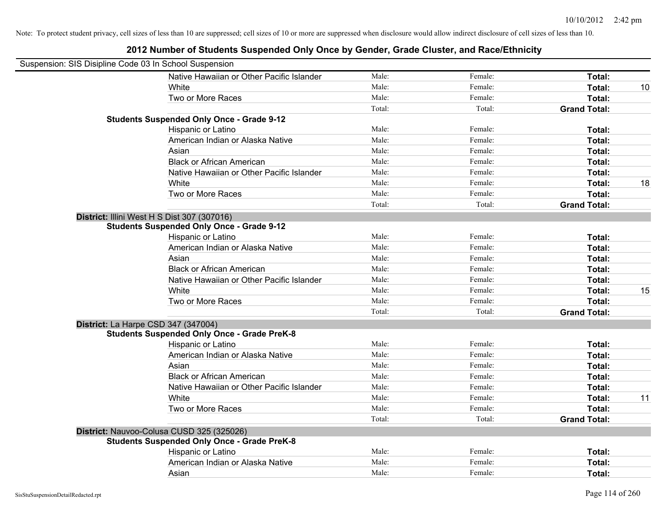| Suspension: SIS Disipline Code 03 In School Suspension |                                                    |        |         |                     |    |
|--------------------------------------------------------|----------------------------------------------------|--------|---------|---------------------|----|
|                                                        | Native Hawaiian or Other Pacific Islander          | Male:  | Female: | Total:              |    |
|                                                        | White                                              | Male:  | Female: | Total:              | 10 |
|                                                        | Two or More Races                                  | Male:  | Female: | Total:              |    |
|                                                        |                                                    | Total: | Total:  | <b>Grand Total:</b> |    |
|                                                        | <b>Students Suspended Only Once - Grade 9-12</b>   |        |         |                     |    |
|                                                        | Hispanic or Latino                                 | Male:  | Female: | Total:              |    |
|                                                        | American Indian or Alaska Native                   | Male:  | Female: | Total:              |    |
|                                                        | Asian                                              | Male:  | Female: | Total:              |    |
|                                                        | <b>Black or African American</b>                   | Male:  | Female: | Total:              |    |
|                                                        | Native Hawaiian or Other Pacific Islander          | Male:  | Female: | Total:              |    |
|                                                        | White                                              | Male:  | Female: | Total:              | 18 |
|                                                        | Two or More Races                                  | Male:  | Female: | Total:              |    |
|                                                        |                                                    | Total: | Total:  | <b>Grand Total:</b> |    |
| District: Illini West H S Dist 307 (307016)            |                                                    |        |         |                     |    |
|                                                        | <b>Students Suspended Only Once - Grade 9-12</b>   |        |         |                     |    |
|                                                        | Hispanic or Latino                                 | Male:  | Female: | Total:              |    |
|                                                        | American Indian or Alaska Native                   | Male:  | Female: | Total:              |    |
|                                                        | Asian                                              | Male:  | Female: | Total:              |    |
|                                                        | <b>Black or African American</b>                   | Male:  | Female: | Total:              |    |
|                                                        | Native Hawaiian or Other Pacific Islander          | Male:  | Female: | Total:              |    |
|                                                        | White                                              | Male:  | Female: | Total:              | 15 |
|                                                        | Two or More Races                                  | Male:  | Female: | Total:              |    |
|                                                        |                                                    | Total: | Total:  | <b>Grand Total:</b> |    |
| District: La Harpe CSD 347 (347004)                    |                                                    |        |         |                     |    |
|                                                        | <b>Students Suspended Only Once - Grade PreK-8</b> |        |         |                     |    |
|                                                        | Hispanic or Latino                                 | Male:  | Female: | Total:              |    |
|                                                        | American Indian or Alaska Native                   | Male:  | Female: | Total:              |    |
|                                                        | Asian                                              | Male:  | Female: | Total:              |    |
|                                                        | <b>Black or African American</b>                   | Male:  | Female: | Total:              |    |
|                                                        | Native Hawaiian or Other Pacific Islander          | Male:  | Female: | Total:              |    |
|                                                        | White                                              | Male:  | Female: | Total:              | 11 |
|                                                        | Two or More Races                                  | Male:  | Female: | Total:              |    |
|                                                        |                                                    | Total: | Total:  | <b>Grand Total:</b> |    |
|                                                        | District: Nauvoo-Colusa CUSD 325 (325026)          |        |         |                     |    |
|                                                        | <b>Students Suspended Only Once - Grade PreK-8</b> |        |         |                     |    |
|                                                        | Hispanic or Latino                                 | Male:  | Female: | Total:              |    |
|                                                        | American Indian or Alaska Native                   | Male:  | Female: | Total:              |    |
|                                                        | Asian                                              | Male:  | Female: | Total:              |    |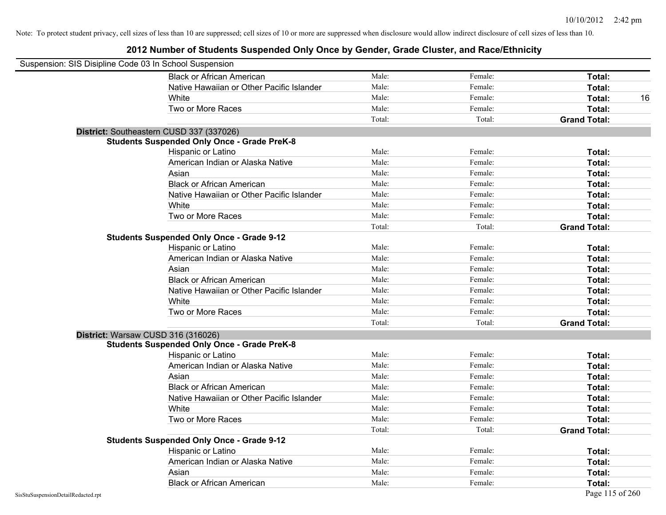| Suspension: SIS Disipline Code 03 In School Suspension |                                                    |        |         |                     |
|--------------------------------------------------------|----------------------------------------------------|--------|---------|---------------------|
|                                                        | <b>Black or African American</b>                   | Male:  | Female: | Total:              |
|                                                        | Native Hawaiian or Other Pacific Islander          | Male:  | Female: | Total:              |
|                                                        | White                                              | Male:  | Female: | Total:<br>16        |
|                                                        | Two or More Races                                  | Male:  | Female: | Total:              |
|                                                        |                                                    | Total: | Total:  | <b>Grand Total:</b> |
|                                                        | District: Southeastern CUSD 337 (337026)           |        |         |                     |
|                                                        | <b>Students Suspended Only Once - Grade PreK-8</b> |        |         |                     |
|                                                        | Hispanic or Latino                                 | Male:  | Female: | Total:              |
|                                                        | American Indian or Alaska Native                   | Male:  | Female: | Total:              |
|                                                        | Asian                                              | Male:  | Female: | Total:              |
|                                                        | <b>Black or African American</b>                   | Male:  | Female: | Total:              |
|                                                        | Native Hawaiian or Other Pacific Islander          | Male:  | Female: | Total:              |
|                                                        | White                                              | Male:  | Female: | Total:              |
|                                                        | Two or More Races                                  | Male:  | Female: | Total:              |
|                                                        |                                                    | Total: | Total:  | <b>Grand Total:</b> |
|                                                        | <b>Students Suspended Only Once - Grade 9-12</b>   |        |         |                     |
|                                                        | Hispanic or Latino                                 | Male:  | Female: | Total:              |
|                                                        | American Indian or Alaska Native                   | Male:  | Female: | Total:              |
|                                                        | Asian                                              | Male:  | Female: | Total:              |
|                                                        | <b>Black or African American</b>                   | Male:  | Female: | Total:              |
|                                                        | Native Hawaiian or Other Pacific Islander          | Male:  | Female: | Total:              |
|                                                        | White                                              | Male:  | Female: | Total:              |
|                                                        | Two or More Races                                  | Male:  | Female: | Total:              |
|                                                        |                                                    | Total: | Total:  | <b>Grand Total:</b> |
|                                                        | District: Warsaw CUSD 316 (316026)                 |        |         |                     |
|                                                        | <b>Students Suspended Only Once - Grade PreK-8</b> |        |         |                     |
|                                                        | Hispanic or Latino                                 | Male:  | Female: | Total:              |
|                                                        | American Indian or Alaska Native                   | Male:  | Female: | Total:              |
|                                                        | Asian                                              | Male:  | Female: | Total:              |
|                                                        | <b>Black or African American</b>                   | Male:  | Female: | Total:              |
|                                                        | Native Hawaiian or Other Pacific Islander          | Male:  | Female: | Total:              |
|                                                        | White                                              | Male:  | Female: | Total:              |
|                                                        | Two or More Races                                  | Male:  | Female: | Total:              |
|                                                        |                                                    | Total: | Total:  | <b>Grand Total:</b> |
|                                                        | <b>Students Suspended Only Once - Grade 9-12</b>   |        |         |                     |
|                                                        | Hispanic or Latino                                 | Male:  | Female: | Total:              |
|                                                        | American Indian or Alaska Native                   | Male:  | Female: | Total:              |
|                                                        | Asian                                              | Male:  | Female: | Total:              |
|                                                        | <b>Black or African American</b>                   | Male:  | Female: | Total:              |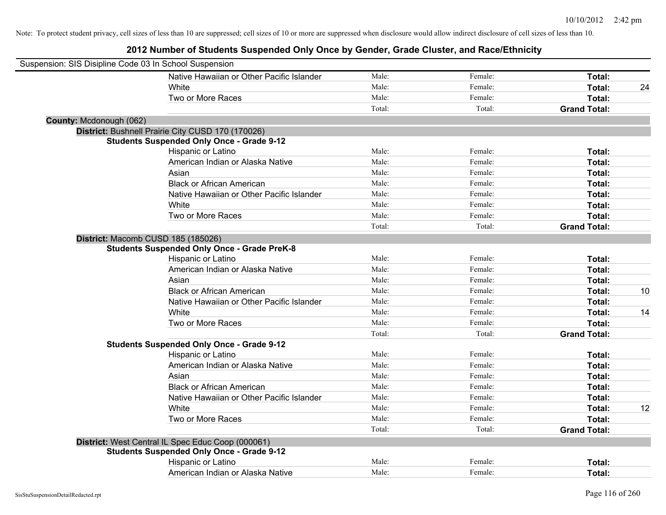| Suspension: SIS Disipline Code 03 In School Suspension |                                                    |        |         |                     |    |
|--------------------------------------------------------|----------------------------------------------------|--------|---------|---------------------|----|
|                                                        | Native Hawaiian or Other Pacific Islander          | Male:  | Female: | Total:              |    |
|                                                        | White                                              | Male:  | Female: | Total:              | 24 |
|                                                        | Two or More Races                                  | Male:  | Female: | Total:              |    |
|                                                        |                                                    | Total: | Total:  | <b>Grand Total:</b> |    |
| County: Mcdonough (062)                                |                                                    |        |         |                     |    |
|                                                        | District: Bushnell Prairie City CUSD 170 (170026)  |        |         |                     |    |
|                                                        | <b>Students Suspended Only Once - Grade 9-12</b>   |        |         |                     |    |
|                                                        | Hispanic or Latino                                 | Male:  | Female: | Total:              |    |
|                                                        | American Indian or Alaska Native                   | Male:  | Female: | Total:              |    |
|                                                        | Asian                                              | Male:  | Female: | Total:              |    |
|                                                        | <b>Black or African American</b>                   | Male:  | Female: | Total:              |    |
|                                                        | Native Hawaiian or Other Pacific Islander          | Male:  | Female: | Total:              |    |
|                                                        | White                                              | Male:  | Female: | Total:              |    |
|                                                        | Two or More Races                                  | Male:  | Female: | Total:              |    |
|                                                        |                                                    | Total: | Total:  | <b>Grand Total:</b> |    |
|                                                        | District: Macomb CUSD 185 (185026)                 |        |         |                     |    |
|                                                        | <b>Students Suspended Only Once - Grade PreK-8</b> |        |         |                     |    |
|                                                        | Hispanic or Latino                                 | Male:  | Female: | Total:              |    |
|                                                        | American Indian or Alaska Native                   | Male:  | Female: | Total:              |    |
|                                                        | Asian                                              | Male:  | Female: | Total:              |    |
|                                                        | <b>Black or African American</b>                   | Male:  | Female: | Total:              | 10 |
|                                                        | Native Hawaiian or Other Pacific Islander          | Male:  | Female: | Total:              |    |
|                                                        | White                                              | Male:  | Female: | Total:              | 14 |
|                                                        | Two or More Races                                  | Male:  | Female: | Total:              |    |
|                                                        |                                                    | Total: | Total:  | <b>Grand Total:</b> |    |
|                                                        | <b>Students Suspended Only Once - Grade 9-12</b>   |        |         |                     |    |
|                                                        | Hispanic or Latino                                 | Male:  | Female: | Total:              |    |
|                                                        | American Indian or Alaska Native                   | Male:  | Female: | Total:              |    |
|                                                        | Asian                                              | Male:  | Female: | Total:              |    |
|                                                        | <b>Black or African American</b>                   | Male:  | Female: | Total:              |    |
|                                                        | Native Hawaiian or Other Pacific Islander          | Male:  | Female: | Total:              |    |
|                                                        | White                                              | Male:  | Female: | Total:              | 12 |
|                                                        | Two or More Races                                  | Male:  | Female: | Total:              |    |
|                                                        |                                                    | Total: | Total:  | <b>Grand Total:</b> |    |
|                                                        | District: West Central IL Spec Educ Coop (000061)  |        |         |                     |    |
|                                                        | <b>Students Suspended Only Once - Grade 9-12</b>   |        |         |                     |    |
|                                                        | Hispanic or Latino                                 | Male:  | Female: | Total:              |    |
|                                                        | American Indian or Alaska Native                   | Male:  | Female: | Total:              |    |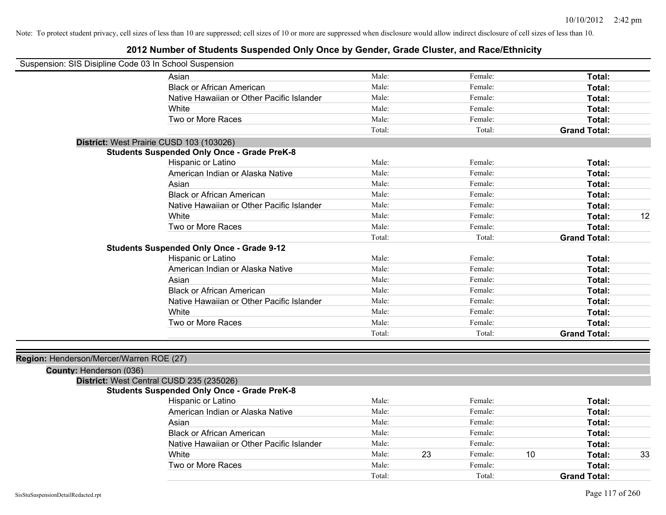| Suspension: SIS Disipline Code 03 In School Suspension |                                                    |        |    |         |    |                     |    |
|--------------------------------------------------------|----------------------------------------------------|--------|----|---------|----|---------------------|----|
|                                                        | Asian                                              | Male:  |    | Female: |    | Total:              |    |
|                                                        | <b>Black or African American</b>                   | Male:  |    | Female: |    | Total:              |    |
|                                                        | Native Hawaiian or Other Pacific Islander          | Male:  |    | Female: |    | Total:              |    |
|                                                        | White                                              | Male:  |    | Female: |    | Total:              |    |
|                                                        | Two or More Races                                  | Male:  |    | Female: |    | Total:              |    |
|                                                        |                                                    | Total: |    | Total:  |    | <b>Grand Total:</b> |    |
|                                                        | District: West Prairie CUSD 103 (103026)           |        |    |         |    |                     |    |
|                                                        | <b>Students Suspended Only Once - Grade PreK-8</b> |        |    |         |    |                     |    |
|                                                        | Hispanic or Latino                                 | Male:  |    | Female: |    | Total:              |    |
|                                                        | American Indian or Alaska Native                   | Male:  |    | Female: |    | Total:              |    |
|                                                        | Asian                                              | Male:  |    | Female: |    | Total:              |    |
|                                                        | <b>Black or African American</b>                   | Male:  |    | Female: |    | Total:              |    |
|                                                        | Native Hawaiian or Other Pacific Islander          | Male:  |    | Female: |    | Total:              |    |
|                                                        | White                                              | Male:  |    | Female: |    | Total:              | 12 |
|                                                        | Two or More Races                                  | Male:  |    | Female: |    | Total:              |    |
|                                                        |                                                    | Total: |    | Total:  |    | <b>Grand Total:</b> |    |
|                                                        | <b>Students Suspended Only Once - Grade 9-12</b>   |        |    |         |    |                     |    |
|                                                        | Hispanic or Latino                                 | Male:  |    | Female: |    | Total:              |    |
|                                                        | American Indian or Alaska Native                   | Male:  |    | Female: |    | Total:              |    |
|                                                        | Asian                                              | Male:  |    | Female: |    | Total:              |    |
|                                                        | <b>Black or African American</b>                   | Male:  |    | Female: |    | Total:              |    |
|                                                        | Native Hawaiian or Other Pacific Islander          | Male:  |    | Female: |    | Total:              |    |
|                                                        | White                                              | Male:  |    | Female: |    | Total:              |    |
|                                                        | Two or More Races                                  | Male:  |    | Female: |    | Total:              |    |
|                                                        |                                                    | Total: |    | Total:  |    | <b>Grand Total:</b> |    |
|                                                        |                                                    |        |    |         |    |                     |    |
| Region: Henderson/Mercer/Warren ROE (27)               |                                                    |        |    |         |    |                     |    |
| County: Henderson (036)                                |                                                    |        |    |         |    |                     |    |
|                                                        | District: West Central CUSD 235 (235026)           |        |    |         |    |                     |    |
|                                                        | <b>Students Suspended Only Once - Grade PreK-8</b> |        |    |         |    |                     |    |
|                                                        | Hispanic or Latino                                 | Male:  |    | Female: |    | Total:              |    |
|                                                        | American Indian or Alaska Native                   | Male:  |    | Female: |    | Total:              |    |
|                                                        | Asian                                              | Male:  |    | Female: |    | Total:              |    |
|                                                        | <b>Black or African American</b>                   | Male:  |    | Female: |    | Total:              |    |
|                                                        | Native Hawaiian or Other Pacific Islander          | Male:  |    | Female: |    | Total:              |    |
|                                                        | White                                              | Male:  | 23 | Female: | 10 | Total:              | 33 |
|                                                        | Two or More Races                                  | Male:  |    | Female: |    | Total:              |    |
|                                                        |                                                    | Total: |    | Total:  |    | <b>Grand Total:</b> |    |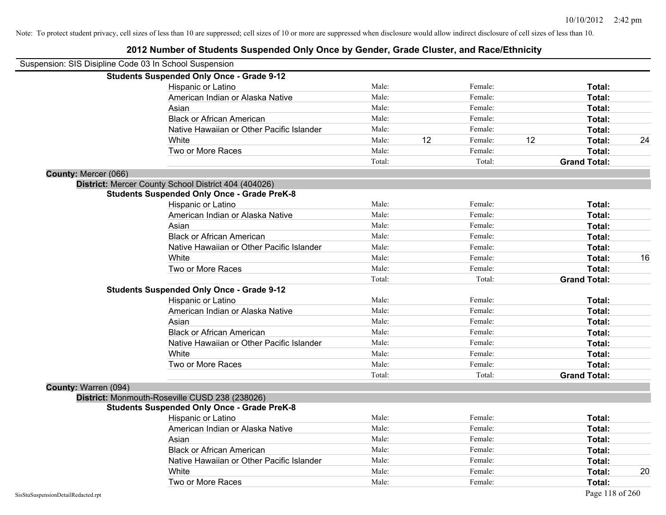| Suspension: SIS Disipline Code 03 In School Suspension |                                                      |        |    |         |    |                     |    |
|--------------------------------------------------------|------------------------------------------------------|--------|----|---------|----|---------------------|----|
|                                                        | <b>Students Suspended Only Once - Grade 9-12</b>     |        |    |         |    |                     |    |
|                                                        | Hispanic or Latino                                   | Male:  |    | Female: |    | Total:              |    |
|                                                        | American Indian or Alaska Native                     | Male:  |    | Female: |    | Total:              |    |
|                                                        | Asian                                                | Male:  |    | Female: |    | Total:              |    |
|                                                        | <b>Black or African American</b>                     | Male:  |    | Female: |    | Total:              |    |
|                                                        | Native Hawaiian or Other Pacific Islander            | Male:  |    | Female: |    | Total:              |    |
|                                                        | White                                                | Male:  | 12 | Female: | 12 | Total:              | 24 |
|                                                        | Two or More Races                                    | Male:  |    | Female: |    | Total:              |    |
|                                                        |                                                      | Total: |    | Total:  |    | <b>Grand Total:</b> |    |
| County: Mercer (066)                                   |                                                      |        |    |         |    |                     |    |
|                                                        | District: Mercer County School District 404 (404026) |        |    |         |    |                     |    |
|                                                        | <b>Students Suspended Only Once - Grade PreK-8</b>   |        |    |         |    |                     |    |
|                                                        | Hispanic or Latino                                   | Male:  |    | Female: |    | Total:              |    |
|                                                        | American Indian or Alaska Native                     | Male:  |    | Female: |    | Total:              |    |
|                                                        | Asian                                                | Male:  |    | Female: |    | Total:              |    |
|                                                        | <b>Black or African American</b>                     | Male:  |    | Female: |    | Total:              |    |
|                                                        | Native Hawaiian or Other Pacific Islander            | Male:  |    | Female: |    | Total:              |    |
|                                                        | White                                                | Male:  |    | Female: |    | Total:              | 16 |
|                                                        | Two or More Races                                    | Male:  |    | Female: |    | Total:              |    |
|                                                        |                                                      | Total: |    | Total:  |    | <b>Grand Total:</b> |    |
|                                                        | <b>Students Suspended Only Once - Grade 9-12</b>     |        |    |         |    |                     |    |
|                                                        | Hispanic or Latino                                   | Male:  |    | Female: |    | Total:              |    |
|                                                        | American Indian or Alaska Native                     | Male:  |    | Female: |    | Total:              |    |
|                                                        | Asian                                                | Male:  |    | Female: |    | Total:              |    |
|                                                        | <b>Black or African American</b>                     | Male:  |    | Female: |    | Total:              |    |
|                                                        | Native Hawaiian or Other Pacific Islander            | Male:  |    | Female: |    | Total:              |    |
|                                                        | White                                                | Male:  |    | Female: |    | Total:              |    |
|                                                        | Two or More Races                                    | Male:  |    | Female: |    | Total:              |    |
|                                                        |                                                      | Total: |    | Total:  |    | <b>Grand Total:</b> |    |
| County: Warren (094)                                   |                                                      |        |    |         |    |                     |    |
|                                                        | District: Monmouth-Roseville CUSD 238 (238026)       |        |    |         |    |                     |    |
|                                                        | <b>Students Suspended Only Once - Grade PreK-8</b>   |        |    |         |    |                     |    |
|                                                        | Hispanic or Latino                                   | Male:  |    | Female: |    | Total:              |    |
|                                                        | American Indian or Alaska Native                     | Male:  |    | Female: |    | Total:              |    |
|                                                        | Asian                                                | Male:  |    | Female: |    | Total:              |    |
|                                                        | <b>Black or African American</b>                     | Male:  |    | Female: |    | Total:              |    |
|                                                        | Native Hawaiian or Other Pacific Islander            | Male:  |    | Female: |    | Total:              |    |
|                                                        | White                                                | Male:  |    | Female: |    | Total:              | 20 |
|                                                        | Two or More Races                                    | Male:  |    | Female: |    | Total:              |    |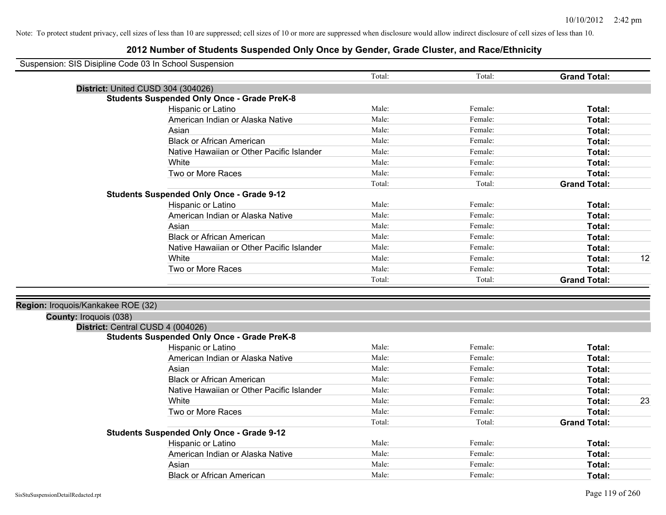| Suspension: SIS Disipline Code 03 In School Suspension |                                                    |        |         |                     |    |
|--------------------------------------------------------|----------------------------------------------------|--------|---------|---------------------|----|
|                                                        |                                                    | Total: | Total:  | <b>Grand Total:</b> |    |
|                                                        | District: United CUSD 304 (304026)                 |        |         |                     |    |
|                                                        | <b>Students Suspended Only Once - Grade PreK-8</b> |        |         |                     |    |
|                                                        | Hispanic or Latino                                 | Male:  | Female: | Total:              |    |
|                                                        | American Indian or Alaska Native                   | Male:  | Female: | Total:              |    |
|                                                        | Asian                                              | Male:  | Female: | Total:              |    |
|                                                        | <b>Black or African American</b>                   | Male:  | Female: | Total:              |    |
|                                                        | Native Hawaiian or Other Pacific Islander          | Male:  | Female: | Total:              |    |
|                                                        | White                                              | Male:  | Female: | Total:              |    |
|                                                        | Two or More Races                                  | Male:  | Female: | Total:              |    |
|                                                        |                                                    | Total: | Total:  | <b>Grand Total:</b> |    |
|                                                        | <b>Students Suspended Only Once - Grade 9-12</b>   |        |         |                     |    |
|                                                        | Hispanic or Latino                                 | Male:  | Female: | Total:              |    |
|                                                        | American Indian or Alaska Native                   | Male:  | Female: | Total:              |    |
|                                                        | Asian                                              | Male:  | Female: | Total:              |    |
|                                                        | <b>Black or African American</b>                   | Male:  | Female: | Total:              |    |
|                                                        | Native Hawaiian or Other Pacific Islander          | Male:  | Female: | Total:              |    |
|                                                        | White                                              | Male:  | Female: | Total:              | 12 |
|                                                        | Two or More Races                                  | Male:  | Female: | Total:              |    |
|                                                        |                                                    | Total: | Total:  | <b>Grand Total:</b> |    |
| Region: Iroquois/Kankakee ROE (32)                     |                                                    |        |         |                     |    |
| <b>County: Iroquois (038)</b>                          |                                                    |        |         |                     |    |
| District: Central CUSD 4 (004026)                      |                                                    |        |         |                     |    |
|                                                        | <b>Students Suspended Only Once - Grade PreK-8</b> |        |         |                     |    |
|                                                        | Hispanic or Latino                                 | Male:  | Female: | Total:              |    |
|                                                        | American Indian or Alaska Native                   | Male:  | Female: | Total:              |    |
|                                                        | Asian                                              | Male:  | Female: | Total:              |    |
|                                                        | <b>Black or African American</b>                   | Male:  | Female: | Total:              |    |
|                                                        | Native Hawaiian or Other Pacific Islander          | Male:  | Female: | Total:              |    |
|                                                        | White                                              | Male:  | Female: | Total:              | 23 |
|                                                        | Two or More Races                                  | Male:  | Female: | Total:              |    |
|                                                        |                                                    | Total: | Total:  | <b>Grand Total:</b> |    |
|                                                        | <b>Students Suspended Only Once - Grade 9-12</b>   |        |         |                     |    |
|                                                        | Hispanic or Latino                                 | Male:  | Female: | Total:              |    |
|                                                        | American Indian or Alaska Native                   | Male:  | Female: | Total:              |    |
|                                                        | Asian                                              | Male:  | Female: | Total:              |    |
|                                                        | <b>Black or African American</b>                   | Male:  | Female: | Total:              |    |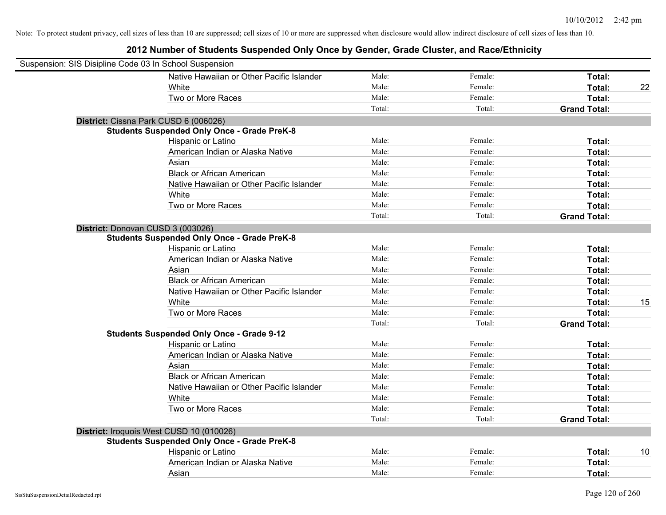| Suspension: SIS Disipline Code 03 In School Suspension |                                                    |        |         |                     |    |
|--------------------------------------------------------|----------------------------------------------------|--------|---------|---------------------|----|
|                                                        | Native Hawaiian or Other Pacific Islander          | Male:  | Female: | Total:              |    |
|                                                        | White                                              | Male:  | Female: | <b>Total:</b>       | 22 |
|                                                        | Two or More Races                                  | Male:  | Female: | Total:              |    |
|                                                        |                                                    | Total: | Total:  | <b>Grand Total:</b> |    |
| District: Cissna Park CUSD 6 (006026)                  |                                                    |        |         |                     |    |
|                                                        | <b>Students Suspended Only Once - Grade PreK-8</b> |        |         |                     |    |
|                                                        | Hispanic or Latino                                 | Male:  | Female: | Total:              |    |
|                                                        | American Indian or Alaska Native                   | Male:  | Female: | Total:              |    |
|                                                        | Asian                                              | Male:  | Female: | Total:              |    |
|                                                        | <b>Black or African American</b>                   | Male:  | Female: | Total:              |    |
|                                                        | Native Hawaiian or Other Pacific Islander          | Male:  | Female: | Total:              |    |
|                                                        | White                                              | Male:  | Female: | Total:              |    |
|                                                        | Two or More Races                                  | Male:  | Female: | Total:              |    |
|                                                        |                                                    | Total: | Total:  | <b>Grand Total:</b> |    |
| District: Donovan CUSD 3 (003026)                      |                                                    |        |         |                     |    |
|                                                        | <b>Students Suspended Only Once - Grade PreK-8</b> |        |         |                     |    |
|                                                        | Hispanic or Latino                                 | Male:  | Female: | Total:              |    |
|                                                        | American Indian or Alaska Native                   | Male:  | Female: | Total:              |    |
|                                                        | Asian                                              | Male:  | Female: | Total:              |    |
|                                                        | <b>Black or African American</b>                   | Male:  | Female: | Total:              |    |
|                                                        | Native Hawaiian or Other Pacific Islander          | Male:  | Female: | Total:              |    |
|                                                        | White                                              | Male:  | Female: | Total:              | 15 |
|                                                        | Two or More Races                                  | Male:  | Female: | Total:              |    |
|                                                        |                                                    | Total: | Total:  | <b>Grand Total:</b> |    |
|                                                        | <b>Students Suspended Only Once - Grade 9-12</b>   |        |         |                     |    |
|                                                        | Hispanic or Latino                                 | Male:  | Female: | Total:              |    |
|                                                        | American Indian or Alaska Native                   | Male:  | Female: | Total:              |    |
|                                                        | Asian                                              | Male:  | Female: | Total:              |    |
|                                                        | <b>Black or African American</b>                   | Male:  | Female: | Total:              |    |
|                                                        | Native Hawaiian or Other Pacific Islander          | Male:  | Female: | Total:              |    |
|                                                        | White                                              | Male:  | Female: | Total:              |    |
|                                                        | Two or More Races                                  | Male:  | Female: | Total:              |    |
|                                                        |                                                    | Total: | Total:  | <b>Grand Total:</b> |    |
| District: Iroquois West CUSD 10 (010026)               |                                                    |        |         |                     |    |
|                                                        | <b>Students Suspended Only Once - Grade PreK-8</b> |        |         |                     |    |
|                                                        | Hispanic or Latino                                 | Male:  | Female: | Total:              | 10 |
|                                                        | American Indian or Alaska Native                   | Male:  | Female: | Total:              |    |
|                                                        | Asian                                              | Male:  | Female: | Total:              |    |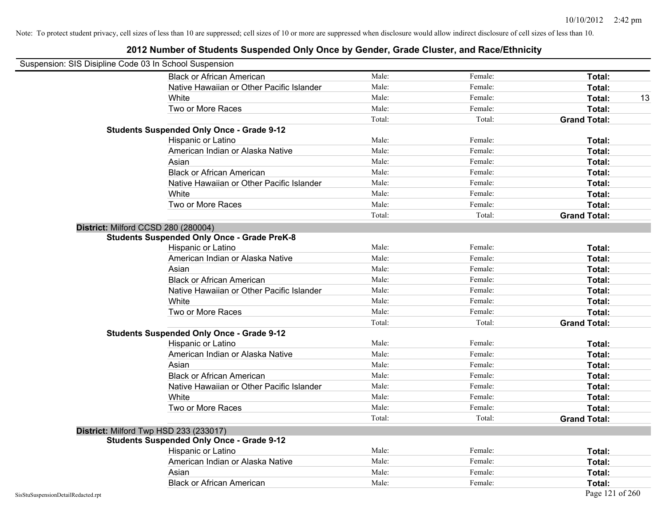| Suspension: SIS Disipline Code 03 In School Suspension |                                                    |        |         |                     |    |
|--------------------------------------------------------|----------------------------------------------------|--------|---------|---------------------|----|
|                                                        | <b>Black or African American</b>                   | Male:  | Female: | <b>Total:</b>       |    |
|                                                        | Native Hawaiian or Other Pacific Islander          | Male:  | Female: | Total:              |    |
|                                                        | White                                              | Male:  | Female: | Total:              | 13 |
|                                                        | Two or More Races                                  | Male:  | Female: | Total:              |    |
|                                                        |                                                    | Total: | Total:  | <b>Grand Total:</b> |    |
|                                                        | <b>Students Suspended Only Once - Grade 9-12</b>   |        |         |                     |    |
|                                                        | Hispanic or Latino                                 | Male:  | Female: | Total:              |    |
|                                                        | American Indian or Alaska Native                   | Male:  | Female: | Total:              |    |
|                                                        | Asian                                              | Male:  | Female: | Total:              |    |
|                                                        | <b>Black or African American</b>                   | Male:  | Female: | Total:              |    |
|                                                        | Native Hawaiian or Other Pacific Islander          | Male:  | Female: | Total:              |    |
|                                                        | White                                              | Male:  | Female: | Total:              |    |
|                                                        | Two or More Races                                  | Male:  | Female: | Total:              |    |
|                                                        |                                                    | Total: | Total:  | <b>Grand Total:</b> |    |
| District: Milford CCSD 280 (280004)                    |                                                    |        |         |                     |    |
|                                                        | <b>Students Suspended Only Once - Grade PreK-8</b> |        |         |                     |    |
|                                                        | Hispanic or Latino                                 | Male:  | Female: | Total:              |    |
|                                                        | American Indian or Alaska Native                   | Male:  | Female: | Total:              |    |
|                                                        | Asian                                              | Male:  | Female: | Total:              |    |
|                                                        | <b>Black or African American</b>                   | Male:  | Female: | Total:              |    |
|                                                        | Native Hawaiian or Other Pacific Islander          | Male:  | Female: | Total:              |    |
|                                                        | White                                              | Male:  | Female: | Total:              |    |
|                                                        | Two or More Races                                  | Male:  | Female: | Total:              |    |
|                                                        |                                                    | Total: | Total:  | <b>Grand Total:</b> |    |
|                                                        | <b>Students Suspended Only Once - Grade 9-12</b>   |        |         |                     |    |
|                                                        | Hispanic or Latino                                 | Male:  | Female: | Total:              |    |
|                                                        | American Indian or Alaska Native                   | Male:  | Female: | Total:              |    |
|                                                        | Asian                                              | Male:  | Female: | Total:              |    |
|                                                        | <b>Black or African American</b>                   | Male:  | Female: | Total:              |    |
|                                                        | Native Hawaiian or Other Pacific Islander          | Male:  | Female: | Total:              |    |
|                                                        | White                                              | Male:  | Female: | Total:              |    |
|                                                        | Two or More Races                                  | Male:  | Female: | Total:              |    |
|                                                        |                                                    | Total: | Total:  | <b>Grand Total:</b> |    |
| District: Milford Twp HSD 233 (233017)                 |                                                    |        |         |                     |    |
|                                                        | <b>Students Suspended Only Once - Grade 9-12</b>   |        |         |                     |    |
|                                                        | Hispanic or Latino                                 | Male:  | Female: | Total:              |    |
|                                                        | American Indian or Alaska Native                   | Male:  | Female: | Total:              |    |
|                                                        | Asian                                              | Male:  | Female: | Total:              |    |
|                                                        | <b>Black or African American</b>                   | Male:  | Female: | Total:              |    |
| SisStuSuspensionDetailRedacted.rpt                     |                                                    |        |         | Page 121 of 260     |    |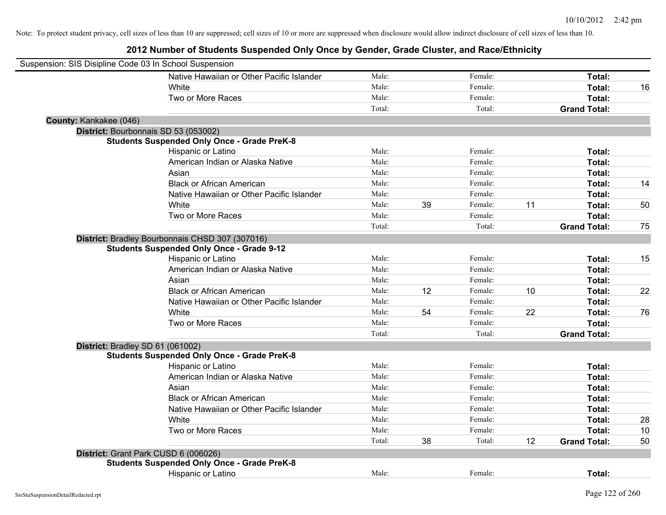| Suspension: SIS Disipline Code 03 In School Suspension |                                                    |        |    |         |    |                     |    |
|--------------------------------------------------------|----------------------------------------------------|--------|----|---------|----|---------------------|----|
|                                                        | Native Hawaiian or Other Pacific Islander          | Male:  |    | Female: |    | Total:              |    |
|                                                        | White                                              | Male:  |    | Female: |    | Total:              | 16 |
|                                                        | Two or More Races                                  | Male:  |    | Female: |    | Total:              |    |
|                                                        |                                                    | Total: |    | Total:  |    | <b>Grand Total:</b> |    |
| County: Kankakee (046)                                 |                                                    |        |    |         |    |                     |    |
|                                                        | District: Bourbonnais SD 53 (053002)               |        |    |         |    |                     |    |
|                                                        | <b>Students Suspended Only Once - Grade PreK-8</b> |        |    |         |    |                     |    |
|                                                        | Hispanic or Latino                                 | Male:  |    | Female: |    | Total:              |    |
|                                                        | American Indian or Alaska Native                   | Male:  |    | Female: |    | Total:              |    |
|                                                        | Asian                                              | Male:  |    | Female: |    | Total:              |    |
|                                                        | <b>Black or African American</b>                   | Male:  |    | Female: |    | Total:              | 14 |
|                                                        | Native Hawaiian or Other Pacific Islander          | Male:  |    | Female: |    | Total:              |    |
|                                                        | White                                              | Male:  | 39 | Female: | 11 | Total:              | 50 |
|                                                        | Two or More Races                                  | Male:  |    | Female: |    | Total:              |    |
|                                                        |                                                    | Total: |    | Total:  |    | <b>Grand Total:</b> | 75 |
|                                                        | District: Bradley Bourbonnais CHSD 307 (307016)    |        |    |         |    |                     |    |
|                                                        | <b>Students Suspended Only Once - Grade 9-12</b>   |        |    |         |    |                     |    |
|                                                        | Hispanic or Latino                                 | Male:  |    | Female: |    | Total:              | 15 |
|                                                        | American Indian or Alaska Native                   | Male:  |    | Female: |    | Total:              |    |
|                                                        | Asian                                              | Male:  |    | Female: |    | Total:              |    |
|                                                        | <b>Black or African American</b>                   | Male:  | 12 | Female: | 10 | Total:              | 22 |
|                                                        | Native Hawaiian or Other Pacific Islander          | Male:  |    | Female: |    | Total:              |    |
|                                                        | White                                              | Male:  | 54 | Female: | 22 | Total:              | 76 |
|                                                        | Two or More Races                                  | Male:  |    | Female: |    | Total:              |    |
|                                                        |                                                    | Total: |    | Total:  |    | <b>Grand Total:</b> |    |
|                                                        | District: Bradley SD 61 (061002)                   |        |    |         |    |                     |    |
|                                                        | <b>Students Suspended Only Once - Grade PreK-8</b> |        |    |         |    |                     |    |
|                                                        | Hispanic or Latino                                 | Male:  |    | Female: |    | Total:              |    |
|                                                        | American Indian or Alaska Native                   | Male:  |    | Female: |    | Total:              |    |
|                                                        | Asian                                              | Male:  |    | Female: |    | Total:              |    |
|                                                        | <b>Black or African American</b>                   | Male:  |    | Female: |    | Total:              |    |
|                                                        | Native Hawaiian or Other Pacific Islander          | Male:  |    | Female: |    | Total:              |    |
|                                                        | White                                              | Male:  |    | Female: |    | Total:              | 28 |
|                                                        | Two or More Races                                  | Male:  |    | Female: |    | Total:              | 10 |
|                                                        |                                                    | Total: | 38 | Total:  | 12 | <b>Grand Total:</b> | 50 |
|                                                        | District: Grant Park CUSD 6 (006026)               |        |    |         |    |                     |    |
|                                                        | <b>Students Suspended Only Once - Grade PreK-8</b> |        |    |         |    |                     |    |
|                                                        | <b>Hispanic or Latino</b>                          | Male:  |    | Female: |    | Total:              |    |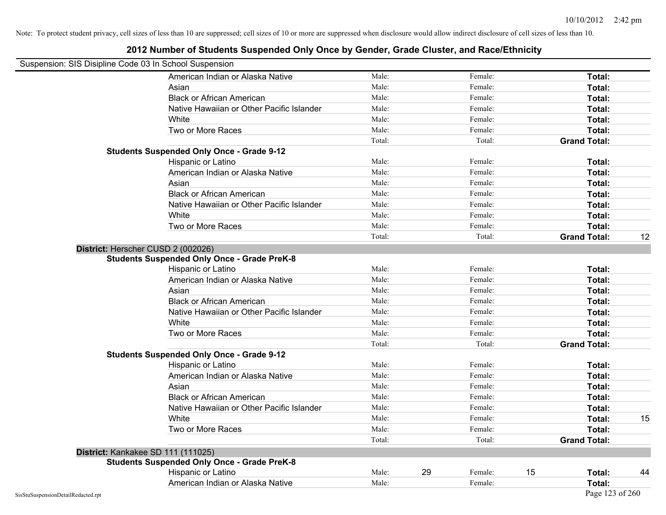| Suspension: SIS Disipline Code 03 In School Suspension |                                                    |        |    |         |    |                     |    |
|--------------------------------------------------------|----------------------------------------------------|--------|----|---------|----|---------------------|----|
|                                                        | American Indian or Alaska Native                   | Male:  |    | Female: |    | Total:              |    |
|                                                        | Asian                                              | Male:  |    | Female: |    | Total:              |    |
|                                                        | <b>Black or African American</b>                   | Male:  |    | Female: |    | Total:              |    |
|                                                        | Native Hawaiian or Other Pacific Islander          | Male:  |    | Female: |    | Total:              |    |
|                                                        | White                                              | Male:  |    | Female: |    | Total:              |    |
|                                                        | Two or More Races                                  | Male:  |    | Female: |    | Total:              |    |
|                                                        |                                                    | Total: |    | Total:  |    | <b>Grand Total:</b> |    |
|                                                        | <b>Students Suspended Only Once - Grade 9-12</b>   |        |    |         |    |                     |    |
|                                                        | Hispanic or Latino                                 | Male:  |    | Female: |    | Total:              |    |
|                                                        | American Indian or Alaska Native                   | Male:  |    | Female: |    | Total:              |    |
|                                                        | Asian                                              | Male:  |    | Female: |    | Total:              |    |
|                                                        | <b>Black or African American</b>                   | Male:  |    | Female: |    | Total:              |    |
|                                                        | Native Hawaiian or Other Pacific Islander          | Male:  |    | Female: |    | Total:              |    |
|                                                        | White                                              | Male:  |    | Female: |    | Total:              |    |
|                                                        | Two or More Races                                  | Male:  |    | Female: |    | Total:              |    |
|                                                        |                                                    | Total: |    | Total:  |    | <b>Grand Total:</b> | 12 |
|                                                        | District: Herscher CUSD 2 (002026)                 |        |    |         |    |                     |    |
|                                                        | <b>Students Suspended Only Once - Grade PreK-8</b> |        |    |         |    |                     |    |
|                                                        | Hispanic or Latino                                 | Male:  |    | Female: |    | Total:              |    |
|                                                        | American Indian or Alaska Native                   | Male:  |    | Female: |    | Total:              |    |
|                                                        | Asian                                              | Male:  |    | Female: |    | Total:              |    |
|                                                        | <b>Black or African American</b>                   | Male:  |    | Female: |    | Total:              |    |
|                                                        | Native Hawaiian or Other Pacific Islander          | Male:  |    | Female: |    | Total:              |    |
|                                                        | White                                              | Male:  |    | Female: |    | Total:              |    |
|                                                        | Two or More Races                                  | Male:  |    | Female: |    | Total:              |    |
|                                                        |                                                    | Total: |    | Total:  |    | <b>Grand Total:</b> |    |
|                                                        | <b>Students Suspended Only Once - Grade 9-12</b>   |        |    |         |    |                     |    |
|                                                        | Hispanic or Latino                                 | Male:  |    | Female: |    | Total:              |    |
|                                                        | American Indian or Alaska Native                   | Male:  |    | Female: |    | Total:              |    |
|                                                        | Asian                                              | Male:  |    | Female: |    | Total:              |    |
|                                                        | <b>Black or African American</b>                   | Male:  |    | Female: |    | Total:              |    |
|                                                        | Native Hawaiian or Other Pacific Islander          | Male:  |    | Female: |    | Total:              |    |
|                                                        | White                                              | Male:  |    | Female: |    | Total:              | 15 |
|                                                        | Two or More Races                                  | Male:  |    | Female: |    | Total:              |    |
|                                                        |                                                    | Total: |    | Total:  |    | <b>Grand Total:</b> |    |
|                                                        | District: Kankakee SD 111 (111025)                 |        |    |         |    |                     |    |
|                                                        | <b>Students Suspended Only Once - Grade PreK-8</b> |        |    |         |    |                     |    |
|                                                        | Hispanic or Latino                                 | Male:  | 29 | Female: | 15 | Total:              | 44 |
|                                                        | American Indian or Alaska Native                   | Male:  |    | Female: |    | Total:              |    |
| SisStuSuspensionDetailRedacted.rpt                     |                                                    |        |    |         |    | Page 123 of 260     |    |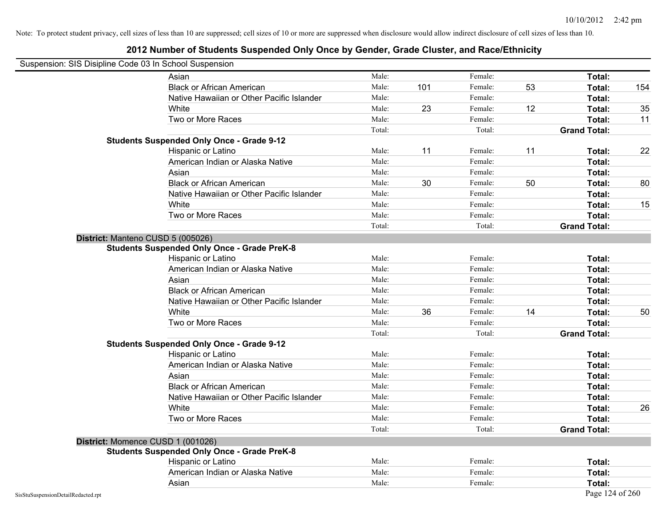| Suspension: SIS Disipline Code 03 In School Suspension |                                                    |        |     |         |    |                     |     |
|--------------------------------------------------------|----------------------------------------------------|--------|-----|---------|----|---------------------|-----|
|                                                        | Asian                                              | Male:  |     | Female: |    | Total:              |     |
|                                                        | <b>Black or African American</b>                   | Male:  | 101 | Female: | 53 | Total:              | 154 |
|                                                        | Native Hawaiian or Other Pacific Islander          | Male:  |     | Female: |    | Total:              |     |
|                                                        | White                                              | Male:  | 23  | Female: | 12 | Total:              | 35  |
|                                                        | Two or More Races                                  | Male:  |     | Female: |    | Total:              | 11  |
|                                                        |                                                    | Total: |     | Total:  |    | <b>Grand Total:</b> |     |
|                                                        | <b>Students Suspended Only Once - Grade 9-12</b>   |        |     |         |    |                     |     |
|                                                        | Hispanic or Latino                                 | Male:  | 11  | Female: | 11 | Total:              | 22  |
|                                                        | American Indian or Alaska Native                   | Male:  |     | Female: |    | Total:              |     |
|                                                        | Asian                                              | Male:  |     | Female: |    | Total:              |     |
|                                                        | <b>Black or African American</b>                   | Male:  | 30  | Female: | 50 | Total:              | 80  |
|                                                        | Native Hawaiian or Other Pacific Islander          | Male:  |     | Female: |    | Total:              |     |
|                                                        | White                                              | Male:  |     | Female: |    | Total:              | 15  |
|                                                        | Two or More Races                                  | Male:  |     | Female: |    | Total:              |     |
|                                                        |                                                    | Total: |     | Total:  |    | <b>Grand Total:</b> |     |
| District: Manteno CUSD 5 (005026)                      |                                                    |        |     |         |    |                     |     |
|                                                        | <b>Students Suspended Only Once - Grade PreK-8</b> |        |     |         |    |                     |     |
|                                                        | Hispanic or Latino                                 | Male:  |     | Female: |    | Total:              |     |
|                                                        | American Indian or Alaska Native                   | Male:  |     | Female: |    | Total:              |     |
|                                                        | Asian                                              | Male:  |     | Female: |    | Total:              |     |
|                                                        | <b>Black or African American</b>                   | Male:  |     | Female: |    | Total:              |     |
|                                                        | Native Hawaiian or Other Pacific Islander          | Male:  |     | Female: |    | Total:              |     |
|                                                        | White                                              | Male:  | 36  | Female: | 14 | Total:              | 50  |
|                                                        | Two or More Races                                  | Male:  |     | Female: |    | Total:              |     |
|                                                        |                                                    | Total: |     | Total:  |    | <b>Grand Total:</b> |     |
|                                                        | <b>Students Suspended Only Once - Grade 9-12</b>   |        |     |         |    |                     |     |
|                                                        | Hispanic or Latino                                 | Male:  |     | Female: |    | Total:              |     |
|                                                        | American Indian or Alaska Native                   | Male:  |     | Female: |    | Total:              |     |
|                                                        | Asian                                              | Male:  |     | Female: |    | Total:              |     |
|                                                        | <b>Black or African American</b>                   | Male:  |     | Female: |    | Total:              |     |
|                                                        | Native Hawaiian or Other Pacific Islander          | Male:  |     | Female: |    | Total:              |     |
|                                                        | White                                              | Male:  |     | Female: |    | Total:              | 26  |
|                                                        | Two or More Races                                  | Male:  |     | Female: |    | Total:              |     |
|                                                        |                                                    | Total: |     | Total:  |    | <b>Grand Total:</b> |     |
| District: Momence CUSD 1 (001026)                      |                                                    |        |     |         |    |                     |     |
|                                                        | <b>Students Suspended Only Once - Grade PreK-8</b> |        |     |         |    |                     |     |
|                                                        | Hispanic or Latino                                 | Male:  |     | Female: |    | Total:              |     |
|                                                        | American Indian or Alaska Native                   | Male:  |     | Female: |    | Total:              |     |
|                                                        | Asian                                              | Male:  |     | Female: |    | Total:              |     |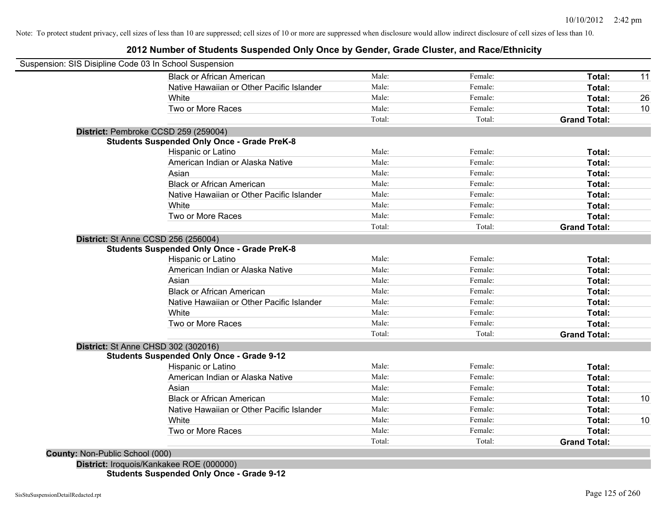# **2012 Number of Students Suspended Only Once by Gender, Grade Cluster, and Race/Ethnicity**

|                                            | Suspension: SIS Disipline Code 03 In School Suspension |        |         |                     |    |
|--------------------------------------------|--------------------------------------------------------|--------|---------|---------------------|----|
|                                            | <b>Black or African American</b>                       | Male:  | Female: | Total:              | 11 |
|                                            | Native Hawaiian or Other Pacific Islander              | Male:  | Female: | Total:              |    |
|                                            | White                                                  | Male:  | Female: | Total:              | 26 |
|                                            | Two or More Races                                      | Male:  | Female: | Total:              | 10 |
|                                            |                                                        | Total: | Total:  | <b>Grand Total:</b> |    |
|                                            | District: Pembroke CCSD 259 (259004)                   |        |         |                     |    |
|                                            | <b>Students Suspended Only Once - Grade PreK-8</b>     |        |         |                     |    |
|                                            | Hispanic or Latino                                     | Male:  | Female: | Total:              |    |
|                                            | American Indian or Alaska Native                       | Male:  | Female: | Total:              |    |
|                                            | Asian                                                  | Male:  | Female: | Total:              |    |
|                                            | <b>Black or African American</b>                       | Male:  | Female: | Total:              |    |
|                                            | Native Hawaiian or Other Pacific Islander              | Male:  | Female: | Total:              |    |
|                                            | White                                                  | Male:  | Female: | Total:              |    |
|                                            | Two or More Races                                      | Male:  | Female: | Total:              |    |
|                                            |                                                        | Total: | Total:  | <b>Grand Total:</b> |    |
| <b>District: St Anne CCSD 256 (256004)</b> |                                                        |        |         |                     |    |
|                                            | <b>Students Suspended Only Once - Grade PreK-8</b>     |        |         |                     |    |
|                                            | Hispanic or Latino                                     | Male:  | Female: | Total:              |    |
|                                            | American Indian or Alaska Native                       | Male:  | Female: | Total:              |    |
|                                            | Asian                                                  | Male:  | Female: | Total:              |    |
|                                            | <b>Black or African American</b>                       | Male:  | Female: | Total:              |    |
|                                            | Native Hawaiian or Other Pacific Islander              | Male:  | Female: | Total:              |    |
|                                            | White                                                  | Male:  | Female: | Total:              |    |
|                                            | Two or More Races                                      | Male:  | Female: | Total:              |    |
|                                            |                                                        | Total: | Total:  | <b>Grand Total:</b> |    |
| District: St Anne CHSD 302 (302016)        |                                                        |        |         |                     |    |
|                                            | <b>Students Suspended Only Once - Grade 9-12</b>       |        |         |                     |    |
|                                            | Hispanic or Latino                                     | Male:  | Female: | Total:              |    |
|                                            | American Indian or Alaska Native                       | Male:  | Female: | Total:              |    |
|                                            | Asian                                                  | Male:  | Female: | Total:              |    |
|                                            | <b>Black or African American</b>                       | Male:  | Female: | Total:              | 10 |
|                                            | Native Hawaiian or Other Pacific Islander              | Male:  | Female: | Total:              |    |
|                                            | White                                                  | Male:  | Female: | Total:              | 10 |
|                                            | Two or More Races                                      | Male:  | Female: | <b>Total:</b>       |    |
|                                            |                                                        |        |         |                     |    |

**Students Suspended Only Once - Grade 9-12**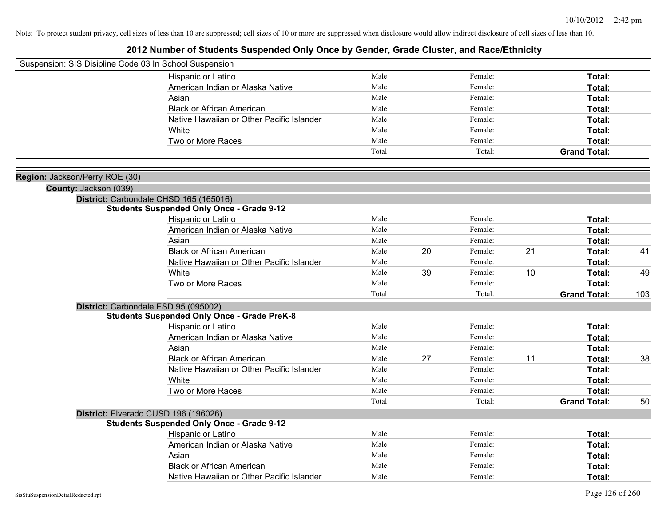| Suspension: SIS Disipline Code 03 In School Suspension |                                                    |                |    |         |    |                     |     |
|--------------------------------------------------------|----------------------------------------------------|----------------|----|---------|----|---------------------|-----|
|                                                        | Hispanic or Latino                                 | Male:          |    | Female: |    | Total:              |     |
|                                                        | American Indian or Alaska Native                   | Male:          |    | Female: |    | Total:              |     |
|                                                        | Asian                                              | Male:          |    | Female: |    | Total:              |     |
|                                                        | <b>Black or African American</b>                   | Male:          |    | Female: |    | Total:              |     |
|                                                        | Native Hawaiian or Other Pacific Islander          | Male:          |    | Female: |    | Total:              |     |
|                                                        | White                                              | Male:          |    | Female: |    | Total:              |     |
|                                                        | Two or More Races                                  | Male:          |    | Female: |    | Total:              |     |
|                                                        |                                                    | Total:         |    | Total:  |    | <b>Grand Total:</b> |     |
| Region: Jackson/Perry ROE (30)                         |                                                    |                |    |         |    |                     |     |
| County: Jackson (039)                                  |                                                    |                |    |         |    |                     |     |
|                                                        | District: Carbondale CHSD 165 (165016)             |                |    |         |    |                     |     |
|                                                        | <b>Students Suspended Only Once - Grade 9-12</b>   |                |    |         |    |                     |     |
|                                                        | Hispanic or Latino                                 | Male:          |    | Female: |    | Total:              |     |
|                                                        | American Indian or Alaska Native                   | Male:          |    | Female: |    | Total:              |     |
|                                                        | Asian                                              | Male:          |    | Female: |    | Total:              |     |
|                                                        | <b>Black or African American</b>                   | Male:          | 20 | Female: | 21 | Total:              | 41  |
|                                                        | Native Hawaiian or Other Pacific Islander          | Male:          |    | Female: |    | <b>Total:</b>       |     |
|                                                        | White                                              | Male:          | 39 | Female: | 10 | Total:              | 49  |
|                                                        | Two or More Races                                  | Male:          |    | Female: |    | Total:              |     |
|                                                        |                                                    | Total:         |    | Total:  |    | <b>Grand Total:</b> | 103 |
|                                                        | District: Carbondale ESD 95 (095002)               |                |    |         |    |                     |     |
|                                                        | <b>Students Suspended Only Once - Grade PreK-8</b> |                |    |         |    |                     |     |
|                                                        | Hispanic or Latino                                 | Male:          |    | Female: |    | Total:              |     |
|                                                        | American Indian or Alaska Native                   | Male:          |    | Female: |    | Total:              |     |
|                                                        | Asian                                              | Male:          |    | Female: |    | Total:              |     |
|                                                        | <b>Black or African American</b>                   | Male:          | 27 | Female: | 11 | Total:              | 38  |
|                                                        | Native Hawaiian or Other Pacific Islander          | Male:          |    | Female: |    | Total:              |     |
|                                                        | White                                              | Male:          |    | Female: |    | Total:              |     |
|                                                        | Two or More Races                                  | Male:          |    | Female: |    | Total:              |     |
|                                                        |                                                    | Total:         |    | Total:  |    | <b>Grand Total:</b> | 50  |
|                                                        | District: Elverado CUSD 196 (196026)               |                |    |         |    |                     |     |
|                                                        | <b>Students Suspended Only Once - Grade 9-12</b>   |                |    |         |    |                     |     |
|                                                        | Hispanic or Latino                                 | Male:          |    | Female: |    | Total:              |     |
|                                                        | American Indian or Alaska Native                   | Male:          |    | Female: |    | Total:              |     |
|                                                        | Asian                                              | Male:<br>Male: |    | Female: |    | Total:              |     |
|                                                        | <b>Black or African American</b>                   |                |    | Female: |    | Total:              |     |
|                                                        | Native Hawaiian or Other Pacific Islander          | Male:          |    | Female: |    | Total:              |     |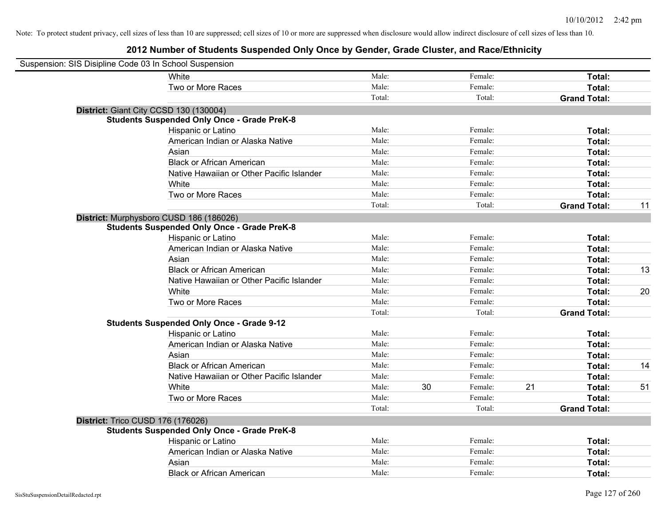| Suspension: SIS Disipline Code 03 In School Suspension |                                                    |        |    |         |    |                     |    |
|--------------------------------------------------------|----------------------------------------------------|--------|----|---------|----|---------------------|----|
|                                                        | White                                              | Male:  |    | Female: |    | Total:              |    |
|                                                        | Two or More Races                                  | Male:  |    | Female: |    | Total:              |    |
|                                                        |                                                    | Total: |    | Total:  |    | <b>Grand Total:</b> |    |
| District: Giant City CCSD 130 (130004)                 |                                                    |        |    |         |    |                     |    |
|                                                        | <b>Students Suspended Only Once - Grade PreK-8</b> |        |    |         |    |                     |    |
|                                                        | Hispanic or Latino                                 | Male:  |    | Female: |    | Total:              |    |
|                                                        | American Indian or Alaska Native                   | Male:  |    | Female: |    | Total:              |    |
|                                                        | Asian                                              | Male:  |    | Female: |    | Total:              |    |
|                                                        | <b>Black or African American</b>                   | Male:  |    | Female: |    | Total:              |    |
|                                                        | Native Hawaiian or Other Pacific Islander          | Male:  |    | Female: |    | Total:              |    |
|                                                        | White                                              | Male:  |    | Female: |    | Total:              |    |
|                                                        | Two or More Races                                  | Male:  |    | Female: |    | Total:              |    |
|                                                        |                                                    | Total: |    | Total:  |    | <b>Grand Total:</b> | 11 |
|                                                        | District: Murphysboro CUSD 186 (186026)            |        |    |         |    |                     |    |
|                                                        | <b>Students Suspended Only Once - Grade PreK-8</b> |        |    |         |    |                     |    |
|                                                        | Hispanic or Latino                                 | Male:  |    | Female: |    | Total:              |    |
|                                                        | American Indian or Alaska Native                   | Male:  |    | Female: |    | Total:              |    |
|                                                        | Asian                                              | Male:  |    | Female: |    | Total:              |    |
|                                                        | <b>Black or African American</b>                   | Male:  |    | Female: |    | Total:              | 13 |
|                                                        | Native Hawaiian or Other Pacific Islander          | Male:  |    | Female: |    | Total:              |    |
|                                                        | White                                              | Male:  |    | Female: |    | Total:              | 20 |
|                                                        | Two or More Races                                  | Male:  |    | Female: |    | Total:              |    |
|                                                        |                                                    | Total: |    | Total:  |    | <b>Grand Total:</b> |    |
|                                                        | <b>Students Suspended Only Once - Grade 9-12</b>   |        |    |         |    |                     |    |
|                                                        | Hispanic or Latino                                 | Male:  |    | Female: |    | Total:              |    |
|                                                        | American Indian or Alaska Native                   | Male:  |    | Female: |    | Total:              |    |
|                                                        | Asian                                              | Male:  |    | Female: |    | Total:              |    |
|                                                        | <b>Black or African American</b>                   | Male:  |    | Female: |    | Total:              | 14 |
|                                                        | Native Hawaiian or Other Pacific Islander          | Male:  |    | Female: |    | Total:              |    |
|                                                        | White                                              | Male:  | 30 | Female: | 21 | Total:              | 51 |
|                                                        | Two or More Races                                  | Male:  |    | Female: |    | Total:              |    |
|                                                        |                                                    | Total: |    | Total:  |    | <b>Grand Total:</b> |    |
| District: Trico CUSD 176 (176026)                      |                                                    |        |    |         |    |                     |    |
|                                                        | <b>Students Suspended Only Once - Grade PreK-8</b> |        |    |         |    |                     |    |
|                                                        | Hispanic or Latino                                 | Male:  |    | Female: |    | Total:              |    |
|                                                        | American Indian or Alaska Native                   | Male:  |    | Female: |    | Total:              |    |
|                                                        | Asian                                              | Male:  |    | Female: |    | Total:              |    |
|                                                        | <b>Black or African American</b>                   | Male:  |    | Female: |    | Total:              |    |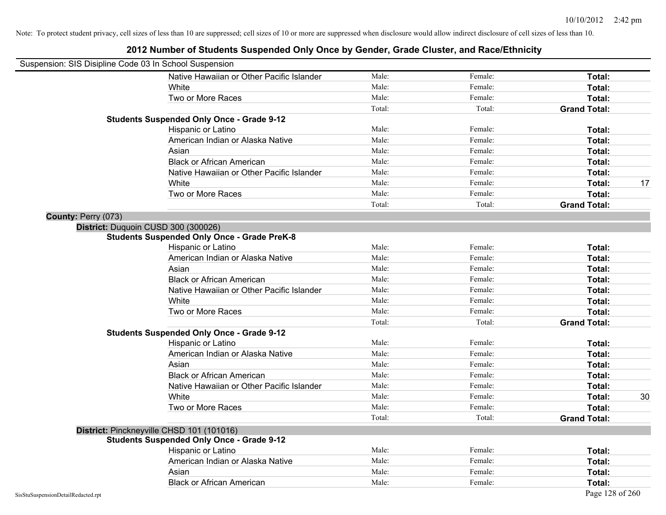|                                    | Suspension: SIS Disipline Code 03 In School Suspension |        |         |                     |    |
|------------------------------------|--------------------------------------------------------|--------|---------|---------------------|----|
|                                    | Native Hawaiian or Other Pacific Islander              | Male:  | Female: | Total:              |    |
|                                    | White                                                  | Male:  | Female: | Total:              |    |
|                                    | Two or More Races                                      | Male:  | Female: | Total:              |    |
|                                    |                                                        | Total: | Total:  | <b>Grand Total:</b> |    |
|                                    | <b>Students Suspended Only Once - Grade 9-12</b>       |        |         |                     |    |
|                                    | Hispanic or Latino                                     | Male:  | Female: | Total:              |    |
|                                    | American Indian or Alaska Native                       | Male:  | Female: | Total:              |    |
|                                    | Asian                                                  | Male:  | Female: | Total:              |    |
|                                    | <b>Black or African American</b>                       | Male:  | Female: | Total:              |    |
|                                    | Native Hawaiian or Other Pacific Islander              | Male:  | Female: | Total:              |    |
|                                    | White                                                  | Male:  | Female: | Total:              | 17 |
|                                    | Two or More Races                                      | Male:  | Female: | Total:              |    |
|                                    |                                                        | Total: | Total:  | <b>Grand Total:</b> |    |
| County: Perry (073)                |                                                        |        |         |                     |    |
|                                    | District: Duquoin CUSD 300 (300026)                    |        |         |                     |    |
|                                    | <b>Students Suspended Only Once - Grade PreK-8</b>     |        |         |                     |    |
|                                    | Hispanic or Latino                                     | Male:  | Female: | Total:              |    |
|                                    | American Indian or Alaska Native                       | Male:  | Female: | Total:              |    |
|                                    | Asian                                                  | Male:  | Female: | Total:              |    |
|                                    | <b>Black or African American</b>                       | Male:  | Female: | Total:              |    |
|                                    | Native Hawaiian or Other Pacific Islander              | Male:  | Female: | Total:              |    |
|                                    | White                                                  | Male:  | Female: | Total:              |    |
|                                    | Two or More Races                                      | Male:  | Female: | Total:              |    |
|                                    |                                                        | Total: | Total:  | <b>Grand Total:</b> |    |
|                                    | <b>Students Suspended Only Once - Grade 9-12</b>       |        |         |                     |    |
|                                    | Hispanic or Latino                                     | Male:  | Female: | Total:              |    |
|                                    | American Indian or Alaska Native                       | Male:  | Female: | Total:              |    |
|                                    | Asian                                                  | Male:  | Female: | Total:              |    |
|                                    | <b>Black or African American</b>                       | Male:  | Female: | Total:              |    |
|                                    | Native Hawaiian or Other Pacific Islander              | Male:  | Female: | Total:              |    |
|                                    | White                                                  | Male:  | Female: | Total:              | 30 |
|                                    | Two or More Races                                      | Male:  | Female: | Total:              |    |
|                                    |                                                        | Total: | Total:  | <b>Grand Total:</b> |    |
|                                    | District: Pinckneyville CHSD 101 (101016)              |        |         |                     |    |
|                                    | <b>Students Suspended Only Once - Grade 9-12</b>       |        |         |                     |    |
|                                    | Hispanic or Latino                                     | Male:  | Female: | Total:              |    |
|                                    | American Indian or Alaska Native                       | Male:  | Female: | Total:              |    |
|                                    | Asian                                                  | Male:  | Female: | Total:              |    |
|                                    | <b>Black or African American</b>                       | Male:  | Female: | Total:              |    |
| SisStuSuspensionDetailRedacted.rpt |                                                        |        |         | Page 128 of 260     |    |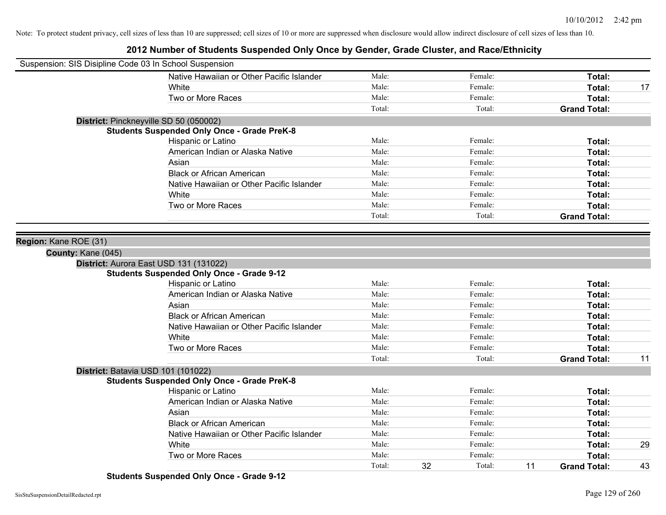# **2012 Number of Students Suspended Only Once by Gender, Grade Cluster, and Race/Ethnicity**

| Suspension: SIS Disipline Code 03 In School Suspension |                                                    |        |    |         |    |                     |    |
|--------------------------------------------------------|----------------------------------------------------|--------|----|---------|----|---------------------|----|
|                                                        | Native Hawaiian or Other Pacific Islander          | Male:  |    | Female: |    | Total:              |    |
|                                                        | White                                              | Male:  |    | Female: |    | Total:              | 17 |
|                                                        | Two or More Races                                  | Male:  |    | Female: |    | Total:              |    |
|                                                        |                                                    | Total: |    | Total:  |    | <b>Grand Total:</b> |    |
| District: Pinckneyville SD 50 (050002)                 |                                                    |        |    |         |    |                     |    |
|                                                        | <b>Students Suspended Only Once - Grade PreK-8</b> |        |    |         |    |                     |    |
|                                                        | Hispanic or Latino                                 | Male:  |    | Female: |    | Total:              |    |
|                                                        | American Indian or Alaska Native                   | Male:  |    | Female: |    | Total:              |    |
|                                                        | Asian                                              | Male:  |    | Female: |    | Total:              |    |
|                                                        | <b>Black or African American</b>                   | Male:  |    | Female: |    | Total:              |    |
|                                                        | Native Hawaiian or Other Pacific Islander          | Male:  |    | Female: |    | Total:              |    |
|                                                        | White                                              | Male:  |    | Female: |    | Total:              |    |
|                                                        | Two or More Races                                  | Male:  |    | Female: |    | Total:              |    |
|                                                        |                                                    | Total: |    | Total:  |    | <b>Grand Total:</b> |    |
|                                                        |                                                    |        |    |         |    |                     |    |
| Region: Kane ROE (31)                                  |                                                    |        |    |         |    |                     |    |
| County: Kane (045)                                     |                                                    |        |    |         |    |                     |    |
| District: Aurora East USD 131 (131022)                 |                                                    |        |    |         |    |                     |    |
|                                                        | <b>Students Suspended Only Once - Grade 9-12</b>   |        |    |         |    |                     |    |
|                                                        | Hispanic or Latino                                 | Male:  |    | Female: |    | Total:              |    |
|                                                        | American Indian or Alaska Native                   | Male:  |    | Female: |    | Total:              |    |
|                                                        | Asian                                              | Male:  |    | Female: |    | Total:              |    |
|                                                        | <b>Black or African American</b>                   | Male:  |    | Female: |    | Total:              |    |
|                                                        | Native Hawaiian or Other Pacific Islander          | Male:  |    | Female: |    | Total:              |    |
|                                                        | White                                              | Male:  |    | Female: |    | Total:              |    |
|                                                        | Two or More Races                                  | Male:  |    | Female: |    | <b>Total:</b>       |    |
|                                                        |                                                    | Total: |    | Total:  |    | <b>Grand Total:</b> | 11 |
| District: Batavia USD 101 (101022)                     |                                                    |        |    |         |    |                     |    |
|                                                        | <b>Students Suspended Only Once - Grade PreK-8</b> |        |    |         |    |                     |    |
|                                                        | Hispanic or Latino                                 | Male:  |    | Female: |    | Total:              |    |
|                                                        | American Indian or Alaska Native                   | Male:  |    | Female: |    | Total:              |    |
|                                                        | Asian                                              | Male:  |    | Female: |    | Total:              |    |
|                                                        | <b>Black or African American</b>                   | Male:  |    | Female: |    | Total:              |    |
|                                                        | Native Hawaiian or Other Pacific Islander          | Male:  |    | Female: |    | Total:              |    |
|                                                        | White                                              | Male:  |    | Female: |    | Total:              | 29 |
|                                                        | Two or More Races                                  | Male:  |    | Female: |    | <b>Total:</b>       |    |
|                                                        |                                                    | Total: | 32 | Total:  | 11 | <b>Grand Total:</b> | 43 |

**Students Suspended Only Once - Grade 9-12**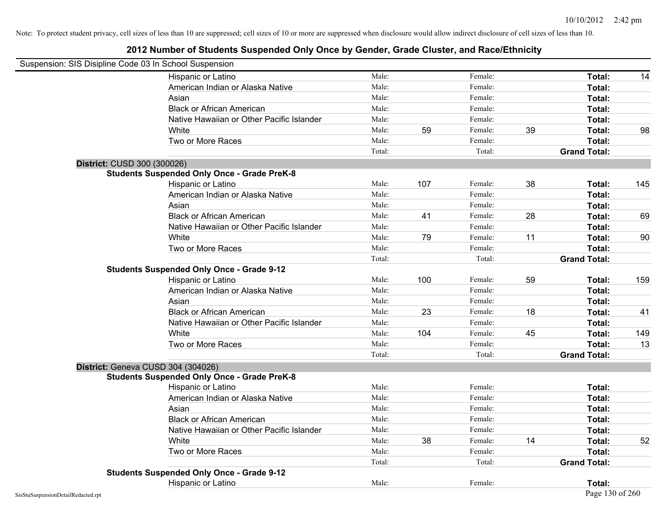| Suspension: SIS Disipline Code 03 In School Suspension |                                                    |        |     |         |    |                     |     |
|--------------------------------------------------------|----------------------------------------------------|--------|-----|---------|----|---------------------|-----|
|                                                        | Hispanic or Latino                                 | Male:  |     | Female: |    | Total:              | 14  |
|                                                        | American Indian or Alaska Native                   | Male:  |     | Female: |    | Total:              |     |
|                                                        | Asian                                              | Male:  |     | Female: |    | Total:              |     |
|                                                        | <b>Black or African American</b>                   | Male:  |     | Female: |    | Total:              |     |
|                                                        | Native Hawaiian or Other Pacific Islander          | Male:  |     | Female: |    | Total:              |     |
|                                                        | White                                              | Male:  | 59  | Female: | 39 | Total:              | 98  |
|                                                        | Two or More Races                                  | Male:  |     | Female: |    | Total:              |     |
|                                                        |                                                    | Total: |     | Total:  |    | <b>Grand Total:</b> |     |
| District: CUSD 300 (300026)                            |                                                    |        |     |         |    |                     |     |
|                                                        | <b>Students Suspended Only Once - Grade PreK-8</b> |        |     |         |    |                     |     |
|                                                        | Hispanic or Latino                                 | Male:  | 107 | Female: | 38 | Total:              | 145 |
|                                                        | American Indian or Alaska Native                   | Male:  |     | Female: |    | Total:              |     |
|                                                        | Asian                                              | Male:  |     | Female: |    | Total:              |     |
|                                                        | <b>Black or African American</b>                   | Male:  | 41  | Female: | 28 | Total:              | 69  |
|                                                        | Native Hawaiian or Other Pacific Islander          | Male:  |     | Female: |    | Total:              |     |
|                                                        | White                                              | Male:  | 79  | Female: | 11 | Total:              | 90  |
|                                                        | Two or More Races                                  | Male:  |     | Female: |    | Total:              |     |
|                                                        |                                                    | Total: |     | Total:  |    | <b>Grand Total:</b> |     |
|                                                        | <b>Students Suspended Only Once - Grade 9-12</b>   |        |     |         |    |                     |     |
|                                                        | Hispanic or Latino                                 | Male:  | 100 | Female: | 59 | Total:              | 159 |
|                                                        | American Indian or Alaska Native                   | Male:  |     | Female: |    | Total:              |     |
|                                                        | Asian                                              | Male:  |     | Female: |    | Total:              |     |
|                                                        | <b>Black or African American</b>                   | Male:  | 23  | Female: | 18 | Total:              | 41  |
|                                                        | Native Hawaiian or Other Pacific Islander          | Male:  |     | Female: |    | Total:              |     |
|                                                        | White                                              | Male:  | 104 | Female: | 45 | <b>Total:</b>       | 149 |
|                                                        | Two or More Races                                  | Male:  |     | Female: |    | Total:              | 13  |
|                                                        |                                                    | Total: |     | Total:  |    | <b>Grand Total:</b> |     |
| District: Geneva CUSD 304 (304026)                     |                                                    |        |     |         |    |                     |     |
|                                                        | <b>Students Suspended Only Once - Grade PreK-8</b> |        |     |         |    |                     |     |
|                                                        | Hispanic or Latino                                 | Male:  |     | Female: |    | Total:              |     |
|                                                        | American Indian or Alaska Native                   | Male:  |     | Female: |    | Total:              |     |
|                                                        | Asian                                              | Male:  |     | Female: |    | Total:              |     |
|                                                        | <b>Black or African American</b>                   | Male:  |     | Female: |    | Total:              |     |
|                                                        | Native Hawaiian or Other Pacific Islander          | Male:  |     | Female: |    | Total:              |     |
|                                                        | White                                              | Male:  | 38  | Female: | 14 | Total:              | 52  |
|                                                        | Two or More Races                                  | Male:  |     | Female: |    | Total:              |     |
|                                                        |                                                    | Total: |     | Total:  |    | <b>Grand Total:</b> |     |
|                                                        | <b>Students Suspended Only Once - Grade 9-12</b>   |        |     |         |    |                     |     |
|                                                        | Hispanic or Latino                                 | Male:  |     | Female: |    | Total:              |     |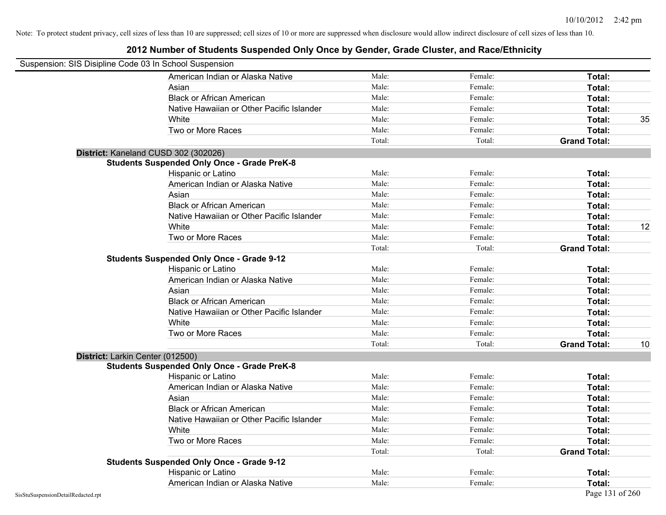| Suspension: SIS Disipline Code 03 In School Suspension |                                                    |        |         |                     |    |
|--------------------------------------------------------|----------------------------------------------------|--------|---------|---------------------|----|
|                                                        | American Indian or Alaska Native                   | Male:  | Female: | Total:              |    |
|                                                        | Asian                                              | Male:  | Female: | Total:              |    |
|                                                        | <b>Black or African American</b>                   | Male:  | Female: | Total:              |    |
|                                                        | Native Hawaiian or Other Pacific Islander          | Male:  | Female: | Total:              |    |
|                                                        | White                                              | Male:  | Female: | Total:              | 35 |
|                                                        | Two or More Races                                  | Male:  | Female: | Total:              |    |
|                                                        |                                                    | Total: | Total:  | <b>Grand Total:</b> |    |
|                                                        | District: Kaneland CUSD 302 (302026)               |        |         |                     |    |
|                                                        | <b>Students Suspended Only Once - Grade PreK-8</b> |        |         |                     |    |
|                                                        | Hispanic or Latino                                 | Male:  | Female: | Total:              |    |
|                                                        | American Indian or Alaska Native                   | Male:  | Female: | Total:              |    |
|                                                        | Asian                                              | Male:  | Female: | Total:              |    |
|                                                        | <b>Black or African American</b>                   | Male:  | Female: | Total:              |    |
|                                                        | Native Hawaiian or Other Pacific Islander          | Male:  | Female: | Total:              |    |
|                                                        | White                                              | Male:  | Female: | Total:              | 12 |
|                                                        | Two or More Races                                  | Male:  | Female: | Total:              |    |
|                                                        |                                                    | Total: | Total:  | <b>Grand Total:</b> |    |
|                                                        | <b>Students Suspended Only Once - Grade 9-12</b>   |        |         |                     |    |
|                                                        | Hispanic or Latino                                 | Male:  | Female: | Total:              |    |
|                                                        | American Indian or Alaska Native                   | Male:  | Female: | Total:              |    |
|                                                        | Asian                                              | Male:  | Female: | Total:              |    |
|                                                        | <b>Black or African American</b>                   | Male:  | Female: | Total:              |    |
|                                                        | Native Hawaiian or Other Pacific Islander          | Male:  | Female: | Total:              |    |
|                                                        | White                                              | Male:  | Female: | Total:              |    |
|                                                        | Two or More Races                                  | Male:  | Female: | Total:              |    |
|                                                        |                                                    | Total: | Total:  | <b>Grand Total:</b> | 10 |
| District: Larkin Center (012500)                       |                                                    |        |         |                     |    |
|                                                        | <b>Students Suspended Only Once - Grade PreK-8</b> |        |         |                     |    |
|                                                        | Hispanic or Latino                                 | Male:  | Female: | Total:              |    |
|                                                        | American Indian or Alaska Native                   | Male:  | Female: | Total:              |    |
|                                                        | Asian                                              | Male:  | Female: | Total:              |    |
|                                                        | <b>Black or African American</b>                   | Male:  | Female: | Total:              |    |
|                                                        | Native Hawaiian or Other Pacific Islander          | Male:  | Female: | Total:              |    |
|                                                        | White                                              | Male:  | Female: | Total:              |    |
|                                                        | Two or More Races                                  | Male:  | Female: | Total:              |    |
|                                                        |                                                    | Total: | Total:  | <b>Grand Total:</b> |    |
|                                                        | <b>Students Suspended Only Once - Grade 9-12</b>   |        |         |                     |    |
|                                                        | Hispanic or Latino                                 | Male:  | Female: | Total:              |    |
|                                                        | American Indian or Alaska Native                   | Male:  | Female: | Total:              |    |
| SisStuSuspensionDetailRedacted.rpt                     |                                                    |        |         | Page 131 of 260     |    |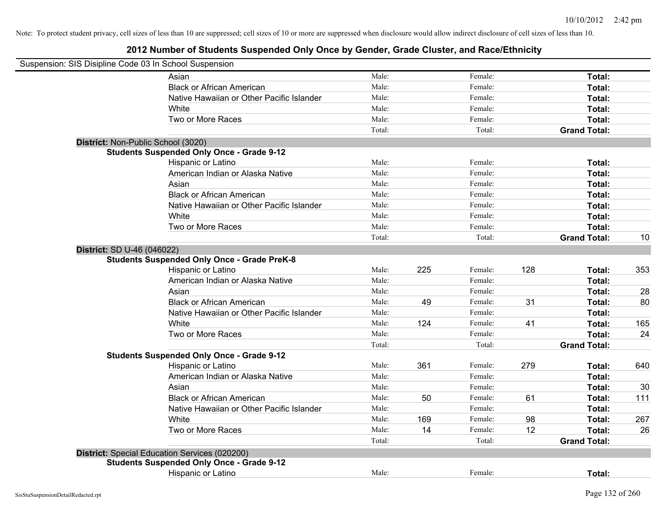| Suspension: SIS Disipline Code 03 In School Suspension |                                                                        |                |     |                    |     |                     |           |
|--------------------------------------------------------|------------------------------------------------------------------------|----------------|-----|--------------------|-----|---------------------|-----------|
|                                                        | Asian                                                                  | Male:          |     | Female:            |     | Total:              |           |
|                                                        | <b>Black or African American</b>                                       | Male:          |     | Female:            |     | Total:              |           |
|                                                        | Native Hawaiian or Other Pacific Islander                              | Male:          |     | Female:            |     | Total:              |           |
|                                                        | White                                                                  | Male:          |     | Female:            |     | Total:              |           |
|                                                        | Two or More Races                                                      | Male:          |     | Female:            |     | Total:              |           |
|                                                        |                                                                        | Total:         |     | Total:             |     | <b>Grand Total:</b> |           |
|                                                        | District: Non-Public School (3020)                                     |                |     |                    |     |                     |           |
|                                                        | <b>Students Suspended Only Once - Grade 9-12</b>                       |                |     |                    |     |                     |           |
|                                                        | Hispanic or Latino                                                     | Male:          |     | Female:            |     | Total:              |           |
|                                                        | American Indian or Alaska Native                                       | Male:          |     | Female:            |     | Total:              |           |
|                                                        | Asian                                                                  | Male:          |     | Female:            |     | Total:              |           |
|                                                        | <b>Black or African American</b>                                       | Male:          |     | Female:            |     | Total:              |           |
|                                                        | Native Hawaiian or Other Pacific Islander                              | Male:          |     | Female:            |     | Total:              |           |
|                                                        | White                                                                  | Male:          |     | Female:            |     | Total:              |           |
|                                                        | Two or More Races                                                      | Male:          |     | Female:            |     | Total:              |           |
|                                                        |                                                                        | Total:         |     | Total:             |     | <b>Grand Total:</b> | 10        |
| District: SD U-46 (046022)                             | <b>Students Suspended Only Once - Grade PreK-8</b>                     |                |     |                    |     |                     |           |
|                                                        | Hispanic or Latino                                                     | Male:          | 225 | Female:            | 128 | Total:              | 353       |
|                                                        | American Indian or Alaska Native                                       | Male:          |     | Female:            |     | Total:              |           |
|                                                        | Asian                                                                  | Male:          |     | Female:            |     | Total:              | 28        |
|                                                        | <b>Black or African American</b>                                       | Male:          | 49  | Female:            | 31  | Total:              | 80        |
|                                                        | Native Hawaiian or Other Pacific Islander                              | Male:          |     | Female:            |     | Total:              |           |
|                                                        | White                                                                  | Male:          | 124 | Female:            | 41  | Total:              | 165       |
|                                                        | Two or More Races                                                      | Male:          |     | Female:            |     | Total:              | 24        |
|                                                        |                                                                        | Total:         |     | Total:             |     | <b>Grand Total:</b> |           |
|                                                        | <b>Students Suspended Only Once - Grade 9-12</b>                       |                |     |                    |     |                     |           |
|                                                        | Hispanic or Latino                                                     | Male:          | 361 | Female:            | 279 | Total:              | 640       |
|                                                        | American Indian or Alaska Native                                       | Male:          |     | Female:            |     | Total:              |           |
|                                                        | Asian                                                                  | Male:          |     | Female:            |     | Total:              | 30        |
|                                                        | <b>Black or African American</b>                                       | Male:          | 50  | Female:            | 61  | Total:              | 111       |
|                                                        | Native Hawaiian or Other Pacific Islander<br><b>White</b>              | Male:<br>Male: |     | Female:<br>Female: |     | Total:              |           |
|                                                        | Two or More Races                                                      | Male:          | 169 | Female:            | 98  | Total:<br>Total:    | 267<br>26 |
|                                                        |                                                                        | Total:         | 14  | Total:             | 12  |                     |           |
|                                                        |                                                                        |                |     |                    |     | <b>Grand Total:</b> |           |
|                                                        | District: Special Education Services (020200)                          |                |     |                    |     |                     |           |
|                                                        | <b>Students Suspended Only Once - Grade 9-12</b><br>Hispanic or Latino | Male:          |     | Female:            |     | Total:              |           |
|                                                        |                                                                        |                |     |                    |     |                     |           |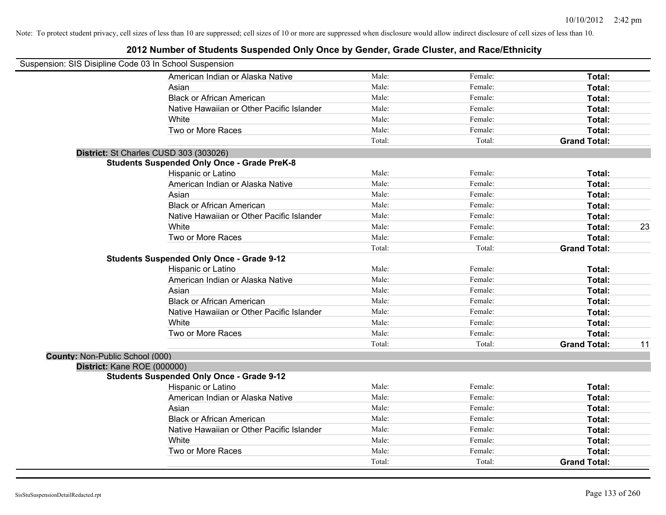| Suspension: SIS Disipline Code 03 In School Suspension |                                                    |        |         |                     |    |
|--------------------------------------------------------|----------------------------------------------------|--------|---------|---------------------|----|
|                                                        | American Indian or Alaska Native                   | Male:  | Female: | Total:              |    |
|                                                        | Asian                                              | Male:  | Female: | Total:              |    |
|                                                        | <b>Black or African American</b>                   | Male:  | Female: | Total:              |    |
|                                                        | Native Hawaiian or Other Pacific Islander          | Male:  | Female: | Total:              |    |
|                                                        | White                                              | Male:  | Female: | Total:              |    |
|                                                        | Two or More Races                                  | Male:  | Female: | Total:              |    |
|                                                        |                                                    | Total: | Total:  | <b>Grand Total:</b> |    |
|                                                        | District: St Charles CUSD 303 (303026)             |        |         |                     |    |
|                                                        | <b>Students Suspended Only Once - Grade PreK-8</b> |        |         |                     |    |
|                                                        | Hispanic or Latino                                 | Male:  | Female: | Total:              |    |
|                                                        | American Indian or Alaska Native                   | Male:  | Female: | Total:              |    |
|                                                        | Asian                                              | Male:  | Female: | Total:              |    |
|                                                        | <b>Black or African American</b>                   | Male:  | Female: | Total:              |    |
|                                                        | Native Hawaiian or Other Pacific Islander          | Male:  | Female: | Total:              |    |
|                                                        | White                                              | Male:  | Female: | Total:              | 23 |
|                                                        | Two or More Races                                  | Male:  | Female: | <b>Total:</b>       |    |
|                                                        |                                                    | Total: | Total:  | <b>Grand Total:</b> |    |
|                                                        | <b>Students Suspended Only Once - Grade 9-12</b>   |        |         |                     |    |
|                                                        | Hispanic or Latino                                 | Male:  | Female: | Total:              |    |
|                                                        | American Indian or Alaska Native                   | Male:  | Female: | Total:              |    |
|                                                        | Asian                                              | Male:  | Female: | Total:              |    |
|                                                        | <b>Black or African American</b>                   | Male:  | Female: | Total:              |    |
|                                                        | Native Hawaiian or Other Pacific Islander          | Male:  | Female: | Total:              |    |
|                                                        | White                                              | Male:  | Female: | Total:              |    |
|                                                        | Two or More Races                                  | Male:  | Female: | <b>Total:</b>       |    |
|                                                        |                                                    | Total: | Total:  | <b>Grand Total:</b> | 11 |
| County: Non-Public School (000)                        |                                                    |        |         |                     |    |
| District: Kane ROE (000000)                            |                                                    |        |         |                     |    |
|                                                        | <b>Students Suspended Only Once - Grade 9-12</b>   |        |         |                     |    |
|                                                        | Hispanic or Latino                                 | Male:  | Female: | Total:              |    |
|                                                        | American Indian or Alaska Native                   | Male:  | Female: | Total:              |    |
|                                                        | Asian                                              | Male:  | Female: | Total:              |    |
|                                                        | <b>Black or African American</b>                   | Male:  | Female: | Total:              |    |
|                                                        | Native Hawaiian or Other Pacific Islander          | Male:  | Female: | Total:              |    |
|                                                        | White                                              | Male:  | Female: | Total:              |    |
|                                                        | Two or More Races                                  | Male:  | Female: | Total:              |    |
|                                                        |                                                    | Total: | Total:  | <b>Grand Total:</b> |    |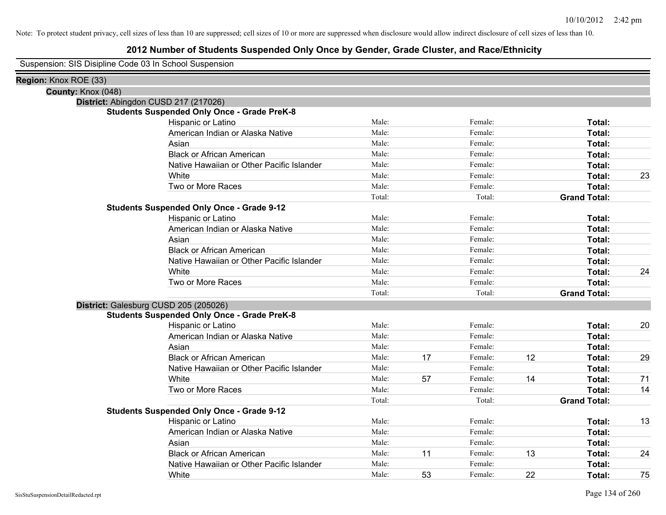# **2012 Number of Students Suspended Only Once by Gender, Grade Cluster, and Race/Ethnicity**

Suspension: SIS Disipline Code 03 In School Suspension

| Region: Knox ROE (33) |                                                    |        |    |         |    |                     |    |
|-----------------------|----------------------------------------------------|--------|----|---------|----|---------------------|----|
| County: Knox (048)    |                                                    |        |    |         |    |                     |    |
|                       | District: Abingdon CUSD 217 (217026)               |        |    |         |    |                     |    |
|                       | <b>Students Suspended Only Once - Grade PreK-8</b> |        |    |         |    |                     |    |
|                       | Hispanic or Latino                                 | Male:  |    | Female: |    | Total:              |    |
|                       | American Indian or Alaska Native                   | Male:  |    | Female: |    | Total:              |    |
|                       | Asian                                              | Male:  |    | Female: |    | Total:              |    |
|                       | <b>Black or African American</b>                   | Male:  |    | Female: |    | Total:              |    |
|                       | Native Hawaiian or Other Pacific Islander          | Male:  |    | Female: |    | Total:              |    |
|                       | White                                              | Male:  |    | Female: |    | Total:              | 23 |
|                       | Two or More Races                                  | Male:  |    | Female: |    | Total:              |    |
|                       |                                                    | Total: |    | Total:  |    | <b>Grand Total:</b> |    |
|                       | <b>Students Suspended Only Once - Grade 9-12</b>   |        |    |         |    |                     |    |
|                       | Hispanic or Latino                                 | Male:  |    | Female: |    | Total:              |    |
|                       | American Indian or Alaska Native                   | Male:  |    | Female: |    | Total:              |    |
|                       | Asian                                              | Male:  |    | Female: |    | Total:              |    |
|                       | <b>Black or African American</b>                   | Male:  |    | Female: |    | Total:              |    |
|                       | Native Hawaiian or Other Pacific Islander          | Male:  |    | Female: |    | Total:              |    |
|                       | White                                              | Male:  |    | Female: |    | Total:              | 24 |
|                       | Two or More Races                                  | Male:  |    | Female: |    | Total:              |    |
|                       |                                                    | Total: |    | Total:  |    | <b>Grand Total:</b> |    |
|                       | District: Galesburg CUSD 205 (205026)              |        |    |         |    |                     |    |
|                       | <b>Students Suspended Only Once - Grade PreK-8</b> |        |    |         |    |                     |    |
|                       | Hispanic or Latino                                 | Male:  |    | Female: |    | Total:              | 20 |
|                       | American Indian or Alaska Native                   | Male:  |    | Female: |    | Total:              |    |
|                       | Asian                                              | Male:  |    | Female: |    | Total:              |    |
|                       | <b>Black or African American</b>                   | Male:  | 17 | Female: | 12 | Total:              | 29 |
|                       | Native Hawaiian or Other Pacific Islander          | Male:  |    | Female: |    | Total:              |    |
|                       | White                                              | Male:  | 57 | Female: | 14 | Total:              | 71 |
|                       | Two or More Races                                  | Male:  |    | Female: |    | Total:              | 14 |
|                       |                                                    | Total: |    | Total:  |    | <b>Grand Total:</b> |    |
|                       | <b>Students Suspended Only Once - Grade 9-12</b>   |        |    |         |    |                     |    |
|                       | Hispanic or Latino                                 | Male:  |    | Female: |    | Total:              | 13 |
|                       | American Indian or Alaska Native                   | Male:  |    | Female: |    | Total:              |    |
|                       | Asian                                              | Male:  |    | Female: |    | Total:              |    |
|                       | <b>Black or African American</b>                   | Male:  | 11 | Female: | 13 | Total:              | 24 |
|                       | Native Hawaiian or Other Pacific Islander          | Male:  |    | Female: |    | Total:              |    |
|                       | White                                              | Male:  | 53 | Female: | 22 | Total:              | 75 |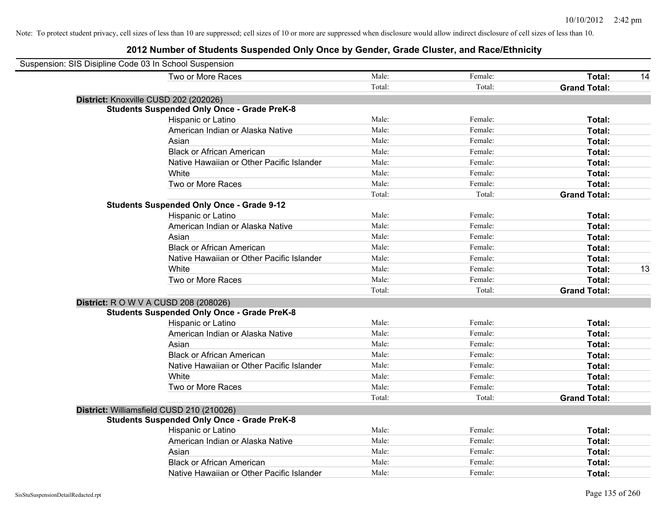| Suspension: SIS Disipline Code 03 In School Suspension |                                                    |        |         |                     |    |
|--------------------------------------------------------|----------------------------------------------------|--------|---------|---------------------|----|
|                                                        | Two or More Races                                  | Male:  | Female: | Total:              | 14 |
|                                                        |                                                    | Total: | Total:  | <b>Grand Total:</b> |    |
|                                                        | District: Knoxville CUSD 202 (202026)              |        |         |                     |    |
|                                                        | <b>Students Suspended Only Once - Grade PreK-8</b> |        |         |                     |    |
|                                                        | Hispanic or Latino                                 | Male:  | Female: | Total:              |    |
|                                                        | American Indian or Alaska Native                   | Male:  | Female: | Total:              |    |
|                                                        | Asian                                              | Male:  | Female: | Total:              |    |
|                                                        | <b>Black or African American</b>                   | Male:  | Female: | Total:              |    |
|                                                        | Native Hawaiian or Other Pacific Islander          | Male:  | Female: | Total:              |    |
|                                                        | White                                              | Male:  | Female: | Total:              |    |
|                                                        | Two or More Races                                  | Male:  | Female: | Total:              |    |
|                                                        |                                                    | Total: | Total:  | <b>Grand Total:</b> |    |
|                                                        | <b>Students Suspended Only Once - Grade 9-12</b>   |        |         |                     |    |
|                                                        | Hispanic or Latino                                 | Male:  | Female: | Total:              |    |
|                                                        | American Indian or Alaska Native                   | Male:  | Female: | Total:              |    |
|                                                        | Asian                                              | Male:  | Female: | Total:              |    |
|                                                        | <b>Black or African American</b>                   | Male:  | Female: | Total:              |    |
|                                                        | Native Hawaiian or Other Pacific Islander          | Male:  | Female: | Total:              |    |
|                                                        | White                                              | Male:  | Female: | Total:              | 13 |
|                                                        | Two or More Races                                  | Male:  | Female: | Total:              |    |
|                                                        |                                                    | Total: | Total:  | <b>Grand Total:</b> |    |
|                                                        | <b>District:</b> R O W V A CUSD 208 (208026)       |        |         |                     |    |
|                                                        | <b>Students Suspended Only Once - Grade PreK-8</b> |        |         |                     |    |
|                                                        | Hispanic or Latino                                 | Male:  | Female: | Total:              |    |
|                                                        | American Indian or Alaska Native                   | Male:  | Female: | Total:              |    |
|                                                        | Asian                                              | Male:  | Female: | Total:              |    |
|                                                        | <b>Black or African American</b>                   | Male:  | Female: | Total:              |    |
|                                                        | Native Hawaiian or Other Pacific Islander          | Male:  | Female: | Total:              |    |
|                                                        | White                                              | Male:  | Female: | Total:              |    |
|                                                        | Two or More Races                                  | Male:  | Female: | Total:              |    |
|                                                        |                                                    | Total: | Total:  | <b>Grand Total:</b> |    |
|                                                        | District: Williamsfield CUSD 210 (210026)          |        |         |                     |    |
|                                                        | <b>Students Suspended Only Once - Grade PreK-8</b> |        |         |                     |    |
|                                                        | Hispanic or Latino                                 | Male:  | Female: | Total:              |    |
|                                                        | American Indian or Alaska Native                   | Male:  | Female: | Total:              |    |
|                                                        | Asian                                              | Male:  | Female: | Total:              |    |
|                                                        | <b>Black or African American</b>                   | Male:  | Female: | Total:              |    |
|                                                        | Native Hawaiian or Other Pacific Islander          | Male:  | Female: | Total:              |    |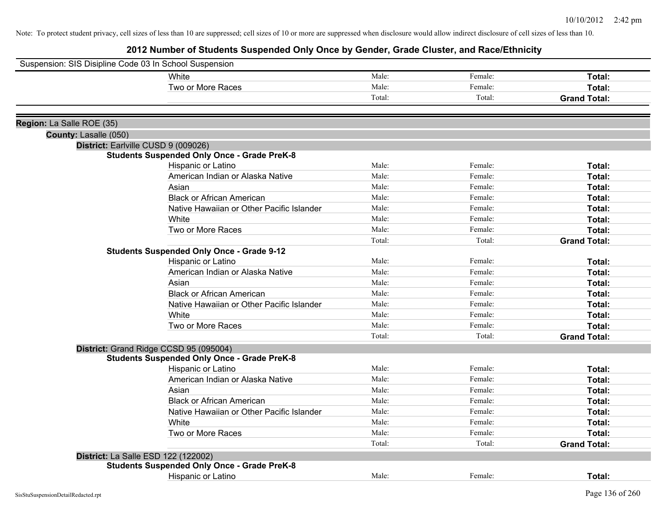| White<br>Male:<br>Female:<br>Total:<br>Male:<br>Two or More Races<br>Female:<br>Total: |  |
|----------------------------------------------------------------------------------------|--|
|                                                                                        |  |
|                                                                                        |  |
| Total:<br>Total:<br><b>Grand Total:</b>                                                |  |
|                                                                                        |  |
| Region: La Salle ROE (35)                                                              |  |
| County: Lasalle (050)                                                                  |  |
| District: Earlville CUSD 9 (009026)                                                    |  |
| <b>Students Suspended Only Once - Grade PreK-8</b>                                     |  |
| Male:<br>Female:<br>Total:<br>Hispanic or Latino                                       |  |
| Male:<br>American Indian or Alaska Native<br>Female:<br>Total:                         |  |
| Male:<br>Asian<br>Female:<br>Total:                                                    |  |
| <b>Black or African American</b><br>Male:<br>Female:<br>Total:                         |  |
| Male:<br>Native Hawaiian or Other Pacific Islander<br>Female:<br>Total:                |  |
| Male:<br>Female:<br>White<br>Total:                                                    |  |
| Male:<br>Two or More Races<br>Total:<br>Female:                                        |  |
| Total:<br>Total:<br><b>Grand Total:</b>                                                |  |
| <b>Students Suspended Only Once - Grade 9-12</b>                                       |  |
| Male:<br>Hispanic or Latino<br>Female:<br>Total:                                       |  |
| Male:<br>American Indian or Alaska Native<br>Female:<br>Total:                         |  |
| Male:<br>Asian<br>Female:<br>Total:                                                    |  |
| Male:<br><b>Black or African American</b><br>Female:<br>Total:                         |  |
| Male:<br>Native Hawaiian or Other Pacific Islander<br>Female:<br>Total:                |  |
| Male:<br>Female:<br>White<br>Total:                                                    |  |
| Male:<br>Two or More Races<br>Female:<br>Total:                                        |  |
| Total:<br>Total:<br><b>Grand Total:</b>                                                |  |
| District: Grand Ridge CCSD 95 (095004)                                                 |  |
| <b>Students Suspended Only Once - Grade PreK-8</b>                                     |  |
| Hispanic or Latino<br>Male:<br>Female:<br>Total:                                       |  |
| American Indian or Alaska Native<br>Male:<br>Female:<br>Total:                         |  |
| Asian<br>Male:<br>Female:<br>Total:                                                    |  |
| <b>Black or African American</b><br>Male:<br>Female:<br>Total:                         |  |
| Native Hawaiian or Other Pacific Islander<br>Male:<br>Female:<br>Total:                |  |
| Male:<br>White<br>Female:<br>Total:                                                    |  |
| Male:<br>Two or More Races<br>Female:<br>Total:                                        |  |
| Total:<br><b>Grand Total:</b><br>Total:                                                |  |
| District: La Salle ESD 122 (122002)                                                    |  |
| <b>Students Suspended Only Once - Grade PreK-8</b>                                     |  |
| Male:<br>Female:<br><b>Hispanic or Latino</b><br>Total:                                |  |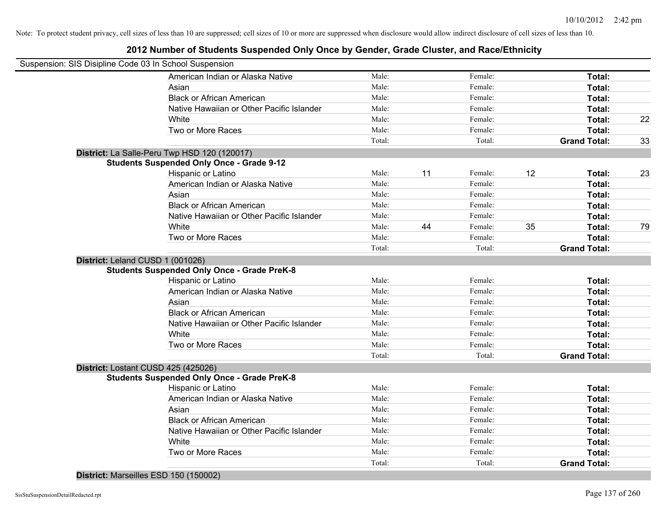# **2012 Number of Students Suspended Only Once by Gender, Grade Cluster, and Race/Ethnicity**

| Suspension: SIS Disipline Code 03 In School Suspension |                                                    |        |    |         |    |                     |    |
|--------------------------------------------------------|----------------------------------------------------|--------|----|---------|----|---------------------|----|
|                                                        | American Indian or Alaska Native                   | Male:  |    | Female: |    | Total:              |    |
|                                                        | Asian                                              | Male:  |    | Female: |    | Total:              |    |
|                                                        | <b>Black or African American</b>                   | Male:  |    | Female: |    | Total:              |    |
|                                                        | Native Hawaiian or Other Pacific Islander          | Male:  |    | Female: |    | Total:              |    |
|                                                        | White                                              | Male:  |    | Female: |    | Total:              | 22 |
|                                                        | Two or More Races                                  | Male:  |    | Female: |    | Total:              |    |
|                                                        |                                                    | Total: |    | Total:  |    | <b>Grand Total:</b> | 33 |
|                                                        | District: La Salle-Peru Twp HSD 120 (120017)       |        |    |         |    |                     |    |
|                                                        | <b>Students Suspended Only Once - Grade 9-12</b>   |        |    |         |    |                     |    |
|                                                        | Hispanic or Latino                                 | Male:  | 11 | Female: | 12 | Total:              | 23 |
|                                                        | American Indian or Alaska Native                   | Male:  |    | Female: |    | Total:              |    |
|                                                        | Asian                                              | Male:  |    | Female: |    | Total:              |    |
|                                                        | <b>Black or African American</b>                   | Male:  |    | Female: |    | Total:              |    |
|                                                        | Native Hawaiian or Other Pacific Islander          | Male:  |    | Female: |    | Total:              |    |
|                                                        | White                                              | Male:  | 44 | Female: | 35 | Total:              | 79 |
|                                                        | Two or More Races                                  | Male:  |    | Female: |    | Total:              |    |
|                                                        |                                                    | Total: |    | Total:  |    | <b>Grand Total:</b> |    |
| District: Leland CUSD 1 (001026)                       |                                                    |        |    |         |    |                     |    |
|                                                        | <b>Students Suspended Only Once - Grade PreK-8</b> |        |    |         |    |                     |    |
|                                                        | Hispanic or Latino                                 | Male:  |    | Female: |    | Total:              |    |
|                                                        | American Indian or Alaska Native                   | Male:  |    | Female: |    | Total:              |    |
|                                                        | Asian                                              | Male:  |    | Female: |    | Total:              |    |
|                                                        | <b>Black or African American</b>                   | Male:  |    | Female: |    | Total:              |    |
|                                                        | Native Hawaiian or Other Pacific Islander          | Male:  |    | Female: |    | Total:              |    |
|                                                        | White                                              | Male:  |    | Female: |    | Total:              |    |
|                                                        | Two or More Races                                  | Male:  |    | Female: |    | Total:              |    |
|                                                        |                                                    | Total: |    | Total:  |    | <b>Grand Total:</b> |    |
| District: Lostant CUSD 425 (425026)                    |                                                    |        |    |         |    |                     |    |
|                                                        | <b>Students Suspended Only Once - Grade PreK-8</b> |        |    |         |    |                     |    |
|                                                        | Hispanic or Latino                                 | Male:  |    | Female: |    | Total:              |    |
|                                                        | American Indian or Alaska Native                   | Male:  |    | Female: |    | Total:              |    |
|                                                        | Asian                                              | Male:  |    | Female: |    | Total:              |    |
|                                                        | <b>Black or African American</b>                   | Male:  |    | Female: |    | Total:              |    |
|                                                        | Native Hawaiian or Other Pacific Islander          | Male:  |    | Female: |    | Total:              |    |
|                                                        | White                                              | Male:  |    | Female: |    | Total:              |    |
|                                                        | Two or More Races                                  | Male:  |    | Female: |    | Total:              |    |
|                                                        |                                                    | Total: |    | Total:  |    | <b>Grand Total:</b> |    |

**District:** Marseilles ESD 150 (150002)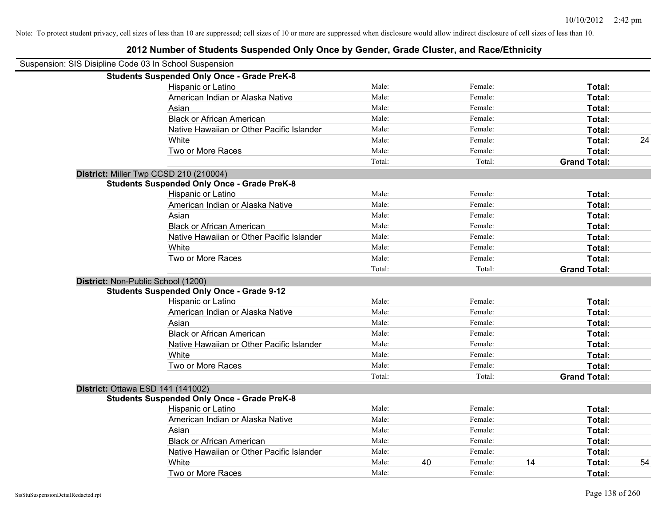| Suspension: SIS Disipline Code 03 In School Suspension |                                                    |        |    |         |    |                     |    |
|--------------------------------------------------------|----------------------------------------------------|--------|----|---------|----|---------------------|----|
|                                                        | <b>Students Suspended Only Once - Grade PreK-8</b> |        |    |         |    |                     |    |
|                                                        | Hispanic or Latino                                 | Male:  |    | Female: |    | Total:              |    |
|                                                        | American Indian or Alaska Native                   | Male:  |    | Female: |    | Total:              |    |
|                                                        | Asian                                              | Male:  |    | Female: |    | Total:              |    |
|                                                        | <b>Black or African American</b>                   | Male:  |    | Female: |    | Total:              |    |
|                                                        | Native Hawaiian or Other Pacific Islander          | Male:  |    | Female: |    | Total:              |    |
|                                                        | White                                              | Male:  |    | Female: |    | Total:              | 24 |
|                                                        | Two or More Races                                  | Male:  |    | Female: |    | Total:              |    |
|                                                        |                                                    | Total: |    | Total:  |    | <b>Grand Total:</b> |    |
|                                                        | District: Miller Twp CCSD 210 (210004)             |        |    |         |    |                     |    |
|                                                        | <b>Students Suspended Only Once - Grade PreK-8</b> |        |    |         |    |                     |    |
|                                                        | Hispanic or Latino                                 | Male:  |    | Female: |    | Total:              |    |
|                                                        | American Indian or Alaska Native                   | Male:  |    | Female: |    | Total:              |    |
|                                                        | Asian                                              | Male:  |    | Female: |    | Total:              |    |
|                                                        | <b>Black or African American</b>                   | Male:  |    | Female: |    | Total:              |    |
|                                                        | Native Hawaiian or Other Pacific Islander          | Male:  |    | Female: |    | Total:              |    |
|                                                        | White                                              | Male:  |    | Female: |    | Total:              |    |
|                                                        | Two or More Races                                  | Male:  |    | Female: |    | Total:              |    |
|                                                        |                                                    | Total: |    | Total:  |    | <b>Grand Total:</b> |    |
| District: Non-Public School (1200)                     |                                                    |        |    |         |    |                     |    |
|                                                        | <b>Students Suspended Only Once - Grade 9-12</b>   |        |    |         |    |                     |    |
|                                                        | Hispanic or Latino                                 | Male:  |    | Female: |    | Total:              |    |
|                                                        | American Indian or Alaska Native                   | Male:  |    | Female: |    | Total:              |    |
|                                                        | Asian                                              | Male:  |    | Female: |    | Total:              |    |
|                                                        | <b>Black or African American</b>                   | Male:  |    | Female: |    | Total:              |    |
|                                                        | Native Hawaiian or Other Pacific Islander          | Male:  |    | Female: |    | Total:              |    |
|                                                        | White                                              | Male:  |    | Female: |    | Total:              |    |
|                                                        | Two or More Races                                  | Male:  |    | Female: |    | Total:              |    |
|                                                        |                                                    | Total: |    | Total:  |    | <b>Grand Total:</b> |    |
| District: Ottawa ESD 141 (141002)                      |                                                    |        |    |         |    |                     |    |
|                                                        | <b>Students Suspended Only Once - Grade PreK-8</b> |        |    |         |    |                     |    |
|                                                        | Hispanic or Latino                                 | Male:  |    | Female: |    | Total:              |    |
|                                                        | American Indian or Alaska Native                   | Male:  |    | Female: |    | Total:              |    |
|                                                        | Asian                                              | Male:  |    | Female: |    | Total:              |    |
|                                                        | <b>Black or African American</b>                   | Male:  |    | Female: |    | Total:              |    |
|                                                        | Native Hawaiian or Other Pacific Islander          | Male:  |    | Female: |    | Total:              |    |
|                                                        | White                                              | Male:  | 40 | Female: | 14 | <b>Total:</b>       | 54 |
|                                                        | Two or More Races                                  | Male:  |    | Female: |    | Total:              |    |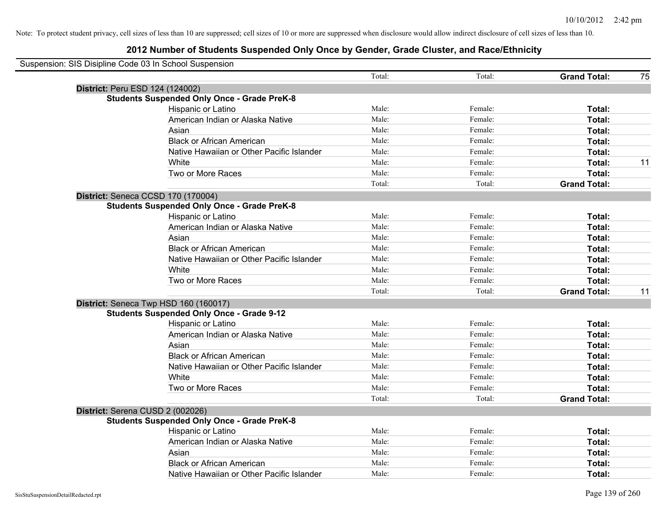| Suspension: SIS Disipline Code 03 In School Suspension |        |         |                     |    |
|--------------------------------------------------------|--------|---------|---------------------|----|
|                                                        | Total: | Total:  | <b>Grand Total:</b> | 75 |
| District: Peru ESD 124 (124002)                        |        |         |                     |    |
| <b>Students Suspended Only Once - Grade PreK-8</b>     |        |         |                     |    |
| Hispanic or Latino                                     | Male:  | Female: | Total:              |    |
| American Indian or Alaska Native                       | Male:  | Female: | Total:              |    |
| Asian                                                  | Male:  | Female: | Total:              |    |
| <b>Black or African American</b>                       | Male:  | Female: | Total:              |    |
| Native Hawaiian or Other Pacific Islander              | Male:  | Female: | Total:              |    |
| White                                                  | Male:  | Female: | Total:              | 11 |
| Two or More Races                                      | Male:  | Female: | Total:              |    |
|                                                        | Total: | Total:  | <b>Grand Total:</b> |    |
| District: Seneca CCSD 170 (170004)                     |        |         |                     |    |
| <b>Students Suspended Only Once - Grade PreK-8</b>     |        |         |                     |    |
| Hispanic or Latino                                     | Male:  | Female: | Total:              |    |
| American Indian or Alaska Native                       | Male:  | Female: | Total:              |    |
| Asian                                                  | Male:  | Female: | Total:              |    |
| <b>Black or African American</b>                       | Male:  | Female: | Total:              |    |
| Native Hawaiian or Other Pacific Islander              | Male:  | Female: | Total:              |    |
| White                                                  | Male:  | Female: | Total:              |    |
| Two or More Races                                      | Male:  | Female: | Total:              |    |
|                                                        | Total: | Total:  | <b>Grand Total:</b> | 11 |
| District: Seneca Twp HSD 160 (160017)                  |        |         |                     |    |
| <b>Students Suspended Only Once - Grade 9-12</b>       |        |         |                     |    |
| Hispanic or Latino                                     | Male:  | Female: | Total:              |    |
| American Indian or Alaska Native                       | Male:  | Female: | Total:              |    |
| Asian                                                  | Male:  | Female: | Total:              |    |
| <b>Black or African American</b>                       | Male:  | Female: | Total:              |    |
| Native Hawaiian or Other Pacific Islander              | Male:  | Female: | Total:              |    |
| White                                                  | Male:  | Female: | Total:              |    |
| Two or More Races                                      | Male:  | Female: | Total:              |    |
|                                                        | Total: | Total:  | <b>Grand Total:</b> |    |
| District: Serena CUSD 2 (002026)                       |        |         |                     |    |
| <b>Students Suspended Only Once - Grade PreK-8</b>     |        |         |                     |    |
| Hispanic or Latino                                     | Male:  | Female: | Total:              |    |
| American Indian or Alaska Native                       | Male:  | Female: | Total:              |    |
| Asian                                                  | Male:  | Female: | Total:              |    |
| <b>Black or African American</b>                       | Male:  | Female: | Total:              |    |
| Native Hawaiian or Other Pacific Islander              | Male:  | Female: | Total:              |    |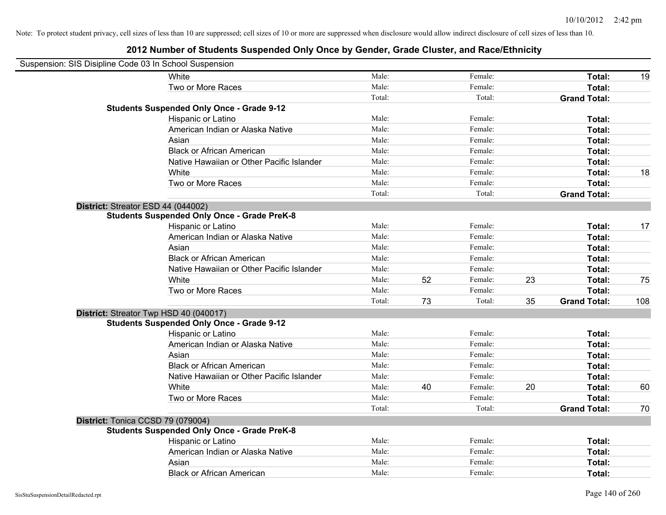| Suspension: SIS Disipline Code 03 In School Suspension |                                                    |        |    |         |    |                     |     |
|--------------------------------------------------------|----------------------------------------------------|--------|----|---------|----|---------------------|-----|
|                                                        | White                                              | Male:  |    | Female: |    | Total:              | 19  |
|                                                        | Two or More Races                                  | Male:  |    | Female: |    | Total:              |     |
|                                                        |                                                    | Total: |    | Total:  |    | <b>Grand Total:</b> |     |
|                                                        | <b>Students Suspended Only Once - Grade 9-12</b>   |        |    |         |    |                     |     |
|                                                        | Hispanic or Latino                                 | Male:  |    | Female: |    | Total:              |     |
|                                                        | American Indian or Alaska Native                   | Male:  |    | Female: |    | Total:              |     |
|                                                        | Asian                                              | Male:  |    | Female: |    | Total:              |     |
|                                                        | <b>Black or African American</b>                   | Male:  |    | Female: |    | Total:              |     |
|                                                        | Native Hawaiian or Other Pacific Islander          | Male:  |    | Female: |    | Total:              |     |
|                                                        | White                                              | Male:  |    | Female: |    | Total:              | 18  |
|                                                        | Two or More Races                                  | Male:  |    | Female: |    | Total:              |     |
|                                                        |                                                    | Total: |    | Total:  |    | <b>Grand Total:</b> |     |
| District: Streator ESD 44 (044002)                     |                                                    |        |    |         |    |                     |     |
|                                                        | <b>Students Suspended Only Once - Grade PreK-8</b> |        |    |         |    |                     |     |
|                                                        | Hispanic or Latino                                 | Male:  |    | Female: |    | Total:              | 17  |
|                                                        | American Indian or Alaska Native                   | Male:  |    | Female: |    | Total:              |     |
|                                                        | Asian                                              | Male:  |    | Female: |    | Total:              |     |
|                                                        | <b>Black or African American</b>                   | Male:  |    | Female: |    | Total:              |     |
|                                                        | Native Hawaiian or Other Pacific Islander          | Male:  |    | Female: |    | Total:              |     |
|                                                        | White                                              | Male:  | 52 | Female: | 23 | Total:              | 75  |
|                                                        | Two or More Races                                  | Male:  |    | Female: |    | Total:              |     |
|                                                        |                                                    | Total: | 73 | Total:  | 35 | <b>Grand Total:</b> | 108 |
|                                                        | District: Streator Twp HSD 40 (040017)             |        |    |         |    |                     |     |
|                                                        | <b>Students Suspended Only Once - Grade 9-12</b>   |        |    |         |    |                     |     |
|                                                        | Hispanic or Latino                                 | Male:  |    | Female: |    | Total:              |     |
|                                                        | American Indian or Alaska Native                   | Male:  |    | Female: |    | Total:              |     |
|                                                        | Asian                                              | Male:  |    | Female: |    | Total:              |     |
|                                                        | <b>Black or African American</b>                   | Male:  |    | Female: |    | Total:              |     |
|                                                        | Native Hawaiian or Other Pacific Islander          | Male:  |    | Female: |    | Total:              |     |
|                                                        | White                                              | Male:  | 40 | Female: | 20 | Total:              | 60  |
|                                                        | Two or More Races                                  | Male:  |    | Female: |    | Total:              |     |
|                                                        |                                                    | Total: |    | Total:  |    | <b>Grand Total:</b> | 70  |
| District: Tonica CCSD 79 (079004)                      | <b>Students Suspended Only Once - Grade PreK-8</b> |        |    |         |    |                     |     |
|                                                        | Hispanic or Latino                                 | Male:  |    | Female: |    | Total:              |     |
|                                                        | American Indian or Alaska Native                   | Male:  |    | Female: |    | Total:              |     |
|                                                        | Asian                                              | Male:  |    | Female: |    | Total:              |     |
|                                                        | <b>Black or African American</b>                   | Male:  |    | Female: |    | Total:              |     |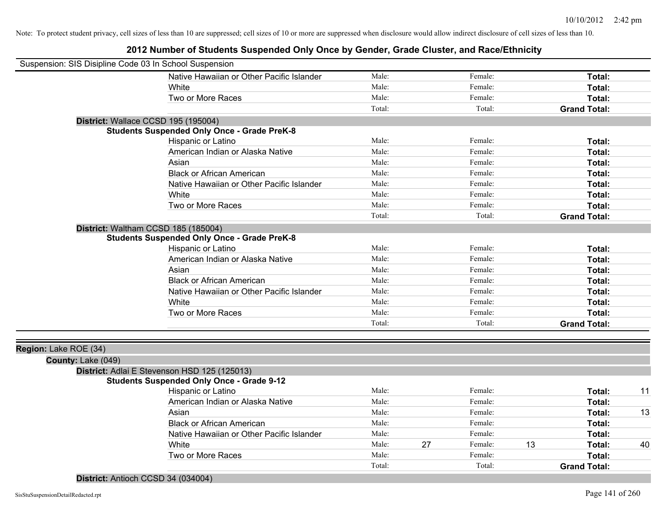| Suspension: SIS Disipline Code 03 In School Suspension |                                                    |        |    |         |    |                     |    |
|--------------------------------------------------------|----------------------------------------------------|--------|----|---------|----|---------------------|----|
|                                                        | Native Hawaiian or Other Pacific Islander          | Male:  |    | Female: |    | Total:              |    |
|                                                        | White                                              | Male:  |    | Female: |    | Total:              |    |
|                                                        | Two or More Races                                  | Male:  |    | Female: |    | Total:              |    |
|                                                        |                                                    | Total: |    | Total:  |    | <b>Grand Total:</b> |    |
| District: Wallace CCSD 195 (195004)                    |                                                    |        |    |         |    |                     |    |
|                                                        | <b>Students Suspended Only Once - Grade PreK-8</b> |        |    |         |    |                     |    |
|                                                        | Hispanic or Latino                                 | Male:  |    | Female: |    | Total:              |    |
|                                                        | American Indian or Alaska Native                   | Male:  |    | Female: |    | Total:              |    |
|                                                        | Asian                                              | Male:  |    | Female: |    | Total:              |    |
|                                                        | <b>Black or African American</b>                   | Male:  |    | Female: |    | Total:              |    |
|                                                        | Native Hawaiian or Other Pacific Islander          | Male:  |    | Female: |    | Total:              |    |
|                                                        | White                                              | Male:  |    | Female: |    | Total:              |    |
|                                                        | Two or More Races                                  | Male:  |    | Female: |    | Total:              |    |
|                                                        |                                                    | Total: |    | Total:  |    | <b>Grand Total:</b> |    |
|                                                        | District: Waltham CCSD 185 (185004)                |        |    |         |    |                     |    |
|                                                        | <b>Students Suspended Only Once - Grade PreK-8</b> |        |    |         |    |                     |    |
|                                                        | Hispanic or Latino                                 | Male:  |    | Female: |    | Total:              |    |
|                                                        | American Indian or Alaska Native                   | Male:  |    | Female: |    | Total:              |    |
|                                                        | Asian                                              | Male:  |    | Female: |    | Total:              |    |
|                                                        | <b>Black or African American</b>                   | Male:  |    | Female: |    | Total:              |    |
|                                                        | Native Hawaiian or Other Pacific Islander          | Male:  |    | Female: |    | Total:              |    |
|                                                        | White                                              | Male:  |    | Female: |    | Total:              |    |
|                                                        | Two or More Races                                  | Male:  |    | Female: |    | Total:              |    |
|                                                        |                                                    | Total: |    | Total:  |    | <b>Grand Total:</b> |    |
| Region: Lake ROE (34)                                  |                                                    |        |    |         |    |                     |    |
| County: Lake (049)                                     |                                                    |        |    |         |    |                     |    |
|                                                        | District: Adlai E Stevenson HSD 125 (125013)       |        |    |         |    |                     |    |
|                                                        | <b>Students Suspended Only Once - Grade 9-12</b>   |        |    |         |    |                     |    |
|                                                        | Hispanic or Latino                                 | Male:  |    | Female: |    | Total:              | 11 |
|                                                        | American Indian or Alaska Native                   | Male:  |    | Female: |    | Total:              |    |
|                                                        | Asian                                              | Male:  |    | Female: |    | Total:              | 13 |
|                                                        | <b>Black or African American</b>                   | Male:  |    | Female: |    | Total:              |    |
|                                                        | Native Hawaiian or Other Pacific Islander          | Male:  |    | Female: |    | Total:              |    |
|                                                        | White                                              | Male:  | 27 | Female: | 13 | Total:              | 40 |
|                                                        | Two or More Races                                  | Male:  |    | Female: |    | Total:              |    |
|                                                        |                                                    | Total: |    | Total:  |    | <b>Grand Total:</b> |    |
| District: Antioch CCSD 34 (034004)                     |                                                    |        |    |         |    |                     |    |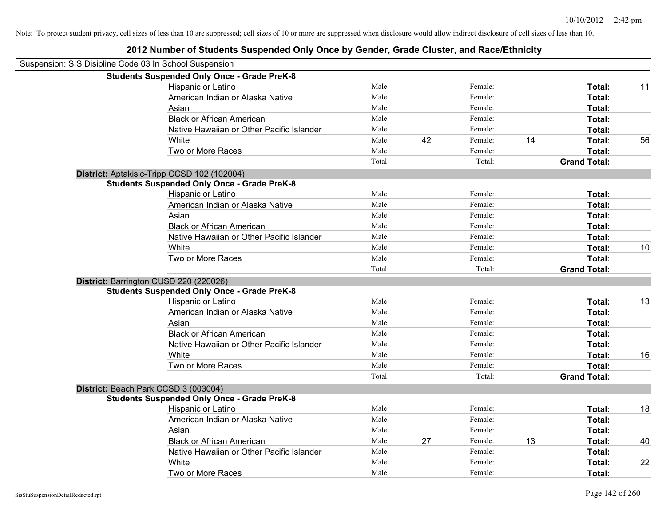| Suspension: SIS Disipline Code 03 In School Suspension |                                                    |        |    |         |    |                     |    |
|--------------------------------------------------------|----------------------------------------------------|--------|----|---------|----|---------------------|----|
|                                                        | <b>Students Suspended Only Once - Grade PreK-8</b> |        |    |         |    |                     |    |
|                                                        | Hispanic or Latino                                 | Male:  |    | Female: |    | Total:              | 11 |
|                                                        | American Indian or Alaska Native                   | Male:  |    | Female: |    | Total:              |    |
|                                                        | Asian                                              | Male:  |    | Female: |    | Total:              |    |
|                                                        | <b>Black or African American</b>                   | Male:  |    | Female: |    | Total:              |    |
|                                                        | Native Hawaiian or Other Pacific Islander          | Male:  |    | Female: |    | Total:              |    |
|                                                        | White                                              | Male:  | 42 | Female: | 14 | Total:              | 56 |
|                                                        | Two or More Races                                  | Male:  |    | Female: |    | Total:              |    |
|                                                        |                                                    | Total: |    | Total:  |    | <b>Grand Total:</b> |    |
|                                                        | District: Aptakisic-Tripp CCSD 102 (102004)        |        |    |         |    |                     |    |
|                                                        | <b>Students Suspended Only Once - Grade PreK-8</b> |        |    |         |    |                     |    |
|                                                        | Hispanic or Latino                                 | Male:  |    | Female: |    | Total:              |    |
|                                                        | American Indian or Alaska Native                   | Male:  |    | Female: |    | Total:              |    |
|                                                        | Asian                                              | Male:  |    | Female: |    | Total:              |    |
|                                                        | <b>Black or African American</b>                   | Male:  |    | Female: |    | Total:              |    |
|                                                        | Native Hawaiian or Other Pacific Islander          | Male:  |    | Female: |    | Total:              |    |
|                                                        | White                                              | Male:  |    | Female: |    | Total:              | 10 |
|                                                        | Two or More Races                                  | Male:  |    | Female: |    | Total:              |    |
|                                                        |                                                    | Total: |    | Total:  |    | <b>Grand Total:</b> |    |
|                                                        | District: Barrington CUSD 220 (220026)             |        |    |         |    |                     |    |
|                                                        | <b>Students Suspended Only Once - Grade PreK-8</b> |        |    |         |    |                     |    |
|                                                        | Hispanic or Latino                                 | Male:  |    | Female: |    | Total:              | 13 |
|                                                        | American Indian or Alaska Native                   | Male:  |    | Female: |    | Total:              |    |
|                                                        | Asian                                              | Male:  |    | Female: |    | Total:              |    |
|                                                        | <b>Black or African American</b>                   | Male:  |    | Female: |    | Total:              |    |
|                                                        | Native Hawaiian or Other Pacific Islander          | Male:  |    | Female: |    | Total:              |    |
|                                                        | White                                              | Male:  |    | Female: |    | Total:              | 16 |
|                                                        | Two or More Races                                  | Male:  |    | Female: |    | Total:              |    |
|                                                        |                                                    | Total: |    | Total:  |    | <b>Grand Total:</b> |    |
|                                                        | District: Beach Park CCSD 3 (003004)               |        |    |         |    |                     |    |
|                                                        | <b>Students Suspended Only Once - Grade PreK-8</b> |        |    |         |    |                     |    |
|                                                        | Hispanic or Latino                                 | Male:  |    | Female: |    | Total:              | 18 |
|                                                        | American Indian or Alaska Native                   | Male:  |    | Female: |    | Total:              |    |
|                                                        | Asian                                              | Male:  |    | Female: |    | Total:              |    |
|                                                        | <b>Black or African American</b>                   | Male:  | 27 | Female: | 13 | Total:              | 40 |
|                                                        | Native Hawaiian or Other Pacific Islander          | Male:  |    | Female: |    | Total:              |    |
|                                                        | White                                              | Male:  |    | Female: |    | <b>Total:</b>       | 22 |
|                                                        | Two or More Races                                  | Male:  |    | Female: |    | Total:              |    |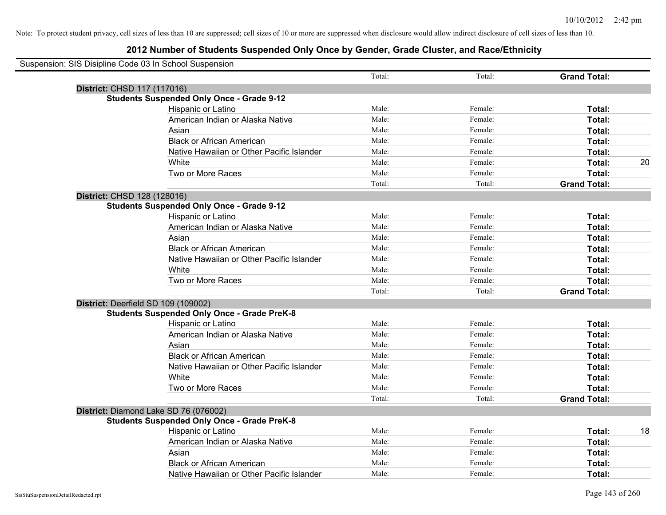| Suspension: SIS Disipline Code 03 In School Suspension |                                                    |        |         |                     |    |
|--------------------------------------------------------|----------------------------------------------------|--------|---------|---------------------|----|
|                                                        |                                                    | Total: | Total:  | <b>Grand Total:</b> |    |
|                                                        | District: CHSD 117 (117016)                        |        |         |                     |    |
|                                                        | <b>Students Suspended Only Once - Grade 9-12</b>   |        |         |                     |    |
|                                                        | Hispanic or Latino                                 | Male:  | Female: | Total:              |    |
|                                                        | American Indian or Alaska Native                   | Male:  | Female: | Total:              |    |
|                                                        | Asian                                              | Male:  | Female: | Total:              |    |
|                                                        | <b>Black or African American</b>                   | Male:  | Female: | Total:              |    |
|                                                        | Native Hawaiian or Other Pacific Islander          | Male:  | Female: | Total:              |    |
|                                                        | White                                              | Male:  | Female: | Total:              | 20 |
|                                                        | Two or More Races                                  | Male:  | Female: | Total:              |    |
|                                                        |                                                    | Total: | Total:  | <b>Grand Total:</b> |    |
|                                                        | District: CHSD 128 (128016)                        |        |         |                     |    |
|                                                        | <b>Students Suspended Only Once - Grade 9-12</b>   |        |         |                     |    |
|                                                        | Hispanic or Latino                                 | Male:  | Female: | Total:              |    |
|                                                        | American Indian or Alaska Native                   | Male:  | Female: | Total:              |    |
|                                                        | Asian                                              | Male:  | Female: | Total:              |    |
|                                                        | <b>Black or African American</b>                   | Male:  | Female: | Total:              |    |
|                                                        | Native Hawaiian or Other Pacific Islander          | Male:  | Female: | Total:              |    |
|                                                        | White                                              | Male:  | Female: | Total:              |    |
|                                                        | Two or More Races                                  | Male:  | Female: | Total:              |    |
|                                                        |                                                    | Total: | Total:  | <b>Grand Total:</b> |    |
|                                                        | District: Deerfield SD 109 (109002)                |        |         |                     |    |
|                                                        | <b>Students Suspended Only Once - Grade PreK-8</b> |        |         |                     |    |
|                                                        | Hispanic or Latino                                 | Male:  | Female: | Total:              |    |
|                                                        | American Indian or Alaska Native                   | Male:  | Female: | Total:              |    |
|                                                        | Asian                                              | Male:  | Female: | Total:              |    |
|                                                        | <b>Black or African American</b>                   | Male:  | Female: | Total:              |    |
|                                                        | Native Hawaiian or Other Pacific Islander          | Male:  | Female: | Total:              |    |
|                                                        | White                                              | Male:  | Female: | Total:              |    |
|                                                        | Two or More Races                                  | Male:  | Female: | Total:              |    |
|                                                        |                                                    | Total: | Total:  | <b>Grand Total:</b> |    |
|                                                        | District: Diamond Lake SD 76 (076002)              |        |         |                     |    |
|                                                        | <b>Students Suspended Only Once - Grade PreK-8</b> |        |         |                     |    |
|                                                        | Hispanic or Latino                                 | Male:  | Female: | Total:              | 18 |
|                                                        | American Indian or Alaska Native                   | Male:  | Female: | Total:              |    |
|                                                        | Asian                                              | Male:  | Female: | Total:              |    |
|                                                        | <b>Black or African American</b>                   | Male:  | Female: | Total:              |    |
|                                                        | Native Hawaiian or Other Pacific Islander          | Male:  | Female: | Total:              |    |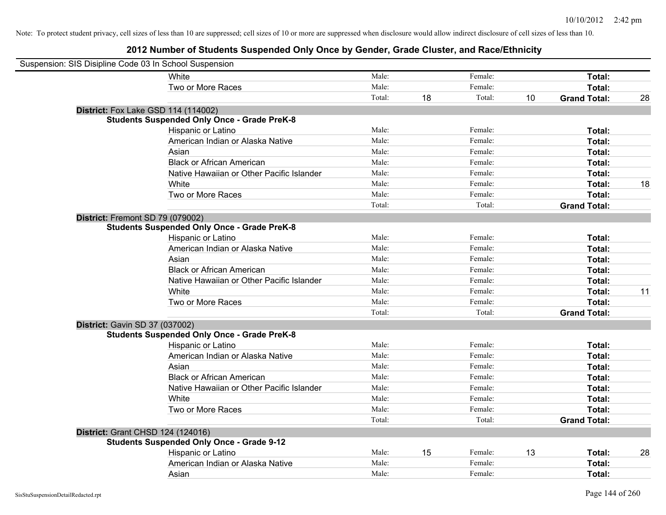| Suspension: SIS Disipline Code 03 In School Suspension |                                                    |        |    |         |    |                     |    |
|--------------------------------------------------------|----------------------------------------------------|--------|----|---------|----|---------------------|----|
|                                                        | White                                              | Male:  |    | Female: |    | Total:              |    |
|                                                        | Two or More Races                                  | Male:  |    | Female: |    | <b>Total:</b>       |    |
|                                                        |                                                    | Total: | 18 | Total:  | 10 | <b>Grand Total:</b> | 28 |
| <b>District:</b> Fox Lake GSD 114 (114002)             |                                                    |        |    |         |    |                     |    |
|                                                        | <b>Students Suspended Only Once - Grade PreK-8</b> |        |    |         |    |                     |    |
|                                                        | Hispanic or Latino                                 | Male:  |    | Female: |    | Total:              |    |
|                                                        | American Indian or Alaska Native                   | Male:  |    | Female: |    | Total:              |    |
|                                                        | Asian                                              | Male:  |    | Female: |    | Total:              |    |
|                                                        | <b>Black or African American</b>                   | Male:  |    | Female: |    | Total:              |    |
|                                                        | Native Hawaiian or Other Pacific Islander          | Male:  |    | Female: |    | Total:              |    |
|                                                        | White                                              | Male:  |    | Female: |    | Total:              | 18 |
|                                                        | Two or More Races                                  | Male:  |    | Female: |    | Total:              |    |
|                                                        |                                                    | Total: |    | Total:  |    | <b>Grand Total:</b> |    |
| District: Fremont SD 79 (079002)                       |                                                    |        |    |         |    |                     |    |
|                                                        | <b>Students Suspended Only Once - Grade PreK-8</b> |        |    |         |    |                     |    |
|                                                        | Hispanic or Latino                                 | Male:  |    | Female: |    | Total:              |    |
|                                                        | American Indian or Alaska Native                   | Male:  |    | Female: |    | Total:              |    |
|                                                        | Asian                                              | Male:  |    | Female: |    | Total:              |    |
|                                                        | <b>Black or African American</b>                   | Male:  |    | Female: |    | Total:              |    |
|                                                        | Native Hawaiian or Other Pacific Islander          | Male:  |    | Female: |    | Total:              |    |
|                                                        | White                                              | Male:  |    | Female: |    | Total:              | 11 |
|                                                        | Two or More Races                                  | Male:  |    | Female: |    | Total:              |    |
|                                                        |                                                    | Total: |    | Total:  |    | <b>Grand Total:</b> |    |
| District: Gavin SD 37 (037002)                         |                                                    |        |    |         |    |                     |    |
|                                                        | <b>Students Suspended Only Once - Grade PreK-8</b> |        |    |         |    |                     |    |
|                                                        | Hispanic or Latino                                 | Male:  |    | Female: |    | Total:              |    |
|                                                        | American Indian or Alaska Native                   | Male:  |    | Female: |    | Total:              |    |
|                                                        | Asian                                              | Male:  |    | Female: |    | Total:              |    |
|                                                        | <b>Black or African American</b>                   | Male:  |    | Female: |    | Total:              |    |
|                                                        | Native Hawaiian or Other Pacific Islander          | Male:  |    | Female: |    | Total:              |    |
|                                                        | White                                              | Male:  |    | Female: |    | Total:              |    |
|                                                        | Two or More Races                                  | Male:  |    | Female: |    | Total:              |    |
|                                                        |                                                    | Total: |    | Total:  |    | <b>Grand Total:</b> |    |
| District: Grant CHSD 124 (124016)                      |                                                    |        |    |         |    |                     |    |
|                                                        | <b>Students Suspended Only Once - Grade 9-12</b>   |        |    |         |    |                     |    |
|                                                        | Hispanic or Latino                                 | Male:  | 15 | Female: | 13 | Total:              | 28 |
|                                                        | American Indian or Alaska Native                   | Male:  |    | Female: |    | Total:              |    |
|                                                        | Asian                                              | Male:  |    | Female: |    | Total:              |    |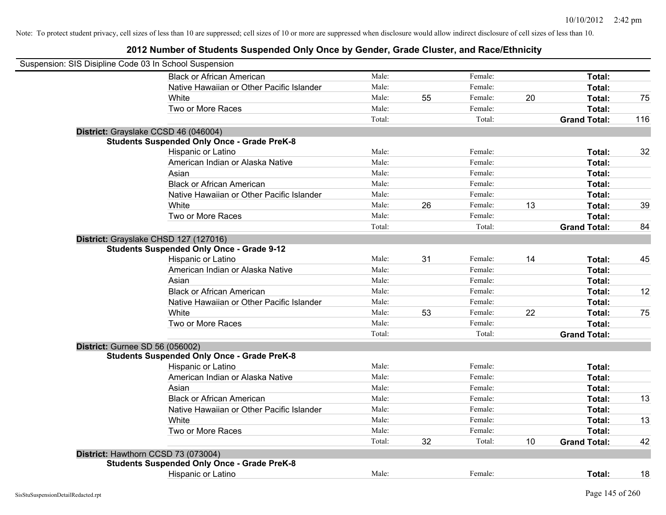| Suspension: SIS Disipline Code 03 In School Suspension |                                                    |        |    |         |    |                     |     |
|--------------------------------------------------------|----------------------------------------------------|--------|----|---------|----|---------------------|-----|
|                                                        | <b>Black or African American</b>                   | Male:  |    | Female: |    | Total:              |     |
|                                                        | Native Hawaiian or Other Pacific Islander          | Male:  |    | Female: |    | Total:              |     |
|                                                        | White                                              | Male:  | 55 | Female: | 20 | Total:              | 75  |
|                                                        | Two or More Races                                  | Male:  |    | Female: |    | Total:              |     |
|                                                        |                                                    | Total: |    | Total:  |    | <b>Grand Total:</b> | 116 |
|                                                        | District: Grayslake CCSD 46 (046004)               |        |    |         |    |                     |     |
|                                                        | <b>Students Suspended Only Once - Grade PreK-8</b> |        |    |         |    |                     |     |
|                                                        | Hispanic or Latino                                 | Male:  |    | Female: |    | Total:              | 32  |
|                                                        | American Indian or Alaska Native                   | Male:  |    | Female: |    | Total:              |     |
|                                                        | Asian                                              | Male:  |    | Female: |    | Total:              |     |
|                                                        | <b>Black or African American</b>                   | Male:  |    | Female: |    | Total:              |     |
|                                                        | Native Hawaiian or Other Pacific Islander          | Male:  |    | Female: |    | Total:              |     |
|                                                        | White                                              | Male:  | 26 | Female: | 13 | Total:              | 39  |
|                                                        | Two or More Races                                  | Male:  |    | Female: |    | Total:              |     |
|                                                        |                                                    | Total: |    | Total:  |    | <b>Grand Total:</b> | 84  |
|                                                        | District: Grayslake CHSD 127 (127016)              |        |    |         |    |                     |     |
|                                                        | <b>Students Suspended Only Once - Grade 9-12</b>   |        |    |         |    |                     |     |
|                                                        | Hispanic or Latino                                 | Male:  | 31 | Female: | 14 | Total:              | 45  |
|                                                        | American Indian or Alaska Native                   | Male:  |    | Female: |    | Total:              |     |
|                                                        | Asian                                              | Male:  |    | Female: |    | Total:              |     |
|                                                        | <b>Black or African American</b>                   | Male:  |    | Female: |    | Total:              | 12  |
|                                                        | Native Hawaiian or Other Pacific Islander          | Male:  |    | Female: |    | Total:              |     |
|                                                        | White                                              | Male:  | 53 | Female: | 22 | Total:              | 75  |
|                                                        | Two or More Races                                  | Male:  |    | Female: |    | Total:              |     |
|                                                        |                                                    | Total: |    | Total:  |    | <b>Grand Total:</b> |     |
|                                                        | <b>District: Gurnee SD 56 (056002)</b>             |        |    |         |    |                     |     |
|                                                        | <b>Students Suspended Only Once - Grade PreK-8</b> |        |    |         |    |                     |     |
|                                                        | Hispanic or Latino                                 | Male:  |    | Female: |    | Total:              |     |
|                                                        | American Indian or Alaska Native                   | Male:  |    | Female: |    | Total:              |     |
|                                                        | Asian                                              | Male:  |    | Female: |    | Total:              |     |
|                                                        | <b>Black or African American</b>                   | Male:  |    | Female: |    | Total:              | 13  |
|                                                        | Native Hawaiian or Other Pacific Islander          | Male:  |    | Female: |    | Total:              |     |
|                                                        | White                                              | Male:  |    | Female: |    | Total:              | 13  |
|                                                        | Two or More Races                                  | Male:  |    | Female: |    | Total:              |     |
|                                                        |                                                    | Total: | 32 | Total:  | 10 | <b>Grand Total:</b> | 42  |
|                                                        | District: Hawthorn CCSD 73 (073004)                |        |    |         |    |                     |     |
|                                                        | <b>Students Suspended Only Once - Grade PreK-8</b> |        |    |         |    |                     |     |
|                                                        | Hispanic or Latino                                 | Male:  |    | Female: |    | Total:              | 18  |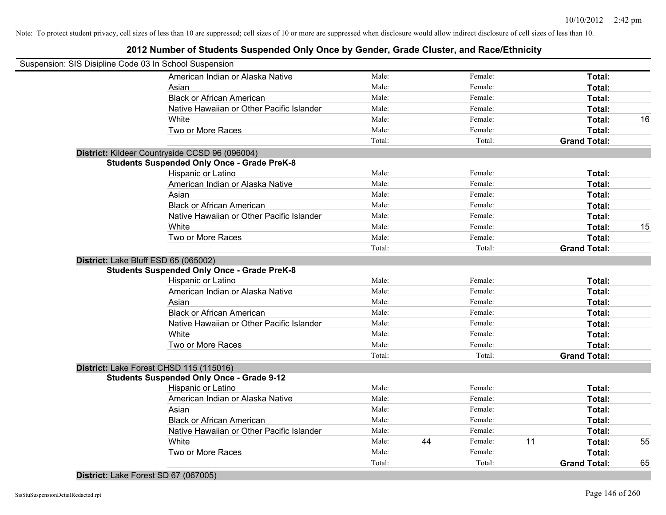## **2012 Number of Students Suspended Only Once by Gender, Grade Cluster, and Race/Ethnicity**

| Suspension: SIS Disipline Code 03 In School Suspension                                     |        |    |         |    |                     |    |
|--------------------------------------------------------------------------------------------|--------|----|---------|----|---------------------|----|
| American Indian or Alaska Native                                                           | Male:  |    | Female: |    | Total:              |    |
| Asian                                                                                      | Male:  |    | Female: |    | Total:              |    |
| <b>Black or African American</b>                                                           | Male:  |    | Female: |    | Total:              |    |
| Native Hawaiian or Other Pacific Islander                                                  | Male:  |    | Female: |    | Total:              |    |
| White                                                                                      | Male:  |    | Female: |    | Total:              | 16 |
| Two or More Races                                                                          | Male:  |    | Female: |    | Total:              |    |
|                                                                                            | Total: |    | Total:  |    | <b>Grand Total:</b> |    |
| District: Kildeer Countryside CCSD 96 (096004)                                             |        |    |         |    |                     |    |
| <b>Students Suspended Only Once - Grade PreK-8</b>                                         |        |    |         |    |                     |    |
| Hispanic or Latino                                                                         | Male:  |    | Female: |    | Total:              |    |
| American Indian or Alaska Native                                                           | Male:  |    | Female: |    | Total:              |    |
| Asian                                                                                      | Male:  |    | Female: |    | Total:              |    |
| <b>Black or African American</b>                                                           | Male:  |    | Female: |    | Total:              |    |
| Native Hawaiian or Other Pacific Islander                                                  | Male:  |    | Female: |    | Total:              |    |
| White                                                                                      | Male:  |    | Female: |    | Total:              | 15 |
| Two or More Races                                                                          | Male:  |    | Female: |    | Total:              |    |
|                                                                                            | Total: |    | Total:  |    | <b>Grand Total:</b> |    |
| District: Lake Bluff ESD 65 (065002)<br><b>Students Suspended Only Once - Grade PreK-8</b> |        |    |         |    |                     |    |
| Hispanic or Latino                                                                         | Male:  |    | Female: |    | Total:              |    |
| American Indian or Alaska Native                                                           | Male:  |    | Female: |    | Total:              |    |
| Asian                                                                                      | Male:  |    | Female: |    | Total:              |    |
| <b>Black or African American</b>                                                           | Male:  |    | Female: |    | Total:              |    |
| Native Hawaiian or Other Pacific Islander                                                  | Male:  |    | Female: |    | Total:              |    |
| White                                                                                      | Male:  |    | Female: |    | Total:              |    |
| Two or More Races                                                                          | Male:  |    | Female: |    | Total:              |    |
|                                                                                            | Total: |    | Total:  |    | <b>Grand Total:</b> |    |
| District: Lake Forest CHSD 115 (115016)                                                    |        |    |         |    |                     |    |
| <b>Students Suspended Only Once - Grade 9-12</b>                                           |        |    |         |    |                     |    |
| Hispanic or Latino                                                                         | Male:  |    | Female: |    | Total:              |    |
| American Indian or Alaska Native                                                           | Male:  |    | Female: |    | Total:              |    |
| Asian                                                                                      | Male:  |    | Female: |    | Total:              |    |
| <b>Black or African American</b>                                                           | Male:  |    | Female: |    | Total:              |    |
| Native Hawaiian or Other Pacific Islander                                                  | Male:  |    | Female: |    | Total:              |    |
| White                                                                                      | Male:  | 44 | Female: | 11 | Total:              | 55 |
| Two or More Races                                                                          | Male:  |    | Female: |    | Total:              |    |
|                                                                                            | Total: |    | Total:  |    | <b>Grand Total:</b> | 65 |

### **District:** Lake Forest SD 67 (067005)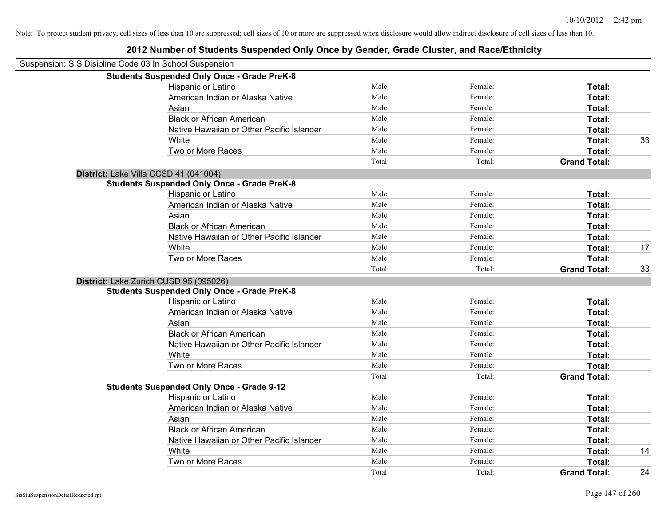| Suspension: SIS Disipline Code 03 In School Suspension |                                                    |        |         |                     |    |
|--------------------------------------------------------|----------------------------------------------------|--------|---------|---------------------|----|
|                                                        | <b>Students Suspended Only Once - Grade PreK-8</b> |        |         |                     |    |
|                                                        | Hispanic or Latino                                 | Male:  | Female: | Total:              |    |
|                                                        | American Indian or Alaska Native                   | Male:  | Female: | Total:              |    |
|                                                        | Asian                                              | Male:  | Female: | Total:              |    |
|                                                        | <b>Black or African American</b>                   | Male:  | Female: | Total:              |    |
|                                                        | Native Hawaiian or Other Pacific Islander          | Male:  | Female: | Total:              |    |
|                                                        | White                                              | Male:  | Female: | Total:              | 33 |
|                                                        | Two or More Races                                  | Male:  | Female: | Total:              |    |
|                                                        |                                                    | Total: | Total:  | <b>Grand Total:</b> |    |
|                                                        | District: Lake Villa CCSD 41 (041004)              |        |         |                     |    |
|                                                        | <b>Students Suspended Only Once - Grade PreK-8</b> |        |         |                     |    |
|                                                        | Hispanic or Latino                                 | Male:  | Female: | Total:              |    |
|                                                        | American Indian or Alaska Native                   | Male:  | Female: | Total:              |    |
|                                                        | Asian                                              | Male:  | Female: | Total:              |    |
|                                                        | <b>Black or African American</b>                   | Male:  | Female: | Total:              |    |
|                                                        | Native Hawaiian or Other Pacific Islander          | Male:  | Female: | Total:              |    |
|                                                        | White                                              | Male:  | Female: | Total:              | 17 |
|                                                        | Two or More Races                                  | Male:  | Female: | Total:              |    |
|                                                        |                                                    | Total: | Total:  | <b>Grand Total:</b> | 33 |
|                                                        | District: Lake Zurich CUSD 95 (095026)             |        |         |                     |    |
|                                                        | <b>Students Suspended Only Once - Grade PreK-8</b> |        |         |                     |    |
|                                                        | Hispanic or Latino                                 | Male:  | Female: | Total:              |    |
|                                                        | American Indian or Alaska Native                   | Male:  | Female: | Total:              |    |
|                                                        | Asian                                              | Male:  | Female: | Total:              |    |
|                                                        | <b>Black or African American</b>                   | Male:  | Female: | Total:              |    |
|                                                        | Native Hawaiian or Other Pacific Islander          | Male:  | Female: | Total:              |    |
|                                                        | White                                              | Male:  | Female: | Total:              |    |
|                                                        | Two or More Races                                  | Male:  | Female: | Total:              |    |
|                                                        |                                                    | Total: | Total:  | <b>Grand Total:</b> |    |
|                                                        | <b>Students Suspended Only Once - Grade 9-12</b>   |        |         |                     |    |
|                                                        | Hispanic or Latino                                 | Male:  | Female: | Total:              |    |
|                                                        | American Indian or Alaska Native                   | Male:  | Female: | Total:              |    |
|                                                        | Asian                                              | Male:  | Female: | Total:              |    |
|                                                        | <b>Black or African American</b>                   | Male:  | Female: | Total:              |    |
|                                                        | Native Hawaiian or Other Pacific Islander          | Male:  | Female: | Total:              |    |
|                                                        | White                                              | Male:  | Female: | Total:              | 14 |
|                                                        | Two or More Races                                  | Male:  | Female: | Total:              |    |
|                                                        |                                                    | Total: | Total:  | <b>Grand Total:</b> | 24 |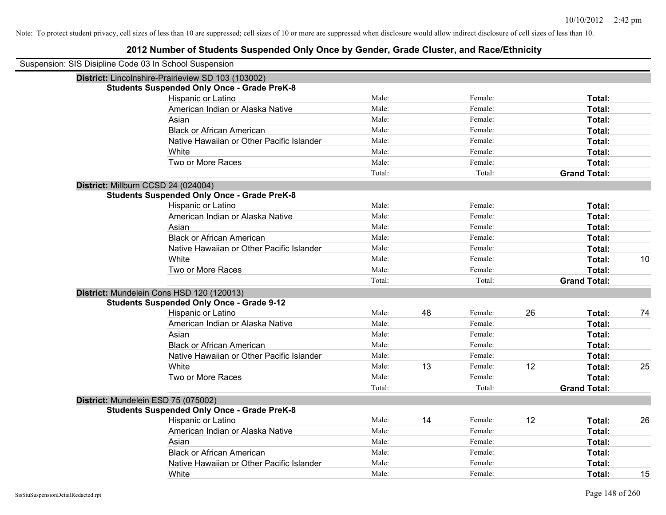| Suspension: SIS Disipline Code 03 In School Suspension |        |    |         |    |                     |    |
|--------------------------------------------------------|--------|----|---------|----|---------------------|----|
| District: Lincolnshire-Prairieview SD 103 (103002)     |        |    |         |    |                     |    |
| <b>Students Suspended Only Once - Grade PreK-8</b>     |        |    |         |    |                     |    |
| Hispanic or Latino                                     | Male:  |    | Female: |    | Total:              |    |
| American Indian or Alaska Native                       | Male:  |    | Female: |    | Total:              |    |
| Asian                                                  | Male:  |    | Female: |    | Total:              |    |
| <b>Black or African American</b>                       | Male:  |    | Female: |    | Total:              |    |
| Native Hawaiian or Other Pacific Islander              | Male:  |    | Female: |    | Total:              |    |
| White                                                  | Male:  |    | Female: |    | Total:              |    |
| Two or More Races                                      | Male:  |    | Female: |    | Total:              |    |
|                                                        | Total: |    | Total:  |    | <b>Grand Total:</b> |    |
| District: Millburn CCSD 24 (024004)                    |        |    |         |    |                     |    |
| <b>Students Suspended Only Once - Grade PreK-8</b>     |        |    |         |    |                     |    |
| Hispanic or Latino                                     | Male:  |    | Female: |    | Total:              |    |
| American Indian or Alaska Native                       | Male:  |    | Female: |    | Total:              |    |
| Asian                                                  | Male:  |    | Female: |    | Total:              |    |
| <b>Black or African American</b>                       | Male:  |    | Female: |    | Total:              |    |
| Native Hawaiian or Other Pacific Islander              | Male:  |    | Female: |    | Total:              |    |
| White                                                  | Male:  |    | Female: |    | Total:              | 10 |
| Two or More Races                                      | Male:  |    | Female: |    | Total:              |    |
|                                                        | Total: |    | Total:  |    | <b>Grand Total:</b> |    |
| District: Mundelein Cons HSD 120 (120013)              |        |    |         |    |                     |    |
| <b>Students Suspended Only Once - Grade 9-12</b>       |        |    |         |    |                     |    |
| Hispanic or Latino                                     | Male:  | 48 | Female: | 26 | Total:              | 74 |
| American Indian or Alaska Native                       | Male:  |    | Female: |    | Total:              |    |
| Asian                                                  | Male:  |    | Female: |    | Total:              |    |
| <b>Black or African American</b>                       | Male:  |    | Female: |    | Total:              |    |
| Native Hawaiian or Other Pacific Islander              | Male:  |    | Female: |    | Total:              |    |
| White                                                  | Male:  | 13 | Female: | 12 | Total:              | 25 |
| Two or More Races                                      | Male:  |    | Female: |    | Total:              |    |
|                                                        | Total: |    | Total:  |    | <b>Grand Total:</b> |    |
| District: Mundelein ESD 75 (075002)                    |        |    |         |    |                     |    |
| <b>Students Suspended Only Once - Grade PreK-8</b>     |        |    |         |    |                     |    |
| Hispanic or Latino                                     | Male:  | 14 | Female: | 12 | Total:              | 26 |
| American Indian or Alaska Native                       | Male:  |    | Female: |    | Total:              |    |
| Asian                                                  | Male:  |    | Female: |    | Total:              |    |
| <b>Black or African American</b>                       | Male:  |    | Female: |    | Total:              |    |
| Native Hawaiian or Other Pacific Islander              | Male:  |    | Female: |    | Total:              |    |
| White                                                  | Male:  |    | Female: |    | Total:              | 15 |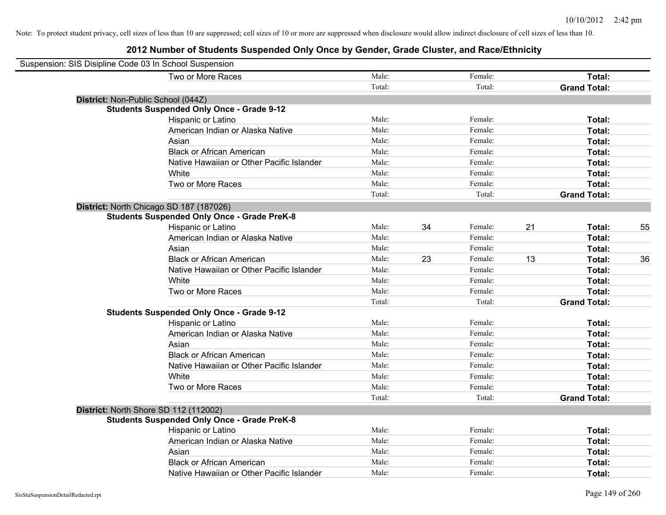| Suspension: SIS Disipline Code 03 In School Suspension |                                                    |        |    |         |    |                     |    |
|--------------------------------------------------------|----------------------------------------------------|--------|----|---------|----|---------------------|----|
|                                                        | Two or More Races                                  | Male:  |    | Female: |    | Total:              |    |
|                                                        |                                                    | Total: |    | Total:  |    | <b>Grand Total:</b> |    |
| District: Non-Public School (044Z)                     |                                                    |        |    |         |    |                     |    |
|                                                        | <b>Students Suspended Only Once - Grade 9-12</b>   |        |    |         |    |                     |    |
|                                                        | Hispanic or Latino                                 | Male:  |    | Female: |    | Total:              |    |
|                                                        | American Indian or Alaska Native                   | Male:  |    | Female: |    | Total:              |    |
|                                                        | Asian                                              | Male:  |    | Female: |    | Total:              |    |
|                                                        | <b>Black or African American</b>                   | Male:  |    | Female: |    | Total:              |    |
|                                                        | Native Hawaiian or Other Pacific Islander          | Male:  |    | Female: |    | Total:              |    |
|                                                        | White                                              | Male:  |    | Female: |    | Total:              |    |
|                                                        | Two or More Races                                  | Male:  |    | Female: |    | Total:              |    |
|                                                        |                                                    | Total: |    | Total:  |    | <b>Grand Total:</b> |    |
|                                                        | District: North Chicago SD 187 (187026)            |        |    |         |    |                     |    |
|                                                        | <b>Students Suspended Only Once - Grade PreK-8</b> |        |    |         |    |                     |    |
|                                                        | Hispanic or Latino                                 | Male:  | 34 | Female: | 21 | Total:              | 55 |
|                                                        | American Indian or Alaska Native                   | Male:  |    | Female: |    | Total:              |    |
|                                                        | Asian                                              | Male:  |    | Female: |    | Total:              |    |
|                                                        | <b>Black or African American</b>                   | Male:  | 23 | Female: | 13 | Total:              | 36 |
|                                                        | Native Hawaiian or Other Pacific Islander          | Male:  |    | Female: |    | Total:              |    |
|                                                        | White                                              | Male:  |    | Female: |    | Total:              |    |
|                                                        | Two or More Races                                  | Male:  |    | Female: |    | Total:              |    |
|                                                        |                                                    | Total: |    | Total:  |    | <b>Grand Total:</b> |    |
|                                                        | <b>Students Suspended Only Once - Grade 9-12</b>   |        |    |         |    |                     |    |
|                                                        | Hispanic or Latino                                 | Male:  |    | Female: |    | Total:              |    |
|                                                        | American Indian or Alaska Native                   | Male:  |    | Female: |    | Total:              |    |
|                                                        | Asian                                              | Male:  |    | Female: |    | Total:              |    |
|                                                        | <b>Black or African American</b>                   | Male:  |    | Female: |    | Total:              |    |
|                                                        | Native Hawaiian or Other Pacific Islander          | Male:  |    | Female: |    | Total:              |    |
|                                                        | White                                              | Male:  |    | Female: |    | Total:              |    |
|                                                        | Two or More Races                                  | Male:  |    | Female: |    | Total:              |    |
|                                                        |                                                    | Total: |    | Total:  |    | <b>Grand Total:</b> |    |
| District: North Shore SD 112 (112002)                  |                                                    |        |    |         |    |                     |    |
|                                                        | <b>Students Suspended Only Once - Grade PreK-8</b> |        |    |         |    |                     |    |
|                                                        | Hispanic or Latino                                 | Male:  |    | Female: |    | Total:              |    |
|                                                        | American Indian or Alaska Native                   | Male:  |    | Female: |    | Total:              |    |
|                                                        | Asian                                              | Male:  |    | Female: |    | Total:              |    |
|                                                        | <b>Black or African American</b>                   | Male:  |    | Female: |    | Total:              |    |
|                                                        | Native Hawaiian or Other Pacific Islander          | Male:  |    | Female: |    | Total:              |    |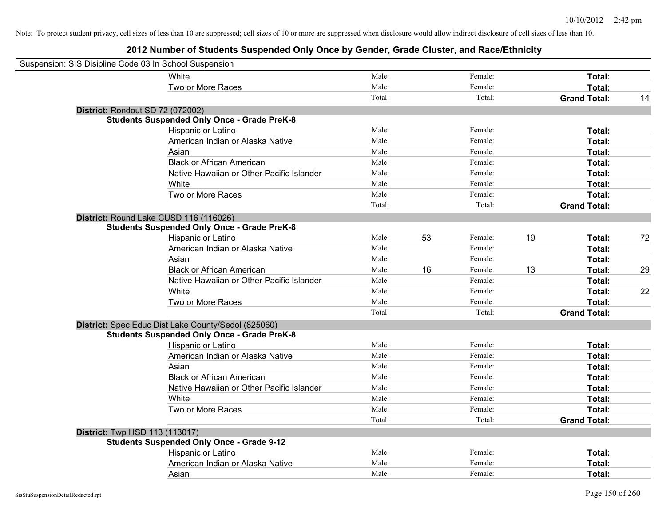| Suspension: SIS Disipline Code 03 In School Suspension |                                                     |        |    |         |    |                     |    |
|--------------------------------------------------------|-----------------------------------------------------|--------|----|---------|----|---------------------|----|
|                                                        | White                                               | Male:  |    | Female: |    | Total:              |    |
|                                                        | Two or More Races                                   | Male:  |    | Female: |    | Total:              |    |
|                                                        |                                                     | Total: |    | Total:  |    | <b>Grand Total:</b> | 14 |
| District: Rondout SD 72 (072002)                       |                                                     |        |    |         |    |                     |    |
|                                                        | <b>Students Suspended Only Once - Grade PreK-8</b>  |        |    |         |    |                     |    |
|                                                        | Hispanic or Latino                                  | Male:  |    | Female: |    | Total:              |    |
|                                                        | American Indian or Alaska Native                    | Male:  |    | Female: |    | Total:              |    |
|                                                        | Asian                                               | Male:  |    | Female: |    | Total:              |    |
|                                                        | <b>Black or African American</b>                    | Male:  |    | Female: |    | Total:              |    |
|                                                        | Native Hawaiian or Other Pacific Islander           | Male:  |    | Female: |    | Total:              |    |
|                                                        | White                                               | Male:  |    | Female: |    | Total:              |    |
|                                                        | Two or More Races                                   | Male:  |    | Female: |    | Total:              |    |
|                                                        |                                                     | Total: |    | Total:  |    | <b>Grand Total:</b> |    |
| District: Round Lake CUSD 116 (116026)                 |                                                     |        |    |         |    |                     |    |
|                                                        | <b>Students Suspended Only Once - Grade PreK-8</b>  |        |    |         |    |                     |    |
|                                                        | Hispanic or Latino                                  | Male:  | 53 | Female: | 19 | Total:              | 72 |
|                                                        | American Indian or Alaska Native                    | Male:  |    | Female: |    | Total:              |    |
|                                                        | Asian                                               | Male:  |    | Female: |    | Total:              |    |
|                                                        | <b>Black or African American</b>                    | Male:  | 16 | Female: | 13 | Total:              | 29 |
|                                                        | Native Hawaiian or Other Pacific Islander           | Male:  |    | Female: |    | Total:              |    |
|                                                        | White                                               | Male:  |    | Female: |    | Total:              | 22 |
|                                                        | Two or More Races                                   | Male:  |    | Female: |    | Total:              |    |
|                                                        |                                                     | Total: |    | Total:  |    | <b>Grand Total:</b> |    |
|                                                        | District: Spec Educ Dist Lake County/Sedol (825060) |        |    |         |    |                     |    |
|                                                        | <b>Students Suspended Only Once - Grade PreK-8</b>  |        |    |         |    |                     |    |
|                                                        | Hispanic or Latino                                  | Male:  |    | Female: |    | Total:              |    |
|                                                        | American Indian or Alaska Native                    | Male:  |    | Female: |    | Total:              |    |
|                                                        | Asian                                               | Male:  |    | Female: |    | Total:              |    |
|                                                        | <b>Black or African American</b>                    | Male:  |    | Female: |    | Total:              |    |
|                                                        | Native Hawaiian or Other Pacific Islander           | Male:  |    | Female: |    | Total:              |    |
|                                                        | White                                               | Male:  |    | Female: |    | Total:              |    |
|                                                        | Two or More Races                                   | Male:  |    | Female: |    | Total:              |    |
|                                                        |                                                     | Total: |    | Total:  |    | <b>Grand Total:</b> |    |
| <b>District:</b> Twp HSD 113 (113017)                  |                                                     |        |    |         |    |                     |    |
|                                                        | <b>Students Suspended Only Once - Grade 9-12</b>    |        |    |         |    |                     |    |
|                                                        | Hispanic or Latino                                  | Male:  |    | Female: |    | Total:              |    |
|                                                        | American Indian or Alaska Native                    | Male:  |    | Female: |    | Total:              |    |
|                                                        | Asian                                               | Male:  |    | Female: |    | Total:              |    |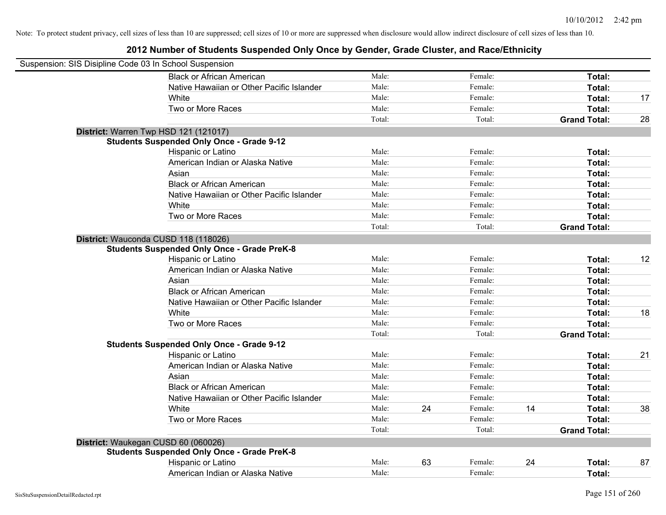| Suspension: SIS Disipline Code 03 In School Suspension |                                                    |        |    |         |    |                     |    |
|--------------------------------------------------------|----------------------------------------------------|--------|----|---------|----|---------------------|----|
|                                                        | <b>Black or African American</b>                   | Male:  |    | Female: |    | Total:              |    |
|                                                        | Native Hawaiian or Other Pacific Islander          | Male:  |    | Female: |    | Total:              |    |
|                                                        | White                                              | Male:  |    | Female: |    | Total:              | 17 |
|                                                        | Two or More Races                                  | Male:  |    | Female: |    | Total:              |    |
|                                                        |                                                    | Total: |    | Total:  |    | <b>Grand Total:</b> | 28 |
|                                                        | District: Warren Twp HSD 121 (121017)              |        |    |         |    |                     |    |
|                                                        | <b>Students Suspended Only Once - Grade 9-12</b>   |        |    |         |    |                     |    |
|                                                        | Hispanic or Latino                                 | Male:  |    | Female: |    | Total:              |    |
|                                                        | American Indian or Alaska Native                   | Male:  |    | Female: |    | Total:              |    |
|                                                        | Asian                                              | Male:  |    | Female: |    | Total:              |    |
|                                                        | <b>Black or African American</b>                   | Male:  |    | Female: |    | Total:              |    |
|                                                        | Native Hawaiian or Other Pacific Islander          | Male:  |    | Female: |    | Total:              |    |
|                                                        | White                                              | Male:  |    | Female: |    | Total:              |    |
|                                                        | Two or More Races                                  | Male:  |    | Female: |    | Total:              |    |
|                                                        |                                                    | Total: |    | Total:  |    | <b>Grand Total:</b> |    |
|                                                        | District: Wauconda CUSD 118 (118026)               |        |    |         |    |                     |    |
|                                                        | <b>Students Suspended Only Once - Grade PreK-8</b> |        |    |         |    |                     |    |
|                                                        | Hispanic or Latino                                 | Male:  |    | Female: |    | Total:              | 12 |
|                                                        | American Indian or Alaska Native                   | Male:  |    | Female: |    | Total:              |    |
|                                                        | Asian                                              | Male:  |    | Female: |    | Total:              |    |
|                                                        | <b>Black or African American</b>                   | Male:  |    | Female: |    | Total:              |    |
|                                                        | Native Hawaiian or Other Pacific Islander          | Male:  |    | Female: |    | Total:              |    |
|                                                        | White                                              | Male:  |    | Female: |    | Total:              | 18 |
|                                                        | Two or More Races                                  | Male:  |    | Female: |    | Total:              |    |
|                                                        |                                                    | Total: |    | Total:  |    | <b>Grand Total:</b> |    |
|                                                        | <b>Students Suspended Only Once - Grade 9-12</b>   |        |    |         |    |                     |    |
|                                                        | Hispanic or Latino                                 | Male:  |    | Female: |    | Total:              | 21 |
|                                                        | American Indian or Alaska Native                   | Male:  |    | Female: |    | Total:              |    |
|                                                        | Asian                                              | Male:  |    | Female: |    | Total:              |    |
|                                                        | <b>Black or African American</b>                   | Male:  |    | Female: |    | Total:              |    |
|                                                        | Native Hawaiian or Other Pacific Islander          | Male:  |    | Female: |    | Total:              |    |
|                                                        | <b>White</b>                                       | Male:  | 24 | Female: | 14 | Total:              | 38 |
|                                                        | Two or More Races                                  | Male:  |    | Female: |    | Total:              |    |
|                                                        |                                                    | Total: |    | Total:  |    | <b>Grand Total:</b> |    |
|                                                        | District: Waukegan CUSD 60 (060026)                |        |    |         |    |                     |    |
|                                                        | <b>Students Suspended Only Once - Grade PreK-8</b> |        |    |         |    |                     |    |
|                                                        | Hispanic or Latino                                 | Male:  | 63 | Female: | 24 | Total:              | 87 |
|                                                        | American Indian or Alaska Native                   | Male:  |    | Female: |    | Total:              |    |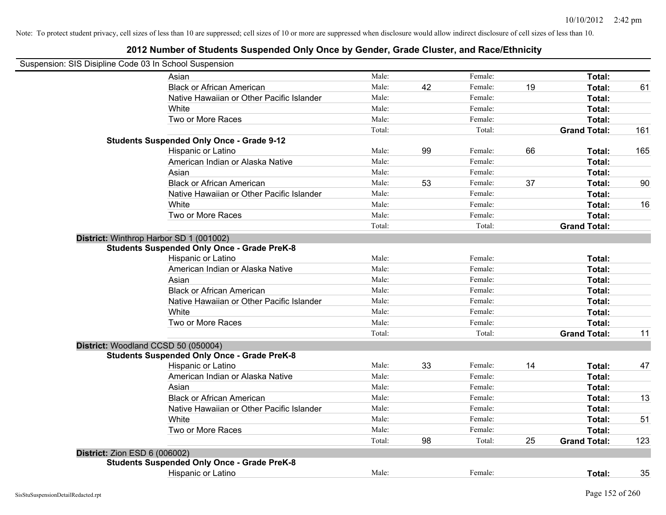| Suspension: SIS Disipline Code 03 In School Suspension |                                                    |        |    |         |    |                     |     |
|--------------------------------------------------------|----------------------------------------------------|--------|----|---------|----|---------------------|-----|
|                                                        | Asian                                              | Male:  |    | Female: |    | Total:              |     |
|                                                        | <b>Black or African American</b>                   | Male:  | 42 | Female: | 19 | Total:              | 61  |
|                                                        | Native Hawaiian or Other Pacific Islander          | Male:  |    | Female: |    | Total:              |     |
|                                                        | White                                              | Male:  |    | Female: |    | Total:              |     |
|                                                        | Two or More Races                                  | Male:  |    | Female: |    | Total:              |     |
|                                                        |                                                    | Total: |    | Total:  |    | <b>Grand Total:</b> | 161 |
|                                                        | <b>Students Suspended Only Once - Grade 9-12</b>   |        |    |         |    |                     |     |
|                                                        | Hispanic or Latino                                 | Male:  | 99 | Female: | 66 | Total:              | 165 |
|                                                        | American Indian or Alaska Native                   | Male:  |    | Female: |    | Total:              |     |
|                                                        | Asian                                              | Male:  |    | Female: |    | Total:              |     |
|                                                        | <b>Black or African American</b>                   | Male:  | 53 | Female: | 37 | Total:              | 90  |
|                                                        | Native Hawaiian or Other Pacific Islander          | Male:  |    | Female: |    | Total:              |     |
|                                                        | White                                              | Male:  |    | Female: |    | Total:              | 16  |
|                                                        | Two or More Races                                  | Male:  |    | Female: |    | Total:              |     |
|                                                        |                                                    | Total: |    | Total:  |    | <b>Grand Total:</b> |     |
| District: Winthrop Harbor SD 1 (001002)                |                                                    |        |    |         |    |                     |     |
|                                                        | <b>Students Suspended Only Once - Grade PreK-8</b> |        |    |         |    |                     |     |
|                                                        | Hispanic or Latino                                 | Male:  |    | Female: |    | Total:              |     |
|                                                        | American Indian or Alaska Native                   | Male:  |    | Female: |    | Total:              |     |
|                                                        | Asian                                              | Male:  |    | Female: |    | Total:              |     |
|                                                        | <b>Black or African American</b>                   | Male:  |    | Female: |    | Total:              |     |
|                                                        | Native Hawaiian or Other Pacific Islander          | Male:  |    | Female: |    | Total:              |     |
|                                                        | White                                              | Male:  |    | Female: |    | Total:              |     |
|                                                        | Two or More Races                                  | Male:  |    | Female: |    | Total:              |     |
|                                                        |                                                    | Total: |    | Total:  |    | <b>Grand Total:</b> | 11  |
| District: Woodland CCSD 50 (050004)                    |                                                    |        |    |         |    |                     |     |
|                                                        | <b>Students Suspended Only Once - Grade PreK-8</b> |        |    |         |    |                     |     |
|                                                        | Hispanic or Latino                                 | Male:  | 33 | Female: | 14 | Total:              | 47  |
|                                                        | American Indian or Alaska Native                   | Male:  |    | Female: |    | Total:              |     |
|                                                        | Asian                                              | Male:  |    | Female: |    | Total:              |     |
|                                                        | <b>Black or African American</b>                   | Male:  |    | Female: |    | Total:              | 13  |
|                                                        | Native Hawaiian or Other Pacific Islander          | Male:  |    | Female: |    | Total:              |     |
|                                                        | White                                              | Male:  |    | Female: |    | Total:              | 51  |
|                                                        | Two or More Races                                  | Male:  |    | Female: |    | Total:              |     |
|                                                        |                                                    | Total: | 98 | Total:  | 25 | <b>Grand Total:</b> | 123 |
| <b>District: Zion ESD 6 (006002)</b>                   |                                                    |        |    |         |    |                     |     |
|                                                        | <b>Students Suspended Only Once - Grade PreK-8</b> |        |    |         |    |                     |     |
|                                                        | Hispanic or Latino                                 | Male:  |    | Female: |    | Total:              | 35  |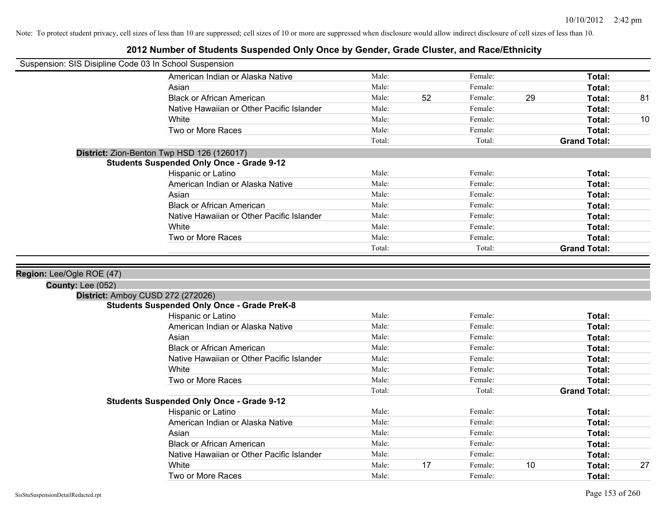| Suspension: SIS Disipline Code 03 In School Suspension |                                                    |        |    |         |                     |    |
|--------------------------------------------------------|----------------------------------------------------|--------|----|---------|---------------------|----|
|                                                        | American Indian or Alaska Native                   | Male:  |    | Female: | Total:              |    |
|                                                        | Asian                                              | Male:  |    | Female: | Total:              |    |
|                                                        | <b>Black or African American</b>                   | Male:  | 52 | Female: | 29<br>Total:        | 81 |
|                                                        | Native Hawaiian or Other Pacific Islander          | Male:  |    | Female: | Total:              |    |
|                                                        | White                                              | Male:  |    | Female: | Total:              | 10 |
|                                                        | Two or More Races                                  | Male:  |    | Female: | Total:              |    |
|                                                        |                                                    | Total: |    | Total:  | <b>Grand Total:</b> |    |
|                                                        | District: Zion-Benton Twp HSD 126 (126017)         |        |    |         |                     |    |
|                                                        | <b>Students Suspended Only Once - Grade 9-12</b>   |        |    |         |                     |    |
|                                                        | Hispanic or Latino                                 | Male:  |    | Female: | Total:              |    |
|                                                        | American Indian or Alaska Native                   | Male:  |    | Female: | Total:              |    |
|                                                        | Asian                                              | Male:  |    | Female: | Total:              |    |
|                                                        | <b>Black or African American</b>                   | Male:  |    | Female: | Total:              |    |
|                                                        | Native Hawaiian or Other Pacific Islander          | Male:  |    | Female: | Total:              |    |
|                                                        | White                                              | Male:  |    | Female: | Total:              |    |
|                                                        | Two or More Races                                  | Male:  |    | Female: | Total:              |    |
|                                                        |                                                    | Total: |    | Total:  | <b>Grand Total:</b> |    |
|                                                        |                                                    |        |    |         |                     |    |
| Region: Lee/Ogle ROE (47)                              |                                                    |        |    |         |                     |    |
| <b>County: Lee (052)</b>                               |                                                    |        |    |         |                     |    |
|                                                        | District: Amboy CUSD 272 (272026)                  |        |    |         |                     |    |
|                                                        | <b>Students Suspended Only Once - Grade PreK-8</b> |        |    |         |                     |    |
|                                                        | Hispanic or Latino                                 | Male:  |    | Female: | Total:              |    |
|                                                        |                                                    |        |    |         |                     |    |
|                                                        | American Indian or Alaska Native                   | Male:  |    | Female: | Total:              |    |
|                                                        | Asian                                              | Male:  |    | Female: | Total:              |    |
|                                                        | <b>Black or African American</b>                   | Male:  |    | Female: | Total:              |    |
|                                                        | Native Hawaiian or Other Pacific Islander          | Male:  |    | Female: | Total:              |    |
|                                                        | White                                              | Male:  |    | Female: | <b>Total:</b>       |    |
|                                                        | Two or More Races                                  | Male:  |    | Female: | Total:              |    |
|                                                        |                                                    | Total: |    | Total:  | <b>Grand Total:</b> |    |
|                                                        | <b>Students Suspended Only Once - Grade 9-12</b>   |        |    |         |                     |    |
|                                                        | Hispanic or Latino                                 | Male:  |    | Female: | Total:              |    |
|                                                        | American Indian or Alaska Native                   | Male:  |    | Female: | Total:              |    |
|                                                        | Asian                                              | Male:  |    | Female: | Total:              |    |
|                                                        | <b>Black or African American</b>                   | Male:  |    | Female: | Total:              |    |
|                                                        | Native Hawaiian or Other Pacific Islander          | Male:  |    | Female: | Total:              |    |
|                                                        | White                                              | Male:  | 17 | Female: | 10<br>Total:        | 27 |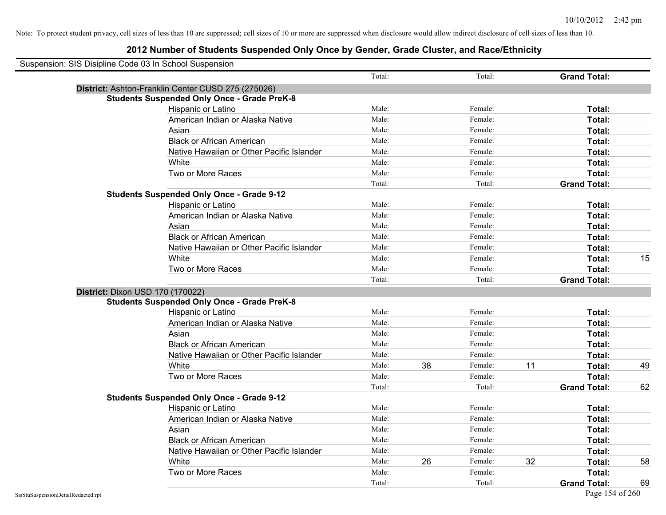| Suspension: SIS Disipline Code 03 In School Suspension |                                                    |        |    |         |    |                     |    |
|--------------------------------------------------------|----------------------------------------------------|--------|----|---------|----|---------------------|----|
|                                                        |                                                    | Total: |    | Total:  |    | <b>Grand Total:</b> |    |
|                                                        | District: Ashton-Franklin Center CUSD 275 (275026) |        |    |         |    |                     |    |
|                                                        | <b>Students Suspended Only Once - Grade PreK-8</b> |        |    |         |    |                     |    |
|                                                        | Hispanic or Latino                                 | Male:  |    | Female: |    | Total:              |    |
|                                                        | American Indian or Alaska Native                   | Male:  |    | Female: |    | Total:              |    |
|                                                        | Asian                                              | Male:  |    | Female: |    | Total:              |    |
|                                                        | <b>Black or African American</b>                   | Male:  |    | Female: |    | Total:              |    |
|                                                        | Native Hawaiian or Other Pacific Islander          | Male:  |    | Female: |    | Total:              |    |
|                                                        | White                                              | Male:  |    | Female: |    | Total:              |    |
|                                                        | Two or More Races                                  | Male:  |    | Female: |    | Total:              |    |
|                                                        |                                                    | Total: |    | Total:  |    | <b>Grand Total:</b> |    |
|                                                        | <b>Students Suspended Only Once - Grade 9-12</b>   |        |    |         |    |                     |    |
|                                                        | Hispanic or Latino                                 | Male:  |    | Female: |    | Total:              |    |
|                                                        | American Indian or Alaska Native                   | Male:  |    | Female: |    | Total:              |    |
|                                                        | Asian                                              | Male:  |    | Female: |    | Total:              |    |
|                                                        | <b>Black or African American</b>                   | Male:  |    | Female: |    | Total:              |    |
|                                                        | Native Hawaiian or Other Pacific Islander          | Male:  |    | Female: |    | Total:              |    |
|                                                        | White                                              | Male:  |    | Female: |    | Total:              | 15 |
|                                                        | Two or More Races                                  | Male:  |    | Female: |    | Total:              |    |
|                                                        |                                                    | Total: |    | Total:  |    | <b>Grand Total:</b> |    |
| District: Dixon USD 170 (170022)                       |                                                    |        |    |         |    |                     |    |
|                                                        | <b>Students Suspended Only Once - Grade PreK-8</b> |        |    |         |    |                     |    |
|                                                        | Hispanic or Latino                                 | Male:  |    | Female: |    | Total:              |    |
|                                                        | American Indian or Alaska Native                   | Male:  |    | Female: |    | Total:              |    |
|                                                        | Asian                                              | Male:  |    | Female: |    | Total:              |    |
|                                                        | <b>Black or African American</b>                   | Male:  |    | Female: |    | Total:              |    |
|                                                        | Native Hawaiian or Other Pacific Islander          | Male:  |    | Female: |    | Total:              |    |
|                                                        | White                                              | Male:  | 38 | Female: | 11 | Total:              | 49 |
|                                                        | Two or More Races                                  | Male:  |    | Female: |    | Total:              |    |
|                                                        |                                                    | Total: |    | Total:  |    | <b>Grand Total:</b> | 62 |
|                                                        | <b>Students Suspended Only Once - Grade 9-12</b>   |        |    |         |    |                     |    |
|                                                        | Hispanic or Latino                                 | Male:  |    | Female: |    | Total:              |    |
|                                                        | American Indian or Alaska Native                   | Male:  |    | Female: |    | Total:              |    |
|                                                        | Asian                                              | Male:  |    | Female: |    | Total:              |    |
|                                                        | <b>Black or African American</b>                   | Male:  |    | Female: |    | Total:              |    |
|                                                        | Native Hawaiian or Other Pacific Islander          | Male:  |    | Female: |    | Total:              |    |
|                                                        | White                                              | Male:  | 26 | Female: | 32 | Total:              | 58 |
|                                                        | Two or More Races                                  | Male:  |    | Female: |    | <b>Total:</b>       |    |
|                                                        |                                                    | Total: |    | Total:  |    | <b>Grand Total:</b> | 69 |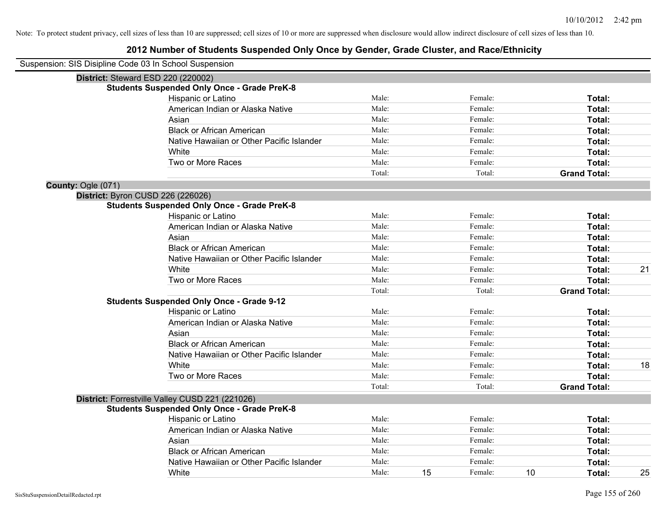## **2012 Number of Students Suspended Only Once by Gender, Grade Cluster, and Race/Ethnicity**

| Suspension: SIS Disipline Code 03 In School Suspension |                                                    |        |    |         |    |                     |    |
|--------------------------------------------------------|----------------------------------------------------|--------|----|---------|----|---------------------|----|
|                                                        | District: Steward ESD 220 (220002)                 |        |    |         |    |                     |    |
|                                                        | <b>Students Suspended Only Once - Grade PreK-8</b> |        |    |         |    |                     |    |
|                                                        | Hispanic or Latino                                 | Male:  |    | Female: |    | Total:              |    |
|                                                        | American Indian or Alaska Native                   | Male:  |    | Female: |    | Total:              |    |
|                                                        | Asian                                              | Male:  |    | Female: |    | Total:              |    |
|                                                        | <b>Black or African American</b>                   | Male:  |    | Female: |    | Total:              |    |
|                                                        | Native Hawaiian or Other Pacific Islander          | Male:  |    | Female: |    | Total:              |    |
|                                                        | White                                              | Male:  |    | Female: |    | Total:              |    |
|                                                        | Two or More Races                                  | Male:  |    | Female: |    | Total:              |    |
|                                                        |                                                    | Total: |    | Total:  |    | <b>Grand Total:</b> |    |
| County: Ogle (071)                                     |                                                    |        |    |         |    |                     |    |
|                                                        | District: Byron CUSD 226 (226026)                  |        |    |         |    |                     |    |
|                                                        | <b>Students Suspended Only Once - Grade PreK-8</b> |        |    |         |    |                     |    |
|                                                        | Hispanic or Latino                                 | Male:  |    | Female: |    | Total:              |    |
|                                                        | American Indian or Alaska Native                   | Male:  |    | Female: |    | Total:              |    |
|                                                        | Asian                                              | Male:  |    | Female: |    | Total:              |    |
|                                                        | <b>Black or African American</b>                   | Male:  |    | Female: |    | Total:              |    |
|                                                        | Native Hawaiian or Other Pacific Islander          | Male:  |    | Female: |    | Total:              |    |
|                                                        | White                                              | Male:  |    | Female: |    | Total:              | 21 |
|                                                        | Two or More Races                                  | Male:  |    | Female: |    | Total:              |    |
|                                                        |                                                    | Total: |    | Total:  |    | <b>Grand Total:</b> |    |
|                                                        | <b>Students Suspended Only Once - Grade 9-12</b>   |        |    |         |    |                     |    |
|                                                        | Hispanic or Latino                                 | Male:  |    | Female: |    | Total:              |    |
|                                                        | American Indian or Alaska Native                   | Male:  |    | Female: |    | Total:              |    |
|                                                        | Asian                                              | Male:  |    | Female: |    | Total:              |    |
|                                                        | <b>Black or African American</b>                   | Male:  |    | Female: |    | Total:              |    |
|                                                        | Native Hawaiian or Other Pacific Islander          | Male:  |    | Female: |    | Total:              |    |
|                                                        | White                                              | Male:  |    | Female: |    | Total:              | 18 |
|                                                        | Two or More Races                                  | Male:  |    | Female: |    | Total:              |    |
|                                                        |                                                    | Total: |    | Total:  |    | <b>Grand Total:</b> |    |
|                                                        | District: Forrestville Valley CUSD 221 (221026)    |        |    |         |    |                     |    |
|                                                        | <b>Students Suspended Only Once - Grade PreK-8</b> |        |    |         |    |                     |    |
|                                                        | <b>Hispanic or Latino</b>                          | Male:  |    | Female: |    | Total:              |    |
|                                                        | American Indian or Alaska Native                   | Male:  |    | Female: |    | Total:              |    |
|                                                        | Asian                                              | Male:  |    | Female: |    | Total:              |    |
|                                                        | <b>Black or African American</b>                   | Male:  |    | Female: |    | Total:              |    |
|                                                        | Native Hawaiian or Other Pacific Islander          | Male:  |    | Female: |    | Total:              |    |
|                                                        | White                                              | Male:  | 15 | Female: | 10 | Total:              | 25 |

 $\overline{\phantom{0}}$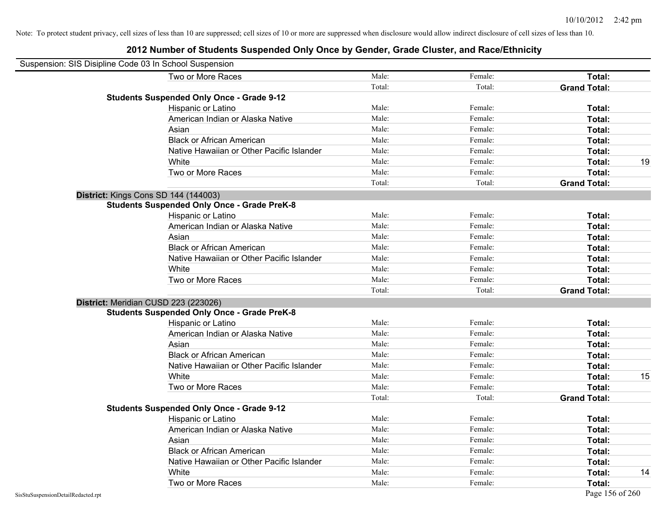| Suspension: SIS Disipline Code 03 In School Suspension |                                                    |        |         |                     |    |
|--------------------------------------------------------|----------------------------------------------------|--------|---------|---------------------|----|
|                                                        | Two or More Races                                  | Male:  | Female: | Total:              |    |
|                                                        |                                                    | Total: | Total:  | <b>Grand Total:</b> |    |
|                                                        | <b>Students Suspended Only Once - Grade 9-12</b>   |        |         |                     |    |
|                                                        | Hispanic or Latino                                 | Male:  | Female: | Total:              |    |
|                                                        | American Indian or Alaska Native                   | Male:  | Female: | Total:              |    |
|                                                        | Asian                                              | Male:  | Female: | Total:              |    |
|                                                        | <b>Black or African American</b>                   | Male:  | Female: | Total:              |    |
|                                                        | Native Hawaiian or Other Pacific Islander          | Male:  | Female: | Total:              |    |
|                                                        | White                                              | Male:  | Female: | Total:              | 19 |
|                                                        | Two or More Races                                  | Male:  | Female: | Total:              |    |
|                                                        |                                                    | Total: | Total:  | <b>Grand Total:</b> |    |
|                                                        | District: Kings Cons SD 144 (144003)               |        |         |                     |    |
|                                                        | <b>Students Suspended Only Once - Grade PreK-8</b> |        |         |                     |    |
|                                                        | Hispanic or Latino                                 | Male:  | Female: | Total:              |    |
|                                                        | American Indian or Alaska Native                   | Male:  | Female: | Total:              |    |
|                                                        | Asian                                              | Male:  | Female: | Total:              |    |
|                                                        | <b>Black or African American</b>                   | Male:  | Female: | Total:              |    |
|                                                        | Native Hawaiian or Other Pacific Islander          | Male:  | Female: | Total:              |    |
|                                                        | White                                              | Male:  | Female: | Total:              |    |
|                                                        | Two or More Races                                  | Male:  | Female: | Total:              |    |
|                                                        |                                                    | Total: | Total:  | <b>Grand Total:</b> |    |
|                                                        | District: Meridian CUSD 223 (223026)               |        |         |                     |    |
|                                                        | <b>Students Suspended Only Once - Grade PreK-8</b> |        |         |                     |    |
|                                                        | Hispanic or Latino                                 | Male:  | Female: | Total:              |    |
|                                                        | American Indian or Alaska Native                   | Male:  | Female: | Total:              |    |
|                                                        | Asian                                              | Male:  | Female: | Total:              |    |
|                                                        | <b>Black or African American</b>                   | Male:  | Female: | Total:              |    |
|                                                        | Native Hawaiian or Other Pacific Islander          | Male:  | Female: | Total:              |    |
|                                                        | White                                              | Male:  | Female: | Total:              | 15 |
|                                                        | Two or More Races                                  | Male:  | Female: | Total:              |    |
|                                                        |                                                    | Total: | Total:  | <b>Grand Total:</b> |    |
|                                                        | <b>Students Suspended Only Once - Grade 9-12</b>   |        |         |                     |    |
|                                                        | Hispanic or Latino                                 | Male:  | Female: | Total:              |    |
|                                                        | American Indian or Alaska Native                   | Male:  | Female: | Total:              |    |
|                                                        | Asian                                              | Male:  | Female: | Total:              |    |
|                                                        | <b>Black or African American</b>                   | Male:  | Female: | Total:              |    |
|                                                        | Native Hawaiian or Other Pacific Islander          | Male:  | Female: | Total:              |    |
|                                                        | White                                              | Male:  | Female: | Total:              | 14 |
|                                                        | Two or More Races                                  | Male:  | Female: | Total:              |    |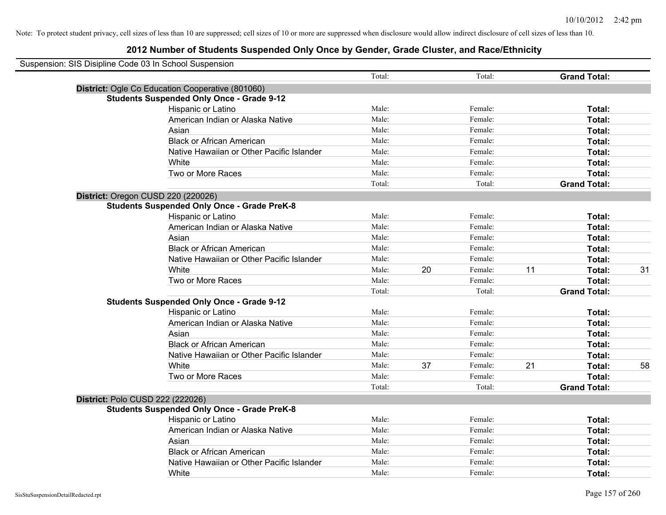| Suspension: SIS Disipline Code 03 In School Suspension |                                                    |        |    |         |    |                     |    |
|--------------------------------------------------------|----------------------------------------------------|--------|----|---------|----|---------------------|----|
|                                                        |                                                    | Total: |    | Total:  |    | <b>Grand Total:</b> |    |
|                                                        | District: Ogle Co Education Cooperative (801060)   |        |    |         |    |                     |    |
|                                                        | <b>Students Suspended Only Once - Grade 9-12</b>   |        |    |         |    |                     |    |
|                                                        | Hispanic or Latino                                 | Male:  |    | Female: |    | Total:              |    |
|                                                        | American Indian or Alaska Native                   | Male:  |    | Female: |    | Total:              |    |
|                                                        | Asian                                              | Male:  |    | Female: |    | Total:              |    |
|                                                        | <b>Black or African American</b>                   | Male:  |    | Female: |    | Total:              |    |
|                                                        | Native Hawaiian or Other Pacific Islander          | Male:  |    | Female: |    | Total:              |    |
|                                                        | White                                              | Male:  |    | Female: |    | Total:              |    |
|                                                        | Two or More Races                                  | Male:  |    | Female: |    | Total:              |    |
|                                                        |                                                    | Total: |    | Total:  |    | <b>Grand Total:</b> |    |
|                                                        | District: Oregon CUSD 220 (220026)                 |        |    |         |    |                     |    |
|                                                        | <b>Students Suspended Only Once - Grade PreK-8</b> |        |    |         |    |                     |    |
|                                                        | Hispanic or Latino                                 | Male:  |    | Female: |    | Total:              |    |
|                                                        | American Indian or Alaska Native                   | Male:  |    | Female: |    | Total:              |    |
|                                                        | Asian                                              | Male:  |    | Female: |    | Total:              |    |
|                                                        | <b>Black or African American</b>                   | Male:  |    | Female: |    | Total:              |    |
|                                                        | Native Hawaiian or Other Pacific Islander          | Male:  |    | Female: |    | Total:              |    |
|                                                        | White                                              | Male:  | 20 | Female: | 11 | Total:              | 31 |
|                                                        | Two or More Races                                  | Male:  |    | Female: |    | Total:              |    |
|                                                        |                                                    | Total: |    | Total:  |    | <b>Grand Total:</b> |    |
|                                                        | <b>Students Suspended Only Once - Grade 9-12</b>   |        |    |         |    |                     |    |
|                                                        | Hispanic or Latino                                 | Male:  |    | Female: |    | Total:              |    |
|                                                        | American Indian or Alaska Native                   | Male:  |    | Female: |    | Total:              |    |
|                                                        | Asian                                              | Male:  |    | Female: |    | Total:              |    |
|                                                        | <b>Black or African American</b>                   | Male:  |    | Female: |    | Total:              |    |
|                                                        | Native Hawaiian or Other Pacific Islander          | Male:  |    | Female: |    | Total:              |    |
|                                                        | White                                              | Male:  | 37 | Female: | 21 | Total:              | 58 |
|                                                        | Two or More Races                                  | Male:  |    | Female: |    | Total:              |    |
|                                                        |                                                    | Total: |    | Total:  |    | <b>Grand Total:</b> |    |
|                                                        | District: Polo CUSD 222 (222026)                   |        |    |         |    |                     |    |
|                                                        | <b>Students Suspended Only Once - Grade PreK-8</b> |        |    |         |    |                     |    |
|                                                        | Hispanic or Latino                                 | Male:  |    | Female: |    | Total:              |    |
|                                                        | American Indian or Alaska Native                   | Male:  |    | Female: |    | Total:              |    |
|                                                        | Asian                                              | Male:  |    | Female: |    | Total:              |    |
|                                                        | <b>Black or African American</b>                   | Male:  |    | Female: |    | Total:              |    |
|                                                        | Native Hawaiian or Other Pacific Islander          | Male:  |    | Female: |    | Total:              |    |
|                                                        | White                                              | Male:  |    | Female: |    | Total:              |    |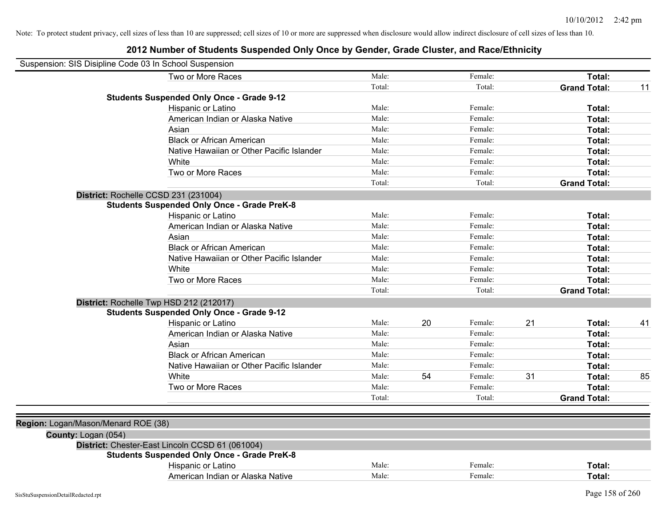|                     | Suspension: SIS Disipline Code 03 In School Suspension |        |    |         |    |                     |    |
|---------------------|--------------------------------------------------------|--------|----|---------|----|---------------------|----|
|                     | Two or More Races                                      | Male:  |    | Female: |    | Total:              |    |
|                     |                                                        | Total: |    | Total:  |    | <b>Grand Total:</b> | 11 |
|                     | <b>Students Suspended Only Once - Grade 9-12</b>       |        |    |         |    |                     |    |
|                     | Hispanic or Latino                                     | Male:  |    | Female: |    | Total:              |    |
|                     | American Indian or Alaska Native                       | Male:  |    | Female: |    | Total:              |    |
|                     | Asian                                                  | Male:  |    | Female: |    | Total:              |    |
|                     | <b>Black or African American</b>                       | Male:  |    | Female: |    | Total:              |    |
|                     | Native Hawaiian or Other Pacific Islander              | Male:  |    | Female: |    | Total:              |    |
|                     | White                                                  | Male:  |    | Female: |    | Total:              |    |
|                     | Two or More Races                                      | Male:  |    | Female: |    | Total:              |    |
|                     |                                                        | Total: |    | Total:  |    | <b>Grand Total:</b> |    |
|                     | District: Rochelle CCSD 231 (231004)                   |        |    |         |    |                     |    |
|                     | <b>Students Suspended Only Once - Grade PreK-8</b>     |        |    |         |    |                     |    |
|                     | Hispanic or Latino                                     | Male:  |    | Female: |    | Total:              |    |
|                     | American Indian or Alaska Native                       | Male:  |    | Female: |    | Total:              |    |
|                     | Asian                                                  | Male:  |    | Female: |    | Total:              |    |
|                     | <b>Black or African American</b>                       | Male:  |    | Female: |    | Total:              |    |
|                     | Native Hawaiian or Other Pacific Islander              | Male:  |    | Female: |    | Total:              |    |
|                     | White                                                  | Male:  |    | Female: |    | Total:              |    |
|                     | Two or More Races                                      | Male:  |    | Female: |    | Total:              |    |
|                     |                                                        | Total: |    | Total:  |    | <b>Grand Total:</b> |    |
|                     | District: Rochelle Twp HSD 212 (212017)                |        |    |         |    |                     |    |
|                     | <b>Students Suspended Only Once - Grade 9-12</b>       |        |    |         |    |                     |    |
|                     | Hispanic or Latino                                     | Male:  | 20 | Female: | 21 | Total:              | 41 |
|                     | American Indian or Alaska Native                       | Male:  |    | Female: |    | <b>Total:</b>       |    |
|                     | Asian                                                  | Male:  |    | Female: |    | Total:              |    |
|                     | <b>Black or African American</b>                       | Male:  |    | Female: |    | Total:              |    |
|                     | Native Hawaiian or Other Pacific Islander              | Male:  |    | Female: |    | Total:              |    |
|                     | White                                                  | Male:  | 54 | Female: | 31 | Total:              | 85 |
|                     | Two or More Races                                      | Male:  |    | Female: |    | Total:              |    |
|                     |                                                        | Total: |    | Total:  |    | <b>Grand Total:</b> |    |
|                     |                                                        |        |    |         |    |                     |    |
|                     | Region: Logan/Mason/Menard ROE (38)                    |        |    |         |    |                     |    |
| County: Logan (054) |                                                        |        |    |         |    |                     |    |
|                     | District: Chester-East Lincoln CCSD 61 (061004)        |        |    |         |    |                     |    |
|                     | <b>Students Suspended Only Once - Grade PreK-8</b>     |        |    |         |    |                     |    |
|                     | Hispanic or Latino                                     | Male:  |    | Female: |    | Total:              |    |
|                     | American Indian or Alaska Native                       | Male:  |    | Female: |    | Total:              |    |
|                     |                                                        |        |    |         |    |                     |    |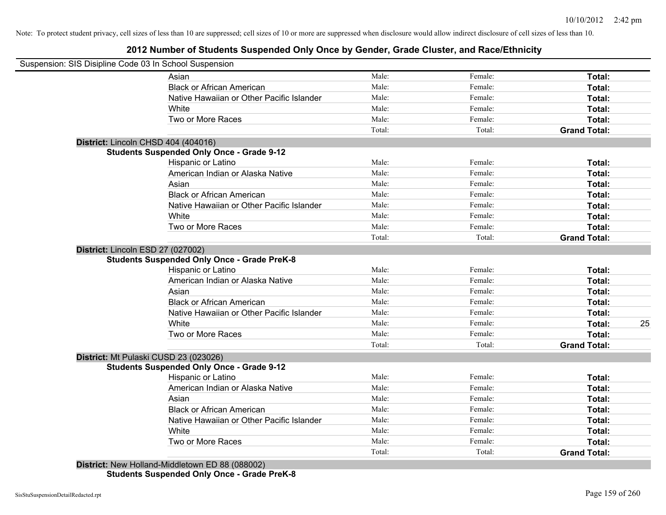## **2012 Number of Students Suspended Only Once by Gender, Grade Cluster, and Race/Ethnicity**

| Suspension: SIS Disipline Code 03 In School Suspension |                                           |        |         |                     |    |
|--------------------------------------------------------|-------------------------------------------|--------|---------|---------------------|----|
| Asian                                                  |                                           | Male:  | Female: | Total:              |    |
| <b>Black or African American</b>                       |                                           | Male:  | Female: | Total:              |    |
|                                                        | Native Hawaiian or Other Pacific Islander | Male:  | Female: | Total:              |    |
| White                                                  |                                           | Male:  | Female: | Total:              |    |
| Two or More Races                                      |                                           | Male:  | Female: | Total:              |    |
|                                                        |                                           | Total: | Total:  | <b>Grand Total:</b> |    |
| District: Lincoln CHSD 404 (404016)                    |                                           |        |         |                     |    |
| <b>Students Suspended Only Once - Grade 9-12</b>       |                                           |        |         |                     |    |
| Hispanic or Latino                                     |                                           | Male:  | Female: | Total:              |    |
|                                                        | American Indian or Alaska Native          | Male:  | Female: | Total:              |    |
| Asian                                                  |                                           | Male:  | Female: | Total:              |    |
| <b>Black or African American</b>                       |                                           | Male:  | Female: | Total:              |    |
|                                                        | Native Hawaiian or Other Pacific Islander | Male:  | Female: | Total:              |    |
| White                                                  |                                           | Male:  | Female: | Total:              |    |
| Two or More Races                                      |                                           | Male:  | Female: | Total:              |    |
|                                                        |                                           | Total: | Total:  | <b>Grand Total:</b> |    |
| District: Lincoln ESD 27 (027002)                      |                                           |        |         |                     |    |
| <b>Students Suspended Only Once - Grade PreK-8</b>     |                                           |        |         |                     |    |
| Hispanic or Latino                                     |                                           | Male:  | Female: | Total:              |    |
|                                                        | American Indian or Alaska Native          | Male:  | Female: | Total:              |    |
| Asian                                                  |                                           | Male:  | Female: | Total:              |    |
| <b>Black or African American</b>                       |                                           | Male:  | Female: | Total:              |    |
|                                                        | Native Hawaiian or Other Pacific Islander | Male:  | Female: | Total:              |    |
| White                                                  |                                           | Male:  | Female: | Total:              | 25 |
| Two or More Races                                      |                                           | Male:  | Female: | Total:              |    |
|                                                        |                                           | Total: | Total:  | <b>Grand Total:</b> |    |
| District: Mt Pulaski CUSD 23 (023026)                  |                                           |        |         |                     |    |
| <b>Students Suspended Only Once - Grade 9-12</b>       |                                           |        |         |                     |    |
| Hispanic or Latino                                     |                                           | Male:  | Female: | Total:              |    |
|                                                        | American Indian or Alaska Native          | Male:  | Female: | Total:              |    |
| Asian                                                  |                                           | Male:  | Female: | Total:              |    |
| <b>Black or African American</b>                       |                                           | Male:  | Female: | Total:              |    |
|                                                        | Native Hawaiian or Other Pacific Islander | Male:  | Female: | Total:              |    |
| White                                                  |                                           | Male:  | Female: | Total:              |    |
| Two or More Races                                      |                                           | Male:  | Female: | Total:              |    |
|                                                        |                                           | Total: | Total:  | <b>Grand Total:</b> |    |
| District: New Holland-Middletown ED 88 (088002)        |                                           |        |         |                     |    |

**Students Suspended Only Once - Grade PreK-8**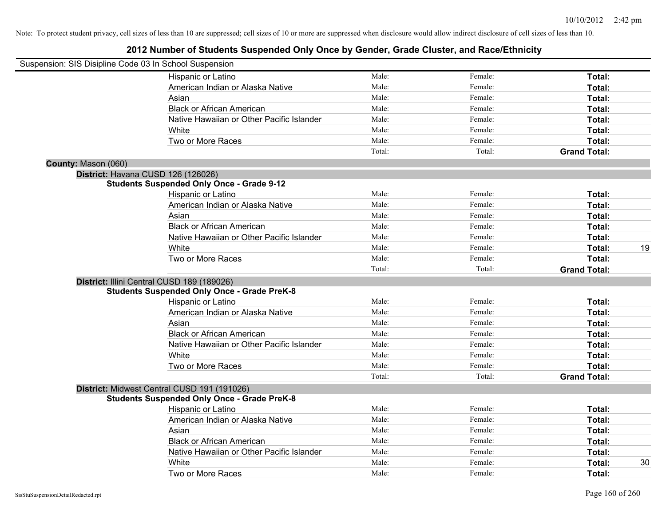| Suspension: SIS Disipline Code 03 In School Suspension |                                                    |        |         |                     |    |
|--------------------------------------------------------|----------------------------------------------------|--------|---------|---------------------|----|
|                                                        | Hispanic or Latino                                 | Male:  | Female: | Total:              |    |
|                                                        | American Indian or Alaska Native                   | Male:  | Female: | Total:              |    |
|                                                        | Asian                                              | Male:  | Female: | Total:              |    |
|                                                        | <b>Black or African American</b>                   | Male:  | Female: | Total:              |    |
|                                                        | Native Hawaiian or Other Pacific Islander          | Male:  | Female: | Total:              |    |
|                                                        | White                                              | Male:  | Female: | Total:              |    |
|                                                        | Two or More Races                                  | Male:  | Female: | Total:              |    |
|                                                        |                                                    | Total: | Total:  | <b>Grand Total:</b> |    |
| County: Mason (060)                                    |                                                    |        |         |                     |    |
|                                                        | District: Havana CUSD 126 (126026)                 |        |         |                     |    |
|                                                        | <b>Students Suspended Only Once - Grade 9-12</b>   |        |         |                     |    |
|                                                        | Hispanic or Latino                                 | Male:  | Female: | Total:              |    |
|                                                        | American Indian or Alaska Native                   | Male:  | Female: | Total:              |    |
|                                                        | Asian                                              | Male:  | Female: | Total:              |    |
|                                                        | <b>Black or African American</b>                   | Male:  | Female: | Total:              |    |
|                                                        | Native Hawaiian or Other Pacific Islander          | Male:  | Female: | Total:              |    |
|                                                        | White                                              | Male:  | Female: | Total:              | 19 |
|                                                        | Two or More Races                                  | Male:  | Female: | Total:              |    |
|                                                        |                                                    | Total: | Total:  | <b>Grand Total:</b> |    |
|                                                        | District: Illini Central CUSD 189 (189026)         |        |         |                     |    |
|                                                        | <b>Students Suspended Only Once - Grade PreK-8</b> |        |         |                     |    |
|                                                        | Hispanic or Latino                                 | Male:  | Female: | Total:              |    |
|                                                        | American Indian or Alaska Native                   | Male:  | Female: | Total:              |    |
|                                                        | Asian                                              | Male:  | Female: | Total:              |    |
|                                                        | <b>Black or African American</b>                   | Male:  | Female: | Total:              |    |
|                                                        | Native Hawaiian or Other Pacific Islander          | Male:  | Female: | Total:              |    |
|                                                        | White                                              | Male:  | Female: | Total:              |    |
|                                                        | Two or More Races                                  | Male:  | Female: | Total:              |    |
|                                                        |                                                    | Total: | Total:  | <b>Grand Total:</b> |    |
|                                                        | District: Midwest Central CUSD 191 (191026)        |        |         |                     |    |
|                                                        | <b>Students Suspended Only Once - Grade PreK-8</b> |        |         |                     |    |
|                                                        | Hispanic or Latino                                 | Male:  | Female: | Total:              |    |
|                                                        | American Indian or Alaska Native                   | Male:  | Female: | Total:              |    |
|                                                        | Asian                                              | Male:  | Female: | Total:              |    |
|                                                        | <b>Black or African American</b>                   | Male:  | Female: | Total:              |    |
|                                                        | Native Hawaiian or Other Pacific Islander          | Male:  | Female: | Total:              |    |
|                                                        | White                                              | Male:  | Female: | <b>Total:</b>       | 30 |
|                                                        | Two or More Races                                  | Male:  | Female: | Total:              |    |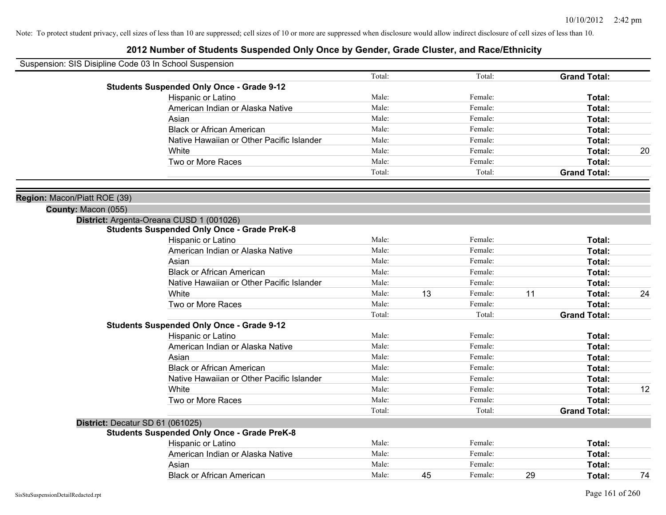| Suspension: SIS Disipline Code 03 In School Suspension |                                                    |        |    |         |    |                     |    |
|--------------------------------------------------------|----------------------------------------------------|--------|----|---------|----|---------------------|----|
|                                                        |                                                    | Total: |    | Total:  |    | <b>Grand Total:</b> |    |
|                                                        | <b>Students Suspended Only Once - Grade 9-12</b>   |        |    |         |    |                     |    |
|                                                        | Hispanic or Latino                                 | Male:  |    | Female: |    | Total:              |    |
|                                                        | American Indian or Alaska Native                   | Male:  |    | Female: |    | Total:              |    |
|                                                        | Asian                                              | Male:  |    | Female: |    | Total:              |    |
|                                                        | <b>Black or African American</b>                   | Male:  |    | Female: |    | Total:              |    |
|                                                        | Native Hawaiian or Other Pacific Islander          | Male:  |    | Female: |    | Total:              |    |
|                                                        | White                                              | Male:  |    | Female: |    | Total:              | 20 |
|                                                        | Two or More Races                                  | Male:  |    | Female: |    | Total:              |    |
|                                                        |                                                    | Total: |    | Total:  |    | <b>Grand Total:</b> |    |
| Region: Macon/Piatt ROE (39)                           |                                                    |        |    |         |    |                     |    |
| County: Macon (055)                                    |                                                    |        |    |         |    |                     |    |
|                                                        | District: Argenta-Oreana CUSD 1 (001026)           |        |    |         |    |                     |    |
|                                                        | <b>Students Suspended Only Once - Grade PreK-8</b> |        |    |         |    |                     |    |
|                                                        | Hispanic or Latino                                 | Male:  |    | Female: |    | Total:              |    |
|                                                        | American Indian or Alaska Native                   | Male:  |    | Female: |    | Total:              |    |
|                                                        | Asian                                              | Male:  |    | Female: |    | Total:              |    |
|                                                        | <b>Black or African American</b>                   | Male:  |    | Female: |    | Total:              |    |
|                                                        | Native Hawaiian or Other Pacific Islander          | Male:  |    | Female: |    | Total:              |    |
|                                                        | White                                              | Male:  | 13 | Female: | 11 | Total:              | 24 |
|                                                        | Two or More Races                                  | Male:  |    | Female: |    | Total:              |    |
|                                                        |                                                    | Total: |    | Total:  |    | <b>Grand Total:</b> |    |
|                                                        | <b>Students Suspended Only Once - Grade 9-12</b>   |        |    |         |    |                     |    |
|                                                        | Hispanic or Latino                                 | Male:  |    | Female: |    | Total:              |    |
|                                                        | American Indian or Alaska Native                   | Male:  |    | Female: |    | Total:              |    |
|                                                        | Asian                                              | Male:  |    | Female: |    | Total:              |    |
|                                                        | <b>Black or African American</b>                   | Male:  |    | Female: |    | Total:              |    |
|                                                        | Native Hawaiian or Other Pacific Islander          | Male:  |    | Female: |    | Total:              |    |
|                                                        | White                                              | Male:  |    | Female: |    | Total:              | 12 |
|                                                        | Two or More Races                                  | Male:  |    | Female: |    | Total:              |    |
|                                                        |                                                    | Total: |    | Total:  |    | <b>Grand Total:</b> |    |
|                                                        | District: Decatur SD 61 (061025)                   |        |    |         |    |                     |    |
|                                                        | <b>Students Suspended Only Once - Grade PreK-8</b> |        |    |         |    |                     |    |
|                                                        | Hispanic or Latino                                 | Male:  |    | Female: |    | Total:              |    |
|                                                        | American Indian or Alaska Native                   | Male:  |    | Female: |    | Total:              |    |
|                                                        | Asian                                              | Male:  |    | Female: |    | Total:              |    |
|                                                        | <b>Black or African American</b>                   | Male:  | 45 | Female: | 29 | Total:              | 74 |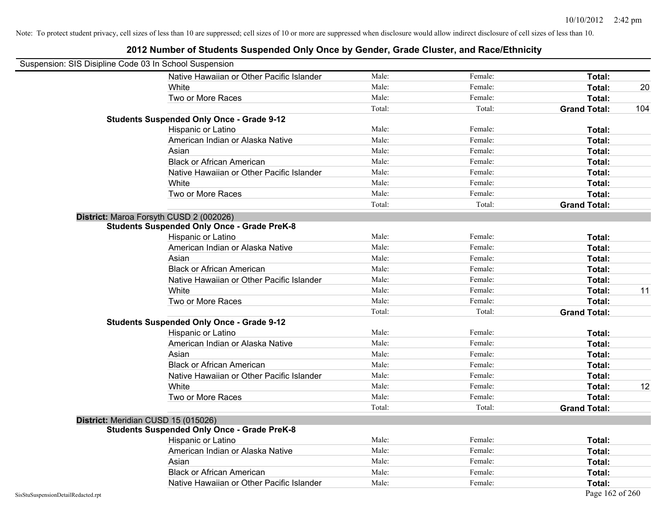| Suspension: SIS Disipline Code 03 In School Suspension |                                                    |        |         |                     |     |
|--------------------------------------------------------|----------------------------------------------------|--------|---------|---------------------|-----|
|                                                        | Native Hawaiian or Other Pacific Islander          | Male:  | Female: | Total:              |     |
|                                                        | White                                              | Male:  | Female: | Total:              | 20  |
|                                                        | Two or More Races                                  | Male:  | Female: | Total:              |     |
|                                                        |                                                    | Total: | Total:  | <b>Grand Total:</b> | 104 |
|                                                        | <b>Students Suspended Only Once - Grade 9-12</b>   |        |         |                     |     |
|                                                        | Hispanic or Latino                                 | Male:  | Female: | Total:              |     |
|                                                        | American Indian or Alaska Native                   | Male:  | Female: | Total:              |     |
|                                                        | Asian                                              | Male:  | Female: | Total:              |     |
|                                                        | <b>Black or African American</b>                   | Male:  | Female: | Total:              |     |
|                                                        | Native Hawaiian or Other Pacific Islander          | Male:  | Female: | Total:              |     |
|                                                        | White                                              | Male:  | Female: | Total:              |     |
|                                                        | Two or More Races                                  | Male:  | Female: | Total:              |     |
|                                                        |                                                    | Total: | Total:  | <b>Grand Total:</b> |     |
|                                                        | District: Maroa Forsyth CUSD 2 (002026)            |        |         |                     |     |
|                                                        | <b>Students Suspended Only Once - Grade PreK-8</b> |        |         |                     |     |
|                                                        | Hispanic or Latino                                 | Male:  | Female: | Total:              |     |
|                                                        | American Indian or Alaska Native                   | Male:  | Female: | Total:              |     |
|                                                        | Asian                                              | Male:  | Female: | Total:              |     |
|                                                        | <b>Black or African American</b>                   | Male:  | Female: | Total:              |     |
|                                                        | Native Hawaiian or Other Pacific Islander          | Male:  | Female: | Total:              |     |
|                                                        | White                                              | Male:  | Female: | Total:              | 11  |
|                                                        | Two or More Races                                  | Male:  | Female: | Total:              |     |
|                                                        |                                                    | Total: | Total:  | <b>Grand Total:</b> |     |
|                                                        | <b>Students Suspended Only Once - Grade 9-12</b>   |        |         |                     |     |
|                                                        | Hispanic or Latino                                 | Male:  | Female: | Total:              |     |
|                                                        | American Indian or Alaska Native                   | Male:  | Female: | Total:              |     |
|                                                        | Asian                                              | Male:  | Female: | Total:              |     |
|                                                        | <b>Black or African American</b>                   | Male:  | Female: | Total:              |     |
|                                                        | Native Hawaiian or Other Pacific Islander          | Male:  | Female: | Total:              |     |
|                                                        | White                                              | Male:  | Female: | Total:              | 12  |
|                                                        | Two or More Races                                  | Male:  | Female: | Total:              |     |
|                                                        |                                                    | Total: | Total:  | <b>Grand Total:</b> |     |
|                                                        | District: Meridian CUSD 15 (015026)                |        |         |                     |     |
|                                                        | <b>Students Suspended Only Once - Grade PreK-8</b> |        |         |                     |     |
|                                                        | Hispanic or Latino                                 | Male:  | Female: | Total:              |     |
|                                                        | American Indian or Alaska Native                   | Male:  | Female: | Total:              |     |
|                                                        | Asian                                              | Male:  | Female: | Total:              |     |
|                                                        | <b>Black or African American</b>                   | Male:  | Female: | Total:              |     |
|                                                        | Native Hawaiian or Other Pacific Islander          | Male:  | Female: | Total:              |     |
| SisStuSuspensionDetailRedacted.rpt                     |                                                    |        |         | Page 162 of 260     |     |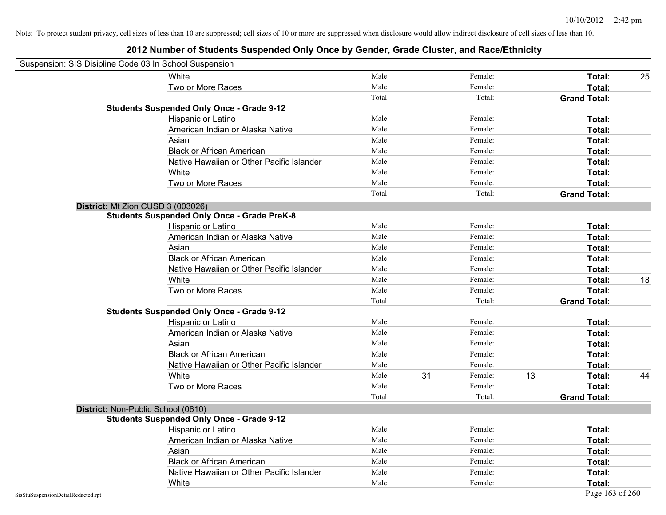|                                    | Suspension: SIS Disipline Code 03 In School Suspension |        |    |         |    |                     |    |
|------------------------------------|--------------------------------------------------------|--------|----|---------|----|---------------------|----|
|                                    | White                                                  | Male:  |    | Female: |    | Total:              | 25 |
|                                    | Two or More Races                                      | Male:  |    | Female: |    | Total:              |    |
|                                    |                                                        | Total: |    | Total:  |    | <b>Grand Total:</b> |    |
|                                    | <b>Students Suspended Only Once - Grade 9-12</b>       |        |    |         |    |                     |    |
|                                    | Hispanic or Latino                                     | Male:  |    | Female: |    | Total:              |    |
|                                    | American Indian or Alaska Native                       | Male:  |    | Female: |    | Total:              |    |
|                                    | Asian                                                  | Male:  |    | Female: |    | Total:              |    |
|                                    | <b>Black or African American</b>                       | Male:  |    | Female: |    | Total:              |    |
|                                    | Native Hawaiian or Other Pacific Islander              | Male:  |    | Female: |    | Total:              |    |
|                                    | White                                                  | Male:  |    | Female: |    | Total:              |    |
|                                    | Two or More Races                                      | Male:  |    | Female: |    | Total:              |    |
|                                    |                                                        | Total: |    | Total:  |    | <b>Grand Total:</b> |    |
|                                    | District: Mt Zion CUSD 3 (003026)                      |        |    |         |    |                     |    |
|                                    | <b>Students Suspended Only Once - Grade PreK-8</b>     |        |    |         |    |                     |    |
|                                    | Hispanic or Latino                                     | Male:  |    | Female: |    | Total:              |    |
|                                    | American Indian or Alaska Native                       | Male:  |    | Female: |    | Total:              |    |
|                                    | Asian                                                  | Male:  |    | Female: |    | Total:              |    |
|                                    | <b>Black or African American</b>                       | Male:  |    | Female: |    | Total:              |    |
|                                    | Native Hawaiian or Other Pacific Islander              | Male:  |    | Female: |    | Total:              |    |
|                                    | White                                                  | Male:  |    | Female: |    | Total:              | 18 |
|                                    | Two or More Races                                      | Male:  |    | Female: |    | Total:              |    |
|                                    |                                                        | Total: |    | Total:  |    | <b>Grand Total:</b> |    |
|                                    | <b>Students Suspended Only Once - Grade 9-12</b>       |        |    |         |    |                     |    |
|                                    | Hispanic or Latino                                     | Male:  |    | Female: |    | Total:              |    |
|                                    | American Indian or Alaska Native                       | Male:  |    | Female: |    | Total:              |    |
|                                    | Asian                                                  | Male:  |    | Female: |    | Total:              |    |
|                                    | <b>Black or African American</b>                       | Male:  |    | Female: |    | Total:              |    |
|                                    | Native Hawaiian or Other Pacific Islander              | Male:  |    | Female: |    | Total:              |    |
|                                    | White                                                  | Male:  | 31 | Female: | 13 | Total:              | 44 |
|                                    | Two or More Races                                      | Male:  |    | Female: |    | Total:              |    |
|                                    |                                                        | Total: |    | Total:  |    | <b>Grand Total:</b> |    |
|                                    | District: Non-Public School (0610)                     |        |    |         |    |                     |    |
|                                    | <b>Students Suspended Only Once - Grade 9-12</b>       |        |    |         |    |                     |    |
|                                    | <b>Hispanic or Latino</b>                              | Male:  |    | Female: |    | Total:              |    |
|                                    | American Indian or Alaska Native                       | Male:  |    | Female: |    | Total:              |    |
|                                    | Asian                                                  | Male:  |    | Female: |    | Total:              |    |
|                                    | <b>Black or African American</b>                       | Male:  |    | Female: |    | Total:              |    |
|                                    | Native Hawaiian or Other Pacific Islander              | Male:  |    | Female: |    | Total:              |    |
|                                    | White                                                  | Male:  |    | Female: |    | Total:              |    |
| SisStuSuspensionDetailRedacted.rpt |                                                        |        |    |         |    | Page 163 of 260     |    |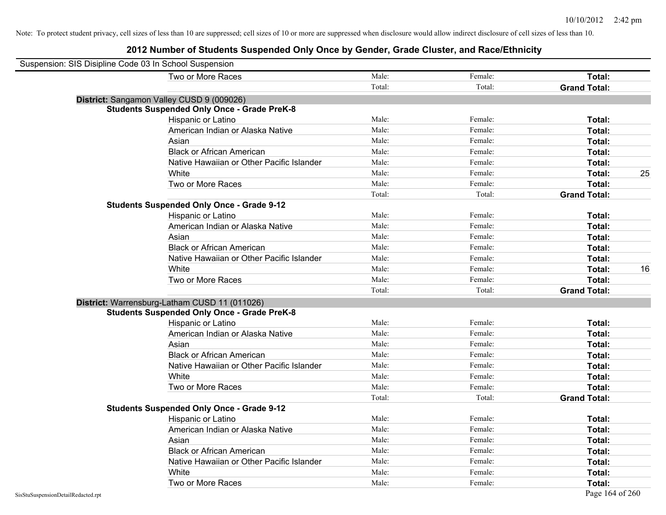| Suspension: SIS Disipline Code 03 In School Suspension |        |         |                     |    |
|--------------------------------------------------------|--------|---------|---------------------|----|
| Two or More Races                                      | Male:  | Female: | Total:              |    |
|                                                        | Total: | Total:  | <b>Grand Total:</b> |    |
| District: Sangamon Valley CUSD 9 (009026)              |        |         |                     |    |
| <b>Students Suspended Only Once - Grade PreK-8</b>     |        |         |                     |    |
| Hispanic or Latino                                     | Male:  | Female: | Total:              |    |
| American Indian or Alaska Native                       | Male:  | Female: | Total:              |    |
| Asian                                                  | Male:  | Female: | Total:              |    |
| <b>Black or African American</b>                       | Male:  | Female: | Total:              |    |
| Native Hawaiian or Other Pacific Islander              | Male:  | Female: | Total:              |    |
| White                                                  | Male:  | Female: | Total:              | 25 |
| Two or More Races                                      | Male:  | Female: | Total:              |    |
|                                                        | Total: | Total:  | <b>Grand Total:</b> |    |
| <b>Students Suspended Only Once - Grade 9-12</b>       |        |         |                     |    |
| Hispanic or Latino                                     | Male:  | Female: | Total:              |    |
| American Indian or Alaska Native                       | Male:  | Female: | Total:              |    |
| Asian                                                  | Male:  | Female: | Total:              |    |
| <b>Black or African American</b>                       | Male:  | Female: | Total:              |    |
| Native Hawaiian or Other Pacific Islander              | Male:  | Female: | Total:              |    |
| White                                                  | Male:  | Female: | Total:              | 16 |
| Two or More Races                                      | Male:  | Female: | Total:              |    |
|                                                        | Total: | Total:  | <b>Grand Total:</b> |    |
| District: Warrensburg-Latham CUSD 11 (011026)          |        |         |                     |    |
| <b>Students Suspended Only Once - Grade PreK-8</b>     |        |         |                     |    |
| Hispanic or Latino                                     | Male:  | Female: | Total:              |    |
| American Indian or Alaska Native                       | Male:  | Female: | Total:              |    |
| Asian                                                  | Male:  | Female: | Total:              |    |
| <b>Black or African American</b>                       | Male:  | Female: | Total:              |    |
| Native Hawaiian or Other Pacific Islander              | Male:  | Female: | Total:              |    |
| White                                                  | Male:  | Female: | Total:              |    |
| Two or More Races                                      | Male:  | Female: | Total:              |    |
|                                                        | Total: | Total:  | <b>Grand Total:</b> |    |
| <b>Students Suspended Only Once - Grade 9-12</b>       |        |         |                     |    |
| Hispanic or Latino                                     | Male:  | Female: | Total:              |    |
| American Indian or Alaska Native                       | Male:  | Female: | Total:              |    |
| Asian                                                  | Male:  | Female: | Total:              |    |
| <b>Black or African American</b>                       | Male:  | Female: | Total:              |    |
| Native Hawaiian or Other Pacific Islander              | Male:  | Female: | Total:              |    |
| White                                                  | Male:  | Female: | Total:              |    |
| Two or More Races                                      | Male:  | Female: | Total:              |    |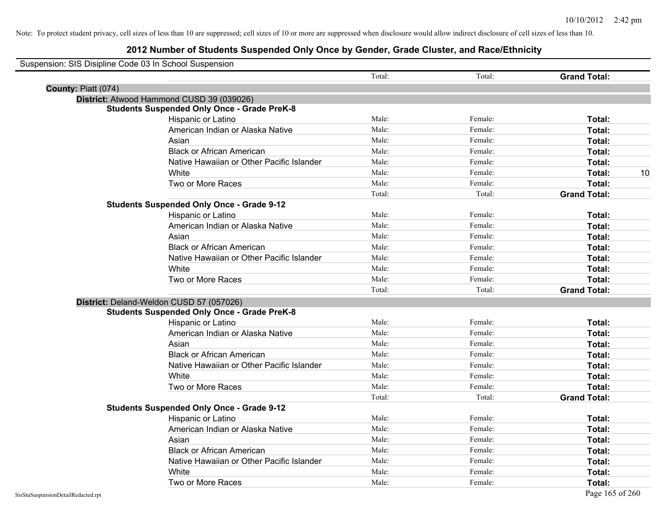|                     | Suspension: SIS Disipline Code 03 In School Suspension |        |         |                     |
|---------------------|--------------------------------------------------------|--------|---------|---------------------|
|                     |                                                        | Total: | Total:  | <b>Grand Total:</b> |
| County: Piatt (074) |                                                        |        |         |                     |
|                     | District: Atwood Hammond CUSD 39 (039026)              |        |         |                     |
|                     | <b>Students Suspended Only Once - Grade PreK-8</b>     |        |         |                     |
|                     | Hispanic or Latino                                     | Male:  | Female: | Total:              |
|                     | American Indian or Alaska Native                       | Male:  | Female: | Total:              |
|                     | Asian                                                  | Male:  | Female: | Total:              |
|                     | <b>Black or African American</b>                       | Male:  | Female: | Total:              |
|                     | Native Hawaiian or Other Pacific Islander              | Male:  | Female: | Total:              |
|                     | White                                                  | Male:  | Female: | 10<br>Total:        |
|                     | Two or More Races                                      | Male:  | Female: | Total:              |
|                     |                                                        | Total: | Total:  | <b>Grand Total:</b> |
|                     | <b>Students Suspended Only Once - Grade 9-12</b>       |        |         |                     |
|                     | Hispanic or Latino                                     | Male:  | Female: | Total:              |
|                     | American Indian or Alaska Native                       | Male:  | Female: | Total:              |
|                     | Asian                                                  | Male:  | Female: | Total:              |
|                     | <b>Black or African American</b>                       | Male:  | Female: | Total:              |
|                     | Native Hawaiian or Other Pacific Islander              | Male:  | Female: | Total:              |
|                     | White                                                  | Male:  | Female: | Total:              |
|                     | Two or More Races                                      | Male:  | Female: | Total:              |
|                     |                                                        | Total: | Total:  | <b>Grand Total:</b> |
|                     | District: Deland-Weldon CUSD 57 (057026)               |        |         |                     |
|                     | <b>Students Suspended Only Once - Grade PreK-8</b>     |        |         |                     |
|                     | Hispanic or Latino                                     | Male:  | Female: | Total:              |
|                     | American Indian or Alaska Native                       | Male:  | Female: | Total:              |
|                     | Asian                                                  | Male:  | Female: | Total:              |
|                     | <b>Black or African American</b>                       | Male:  | Female: | Total:              |
|                     | Native Hawaiian or Other Pacific Islander              | Male:  | Female: | Total:              |
|                     | White                                                  | Male:  | Female: | Total:              |
|                     | Two or More Races                                      | Male:  | Female: | Total:              |
|                     |                                                        | Total: | Total:  | <b>Grand Total:</b> |
|                     | <b>Students Suspended Only Once - Grade 9-12</b>       |        |         |                     |
|                     | Hispanic or Latino                                     | Male:  | Female: | Total:              |
|                     | American Indian or Alaska Native                       | Male:  | Female: | Total:              |
|                     | Asian                                                  | Male:  | Female: | Total:              |
|                     | <b>Black or African American</b>                       | Male:  | Female: | Total:              |
|                     | Native Hawaiian or Other Pacific Islander              | Male:  | Female: | Total:              |
|                     | White                                                  | Male:  | Female: | Total:              |
|                     | Two or More Races                                      | Male:  | Female: | Total:              |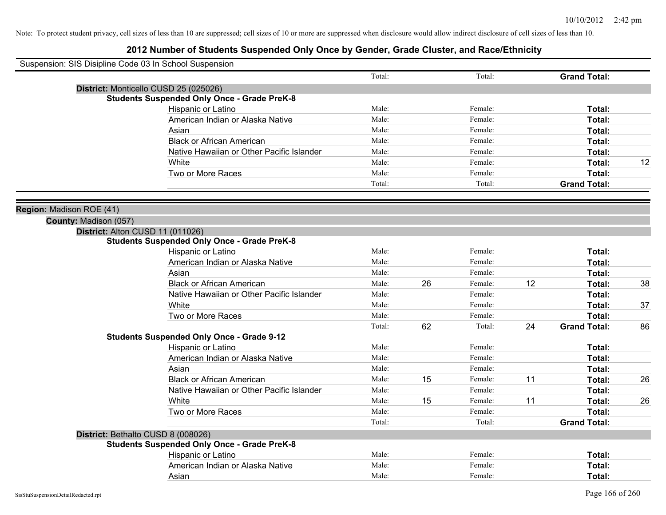| Suspension: SIS Disipline Code 03 In School Suspension |                                                    |        |    |         |    |                     |    |
|--------------------------------------------------------|----------------------------------------------------|--------|----|---------|----|---------------------|----|
|                                                        |                                                    | Total: |    | Total:  |    | <b>Grand Total:</b> |    |
|                                                        | District: Monticello CUSD 25 (025026)              |        |    |         |    |                     |    |
|                                                        | <b>Students Suspended Only Once - Grade PreK-8</b> |        |    |         |    |                     |    |
|                                                        | Hispanic or Latino                                 | Male:  |    | Female: |    | Total:              |    |
|                                                        | American Indian or Alaska Native                   | Male:  |    | Female: |    | Total:              |    |
|                                                        | Asian                                              | Male:  |    | Female: |    | Total:              |    |
|                                                        | <b>Black or African American</b>                   | Male:  |    | Female: |    | Total:              |    |
|                                                        | Native Hawaiian or Other Pacific Islander          | Male:  |    | Female: |    | Total:              |    |
|                                                        | White                                              | Male:  |    | Female: |    | Total:              | 12 |
|                                                        | Two or More Races                                  | Male:  |    | Female: |    | Total:              |    |
|                                                        |                                                    | Total: |    | Total:  |    | <b>Grand Total:</b> |    |
| Region: Madison ROE (41)                               |                                                    |        |    |         |    |                     |    |
| County: Madison (057)                                  |                                                    |        |    |         |    |                     |    |
|                                                        | District: Alton CUSD 11 (011026)                   |        |    |         |    |                     |    |
|                                                        | <b>Students Suspended Only Once - Grade PreK-8</b> |        |    |         |    |                     |    |
|                                                        | Hispanic or Latino                                 | Male:  |    | Female: |    | Total:              |    |
|                                                        | American Indian or Alaska Native                   | Male:  |    | Female: |    | Total:              |    |
|                                                        | Asian                                              | Male:  |    | Female: |    | Total:              |    |
|                                                        | <b>Black or African American</b>                   | Male:  | 26 | Female: | 12 | Total:              | 38 |
|                                                        | Native Hawaiian or Other Pacific Islander          | Male:  |    | Female: |    | Total:              |    |
|                                                        | White                                              | Male:  |    | Female: |    | Total:              | 37 |
|                                                        | Two or More Races                                  | Male:  |    | Female: |    | Total:              |    |
|                                                        |                                                    | Total: | 62 | Total:  | 24 | <b>Grand Total:</b> | 86 |
|                                                        | <b>Students Suspended Only Once - Grade 9-12</b>   |        |    |         |    |                     |    |
|                                                        | Hispanic or Latino                                 | Male:  |    | Female: |    | Total:              |    |
|                                                        | American Indian or Alaska Native                   | Male:  |    | Female: |    | Total:              |    |
|                                                        | Asian                                              | Male:  |    | Female: |    | Total:              |    |
|                                                        | <b>Black or African American</b>                   | Male:  | 15 | Female: | 11 | Total:              | 26 |
|                                                        | Native Hawaiian or Other Pacific Islander          | Male:  |    | Female: |    | Total:              |    |
|                                                        | White                                              | Male:  | 15 | Female: | 11 | Total:              | 26 |
|                                                        | Two or More Races                                  | Male:  |    | Female: |    | Total:              |    |
|                                                        |                                                    | Total: |    | Total:  |    | <b>Grand Total:</b> |    |
|                                                        | District: Bethalto CUSD 8 (008026)                 |        |    |         |    |                     |    |
|                                                        | <b>Students Suspended Only Once - Grade PreK-8</b> |        |    |         |    |                     |    |
|                                                        | Hispanic or Latino                                 | Male:  |    | Female: |    | Total:              |    |
|                                                        | American Indian or Alaska Native                   | Male:  |    | Female: |    | Total:              |    |
|                                                        | Asian                                              | Male:  |    | Female: |    | Total:              |    |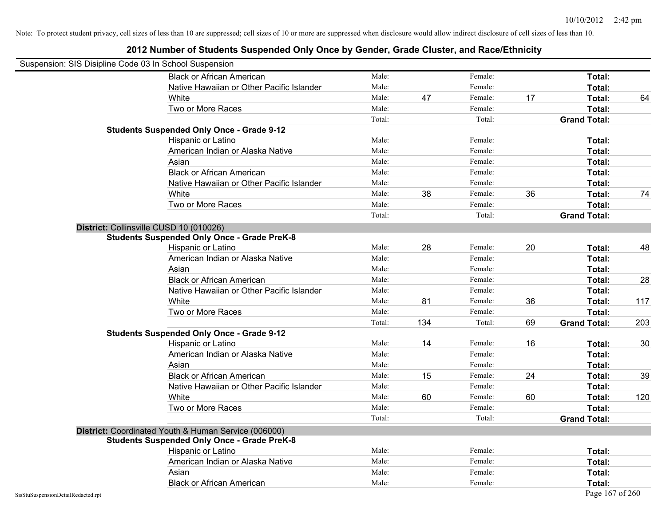| Suspension: SIS Disipline Code 03 In School Suspension |                                                                                                            |        |     |         |    |                     |     |
|--------------------------------------------------------|------------------------------------------------------------------------------------------------------------|--------|-----|---------|----|---------------------|-----|
|                                                        | <b>Black or African American</b>                                                                           | Male:  |     | Female: |    | Total:              |     |
|                                                        | Native Hawaiian or Other Pacific Islander                                                                  | Male:  |     | Female: |    | Total:              |     |
|                                                        | White                                                                                                      | Male:  | 47  | Female: | 17 | Total:              | 64  |
|                                                        | Two or More Races                                                                                          | Male:  |     | Female: |    | Total:              |     |
|                                                        |                                                                                                            | Total: |     | Total:  |    | <b>Grand Total:</b> |     |
|                                                        | <b>Students Suspended Only Once - Grade 9-12</b>                                                           |        |     |         |    |                     |     |
|                                                        | Hispanic or Latino                                                                                         | Male:  |     | Female: |    | Total:              |     |
|                                                        | American Indian or Alaska Native                                                                           | Male:  |     | Female: |    | Total:              |     |
|                                                        | Asian                                                                                                      | Male:  |     | Female: |    | Total:              |     |
|                                                        | <b>Black or African American</b>                                                                           | Male:  |     | Female: |    | <b>Total:</b>       |     |
|                                                        | Native Hawaiian or Other Pacific Islander                                                                  | Male:  |     | Female: |    | Total:              |     |
|                                                        | White                                                                                                      | Male:  | 38  | Female: | 36 | Total:              | 74  |
|                                                        | Two or More Races                                                                                          | Male:  |     | Female: |    | Total:              |     |
|                                                        |                                                                                                            | Total: |     | Total:  |    | <b>Grand Total:</b> |     |
|                                                        | District: Collinsville CUSD 10 (010026)                                                                    |        |     |         |    |                     |     |
|                                                        | <b>Students Suspended Only Once - Grade PreK-8</b>                                                         |        |     |         |    |                     |     |
|                                                        | Hispanic or Latino                                                                                         | Male:  | 28  | Female: | 20 | Total:              | 48  |
|                                                        | American Indian or Alaska Native                                                                           | Male:  |     | Female: |    | Total:              |     |
|                                                        | Asian                                                                                                      | Male:  |     | Female: |    | Total:              |     |
|                                                        | <b>Black or African American</b>                                                                           | Male:  |     | Female: |    | Total:              | 28  |
|                                                        | Native Hawaiian or Other Pacific Islander                                                                  | Male:  |     | Female: |    | Total:              |     |
|                                                        | White                                                                                                      | Male:  | 81  | Female: | 36 | Total:              | 117 |
|                                                        | Two or More Races                                                                                          | Male:  |     | Female: |    | Total:              |     |
|                                                        |                                                                                                            | Total: | 134 | Total:  | 69 | <b>Grand Total:</b> | 203 |
|                                                        | <b>Students Suspended Only Once - Grade 9-12</b>                                                           |        |     |         |    |                     |     |
|                                                        | Hispanic or Latino                                                                                         | Male:  | 14  | Female: | 16 | Total:              | 30  |
|                                                        | American Indian or Alaska Native                                                                           | Male:  |     | Female: |    | Total:              |     |
|                                                        | Asian                                                                                                      | Male:  |     | Female: |    | Total:              |     |
|                                                        | <b>Black or African American</b>                                                                           | Male:  | 15  | Female: | 24 | Total:              | 39  |
|                                                        | Native Hawaiian or Other Pacific Islander                                                                  | Male:  |     | Female: |    | Total:              |     |
|                                                        | White                                                                                                      | Male:  | 60  | Female: | 60 | Total:              | 120 |
|                                                        | Two or More Races                                                                                          | Male:  |     | Female: |    | Total:              |     |
|                                                        |                                                                                                            | Total: |     | Total:  |    | <b>Grand Total:</b> |     |
|                                                        | District: Coordinated Youth & Human Service (006000)<br><b>Students Suspended Only Once - Grade PreK-8</b> |        |     |         |    |                     |     |
|                                                        | Hispanic or Latino                                                                                         | Male:  |     | Female: |    | Total:              |     |
|                                                        | American Indian or Alaska Native                                                                           | Male:  |     | Female: |    | Total:              |     |
|                                                        | Asian                                                                                                      | Male:  |     | Female: |    | Total:              |     |
|                                                        | <b>Black or African American</b>                                                                           | Male:  |     | Female: |    | Total:              |     |
| SisStuSuspensionDetailRedacted.rpt                     |                                                                                                            |        |     |         |    | Page 167 of 260     |     |
|                                                        |                                                                                                            |        |     |         |    |                     |     |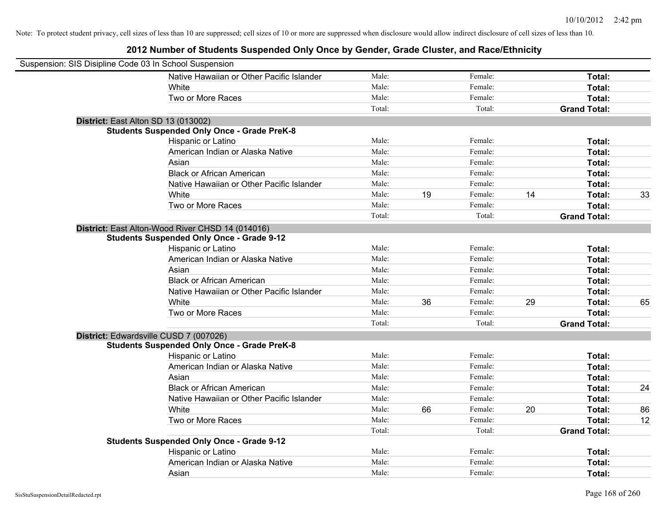| Suspension: SIS Disipline Code 03 In School Suspension |                                                    |        |    |         |    |                     |    |
|--------------------------------------------------------|----------------------------------------------------|--------|----|---------|----|---------------------|----|
|                                                        | Native Hawaiian or Other Pacific Islander          | Male:  |    | Female: |    | Total:              |    |
|                                                        | White                                              | Male:  |    | Female: |    | Total:              |    |
|                                                        | Two or More Races                                  | Male:  |    | Female: |    | Total:              |    |
|                                                        |                                                    | Total: |    | Total:  |    | <b>Grand Total:</b> |    |
| District: East Alton SD 13 (013002)                    |                                                    |        |    |         |    |                     |    |
|                                                        | <b>Students Suspended Only Once - Grade PreK-8</b> |        |    |         |    |                     |    |
|                                                        | Hispanic or Latino                                 | Male:  |    | Female: |    | Total:              |    |
|                                                        | American Indian or Alaska Native                   | Male:  |    | Female: |    | Total:              |    |
|                                                        | Asian                                              | Male:  |    | Female: |    | Total:              |    |
|                                                        | <b>Black or African American</b>                   | Male:  |    | Female: |    | Total:              |    |
|                                                        | Native Hawaiian or Other Pacific Islander          | Male:  |    | Female: |    | Total:              |    |
|                                                        | White                                              | Male:  | 19 | Female: | 14 | Total:              | 33 |
|                                                        | Two or More Races                                  | Male:  |    | Female: |    | Total:              |    |
|                                                        |                                                    | Total: |    | Total:  |    | <b>Grand Total:</b> |    |
|                                                        | District: East Alton-Wood River CHSD 14 (014016)   |        |    |         |    |                     |    |
|                                                        | <b>Students Suspended Only Once - Grade 9-12</b>   |        |    |         |    |                     |    |
|                                                        | Hispanic or Latino                                 | Male:  |    | Female: |    | Total:              |    |
|                                                        | American Indian or Alaska Native                   | Male:  |    | Female: |    | Total:              |    |
|                                                        | Asian                                              | Male:  |    | Female: |    | Total:              |    |
|                                                        | <b>Black or African American</b>                   | Male:  |    | Female: |    | Total:              |    |
|                                                        | Native Hawaiian or Other Pacific Islander          | Male:  |    | Female: |    | Total:              |    |
|                                                        | White                                              | Male:  | 36 | Female: | 29 | Total:              | 65 |
|                                                        | Two or More Races                                  | Male:  |    | Female: |    | Total:              |    |
|                                                        |                                                    | Total: |    | Total:  |    | <b>Grand Total:</b> |    |
| District: Edwardsville CUSD 7 (007026)                 |                                                    |        |    |         |    |                     |    |
|                                                        | <b>Students Suspended Only Once - Grade PreK-8</b> |        |    |         |    |                     |    |
|                                                        | Hispanic or Latino                                 | Male:  |    | Female: |    | Total:              |    |
|                                                        | American Indian or Alaska Native                   | Male:  |    | Female: |    | Total:              |    |
|                                                        | Asian                                              | Male:  |    | Female: |    | Total:              |    |
|                                                        | <b>Black or African American</b>                   | Male:  |    | Female: |    | Total:              | 24 |
|                                                        | Native Hawaiian or Other Pacific Islander          | Male:  |    | Female: |    | Total:              |    |
|                                                        | White                                              | Male:  | 66 | Female: | 20 | Total:              | 86 |
|                                                        | Two or More Races                                  | Male:  |    | Female: |    | Total:              | 12 |
|                                                        |                                                    | Total: |    | Total:  |    | <b>Grand Total:</b> |    |
|                                                        | <b>Students Suspended Only Once - Grade 9-12</b>   |        |    |         |    |                     |    |
|                                                        | Hispanic or Latino                                 | Male:  |    | Female: |    | Total:              |    |
|                                                        | American Indian or Alaska Native                   | Male:  |    | Female: |    | Total:              |    |
|                                                        | Asian                                              | Male:  |    | Female: |    | Total:              |    |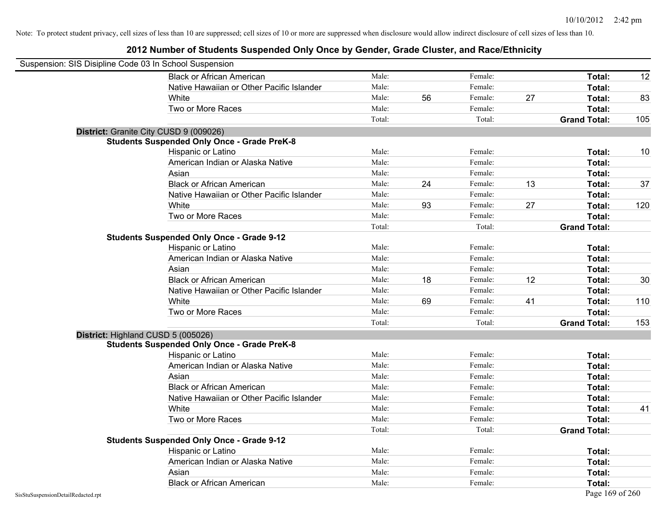|                                    | Suspension: SIS Disipline Code 03 In School Suspension |        |    |         |    |                     |     |
|------------------------------------|--------------------------------------------------------|--------|----|---------|----|---------------------|-----|
|                                    | <b>Black or African American</b>                       | Male:  |    | Female: |    | <b>Total:</b>       | 12  |
|                                    | Native Hawaiian or Other Pacific Islander              | Male:  |    | Female: |    | Total:              |     |
|                                    | White                                                  | Male:  | 56 | Female: | 27 | Total:              | 83  |
|                                    | Two or More Races                                      | Male:  |    | Female: |    | Total:              |     |
|                                    |                                                        | Total: |    | Total:  |    | <b>Grand Total:</b> | 105 |
|                                    | District: Granite City CUSD 9 (009026)                 |        |    |         |    |                     |     |
|                                    | <b>Students Suspended Only Once - Grade PreK-8</b>     |        |    |         |    |                     |     |
|                                    | Hispanic or Latino                                     | Male:  |    | Female: |    | Total:              | 10  |
|                                    | American Indian or Alaska Native                       | Male:  |    | Female: |    | Total:              |     |
|                                    | Asian                                                  | Male:  |    | Female: |    | Total:              |     |
|                                    | <b>Black or African American</b>                       | Male:  | 24 | Female: | 13 | Total:              | 37  |
|                                    | Native Hawaiian or Other Pacific Islander              | Male:  |    | Female: |    | Total:              |     |
|                                    | White                                                  | Male:  | 93 | Female: | 27 | Total:              | 120 |
|                                    | Two or More Races                                      | Male:  |    | Female: |    | Total:              |     |
|                                    |                                                        | Total: |    | Total:  |    | <b>Grand Total:</b> |     |
|                                    | <b>Students Suspended Only Once - Grade 9-12</b>       |        |    |         |    |                     |     |
|                                    | Hispanic or Latino                                     | Male:  |    | Female: |    | Total:              |     |
|                                    | American Indian or Alaska Native                       | Male:  |    | Female: |    | Total:              |     |
|                                    | Asian                                                  | Male:  |    | Female: |    | Total:              |     |
|                                    | <b>Black or African American</b>                       | Male:  | 18 | Female: | 12 | Total:              | 30  |
|                                    | Native Hawaiian or Other Pacific Islander              | Male:  |    | Female: |    | Total:              |     |
|                                    | White                                                  | Male:  | 69 | Female: | 41 | Total:              | 110 |
|                                    | Two or More Races                                      | Male:  |    | Female: |    | Total:              |     |
|                                    |                                                        | Total: |    | Total:  |    | <b>Grand Total:</b> | 153 |
|                                    | District: Highland CUSD 5 (005026)                     |        |    |         |    |                     |     |
|                                    | <b>Students Suspended Only Once - Grade PreK-8</b>     |        |    |         |    |                     |     |
|                                    | Hispanic or Latino                                     | Male:  |    | Female: |    | Total:              |     |
|                                    | American Indian or Alaska Native                       | Male:  |    | Female: |    | Total:              |     |
|                                    | Asian                                                  | Male:  |    | Female: |    | Total:              |     |
|                                    | <b>Black or African American</b>                       | Male:  |    | Female: |    | Total:              |     |
|                                    | Native Hawaiian or Other Pacific Islander              | Male:  |    | Female: |    | Total:              |     |
|                                    | White                                                  | Male:  |    | Female: |    | Total:              | 41  |
|                                    | Two or More Races                                      | Male:  |    | Female: |    | Total:              |     |
|                                    |                                                        | Total: |    | Total:  |    | <b>Grand Total:</b> |     |
|                                    | <b>Students Suspended Only Once - Grade 9-12</b>       |        |    |         |    |                     |     |
|                                    | Hispanic or Latino                                     | Male:  |    | Female: |    | Total:              |     |
|                                    | American Indian or Alaska Native                       | Male:  |    | Female: |    | Total:              |     |
|                                    | Asian                                                  | Male:  |    | Female: |    | Total:              |     |
|                                    | <b>Black or African American</b>                       | Male:  |    | Female: |    | Total:              |     |
| SisStuSuspensionDetailRedacted.rpt |                                                        |        |    |         |    | Page 169 of 260     |     |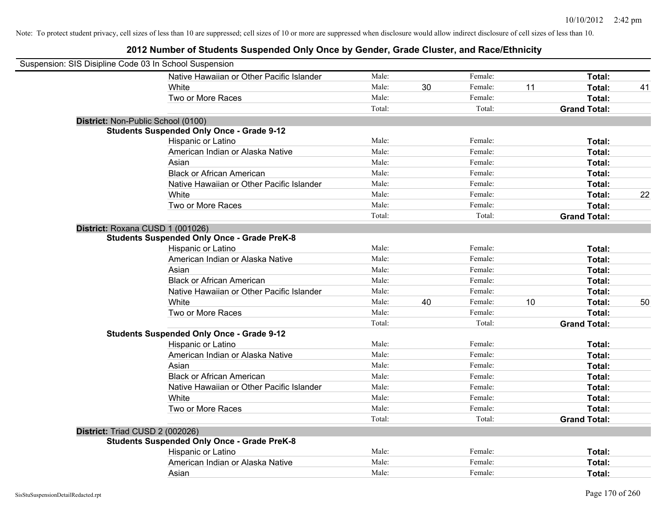| Suspension: SIS Disipline Code 03 In School Suspension |                                                    |        |    |         |    |                     |    |
|--------------------------------------------------------|----------------------------------------------------|--------|----|---------|----|---------------------|----|
|                                                        | Native Hawaiian or Other Pacific Islander          | Male:  |    | Female: |    | Total:              |    |
|                                                        | White                                              | Male:  | 30 | Female: | 11 | Total:              | 41 |
|                                                        | Two or More Races                                  | Male:  |    | Female: |    | Total:              |    |
|                                                        |                                                    | Total: |    | Total:  |    | <b>Grand Total:</b> |    |
| District: Non-Public School (0100)                     |                                                    |        |    |         |    |                     |    |
|                                                        | <b>Students Suspended Only Once - Grade 9-12</b>   |        |    |         |    |                     |    |
|                                                        | Hispanic or Latino                                 | Male:  |    | Female: |    | Total:              |    |
|                                                        | American Indian or Alaska Native                   | Male:  |    | Female: |    | Total:              |    |
|                                                        | Asian                                              | Male:  |    | Female: |    | Total:              |    |
|                                                        | <b>Black or African American</b>                   | Male:  |    | Female: |    | Total:              |    |
|                                                        | Native Hawaiian or Other Pacific Islander          | Male:  |    | Female: |    | Total:              |    |
|                                                        | White                                              | Male:  |    | Female: |    | Total:              | 22 |
|                                                        | Two or More Races                                  | Male:  |    | Female: |    | Total:              |    |
|                                                        |                                                    | Total: |    | Total:  |    | <b>Grand Total:</b> |    |
| District: Roxana CUSD 1 (001026)                       |                                                    |        |    |         |    |                     |    |
|                                                        | <b>Students Suspended Only Once - Grade PreK-8</b> |        |    |         |    |                     |    |
|                                                        | Hispanic or Latino                                 | Male:  |    | Female: |    | Total:              |    |
|                                                        | American Indian or Alaska Native                   | Male:  |    | Female: |    | Total:              |    |
|                                                        | Asian                                              | Male:  |    | Female: |    | Total:              |    |
|                                                        | <b>Black or African American</b>                   | Male:  |    | Female: |    | Total:              |    |
|                                                        | Native Hawaiian or Other Pacific Islander          | Male:  |    | Female: |    | Total:              |    |
|                                                        | White                                              | Male:  | 40 | Female: | 10 | Total:              | 50 |
|                                                        | Two or More Races                                  | Male:  |    | Female: |    | Total:              |    |
|                                                        |                                                    | Total: |    | Total:  |    | <b>Grand Total:</b> |    |
|                                                        | <b>Students Suspended Only Once - Grade 9-12</b>   |        |    |         |    |                     |    |
|                                                        | Hispanic or Latino                                 | Male:  |    | Female: |    | Total:              |    |
|                                                        | American Indian or Alaska Native                   | Male:  |    | Female: |    | Total:              |    |
|                                                        | Asian                                              | Male:  |    | Female: |    | Total:              |    |
|                                                        | <b>Black or African American</b>                   | Male:  |    | Female: |    | Total:              |    |
|                                                        | Native Hawaiian or Other Pacific Islander          | Male:  |    | Female: |    | Total:              |    |
|                                                        | White                                              | Male:  |    | Female: |    | Total:              |    |
|                                                        | Two or More Races                                  | Male:  |    | Female: |    | Total:              |    |
|                                                        |                                                    | Total: |    | Total:  |    | <b>Grand Total:</b> |    |
| District: Triad CUSD 2 (002026)                        |                                                    |        |    |         |    |                     |    |
|                                                        | <b>Students Suspended Only Once - Grade PreK-8</b> |        |    |         |    |                     |    |
|                                                        | Hispanic or Latino                                 | Male:  |    | Female: |    | Total:              |    |
|                                                        | American Indian or Alaska Native                   | Male:  |    | Female: |    | Total:              |    |
|                                                        | Asian                                              | Male:  |    | Female: |    | Total:              |    |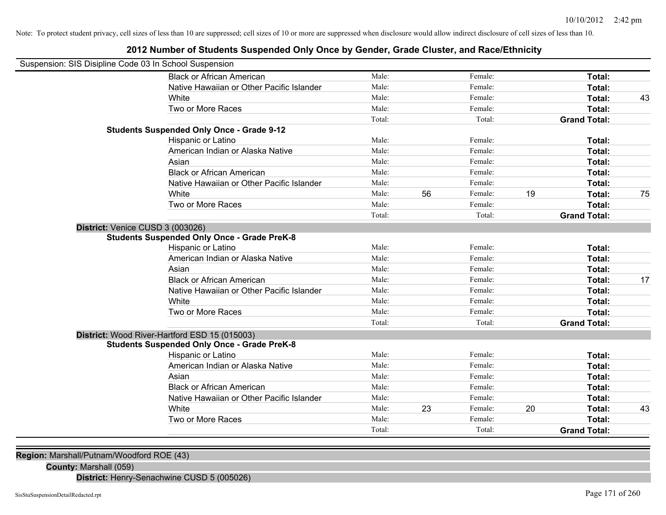## **2012 Number of Students Suspended Only Once by Gender, Grade Cluster, and Race/Ethnicity**

| Suspension: SIS Disipline Code 03 In School Suspension |        |    |         |    |                     |    |
|--------------------------------------------------------|--------|----|---------|----|---------------------|----|
| <b>Black or African American</b>                       | Male:  |    | Female: |    | Total:              |    |
| Native Hawaiian or Other Pacific Islander              | Male:  |    | Female: |    | Total:              |    |
| White                                                  | Male:  |    | Female: |    | Total:              | 43 |
| Two or More Races                                      | Male:  |    | Female: |    | Total:              |    |
|                                                        | Total: |    | Total:  |    | <b>Grand Total:</b> |    |
| <b>Students Suspended Only Once - Grade 9-12</b>       |        |    |         |    |                     |    |
| Hispanic or Latino                                     | Male:  |    | Female: |    | Total:              |    |
| American Indian or Alaska Native                       | Male:  |    | Female: |    | Total:              |    |
| Asian                                                  | Male:  |    | Female: |    | Total:              |    |
| <b>Black or African American</b>                       | Male:  |    | Female: |    | Total:              |    |
| Native Hawaiian or Other Pacific Islander              | Male:  |    | Female: |    | Total:              |    |
| White                                                  | Male:  | 56 | Female: | 19 | Total:              | 75 |
| Two or More Races                                      | Male:  |    | Female: |    | Total:              |    |
|                                                        | Total: |    | Total:  |    | <b>Grand Total:</b> |    |
| District: Venice CUSD 3 (003026)                       |        |    |         |    |                     |    |
| <b>Students Suspended Only Once - Grade PreK-8</b>     |        |    |         |    |                     |    |
| Hispanic or Latino                                     | Male:  |    | Female: |    | Total:              |    |
| American Indian or Alaska Native                       | Male:  |    | Female: |    | Total:              |    |
| Asian                                                  | Male:  |    | Female: |    | Total:              |    |
| <b>Black or African American</b>                       | Male:  |    | Female: |    | Total:              | 17 |
| Native Hawaiian or Other Pacific Islander              | Male:  |    | Female: |    | Total:              |    |
| White                                                  | Male:  |    | Female: |    | Total:              |    |
| Two or More Races                                      | Male:  |    | Female: |    | Total:              |    |
|                                                        | Total: |    | Total:  |    | <b>Grand Total:</b> |    |
| District: Wood River-Hartford ESD 15 (015003)          |        |    |         |    |                     |    |
| <b>Students Suspended Only Once - Grade PreK-8</b>     |        |    |         |    |                     |    |
| Hispanic or Latino                                     | Male:  |    | Female: |    | Total:              |    |
| American Indian or Alaska Native                       | Male:  |    | Female: |    | Total:              |    |
| Asian                                                  | Male:  |    | Female: |    | Total:              |    |
| <b>Black or African American</b>                       | Male:  |    | Female: |    | Total:              |    |
| Native Hawaiian or Other Pacific Islander              | Male:  |    | Female: |    | Total:              |    |
| White                                                  | Male:  | 23 | Female: | 20 | Total:              | 43 |
| Two or More Races                                      | Male:  |    | Female: |    | Total:              |    |
|                                                        | Total: |    | Total:  |    | <b>Grand Total:</b> |    |

**Region:** Marshall/Putnam/Woodford ROE (43)

**County:** Marshall (059)

**District:** Henry-Senachwine CUSD 5 (005026)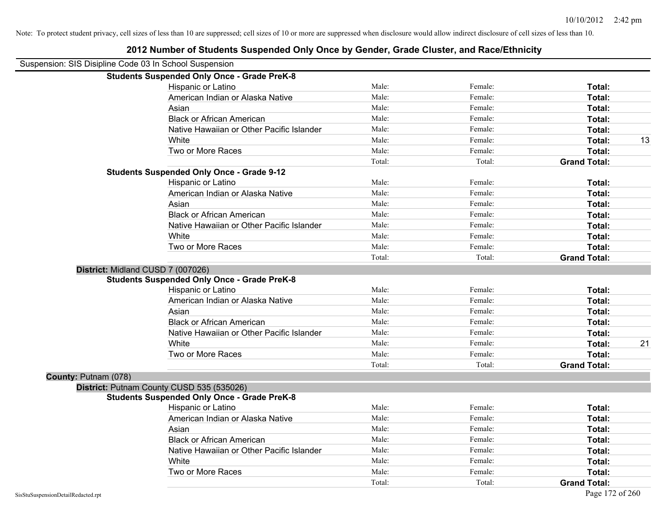| Suspension: SIS Disipline Code 03 In School Suspension |                                                    |        |         |                     |    |
|--------------------------------------------------------|----------------------------------------------------|--------|---------|---------------------|----|
|                                                        | <b>Students Suspended Only Once - Grade PreK-8</b> |        |         |                     |    |
|                                                        | Hispanic or Latino                                 | Male:  | Female: | Total:              |    |
|                                                        | American Indian or Alaska Native                   | Male:  | Female: | Total:              |    |
|                                                        | Asian                                              | Male:  | Female: | Total:              |    |
|                                                        | <b>Black or African American</b>                   | Male:  | Female: | Total:              |    |
|                                                        | Native Hawaiian or Other Pacific Islander          | Male:  | Female: | Total:              |    |
|                                                        | White                                              | Male:  | Female: | Total:              | 13 |
|                                                        | Two or More Races                                  | Male:  | Female: | Total:              |    |
|                                                        |                                                    | Total: | Total:  | <b>Grand Total:</b> |    |
|                                                        | <b>Students Suspended Only Once - Grade 9-12</b>   |        |         |                     |    |
|                                                        | Hispanic or Latino                                 | Male:  | Female: | Total:              |    |
|                                                        | American Indian or Alaska Native                   | Male:  | Female: | Total:              |    |
|                                                        | Asian                                              | Male:  | Female: | Total:              |    |
|                                                        | <b>Black or African American</b>                   | Male:  | Female: | Total:              |    |
|                                                        | Native Hawaiian or Other Pacific Islander          | Male:  | Female: | Total:              |    |
|                                                        | White                                              | Male:  | Female: | Total:              |    |
|                                                        | Two or More Races                                  | Male:  | Female: | Total:              |    |
|                                                        |                                                    | Total: | Total:  | <b>Grand Total:</b> |    |
|                                                        | District: Midland CUSD 7 (007026)                  |        |         |                     |    |
|                                                        | <b>Students Suspended Only Once - Grade PreK-8</b> |        |         |                     |    |
|                                                        | Hispanic or Latino                                 | Male:  | Female: | Total:              |    |
|                                                        | American Indian or Alaska Native                   | Male:  | Female: | Total:              |    |
|                                                        | Asian                                              | Male:  | Female: | Total:              |    |
|                                                        | <b>Black or African American</b>                   | Male:  | Female: | Total:              |    |
|                                                        | Native Hawaiian or Other Pacific Islander          | Male:  | Female: | Total:              |    |
|                                                        | White                                              | Male:  | Female: | Total:              | 21 |
|                                                        | Two or More Races                                  | Male:  | Female: | Total:              |    |
|                                                        |                                                    | Total: | Total:  | <b>Grand Total:</b> |    |
| County: Putnam (078)                                   |                                                    |        |         |                     |    |
|                                                        | District: Putnam County CUSD 535 (535026)          |        |         |                     |    |
|                                                        | <b>Students Suspended Only Once - Grade PreK-8</b> |        |         |                     |    |
|                                                        | Hispanic or Latino                                 | Male:  | Female: | Total:              |    |
|                                                        | American Indian or Alaska Native                   | Male:  | Female: | Total:              |    |
|                                                        | Asian                                              | Male:  | Female: | Total:              |    |
|                                                        | <b>Black or African American</b>                   | Male:  | Female: | Total:              |    |
|                                                        | Native Hawaiian or Other Pacific Islander          | Male:  | Female: | Total:              |    |
|                                                        | White                                              | Male:  | Female: | Total:              |    |
|                                                        | Two or More Races                                  | Male:  | Female: | Total:              |    |
|                                                        |                                                    | Total: | Total:  | <b>Grand Total:</b> |    |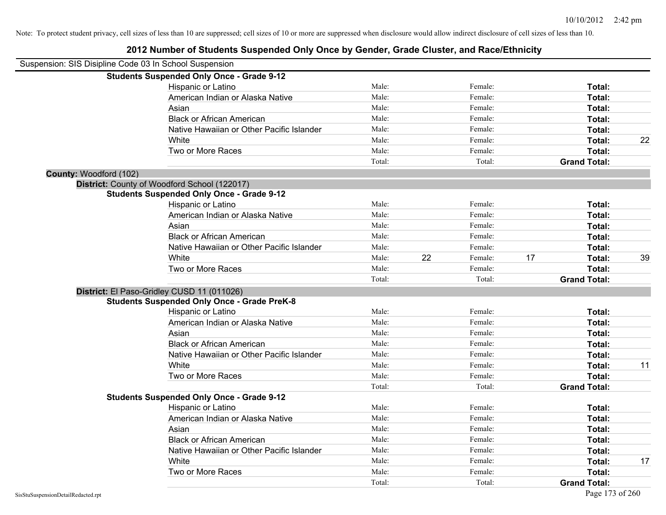| Suspension: SIS Disipline Code 03 In School Suspension |                                                    |        |    |         |    |                     |    |
|--------------------------------------------------------|----------------------------------------------------|--------|----|---------|----|---------------------|----|
|                                                        | <b>Students Suspended Only Once - Grade 9-12</b>   |        |    |         |    |                     |    |
|                                                        | Hispanic or Latino                                 | Male:  |    | Female: |    | Total:              |    |
|                                                        | American Indian or Alaska Native                   | Male:  |    | Female: |    | Total:              |    |
|                                                        | Asian                                              | Male:  |    | Female: |    | Total:              |    |
|                                                        | <b>Black or African American</b>                   | Male:  |    | Female: |    | Total:              |    |
|                                                        | Native Hawaiian or Other Pacific Islander          | Male:  |    | Female: |    | Total:              |    |
|                                                        | White                                              | Male:  |    | Female: |    | Total:              | 22 |
|                                                        | Two or More Races                                  | Male:  |    | Female: |    | Total:              |    |
|                                                        |                                                    | Total: |    | Total:  |    | <b>Grand Total:</b> |    |
| County: Woodford (102)                                 |                                                    |        |    |         |    |                     |    |
|                                                        | District: County of Woodford School (122017)       |        |    |         |    |                     |    |
|                                                        | <b>Students Suspended Only Once - Grade 9-12</b>   |        |    |         |    |                     |    |
|                                                        | Hispanic or Latino                                 | Male:  |    | Female: |    | Total:              |    |
|                                                        | American Indian or Alaska Native                   | Male:  |    | Female: |    | Total:              |    |
|                                                        | Asian                                              | Male:  |    | Female: |    | Total:              |    |
|                                                        | <b>Black or African American</b>                   | Male:  |    | Female: |    | Total:              |    |
|                                                        | Native Hawaiian or Other Pacific Islander          | Male:  |    | Female: |    | Total:              |    |
|                                                        | White                                              | Male:  | 22 | Female: | 17 | Total:              | 39 |
|                                                        | Two or More Races                                  | Male:  |    | Female: |    | Total:              |    |
|                                                        |                                                    | Total: |    | Total:  |    | <b>Grand Total:</b> |    |
|                                                        | District: El Paso-Gridley CUSD 11 (011026)         |        |    |         |    |                     |    |
|                                                        | <b>Students Suspended Only Once - Grade PreK-8</b> |        |    |         |    |                     |    |
|                                                        | Hispanic or Latino                                 | Male:  |    | Female: |    | Total:              |    |
|                                                        | American Indian or Alaska Native                   | Male:  |    | Female: |    | Total:              |    |
|                                                        | Asian                                              | Male:  |    | Female: |    | Total:              |    |
|                                                        | <b>Black or African American</b>                   | Male:  |    | Female: |    | Total:              |    |
|                                                        | Native Hawaiian or Other Pacific Islander          | Male:  |    | Female: |    | Total:              |    |
|                                                        | White                                              | Male:  |    | Female: |    | Total:              | 11 |
|                                                        | Two or More Races                                  | Male:  |    | Female: |    | Total:              |    |
|                                                        |                                                    | Total: |    | Total:  |    | <b>Grand Total:</b> |    |
|                                                        | <b>Students Suspended Only Once - Grade 9-12</b>   |        |    |         |    |                     |    |
|                                                        | Hispanic or Latino                                 | Male:  |    | Female: |    | Total:              |    |
|                                                        | American Indian or Alaska Native                   | Male:  |    | Female: |    | Total:              |    |
|                                                        | Asian                                              | Male:  |    | Female: |    | Total:              |    |
|                                                        | <b>Black or African American</b>                   | Male:  |    | Female: |    | Total:              |    |
|                                                        | Native Hawaiian or Other Pacific Islander          | Male:  |    | Female: |    | Total:              |    |
|                                                        | White                                              | Male:  |    | Female: |    | Total:              | 17 |
|                                                        | Two or More Races                                  | Male:  |    | Female: |    | Total:              |    |
|                                                        |                                                    | Total: |    | Total:  |    | <b>Grand Total:</b> |    |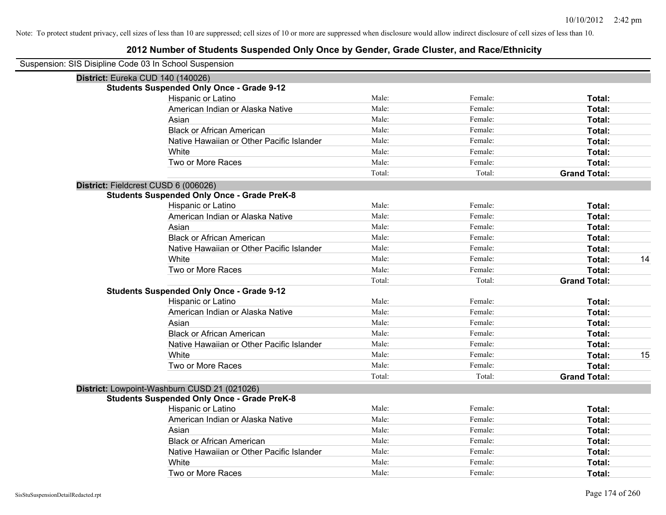| Suspension: SIS Disipline Code 03 In School Suspension |                                                    |        |         |                     |    |
|--------------------------------------------------------|----------------------------------------------------|--------|---------|---------------------|----|
|                                                        | District: Eureka CUD 140 (140026)                  |        |         |                     |    |
|                                                        | <b>Students Suspended Only Once - Grade 9-12</b>   |        |         |                     |    |
|                                                        | Hispanic or Latino                                 | Male:  | Female: | Total:              |    |
|                                                        | American Indian or Alaska Native                   | Male:  | Female: | Total:              |    |
|                                                        | Asian                                              | Male:  | Female: | Total:              |    |
|                                                        | <b>Black or African American</b>                   | Male:  | Female: | Total:              |    |
|                                                        | Native Hawaiian or Other Pacific Islander          | Male:  | Female: | Total:              |    |
|                                                        | White                                              | Male:  | Female: | Total:              |    |
|                                                        | Two or More Races                                  | Male:  | Female: | Total:              |    |
|                                                        |                                                    | Total: | Total:  | <b>Grand Total:</b> |    |
|                                                        | District: Fieldcrest CUSD 6 (006026)               |        |         |                     |    |
|                                                        | <b>Students Suspended Only Once - Grade PreK-8</b> |        |         |                     |    |
|                                                        | Hispanic or Latino                                 | Male:  | Female: | Total:              |    |
|                                                        | American Indian or Alaska Native                   | Male:  | Female: | Total:              |    |
|                                                        | Asian                                              | Male:  | Female: | Total:              |    |
|                                                        | <b>Black or African American</b>                   | Male:  | Female: | Total:              |    |
|                                                        | Native Hawaiian or Other Pacific Islander          | Male:  | Female: | Total:              |    |
|                                                        | White                                              | Male:  | Female: | Total:              | 14 |
|                                                        | Two or More Races                                  | Male:  | Female: | Total:              |    |
|                                                        |                                                    | Total: | Total:  | <b>Grand Total:</b> |    |
|                                                        | <b>Students Suspended Only Once - Grade 9-12</b>   |        |         |                     |    |
|                                                        | Hispanic or Latino                                 | Male:  | Female: | Total:              |    |
|                                                        | American Indian or Alaska Native                   | Male:  | Female: | Total:              |    |
|                                                        | Asian                                              | Male:  | Female: | Total:              |    |
|                                                        | <b>Black or African American</b>                   | Male:  | Female: | Total:              |    |
|                                                        | Native Hawaiian or Other Pacific Islander          | Male:  | Female: | Total:              |    |
|                                                        | White                                              | Male:  | Female: | Total:              | 15 |
|                                                        | Two or More Races                                  | Male:  | Female: | <b>Total:</b>       |    |
|                                                        |                                                    | Total: | Total:  | <b>Grand Total:</b> |    |
|                                                        | District: Lowpoint-Washburn CUSD 21 (021026)       |        |         |                     |    |
|                                                        | <b>Students Suspended Only Once - Grade PreK-8</b> |        |         |                     |    |
|                                                        | Hispanic or Latino                                 | Male:  | Female: | Total:              |    |
|                                                        | American Indian or Alaska Native                   | Male:  | Female: | Total:              |    |
|                                                        | Asian                                              | Male:  | Female: | Total:              |    |
|                                                        | <b>Black or African American</b>                   | Male:  | Female: | Total:              |    |
|                                                        | Native Hawaiian or Other Pacific Islander          | Male:  | Female: | Total:              |    |
|                                                        | White                                              | Male:  | Female: | Total:              |    |
|                                                        | Two or More Races                                  | Male:  | Female: | Total:              |    |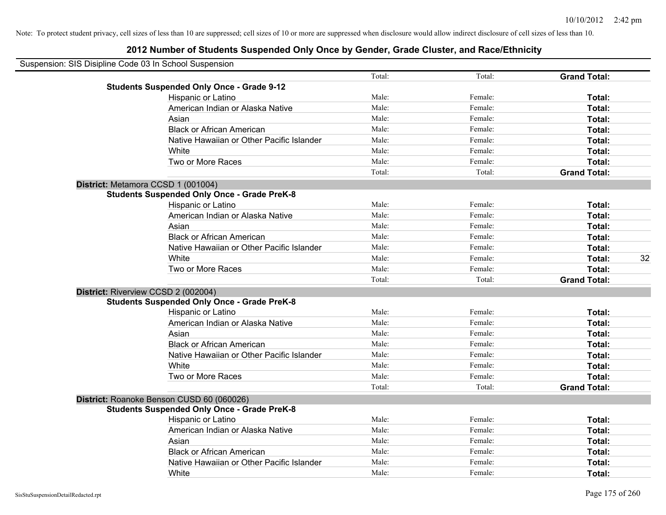| Suspension: SIS Disipline Code 03 In School Suspension |                                                    |        |         |                     |    |
|--------------------------------------------------------|----------------------------------------------------|--------|---------|---------------------|----|
|                                                        |                                                    | Total: | Total:  | <b>Grand Total:</b> |    |
|                                                        | <b>Students Suspended Only Once - Grade 9-12</b>   |        |         |                     |    |
|                                                        | Hispanic or Latino                                 | Male:  | Female: | Total:              |    |
|                                                        | American Indian or Alaska Native                   | Male:  | Female: | Total:              |    |
|                                                        | Asian                                              | Male:  | Female: | Total:              |    |
|                                                        | <b>Black or African American</b>                   | Male:  | Female: | Total:              |    |
|                                                        | Native Hawaiian or Other Pacific Islander          | Male:  | Female: | Total:              |    |
|                                                        | White                                              | Male:  | Female: | Total:              |    |
|                                                        | Two or More Races                                  | Male:  | Female: | Total:              |    |
|                                                        |                                                    | Total: | Total:  | <b>Grand Total:</b> |    |
|                                                        | District: Metamora CCSD 1 (001004)                 |        |         |                     |    |
|                                                        | <b>Students Suspended Only Once - Grade PreK-8</b> |        |         |                     |    |
|                                                        | Hispanic or Latino                                 | Male:  | Female: | Total:              |    |
|                                                        | American Indian or Alaska Native                   | Male:  | Female: | Total:              |    |
|                                                        | Asian                                              | Male:  | Female: | Total:              |    |
|                                                        | <b>Black or African American</b>                   | Male:  | Female: | Total:              |    |
|                                                        | Native Hawaiian or Other Pacific Islander          | Male:  | Female: | Total:              |    |
|                                                        | White                                              | Male:  | Female: | Total:              | 32 |
|                                                        | Two or More Races                                  | Male:  | Female: | Total:              |    |
|                                                        |                                                    | Total: | Total:  | <b>Grand Total:</b> |    |
|                                                        | District: Riverview CCSD 2 (002004)                |        |         |                     |    |
|                                                        | <b>Students Suspended Only Once - Grade PreK-8</b> |        |         |                     |    |
|                                                        | Hispanic or Latino                                 | Male:  | Female: | Total:              |    |
|                                                        | American Indian or Alaska Native                   | Male:  | Female: | Total:              |    |
|                                                        | Asian                                              | Male:  | Female: | Total:              |    |
|                                                        | <b>Black or African American</b>                   | Male:  | Female: | Total:              |    |
|                                                        | Native Hawaiian or Other Pacific Islander          | Male:  | Female: | Total:              |    |
|                                                        | White                                              | Male:  | Female: | Total:              |    |
|                                                        | Two or More Races                                  | Male:  | Female: | Total:              |    |
|                                                        |                                                    | Total: | Total:  | <b>Grand Total:</b> |    |
|                                                        | District: Roanoke Benson CUSD 60 (060026)          |        |         |                     |    |
|                                                        | <b>Students Suspended Only Once - Grade PreK-8</b> |        |         |                     |    |
|                                                        | Hispanic or Latino                                 | Male:  | Female: | Total:              |    |
|                                                        | American Indian or Alaska Native                   | Male:  | Female: | Total:              |    |
|                                                        | Asian                                              | Male:  | Female: | Total:              |    |
|                                                        | <b>Black or African American</b>                   | Male:  | Female: | Total:              |    |
|                                                        | Native Hawaiian or Other Pacific Islander          | Male:  | Female: | Total:              |    |
|                                                        | White                                              | Male:  | Female: | Total:              |    |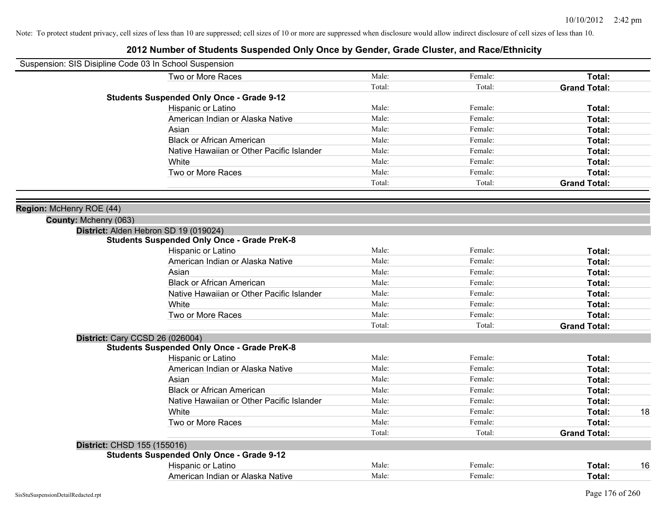| Suspension: SIS Disipline Code 03 In School Suspension |                                                    |        |         |                     |    |
|--------------------------------------------------------|----------------------------------------------------|--------|---------|---------------------|----|
|                                                        | Two or More Races                                  | Male:  | Female: | Total:              |    |
|                                                        |                                                    | Total: | Total:  | <b>Grand Total:</b> |    |
|                                                        | <b>Students Suspended Only Once - Grade 9-12</b>   |        |         |                     |    |
|                                                        | Hispanic or Latino                                 | Male:  | Female: | Total:              |    |
|                                                        | American Indian or Alaska Native                   | Male:  | Female: | Total:              |    |
|                                                        | Asian                                              | Male:  | Female: | Total:              |    |
|                                                        | <b>Black or African American</b>                   | Male:  | Female: | Total:              |    |
|                                                        | Native Hawaiian or Other Pacific Islander          | Male:  | Female: | Total:              |    |
|                                                        | White                                              | Male:  | Female: | Total:              |    |
|                                                        | Two or More Races                                  | Male:  | Female: | Total:              |    |
|                                                        |                                                    | Total: | Total:  | <b>Grand Total:</b> |    |
|                                                        |                                                    |        |         |                     |    |
| Region: McHenry ROE (44)                               |                                                    |        |         |                     |    |
| County: Mchenry (063)                                  | District: Alden Hebron SD 19 (019024)              |        |         |                     |    |
|                                                        | <b>Students Suspended Only Once - Grade PreK-8</b> |        |         |                     |    |
|                                                        | Hispanic or Latino                                 | Male:  | Female: | Total:              |    |
|                                                        | American Indian or Alaska Native                   | Male:  | Female: | Total:              |    |
|                                                        | Asian                                              | Male:  | Female: | Total:              |    |
|                                                        | <b>Black or African American</b>                   | Male:  | Female: | Total:              |    |
|                                                        | Native Hawaiian or Other Pacific Islander          | Male:  | Female: | Total:              |    |
|                                                        | White                                              | Male:  | Female: | Total:              |    |
|                                                        | Two or More Races                                  | Male:  | Female: | Total:              |    |
|                                                        |                                                    | Total: | Total:  | <b>Grand Total:</b> |    |
|                                                        | <b>District: Cary CCSD 26 (026004)</b>             |        |         |                     |    |
|                                                        | <b>Students Suspended Only Once - Grade PreK-8</b> |        |         |                     |    |
|                                                        | Hispanic or Latino                                 | Male:  | Female: | Total:              |    |
|                                                        | American Indian or Alaska Native                   | Male:  | Female: | Total:              |    |
|                                                        | Asian                                              | Male:  | Female: | Total:              |    |
|                                                        | <b>Black or African American</b>                   | Male:  | Female: | Total:              |    |
|                                                        | Native Hawaiian or Other Pacific Islander          | Male:  | Female: | Total:              |    |
|                                                        | White                                              | Male:  | Female: | Total:              | 18 |
|                                                        | Two or More Races                                  | Male:  | Female: | Total:              |    |
|                                                        |                                                    | Total: | Total:  | <b>Grand Total:</b> |    |
| District: CHSD 155 (155016)                            |                                                    |        |         |                     |    |
|                                                        | <b>Students Suspended Only Once - Grade 9-12</b>   |        |         |                     |    |
|                                                        | Hispanic or Latino                                 | Male:  | Female: | Total:              | 16 |
|                                                        | American Indian or Alaska Native                   | Male:  | Female: | Total:              |    |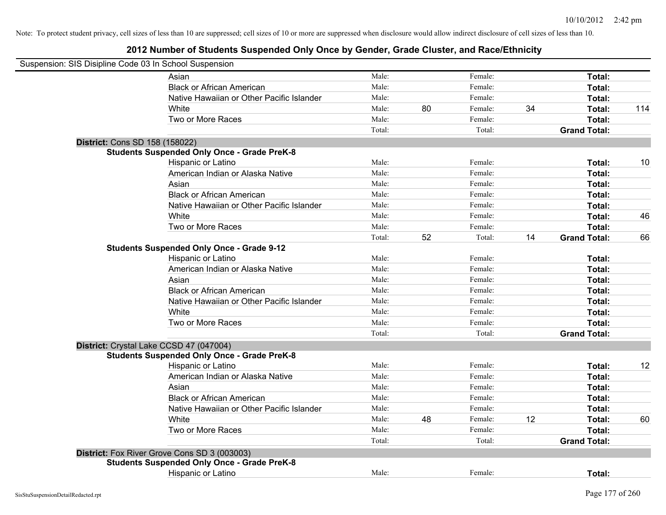| Suspension: SIS Disipline Code 03 In School Suspension |                                                    |        |    |         |    |                     |     |
|--------------------------------------------------------|----------------------------------------------------|--------|----|---------|----|---------------------|-----|
|                                                        | Asian                                              | Male:  |    | Female: |    | Total:              |     |
|                                                        | <b>Black or African American</b>                   | Male:  |    | Female: |    | Total:              |     |
|                                                        | Native Hawaiian or Other Pacific Islander          | Male:  |    | Female: |    | Total:              |     |
|                                                        | White                                              | Male:  | 80 | Female: | 34 | Total:              | 114 |
|                                                        | Two or More Races                                  | Male:  |    | Female: |    | <b>Total:</b>       |     |
|                                                        |                                                    | Total: |    | Total:  |    | <b>Grand Total:</b> |     |
| District: Cons SD 158 (158022)                         |                                                    |        |    |         |    |                     |     |
|                                                        | <b>Students Suspended Only Once - Grade PreK-8</b> |        |    |         |    |                     |     |
|                                                        | Hispanic or Latino                                 | Male:  |    | Female: |    | Total:              | 10  |
|                                                        | American Indian or Alaska Native                   | Male:  |    | Female: |    | Total:              |     |
|                                                        | Asian                                              | Male:  |    | Female: |    | Total:              |     |
|                                                        | <b>Black or African American</b>                   | Male:  |    | Female: |    | Total:              |     |
|                                                        | Native Hawaiian or Other Pacific Islander          | Male:  |    | Female: |    | Total:              |     |
|                                                        | White                                              | Male:  |    | Female: |    | Total:              | 46  |
|                                                        | Two or More Races                                  | Male:  |    | Female: |    | Total:              |     |
|                                                        |                                                    | Total: | 52 | Total:  | 14 | <b>Grand Total:</b> | 66  |
|                                                        | <b>Students Suspended Only Once - Grade 9-12</b>   |        |    |         |    |                     |     |
|                                                        | Hispanic or Latino                                 | Male:  |    | Female: |    | Total:              |     |
|                                                        | American Indian or Alaska Native                   | Male:  |    | Female: |    | Total:              |     |
|                                                        | Asian                                              | Male:  |    | Female: |    | Total:              |     |
|                                                        | <b>Black or African American</b>                   | Male:  |    | Female: |    | Total:              |     |
|                                                        | Native Hawaiian or Other Pacific Islander          | Male:  |    | Female: |    | Total:              |     |
|                                                        | White                                              | Male:  |    | Female: |    | Total:              |     |
|                                                        | Two or More Races                                  | Male:  |    | Female: |    | Total:              |     |
|                                                        |                                                    | Total: |    | Total:  |    | <b>Grand Total:</b> |     |
| District: Crystal Lake CCSD 47 (047004)                |                                                    |        |    |         |    |                     |     |
|                                                        | <b>Students Suspended Only Once - Grade PreK-8</b> |        |    |         |    |                     |     |
|                                                        | Hispanic or Latino                                 | Male:  |    | Female: |    | Total:              | 12  |
|                                                        | American Indian or Alaska Native                   | Male:  |    | Female: |    | Total:              |     |
|                                                        | Asian                                              | Male:  |    | Female: |    | Total:              |     |
|                                                        | <b>Black or African American</b>                   | Male:  |    | Female: |    | Total:              |     |
|                                                        | Native Hawaiian or Other Pacific Islander          | Male:  |    | Female: |    | Total:              |     |
|                                                        | White                                              | Male:  | 48 | Female: | 12 | Total:              | 60  |
|                                                        | Two or More Races                                  | Male:  |    | Female: |    | Total:              |     |
|                                                        |                                                    | Total: |    | Total:  |    | <b>Grand Total:</b> |     |
|                                                        | District: Fox River Grove Cons SD 3 (003003)       |        |    |         |    |                     |     |
|                                                        | <b>Students Suspended Only Once - Grade PreK-8</b> |        |    |         |    |                     |     |
|                                                        | Hispanic or Latino                                 | Male:  |    | Female: |    | Total:              |     |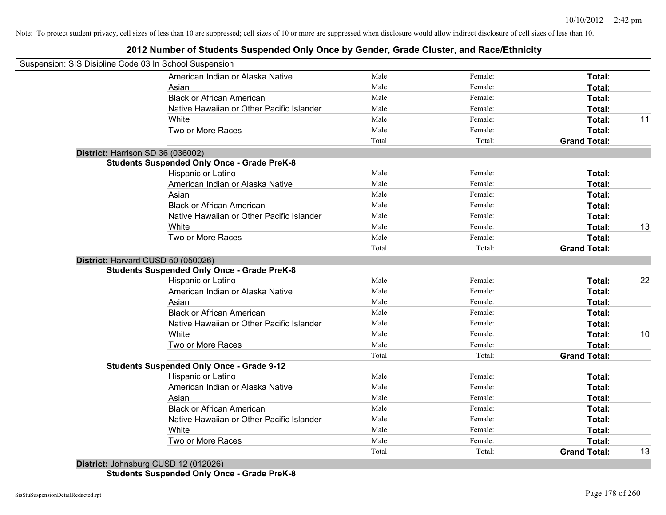## **2012 Number of Students Suspended Only Once by Gender, Grade Cluster, and Race/Ethnicity**

| Suspension: SIS Disipline Code 03 In School Suspension |        |         |                     |    |
|--------------------------------------------------------|--------|---------|---------------------|----|
| American Indian or Alaska Native                       | Male:  | Female: | <b>Total:</b>       |    |
| Asian                                                  | Male:  | Female: | Total:              |    |
| <b>Black or African American</b>                       | Male:  | Female: | Total:              |    |
| Native Hawaiian or Other Pacific Islander              | Male:  | Female: | Total:              |    |
| White                                                  | Male:  | Female: | Total:              | 11 |
| Two or More Races                                      | Male:  | Female: | Total:              |    |
|                                                        | Total: | Total:  | <b>Grand Total:</b> |    |
| District: Harrison SD 36 (036002)                      |        |         |                     |    |
| <b>Students Suspended Only Once - Grade PreK-8</b>     |        |         |                     |    |
| Hispanic or Latino                                     | Male:  | Female: | Total:              |    |
| American Indian or Alaska Native                       | Male:  | Female: | Total:              |    |
| Asian                                                  | Male:  | Female: | Total:              |    |
| <b>Black or African American</b>                       | Male:  | Female: | Total:              |    |
| Native Hawaiian or Other Pacific Islander              | Male:  | Female: | Total:              |    |
| White                                                  | Male:  | Female: | Total:              | 13 |
| Two or More Races                                      | Male:  | Female: | Total:              |    |
|                                                        | Total: | Total:  | <b>Grand Total:</b> |    |
| District: Harvard CUSD 50 (050026)                     |        |         |                     |    |
| <b>Students Suspended Only Once - Grade PreK-8</b>     |        |         |                     |    |
| <b>Hispanic or Latino</b>                              | Male:  | Female: | Total:              | 22 |
| American Indian or Alaska Native                       | Male:  | Female: | <b>Total:</b>       |    |
| Asian                                                  | Male:  | Female: | Total:              |    |
| <b>Black or African American</b>                       | Male:  | Female: | Total:              |    |
| Native Hawaiian or Other Pacific Islander              | Male:  | Female: | <b>Total:</b>       |    |
| White                                                  | Male:  | Female: | <b>Total:</b>       | 10 |
| Two or More Races                                      | Male:  | Female: | Total:              |    |
|                                                        | Total: | Total:  | <b>Grand Total:</b> |    |
| <b>Students Suspended Only Once - Grade 9-12</b>       |        |         |                     |    |
| Hispanic or Latino                                     | Male:  | Female: | Total:              |    |
| American Indian or Alaska Native                       | Male:  | Female: | Total:              |    |
| Asian                                                  | Male:  | Female: | Total:              |    |
| <b>Black or African American</b>                       | Male:  | Female: | Total:              |    |
| Native Hawaiian or Other Pacific Islander              | Male:  | Female: | Total:              |    |
| White                                                  | Male:  | Female: | Total:              |    |
| Two or More Races                                      | Male:  | Female: | Total:              |    |
| $0.100 \times 10^{10}$                                 | Total: | Total:  | <b>Grand Total:</b> | 13 |

**District:** Johnsburg CUSD 12 (012026) **Students Suspended Only Once - Grade PreK-8**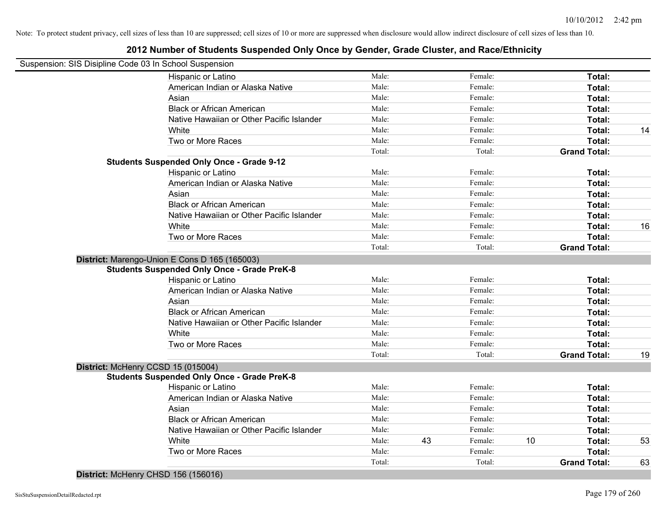## **2012 Number of Students Suspended Only Once by Gender, Grade Cluster, and Race/Ethnicity**

| Suspension: SIS Disipline Code 03 In School Suspension |                                                    |        |    |         |    |                     |    |
|--------------------------------------------------------|----------------------------------------------------|--------|----|---------|----|---------------------|----|
|                                                        | Hispanic or Latino                                 | Male:  |    | Female: |    | Total:              |    |
|                                                        | American Indian or Alaska Native                   | Male:  |    | Female: |    | Total:              |    |
|                                                        | Asian                                              | Male:  |    | Female: |    | Total:              |    |
|                                                        | <b>Black or African American</b>                   | Male:  |    | Female: |    | Total:              |    |
|                                                        | Native Hawaiian or Other Pacific Islander          | Male:  |    | Female: |    | Total:              |    |
|                                                        | White                                              | Male:  |    | Female: |    | Total:              | 14 |
|                                                        | Two or More Races                                  | Male:  |    | Female: |    | Total:              |    |
|                                                        |                                                    | Total: |    | Total:  |    | <b>Grand Total:</b> |    |
|                                                        | <b>Students Suspended Only Once - Grade 9-12</b>   |        |    |         |    |                     |    |
|                                                        | Hispanic or Latino                                 | Male:  |    | Female: |    | Total:              |    |
|                                                        | American Indian or Alaska Native                   | Male:  |    | Female: |    | Total:              |    |
|                                                        | Asian                                              | Male:  |    | Female: |    | Total:              |    |
|                                                        | <b>Black or African American</b>                   | Male:  |    | Female: |    | Total:              |    |
|                                                        | Native Hawaiian or Other Pacific Islander          | Male:  |    | Female: |    | Total:              |    |
|                                                        | White                                              | Male:  |    | Female: |    | Total:              | 16 |
|                                                        | Two or More Races                                  | Male:  |    | Female: |    | Total:              |    |
|                                                        |                                                    | Total: |    | Total:  |    | <b>Grand Total:</b> |    |
|                                                        | District: Marengo-Union E Cons D 165 (165003)      |        |    |         |    |                     |    |
|                                                        | <b>Students Suspended Only Once - Grade PreK-8</b> |        |    |         |    |                     |    |
|                                                        | Hispanic or Latino                                 | Male:  |    | Female: |    | Total:              |    |
|                                                        | American Indian or Alaska Native                   | Male:  |    | Female: |    | Total:              |    |
|                                                        | Asian                                              | Male:  |    | Female: |    | Total:              |    |
|                                                        | <b>Black or African American</b>                   | Male:  |    | Female: |    | Total:              |    |
|                                                        | Native Hawaiian or Other Pacific Islander          | Male:  |    | Female: |    | Total:              |    |
|                                                        | White                                              | Male:  |    | Female: |    | Total:              |    |
|                                                        | Two or More Races                                  | Male:  |    | Female: |    | Total:              |    |
|                                                        |                                                    | Total: |    | Total:  |    | <b>Grand Total:</b> | 19 |
| District: McHenry CCSD 15 (015004)                     |                                                    |        |    |         |    |                     |    |
|                                                        | <b>Students Suspended Only Once - Grade PreK-8</b> |        |    |         |    |                     |    |
|                                                        | Hispanic or Latino                                 | Male:  |    | Female: |    | Total:              |    |
|                                                        | American Indian or Alaska Native                   | Male:  |    | Female: |    | Total:              |    |
|                                                        | Asian                                              | Male:  |    | Female: |    | Total:              |    |
|                                                        | <b>Black or African American</b>                   | Male:  |    | Female: |    | Total:              |    |
|                                                        | Native Hawaiian or Other Pacific Islander          | Male:  |    | Female: |    | Total:              |    |
|                                                        | White                                              | Male:  | 43 | Female: | 10 | Total:              | 53 |
|                                                        | Two or More Races                                  | Male:  |    | Female: |    | Total:              |    |
|                                                        |                                                    | Total: |    | Total:  |    | <b>Grand Total:</b> | 63 |

**District:** McHenry CHSD 156 (156016)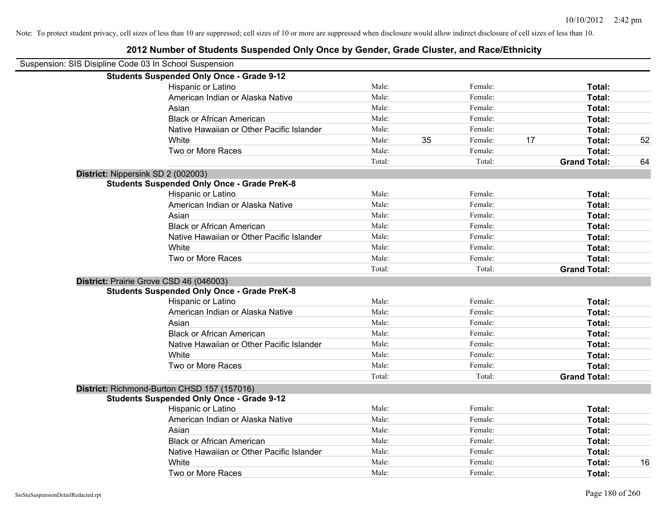# Suspension: SIS Disipline Code 03 In School Suspension **Students Suspended Only Once - Grade 9-12** Hispanic or Latino **Finally** Male: **Female:** Female: **Total: Total:** Female: **Total:** Female: **Female:** Female: **Female:** Female: **Female:** Female: **Female:** Female: **Female:** Female: **Female:** Female: **Female:** Female: American Indian or Alaska Native **Male:** Male: Female: Female: **Total:** Total: Asian **Female:** Total: Male: Female: **Total:** Total: Total: Total: Total: Total: Total: Total: Total: Total: Total: Total: Total: Total: Total: Total: Total: Total: Total: Total: Total: Total: Total: Total: Total: Total: T Black or African American **Figure 10** Male: Female: Female: **Total:** Total: Native Hawaiian or Other Pacific Islander Male: Female: Female: **Total:** Total: White **Male:** 35 Female: 17 Total: 52 Two or More Races **Total:** Total: Male: Female: Female: **Total:** Total: **Students Suspended Only Once - Grade PreK-8**

|                                         |                                                    | Total: | Total:  | <b>Grand Total:</b> | 64 |
|-----------------------------------------|----------------------------------------------------|--------|---------|---------------------|----|
| District: Nippersink SD 2 (002003)      |                                                    |        |         |                     |    |
|                                         | <b>Students Suspended Only Once - Grade PreK-8</b> |        |         |                     |    |
|                                         | Hispanic or Latino                                 | Male:  | Female: | Total:              |    |
|                                         | American Indian or Alaska Native                   | Male:  | Female: | Total:              |    |
|                                         | Asian                                              | Male:  | Female: | Total:              |    |
|                                         | <b>Black or African American</b>                   | Male:  | Female: | Total:              |    |
|                                         | Native Hawaiian or Other Pacific Islander          | Male:  | Female: | Total:              |    |
|                                         | White                                              | Male:  | Female: | <b>Total:</b>       |    |
|                                         | Two or More Races                                  | Male:  | Female: | Total:              |    |
|                                         |                                                    | Total: | Total:  | <b>Grand Total:</b> |    |
| District: Prairie Grove CSD 46 (046003) |                                                    |        |         |                     |    |
|                                         | <b>Students Suspended Only Once - Grade PreK-8</b> |        |         |                     |    |
|                                         | Hispanic or Latino                                 | Male:  | Female: | Total:              |    |
|                                         | American Indian or Alaska Native                   | Male:  | Female: | Total:              |    |
|                                         | Asian                                              | Male:  | Female: | Total:              |    |
|                                         | <b>Black or African American</b>                   | Male:  | Female: | <b>Total:</b>       |    |
|                                         | Native Hawaiian or Other Pacific Islander          | Male:  | Female: | Total:              |    |
|                                         | White                                              | Male:  | Female: | Total:              |    |
|                                         | Two or More Races                                  | Male:  | Female: | Total:              |    |
|                                         |                                                    | Total: | Total:  | <b>Grand Total:</b> |    |
|                                         | District: Richmond-Burton CHSD 157 (157016)        |        |         |                     |    |
|                                         | <b>Students Suspended Only Once - Grade 9-12</b>   |        |         |                     |    |
|                                         | Hispanic or Latino                                 | Male:  | Female: | Total:              |    |
|                                         | American Indian or Alaska Native                   | Male:  | Female: | Total:              |    |
|                                         | Asian                                              | Male:  | Female: | Total:              |    |
|                                         | <b>Black or African American</b>                   | Male:  | Female: | Total:              |    |
|                                         | Native Hawaiian or Other Pacific Islander          | Male:  | Female: | Total:              |    |
|                                         | White                                              | Male:  | Female: | Total:              | 16 |
|                                         | Two or More Races                                  | Male:  | Female: | Total:              |    |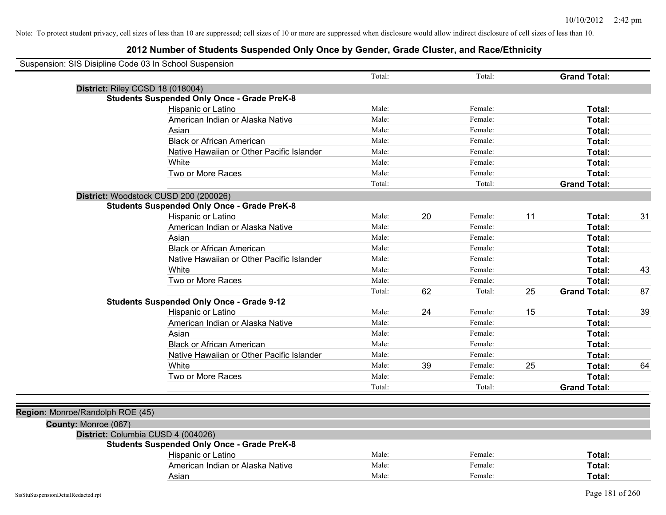| Suspension: SIS Disipline Code 03 In School Suspension |                                                    |        |    |         |    |                     |    |
|--------------------------------------------------------|----------------------------------------------------|--------|----|---------|----|---------------------|----|
|                                                        |                                                    | Total: |    | Total:  |    | <b>Grand Total:</b> |    |
|                                                        | District: Riley CCSD 18 (018004)                   |        |    |         |    |                     |    |
|                                                        | <b>Students Suspended Only Once - Grade PreK-8</b> |        |    |         |    |                     |    |
|                                                        | Hispanic or Latino                                 | Male:  |    | Female: |    | Total:              |    |
|                                                        | American Indian or Alaska Native                   | Male:  |    | Female: |    | Total:              |    |
|                                                        | Asian                                              | Male:  |    | Female: |    | Total:              |    |
|                                                        | <b>Black or African American</b>                   | Male:  |    | Female: |    | Total:              |    |
|                                                        | Native Hawaiian or Other Pacific Islander          | Male:  |    | Female: |    | Total:              |    |
|                                                        | White                                              | Male:  |    | Female: |    | Total:              |    |
|                                                        | Two or More Races                                  | Male:  |    | Female: |    | Total:              |    |
|                                                        |                                                    | Total: |    | Total:  |    | <b>Grand Total:</b> |    |
|                                                        | District: Woodstock CUSD 200 (200026)              |        |    |         |    |                     |    |
|                                                        | <b>Students Suspended Only Once - Grade PreK-8</b> |        |    |         |    |                     |    |
|                                                        | Hispanic or Latino                                 | Male:  | 20 | Female: | 11 | Total:              | 31 |
|                                                        | American Indian or Alaska Native                   | Male:  |    | Female: |    | Total:              |    |
|                                                        | Asian                                              | Male:  |    | Female: |    | Total:              |    |
|                                                        | <b>Black or African American</b>                   | Male:  |    | Female: |    | Total:              |    |
|                                                        | Native Hawaiian or Other Pacific Islander          | Male:  |    | Female: |    | Total:              |    |
|                                                        | White                                              | Male:  |    | Female: |    | Total:              | 43 |
|                                                        | Two or More Races                                  | Male:  |    | Female: |    | Total:              |    |
|                                                        |                                                    | Total: | 62 | Total:  | 25 | <b>Grand Total:</b> | 87 |
|                                                        | <b>Students Suspended Only Once - Grade 9-12</b>   |        |    |         |    |                     |    |
|                                                        | Hispanic or Latino                                 | Male:  | 24 | Female: | 15 | Total:              | 39 |
|                                                        | American Indian or Alaska Native                   | Male:  |    | Female: |    | Total:              |    |
|                                                        | Asian                                              | Male:  |    | Female: |    | Total:              |    |
|                                                        | <b>Black or African American</b>                   | Male:  |    | Female: |    | Total:              |    |
|                                                        | Native Hawaiian or Other Pacific Islander          | Male:  |    | Female: |    | Total:              |    |
|                                                        | White                                              | Male:  | 39 | Female: | 25 | Total:              | 64 |
|                                                        | Two or More Races                                  | Male:  |    | Female: |    | Total:              |    |
|                                                        |                                                    | Total: |    | Total:  |    | <b>Grand Total:</b> |    |
|                                                        |                                                    |        |    |         |    |                     |    |
| Region: Monroe/Randolph ROE (45)                       |                                                    |        |    |         |    |                     |    |
| County: Monroe (067)                                   |                                                    |        |    |         |    |                     |    |
|                                                        | District: Columbia CUSD 4 (004026)                 |        |    |         |    |                     |    |
|                                                        | <b>Students Suspended Only Once - Grade PreK-8</b> |        |    |         |    |                     |    |
|                                                        | Hispanic or Latino                                 | Male:  |    | Female: |    | Total:              |    |
|                                                        | American Indian or Alaska Native                   | Male:  |    | Female: |    | Total:              |    |
|                                                        | Asian                                              | Male:  |    | Female: |    | Total:              |    |
|                                                        |                                                    |        |    |         |    |                     |    |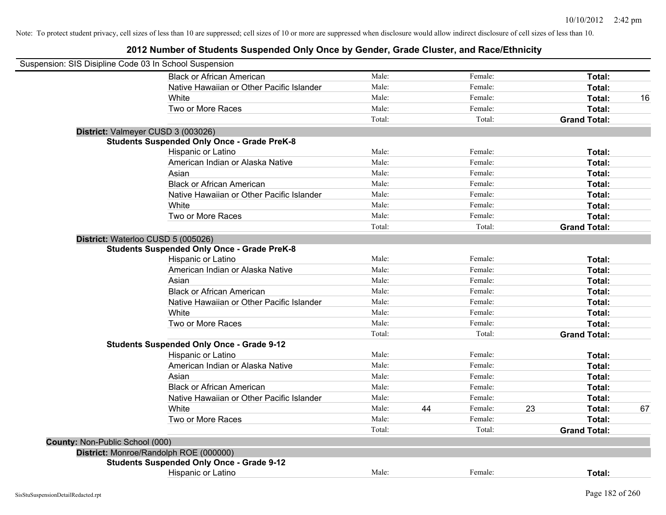| Suspension: SIS Disipline Code 03 In School Suspension |                                                    |        |    |         |    |                     |    |
|--------------------------------------------------------|----------------------------------------------------|--------|----|---------|----|---------------------|----|
|                                                        | <b>Black or African American</b>                   | Male:  |    | Female: |    | Total:              |    |
|                                                        | Native Hawaiian or Other Pacific Islander          | Male:  |    | Female: |    | Total:              |    |
|                                                        | White                                              | Male:  |    | Female: |    | Total:              | 16 |
|                                                        | Two or More Races                                  | Male:  |    | Female: |    | Total:              |    |
|                                                        |                                                    | Total: |    | Total:  |    | <b>Grand Total:</b> |    |
|                                                        | District: Valmeyer CUSD 3 (003026)                 |        |    |         |    |                     |    |
|                                                        | <b>Students Suspended Only Once - Grade PreK-8</b> |        |    |         |    |                     |    |
|                                                        | Hispanic or Latino                                 | Male:  |    | Female: |    | Total:              |    |
|                                                        | American Indian or Alaska Native                   | Male:  |    | Female: |    | Total:              |    |
|                                                        | Asian                                              | Male:  |    | Female: |    | Total:              |    |
|                                                        | <b>Black or African American</b>                   | Male:  |    | Female: |    | Total:              |    |
|                                                        | Native Hawaiian or Other Pacific Islander          | Male:  |    | Female: |    | Total:              |    |
|                                                        | White                                              | Male:  |    | Female: |    | Total:              |    |
|                                                        | Two or More Races                                  | Male:  |    | Female: |    | Total:              |    |
|                                                        |                                                    | Total: |    | Total:  |    | <b>Grand Total:</b> |    |
|                                                        | District: Waterloo CUSD 5 (005026)                 |        |    |         |    |                     |    |
|                                                        | <b>Students Suspended Only Once - Grade PreK-8</b> |        |    |         |    |                     |    |
|                                                        | Hispanic or Latino                                 | Male:  |    | Female: |    | Total:              |    |
|                                                        | American Indian or Alaska Native                   | Male:  |    | Female: |    | Total:              |    |
|                                                        | Asian                                              | Male:  |    | Female: |    | Total:              |    |
|                                                        | <b>Black or African American</b>                   | Male:  |    | Female: |    | Total:              |    |
|                                                        | Native Hawaiian or Other Pacific Islander          | Male:  |    | Female: |    | Total:              |    |
|                                                        | White                                              | Male:  |    | Female: |    | Total:              |    |
|                                                        | Two or More Races                                  | Male:  |    | Female: |    | Total:              |    |
|                                                        |                                                    | Total: |    | Total:  |    | <b>Grand Total:</b> |    |
|                                                        | <b>Students Suspended Only Once - Grade 9-12</b>   |        |    |         |    |                     |    |
|                                                        | Hispanic or Latino                                 | Male:  |    | Female: |    | Total:              |    |
|                                                        | American Indian or Alaska Native                   | Male:  |    | Female: |    | Total:              |    |
|                                                        | Asian                                              | Male:  |    | Female: |    | Total:              |    |
|                                                        | <b>Black or African American</b>                   | Male:  |    | Female: |    | Total:              |    |
|                                                        | Native Hawaiian or Other Pacific Islander          | Male:  |    | Female: |    | Total:              |    |
|                                                        | White                                              | Male:  | 44 | Female: | 23 | Total:              | 67 |
|                                                        | Two or More Races                                  | Male:  |    | Female: |    | Total:              |    |
|                                                        |                                                    | Total: |    | Total:  |    | <b>Grand Total:</b> |    |
| County: Non-Public School (000)                        |                                                    |        |    |         |    |                     |    |
|                                                        | District: Monroe/Randolph ROE (000000)             |        |    |         |    |                     |    |
|                                                        | <b>Students Suspended Only Once - Grade 9-12</b>   |        |    |         |    |                     |    |
|                                                        | <b>Hispanic or Latino</b>                          | Male:  |    | Female: |    | Total:              |    |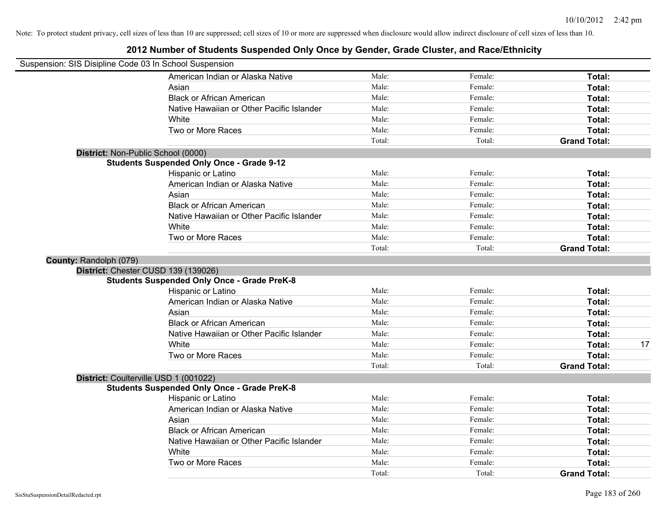|                        | Suspension: SIS Disipline Code 03 In School Suspension |        |         |                     |    |
|------------------------|--------------------------------------------------------|--------|---------|---------------------|----|
|                        | American Indian or Alaska Native                       | Male:  | Female: | Total:              |    |
|                        | Asian                                                  | Male:  | Female: | Total:              |    |
|                        | <b>Black or African American</b>                       | Male:  | Female: | Total:              |    |
|                        | Native Hawaiian or Other Pacific Islander              | Male:  | Female: | Total:              |    |
|                        | White                                                  | Male:  | Female: | Total:              |    |
|                        | Two or More Races                                      | Male:  | Female: | Total:              |    |
|                        |                                                        | Total: | Total:  | <b>Grand Total:</b> |    |
|                        | District: Non-Public School (0000)                     |        |         |                     |    |
|                        | <b>Students Suspended Only Once - Grade 9-12</b>       |        |         |                     |    |
|                        | Hispanic or Latino                                     | Male:  | Female: | Total:              |    |
|                        | American Indian or Alaska Native                       | Male:  | Female: | Total:              |    |
|                        | Asian                                                  | Male:  | Female: | Total:              |    |
|                        | <b>Black or African American</b>                       | Male:  | Female: | Total:              |    |
|                        | Native Hawaiian or Other Pacific Islander              | Male:  | Female: | Total:              |    |
|                        | White                                                  | Male:  | Female: | Total:              |    |
|                        | Two or More Races                                      | Male:  | Female: | Total:              |    |
|                        |                                                        | Total: | Total:  | <b>Grand Total:</b> |    |
| County: Randolph (079) |                                                        |        |         |                     |    |
|                        | District: Chester CUSD 139 (139026)                    |        |         |                     |    |
|                        | <b>Students Suspended Only Once - Grade PreK-8</b>     |        |         |                     |    |
|                        | Hispanic or Latino                                     | Male:  | Female: | Total:              |    |
|                        | American Indian or Alaska Native                       | Male:  | Female: | Total:              |    |
|                        | Asian                                                  | Male:  | Female: | Total:              |    |
|                        | <b>Black or African American</b>                       | Male:  | Female: | Total:              |    |
|                        | Native Hawaiian or Other Pacific Islander              | Male:  | Female: | Total:              |    |
|                        | White                                                  | Male:  | Female: | Total:              | 17 |
|                        | Two or More Races                                      | Male:  | Female: | Total:              |    |
|                        |                                                        | Total: | Total:  | <b>Grand Total:</b> |    |
|                        | District: Coulterville USD 1 (001022)                  |        |         |                     |    |
|                        | <b>Students Suspended Only Once - Grade PreK-8</b>     |        |         |                     |    |
|                        | Hispanic or Latino                                     | Male:  | Female: | Total:              |    |
|                        | American Indian or Alaska Native                       | Male:  | Female: | Total:              |    |
|                        | Asian                                                  | Male:  | Female: | Total:              |    |
|                        | <b>Black or African American</b>                       | Male:  | Female: | Total:              |    |
|                        | Native Hawaiian or Other Pacific Islander              | Male:  | Female: | Total:              |    |
|                        | White                                                  | Male:  | Female: | Total:              |    |
|                        | Two or More Races                                      | Male:  | Female: | Total:              |    |
|                        |                                                        | Total: | Total:  | <b>Grand Total:</b> |    |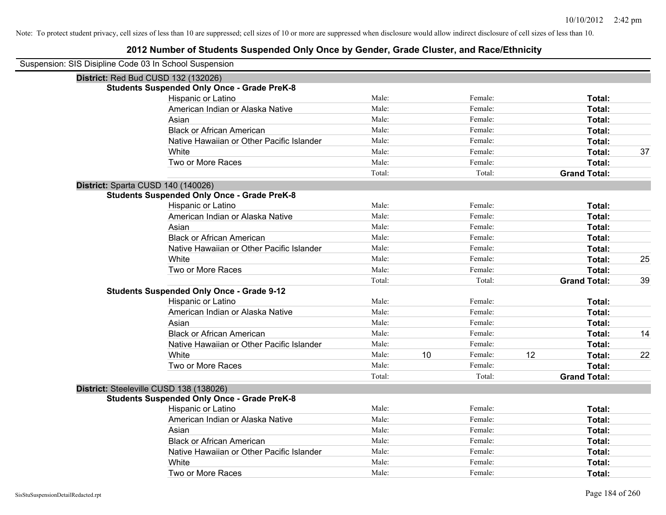| Suspension: SIS Disipline Code 03 In School Suspension |        |    |         |    |                     |    |
|--------------------------------------------------------|--------|----|---------|----|---------------------|----|
| District: Red Bud CUSD 132 (132026)                    |        |    |         |    |                     |    |
| <b>Students Suspended Only Once - Grade PreK-8</b>     |        |    |         |    |                     |    |
| Hispanic or Latino                                     | Male:  |    | Female: |    | Total:              |    |
| American Indian or Alaska Native                       | Male:  |    | Female: |    | Total:              |    |
| Asian                                                  | Male:  |    | Female: |    | Total:              |    |
| <b>Black or African American</b>                       | Male:  |    | Female: |    | Total:              |    |
| Native Hawaiian or Other Pacific Islander              | Male:  |    | Female: |    | Total:              |    |
| White                                                  | Male:  |    | Female: |    | Total:              | 37 |
| Two or More Races                                      | Male:  |    | Female: |    | Total:              |    |
|                                                        | Total: |    | Total:  |    | <b>Grand Total:</b> |    |
| District: Sparta CUSD 140 (140026)                     |        |    |         |    |                     |    |
| <b>Students Suspended Only Once - Grade PreK-8</b>     |        |    |         |    |                     |    |
| Hispanic or Latino                                     | Male:  |    | Female: |    | Total:              |    |
| American Indian or Alaska Native                       | Male:  |    | Female: |    | Total:              |    |
| Asian                                                  | Male:  |    | Female: |    | Total:              |    |
| <b>Black or African American</b>                       | Male:  |    | Female: |    | Total:              |    |
| Native Hawaiian or Other Pacific Islander              | Male:  |    | Female: |    | Total:              |    |
| White                                                  | Male:  |    | Female: |    | Total:              | 25 |
| Two or More Races                                      | Male:  |    | Female: |    | Total:              |    |
|                                                        | Total: |    | Total:  |    | <b>Grand Total:</b> | 39 |
| <b>Students Suspended Only Once - Grade 9-12</b>       |        |    |         |    |                     |    |
| Hispanic or Latino                                     | Male:  |    | Female: |    | Total:              |    |
| American Indian or Alaska Native                       | Male:  |    | Female: |    | Total:              |    |
| Asian                                                  | Male:  |    | Female: |    | Total:              |    |
| <b>Black or African American</b>                       | Male:  |    | Female: |    | Total:              | 14 |
| Native Hawaiian or Other Pacific Islander              | Male:  |    | Female: |    | Total:              |    |
| White                                                  | Male:  | 10 | Female: | 12 | Total:              | 22 |
| Two or More Races                                      | Male:  |    | Female: |    | Total:              |    |
|                                                        | Total: |    | Total:  |    | <b>Grand Total:</b> |    |
| District: Steeleville CUSD 138 (138026)                |        |    |         |    |                     |    |
| <b>Students Suspended Only Once - Grade PreK-8</b>     |        |    |         |    |                     |    |
| Hispanic or Latino                                     | Male:  |    | Female: |    | Total:              |    |
| American Indian or Alaska Native                       | Male:  |    | Female: |    | Total:              |    |
| Asian                                                  | Male:  |    | Female: |    | Total:              |    |
| <b>Black or African American</b>                       | Male:  |    | Female: |    | Total:              |    |
| Native Hawaiian or Other Pacific Islander              | Male:  |    | Female: |    | Total:              |    |
| White                                                  | Male:  |    | Female: |    | Total:              |    |
| Two or More Races                                      | Male:  |    | Female: |    | Total:              |    |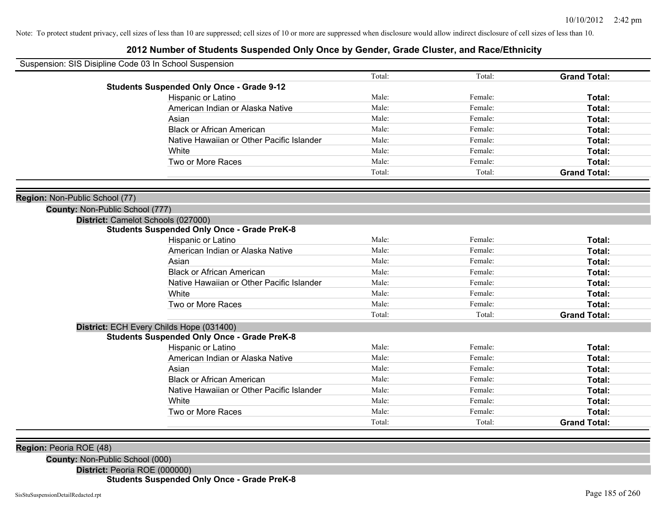## **2012 Number of Students Suspended Only Once by Gender, Grade Cluster, and Race/Ethnicity**

| Suspension: SIS Disipline Code 03 In School Suspension            |                                                    |        |         |                     |
|-------------------------------------------------------------------|----------------------------------------------------|--------|---------|---------------------|
|                                                                   |                                                    | Total: | Total:  | <b>Grand Total:</b> |
|                                                                   | <b>Students Suspended Only Once - Grade 9-12</b>   |        |         |                     |
|                                                                   | Hispanic or Latino                                 | Male:  | Female: | Total:              |
|                                                                   | American Indian or Alaska Native                   | Male:  | Female: | Total:              |
|                                                                   | Asian                                              | Male:  | Female: | Total:              |
|                                                                   | <b>Black or African American</b>                   | Male:  | Female: | Total:              |
|                                                                   | Native Hawaiian or Other Pacific Islander          | Male:  | Female: | Total:              |
|                                                                   | White                                              | Male:  | Female: | Total:              |
|                                                                   | Two or More Races                                  | Male:  | Female: | Total:              |
|                                                                   |                                                    | Total: | Total:  | <b>Grand Total:</b> |
| Region: Non-Public School (77)<br>County: Non-Public School (777) |                                                    |        |         |                     |
|                                                                   | District: Camelot Schools (027000)                 |        |         |                     |
|                                                                   | <b>Students Suspended Only Once - Grade PreK-8</b> |        |         |                     |
|                                                                   | Hispanic or Latino                                 | Male:  | Female: | Total:              |
|                                                                   | American Indian or Alaska Native                   | Male:  | Female: | Total:              |
|                                                                   | Asian                                              | Male:  | Female: | Total:              |
|                                                                   | <b>Black or African American</b>                   | Male:  | Female: | Total:              |
|                                                                   | Native Hawaiian or Other Pacific Islander          | Male:  | Female: | Total:              |
|                                                                   | White                                              | Male:  | Female: | Total:              |
|                                                                   | Two or More Races                                  | Male:  | Female: | <b>Total:</b>       |
|                                                                   |                                                    | Total: | Total:  | <b>Grand Total:</b> |
|                                                                   | District: ECH Every Childs Hope (031400)           |        |         |                     |
|                                                                   | <b>Students Suspended Only Once - Grade PreK-8</b> |        |         |                     |
|                                                                   | Hispanic or Latino                                 | Male:  | Female: | Total:              |
|                                                                   | American Indian or Alaska Native                   | Male:  | Female: | Total:              |
|                                                                   | Asian                                              | Male:  | Female: | Total:              |
|                                                                   | <b>Black or African American</b>                   | Male:  | Female: | Total:              |
|                                                                   | Native Hawaiian or Other Pacific Islander          | Male:  | Female: | Total:              |
|                                                                   | White                                              | Male:  | Female: | Total:              |
|                                                                   | Two or More Races                                  | Male:  | Female: | Total:              |
|                                                                   |                                                    | Total: | Total:  | <b>Grand Total:</b> |
|                                                                   |                                                    |        |         |                     |
|                                                                   |                                                    |        |         |                     |

**Region:** Peoria ROE (48)

**County:** Non-Public School (000)

**District:** Peoria ROE (000000)

**Students Suspended Only Once - Grade PreK-8**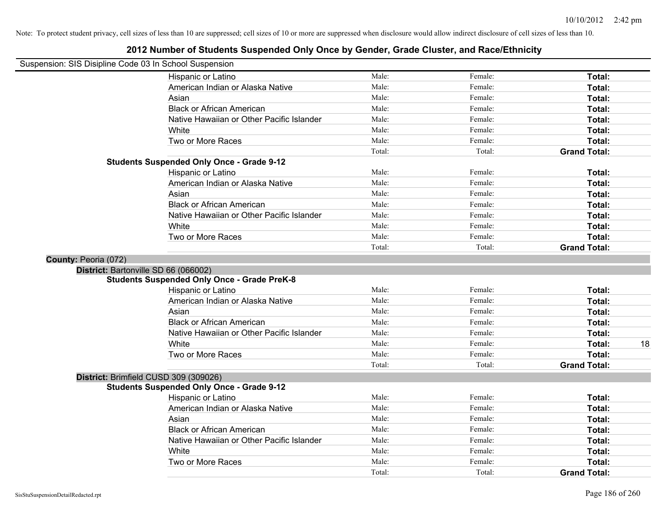| Suspension: SIS Disipline Code 03 In School Suspension |                                                    |        |         |                     |    |
|--------------------------------------------------------|----------------------------------------------------|--------|---------|---------------------|----|
|                                                        | Hispanic or Latino                                 | Male:  | Female: | Total:              |    |
|                                                        | American Indian or Alaska Native                   | Male:  | Female: | Total:              |    |
|                                                        | Asian                                              | Male:  | Female: | Total:              |    |
|                                                        | <b>Black or African American</b>                   | Male:  | Female: | Total:              |    |
|                                                        | Native Hawaiian or Other Pacific Islander          | Male:  | Female: | Total:              |    |
|                                                        | White                                              | Male:  | Female: | Total:              |    |
|                                                        | Two or More Races                                  | Male:  | Female: | Total:              |    |
|                                                        |                                                    | Total: | Total:  | <b>Grand Total:</b> |    |
|                                                        | <b>Students Suspended Only Once - Grade 9-12</b>   |        |         |                     |    |
|                                                        | Hispanic or Latino                                 | Male:  | Female: | Total:              |    |
|                                                        | American Indian or Alaska Native                   | Male:  | Female: | Total:              |    |
|                                                        | Asian                                              | Male:  | Female: | Total:              |    |
|                                                        | <b>Black or African American</b>                   | Male:  | Female: | Total:              |    |
|                                                        | Native Hawaiian or Other Pacific Islander          | Male:  | Female: | Total:              |    |
|                                                        | White                                              | Male:  | Female: | Total:              |    |
|                                                        | Two or More Races                                  | Male:  | Female: | Total:              |    |
|                                                        |                                                    | Total: | Total:  | <b>Grand Total:</b> |    |
| County: Peoria (072)                                   |                                                    |        |         |                     |    |
|                                                        | District: Bartonville SD 66 (066002)               |        |         |                     |    |
|                                                        | <b>Students Suspended Only Once - Grade PreK-8</b> |        |         |                     |    |
|                                                        | Hispanic or Latino                                 | Male:  | Female: | Total:              |    |
|                                                        | American Indian or Alaska Native                   | Male:  | Female: | Total:              |    |
|                                                        | Asian                                              | Male:  | Female: | Total:              |    |
|                                                        | <b>Black or African American</b>                   | Male:  | Female: | Total:              |    |
|                                                        | Native Hawaiian or Other Pacific Islander          | Male:  | Female: | Total:              |    |
|                                                        | White                                              | Male:  | Female: | Total:              | 18 |
|                                                        | Two or More Races                                  | Male:  | Female: | Total:              |    |
|                                                        |                                                    | Total: | Total:  | <b>Grand Total:</b> |    |
|                                                        | District: Brimfield CUSD 309 (309026)              |        |         |                     |    |
|                                                        | <b>Students Suspended Only Once - Grade 9-12</b>   |        |         |                     |    |
|                                                        | Hispanic or Latino                                 | Male:  | Female: | Total:              |    |
|                                                        | American Indian or Alaska Native                   | Male:  | Female: | Total:              |    |
|                                                        | Asian                                              | Male:  | Female: | Total:              |    |
|                                                        | <b>Black or African American</b>                   | Male:  | Female: | Total:              |    |
|                                                        | Native Hawaiian or Other Pacific Islander          | Male:  | Female: | Total:              |    |
|                                                        | White                                              | Male:  | Female: | Total:              |    |
|                                                        | Two or More Races                                  | Male:  | Female: | Total:              |    |
|                                                        |                                                    | Total: | Total:  | <b>Grand Total:</b> |    |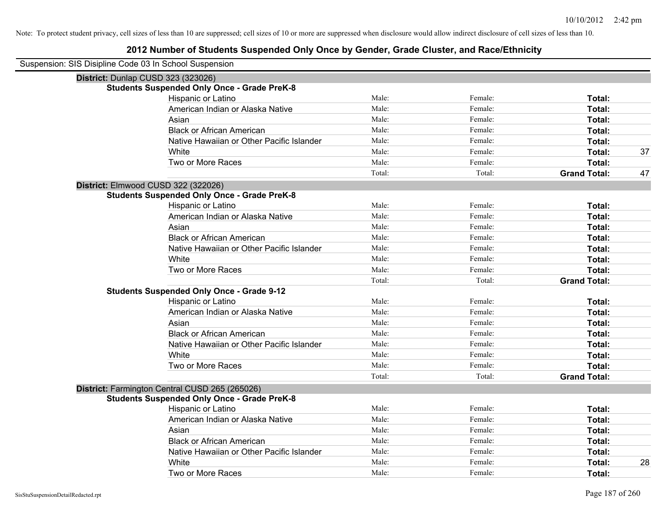|                                    | Suspension: SIS Disipline Code 03 In School Suspension |        |         |                     |    |
|------------------------------------|--------------------------------------------------------|--------|---------|---------------------|----|
| District: Dunlap CUSD 323 (323026) |                                                        |        |         |                     |    |
|                                    | <b>Students Suspended Only Once - Grade PreK-8</b>     |        |         |                     |    |
|                                    | Hispanic or Latino                                     | Male:  | Female: | Total:              |    |
|                                    | American Indian or Alaska Native                       | Male:  | Female: | Total:              |    |
|                                    | Asian                                                  | Male:  | Female: | Total:              |    |
|                                    | <b>Black or African American</b>                       | Male:  | Female: | Total:              |    |
|                                    | Native Hawaiian or Other Pacific Islander              | Male:  | Female: | Total:              |    |
|                                    | White                                                  | Male:  | Female: | Total:              | 37 |
|                                    | Two or More Races                                      | Male:  | Female: | Total:              |    |
|                                    |                                                        | Total: | Total:  | <b>Grand Total:</b> | 47 |
|                                    | District: Elmwood CUSD 322 (322026)                    |        |         |                     |    |
|                                    | <b>Students Suspended Only Once - Grade PreK-8</b>     |        |         |                     |    |
|                                    | Hispanic or Latino                                     | Male:  | Female: | Total:              |    |
|                                    | American Indian or Alaska Native                       | Male:  | Female: | Total:              |    |
|                                    | Asian                                                  | Male:  | Female: | Total:              |    |
|                                    | <b>Black or African American</b>                       | Male:  | Female: | Total:              |    |
|                                    | Native Hawaiian or Other Pacific Islander              | Male:  | Female: | Total:              |    |
|                                    | White                                                  | Male:  | Female: | Total:              |    |
|                                    | Two or More Races                                      | Male:  | Female: | Total:              |    |
|                                    |                                                        | Total: | Total:  | <b>Grand Total:</b> |    |
|                                    | <b>Students Suspended Only Once - Grade 9-12</b>       |        |         |                     |    |
|                                    | Hispanic or Latino                                     | Male:  | Female: | Total:              |    |
|                                    | American Indian or Alaska Native                       | Male:  | Female: | Total:              |    |
|                                    | Asian                                                  | Male:  | Female: | Total:              |    |
|                                    | <b>Black or African American</b>                       | Male:  | Female: | Total:              |    |
|                                    | Native Hawaiian or Other Pacific Islander              | Male:  | Female: | Total:              |    |
|                                    | White                                                  | Male:  | Female: | Total:              |    |
|                                    | Two or More Races                                      | Male:  | Female: | Total:              |    |
|                                    |                                                        | Total: | Total:  | <b>Grand Total:</b> |    |
|                                    | District: Farmington Central CUSD 265 (265026)         |        |         |                     |    |
|                                    | <b>Students Suspended Only Once - Grade PreK-8</b>     |        |         |                     |    |
|                                    | Hispanic or Latino                                     | Male:  | Female: | Total:              |    |
|                                    | American Indian or Alaska Native                       | Male:  | Female: | Total:              |    |
|                                    | Asian                                                  | Male:  | Female: | Total:              |    |
|                                    | <b>Black or African American</b>                       | Male:  | Female: | Total:              |    |
|                                    | Native Hawaiian or Other Pacific Islander              | Male:  | Female: | Total:              |    |
|                                    | White                                                  | Male:  | Female: | Total:              | 28 |
|                                    | Two or More Races                                      | Male:  | Female: | Total:              |    |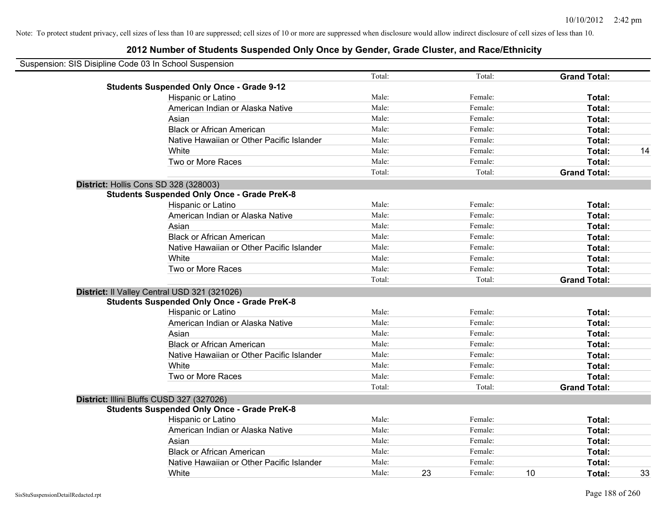| Suspension: SIS Disipline Code 03 In School Suspension |                                                    |        |    |         |    |                     |    |
|--------------------------------------------------------|----------------------------------------------------|--------|----|---------|----|---------------------|----|
|                                                        |                                                    | Total: |    | Total:  |    | <b>Grand Total:</b> |    |
|                                                        | <b>Students Suspended Only Once - Grade 9-12</b>   |        |    |         |    |                     |    |
|                                                        | Hispanic or Latino                                 | Male:  |    | Female: |    | Total:              |    |
|                                                        | American Indian or Alaska Native                   | Male:  |    | Female: |    | Total:              |    |
|                                                        | Asian                                              | Male:  |    | Female: |    | Total:              |    |
|                                                        | <b>Black or African American</b>                   | Male:  |    | Female: |    | Total:              |    |
|                                                        | Native Hawaiian or Other Pacific Islander          | Male:  |    | Female: |    | Total:              |    |
|                                                        | White                                              | Male:  |    | Female: |    | Total:              | 14 |
|                                                        | Two or More Races                                  | Male:  |    | Female: |    | Total:              |    |
|                                                        |                                                    | Total: |    | Total:  |    | <b>Grand Total:</b> |    |
|                                                        | District: Hollis Cons SD 328 (328003)              |        |    |         |    |                     |    |
|                                                        | <b>Students Suspended Only Once - Grade PreK-8</b> |        |    |         |    |                     |    |
|                                                        | Hispanic or Latino                                 | Male:  |    | Female: |    | Total:              |    |
|                                                        | American Indian or Alaska Native                   | Male:  |    | Female: |    | Total:              |    |
|                                                        | Asian                                              | Male:  |    | Female: |    | Total:              |    |
|                                                        | <b>Black or African American</b>                   | Male:  |    | Female: |    | Total:              |    |
|                                                        | Native Hawaiian or Other Pacific Islander          | Male:  |    | Female: |    | Total:              |    |
|                                                        | White                                              | Male:  |    | Female: |    | Total:              |    |
|                                                        | Two or More Races                                  | Male:  |    | Female: |    | Total:              |    |
|                                                        |                                                    | Total: |    | Total:  |    | <b>Grand Total:</b> |    |
|                                                        | District: Il Valley Central USD 321 (321026)       |        |    |         |    |                     |    |
|                                                        | <b>Students Suspended Only Once - Grade PreK-8</b> |        |    |         |    |                     |    |
|                                                        | Hispanic or Latino                                 | Male:  |    | Female: |    | Total:              |    |
|                                                        | American Indian or Alaska Native                   | Male:  |    | Female: |    | Total:              |    |
|                                                        | Asian                                              | Male:  |    | Female: |    | Total:              |    |
|                                                        | <b>Black or African American</b>                   | Male:  |    | Female: |    | Total:              |    |
|                                                        | Native Hawaiian or Other Pacific Islander          | Male:  |    | Female: |    | Total:              |    |
|                                                        | White                                              | Male:  |    | Female: |    | Total:              |    |
|                                                        | Two or More Races                                  | Male:  |    | Female: |    | Total:              |    |
|                                                        |                                                    | Total: |    | Total:  |    | <b>Grand Total:</b> |    |
|                                                        | District: Illini Bluffs CUSD 327 (327026)          |        |    |         |    |                     |    |
|                                                        | <b>Students Suspended Only Once - Grade PreK-8</b> |        |    |         |    |                     |    |
|                                                        | Hispanic or Latino                                 | Male:  |    | Female: |    | Total:              |    |
|                                                        | American Indian or Alaska Native                   | Male:  |    | Female: |    | Total:              |    |
|                                                        | Asian                                              | Male:  |    | Female: |    | Total:              |    |
|                                                        | <b>Black or African American</b>                   | Male:  |    | Female: |    | Total:              |    |
|                                                        | Native Hawaiian or Other Pacific Islander          | Male:  |    | Female: |    | Total:              |    |
|                                                        | White                                              | Male:  | 23 | Female: | 10 | Total:              | 33 |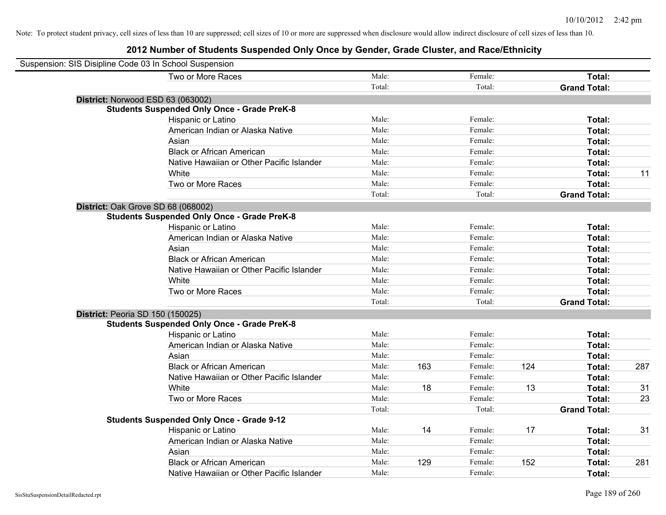| Suspension: SIS Disipline Code 03 In School Suspension |                                                    |        |     |         |     |                     |     |
|--------------------------------------------------------|----------------------------------------------------|--------|-----|---------|-----|---------------------|-----|
|                                                        | Two or More Races                                  | Male:  |     | Female: |     | Total:              |     |
|                                                        |                                                    | Total: |     | Total:  |     | <b>Grand Total:</b> |     |
| District: Norwood ESD 63 (063002)                      |                                                    |        |     |         |     |                     |     |
|                                                        | <b>Students Suspended Only Once - Grade PreK-8</b> |        |     |         |     |                     |     |
|                                                        | Hispanic or Latino                                 | Male:  |     | Female: |     | Total:              |     |
|                                                        | American Indian or Alaska Native                   | Male:  |     | Female: |     | Total:              |     |
|                                                        | Asian                                              | Male:  |     | Female: |     | Total:              |     |
|                                                        | <b>Black or African American</b>                   | Male:  |     | Female: |     | Total:              |     |
|                                                        | Native Hawaiian or Other Pacific Islander          | Male:  |     | Female: |     | Total:              |     |
|                                                        | White                                              | Male:  |     | Female: |     | Total:              | 11  |
|                                                        | Two or More Races                                  | Male:  |     | Female: |     | <b>Total:</b>       |     |
|                                                        |                                                    | Total: |     | Total:  |     | <b>Grand Total:</b> |     |
| District: Oak Grove SD 68 (068002)                     |                                                    |        |     |         |     |                     |     |
|                                                        | <b>Students Suspended Only Once - Grade PreK-8</b> |        |     |         |     |                     |     |
|                                                        | Hispanic or Latino                                 | Male:  |     | Female: |     | Total:              |     |
|                                                        | American Indian or Alaska Native                   | Male:  |     | Female: |     | Total:              |     |
|                                                        | Asian                                              | Male:  |     | Female: |     | Total:              |     |
|                                                        | <b>Black or African American</b>                   | Male:  |     | Female: |     | Total:              |     |
|                                                        | Native Hawaiian or Other Pacific Islander          | Male:  |     | Female: |     | Total:              |     |
|                                                        | White                                              | Male:  |     | Female: |     | Total:              |     |
|                                                        | Two or More Races                                  | Male:  |     | Female: |     | Total:              |     |
|                                                        |                                                    | Total: |     | Total:  |     | <b>Grand Total:</b> |     |
| District: Peoria SD 150 (150025)                       |                                                    |        |     |         |     |                     |     |
|                                                        | <b>Students Suspended Only Once - Grade PreK-8</b> |        |     |         |     |                     |     |
|                                                        | Hispanic or Latino                                 | Male:  |     | Female: |     | Total:              |     |
|                                                        | American Indian or Alaska Native                   | Male:  |     | Female: |     | Total:              |     |
|                                                        | Asian                                              | Male:  |     | Female: |     | Total:              |     |
|                                                        | <b>Black or African American</b>                   | Male:  | 163 | Female: | 124 | Total:              | 287 |
|                                                        | Native Hawaiian or Other Pacific Islander          | Male:  |     | Female: |     | Total:              |     |
|                                                        | <b>White</b>                                       | Male:  | 18  | Female: | 13  | Total:              | 31  |
|                                                        | Two or More Races                                  | Male:  |     | Female: |     | Total:              | 23  |
|                                                        |                                                    | Total: |     | Total:  |     | <b>Grand Total:</b> |     |
|                                                        | <b>Students Suspended Only Once - Grade 9-12</b>   |        |     |         |     |                     |     |
|                                                        | Hispanic or Latino                                 | Male:  | 14  | Female: | 17  | Total:              | 31  |
|                                                        | American Indian or Alaska Native                   | Male:  |     | Female: |     | Total:              |     |
|                                                        | Asian                                              | Male:  |     | Female: |     | Total:              |     |
|                                                        | <b>Black or African American</b>                   | Male:  | 129 | Female: | 152 | Total:              | 281 |
|                                                        | Native Hawaiian or Other Pacific Islander          | Male:  |     | Female: |     | Total:              |     |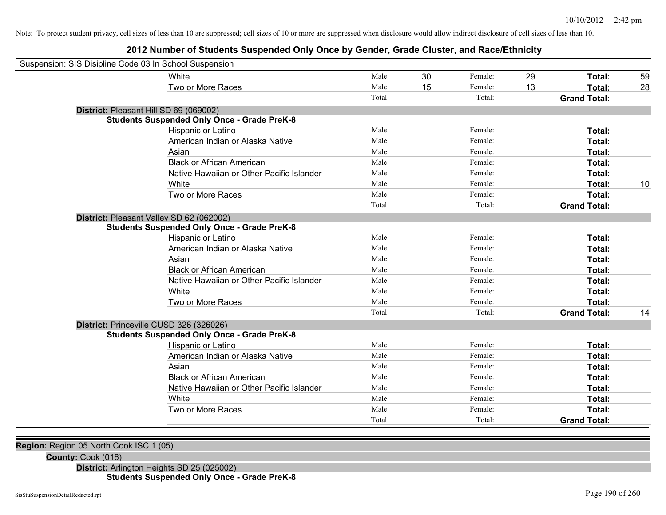## **2012 Number of Students Suspended Only Once by Gender, Grade Cluster, and Race/Ethnicity**

| Suspension: SIS Disipline Code 03 In School Suspension |                                                    |        |    |         |    |                     |    |
|--------------------------------------------------------|----------------------------------------------------|--------|----|---------|----|---------------------|----|
|                                                        | White                                              | Male:  | 30 | Female: | 29 | Total:              | 59 |
|                                                        | Two or More Races                                  | Male:  | 15 | Female: | 13 | Total:              | 28 |
|                                                        |                                                    | Total: |    | Total:  |    | <b>Grand Total:</b> |    |
| District: Pleasant Hill SD 69 (069002)                 |                                                    |        |    |         |    |                     |    |
|                                                        | <b>Students Suspended Only Once - Grade PreK-8</b> |        |    |         |    |                     |    |
|                                                        | Hispanic or Latino                                 | Male:  |    | Female: |    | Total:              |    |
|                                                        | American Indian or Alaska Native                   | Male:  |    | Female: |    | Total:              |    |
|                                                        | Asian                                              | Male:  |    | Female: |    | Total:              |    |
|                                                        | <b>Black or African American</b>                   | Male:  |    | Female: |    | Total:              |    |
|                                                        | Native Hawaiian or Other Pacific Islander          | Male:  |    | Female: |    | Total:              |    |
|                                                        | White                                              | Male:  |    | Female: |    | Total:              | 10 |
|                                                        | Two or More Races                                  | Male:  |    | Female: |    | Total:              |    |
|                                                        |                                                    | Total: |    | Total:  |    | <b>Grand Total:</b> |    |
| District: Pleasant Valley SD 62 (062002)               |                                                    |        |    |         |    |                     |    |
|                                                        | <b>Students Suspended Only Once - Grade PreK-8</b> |        |    |         |    |                     |    |
|                                                        | Hispanic or Latino                                 | Male:  |    | Female: |    | <b>Total:</b>       |    |
|                                                        | American Indian or Alaska Native                   | Male:  |    | Female: |    | Total:              |    |
|                                                        | Asian                                              | Male:  |    | Female: |    | Total:              |    |
|                                                        | <b>Black or African American</b>                   | Male:  |    | Female: |    | Total:              |    |
|                                                        | Native Hawaiian or Other Pacific Islander          | Male:  |    | Female: |    | Total:              |    |
|                                                        | White                                              | Male:  |    | Female: |    | Total:              |    |
|                                                        | Two or More Races                                  | Male:  |    | Female: |    | Total:              |    |
|                                                        |                                                    | Total: |    | Total:  |    | <b>Grand Total:</b> | 14 |
| District: Princeville CUSD 326 (326026)                |                                                    |        |    |         |    |                     |    |
|                                                        | <b>Students Suspended Only Once - Grade PreK-8</b> |        |    |         |    |                     |    |
|                                                        | Hispanic or Latino                                 | Male:  |    | Female: |    | Total:              |    |
|                                                        | American Indian or Alaska Native                   | Male:  |    | Female: |    | Total:              |    |
|                                                        | Asian                                              | Male:  |    | Female: |    | Total:              |    |
|                                                        | <b>Black or African American</b>                   | Male:  |    | Female: |    | Total:              |    |
|                                                        | Native Hawaiian or Other Pacific Islander          | Male:  |    | Female: |    | Total:              |    |
|                                                        | White                                              | Male:  |    | Female: |    | Total:              |    |
|                                                        | Two or More Races                                  | Male:  |    | Female: |    | Total:              |    |
|                                                        |                                                    | Total: |    | Total:  |    | <b>Grand Total:</b> |    |

**Region:** Region 05 North Cook ISC 1 (05)

**County:** Cook (016)

**District:** Arlington Heights SD 25 (025002)

## **Students Suspended Only Once - Grade PreK-8**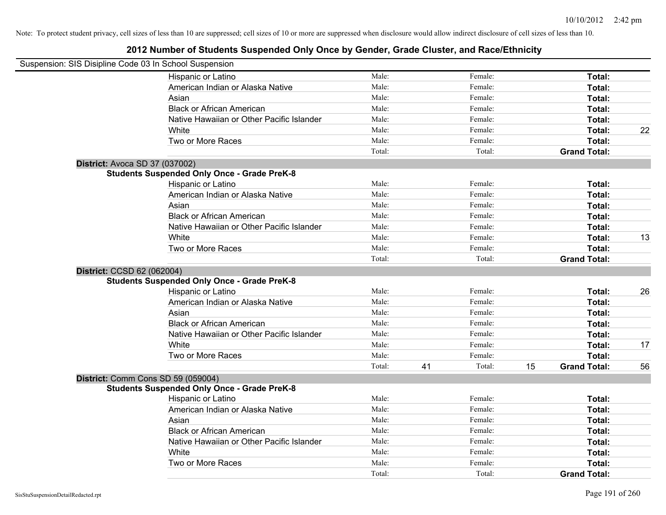| Suspension: SIS Disipline Code 03 In School Suspension |                                                    |        |    |         |    |                     |    |
|--------------------------------------------------------|----------------------------------------------------|--------|----|---------|----|---------------------|----|
|                                                        | Hispanic or Latino                                 | Male:  |    | Female: |    | Total:              |    |
|                                                        | American Indian or Alaska Native                   | Male:  |    | Female: |    | Total:              |    |
|                                                        | Asian                                              | Male:  |    | Female: |    | Total:              |    |
|                                                        | <b>Black or African American</b>                   | Male:  |    | Female: |    | Total:              |    |
|                                                        | Native Hawaiian or Other Pacific Islander          | Male:  |    | Female: |    | Total:              |    |
|                                                        | White                                              | Male:  |    | Female: |    | Total:              | 22 |
|                                                        | Two or More Races                                  | Male:  |    | Female: |    | Total:              |    |
|                                                        |                                                    | Total: |    | Total:  |    | <b>Grand Total:</b> |    |
|                                                        | District: Avoca SD 37 (037002)                     |        |    |         |    |                     |    |
|                                                        | <b>Students Suspended Only Once - Grade PreK-8</b> |        |    |         |    |                     |    |
|                                                        | Hispanic or Latino                                 | Male:  |    | Female: |    | Total:              |    |
|                                                        | American Indian or Alaska Native                   | Male:  |    | Female: |    | Total:              |    |
|                                                        | Asian                                              | Male:  |    | Female: |    | Total:              |    |
|                                                        | <b>Black or African American</b>                   | Male:  |    | Female: |    | Total:              |    |
|                                                        | Native Hawaiian or Other Pacific Islander          | Male:  |    | Female: |    | Total:              |    |
|                                                        | White                                              | Male:  |    | Female: |    | Total:              | 13 |
|                                                        | Two or More Races                                  | Male:  |    | Female: |    | Total:              |    |
|                                                        |                                                    | Total: |    | Total:  |    | <b>Grand Total:</b> |    |
| District: CCSD 62 (062004)                             |                                                    |        |    |         |    |                     |    |
|                                                        | <b>Students Suspended Only Once - Grade PreK-8</b> |        |    |         |    |                     |    |
|                                                        | Hispanic or Latino                                 | Male:  |    | Female: |    | Total:              | 26 |
|                                                        | American Indian or Alaska Native                   | Male:  |    | Female: |    | Total:              |    |
|                                                        | Asian                                              | Male:  |    | Female: |    | Total:              |    |
|                                                        | <b>Black or African American</b>                   | Male:  |    | Female: |    | Total:              |    |
|                                                        | Native Hawaiian or Other Pacific Islander          | Male:  |    | Female: |    | Total:              |    |
|                                                        | White                                              | Male:  |    | Female: |    | Total:              | 17 |
|                                                        | Two or More Races                                  | Male:  |    | Female: |    | Total:              |    |
|                                                        |                                                    | Total: | 41 | Total:  | 15 | <b>Grand Total:</b> | 56 |
|                                                        | District: Comm Cons SD 59 (059004)                 |        |    |         |    |                     |    |
|                                                        | <b>Students Suspended Only Once - Grade PreK-8</b> |        |    |         |    |                     |    |
|                                                        | Hispanic or Latino                                 | Male:  |    | Female: |    | Total:              |    |
|                                                        | American Indian or Alaska Native                   | Male:  |    | Female: |    | Total:              |    |
|                                                        | Asian                                              | Male:  |    | Female: |    | Total:              |    |
|                                                        | <b>Black or African American</b>                   | Male:  |    | Female: |    | Total:              |    |
|                                                        | Native Hawaiian or Other Pacific Islander          | Male:  |    | Female: |    | Total:              |    |
|                                                        | White                                              | Male:  |    | Female: |    | Total:              |    |
|                                                        | Two or More Races                                  | Male:  |    | Female: |    | Total:              |    |
|                                                        |                                                    | Total: |    | Total:  |    | <b>Grand Total:</b> |    |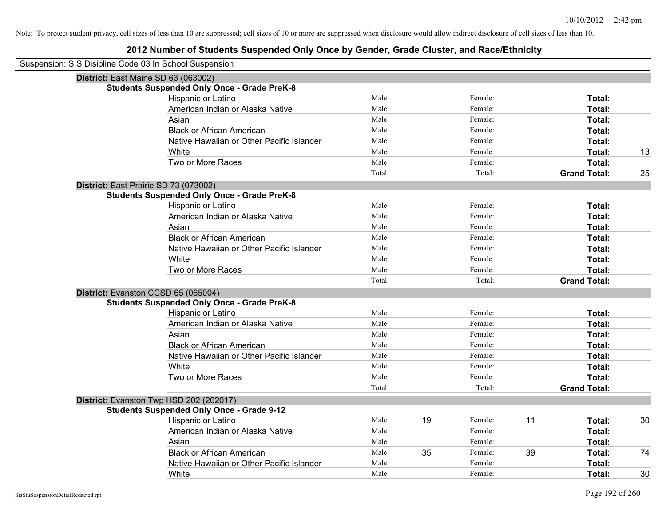| Suspension: SIS Disipline Code 03 In School Suspension |                                                    |        |    |         |    |                     |    |
|--------------------------------------------------------|----------------------------------------------------|--------|----|---------|----|---------------------|----|
|                                                        | District: East Maine SD 63 (063002)                |        |    |         |    |                     |    |
|                                                        | <b>Students Suspended Only Once - Grade PreK-8</b> |        |    |         |    |                     |    |
|                                                        | Hispanic or Latino                                 | Male:  |    | Female: |    | Total:              |    |
|                                                        | American Indian or Alaska Native                   | Male:  |    | Female: |    | Total:              |    |
|                                                        | Asian                                              | Male:  |    | Female: |    | Total:              |    |
|                                                        | <b>Black or African American</b>                   | Male:  |    | Female: |    | Total:              |    |
|                                                        | Native Hawaiian or Other Pacific Islander          | Male:  |    | Female: |    | Total:              |    |
|                                                        | White                                              | Male:  |    | Female: |    | Total:              | 13 |
|                                                        | Two or More Races                                  | Male:  |    | Female: |    | <b>Total:</b>       |    |
|                                                        |                                                    | Total: |    | Total:  |    | <b>Grand Total:</b> | 25 |
|                                                        | District: East Prairie SD 73 (073002)              |        |    |         |    |                     |    |
|                                                        | <b>Students Suspended Only Once - Grade PreK-8</b> |        |    |         |    |                     |    |
|                                                        | Hispanic or Latino                                 | Male:  |    | Female: |    | Total:              |    |
|                                                        | American Indian or Alaska Native                   | Male:  |    | Female: |    | Total:              |    |
|                                                        | Asian                                              | Male:  |    | Female: |    | Total:              |    |
|                                                        | <b>Black or African American</b>                   | Male:  |    | Female: |    | Total:              |    |
|                                                        | Native Hawaiian or Other Pacific Islander          | Male:  |    | Female: |    | Total:              |    |
|                                                        | White                                              | Male:  |    | Female: |    | Total:              |    |
|                                                        | Two or More Races                                  | Male:  |    | Female: |    | Total:              |    |
|                                                        |                                                    | Total: |    | Total:  |    | <b>Grand Total:</b> |    |
|                                                        | District: Evanston CCSD 65 (065004)                |        |    |         |    |                     |    |
|                                                        | <b>Students Suspended Only Once - Grade PreK-8</b> |        |    |         |    |                     |    |
|                                                        | Hispanic or Latino                                 | Male:  |    | Female: |    | Total:              |    |
|                                                        | American Indian or Alaska Native                   | Male:  |    | Female: |    | Total:              |    |
|                                                        | Asian                                              | Male:  |    | Female: |    | Total:              |    |
|                                                        | <b>Black or African American</b>                   | Male:  |    | Female: |    | Total:              |    |
|                                                        | Native Hawaiian or Other Pacific Islander          | Male:  |    | Female: |    | Total:              |    |
|                                                        | White                                              | Male:  |    | Female: |    | Total:              |    |
|                                                        | Two or More Races                                  | Male:  |    | Female: |    | <b>Total:</b>       |    |
|                                                        |                                                    | Total: |    | Total:  |    | <b>Grand Total:</b> |    |
|                                                        | District: Evanston Twp HSD 202 (202017)            |        |    |         |    |                     |    |
|                                                        | <b>Students Suspended Only Once - Grade 9-12</b>   |        |    |         |    |                     |    |
|                                                        | Hispanic or Latino                                 | Male:  | 19 | Female: | 11 | Total:              | 30 |
|                                                        | American Indian or Alaska Native                   | Male:  |    | Female: |    | Total:              |    |
|                                                        | Asian                                              | Male:  |    | Female: |    | Total:              |    |
|                                                        | <b>Black or African American</b>                   | Male:  | 35 | Female: | 39 | Total:              | 74 |
|                                                        | Native Hawaiian or Other Pacific Islander          | Male:  |    | Female: |    | Total:              |    |
|                                                        | White                                              | Male:  |    | Female: |    | Total:              | 30 |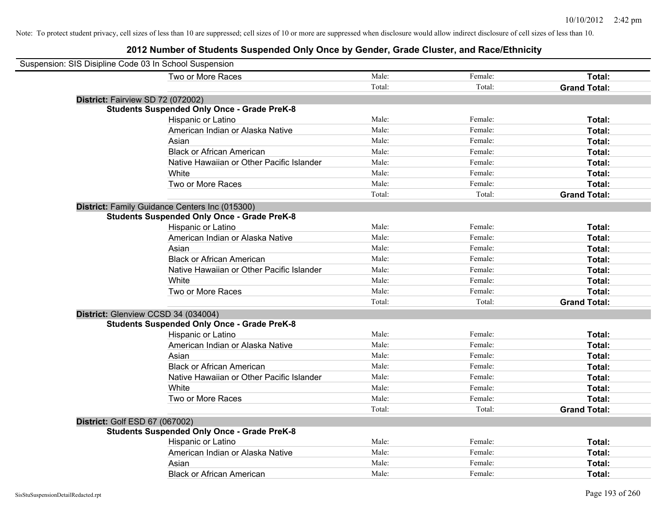| Suspension: SIS Disipline Code 03 In School Suspension |                                                    |        |         |                     |
|--------------------------------------------------------|----------------------------------------------------|--------|---------|---------------------|
|                                                        | Two or More Races                                  | Male:  | Female: | Total:              |
|                                                        |                                                    | Total: | Total:  | <b>Grand Total:</b> |
| District: Fairview SD 72 (072002)                      |                                                    |        |         |                     |
|                                                        | <b>Students Suspended Only Once - Grade PreK-8</b> |        |         |                     |
|                                                        | Hispanic or Latino                                 | Male:  | Female: | Total:              |
|                                                        | American Indian or Alaska Native                   | Male:  | Female: | Total:              |
|                                                        | Asian                                              | Male:  | Female: | Total:              |
|                                                        | <b>Black or African American</b>                   | Male:  | Female: | Total:              |
|                                                        | Native Hawaiian or Other Pacific Islander          | Male:  | Female: | Total:              |
|                                                        | White                                              | Male:  | Female: | Total:              |
|                                                        | Two or More Races                                  | Male:  | Female: | Total:              |
|                                                        |                                                    | Total: | Total:  | <b>Grand Total:</b> |
|                                                        | District: Family Guidance Centers Inc (015300)     |        |         |                     |
|                                                        | <b>Students Suspended Only Once - Grade PreK-8</b> |        |         |                     |
|                                                        | Hispanic or Latino                                 | Male:  | Female: | Total:              |
|                                                        | American Indian or Alaska Native                   | Male:  | Female: | Total:              |
|                                                        | Asian                                              | Male:  | Female: | Total:              |
|                                                        | <b>Black or African American</b>                   | Male:  | Female: | Total:              |
|                                                        | Native Hawaiian or Other Pacific Islander          | Male:  | Female: | Total:              |
|                                                        | White                                              | Male:  | Female: | Total:              |
|                                                        | Two or More Races                                  | Male:  | Female: | Total:              |
|                                                        |                                                    | Total: | Total:  | <b>Grand Total:</b> |
| District: Glenview CCSD 34 (034004)                    |                                                    |        |         |                     |
|                                                        | <b>Students Suspended Only Once - Grade PreK-8</b> |        |         |                     |
|                                                        | Hispanic or Latino                                 | Male:  | Female: | Total:              |
|                                                        | American Indian or Alaska Native                   | Male:  | Female: | Total:              |
|                                                        | Asian                                              | Male:  | Female: | Total:              |
|                                                        | <b>Black or African American</b>                   | Male:  | Female: | Total:              |
|                                                        | Native Hawaiian or Other Pacific Islander          | Male:  | Female: | Total:              |
|                                                        | White                                              | Male:  | Female: | Total:              |
|                                                        | Two or More Races                                  | Male:  | Female: | Total:              |
|                                                        |                                                    | Total: | Total:  | <b>Grand Total:</b> |
| District: Golf ESD 67 (067002)                         |                                                    |        |         |                     |
|                                                        | <b>Students Suspended Only Once - Grade PreK-8</b> |        |         |                     |
|                                                        | Hispanic or Latino                                 | Male:  | Female: | Total:              |
|                                                        | American Indian or Alaska Native                   | Male:  | Female: | Total:              |
|                                                        | Asian                                              | Male:  | Female: | Total:              |
|                                                        | <b>Black or African American</b>                   | Male:  | Female: | Total:              |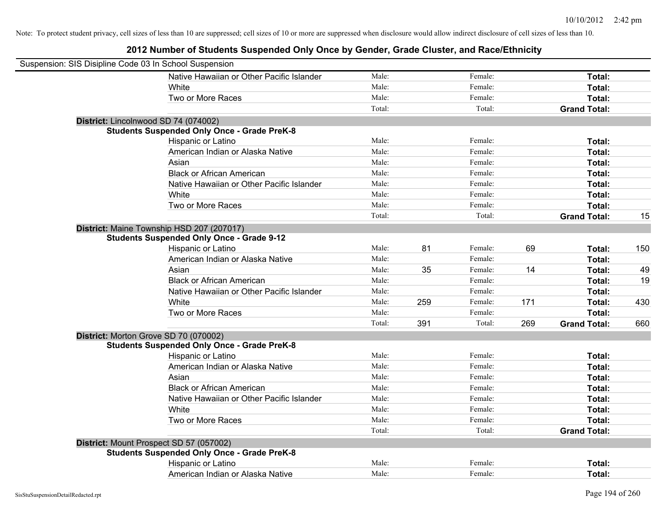| Suspension: SIS Disipline Code 03 In School Suspension |                                                    |        |     |         |     |                     |     |
|--------------------------------------------------------|----------------------------------------------------|--------|-----|---------|-----|---------------------|-----|
|                                                        | Native Hawaiian or Other Pacific Islander          | Male:  |     | Female: |     | Total:              |     |
|                                                        | White                                              | Male:  |     | Female: |     | Total:              |     |
|                                                        | Two or More Races                                  | Male:  |     | Female: |     | Total:              |     |
|                                                        |                                                    | Total: |     | Total:  |     | <b>Grand Total:</b> |     |
|                                                        | District: Lincolnwood SD 74 (074002)               |        |     |         |     |                     |     |
|                                                        | <b>Students Suspended Only Once - Grade PreK-8</b> |        |     |         |     |                     |     |
|                                                        | Hispanic or Latino                                 | Male:  |     | Female: |     | Total:              |     |
|                                                        | American Indian or Alaska Native                   | Male:  |     | Female: |     | Total:              |     |
|                                                        | Asian                                              | Male:  |     | Female: |     | Total:              |     |
|                                                        | <b>Black or African American</b>                   | Male:  |     | Female: |     | Total:              |     |
|                                                        | Native Hawaiian or Other Pacific Islander          | Male:  |     | Female: |     | Total:              |     |
|                                                        | White                                              | Male:  |     | Female: |     | Total:              |     |
|                                                        | Two or More Races                                  | Male:  |     | Female: |     | Total:              |     |
|                                                        |                                                    | Total: |     | Total:  |     | <b>Grand Total:</b> | 15  |
|                                                        | District: Maine Township HSD 207 (207017)          |        |     |         |     |                     |     |
|                                                        | <b>Students Suspended Only Once - Grade 9-12</b>   |        |     |         |     |                     |     |
|                                                        | Hispanic or Latino                                 | Male:  | 81  | Female: | 69  | Total:              | 150 |
|                                                        | American Indian or Alaska Native                   | Male:  |     | Female: |     | Total:              |     |
|                                                        | Asian                                              | Male:  | 35  | Female: | 14  | Total:              | 49  |
|                                                        | <b>Black or African American</b>                   | Male:  |     | Female: |     | Total:              | 19  |
|                                                        | Native Hawaiian or Other Pacific Islander          | Male:  |     | Female: |     | Total:              |     |
|                                                        | White                                              | Male:  | 259 | Female: | 171 | Total:              | 430 |
|                                                        | Two or More Races                                  | Male:  |     | Female: |     | Total:              |     |
|                                                        |                                                    | Total: | 391 | Total:  | 269 | <b>Grand Total:</b> | 660 |
|                                                        | District: Morton Grove SD 70 (070002)              |        |     |         |     |                     |     |
|                                                        | <b>Students Suspended Only Once - Grade PreK-8</b> |        |     |         |     |                     |     |
|                                                        | Hispanic or Latino                                 | Male:  |     | Female: |     | Total:              |     |
|                                                        | American Indian or Alaska Native                   | Male:  |     | Female: |     | Total:              |     |
|                                                        | Asian                                              | Male:  |     | Female: |     | Total:              |     |
|                                                        | <b>Black or African American</b>                   | Male:  |     | Female: |     | Total:              |     |
|                                                        | Native Hawaiian or Other Pacific Islander          | Male:  |     | Female: |     | Total:              |     |
|                                                        | White                                              | Male:  |     | Female: |     | Total:              |     |
|                                                        | Two or More Races                                  | Male:  |     | Female: |     | Total:              |     |
|                                                        |                                                    | Total: |     | Total:  |     | <b>Grand Total:</b> |     |
|                                                        | District: Mount Prospect SD 57 (057002)            |        |     |         |     |                     |     |
|                                                        | <b>Students Suspended Only Once - Grade PreK-8</b> |        |     |         |     |                     |     |
|                                                        | Hispanic or Latino                                 | Male:  |     | Female: |     | Total:              |     |
|                                                        | American Indian or Alaska Native                   | Male:  |     | Female: |     | Total:              |     |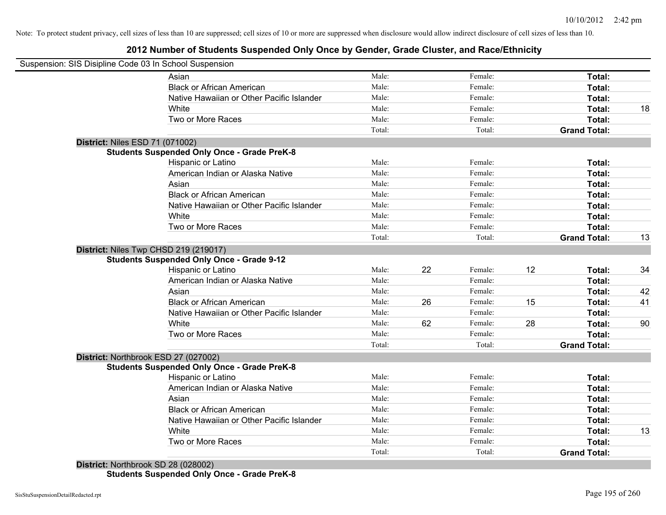## **2012 Number of Students Suspended Only Once by Gender, Grade Cluster, and Race/Ethnicity**

|                                 | Suspension: SIS Disipline Code 03 In School Suspension |        |    |         |    |                     |    |
|---------------------------------|--------------------------------------------------------|--------|----|---------|----|---------------------|----|
|                                 | Asian                                                  | Male:  |    | Female: |    | Total:              |    |
|                                 | <b>Black or African American</b>                       | Male:  |    | Female: |    | Total:              |    |
|                                 | Native Hawaiian or Other Pacific Islander              | Male:  |    | Female: |    | Total:              |    |
|                                 | White                                                  | Male:  |    | Female: |    | Total:              | 18 |
|                                 | Two or More Races                                      | Male:  |    | Female: |    | Total:              |    |
|                                 |                                                        | Total: |    | Total:  |    | <b>Grand Total:</b> |    |
| District: Niles ESD 71 (071002) |                                                        |        |    |         |    |                     |    |
|                                 | <b>Students Suspended Only Once - Grade PreK-8</b>     |        |    |         |    |                     |    |
|                                 | Hispanic or Latino                                     | Male:  |    | Female: |    | Total:              |    |
|                                 | American Indian or Alaska Native                       | Male:  |    | Female: |    | Total:              |    |
|                                 | Asian                                                  | Male:  |    | Female: |    | Total:              |    |
|                                 | <b>Black or African American</b>                       | Male:  |    | Female: |    | Total:              |    |
|                                 | Native Hawaiian or Other Pacific Islander              | Male:  |    | Female: |    | Total:              |    |
|                                 | White                                                  | Male:  |    | Female: |    | Total:              |    |
|                                 | Two or More Races                                      | Male:  |    | Female: |    | Total:              |    |
|                                 |                                                        | Total: |    | Total:  |    | <b>Grand Total:</b> | 13 |
|                                 | District: Niles Twp CHSD 219 (219017)                  |        |    |         |    |                     |    |
|                                 | <b>Students Suspended Only Once - Grade 9-12</b>       |        |    |         |    |                     |    |
|                                 | Hispanic or Latino                                     | Male:  | 22 | Female: | 12 | Total:              | 34 |
|                                 | American Indian or Alaska Native                       | Male:  |    | Female: |    | Total:              |    |
|                                 | Asian                                                  | Male:  |    | Female: |    | Total:              | 42 |
|                                 | <b>Black or African American</b>                       | Male:  | 26 | Female: | 15 | Total:              | 41 |
|                                 | Native Hawaiian or Other Pacific Islander              | Male:  |    | Female: |    | Total:              |    |
|                                 | White                                                  | Male:  | 62 | Female: | 28 | Total:              | 90 |
|                                 | Two or More Races                                      | Male:  |    | Female: |    | Total:              |    |
|                                 |                                                        | Total: |    | Total:  |    | <b>Grand Total:</b> |    |
|                                 | District: Northbrook ESD 27 (027002)                   |        |    |         |    |                     |    |
|                                 | <b>Students Suspended Only Once - Grade PreK-8</b>     |        |    |         |    |                     |    |
|                                 | Hispanic or Latino                                     | Male:  |    | Female: |    | Total:              |    |
|                                 | American Indian or Alaska Native                       | Male:  |    | Female: |    | Total:              |    |
|                                 | Asian                                                  | Male:  |    | Female: |    | Total:              |    |
|                                 | <b>Black or African American</b>                       | Male:  |    | Female: |    | Total:              |    |
|                                 | Native Hawaiian or Other Pacific Islander              | Male:  |    | Female: |    | Total:              |    |
|                                 | White                                                  | Male:  |    | Female: |    | Total:              | 13 |
|                                 | Two or More Races                                      | Male:  |    | Female: |    | Total:              |    |
|                                 |                                                        |        |    |         |    |                     |    |

**Students Suspended Only Once - Grade PreK-8**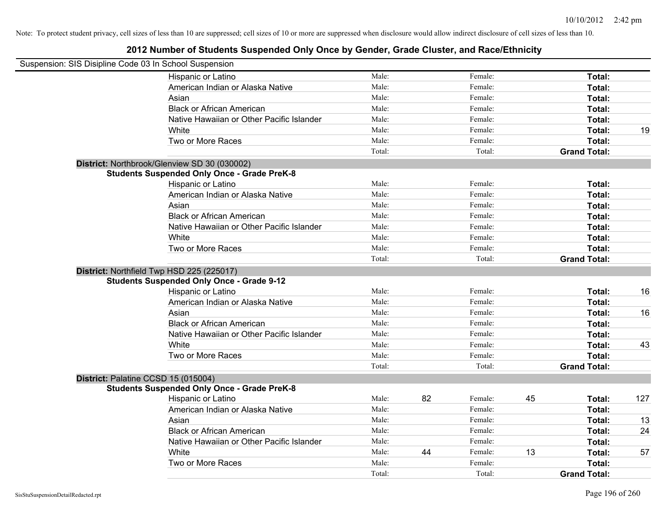| Suspension: SIS Disipline Code 03 In School Suspension |                                                    |        |    |         |    |                     |     |
|--------------------------------------------------------|----------------------------------------------------|--------|----|---------|----|---------------------|-----|
|                                                        | Hispanic or Latino                                 | Male:  |    | Female: |    | Total:              |     |
|                                                        | American Indian or Alaska Native                   | Male:  |    | Female: |    | Total:              |     |
|                                                        | Asian                                              | Male:  |    | Female: |    | Total:              |     |
|                                                        | <b>Black or African American</b>                   | Male:  |    | Female: |    | Total:              |     |
|                                                        | Native Hawaiian or Other Pacific Islander          | Male:  |    | Female: |    | Total:              |     |
|                                                        | White                                              | Male:  |    | Female: |    | Total:              | 19  |
|                                                        | Two or More Races                                  | Male:  |    | Female: |    | Total:              |     |
|                                                        |                                                    | Total: |    | Total:  |    | <b>Grand Total:</b> |     |
|                                                        | District: Northbrook/Glenview SD 30 (030002)       |        |    |         |    |                     |     |
|                                                        | <b>Students Suspended Only Once - Grade PreK-8</b> |        |    |         |    |                     |     |
|                                                        | Hispanic or Latino                                 | Male:  |    | Female: |    | Total:              |     |
|                                                        | American Indian or Alaska Native                   | Male:  |    | Female: |    | Total:              |     |
|                                                        | Asian                                              | Male:  |    | Female: |    | Total:              |     |
|                                                        | <b>Black or African American</b>                   | Male:  |    | Female: |    | Total:              |     |
|                                                        | Native Hawaiian or Other Pacific Islander          | Male:  |    | Female: |    | Total:              |     |
|                                                        | White                                              | Male:  |    | Female: |    | Total:              |     |
|                                                        | Two or More Races                                  | Male:  |    | Female: |    | Total:              |     |
|                                                        |                                                    | Total: |    | Total:  |    | <b>Grand Total:</b> |     |
|                                                        | District: Northfield Twp HSD 225 (225017)          |        |    |         |    |                     |     |
|                                                        | <b>Students Suspended Only Once - Grade 9-12</b>   |        |    |         |    |                     |     |
|                                                        | Hispanic or Latino                                 | Male:  |    | Female: |    | Total:              | 16  |
|                                                        | American Indian or Alaska Native                   | Male:  |    | Female: |    | Total:              |     |
|                                                        | Asian                                              | Male:  |    | Female: |    | Total:              | 16  |
|                                                        | <b>Black or African American</b>                   | Male:  |    | Female: |    | Total:              |     |
|                                                        | Native Hawaiian or Other Pacific Islander          | Male:  |    | Female: |    | Total:              |     |
|                                                        | White                                              | Male:  |    | Female: |    | Total:              | 43  |
|                                                        | Two or More Races                                  | Male:  |    | Female: |    | Total:              |     |
|                                                        |                                                    | Total: |    | Total:  |    | <b>Grand Total:</b> |     |
|                                                        | District: Palatine CCSD 15 (015004)                |        |    |         |    |                     |     |
|                                                        | <b>Students Suspended Only Once - Grade PreK-8</b> |        |    |         |    |                     |     |
|                                                        | Hispanic or Latino                                 | Male:  | 82 | Female: | 45 | Total:              | 127 |
|                                                        | American Indian or Alaska Native                   | Male:  |    | Female: |    | Total:              |     |
|                                                        | Asian                                              | Male:  |    | Female: |    | Total:              | 13  |
|                                                        | <b>Black or African American</b>                   | Male:  |    | Female: |    | Total:              | 24  |
|                                                        | Native Hawaiian or Other Pacific Islander          | Male:  |    | Female: |    | Total:              |     |
|                                                        | White                                              | Male:  | 44 | Female: | 13 | Total:              | 57  |
|                                                        | Two or More Races                                  | Male:  |    | Female: |    | Total:              |     |
|                                                        |                                                    | Total: |    | Total:  |    | <b>Grand Total:</b> |     |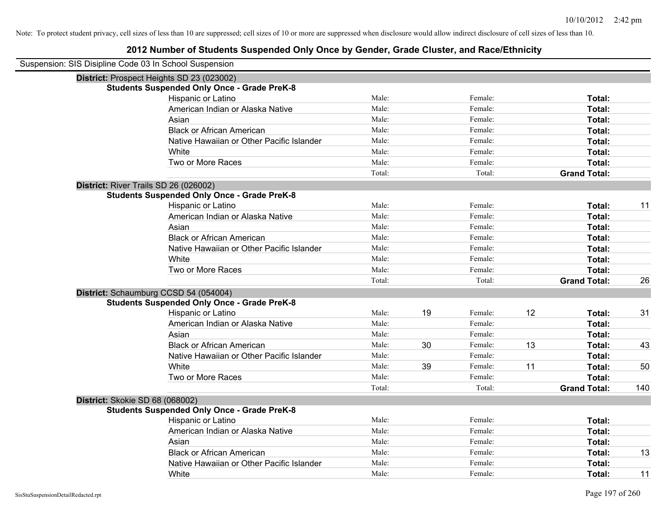| Suspension: SIS Disipline Code 03 In School Suspension |        |    |         |    |                     |     |
|--------------------------------------------------------|--------|----|---------|----|---------------------|-----|
| District: Prospect Heights SD 23 (023002)              |        |    |         |    |                     |     |
| <b>Students Suspended Only Once - Grade PreK-8</b>     |        |    |         |    |                     |     |
| Hispanic or Latino                                     | Male:  |    | Female: |    | Total:              |     |
| American Indian or Alaska Native                       | Male:  |    | Female: |    | Total:              |     |
| Asian                                                  | Male:  |    | Female: |    | Total:              |     |
| <b>Black or African American</b>                       | Male:  |    | Female: |    | Total:              |     |
| Native Hawaiian or Other Pacific Islander              | Male:  |    | Female: |    | Total:              |     |
| White                                                  | Male:  |    | Female: |    | Total:              |     |
| Two or More Races                                      | Male:  |    | Female: |    | Total:              |     |
|                                                        | Total: |    | Total:  |    | <b>Grand Total:</b> |     |
| District: River Trails SD 26 (026002)                  |        |    |         |    |                     |     |
| <b>Students Suspended Only Once - Grade PreK-8</b>     |        |    |         |    |                     |     |
| Hispanic or Latino                                     | Male:  |    | Female: |    | Total:              | 11  |
| American Indian or Alaska Native                       | Male:  |    | Female: |    | Total:              |     |
| Asian                                                  | Male:  |    | Female: |    | Total:              |     |
| <b>Black or African American</b>                       | Male:  |    | Female: |    | Total:              |     |
| Native Hawaiian or Other Pacific Islander              | Male:  |    | Female: |    | Total:              |     |
| White                                                  | Male:  |    | Female: |    | Total:              |     |
| Two or More Races                                      | Male:  |    | Female: |    | Total:              |     |
|                                                        | Total: |    | Total:  |    | <b>Grand Total:</b> | 26  |
| District: Schaumburg CCSD 54 (054004)                  |        |    |         |    |                     |     |
| <b>Students Suspended Only Once - Grade PreK-8</b>     |        |    |         |    |                     |     |
| Hispanic or Latino                                     | Male:  | 19 | Female: | 12 | Total:              | 31  |
| American Indian or Alaska Native                       | Male:  |    | Female: |    | Total:              |     |
| Asian                                                  | Male:  |    | Female: |    | Total:              |     |
| <b>Black or African American</b>                       | Male:  | 30 | Female: | 13 | Total:              | 43  |
| Native Hawaiian or Other Pacific Islander              | Male:  |    | Female: |    | Total:              |     |
| White                                                  | Male:  | 39 | Female: | 11 | Total:              | 50  |
| Two or More Races                                      | Male:  |    | Female: |    | Total:              |     |
|                                                        | Total: |    | Total:  |    | <b>Grand Total:</b> | 140 |
| District: Skokie SD 68 (068002)                        |        |    |         |    |                     |     |
| <b>Students Suspended Only Once - Grade PreK-8</b>     |        |    |         |    |                     |     |
| Hispanic or Latino                                     | Male:  |    | Female: |    | Total:              |     |
| American Indian or Alaska Native                       | Male:  |    | Female: |    | Total:              |     |
| Asian                                                  | Male:  |    | Female: |    | Total:              |     |
| <b>Black or African American</b>                       | Male:  |    | Female: |    | Total:              | 13  |
| Native Hawaiian or Other Pacific Islander              | Male:  |    | Female: |    | Total:              |     |
| White                                                  | Male:  |    | Female: |    | Total:              | 11  |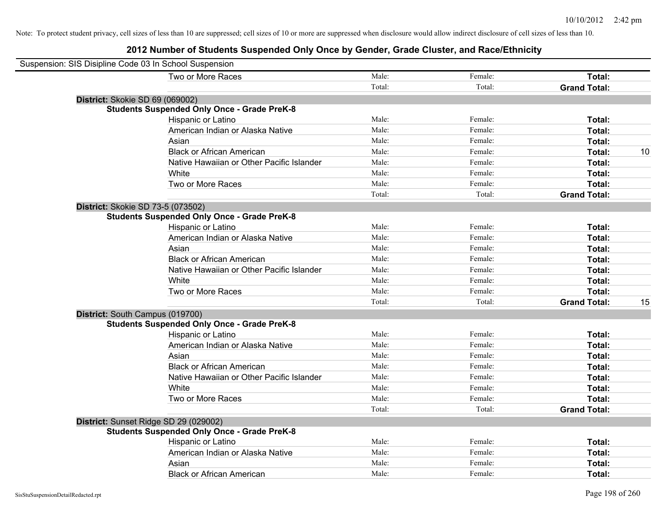| Suspension: SIS Disipline Code 03 In School Suspension |        |         |                     |    |
|--------------------------------------------------------|--------|---------|---------------------|----|
| Two or More Races                                      | Male:  | Female: | Total:              |    |
|                                                        | Total: | Total:  | <b>Grand Total:</b> |    |
| District: Skokie SD 69 (069002)                        |        |         |                     |    |
| <b>Students Suspended Only Once - Grade PreK-8</b>     |        |         |                     |    |
| Hispanic or Latino                                     | Male:  | Female: | Total:              |    |
| American Indian or Alaska Native                       | Male:  | Female: | Total:              |    |
| Asian                                                  | Male:  | Female: | Total:              |    |
| <b>Black or African American</b>                       | Male:  | Female: | Total:              | 10 |
| Native Hawaiian or Other Pacific Islander              | Male:  | Female: | Total:              |    |
| White                                                  | Male:  | Female: | Total:              |    |
| Two or More Races                                      | Male:  | Female: | Total:              |    |
|                                                        | Total: | Total:  | <b>Grand Total:</b> |    |
| District: Skokie SD 73-5 (073502)                      |        |         |                     |    |
| <b>Students Suspended Only Once - Grade PreK-8</b>     |        |         |                     |    |
| Hispanic or Latino                                     | Male:  | Female: | Total:              |    |
| American Indian or Alaska Native                       | Male:  | Female: | Total:              |    |
| Asian                                                  | Male:  | Female: | Total:              |    |
| <b>Black or African American</b>                       | Male:  | Female: | Total:              |    |
| Native Hawaiian or Other Pacific Islander              | Male:  | Female: | Total:              |    |
| White                                                  | Male:  | Female: | Total:              |    |
| Two or More Races                                      | Male:  | Female: | Total:              |    |
|                                                        | Total: | Total:  | <b>Grand Total:</b> | 15 |
| District: South Campus (019700)                        |        |         |                     |    |
| <b>Students Suspended Only Once - Grade PreK-8</b>     |        |         |                     |    |
| Hispanic or Latino                                     | Male:  | Female: | Total:              |    |
| American Indian or Alaska Native                       | Male:  | Female: | Total:              |    |
| Asian                                                  | Male:  | Female: | Total:              |    |
| <b>Black or African American</b>                       | Male:  | Female: | Total:              |    |
| Native Hawaiian or Other Pacific Islander              | Male:  | Female: | Total:              |    |
| White                                                  | Male:  | Female: | Total:              |    |
| Two or More Races                                      | Male:  | Female: | Total:              |    |
|                                                        | Total: | Total:  | <b>Grand Total:</b> |    |
| District: Sunset Ridge SD 29 (029002)                  |        |         |                     |    |
| <b>Students Suspended Only Once - Grade PreK-8</b>     |        |         |                     |    |
| Hispanic or Latino                                     | Male:  | Female: | Total:              |    |
| American Indian or Alaska Native                       | Male:  | Female: | Total:              |    |
| Asian                                                  | Male:  | Female: | Total:              |    |
| <b>Black or African American</b>                       | Male:  | Female: | Total:              |    |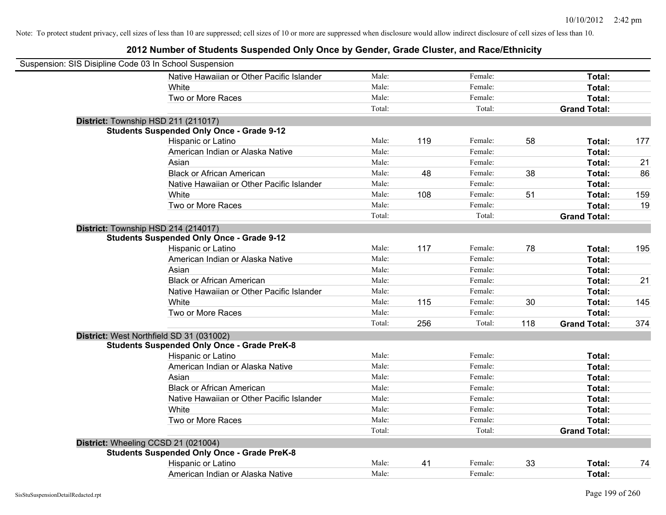| Suspension: SIS Disipline Code 03 In School Suspension |                                                    |        |     |         |     |                     |     |
|--------------------------------------------------------|----------------------------------------------------|--------|-----|---------|-----|---------------------|-----|
|                                                        | Native Hawaiian or Other Pacific Islander          | Male:  |     | Female: |     | Total:              |     |
|                                                        | White                                              | Male:  |     | Female: |     | Total:              |     |
|                                                        | Two or More Races                                  | Male:  |     | Female: |     | Total:              |     |
|                                                        |                                                    | Total: |     | Total:  |     | <b>Grand Total:</b> |     |
| District: Township HSD 211 (211017)                    |                                                    |        |     |         |     |                     |     |
|                                                        | <b>Students Suspended Only Once - Grade 9-12</b>   |        |     |         |     |                     |     |
|                                                        | Hispanic or Latino                                 | Male:  | 119 | Female: | 58  | Total:              | 177 |
|                                                        | American Indian or Alaska Native                   | Male:  |     | Female: |     | Total:              |     |
|                                                        | Asian                                              | Male:  |     | Female: |     | Total:              | 21  |
|                                                        | <b>Black or African American</b>                   | Male:  | 48  | Female: | 38  | Total:              | 86  |
|                                                        | Native Hawaiian or Other Pacific Islander          | Male:  |     | Female: |     | Total:              |     |
|                                                        | White                                              | Male:  | 108 | Female: | 51  | Total:              | 159 |
|                                                        | Two or More Races                                  | Male:  |     | Female: |     | Total:              | 19  |
|                                                        |                                                    | Total: |     | Total:  |     | <b>Grand Total:</b> |     |
| District: Township HSD 214 (214017)                    |                                                    |        |     |         |     |                     |     |
|                                                        | <b>Students Suspended Only Once - Grade 9-12</b>   |        |     |         |     |                     |     |
|                                                        | Hispanic or Latino                                 | Male:  | 117 | Female: | 78  | Total:              | 195 |
|                                                        | American Indian or Alaska Native                   | Male:  |     | Female: |     | Total:              |     |
|                                                        | Asian                                              | Male:  |     | Female: |     | Total:              |     |
|                                                        | <b>Black or African American</b>                   | Male:  |     | Female: |     | Total:              | 21  |
|                                                        | Native Hawaiian or Other Pacific Islander          | Male:  |     | Female: |     | Total:              |     |
|                                                        | White                                              | Male:  | 115 | Female: | 30  | Total:              | 145 |
|                                                        | Two or More Races                                  | Male:  |     | Female: |     | Total:              |     |
|                                                        |                                                    | Total: | 256 | Total:  | 118 | <b>Grand Total:</b> | 374 |
| District: West Northfield SD 31 (031002)               |                                                    |        |     |         |     |                     |     |
|                                                        | <b>Students Suspended Only Once - Grade PreK-8</b> |        |     |         |     |                     |     |
|                                                        | Hispanic or Latino                                 | Male:  |     | Female: |     | Total:              |     |
|                                                        | American Indian or Alaska Native                   | Male:  |     | Female: |     | Total:              |     |
|                                                        | Asian                                              | Male:  |     | Female: |     | Total:              |     |
|                                                        | <b>Black or African American</b>                   | Male:  |     | Female: |     | Total:              |     |
|                                                        | Native Hawaiian or Other Pacific Islander          | Male:  |     | Female: |     | Total:              |     |
|                                                        | White                                              | Male:  |     | Female: |     | Total:              |     |
|                                                        | Two or More Races                                  | Male:  |     | Female: |     | Total:              |     |
|                                                        |                                                    | Total: |     | Total:  |     | <b>Grand Total:</b> |     |
| District: Wheeling CCSD 21 (021004)                    |                                                    |        |     |         |     |                     |     |
|                                                        | <b>Students Suspended Only Once - Grade PreK-8</b> |        |     |         |     |                     |     |
|                                                        | Hispanic or Latino                                 | Male:  | 41  | Female: | 33  | Total:              | 74  |
|                                                        | American Indian or Alaska Native                   | Male:  |     | Female: |     | Total:              |     |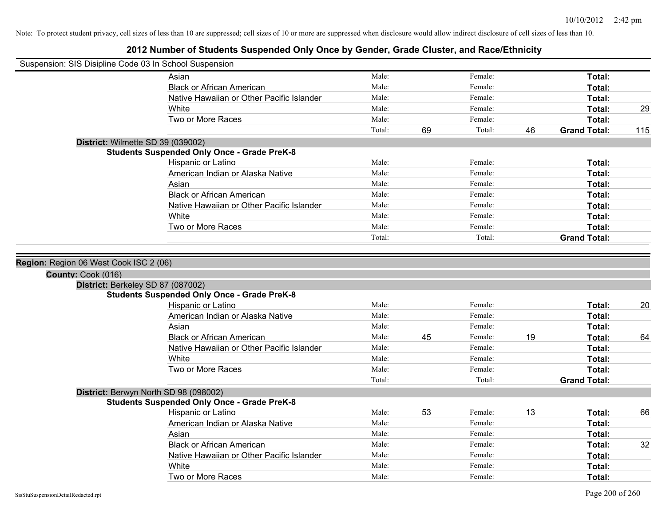| Suspension: SIS Disipline Code 03 In School Suspension |                                                                                         |                |    |                    |    |                     |     |
|--------------------------------------------------------|-----------------------------------------------------------------------------------------|----------------|----|--------------------|----|---------------------|-----|
|                                                        | Asian                                                                                   | Male:          |    | Female:            |    | Total:              |     |
|                                                        | <b>Black or African American</b>                                                        | Male:          |    | Female:            |    | Total:              |     |
|                                                        | Native Hawaiian or Other Pacific Islander                                               | Male:          |    | Female:            |    | Total:              |     |
|                                                        | White                                                                                   | Male:          |    | Female:            |    | Total:              | 29  |
|                                                        | Two or More Races                                                                       | Male:          |    | Female:            |    | Total:              |     |
|                                                        |                                                                                         | Total:         | 69 | Total:             | 46 | <b>Grand Total:</b> | 115 |
|                                                        | District: Wilmette SD 39 (039002)                                                       |                |    |                    |    |                     |     |
|                                                        | <b>Students Suspended Only Once - Grade PreK-8</b>                                      |                |    |                    |    |                     |     |
|                                                        | Hispanic or Latino                                                                      | Male:          |    | Female:            |    | Total:              |     |
|                                                        | American Indian or Alaska Native                                                        | Male:          |    | Female:            |    | Total:              |     |
|                                                        | Asian                                                                                   | Male:          |    | Female:            |    | Total:              |     |
|                                                        | <b>Black or African American</b>                                                        | Male:          |    | Female:            |    | Total:              |     |
|                                                        | Native Hawaiian or Other Pacific Islander                                               | Male:          |    | Female:            |    | Total:              |     |
|                                                        | White                                                                                   | Male:          |    | Female:            |    | Total:              |     |
|                                                        | Two or More Races                                                                       | Male:          |    | Female:            |    | Total:              |     |
|                                                        |                                                                                         | Total:         |    | Total:             |    | <b>Grand Total:</b> |     |
|                                                        | District: Berkeley SD 87 (087002)<br><b>Students Suspended Only Once - Grade PreK-8</b> |                |    |                    |    |                     |     |
|                                                        | Hispanic or Latino                                                                      | Male:          |    | Female:            |    | Total:              | 20  |
|                                                        | American Indian or Alaska Native                                                        | Male:          |    | Female:            |    | Total:              |     |
|                                                        | Asian                                                                                   | Male:          |    | Female:            |    | Total:              |     |
|                                                        | <b>Black or African American</b>                                                        | Male:          | 45 | Female:            | 19 | Total:              | 64  |
|                                                        | Native Hawaiian or Other Pacific Islander                                               | Male:          |    | Female:            |    | Total:              |     |
|                                                        | White                                                                                   | Male:          |    | Female:            |    | Total:              |     |
|                                                        | Two or More Races                                                                       | Male:          |    | Female:            |    | Total:              |     |
|                                                        |                                                                                         | Total:         |    | Total:             |    | <b>Grand Total:</b> |     |
|                                                        | District: Berwyn North SD 98 (098002)                                                   |                |    |                    |    |                     |     |
|                                                        |                                                                                         |                |    |                    |    |                     |     |
|                                                        | <b>Students Suspended Only Once - Grade PreK-8</b>                                      |                |    | Female:            | 13 |                     | 66  |
|                                                        | Hispanic or Latino                                                                      | Male:          | 53 |                    |    | Total:              |     |
|                                                        | American Indian or Alaska Native                                                        | Male:          |    | Female:            |    | Total:              |     |
|                                                        | Asian                                                                                   | Male:          |    | Female:            |    | Total:              |     |
|                                                        | <b>Black or African American</b>                                                        | Male:          |    | Female:            |    | Total:              | 32  |
|                                                        | Native Hawaiian or Other Pacific Islander                                               | Male:          |    | Female:            |    | Total:              |     |
|                                                        | White<br>Two or More Races                                                              | Male:<br>Male: |    | Female:<br>Female: |    | Total:              |     |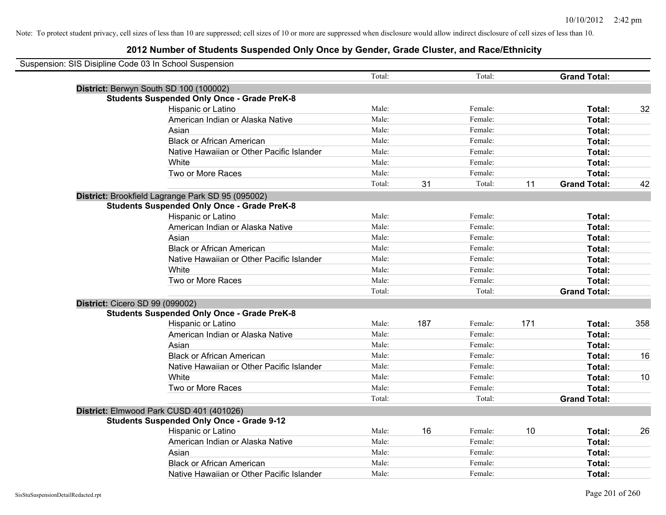| Suspension: SIS Disipline Code 03 In School Suspension |                                                    |        |     |         |     |                     |     |
|--------------------------------------------------------|----------------------------------------------------|--------|-----|---------|-----|---------------------|-----|
|                                                        |                                                    | Total: |     | Total:  |     | <b>Grand Total:</b> |     |
|                                                        | District: Berwyn South SD 100 (100002)             |        |     |         |     |                     |     |
|                                                        | <b>Students Suspended Only Once - Grade PreK-8</b> |        |     |         |     |                     |     |
|                                                        | Hispanic or Latino                                 | Male:  |     | Female: |     | Total:              | 32  |
|                                                        | American Indian or Alaska Native                   | Male:  |     | Female: |     | Total:              |     |
|                                                        | Asian                                              | Male:  |     | Female: |     | Total:              |     |
|                                                        | <b>Black or African American</b>                   | Male:  |     | Female: |     | Total:              |     |
|                                                        | Native Hawaiian or Other Pacific Islander          | Male:  |     | Female: |     | Total:              |     |
|                                                        | White                                              | Male:  |     | Female: |     | Total:              |     |
|                                                        | Two or More Races                                  | Male:  |     | Female: |     | Total:              |     |
|                                                        |                                                    | Total: | 31  | Total:  | 11  | <b>Grand Total:</b> | 42  |
|                                                        | District: Brookfield Lagrange Park SD 95 (095002)  |        |     |         |     |                     |     |
|                                                        | <b>Students Suspended Only Once - Grade PreK-8</b> |        |     |         |     |                     |     |
|                                                        | Hispanic or Latino                                 | Male:  |     | Female: |     | Total:              |     |
|                                                        | American Indian or Alaska Native                   | Male:  |     | Female: |     | Total:              |     |
|                                                        | Asian                                              | Male:  |     | Female: |     | Total:              |     |
|                                                        | <b>Black or African American</b>                   | Male:  |     | Female: |     | Total:              |     |
|                                                        | Native Hawaiian or Other Pacific Islander          | Male:  |     | Female: |     | Total:              |     |
|                                                        | White                                              | Male:  |     | Female: |     | Total:              |     |
|                                                        | Two or More Races                                  | Male:  |     | Female: |     | Total:              |     |
|                                                        |                                                    | Total: |     | Total:  |     | <b>Grand Total:</b> |     |
| District: Cicero SD 99 (099002)                        |                                                    |        |     |         |     |                     |     |
|                                                        | <b>Students Suspended Only Once - Grade PreK-8</b> |        |     |         |     |                     |     |
|                                                        | Hispanic or Latino                                 | Male:  | 187 | Female: | 171 | Total:              | 358 |
|                                                        | American Indian or Alaska Native                   | Male:  |     | Female: |     | Total:              |     |
|                                                        | Asian                                              | Male:  |     | Female: |     | Total:              |     |
|                                                        | <b>Black or African American</b>                   | Male:  |     | Female: |     | Total:              | 16  |
|                                                        | Native Hawaiian or Other Pacific Islander          | Male:  |     | Female: |     | Total:              |     |
|                                                        | White                                              | Male:  |     | Female: |     | Total:              | 10  |
|                                                        | Two or More Races                                  | Male:  |     | Female: |     | Total:              |     |
|                                                        |                                                    | Total: |     | Total:  |     | <b>Grand Total:</b> |     |
|                                                        | District: Elmwood Park CUSD 401 (401026)           |        |     |         |     |                     |     |
|                                                        | <b>Students Suspended Only Once - Grade 9-12</b>   |        |     |         |     |                     |     |
|                                                        | Hispanic or Latino                                 | Male:  | 16  | Female: | 10  | Total:              | 26  |
|                                                        | American Indian or Alaska Native                   | Male:  |     | Female: |     | Total:              |     |
|                                                        | Asian                                              | Male:  |     | Female: |     | Total:              |     |
|                                                        | <b>Black or African American</b>                   | Male:  |     | Female: |     | Total:              |     |
|                                                        | Native Hawaiian or Other Pacific Islander          | Male:  |     | Female: |     | Total:              |     |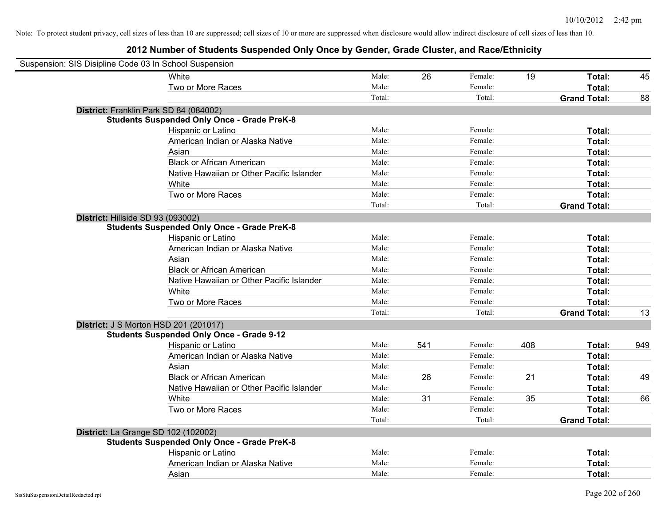| Suspension: SIS Disipline Code 03 In School Suspension |                                                    |        |     |         |     |                     |     |
|--------------------------------------------------------|----------------------------------------------------|--------|-----|---------|-----|---------------------|-----|
|                                                        | White                                              | Male:  | 26  | Female: | 19  | Total:              | 45  |
|                                                        | Two or More Races                                  | Male:  |     | Female: |     | Total:              |     |
|                                                        |                                                    | Total: |     | Total:  |     | <b>Grand Total:</b> | 88  |
| District: Franklin Park SD 84 (084002)                 |                                                    |        |     |         |     |                     |     |
|                                                        | <b>Students Suspended Only Once - Grade PreK-8</b> |        |     |         |     |                     |     |
|                                                        | Hispanic or Latino                                 | Male:  |     | Female: |     | Total:              |     |
|                                                        | American Indian or Alaska Native                   | Male:  |     | Female: |     | Total:              |     |
|                                                        | Asian                                              | Male:  |     | Female: |     | Total:              |     |
|                                                        | <b>Black or African American</b>                   | Male:  |     | Female: |     | Total:              |     |
|                                                        | Native Hawaiian or Other Pacific Islander          | Male:  |     | Female: |     | Total:              |     |
|                                                        | White                                              | Male:  |     | Female: |     | Total:              |     |
|                                                        | Two or More Races                                  | Male:  |     | Female: |     | Total:              |     |
|                                                        |                                                    | Total: |     | Total:  |     | <b>Grand Total:</b> |     |
| District: Hillside SD 93 (093002)                      |                                                    |        |     |         |     |                     |     |
|                                                        | <b>Students Suspended Only Once - Grade PreK-8</b> |        |     |         |     |                     |     |
|                                                        | Hispanic or Latino                                 | Male:  |     | Female: |     | Total:              |     |
|                                                        | American Indian or Alaska Native                   | Male:  |     | Female: |     | Total:              |     |
|                                                        | Asian                                              | Male:  |     | Female: |     | Total:              |     |
|                                                        | <b>Black or African American</b>                   | Male:  |     | Female: |     | Total:              |     |
|                                                        | Native Hawaiian or Other Pacific Islander          | Male:  |     | Female: |     | Total:              |     |
|                                                        | White                                              | Male:  |     | Female: |     | Total:              |     |
|                                                        | Two or More Races                                  | Male:  |     | Female: |     | Total:              |     |
|                                                        |                                                    | Total: |     | Total:  |     | <b>Grand Total:</b> | 13  |
| District: J S Morton HSD 201 (201017)                  |                                                    |        |     |         |     |                     |     |
|                                                        | <b>Students Suspended Only Once - Grade 9-12</b>   |        |     |         |     |                     |     |
|                                                        | Hispanic or Latino                                 | Male:  | 541 | Female: | 408 | Total:              | 949 |
|                                                        | American Indian or Alaska Native                   | Male:  |     | Female: |     | Total:              |     |
|                                                        | Asian                                              | Male:  |     | Female: |     | Total:              |     |
|                                                        | <b>Black or African American</b>                   | Male:  | 28  | Female: | 21  | Total:              | 49  |
|                                                        | Native Hawaiian or Other Pacific Islander          | Male:  |     | Female: |     | Total:              |     |
|                                                        | White                                              | Male:  | 31  | Female: | 35  | Total:              | 66  |
|                                                        | Two or More Races                                  | Male:  |     | Female: |     | Total:              |     |
|                                                        |                                                    | Total: |     | Total:  |     | <b>Grand Total:</b> |     |
| District: La Grange SD 102 (102002)                    |                                                    |        |     |         |     |                     |     |
|                                                        | <b>Students Suspended Only Once - Grade PreK-8</b> |        |     |         |     |                     |     |
|                                                        | Hispanic or Latino                                 | Male:  |     | Female: |     | Total:              |     |
|                                                        | American Indian or Alaska Native                   | Male:  |     | Female: |     | Total:              |     |
|                                                        | Asian                                              | Male:  |     | Female: |     | Total:              |     |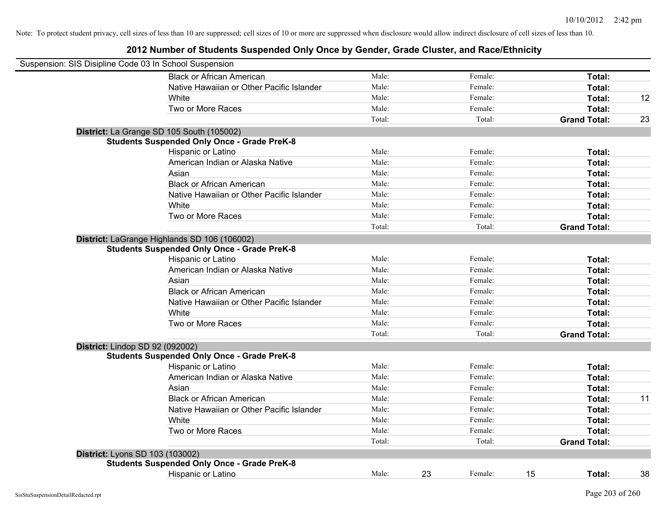| Suspension: SIS Disipline Code 03 In School Suspension |                                                    |        |    |         |                     |        |    |
|--------------------------------------------------------|----------------------------------------------------|--------|----|---------|---------------------|--------|----|
|                                                        | <b>Black or African American</b>                   | Male:  |    | Female: |                     | Total: |    |
|                                                        | Native Hawaiian or Other Pacific Islander          | Male:  |    | Female: |                     | Total: |    |
|                                                        | White                                              | Male:  |    | Female: |                     | Total: | 12 |
|                                                        | Two or More Races                                  | Male:  |    | Female: |                     | Total: |    |
|                                                        |                                                    | Total: |    | Total:  | <b>Grand Total:</b> |        | 23 |
|                                                        | District: La Grange SD 105 South (105002)          |        |    |         |                     |        |    |
|                                                        | <b>Students Suspended Only Once - Grade PreK-8</b> |        |    |         |                     |        |    |
|                                                        | Hispanic or Latino                                 | Male:  |    | Female: |                     | Total: |    |
|                                                        | American Indian or Alaska Native                   | Male:  |    | Female: |                     | Total: |    |
|                                                        | Asian                                              | Male:  |    | Female: |                     | Total: |    |
|                                                        | <b>Black or African American</b>                   | Male:  |    | Female: |                     | Total: |    |
|                                                        | Native Hawaiian or Other Pacific Islander          | Male:  |    | Female: |                     | Total: |    |
|                                                        | White                                              | Male:  |    | Female: |                     | Total: |    |
|                                                        | Two or More Races                                  | Male:  |    | Female: |                     | Total: |    |
|                                                        |                                                    | Total: |    | Total:  | <b>Grand Total:</b> |        |    |
|                                                        | District: LaGrange Highlands SD 106 (106002)       |        |    |         |                     |        |    |
|                                                        | <b>Students Suspended Only Once - Grade PreK-8</b> |        |    |         |                     |        |    |
|                                                        | Hispanic or Latino                                 | Male:  |    | Female: |                     | Total: |    |
|                                                        | American Indian or Alaska Native                   | Male:  |    | Female: |                     | Total: |    |
|                                                        | Asian                                              | Male:  |    | Female: |                     | Total: |    |
|                                                        | <b>Black or African American</b>                   | Male:  |    | Female: |                     | Total: |    |
|                                                        | Native Hawaiian or Other Pacific Islander          | Male:  |    | Female: |                     | Total: |    |
|                                                        | White                                              | Male:  |    | Female: |                     | Total: |    |
|                                                        | Two or More Races                                  | Male:  |    | Female: |                     | Total: |    |
|                                                        |                                                    | Total: |    | Total:  | <b>Grand Total:</b> |        |    |
| District: Lindop SD 92 (092002)                        |                                                    |        |    |         |                     |        |    |
|                                                        | <b>Students Suspended Only Once - Grade PreK-8</b> |        |    |         |                     |        |    |
|                                                        | Hispanic or Latino                                 | Male:  |    | Female: |                     | Total: |    |
|                                                        | American Indian or Alaska Native                   | Male:  |    | Female: |                     | Total: |    |
|                                                        | Asian                                              | Male:  |    | Female: |                     | Total: |    |
|                                                        | <b>Black or African American</b>                   | Male:  |    | Female: |                     | Total: | 11 |
|                                                        | Native Hawaiian or Other Pacific Islander          | Male:  |    | Female: |                     | Total: |    |
|                                                        | White                                              | Male:  |    | Female: |                     | Total: |    |
|                                                        | Two or More Races                                  | Male:  |    | Female: |                     | Total: |    |
|                                                        |                                                    | Total: |    | Total:  | <b>Grand Total:</b> |        |    |
| District: Lyons SD 103 (103002)                        |                                                    |        |    |         |                     |        |    |
|                                                        | <b>Students Suspended Only Once - Grade PreK-8</b> |        |    |         |                     |        |    |
|                                                        | <b>Hispanic or Latino</b>                          | Male:  | 23 | Female: | 15                  | Total: | 38 |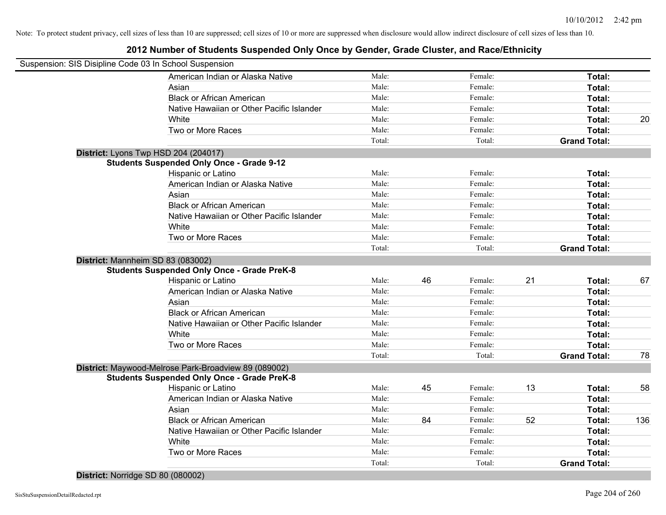## **2012 Number of Students Suspended Only Once by Gender, Grade Cluster, and Race/Ethnicity**

| Suspension: SIS Disipline Code 03 In School Suspension |        |    |         |    |                     |     |
|--------------------------------------------------------|--------|----|---------|----|---------------------|-----|
| American Indian or Alaska Native                       | Male:  |    | Female: |    | Total:              |     |
| Asian                                                  | Male:  |    | Female: |    | Total:              |     |
| <b>Black or African American</b>                       | Male:  |    | Female: |    | Total:              |     |
| Native Hawaiian or Other Pacific Islander              | Male:  |    | Female: |    | Total:              |     |
| White                                                  | Male:  |    | Female: |    | Total:              | 20  |
| Two or More Races                                      | Male:  |    | Female: |    | Total:              |     |
|                                                        | Total: |    | Total:  |    | <b>Grand Total:</b> |     |
| District: Lyons Twp HSD 204 (204017)                   |        |    |         |    |                     |     |
| <b>Students Suspended Only Once - Grade 9-12</b>       |        |    |         |    |                     |     |
| Hispanic or Latino                                     | Male:  |    | Female: |    | Total:              |     |
| American Indian or Alaska Native                       | Male:  |    | Female: |    | Total:              |     |
| Asian                                                  | Male:  |    | Female: |    | Total:              |     |
| <b>Black or African American</b>                       | Male:  |    | Female: |    | Total:              |     |
| Native Hawaiian or Other Pacific Islander              | Male:  |    | Female: |    | Total:              |     |
| White                                                  | Male:  |    | Female: |    | Total:              |     |
| Two or More Races                                      | Male:  |    | Female: |    | Total:              |     |
|                                                        | Total: |    | Total:  |    | <b>Grand Total:</b> |     |
| District: Mannheim SD 83 (083002)                      |        |    |         |    |                     |     |
| <b>Students Suspended Only Once - Grade PreK-8</b>     |        |    |         |    |                     |     |
| Hispanic or Latino                                     | Male:  | 46 | Female: | 21 | Total:              | 67  |
| American Indian or Alaska Native                       | Male:  |    | Female: |    | Total:              |     |
| Asian                                                  | Male:  |    | Female: |    | Total:              |     |
| <b>Black or African American</b>                       | Male:  |    | Female: |    | Total:              |     |
| Native Hawaiian or Other Pacific Islander              | Male:  |    | Female: |    | Total:              |     |
| White                                                  | Male:  |    | Female: |    | Total:              |     |
| Two or More Races                                      | Male:  |    | Female: |    | Total:              |     |
|                                                        | Total: |    | Total:  |    | <b>Grand Total:</b> | 78  |
| District: Maywood-Melrose Park-Broadview 89 (089002)   |        |    |         |    |                     |     |
| <b>Students Suspended Only Once - Grade PreK-8</b>     |        |    |         |    |                     |     |
| Hispanic or Latino                                     | Male:  | 45 | Female: | 13 | Total:              | 58  |
| American Indian or Alaska Native                       | Male:  |    | Female: |    | Total:              |     |
| Asian                                                  | Male:  |    | Female: |    | Total:              |     |
| <b>Black or African American</b>                       | Male:  | 84 | Female: | 52 | Total:              | 136 |
| Native Hawaiian or Other Pacific Islander              | Male:  |    | Female: |    | Total:              |     |
| White                                                  | Male:  |    | Female: |    | Total:              |     |
| Two or More Races                                      | Male:  |    | Female: |    | Total:              |     |
|                                                        | Total: |    | Total:  |    | <b>Grand Total:</b> |     |
|                                                        |        |    |         |    |                     |     |

**District:** Norridge SD 80 (080002)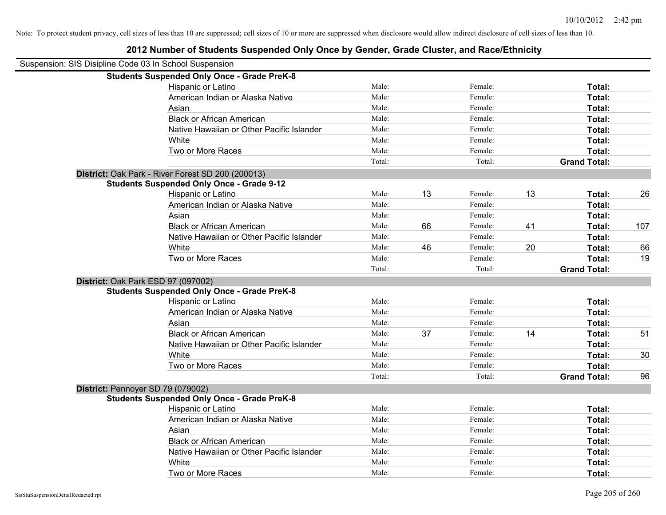| Disipline Code 03 In School Suspension             |                    |         |             |
|----------------------------------------------------|--------------------|---------|-------------|
| <b>Students Suspended Only Once - Grade PreK-8</b> |                    |         |             |
| Hispanic or Latino                                 | Male:              | Female: | Total:      |
| American Indian or Alaska Native                   | Male:              | Female: | Total:      |
| Asian                                              | Male:              | Female: | Total:      |
| <b>Black or African American</b>                   | Male:              | Female: | Total:      |
| Alathra Harristan an Other Desifie Islanden        | <b>M</b> A - 1 - - | $E = 1$ | $T = 4 - 1$ |

**2012 Number of Students Suspended Only Once by Gender, Grade Cluster, and Race/Ethnicity**

|                                    | American Indian or Alaska Native                   | Male:  |    | Female: |    | Total:              |     |
|------------------------------------|----------------------------------------------------|--------|----|---------|----|---------------------|-----|
|                                    | Asian                                              | Male:  |    | Female: |    | Total:              |     |
|                                    | <b>Black or African American</b>                   | Male:  |    | Female: |    | Total:              |     |
|                                    | Native Hawaiian or Other Pacific Islander          | Male:  |    | Female: |    | Total:              |     |
|                                    | White                                              | Male:  |    | Female: |    | Total:              |     |
|                                    | Two or More Races                                  | Male:  |    | Female: |    | <b>Total:</b>       |     |
|                                    |                                                    | Total: |    | Total:  |    | <b>Grand Total:</b> |     |
|                                    | District: Oak Park - River Forest SD 200 (200013)  |        |    |         |    |                     |     |
|                                    | <b>Students Suspended Only Once - Grade 9-12</b>   |        |    |         |    |                     |     |
|                                    | Hispanic or Latino                                 | Male:  | 13 | Female: | 13 | Total:              | 26  |
|                                    | American Indian or Alaska Native                   | Male:  |    | Female: |    | Total:              |     |
|                                    | Asian                                              | Male:  |    | Female: |    | <b>Total:</b>       |     |
|                                    | <b>Black or African American</b>                   | Male:  | 66 | Female: | 41 | <b>Total:</b>       | 107 |
|                                    | Native Hawaiian or Other Pacific Islander          | Male:  |    | Female: |    | <b>Total:</b>       |     |
|                                    | White                                              | Male:  | 46 | Female: | 20 | <b>Total:</b>       | 66  |
|                                    | Two or More Races                                  | Male:  |    | Female: |    | Total:              | 19  |
|                                    |                                                    | Total: |    | Total:  |    | <b>Grand Total:</b> |     |
| District: Oak Park ESD 97 (097002) |                                                    |        |    |         |    |                     |     |
|                                    | <b>Students Suspended Only Once - Grade PreK-8</b> |        |    |         |    |                     |     |
|                                    | Hispanic or Latino                                 | Male:  |    | Female: |    | Total:              |     |
|                                    | American Indian or Alaska Native                   | Male:  |    | Female: |    | <b>Total:</b>       |     |
|                                    | Asian                                              | Male:  |    | Female: |    | Total:              |     |
|                                    | <b>Black or African American</b>                   | Male:  | 37 | Female: | 14 | <b>Total:</b>       | 51  |
|                                    | Native Hawaiian or Other Pacific Islander          | Male:  |    | Female: |    | <b>Total:</b>       |     |
|                                    | White                                              | Male:  |    | Female: |    | <b>Total:</b>       | 30  |
|                                    | Two or More Races                                  | Male:  |    | Female: |    | Total:              |     |
|                                    |                                                    | Total: |    | Total:  |    | <b>Grand Total:</b> | 96  |
| District: Pennoyer SD 79 (079002)  |                                                    |        |    |         |    |                     |     |
|                                    | <b>Students Suspended Only Once - Grade PreK-8</b> |        |    |         |    |                     |     |
|                                    | Hispanic or Latino                                 | Male:  |    | Female: |    | <b>Total:</b>       |     |
|                                    | American Indian or Alaska Native                   | Male:  |    | Female: |    | Total:              |     |
|                                    | Asian                                              | Male:  |    | Female: |    | Total:              |     |
|                                    | <b>Black or African American</b>                   | Male:  |    | Female: |    | <b>Total:</b>       |     |
|                                    | Native Hawaiian or Other Pacific Islander          | Male:  |    | Female: |    | <b>Total:</b>       |     |
|                                    | White                                              | Male:  |    | Female: |    | <b>Total:</b>       |     |
|                                    | Two or More Races                                  | Male:  |    | Female: |    | Total:              |     |

Suspension: SIS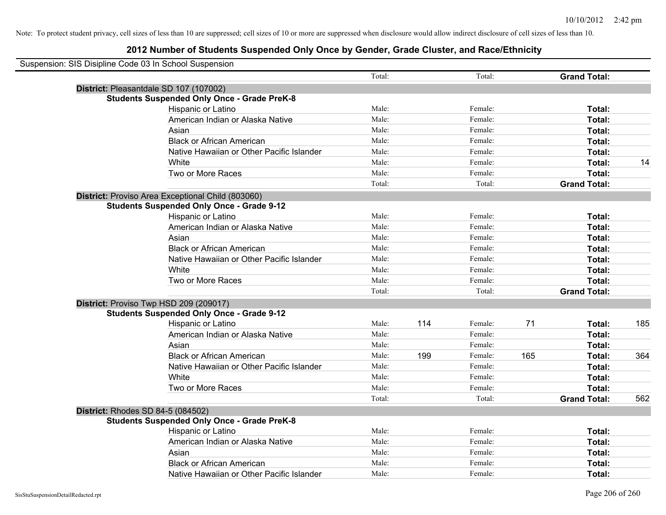| Suspension: SIS Disipline Code 03 In School Suspension |                                                    |        |     |         |     |                     |     |
|--------------------------------------------------------|----------------------------------------------------|--------|-----|---------|-----|---------------------|-----|
|                                                        |                                                    | Total: |     | Total:  |     | <b>Grand Total:</b> |     |
|                                                        | District: Pleasantdale SD 107 (107002)             |        |     |         |     |                     |     |
|                                                        | <b>Students Suspended Only Once - Grade PreK-8</b> |        |     |         |     |                     |     |
|                                                        | Hispanic or Latino                                 | Male:  |     | Female: |     | Total:              |     |
|                                                        | American Indian or Alaska Native                   | Male:  |     | Female: |     | Total:              |     |
|                                                        | Asian                                              | Male:  |     | Female: |     | Total:              |     |
|                                                        | <b>Black or African American</b>                   | Male:  |     | Female: |     | Total:              |     |
|                                                        | Native Hawaiian or Other Pacific Islander          | Male:  |     | Female: |     | Total:              |     |
|                                                        | White                                              | Male:  |     | Female: |     | Total:              | 14  |
|                                                        | Two or More Races                                  | Male:  |     | Female: |     | Total:              |     |
|                                                        |                                                    | Total: |     | Total:  |     | <b>Grand Total:</b> |     |
|                                                        | District: Proviso Area Exceptional Child (803060)  |        |     |         |     |                     |     |
|                                                        | <b>Students Suspended Only Once - Grade 9-12</b>   |        |     |         |     |                     |     |
|                                                        | Hispanic or Latino                                 | Male:  |     | Female: |     | Total:              |     |
|                                                        | American Indian or Alaska Native                   | Male:  |     | Female: |     | Total:              |     |
|                                                        | Asian                                              | Male:  |     | Female: |     | Total:              |     |
|                                                        | <b>Black or African American</b>                   | Male:  |     | Female: |     | Total:              |     |
|                                                        | Native Hawaiian or Other Pacific Islander          | Male:  |     | Female: |     | Total:              |     |
|                                                        | White                                              | Male:  |     | Female: |     | Total:              |     |
|                                                        | Two or More Races                                  | Male:  |     | Female: |     | Total:              |     |
|                                                        |                                                    | Total: |     | Total:  |     | <b>Grand Total:</b> |     |
|                                                        | District: Proviso Twp HSD 209 (209017)             |        |     |         |     |                     |     |
|                                                        | <b>Students Suspended Only Once - Grade 9-12</b>   |        |     |         |     |                     |     |
|                                                        | Hispanic or Latino                                 | Male:  | 114 | Female: | 71  | Total:              | 185 |
|                                                        | American Indian or Alaska Native                   | Male:  |     | Female: |     | Total:              |     |
|                                                        | Asian                                              | Male:  |     | Female: |     | Total:              |     |
|                                                        | <b>Black or African American</b>                   | Male:  | 199 | Female: | 165 | Total:              | 364 |
|                                                        | Native Hawaiian or Other Pacific Islander          | Male:  |     | Female: |     | Total:              |     |
|                                                        | White                                              | Male:  |     | Female: |     | Total:              |     |
|                                                        | Two or More Races                                  | Male:  |     | Female: |     | Total:              |     |
|                                                        |                                                    | Total: |     | Total:  |     | <b>Grand Total:</b> | 562 |
|                                                        | <b>District: Rhodes SD 84-5 (084502)</b>           |        |     |         |     |                     |     |
|                                                        | <b>Students Suspended Only Once - Grade PreK-8</b> |        |     |         |     |                     |     |
|                                                        | Hispanic or Latino                                 | Male:  |     | Female: |     | Total:              |     |
|                                                        | American Indian or Alaska Native                   | Male:  |     | Female: |     | Total:              |     |
|                                                        | Asian                                              | Male:  |     | Female: |     | Total:              |     |
|                                                        | <b>Black or African American</b>                   | Male:  |     | Female: |     | Total:              |     |
|                                                        | Native Hawaiian or Other Pacific Islander          | Male:  |     | Female: |     | Total:              |     |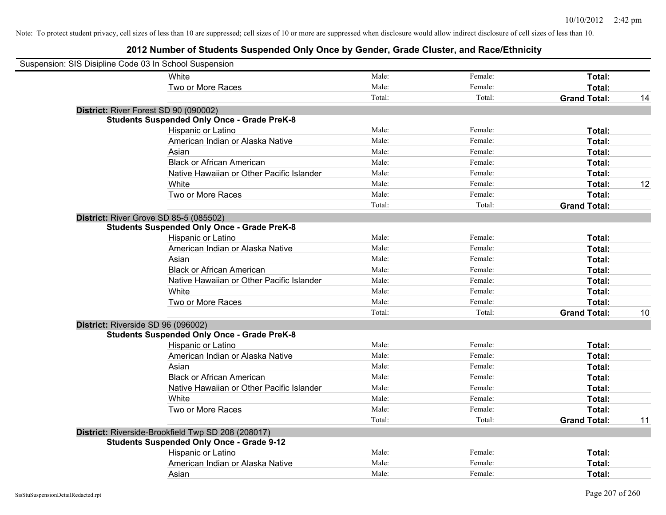| Suspension: SIS Disipline Code 03 In School Suspension |                                                    |        |         |                     |    |
|--------------------------------------------------------|----------------------------------------------------|--------|---------|---------------------|----|
|                                                        | White                                              | Male:  | Female: | Total:              |    |
|                                                        | Two or More Races                                  | Male:  | Female: | Total:              |    |
|                                                        |                                                    | Total: | Total:  | <b>Grand Total:</b> | 14 |
|                                                        | District: River Forest SD 90 (090002)              |        |         |                     |    |
|                                                        | <b>Students Suspended Only Once - Grade PreK-8</b> |        |         |                     |    |
|                                                        | Hispanic or Latino                                 | Male:  | Female: | Total:              |    |
|                                                        | American Indian or Alaska Native                   | Male:  | Female: | Total:              |    |
|                                                        | Asian                                              | Male:  | Female: | Total:              |    |
|                                                        | <b>Black or African American</b>                   | Male:  | Female: | Total:              |    |
|                                                        | Native Hawaiian or Other Pacific Islander          | Male:  | Female: | Total:              |    |
|                                                        | White                                              | Male:  | Female: | Total:              | 12 |
|                                                        | Two or More Races                                  | Male:  | Female: | Total:              |    |
|                                                        |                                                    | Total: | Total:  | <b>Grand Total:</b> |    |
|                                                        | District: River Grove SD 85-5 (085502)             |        |         |                     |    |
|                                                        | <b>Students Suspended Only Once - Grade PreK-8</b> |        |         |                     |    |
|                                                        | Hispanic or Latino                                 | Male:  | Female: | Total:              |    |
|                                                        | American Indian or Alaska Native                   | Male:  | Female: | Total:              |    |
|                                                        | Asian                                              | Male:  | Female: | Total:              |    |
|                                                        | <b>Black or African American</b>                   | Male:  | Female: | Total:              |    |
|                                                        | Native Hawaiian or Other Pacific Islander          | Male:  | Female: | Total:              |    |
|                                                        | White                                              | Male:  | Female: | Total:              |    |
|                                                        | Two or More Races                                  | Male:  | Female: | Total:              |    |
|                                                        |                                                    | Total: | Total:  | <b>Grand Total:</b> | 10 |
| District: Riverside SD 96 (096002)                     |                                                    |        |         |                     |    |
|                                                        | <b>Students Suspended Only Once - Grade PreK-8</b> |        |         |                     |    |
|                                                        | Hispanic or Latino                                 | Male:  | Female: | Total:              |    |
|                                                        | American Indian or Alaska Native                   | Male:  | Female: | Total:              |    |
|                                                        | Asian                                              | Male:  | Female: | Total:              |    |
|                                                        | <b>Black or African American</b>                   | Male:  | Female: | Total:              |    |
|                                                        | Native Hawaiian or Other Pacific Islander          | Male:  | Female: | Total:              |    |
|                                                        | White                                              | Male:  | Female: | Total:              |    |
|                                                        | Two or More Races                                  | Male:  | Female: | Total:              |    |
|                                                        |                                                    | Total: | Total:  | <b>Grand Total:</b> | 11 |
|                                                        | District: Riverside-Brookfield Twp SD 208 (208017) |        |         |                     |    |
|                                                        | <b>Students Suspended Only Once - Grade 9-12</b>   |        |         |                     |    |
|                                                        | Hispanic or Latino                                 | Male:  | Female: | Total:              |    |
|                                                        | American Indian or Alaska Native                   | Male:  | Female: | Total:              |    |
|                                                        | Asian                                              | Male:  | Female: | Total:              |    |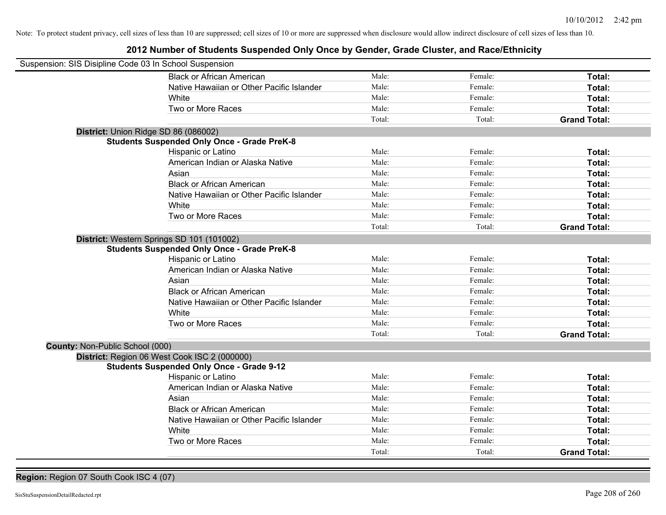## **2012 Number of Students Suspended Only Once by Gender, Grade Cluster, and Race/Ethnicity**

| Suspension: SIS Disipline Code 03 In School Suspension |                                                    |        |         |                     |
|--------------------------------------------------------|----------------------------------------------------|--------|---------|---------------------|
|                                                        | <b>Black or African American</b>                   | Male:  | Female: | Total:              |
|                                                        | Native Hawaiian or Other Pacific Islander          | Male:  | Female: | Total:              |
|                                                        | White                                              | Male:  | Female: | Total:              |
|                                                        | Two or More Races                                  | Male:  | Female: | Total:              |
|                                                        |                                                    | Total: | Total:  | <b>Grand Total:</b> |
| District: Union Ridge SD 86 (086002)                   |                                                    |        |         |                     |
|                                                        | <b>Students Suspended Only Once - Grade PreK-8</b> |        |         |                     |
|                                                        | Hispanic or Latino                                 | Male:  | Female: | Total:              |
|                                                        | American Indian or Alaska Native                   | Male:  | Female: | Total:              |
|                                                        | Asian                                              | Male:  | Female: | Total:              |
|                                                        | <b>Black or African American</b>                   | Male:  | Female: | Total:              |
|                                                        | Native Hawaiian or Other Pacific Islander          | Male:  | Female: | Total:              |
|                                                        | White                                              | Male:  | Female: | Total:              |
|                                                        | Two or More Races                                  | Male:  | Female: | Total:              |
|                                                        |                                                    | Total: | Total:  | <b>Grand Total:</b> |
|                                                        | District: Western Springs SD 101 (101002)          |        |         |                     |
|                                                        | <b>Students Suspended Only Once - Grade PreK-8</b> |        |         |                     |
|                                                        | Hispanic or Latino                                 | Male:  | Female: | Total:              |
|                                                        | American Indian or Alaska Native                   | Male:  | Female: | Total:              |
|                                                        | Asian                                              | Male:  | Female: | Total:              |
|                                                        | <b>Black or African American</b>                   | Male:  | Female: | Total:              |
|                                                        | Native Hawaiian or Other Pacific Islander          | Male:  | Female: | Total:              |
|                                                        | White                                              | Male:  | Female: | Total:              |
|                                                        | Two or More Races                                  | Male:  | Female: | Total:              |
|                                                        |                                                    | Total: | Total:  | <b>Grand Total:</b> |
| <b>County: Non-Public School (000)</b>                 |                                                    |        |         |                     |
|                                                        | District: Region 06 West Cook ISC 2 (000000)       |        |         |                     |
|                                                        | <b>Students Suspended Only Once - Grade 9-12</b>   |        |         |                     |
|                                                        | Hispanic or Latino                                 | Male:  | Female: | Total:              |
|                                                        | American Indian or Alaska Native                   | Male:  | Female: | Total:              |
|                                                        | Asian                                              | Male:  | Female: | Total:              |
|                                                        | <b>Black or African American</b>                   | Male:  | Female: | Total:              |
|                                                        | Native Hawaiian or Other Pacific Islander          | Male:  | Female: | Total:              |
|                                                        | White                                              | Male:  | Female: | Total:              |
|                                                        | Two or More Races                                  | Male:  | Female: | Total:              |
|                                                        |                                                    | Total: | Total:  | <b>Grand Total:</b> |

**Region:** Region 07 South Cook ISC 4 (07)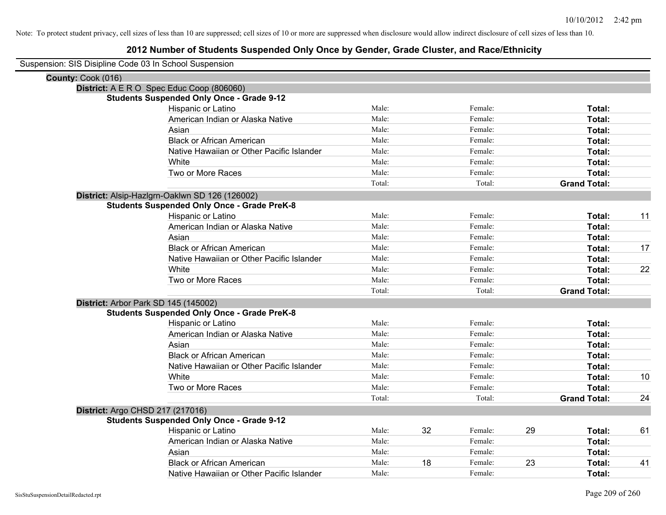| Suspension: SIS Disipline Code 03 In School Suspension |
|--------------------------------------------------------|
|--------------------------------------------------------|

| County: Cook (016)                                 |        |    |         |    |                     |    |
|----------------------------------------------------|--------|----|---------|----|---------------------|----|
| District: A E R O Spec Educ Coop (806060)          |        |    |         |    |                     |    |
| <b>Students Suspended Only Once - Grade 9-12</b>   |        |    |         |    |                     |    |
| <b>Hispanic or Latino</b>                          | Male:  |    | Female: |    | Total:              |    |
| American Indian or Alaska Native                   | Male:  |    | Female: |    | Total:              |    |
| Asian                                              | Male:  |    | Female: |    | Total:              |    |
| <b>Black or African American</b>                   | Male:  |    | Female: |    | Total:              |    |
| Native Hawaiian or Other Pacific Islander          | Male:  |    | Female: |    | Total:              |    |
| White                                              | Male:  |    | Female: |    | Total:              |    |
| Two or More Races                                  | Male:  |    | Female: |    | Total:              |    |
|                                                    | Total: |    | Total:  |    | <b>Grand Total:</b> |    |
| District: Alsip-Hazlgrn-Oaklwn SD 126 (126002)     |        |    |         |    |                     |    |
| <b>Students Suspended Only Once - Grade PreK-8</b> |        |    |         |    |                     |    |
| Hispanic or Latino                                 | Male:  |    | Female: |    | Total:              | 11 |
| American Indian or Alaska Native                   | Male:  |    | Female: |    | <b>Total:</b>       |    |
| Asian                                              | Male:  |    | Female: |    | Total:              |    |
| <b>Black or African American</b>                   | Male:  |    | Female: |    | Total:              | 17 |
| Native Hawaiian or Other Pacific Islander          | Male:  |    | Female: |    | Total:              |    |
| White                                              | Male:  |    | Female: |    | <b>Total:</b>       | 22 |
| Two or More Races                                  | Male:  |    | Female: |    | <b>Total:</b>       |    |
|                                                    | Total: |    | Total:  |    | <b>Grand Total:</b> |    |
| District: Arbor Park SD 145 (145002)               |        |    |         |    |                     |    |
| <b>Students Suspended Only Once - Grade PreK-8</b> |        |    |         |    |                     |    |
| <b>Hispanic or Latino</b>                          | Male:  |    | Female: |    | Total:              |    |
| American Indian or Alaska Native                   | Male:  |    | Female: |    | Total:              |    |
| Asian                                              | Male:  |    | Female: |    | Total:              |    |
| <b>Black or African American</b>                   | Male:  |    | Female: |    | Total:              |    |
| Native Hawaiian or Other Pacific Islander          | Male:  |    | Female: |    | Total:              |    |
| White                                              | Male:  |    | Female: |    | Total:              | 10 |
| Two or More Races                                  | Male:  |    | Female: |    | Total:              |    |
|                                                    | Total: |    | Total:  |    | <b>Grand Total:</b> | 24 |
| <b>District: Argo CHSD 217 (217016)</b>            |        |    |         |    |                     |    |
| <b>Students Suspended Only Once - Grade 9-12</b>   |        |    |         |    |                     |    |
| Hispanic or Latino                                 | Male:  | 32 | Female: | 29 | <b>Total:</b>       | 61 |
| American Indian or Alaska Native                   | Male:  |    | Female: |    | Total:              |    |
| Asian                                              | Male:  |    | Female: |    | Total:              |    |
| <b>Black or African American</b>                   | Male:  | 18 | Female: | 23 | Total:              | 41 |
| Native Hawaiian or Other Pacific Islander          | Male:  |    | Female: |    | Total:              |    |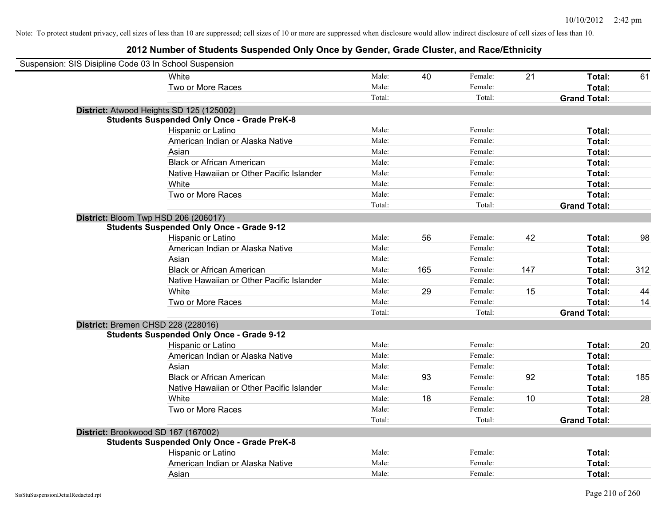| Suspension: SIS Disipline Code 03 In School Suspension |                                                    |        |     |         |     |                     |     |
|--------------------------------------------------------|----------------------------------------------------|--------|-----|---------|-----|---------------------|-----|
|                                                        | White                                              | Male:  | 40  | Female: | 21  | Total:              | 61  |
|                                                        | Two or More Races                                  | Male:  |     | Female: |     | Total:              |     |
|                                                        |                                                    | Total: |     | Total:  |     | <b>Grand Total:</b> |     |
|                                                        | District: Atwood Heights SD 125 (125002)           |        |     |         |     |                     |     |
|                                                        | <b>Students Suspended Only Once - Grade PreK-8</b> |        |     |         |     |                     |     |
|                                                        | Hispanic or Latino                                 | Male:  |     | Female: |     | Total:              |     |
|                                                        | American Indian or Alaska Native                   | Male:  |     | Female: |     | Total:              |     |
|                                                        | Asian                                              | Male:  |     | Female: |     | Total:              |     |
|                                                        | <b>Black or African American</b>                   | Male:  |     | Female: |     | Total:              |     |
|                                                        | Native Hawaiian or Other Pacific Islander          | Male:  |     | Female: |     | Total:              |     |
|                                                        | White                                              | Male:  |     | Female: |     | Total:              |     |
|                                                        | Two or More Races                                  | Male:  |     | Female: |     | Total:              |     |
|                                                        |                                                    | Total: |     | Total:  |     | <b>Grand Total:</b> |     |
| District: Bloom Twp HSD 206 (206017)                   |                                                    |        |     |         |     |                     |     |
|                                                        | <b>Students Suspended Only Once - Grade 9-12</b>   |        |     |         |     |                     |     |
|                                                        | Hispanic or Latino                                 | Male:  | 56  | Female: | 42  | Total:              | 98  |
|                                                        | American Indian or Alaska Native                   | Male:  |     | Female: |     | Total:              |     |
|                                                        | Asian                                              | Male:  |     | Female: |     | Total:              |     |
|                                                        | <b>Black or African American</b>                   | Male:  | 165 | Female: | 147 | Total:              | 312 |
|                                                        | Native Hawaiian or Other Pacific Islander          | Male:  |     | Female: |     | Total:              |     |
|                                                        | White                                              | Male:  | 29  | Female: | 15  | Total:              | 44  |
|                                                        | Two or More Races                                  | Male:  |     | Female: |     | Total:              | 14  |
|                                                        |                                                    | Total: |     | Total:  |     | <b>Grand Total:</b> |     |
| District: Bremen CHSD 228 (228016)                     |                                                    |        |     |         |     |                     |     |
|                                                        | <b>Students Suspended Only Once - Grade 9-12</b>   |        |     |         |     |                     |     |
|                                                        | Hispanic or Latino                                 | Male:  |     | Female: |     | Total:              | 20  |
|                                                        | American Indian or Alaska Native                   | Male:  |     | Female: |     | Total:              |     |
|                                                        | Asian                                              | Male:  |     | Female: |     | Total:              |     |
|                                                        | <b>Black or African American</b>                   | Male:  | 93  | Female: | 92  | Total:              | 185 |
|                                                        | Native Hawaiian or Other Pacific Islander          | Male:  |     | Female: |     | Total:              |     |
|                                                        | White                                              | Male:  | 18  | Female: | 10  | Total:              | 28  |
|                                                        | Two or More Races                                  | Male:  |     | Female: |     | Total:              |     |
|                                                        |                                                    | Total: |     | Total:  |     | <b>Grand Total:</b> |     |
| District: Brookwood SD 167 (167002)                    |                                                    |        |     |         |     |                     |     |
|                                                        | <b>Students Suspended Only Once - Grade PreK-8</b> |        |     |         |     |                     |     |
|                                                        | Hispanic or Latino                                 | Male:  |     | Female: |     | Total:              |     |
|                                                        | American Indian or Alaska Native                   | Male:  |     | Female: |     | Total:              |     |
|                                                        | Asian                                              | Male:  |     | Female: |     | Total:              |     |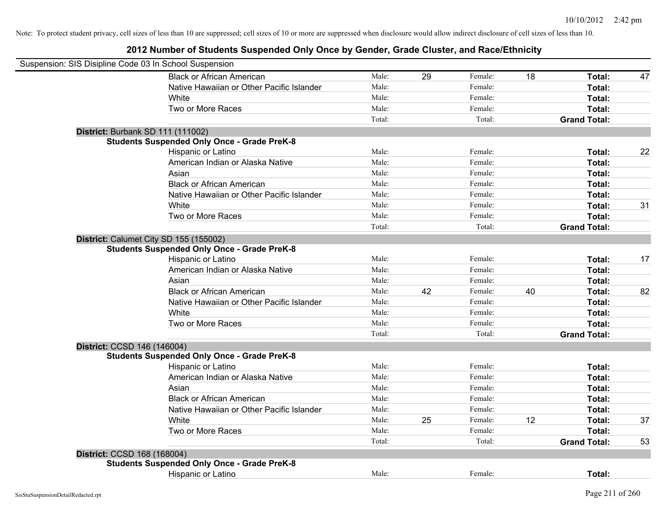|                                   | Suspension: SIS Disipline Code 03 In School Suspension |        |    |         |    |                     |    |
|-----------------------------------|--------------------------------------------------------|--------|----|---------|----|---------------------|----|
|                                   | <b>Black or African American</b>                       | Male:  | 29 | Female: | 18 | Total:              | 47 |
|                                   | Native Hawaiian or Other Pacific Islander              | Male:  |    | Female: |    | Total:              |    |
|                                   | White                                                  | Male:  |    | Female: |    | Total:              |    |
|                                   | Two or More Races                                      | Male:  |    | Female: |    | Total:              |    |
|                                   |                                                        | Total: |    | Total:  |    | <b>Grand Total:</b> |    |
| District: Burbank SD 111 (111002) |                                                        |        |    |         |    |                     |    |
|                                   | <b>Students Suspended Only Once - Grade PreK-8</b>     |        |    |         |    |                     |    |
|                                   | Hispanic or Latino                                     | Male:  |    | Female: |    | Total:              | 22 |
|                                   | American Indian or Alaska Native                       | Male:  |    | Female: |    | Total:              |    |
|                                   | Asian                                                  | Male:  |    | Female: |    | Total:              |    |
|                                   | <b>Black or African American</b>                       | Male:  |    | Female: |    | Total:              |    |
|                                   | Native Hawaiian or Other Pacific Islander              | Male:  |    | Female: |    | Total:              |    |
|                                   | White                                                  | Male:  |    | Female: |    | Total:              | 31 |
|                                   | Two or More Races                                      | Male:  |    | Female: |    | Total:              |    |
|                                   |                                                        | Total: |    | Total:  |    | <b>Grand Total:</b> |    |
|                                   | District: Calumet City SD 155 (155002)                 |        |    |         |    |                     |    |
|                                   | <b>Students Suspended Only Once - Grade PreK-8</b>     |        |    |         |    |                     |    |
|                                   | Hispanic or Latino                                     | Male:  |    | Female: |    | Total:              | 17 |
|                                   | American Indian or Alaska Native                       | Male:  |    | Female: |    | Total:              |    |
|                                   | Asian                                                  | Male:  |    | Female: |    | Total:              |    |
|                                   | <b>Black or African American</b>                       | Male:  | 42 | Female: | 40 | Total:              | 82 |
|                                   | Native Hawaiian or Other Pacific Islander              | Male:  |    | Female: |    | Total:              |    |
|                                   | White                                                  | Male:  |    | Female: |    | Total:              |    |
|                                   | Two or More Races                                      | Male:  |    | Female: |    | Total:              |    |
|                                   |                                                        | Total: |    | Total:  |    | <b>Grand Total:</b> |    |
| District: CCSD 146 (146004)       |                                                        |        |    |         |    |                     |    |
|                                   | <b>Students Suspended Only Once - Grade PreK-8</b>     |        |    |         |    |                     |    |
|                                   | Hispanic or Latino                                     | Male:  |    | Female: |    | Total:              |    |
|                                   | American Indian or Alaska Native                       | Male:  |    | Female: |    | Total:              |    |
|                                   | Asian                                                  | Male:  |    | Female: |    | Total:              |    |
|                                   | <b>Black or African American</b>                       | Male:  |    | Female: |    | Total:              |    |
|                                   | Native Hawaiian or Other Pacific Islander              | Male:  |    | Female: |    | Total:              |    |
|                                   | White                                                  | Male:  | 25 | Female: | 12 | Total:              | 37 |
|                                   | Two or More Races                                      | Male:  |    | Female: |    | Total:              |    |
|                                   |                                                        | Total: |    | Total:  |    | <b>Grand Total:</b> | 53 |
| District: CCSD 168 (168004)       |                                                        |        |    |         |    |                     |    |
|                                   | <b>Students Suspended Only Once - Grade PreK-8</b>     |        |    |         |    |                     |    |
|                                   | Hispanic or Latino                                     | Male:  |    | Female: |    | Total:              |    |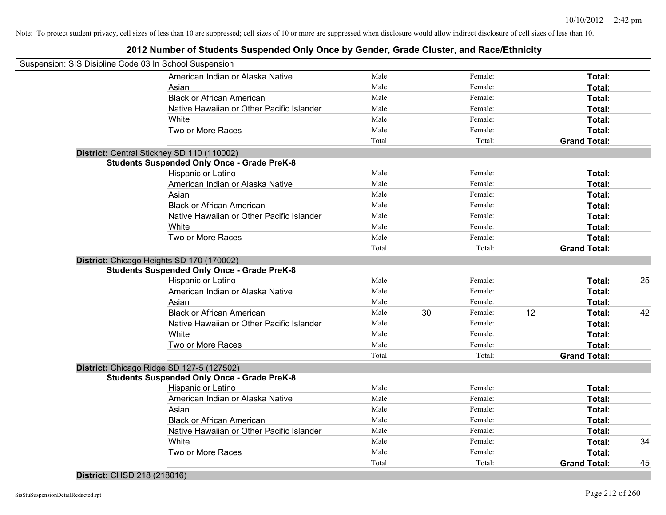## **2012 Number of Students Suspended Only Once by Gender, Grade Cluster, and Race/Ethnicity**

| Suspension: SIS Disipline Code 03 In School Suspension |                                                    |        |    |         |    |                     |    |
|--------------------------------------------------------|----------------------------------------------------|--------|----|---------|----|---------------------|----|
|                                                        | American Indian or Alaska Native                   | Male:  |    | Female: |    | Total:              |    |
|                                                        | Asian                                              | Male:  |    | Female: |    | Total:              |    |
|                                                        | <b>Black or African American</b>                   | Male:  |    | Female: |    | Total:              |    |
|                                                        | Native Hawaiian or Other Pacific Islander          | Male:  |    | Female: |    | Total:              |    |
|                                                        | White                                              | Male:  |    | Female: |    | Total:              |    |
|                                                        | Two or More Races                                  | Male:  |    | Female: |    | Total:              |    |
|                                                        |                                                    | Total: |    | Total:  |    | <b>Grand Total:</b> |    |
|                                                        | District: Central Stickney SD 110 (110002)         |        |    |         |    |                     |    |
|                                                        | <b>Students Suspended Only Once - Grade PreK-8</b> |        |    |         |    |                     |    |
|                                                        | Hispanic or Latino                                 | Male:  |    | Female: |    | Total:              |    |
|                                                        | American Indian or Alaska Native                   | Male:  |    | Female: |    | Total:              |    |
|                                                        | Asian                                              | Male:  |    | Female: |    | Total:              |    |
|                                                        | <b>Black or African American</b>                   | Male:  |    | Female: |    | Total:              |    |
|                                                        | Native Hawaiian or Other Pacific Islander          | Male:  |    | Female: |    | Total:              |    |
|                                                        | White                                              | Male:  |    | Female: |    | Total:              |    |
|                                                        | Two or More Races                                  | Male:  |    | Female: |    | Total:              |    |
|                                                        |                                                    | Total: |    | Total:  |    | <b>Grand Total:</b> |    |
|                                                        | District: Chicago Heights SD 170 (170002)          |        |    |         |    |                     |    |
|                                                        | <b>Students Suspended Only Once - Grade PreK-8</b> |        |    |         |    |                     |    |
|                                                        | Hispanic or Latino                                 | Male:  |    | Female: |    | Total:              | 25 |
|                                                        | American Indian or Alaska Native                   | Male:  |    | Female: |    | Total:              |    |
|                                                        | Asian                                              | Male:  |    | Female: |    | Total:              |    |
|                                                        | <b>Black or African American</b>                   | Male:  | 30 | Female: | 12 | Total:              | 42 |
|                                                        | Native Hawaiian or Other Pacific Islander          | Male:  |    | Female: |    | Total:              |    |
|                                                        | White                                              | Male:  |    | Female: |    | Total:              |    |
|                                                        | Two or More Races                                  | Male:  |    | Female: |    | Total:              |    |
|                                                        |                                                    | Total: |    | Total:  |    | <b>Grand Total:</b> |    |
|                                                        | District: Chicago Ridge SD 127-5 (127502)          |        |    |         |    |                     |    |
|                                                        | <b>Students Suspended Only Once - Grade PreK-8</b> |        |    |         |    |                     |    |
|                                                        | Hispanic or Latino                                 | Male:  |    | Female: |    | Total:              |    |
|                                                        | American Indian or Alaska Native                   | Male:  |    | Female: |    | Total:              |    |
|                                                        | Asian                                              | Male:  |    | Female: |    | Total:              |    |
|                                                        | <b>Black or African American</b>                   | Male:  |    | Female: |    | Total:              |    |
|                                                        | Native Hawaiian or Other Pacific Islander          | Male:  |    | Female: |    | Total:              |    |
|                                                        | White                                              | Male:  |    | Female: |    | Total:              | 34 |
|                                                        | Two or More Races                                  | Male:  |    | Female: |    | Total:              |    |
|                                                        |                                                    | Total: |    | Total:  |    | <b>Grand Total:</b> | 45 |

### **District:** CHSD 218 (218016)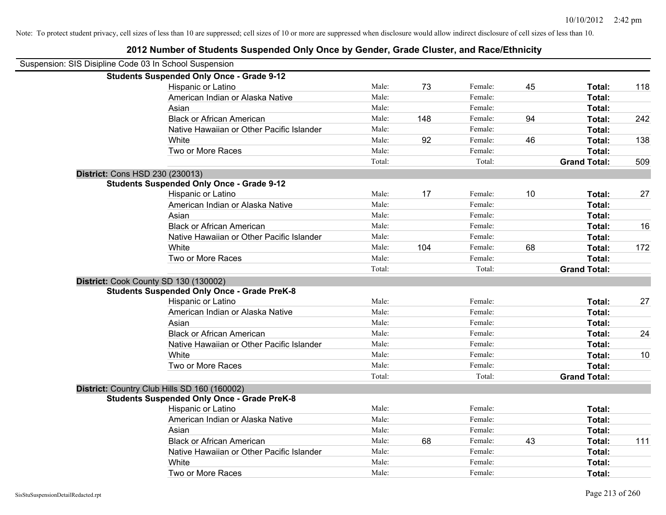|                                                        | 2012 Number of Students Suspended Only Once by Gender, Grade Cluster, and Race/Ethnicity |        |     |         |    |                     |     |
|--------------------------------------------------------|------------------------------------------------------------------------------------------|--------|-----|---------|----|---------------------|-----|
| Suspension: SIS Disipline Code 03 In School Suspension |                                                                                          |        |     |         |    |                     |     |
|                                                        | <b>Students Suspended Only Once - Grade 9-12</b>                                         |        |     |         |    |                     |     |
|                                                        | Hispanic or Latino                                                                       | Male:  | 73  | Female: | 45 | Total:              | 118 |
|                                                        | American Indian or Alaska Native                                                         | Male:  |     | Female: |    | Total:              |     |
|                                                        | Asian                                                                                    | Male:  |     | Female: |    | Total:              |     |
|                                                        | <b>Black or African American</b>                                                         | Male:  | 148 | Female: | 94 | Total:              | 242 |
|                                                        | Native Hawaiian or Other Pacific Islander                                                | Male:  |     | Female: |    | Total:              |     |
|                                                        | White                                                                                    | Male:  | 92  | Female: | 46 | Total:              | 138 |
|                                                        | Two or More Races                                                                        | Male:  |     | Female: |    | Total:              |     |
|                                                        |                                                                                          | Total: |     | Total:  |    | <b>Grand Total:</b> | 509 |
|                                                        | District: Cons HSD 230 (230013)                                                          |        |     |         |    |                     |     |
|                                                        | <b>Students Suspended Only Once - Grade 9-12</b>                                         |        |     |         |    |                     |     |
|                                                        | Hispanic or Latino                                                                       | Male:  | 17  | Female: | 10 | Total:              | 27  |
|                                                        | American Indian or Alaska Native                                                         | Male:  |     | Female: |    | Total:              |     |
|                                                        | Asian                                                                                    | Male:  |     | Female: |    | Total:              |     |
|                                                        | <b>Black or African American</b>                                                         | Male:  |     | Female: |    | Total:              | 16  |
|                                                        | Native Hawaiian or Other Pacific Islander                                                | Male:  |     | Female: |    | Total:              |     |
|                                                        | White                                                                                    | Male:  | 104 | Female: | 68 | Total:              | 172 |
|                                                        | Two or More Races                                                                        | Male:  |     | Female: |    | Total:              |     |
|                                                        |                                                                                          | Total: |     | Total:  |    | <b>Grand Total:</b> |     |
|                                                        | District: Cook County SD 130 (130002)                                                    |        |     |         |    |                     |     |
|                                                        | <b>Students Suspended Only Once - Grade PreK-8</b>                                       |        |     |         |    |                     |     |
|                                                        | Hispanic or Latino                                                                       | Male:  |     | Female: |    | Total:              | 27  |
|                                                        | American Indian or Alaska Native                                                         | Male:  |     | Female: |    | Total:              |     |
|                                                        | Asian                                                                                    | Male:  |     | Female: |    | Total:              |     |
|                                                        | <b>Black or African American</b>                                                         | Male:  |     | Female: |    | Total:              | 24  |
|                                                        | Native Hawaiian or Other Pacific Islander                                                | Male:  |     | Female: |    | Total:              |     |
|                                                        | White                                                                                    | Male:  |     | Female: |    | Total:              | 10  |
|                                                        | Two or More Races                                                                        | Male:  |     | Female: |    | Total:              |     |
|                                                        |                                                                                          | Total: |     | Total:  |    | <b>Grand Total:</b> |     |
|                                                        | District: Country Club Hills SD 160 (160002)                                             |        |     |         |    |                     |     |
|                                                        | <b>Students Suspended Only Once - Grade PreK-8</b>                                       |        |     |         |    |                     |     |
|                                                        | Hispanic or Latino                                                                       | Male:  |     | Female: |    | Total:              |     |
|                                                        | American Indian or Alaska Native                                                         | Male:  |     | Female: |    | Total:              |     |
|                                                        | Asian                                                                                    | Male:  |     | Female: |    | Total:              |     |
|                                                        | <b>Black or African American</b>                                                         | Male:  | 68  | Female: | 43 | Total:              | 111 |
|                                                        | Native Hawaiian or Other Pacific Islander                                                | Male:  |     | Female: |    | Total:              |     |
|                                                        | White                                                                                    | Male:  |     | Female: |    | Total:              |     |
|                                                        | Two or More Races                                                                        | Male:  |     | Female: |    | Total:              |     |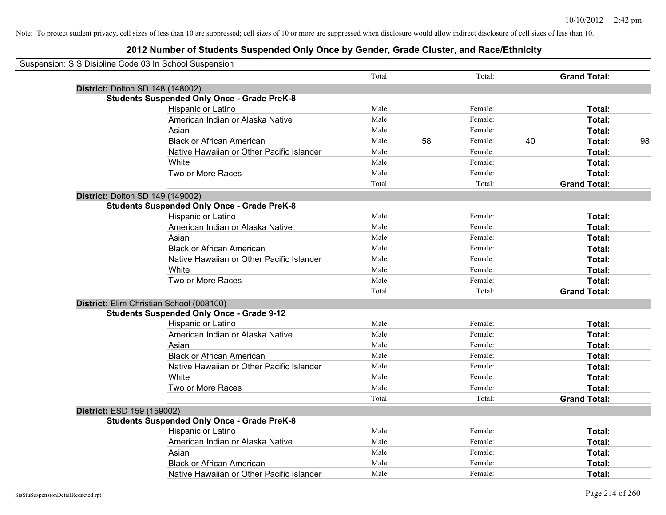| Suspension: SIS Disipline Code 03 In School Suspension |        |    |         |    |                     |    |
|--------------------------------------------------------|--------|----|---------|----|---------------------|----|
|                                                        | Total: |    | Total:  |    | <b>Grand Total:</b> |    |
| <b>District: Dolton SD 148 (148002)</b>                |        |    |         |    |                     |    |
| <b>Students Suspended Only Once - Grade PreK-8</b>     |        |    |         |    |                     |    |
| Hispanic or Latino                                     | Male:  |    | Female: |    | Total:              |    |
| American Indian or Alaska Native                       | Male:  |    | Female: |    | Total:              |    |
| Asian                                                  | Male:  |    | Female: |    | Total:              |    |
| <b>Black or African American</b>                       | Male:  | 58 | Female: | 40 | Total:              | 98 |
| Native Hawaiian or Other Pacific Islander              | Male:  |    | Female: |    | Total:              |    |
| White                                                  | Male:  |    | Female: |    | Total:              |    |
| Two or More Races                                      | Male:  |    | Female: |    | Total:              |    |
|                                                        | Total: |    | Total:  |    | <b>Grand Total:</b> |    |
| District: Dolton SD 149 (149002)                       |        |    |         |    |                     |    |
| <b>Students Suspended Only Once - Grade PreK-8</b>     |        |    |         |    |                     |    |
| Hispanic or Latino                                     | Male:  |    | Female: |    | Total:              |    |
| American Indian or Alaska Native                       | Male:  |    | Female: |    | Total:              |    |
| Asian                                                  | Male:  |    | Female: |    | Total:              |    |
| <b>Black or African American</b>                       | Male:  |    | Female: |    | Total:              |    |
| Native Hawaiian or Other Pacific Islander              | Male:  |    | Female: |    | Total:              |    |
| White                                                  | Male:  |    | Female: |    | Total:              |    |
| Two or More Races                                      | Male:  |    | Female: |    | Total:              |    |
|                                                        | Total: |    | Total:  |    | <b>Grand Total:</b> |    |
| District: Elim Christian School (008100)               |        |    |         |    |                     |    |
| <b>Students Suspended Only Once - Grade 9-12</b>       |        |    |         |    |                     |    |
| Hispanic or Latino                                     | Male:  |    | Female: |    | Total:              |    |
| American Indian or Alaska Native                       | Male:  |    | Female: |    | Total:              |    |
| Asian                                                  | Male:  |    | Female: |    | Total:              |    |
| <b>Black or African American</b>                       | Male:  |    | Female: |    | Total:              |    |
| Native Hawaiian or Other Pacific Islander              | Male:  |    | Female: |    | Total:              |    |
| White                                                  | Male:  |    | Female: |    | Total:              |    |
| Two or More Races                                      | Male:  |    | Female: |    | Total:              |    |
|                                                        | Total: |    | Total:  |    | <b>Grand Total:</b> |    |
| District: ESD 159 (159002)                             |        |    |         |    |                     |    |
| <b>Students Suspended Only Once - Grade PreK-8</b>     |        |    |         |    |                     |    |
| Hispanic or Latino                                     | Male:  |    | Female: |    | Total:              |    |
| American Indian or Alaska Native                       | Male:  |    | Female: |    | Total:              |    |
| Asian                                                  | Male:  |    | Female: |    | Total:              |    |
| <b>Black or African American</b>                       | Male:  |    | Female: |    | Total:              |    |
| Native Hawaiian or Other Pacific Islander              | Male:  |    | Female: |    | Total:              |    |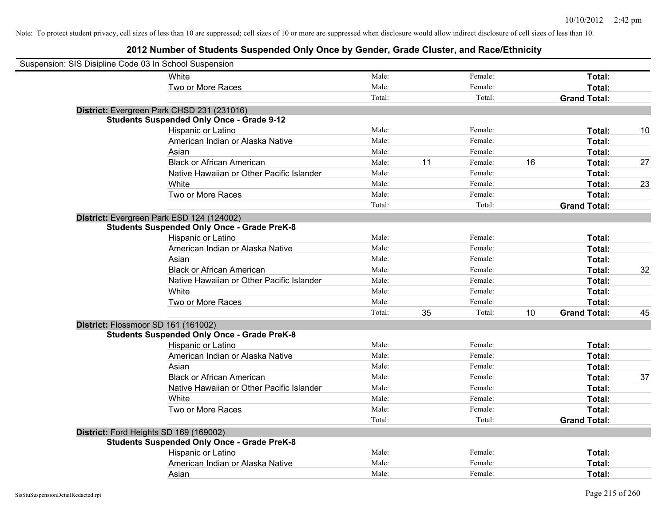| Suspension: SIS Disipline Code 03 In School Suspension |                                                    |        |    |         |    |                     |    |
|--------------------------------------------------------|----------------------------------------------------|--------|----|---------|----|---------------------|----|
|                                                        | White                                              | Male:  |    | Female: |    | Total:              |    |
|                                                        | Two or More Races                                  | Male:  |    | Female: |    | Total:              |    |
|                                                        |                                                    | Total: |    | Total:  |    | <b>Grand Total:</b> |    |
|                                                        | District: Evergreen Park CHSD 231 (231016)         |        |    |         |    |                     |    |
|                                                        | <b>Students Suspended Only Once - Grade 9-12</b>   |        |    |         |    |                     |    |
|                                                        | Hispanic or Latino                                 | Male:  |    | Female: |    | Total:              | 10 |
|                                                        | American Indian or Alaska Native                   | Male:  |    | Female: |    | Total:              |    |
|                                                        | Asian                                              | Male:  |    | Female: |    | Total:              |    |
|                                                        | <b>Black or African American</b>                   | Male:  | 11 | Female: | 16 | Total:              | 27 |
|                                                        | Native Hawaiian or Other Pacific Islander          | Male:  |    | Female: |    | Total:              |    |
|                                                        | White                                              | Male:  |    | Female: |    | Total:              | 23 |
|                                                        | Two or More Races                                  | Male:  |    | Female: |    | Total:              |    |
|                                                        |                                                    | Total: |    | Total:  |    | <b>Grand Total:</b> |    |
| District: Evergreen Park ESD 124 (124002)              |                                                    |        |    |         |    |                     |    |
|                                                        | <b>Students Suspended Only Once - Grade PreK-8</b> |        |    |         |    |                     |    |
|                                                        | Hispanic or Latino                                 | Male:  |    | Female: |    | Total:              |    |
|                                                        | American Indian or Alaska Native                   | Male:  |    | Female: |    | Total:              |    |
|                                                        | Asian                                              | Male:  |    | Female: |    | Total:              |    |
|                                                        | <b>Black or African American</b>                   | Male:  |    | Female: |    | Total:              | 32 |
|                                                        | Native Hawaiian or Other Pacific Islander          | Male:  |    | Female: |    | Total:              |    |
|                                                        | White                                              | Male:  |    | Female: |    | Total:              |    |
|                                                        | Two or More Races                                  | Male:  |    | Female: |    | Total:              |    |
|                                                        |                                                    | Total: | 35 | Total:  | 10 | <b>Grand Total:</b> | 45 |
| District: Flossmoor SD 161 (161002)                    |                                                    |        |    |         |    |                     |    |
|                                                        | <b>Students Suspended Only Once - Grade PreK-8</b> |        |    |         |    |                     |    |
|                                                        | Hispanic or Latino                                 | Male:  |    | Female: |    | Total:              |    |
|                                                        | American Indian or Alaska Native                   | Male:  |    | Female: |    | Total:              |    |
|                                                        | Asian                                              | Male:  |    | Female: |    | Total:              |    |
|                                                        | <b>Black or African American</b>                   | Male:  |    | Female: |    | Total:              | 37 |
|                                                        | Native Hawaiian or Other Pacific Islander          | Male:  |    | Female: |    | Total:              |    |
|                                                        | White                                              | Male:  |    | Female: |    | Total:              |    |
|                                                        | Two or More Races                                  | Male:  |    | Female: |    | Total:              |    |
|                                                        |                                                    | Total: |    | Total:  |    | <b>Grand Total:</b> |    |
| District: Ford Heights SD 169 (169002)                 |                                                    |        |    |         |    |                     |    |
|                                                        | <b>Students Suspended Only Once - Grade PreK-8</b> |        |    |         |    |                     |    |
|                                                        | Hispanic or Latino                                 | Male:  |    | Female: |    | Total:              |    |
|                                                        | American Indian or Alaska Native                   | Male:  |    | Female: |    | Total:              |    |
|                                                        | Asian                                              | Male:  |    | Female: |    | Total:              |    |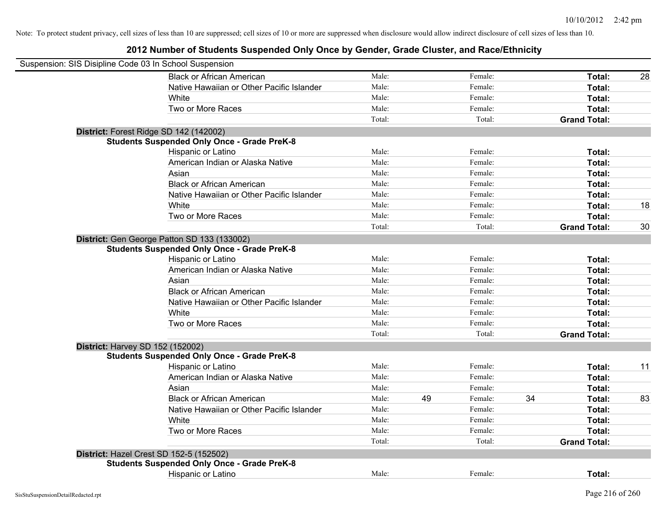| Suspension: SIS Disipline Code 03 In School Suspension |                                                    |        |    |         |    |                     |    |
|--------------------------------------------------------|----------------------------------------------------|--------|----|---------|----|---------------------|----|
|                                                        | <b>Black or African American</b>                   | Male:  |    | Female: |    | Total:              | 28 |
|                                                        | Native Hawaiian or Other Pacific Islander          | Male:  |    | Female: |    | Total:              |    |
|                                                        | White                                              | Male:  |    | Female: |    | Total:              |    |
|                                                        | Two or More Races                                  | Male:  |    | Female: |    | Total:              |    |
|                                                        |                                                    | Total: |    | Total:  |    | <b>Grand Total:</b> |    |
|                                                        | District: Forest Ridge SD 142 (142002)             |        |    |         |    |                     |    |
|                                                        | <b>Students Suspended Only Once - Grade PreK-8</b> |        |    |         |    |                     |    |
|                                                        | Hispanic or Latino                                 | Male:  |    | Female: |    | Total:              |    |
|                                                        | American Indian or Alaska Native                   | Male:  |    | Female: |    | Total:              |    |
|                                                        | Asian                                              | Male:  |    | Female: |    | Total:              |    |
|                                                        | <b>Black or African American</b>                   | Male:  |    | Female: |    | Total:              |    |
|                                                        | Native Hawaiian or Other Pacific Islander          | Male:  |    | Female: |    | Total:              |    |
|                                                        | White                                              | Male:  |    | Female: |    | Total:              | 18 |
|                                                        | Two or More Races                                  | Male:  |    | Female: |    | Total:              |    |
|                                                        |                                                    | Total: |    | Total:  |    | <b>Grand Total:</b> | 30 |
|                                                        | District: Gen George Patton SD 133 (133002)        |        |    |         |    |                     |    |
|                                                        | <b>Students Suspended Only Once - Grade PreK-8</b> |        |    |         |    |                     |    |
|                                                        | Hispanic or Latino                                 | Male:  |    | Female: |    | Total:              |    |
|                                                        | American Indian or Alaska Native                   | Male:  |    | Female: |    | Total:              |    |
|                                                        | Asian                                              | Male:  |    | Female: |    | Total:              |    |
|                                                        | <b>Black or African American</b>                   | Male:  |    | Female: |    | Total:              |    |
|                                                        | Native Hawaiian or Other Pacific Islander          | Male:  |    | Female: |    | Total:              |    |
|                                                        | White                                              | Male:  |    | Female: |    | Total:              |    |
|                                                        | Two or More Races                                  | Male:  |    | Female: |    | Total:              |    |
|                                                        |                                                    | Total: |    | Total:  |    | <b>Grand Total:</b> |    |
| <b>District: Harvey SD 152 (152002)</b>                |                                                    |        |    |         |    |                     |    |
|                                                        | <b>Students Suspended Only Once - Grade PreK-8</b> |        |    |         |    |                     |    |
|                                                        | Hispanic or Latino                                 | Male:  |    | Female: |    | Total:              | 11 |
|                                                        | American Indian or Alaska Native                   | Male:  |    | Female: |    | Total:              |    |
|                                                        | Asian                                              | Male:  |    | Female: |    | Total:              |    |
|                                                        | <b>Black or African American</b>                   | Male:  | 49 | Female: | 34 | Total:              | 83 |
|                                                        | Native Hawaiian or Other Pacific Islander          | Male:  |    | Female: |    | Total:              |    |
|                                                        | White                                              | Male:  |    | Female: |    | Total:              |    |
|                                                        | Two or More Races                                  | Male:  |    | Female: |    | Total:              |    |
|                                                        |                                                    | Total: |    | Total:  |    | <b>Grand Total:</b> |    |
|                                                        | District: Hazel Crest SD 152-5 (152502)            |        |    |         |    |                     |    |
|                                                        | <b>Students Suspended Only Once - Grade PreK-8</b> |        |    |         |    |                     |    |
|                                                        | Hispanic or Latino                                 | Male:  |    | Female: |    | Total:              |    |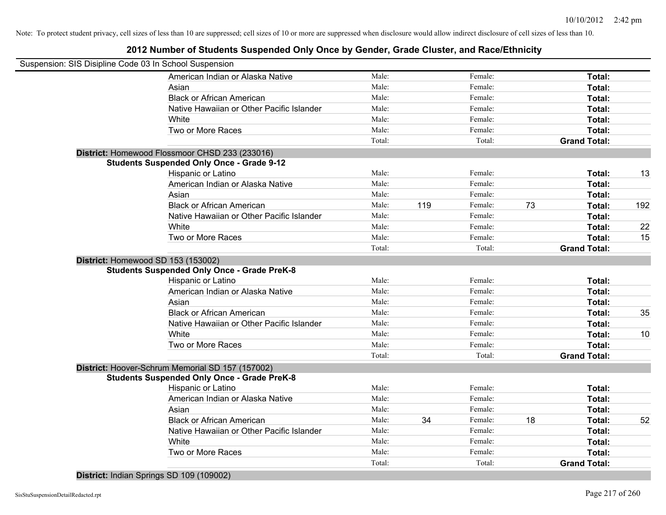## **2012 Number of Students Suspended Only Once by Gender, Grade Cluster, and Race/Ethnicity**

|                                    | Suspension: SIS Disipline Code 03 In School Suspension |        |     |         |    |                     |     |
|------------------------------------|--------------------------------------------------------|--------|-----|---------|----|---------------------|-----|
|                                    | American Indian or Alaska Native                       | Male:  |     | Female: |    | Total:              |     |
|                                    | Asian                                                  | Male:  |     | Female: |    | Total:              |     |
|                                    | <b>Black or African American</b>                       | Male:  |     | Female: |    | Total:              |     |
|                                    | Native Hawaiian or Other Pacific Islander              | Male:  |     | Female: |    | Total:              |     |
|                                    | White                                                  | Male:  |     | Female: |    | Total:              |     |
|                                    | Two or More Races                                      | Male:  |     | Female: |    | Total:              |     |
|                                    |                                                        | Total: |     | Total:  |    | <b>Grand Total:</b> |     |
|                                    | District: Homewood Flossmoor CHSD 233 (233016)         |        |     |         |    |                     |     |
|                                    | <b>Students Suspended Only Once - Grade 9-12</b>       |        |     |         |    |                     |     |
|                                    | Hispanic or Latino                                     | Male:  |     | Female: |    | Total:              | 13  |
|                                    | American Indian or Alaska Native                       | Male:  |     | Female: |    | Total:              |     |
|                                    | Asian                                                  | Male:  |     | Female: |    | Total:              |     |
|                                    | <b>Black or African American</b>                       | Male:  | 119 | Female: | 73 | Total:              | 192 |
|                                    | Native Hawaiian or Other Pacific Islander              | Male:  |     | Female: |    | Total:              |     |
|                                    | White                                                  | Male:  |     | Female: |    | Total:              | 22  |
|                                    | Two or More Races                                      | Male:  |     | Female: |    | Total:              | 15  |
|                                    |                                                        | Total: |     | Total:  |    | <b>Grand Total:</b> |     |
| District: Homewood SD 153 (153002) |                                                        |        |     |         |    |                     |     |
|                                    | <b>Students Suspended Only Once - Grade PreK-8</b>     |        |     |         |    |                     |     |
|                                    | Hispanic or Latino                                     | Male:  |     | Female: |    | Total:              |     |
|                                    | American Indian or Alaska Native                       | Male:  |     | Female: |    | Total:              |     |
|                                    | Asian                                                  | Male:  |     | Female: |    | Total:              |     |
|                                    | <b>Black or African American</b>                       | Male:  |     | Female: |    | Total:              | 35  |
|                                    | Native Hawaiian or Other Pacific Islander              | Male:  |     | Female: |    | Total:              |     |
|                                    | White                                                  | Male:  |     | Female: |    | Total:              | 10  |
|                                    | Two or More Races                                      | Male:  |     | Female: |    | Total:              |     |
|                                    |                                                        | Total: |     | Total:  |    | <b>Grand Total:</b> |     |
|                                    | District: Hoover-Schrum Memorial SD 157 (157002)       |        |     |         |    |                     |     |
|                                    | <b>Students Suspended Only Once - Grade PreK-8</b>     |        |     |         |    |                     |     |
|                                    | Hispanic or Latino                                     | Male:  |     | Female: |    | Total:              |     |
|                                    | American Indian or Alaska Native                       | Male:  |     | Female: |    | Total:              |     |
|                                    | Asian                                                  | Male:  |     | Female: |    | Total:              |     |
|                                    | <b>Black or African American</b>                       | Male:  | 34  | Female: | 18 | Total:              | 52  |
|                                    | Native Hawaiian or Other Pacific Islander              | Male:  |     | Female: |    | Total:              |     |
|                                    | White                                                  | Male:  |     | Female: |    | Total:              |     |
|                                    | Two or More Races                                      | Male:  |     | Female: |    | Total:              |     |
|                                    |                                                        | Total: |     | Total:  |    | <b>Grand Total:</b> |     |

**District:** Indian Springs SD 109 (109002)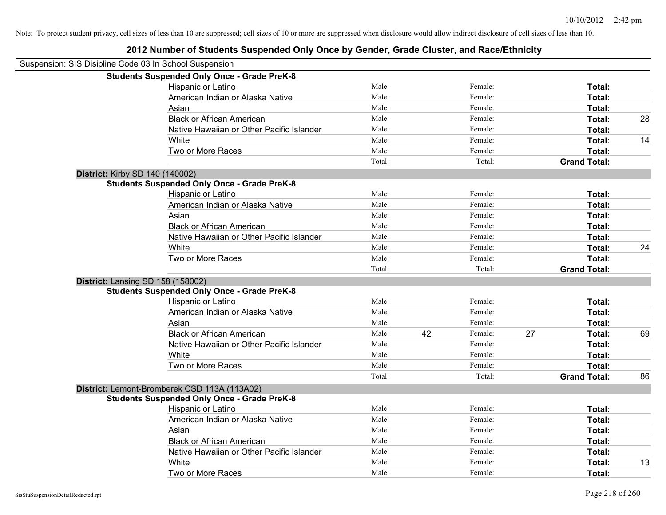| Suspension: SIS Disipline Code 03 In School Suspension |                                                    |        |    |         |    |                     |    |
|--------------------------------------------------------|----------------------------------------------------|--------|----|---------|----|---------------------|----|
|                                                        | <b>Students Suspended Only Once - Grade PreK-8</b> |        |    |         |    |                     |    |
|                                                        | Hispanic or Latino                                 | Male:  |    | Female: |    | Total:              |    |
|                                                        | American Indian or Alaska Native                   | Male:  |    | Female: |    | Total:              |    |
|                                                        | Asian                                              | Male:  |    | Female: |    | Total:              |    |
|                                                        | <b>Black or African American</b>                   | Male:  |    | Female: |    | Total:              | 28 |
|                                                        | Native Hawaiian or Other Pacific Islander          | Male:  |    | Female: |    | Total:              |    |
|                                                        | White                                              | Male:  |    | Female: |    | Total:              | 14 |
|                                                        | Two or More Races                                  | Male:  |    | Female: |    | Total:              |    |
|                                                        |                                                    | Total: |    | Total:  |    | <b>Grand Total:</b> |    |
|                                                        | <b>District: Kirby SD 140 (140002)</b>             |        |    |         |    |                     |    |
|                                                        | <b>Students Suspended Only Once - Grade PreK-8</b> |        |    |         |    |                     |    |
|                                                        | Hispanic or Latino                                 | Male:  |    | Female: |    | Total:              |    |
|                                                        | American Indian or Alaska Native                   | Male:  |    | Female: |    | Total:              |    |
|                                                        | Asian                                              | Male:  |    | Female: |    | Total:              |    |
|                                                        | <b>Black or African American</b>                   | Male:  |    | Female: |    | Total:              |    |
|                                                        | Native Hawaiian or Other Pacific Islander          | Male:  |    | Female: |    | Total:              |    |
|                                                        | White                                              | Male:  |    | Female: |    | Total:              | 24 |
|                                                        | Two or More Races                                  | Male:  |    | Female: |    | Total:              |    |
|                                                        |                                                    | Total: |    | Total:  |    | <b>Grand Total:</b> |    |
|                                                        | District: Lansing SD 158 (158002)                  |        |    |         |    |                     |    |
|                                                        | <b>Students Suspended Only Once - Grade PreK-8</b> |        |    |         |    |                     |    |
|                                                        | Hispanic or Latino                                 | Male:  |    | Female: |    | Total:              |    |
|                                                        | American Indian or Alaska Native                   | Male:  |    | Female: |    | Total:              |    |
|                                                        | Asian                                              | Male:  |    | Female: |    | Total:              |    |
|                                                        | <b>Black or African American</b>                   | Male:  | 42 | Female: | 27 | Total:              | 69 |
|                                                        | Native Hawaiian or Other Pacific Islander          | Male:  |    | Female: |    | Total:              |    |
|                                                        | White                                              | Male:  |    | Female: |    | Total:              |    |
|                                                        | Two or More Races                                  | Male:  |    | Female: |    | Total:              |    |
|                                                        |                                                    | Total: |    | Total:  |    | <b>Grand Total:</b> | 86 |
|                                                        | District: Lemont-Bromberek CSD 113A (113A02)       |        |    |         |    |                     |    |
|                                                        | <b>Students Suspended Only Once - Grade PreK-8</b> |        |    |         |    |                     |    |
|                                                        | Hispanic or Latino                                 | Male:  |    | Female: |    | Total:              |    |
|                                                        | American Indian or Alaska Native                   | Male:  |    | Female: |    | Total:              |    |
|                                                        | Asian                                              | Male:  |    | Female: |    | Total:              |    |
|                                                        | <b>Black or African American</b>                   | Male:  |    | Female: |    | Total:              |    |
|                                                        | Native Hawaiian or Other Pacific Islander          | Male:  |    | Female: |    | Total:              |    |
|                                                        | White                                              | Male:  |    | Female: |    | Total:              | 13 |
|                                                        | Two or More Races                                  | Male:  |    | Female: |    | Total:              |    |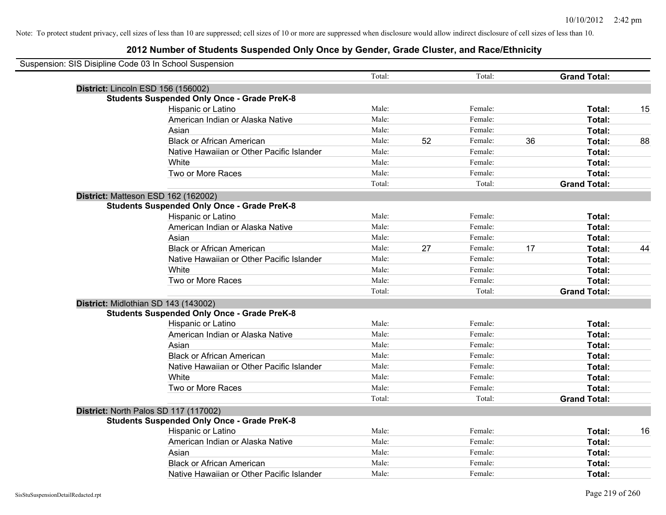| Suspension: SIS Disipline Code 03 In School Suspension |                                                    |        |    |         |    |                     |    |
|--------------------------------------------------------|----------------------------------------------------|--------|----|---------|----|---------------------|----|
|                                                        |                                                    | Total: |    | Total:  |    | <b>Grand Total:</b> |    |
|                                                        | District: Lincoln ESD 156 (156002)                 |        |    |         |    |                     |    |
|                                                        | <b>Students Suspended Only Once - Grade PreK-8</b> |        |    |         |    |                     |    |
|                                                        | Hispanic or Latino                                 | Male:  |    | Female: |    | Total:              | 15 |
|                                                        | American Indian or Alaska Native                   | Male:  |    | Female: |    | Total:              |    |
|                                                        | Asian                                              | Male:  |    | Female: |    | Total:              |    |
|                                                        | <b>Black or African American</b>                   | Male:  | 52 | Female: | 36 | Total:              | 88 |
|                                                        | Native Hawaiian or Other Pacific Islander          | Male:  |    | Female: |    | Total:              |    |
|                                                        | White                                              | Male:  |    | Female: |    | Total:              |    |
|                                                        | Two or More Races                                  | Male:  |    | Female: |    | Total:              |    |
|                                                        |                                                    | Total: |    | Total:  |    | <b>Grand Total:</b> |    |
|                                                        | District: Matteson ESD 162 (162002)                |        |    |         |    |                     |    |
|                                                        | <b>Students Suspended Only Once - Grade PreK-8</b> |        |    |         |    |                     |    |
|                                                        | Hispanic or Latino                                 | Male:  |    | Female: |    | Total:              |    |
|                                                        | American Indian or Alaska Native                   | Male:  |    | Female: |    | Total:              |    |
|                                                        | Asian                                              | Male:  |    | Female: |    | Total:              |    |
|                                                        | <b>Black or African American</b>                   | Male:  | 27 | Female: | 17 | Total:              | 44 |
|                                                        | Native Hawaiian or Other Pacific Islander          | Male:  |    | Female: |    | Total:              |    |
|                                                        | White                                              | Male:  |    | Female: |    | Total:              |    |
|                                                        | Two or More Races                                  | Male:  |    | Female: |    | Total:              |    |
|                                                        |                                                    | Total: |    | Total:  |    | <b>Grand Total:</b> |    |
|                                                        | District: Midlothian SD 143 (143002)               |        |    |         |    |                     |    |
|                                                        | <b>Students Suspended Only Once - Grade PreK-8</b> |        |    |         |    |                     |    |
|                                                        | Hispanic or Latino                                 | Male:  |    | Female: |    | Total:              |    |
|                                                        | American Indian or Alaska Native                   | Male:  |    | Female: |    | Total:              |    |
|                                                        | Asian                                              | Male:  |    | Female: |    | Total:              |    |
|                                                        | <b>Black or African American</b>                   | Male:  |    | Female: |    | Total:              |    |
|                                                        | Native Hawaiian or Other Pacific Islander          | Male:  |    | Female: |    | Total:              |    |
|                                                        | White                                              | Male:  |    | Female: |    | Total:              |    |
|                                                        | Two or More Races                                  | Male:  |    | Female: |    | Total:              |    |
|                                                        |                                                    | Total: |    | Total:  |    | <b>Grand Total:</b> |    |
|                                                        | District: North Palos SD 117 (117002)              |        |    |         |    |                     |    |
|                                                        | <b>Students Suspended Only Once - Grade PreK-8</b> |        |    |         |    |                     |    |
|                                                        | Hispanic or Latino                                 | Male:  |    | Female: |    | Total:              | 16 |
|                                                        | American Indian or Alaska Native                   | Male:  |    | Female: |    | Total:              |    |
|                                                        | Asian                                              | Male:  |    | Female: |    | Total:              |    |
|                                                        | <b>Black or African American</b>                   | Male:  |    | Female: |    | Total:              |    |
|                                                        | Native Hawaiian or Other Pacific Islander          | Male:  |    | Female: |    | Total:              |    |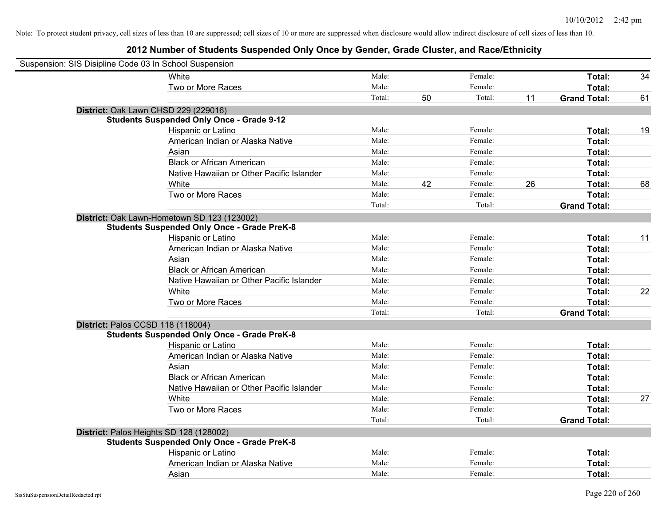| Suspension: SIS Disipline Code 03 In School Suspension |                                                    |        |    |         |    |                     |    |
|--------------------------------------------------------|----------------------------------------------------|--------|----|---------|----|---------------------|----|
|                                                        | White                                              | Male:  |    | Female: |    | Total:              | 34 |
|                                                        | Two or More Races                                  | Male:  |    | Female: |    | Total:              |    |
|                                                        |                                                    | Total: | 50 | Total:  | 11 | <b>Grand Total:</b> | 61 |
| District: Oak Lawn CHSD 229 (229016)                   |                                                    |        |    |         |    |                     |    |
|                                                        | <b>Students Suspended Only Once - Grade 9-12</b>   |        |    |         |    |                     |    |
|                                                        | Hispanic or Latino                                 | Male:  |    | Female: |    | Total:              | 19 |
|                                                        | American Indian or Alaska Native                   | Male:  |    | Female: |    | Total:              |    |
|                                                        | Asian                                              | Male:  |    | Female: |    | Total:              |    |
|                                                        | <b>Black or African American</b>                   | Male:  |    | Female: |    | Total:              |    |
|                                                        | Native Hawaiian or Other Pacific Islander          | Male:  |    | Female: |    | Total:              |    |
|                                                        | White                                              | Male:  | 42 | Female: | 26 | Total:              | 68 |
|                                                        | Two or More Races                                  | Male:  |    | Female: |    | Total:              |    |
|                                                        |                                                    | Total: |    | Total:  |    | <b>Grand Total:</b> |    |
|                                                        | District: Oak Lawn-Hometown SD 123 (123002)        |        |    |         |    |                     |    |
|                                                        | <b>Students Suspended Only Once - Grade PreK-8</b> |        |    |         |    |                     |    |
|                                                        | Hispanic or Latino                                 | Male:  |    | Female: |    | Total:              | 11 |
|                                                        | American Indian or Alaska Native                   | Male:  |    | Female: |    | Total:              |    |
|                                                        | Asian                                              | Male:  |    | Female: |    | Total:              |    |
|                                                        | <b>Black or African American</b>                   | Male:  |    | Female: |    | Total:              |    |
|                                                        | Native Hawaiian or Other Pacific Islander          | Male:  |    | Female: |    | Total:              |    |
|                                                        | White                                              | Male:  |    | Female: |    | Total:              | 22 |
|                                                        | Two or More Races                                  | Male:  |    | Female: |    | Total:              |    |
|                                                        |                                                    | Total: |    | Total:  |    | <b>Grand Total:</b> |    |
| District: Palos CCSD 118 (118004)                      |                                                    |        |    |         |    |                     |    |
|                                                        | <b>Students Suspended Only Once - Grade PreK-8</b> |        |    |         |    |                     |    |
|                                                        | Hispanic or Latino                                 | Male:  |    | Female: |    | Total:              |    |
|                                                        | American Indian or Alaska Native                   | Male:  |    | Female: |    | Total:              |    |
|                                                        | Asian                                              | Male:  |    | Female: |    | Total:              |    |
|                                                        | <b>Black or African American</b>                   | Male:  |    | Female: |    | Total:              |    |
|                                                        | Native Hawaiian or Other Pacific Islander          | Male:  |    | Female: |    | Total:              |    |
|                                                        | White                                              | Male:  |    | Female: |    | Total:              | 27 |
|                                                        | Two or More Races                                  | Male:  |    | Female: |    | Total:              |    |
|                                                        |                                                    | Total: |    | Total:  |    | <b>Grand Total:</b> |    |
| District: Palos Heights SD 128 (128002)                |                                                    |        |    |         |    |                     |    |
|                                                        | <b>Students Suspended Only Once - Grade PreK-8</b> |        |    |         |    |                     |    |
|                                                        | Hispanic or Latino                                 | Male:  |    | Female: |    | Total:              |    |
|                                                        | American Indian or Alaska Native                   | Male:  |    | Female: |    | Total:              |    |
|                                                        | Asian                                              | Male:  |    | Female: |    | Total:              |    |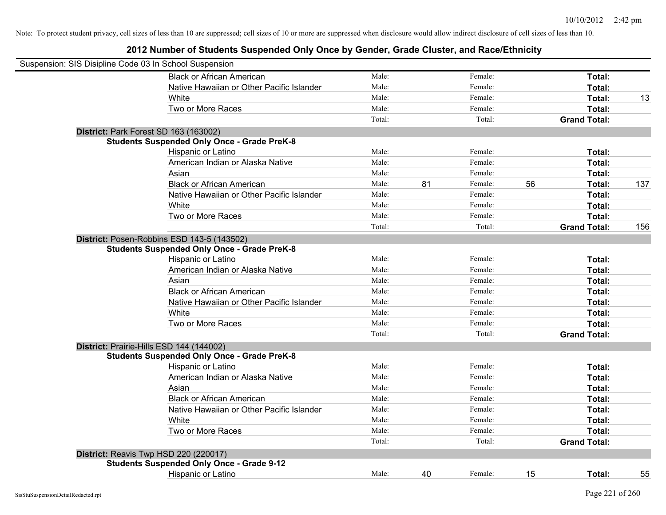| Suspension: SIS Disipline Code 03 In School Suspension |                                                    |        |    |         |    |                     |     |
|--------------------------------------------------------|----------------------------------------------------|--------|----|---------|----|---------------------|-----|
|                                                        | <b>Black or African American</b>                   | Male:  |    | Female: |    | Total:              |     |
|                                                        | Native Hawaiian or Other Pacific Islander          | Male:  |    | Female: |    | Total:              |     |
|                                                        | White                                              | Male:  |    | Female: |    | Total:              | 13  |
|                                                        | Two or More Races                                  | Male:  |    | Female: |    | Total:              |     |
|                                                        |                                                    | Total: |    | Total:  |    | <b>Grand Total:</b> |     |
|                                                        | District: Park Forest SD 163 (163002)              |        |    |         |    |                     |     |
|                                                        | <b>Students Suspended Only Once - Grade PreK-8</b> |        |    |         |    |                     |     |
|                                                        | Hispanic or Latino                                 | Male:  |    | Female: |    | Total:              |     |
|                                                        | American Indian or Alaska Native                   | Male:  |    | Female: |    | Total:              |     |
|                                                        | Asian                                              | Male:  |    | Female: |    | Total:              |     |
|                                                        | <b>Black or African American</b>                   | Male:  | 81 | Female: | 56 | Total:              | 137 |
|                                                        | Native Hawaiian or Other Pacific Islander          | Male:  |    | Female: |    | Total:              |     |
|                                                        | White                                              | Male:  |    | Female: |    | Total:              |     |
|                                                        | Two or More Races                                  | Male:  |    | Female: |    | Total:              |     |
|                                                        |                                                    | Total: |    | Total:  |    | <b>Grand Total:</b> | 156 |
|                                                        | District: Posen-Robbins ESD 143-5 (143502)         |        |    |         |    |                     |     |
|                                                        | <b>Students Suspended Only Once - Grade PreK-8</b> |        |    |         |    |                     |     |
|                                                        | Hispanic or Latino                                 | Male:  |    | Female: |    | Total:              |     |
|                                                        | American Indian or Alaska Native                   | Male:  |    | Female: |    | Total:              |     |
|                                                        | Asian                                              | Male:  |    | Female: |    | Total:              |     |
|                                                        | <b>Black or African American</b>                   | Male:  |    | Female: |    | Total:              |     |
|                                                        | Native Hawaiian or Other Pacific Islander          | Male:  |    | Female: |    | Total:              |     |
|                                                        | White                                              | Male:  |    | Female: |    | Total:              |     |
|                                                        | Two or More Races                                  | Male:  |    | Female: |    | Total:              |     |
|                                                        |                                                    | Total: |    | Total:  |    | <b>Grand Total:</b> |     |
|                                                        | District: Prairie-Hills ESD 144 (144002)           |        |    |         |    |                     |     |
|                                                        | <b>Students Suspended Only Once - Grade PreK-8</b> |        |    |         |    |                     |     |
|                                                        | Hispanic or Latino                                 | Male:  |    | Female: |    | Total:              |     |
|                                                        | American Indian or Alaska Native                   | Male:  |    | Female: |    | Total:              |     |
|                                                        | Asian                                              | Male:  |    | Female: |    | Total:              |     |
|                                                        | <b>Black or African American</b>                   | Male:  |    | Female: |    | Total:              |     |
|                                                        | Native Hawaiian or Other Pacific Islander          | Male:  |    | Female: |    | Total:              |     |
|                                                        | White                                              | Male:  |    | Female: |    | Total:              |     |
|                                                        | Two or More Races                                  | Male:  |    | Female: |    | Total:              |     |
|                                                        |                                                    | Total: |    | Total:  |    | <b>Grand Total:</b> |     |
|                                                        | District: Reavis Twp HSD 220 (220017)              |        |    |         |    |                     |     |
|                                                        | <b>Students Suspended Only Once - Grade 9-12</b>   |        |    |         |    |                     |     |
|                                                        | <b>Hispanic or Latino</b>                          | Male:  | 40 | Female: | 15 | Total:              | 55  |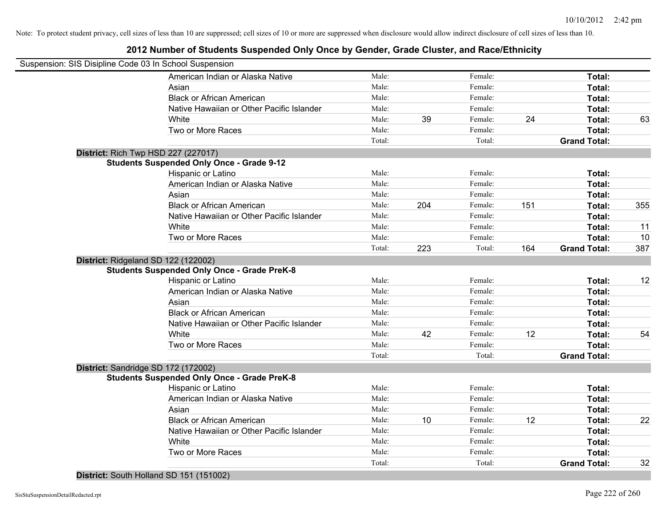## **2012 Number of Students Suspended Only Once by Gender, Grade Cluster, and Race/Ethnicity**

| Suspension: SIS Disipline Code 03 In School Suspension |                                                    |        |     |         |     |                     |     |
|--------------------------------------------------------|----------------------------------------------------|--------|-----|---------|-----|---------------------|-----|
|                                                        | American Indian or Alaska Native                   | Male:  |     | Female: |     | Total:              |     |
|                                                        | Asian                                              | Male:  |     | Female: |     | Total:              |     |
|                                                        | <b>Black or African American</b>                   | Male:  |     | Female: |     | Total:              |     |
|                                                        | Native Hawaiian or Other Pacific Islander          | Male:  |     | Female: |     | Total:              |     |
|                                                        | White                                              | Male:  | 39  | Female: | 24  | Total:              | 63  |
|                                                        | Two or More Races                                  | Male:  |     | Female: |     | Total:              |     |
|                                                        |                                                    | Total: |     | Total:  |     | <b>Grand Total:</b> |     |
| <b>District: Rich Twp HSD 227 (227017)</b>             |                                                    |        |     |         |     |                     |     |
|                                                        | <b>Students Suspended Only Once - Grade 9-12</b>   |        |     |         |     |                     |     |
|                                                        | Hispanic or Latino                                 | Male:  |     | Female: |     | Total:              |     |
|                                                        | American Indian or Alaska Native                   | Male:  |     | Female: |     | Total:              |     |
|                                                        | Asian                                              | Male:  |     | Female: |     | Total:              |     |
|                                                        | <b>Black or African American</b>                   | Male:  | 204 | Female: | 151 | Total:              | 355 |
|                                                        | Native Hawaiian or Other Pacific Islander          | Male:  |     | Female: |     | Total:              |     |
|                                                        | White                                              | Male:  |     | Female: |     | Total:              | 11  |
|                                                        | Two or More Races                                  | Male:  |     | Female: |     | Total:              | 10  |
|                                                        |                                                    | Total: | 223 | Total:  | 164 | <b>Grand Total:</b> | 387 |
| District: Ridgeland SD 122 (122002)                    |                                                    |        |     |         |     |                     |     |
|                                                        | <b>Students Suspended Only Once - Grade PreK-8</b> |        |     |         |     |                     |     |
|                                                        | Hispanic or Latino                                 | Male:  |     | Female: |     | Total:              | 12  |
|                                                        | American Indian or Alaska Native                   | Male:  |     | Female: |     | Total:              |     |
|                                                        | Asian                                              | Male:  |     | Female: |     | Total:              |     |
|                                                        | <b>Black or African American</b>                   | Male:  |     | Female: |     | Total:              |     |
|                                                        | Native Hawaiian or Other Pacific Islander          | Male:  |     | Female: |     | Total:              |     |
|                                                        | White                                              | Male:  | 42  | Female: | 12  | Total:              | 54  |
|                                                        | Two or More Races                                  | Male:  |     | Female: |     | Total:              |     |
|                                                        |                                                    | Total: |     | Total:  |     | <b>Grand Total:</b> |     |
| District: Sandridge SD 172 (172002)                    |                                                    |        |     |         |     |                     |     |
|                                                        | <b>Students Suspended Only Once - Grade PreK-8</b> |        |     |         |     |                     |     |
|                                                        | Hispanic or Latino                                 | Male:  |     | Female: |     | Total:              |     |
|                                                        | American Indian or Alaska Native                   | Male:  |     | Female: |     | Total:              |     |
|                                                        | Asian                                              | Male:  |     | Female: |     | Total:              |     |
|                                                        | <b>Black or African American</b>                   | Male:  | 10  | Female: | 12  | Total:              | 22  |
|                                                        | Native Hawaiian or Other Pacific Islander          | Male:  |     | Female: |     | Total:              |     |
|                                                        | White                                              | Male:  |     | Female: |     | Total:              |     |
|                                                        | Two or More Races                                  | Male:  |     | Female: |     | Total:              |     |
|                                                        |                                                    | Total: |     | Total:  |     | <b>Grand Total:</b> | 32  |

**District:** South Holland SD 151 (151002)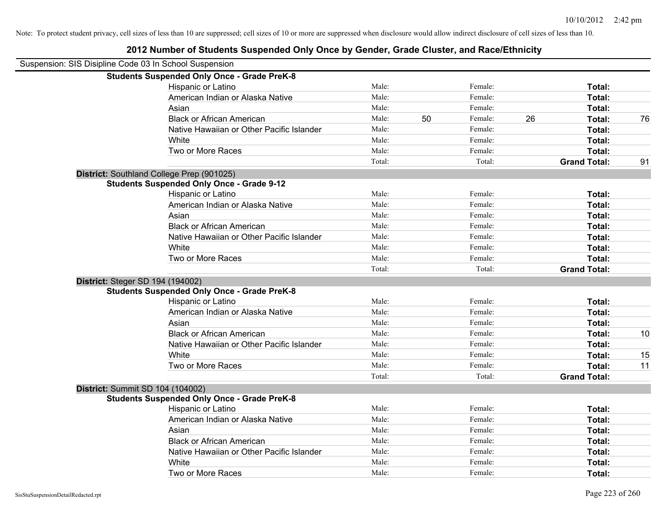| Suspension: SIS Disipline Code 03 In School Suspension |        |    |         |    |                     |    |
|--------------------------------------------------------|--------|----|---------|----|---------------------|----|
| <b>Students Suspended Only Once - Grade PreK-8</b>     |        |    |         |    |                     |    |
| Hispanic or Latino                                     | Male:  |    | Female: |    | Total:              |    |
| American Indian or Alaska Native                       | Male:  |    | Female: |    | Total:              |    |
| Asian                                                  | Male:  |    | Female: |    | Total:              |    |
| <b>Black or African American</b>                       | Male:  | 50 | Female: | 26 | Total:              | 76 |
| Native Hawaiian or Other Pacific Islander              | Male:  |    | Female: |    | Total:              |    |
| White                                                  | Male:  |    | Female: |    | Total:              |    |
| Two or More Races                                      | Male:  |    | Female: |    | Total:              |    |
|                                                        | Total: |    | Total:  |    | <b>Grand Total:</b> | 91 |
| District: Southland College Prep (901025)              |        |    |         |    |                     |    |
| <b>Students Suspended Only Once - Grade 9-12</b>       |        |    |         |    |                     |    |
| Hispanic or Latino                                     | Male:  |    | Female: |    | Total:              |    |
| American Indian or Alaska Native                       | Male:  |    | Female: |    | Total:              |    |
| Asian                                                  | Male:  |    | Female: |    | Total:              |    |
| <b>Black or African American</b>                       | Male:  |    | Female: |    | Total:              |    |
| Native Hawaiian or Other Pacific Islander              | Male:  |    | Female: |    | Total:              |    |
| White                                                  | Male:  |    | Female: |    | Total:              |    |
| Two or More Races                                      | Male:  |    | Female: |    | Total:              |    |
|                                                        | Total: |    | Total:  |    | <b>Grand Total:</b> |    |
| <b>District: Steger SD 194 (194002)</b>                |        |    |         |    |                     |    |
| <b>Students Suspended Only Once - Grade PreK-8</b>     |        |    |         |    |                     |    |
| Hispanic or Latino                                     | Male:  |    | Female: |    | Total:              |    |
| American Indian or Alaska Native                       | Male:  |    | Female: |    | Total:              |    |
| Asian                                                  | Male:  |    | Female: |    | Total:              |    |
| <b>Black or African American</b>                       | Male:  |    | Female: |    | Total:              | 10 |
| Native Hawaiian or Other Pacific Islander              | Male:  |    | Female: |    | Total:              |    |
| White                                                  | Male:  |    | Female: |    | Total:              | 15 |
| Two or More Races                                      | Male:  |    | Female: |    | Total:              | 11 |
|                                                        | Total: |    | Total:  |    | <b>Grand Total:</b> |    |
| District: Summit SD 104 (104002)                       |        |    |         |    |                     |    |
| <b>Students Suspended Only Once - Grade PreK-8</b>     |        |    |         |    |                     |    |
| Hispanic or Latino                                     | Male:  |    | Female: |    | Total:              |    |
| American Indian or Alaska Native                       | Male:  |    | Female: |    | Total:              |    |
| Asian                                                  | Male:  |    | Female: |    | Total:              |    |
| <b>Black or African American</b>                       | Male:  |    | Female: |    | Total:              |    |
| Native Hawaiian or Other Pacific Islander              | Male:  |    | Female: |    | Total:              |    |
| White                                                  | Male:  |    | Female: |    | Total:              |    |
| Two or More Races                                      | Male:  |    | Female: |    | Total:              |    |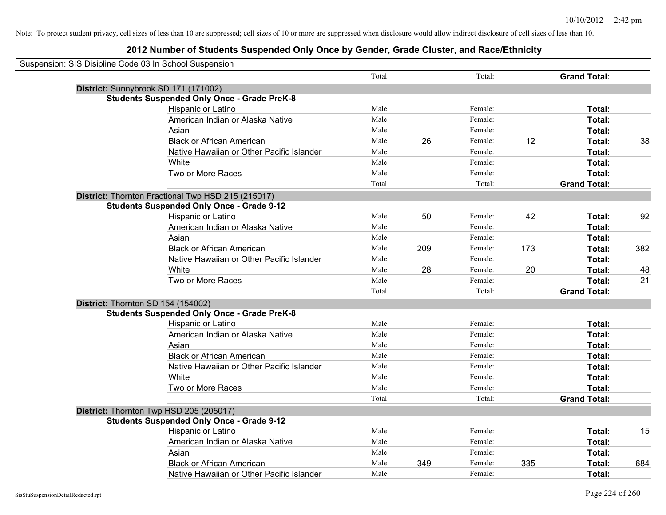| Suspension: SIS Disipline Code 03 In School Suspension |                                                    |        |     |         |     |                     |     |
|--------------------------------------------------------|----------------------------------------------------|--------|-----|---------|-----|---------------------|-----|
|                                                        |                                                    | Total: |     | Total:  |     | <b>Grand Total:</b> |     |
|                                                        | District: Sunnybrook SD 171 (171002)               |        |     |         |     |                     |     |
|                                                        | <b>Students Suspended Only Once - Grade PreK-8</b> |        |     |         |     |                     |     |
|                                                        | Hispanic or Latino                                 | Male:  |     | Female: |     | Total:              |     |
|                                                        | American Indian or Alaska Native                   | Male:  |     | Female: |     | Total:              |     |
|                                                        | Asian                                              | Male:  |     | Female: |     | Total:              |     |
|                                                        | <b>Black or African American</b>                   | Male:  | 26  | Female: | 12  | Total:              | 38  |
|                                                        | Native Hawaiian or Other Pacific Islander          | Male:  |     | Female: |     | Total:              |     |
|                                                        | White                                              | Male:  |     | Female: |     | Total:              |     |
|                                                        | Two or More Races                                  | Male:  |     | Female: |     | Total:              |     |
|                                                        |                                                    | Total: |     | Total:  |     | <b>Grand Total:</b> |     |
|                                                        | District: Thornton Fractional Twp HSD 215 (215017) |        |     |         |     |                     |     |
|                                                        | <b>Students Suspended Only Once - Grade 9-12</b>   |        |     |         |     |                     |     |
|                                                        | Hispanic or Latino                                 | Male:  | 50  | Female: | 42  | Total:              | 92  |
|                                                        | American Indian or Alaska Native                   | Male:  |     | Female: |     | Total:              |     |
|                                                        | Asian                                              | Male:  |     | Female: |     | Total:              |     |
|                                                        | <b>Black or African American</b>                   | Male:  | 209 | Female: | 173 | Total:              | 382 |
|                                                        | Native Hawaiian or Other Pacific Islander          | Male:  |     | Female: |     | Total:              |     |
|                                                        | White                                              | Male:  | 28  | Female: | 20  | Total:              | 48  |
|                                                        | Two or More Races                                  | Male:  |     | Female: |     | Total:              | 21  |
|                                                        |                                                    | Total: |     | Total:  |     | <b>Grand Total:</b> |     |
|                                                        | District: Thornton SD 154 (154002)                 |        |     |         |     |                     |     |
|                                                        | <b>Students Suspended Only Once - Grade PreK-8</b> |        |     |         |     |                     |     |
|                                                        | Hispanic or Latino                                 | Male:  |     | Female: |     | Total:              |     |
|                                                        | American Indian or Alaska Native                   | Male:  |     | Female: |     | Total:              |     |
|                                                        | Asian                                              | Male:  |     | Female: |     | Total:              |     |
|                                                        | <b>Black or African American</b>                   | Male:  |     | Female: |     | Total:              |     |
|                                                        | Native Hawaiian or Other Pacific Islander          | Male:  |     | Female: |     | Total:              |     |
|                                                        | White                                              | Male:  |     | Female: |     | Total:              |     |
|                                                        | Two or More Races                                  | Male:  |     | Female: |     | Total:              |     |
|                                                        |                                                    | Total: |     | Total:  |     | <b>Grand Total:</b> |     |
|                                                        | District: Thornton Twp HSD 205 (205017)            |        |     |         |     |                     |     |
|                                                        | <b>Students Suspended Only Once - Grade 9-12</b>   |        |     |         |     |                     |     |
|                                                        | Hispanic or Latino                                 | Male:  |     | Female: |     | Total:              | 15  |
|                                                        | American Indian or Alaska Native                   | Male:  |     | Female: |     | Total:              |     |
|                                                        | Asian                                              | Male:  |     | Female: |     | Total:              |     |
|                                                        | <b>Black or African American</b>                   | Male:  | 349 | Female: | 335 | Total:              | 684 |
|                                                        | Native Hawaiian or Other Pacific Islander          | Male:  |     | Female: |     | Total:              |     |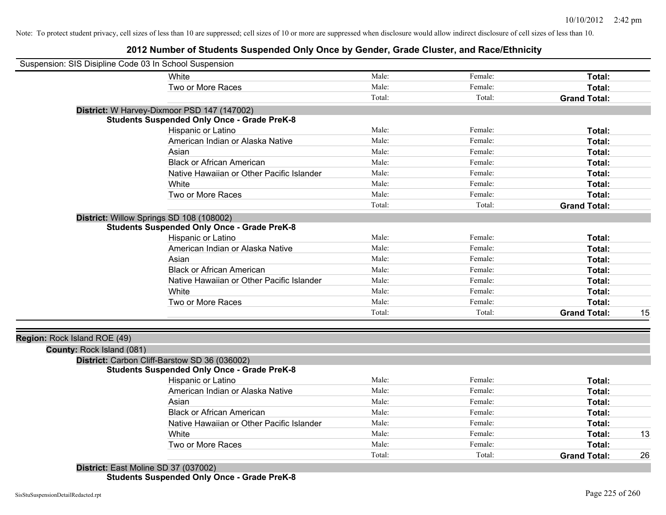# **2012 Number of Students Suspended Only Once by Gender, Grade Cluster, and Race/Ethnicity**

| Suspension: SIS Disipline Code 03 In School Suspension |                                                    |        |         |                     |    |
|--------------------------------------------------------|----------------------------------------------------|--------|---------|---------------------|----|
|                                                        | White                                              | Male:  | Female: | Total:              |    |
|                                                        | Two or More Races                                  | Male:  | Female: | Total:              |    |
|                                                        |                                                    | Total: | Total:  | <b>Grand Total:</b> |    |
|                                                        | District: W Harvey-Dixmoor PSD 147 (147002)        |        |         |                     |    |
|                                                        | <b>Students Suspended Only Once - Grade PreK-8</b> |        |         |                     |    |
|                                                        | Hispanic or Latino                                 | Male:  | Female: | Total:              |    |
|                                                        | American Indian or Alaska Native                   | Male:  | Female: | <b>Total:</b>       |    |
|                                                        | Asian                                              | Male:  | Female: | Total:              |    |
|                                                        | <b>Black or African American</b>                   | Male:  | Female: | Total:              |    |
|                                                        | Native Hawaiian or Other Pacific Islander          | Male:  | Female: | Total:              |    |
|                                                        | White                                              | Male:  | Female: | Total:              |    |
|                                                        | Two or More Races                                  | Male:  | Female: | Total:              |    |
|                                                        |                                                    | Total: | Total:  | <b>Grand Total:</b> |    |
|                                                        | District: Willow Springs SD 108 (108002)           |        |         |                     |    |
|                                                        | <b>Students Suspended Only Once - Grade PreK-8</b> |        |         |                     |    |
|                                                        | Hispanic or Latino                                 | Male:  | Female: | Total:              |    |
|                                                        | American Indian or Alaska Native                   | Male:  | Female: | Total:              |    |
|                                                        | Asian                                              | Male:  | Female: | Total:              |    |
|                                                        | <b>Black or African American</b>                   | Male:  | Female: | Total:              |    |
|                                                        | Native Hawaiian or Other Pacific Islander          | Male:  | Female: | Total:              |    |
|                                                        | White                                              | Male:  | Female: | Total:              |    |
|                                                        | Two or More Races                                  | Male:  | Female: | Total:              |    |
|                                                        |                                                    | Total: | Total:  | <b>Grand Total:</b> | 15 |
|                                                        |                                                    |        |         |                     |    |
| Region: Rock Island ROE (49)                           |                                                    |        |         |                     |    |
| County: Rock Island (081)                              |                                                    |        |         |                     |    |
|                                                        | District: Carbon Cliff-Barstow SD 36 (036002)      |        |         |                     |    |
|                                                        | <b>Students Suspended Only Once - Grade PreK-8</b> |        |         |                     |    |
|                                                        | Hispanic or Latino                                 | Male:  | Female: | Total:              |    |
|                                                        | American Indian or Alaska Native                   | Male:  | Female: | <b>Total:</b>       |    |
|                                                        | Asian                                              | Male:  | Female: | Total:              |    |
|                                                        | <b>Black or African American</b>                   | Male:  | Female: | Total:              |    |
|                                                        | Native Hawaiian or Other Pacific Islander          | Male:  | Female: | Total:              |    |
|                                                        | White                                              | Male:  | Female: | Total:              | 13 |
|                                                        | Two or More Races                                  | Male:  | Female: | Total:              |    |
|                                                        |                                                    | Total: | Total:  | <b>Grand Total:</b> | 26 |
|                                                        | District: East Moline SD 37 (037002)               |        |         |                     |    |

**Students Suspended Only Once - Grade PreK-8**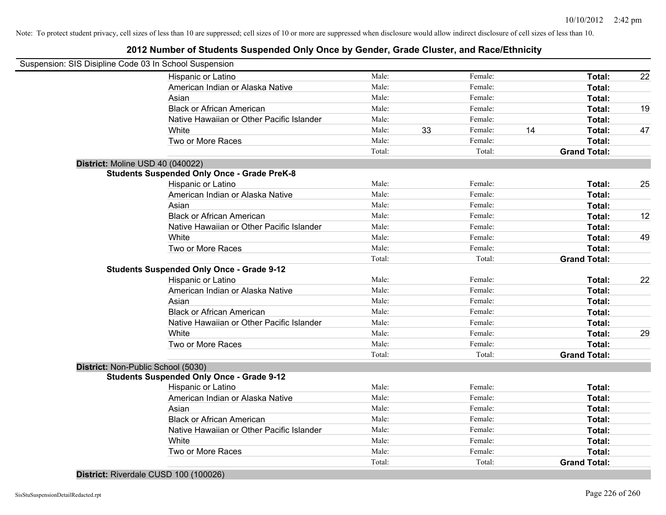## **2012 Number of Students Suspended Only Once by Gender, Grade Cluster, and Race/Ethnicity**

|                                    | Suspension: SIS Disipline Code 03 In School Suspension |        |    |         |    |                     |    |
|------------------------------------|--------------------------------------------------------|--------|----|---------|----|---------------------|----|
|                                    | Hispanic or Latino                                     | Male:  |    | Female: |    | Total:              | 22 |
|                                    | American Indian or Alaska Native                       | Male:  |    | Female: |    | Total:              |    |
|                                    | Asian                                                  | Male:  |    | Female: |    | Total:              |    |
|                                    | <b>Black or African American</b>                       | Male:  |    | Female: |    | Total:              | 19 |
|                                    | Native Hawaiian or Other Pacific Islander              | Male:  |    | Female: |    | Total:              |    |
|                                    | White                                                  | Male:  | 33 | Female: | 14 | Total:              | 47 |
|                                    | Two or More Races                                      | Male:  |    | Female: |    | Total:              |    |
|                                    |                                                        | Total: |    | Total:  |    | <b>Grand Total:</b> |    |
| District: Moline USD 40 (040022)   |                                                        |        |    |         |    |                     |    |
|                                    | <b>Students Suspended Only Once - Grade PreK-8</b>     |        |    |         |    |                     |    |
|                                    | Hispanic or Latino                                     | Male:  |    | Female: |    | Total:              | 25 |
|                                    | American Indian or Alaska Native                       | Male:  |    | Female: |    | Total:              |    |
|                                    | Asian                                                  | Male:  |    | Female: |    | Total:              |    |
|                                    | <b>Black or African American</b>                       | Male:  |    | Female: |    | Total:              | 12 |
|                                    | Native Hawaiian or Other Pacific Islander              | Male:  |    | Female: |    | Total:              |    |
|                                    | White                                                  | Male:  |    | Female: |    | Total:              | 49 |
|                                    | Two or More Races                                      | Male:  |    | Female: |    | Total:              |    |
|                                    |                                                        | Total: |    | Total:  |    | <b>Grand Total:</b> |    |
|                                    | <b>Students Suspended Only Once - Grade 9-12</b>       |        |    |         |    |                     |    |
|                                    | Hispanic or Latino                                     | Male:  |    | Female: |    | Total:              | 22 |
|                                    | American Indian or Alaska Native                       | Male:  |    | Female: |    | Total:              |    |
|                                    | Asian                                                  | Male:  |    | Female: |    | Total:              |    |
|                                    | <b>Black or African American</b>                       | Male:  |    | Female: |    | Total:              |    |
|                                    | Native Hawaiian or Other Pacific Islander              | Male:  |    | Female: |    | Total:              |    |
|                                    | White                                                  | Male:  |    | Female: |    | Total:              | 29 |
|                                    | Two or More Races                                      | Male:  |    | Female: |    | Total:              |    |
|                                    |                                                        | Total: |    | Total:  |    | <b>Grand Total:</b> |    |
| District: Non-Public School (5030) |                                                        |        |    |         |    |                     |    |
|                                    | <b>Students Suspended Only Once - Grade 9-12</b>       |        |    |         |    |                     |    |
|                                    | Hispanic or Latino                                     | Male:  |    | Female: |    | Total:              |    |
|                                    | American Indian or Alaska Native                       | Male:  |    | Female: |    | Total:              |    |
|                                    | Asian                                                  | Male:  |    | Female: |    | Total:              |    |
|                                    | <b>Black or African American</b>                       | Male:  |    | Female: |    | Total:              |    |
|                                    | Native Hawaiian or Other Pacific Islander              | Male:  |    | Female: |    | Total:              |    |
|                                    | White                                                  | Male:  |    | Female: |    | Total:              |    |
|                                    |                                                        | Male:  |    | Female: |    | Total:              |    |
|                                    | Two or More Races                                      |        |    |         |    |                     |    |

**District:** Riverdale CUSD 100 (100026)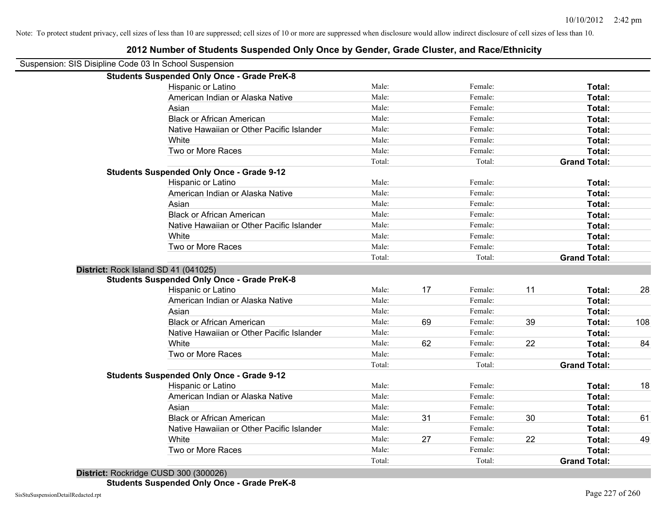| Suspension: SIS Disipline Code 03 In School Suspension |                                                    |        |    |         |    |                     |     |
|--------------------------------------------------------|----------------------------------------------------|--------|----|---------|----|---------------------|-----|
|                                                        | <b>Students Suspended Only Once - Grade PreK-8</b> |        |    |         |    |                     |     |
|                                                        | Hispanic or Latino                                 | Male:  |    | Female: |    | Total:              |     |
|                                                        | American Indian or Alaska Native                   | Male:  |    | Female: |    | Total:              |     |
|                                                        | Asian                                              | Male:  |    | Female: |    | Total:              |     |
|                                                        | <b>Black or African American</b>                   | Male:  |    | Female: |    | Total:              |     |
|                                                        | Native Hawaiian or Other Pacific Islander          | Male:  |    | Female: |    | Total:              |     |
|                                                        | White                                              | Male:  |    | Female: |    | Total:              |     |
|                                                        | Two or More Races                                  | Male:  |    | Female: |    | Total:              |     |
|                                                        |                                                    | Total: |    | Total:  |    | <b>Grand Total:</b> |     |
|                                                        | <b>Students Suspended Only Once - Grade 9-12</b>   |        |    |         |    |                     |     |
|                                                        | Hispanic or Latino                                 | Male:  |    | Female: |    | Total:              |     |
|                                                        | American Indian or Alaska Native                   | Male:  |    | Female: |    | <b>Total:</b>       |     |
|                                                        | Asian                                              | Male:  |    | Female: |    | Total:              |     |
|                                                        | <b>Black or African American</b>                   | Male:  |    | Female: |    | Total:              |     |
|                                                        | Native Hawaiian or Other Pacific Islander          | Male:  |    | Female: |    | Total:              |     |
|                                                        | White                                              | Male:  |    | Female: |    | Total:              |     |
|                                                        | Two or More Races                                  | Male:  |    | Female: |    | Total:              |     |
|                                                        |                                                    | Total: |    | Total:  |    | <b>Grand Total:</b> |     |
| District: Rock Island SD 41 (041025)                   |                                                    |        |    |         |    |                     |     |
|                                                        | <b>Students Suspended Only Once - Grade PreK-8</b> |        |    |         |    |                     |     |
|                                                        | Hispanic or Latino                                 | Male:  | 17 | Female: | 11 | Total:              | 28  |
|                                                        | American Indian or Alaska Native                   | Male:  |    | Female: |    | Total:              |     |
|                                                        | Asian                                              | Male:  |    | Female: |    | Total:              |     |
|                                                        | <b>Black or African American</b>                   | Male:  | 69 | Female: | 39 | Total:              | 108 |
|                                                        | Native Hawaiian or Other Pacific Islander          | Male:  |    | Female: |    | Total:              |     |
|                                                        | White                                              | Male:  | 62 | Female: | 22 | Total:              | 84  |
|                                                        | Two or More Races                                  | Male:  |    | Female: |    | Total:              |     |
|                                                        |                                                    | Total: |    | Total:  |    | <b>Grand Total:</b> |     |
|                                                        | <b>Students Suspended Only Once - Grade 9-12</b>   |        |    |         |    |                     |     |
|                                                        | Hispanic or Latino                                 | Male:  |    | Female: |    | Total:              | 18  |
|                                                        | American Indian or Alaska Native                   | Male:  |    | Female: |    | Total:              |     |
|                                                        | Asian                                              | Male:  |    | Female: |    | Total:              |     |
|                                                        | <b>Black or African American</b>                   | Male:  | 31 | Female: | 30 | Total:              | 61  |
|                                                        | Native Hawaiian or Other Pacific Islander          | Male:  |    | Female: |    | Total:              |     |
|                                                        | White                                              | Male:  | 27 | Female: | 22 | Total:              | 49  |
|                                                        | Two or More Races                                  | Male:  |    | Female: |    | Total:              |     |
|                                                        |                                                    | Total: |    | Total:  |    | <b>Grand Total:</b> |     |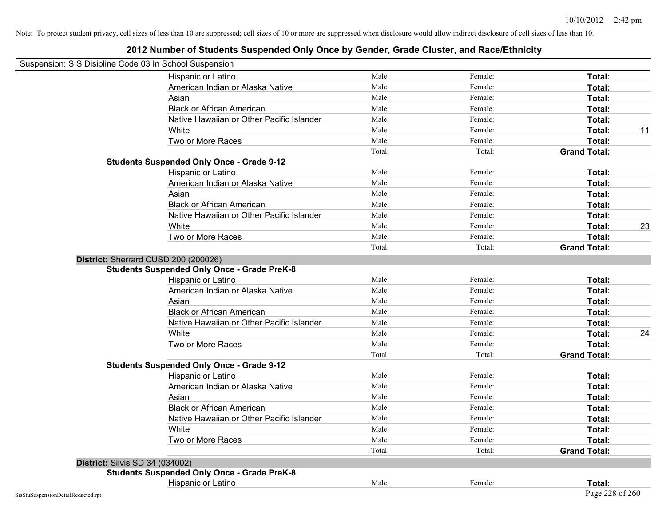| Suspension: SIS Disipline Code 03 In School Suspension |                                                    |        |         |                     |    |
|--------------------------------------------------------|----------------------------------------------------|--------|---------|---------------------|----|
|                                                        | Hispanic or Latino                                 | Male:  | Female: | Total:              |    |
|                                                        | American Indian or Alaska Native                   | Male:  | Female: | Total:              |    |
|                                                        | Asian                                              | Male:  | Female: | Total:              |    |
|                                                        | <b>Black or African American</b>                   | Male:  | Female: | Total:              |    |
|                                                        | Native Hawaiian or Other Pacific Islander          | Male:  | Female: | Total:              |    |
|                                                        | White                                              | Male:  | Female: | Total:              | 11 |
|                                                        | Two or More Races                                  | Male:  | Female: | Total:              |    |
|                                                        |                                                    | Total: | Total:  | <b>Grand Total:</b> |    |
|                                                        | <b>Students Suspended Only Once - Grade 9-12</b>   |        |         |                     |    |
|                                                        | Hispanic or Latino                                 | Male:  | Female: | Total:              |    |
|                                                        | American Indian or Alaska Native                   | Male:  | Female: | Total:              |    |
|                                                        | Asian                                              | Male:  | Female: | Total:              |    |
|                                                        | <b>Black or African American</b>                   | Male:  | Female: | Total:              |    |
|                                                        | Native Hawaiian or Other Pacific Islander          | Male:  | Female: | Total:              |    |
|                                                        | White                                              | Male:  | Female: | Total:              | 23 |
|                                                        | Two or More Races                                  | Male:  | Female: | Total:              |    |
|                                                        |                                                    | Total: | Total:  | <b>Grand Total:</b> |    |
|                                                        | District: Sherrard CUSD 200 (200026)               |        |         |                     |    |
|                                                        | <b>Students Suspended Only Once - Grade PreK-8</b> |        |         |                     |    |
|                                                        | Hispanic or Latino                                 | Male:  | Female: | Total:              |    |
|                                                        | American Indian or Alaska Native                   | Male:  | Female: | Total:              |    |
|                                                        | Asian                                              | Male:  | Female: | Total:              |    |
|                                                        | <b>Black or African American</b>                   | Male:  | Female: | Total:              |    |
|                                                        | Native Hawaiian or Other Pacific Islander          | Male:  | Female: | Total:              |    |
|                                                        | White                                              | Male:  | Female: | Total:              | 24 |
|                                                        | Two or More Races                                  | Male:  | Female: | Total:              |    |
|                                                        |                                                    | Total: | Total:  | <b>Grand Total:</b> |    |
|                                                        | <b>Students Suspended Only Once - Grade 9-12</b>   |        |         |                     |    |
|                                                        | Hispanic or Latino                                 | Male:  | Female: | Total:              |    |
|                                                        | American Indian or Alaska Native                   | Male:  | Female: | Total:              |    |
|                                                        | Asian                                              | Male:  | Female: | Total:              |    |
|                                                        | <b>Black or African American</b>                   | Male:  | Female: | Total:              |    |
|                                                        | Native Hawaiian or Other Pacific Islander          | Male:  | Female: | Total:              |    |
|                                                        | White                                              | Male:  | Female: | Total:              |    |
|                                                        | Two or More Races                                  | Male:  | Female: | Total:              |    |
|                                                        |                                                    | Total: | Total:  | <b>Grand Total:</b> |    |
| District: Silvis SD 34 (034002)                        |                                                    |        |         |                     |    |
|                                                        | <b>Students Suspended Only Once - Grade PreK-8</b> |        |         |                     |    |
|                                                        | Hispanic or Latino                                 | Male:  | Female: | Total:              |    |
| SisStuSuspensionDetailRedacted.rpt                     |                                                    |        |         | Page 228 of 260     |    |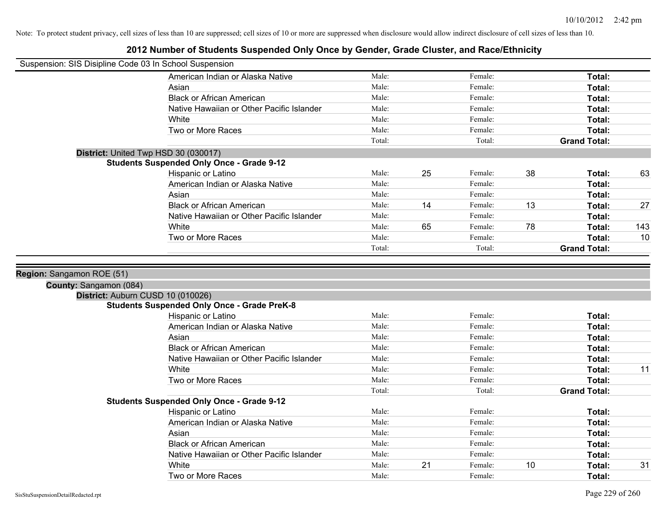| Suspension: SIS Disipline Code 03 In School Suspension |                                                                                         |        |    |         |    |                         |     |
|--------------------------------------------------------|-----------------------------------------------------------------------------------------|--------|----|---------|----|-------------------------|-----|
|                                                        | American Indian or Alaska Native                                                        | Male:  |    | Female: |    | Total:                  |     |
|                                                        | Asian                                                                                   | Male:  |    | Female: |    | Total:                  |     |
|                                                        | <b>Black or African American</b>                                                        | Male:  |    | Female: |    | Total:                  |     |
|                                                        | Native Hawaiian or Other Pacific Islander                                               | Male:  |    | Female: |    | Total:                  |     |
|                                                        | White                                                                                   | Male:  |    | Female: |    | Total:                  |     |
|                                                        | Two or More Races                                                                       | Male:  |    | Female: |    | Total:                  |     |
|                                                        |                                                                                         | Total: |    | Total:  |    | <b>Grand Total:</b>     |     |
|                                                        | District: United Twp HSD 30 (030017)                                                    |        |    |         |    |                         |     |
|                                                        | <b>Students Suspended Only Once - Grade 9-12</b>                                        |        |    |         |    |                         |     |
|                                                        | Hispanic or Latino                                                                      | Male:  | 25 | Female: | 38 | Total:                  | 63  |
|                                                        | American Indian or Alaska Native                                                        | Male:  |    | Female: |    | Total:                  |     |
|                                                        | Asian                                                                                   | Male:  |    | Female: |    | Total:                  |     |
|                                                        | <b>Black or African American</b>                                                        | Male:  | 14 | Female: | 13 | Total:                  | 27  |
|                                                        | Native Hawaiian or Other Pacific Islander                                               | Male:  |    | Female: |    | Total:                  |     |
|                                                        | White                                                                                   | Male:  | 65 | Female: | 78 | Total:                  | 143 |
|                                                        | Two or More Races                                                                       | Male:  |    | Female: |    | Total:                  | 10  |
|                                                        |                                                                                         | Total: |    | Total:  |    | <b>Grand Total:</b>     |     |
|                                                        |                                                                                         |        |    |         |    |                         |     |
| Region: Sangamon ROE (51)                              |                                                                                         |        |    |         |    |                         |     |
|                                                        |                                                                                         |        |    |         |    |                         |     |
| County: Sangamon (084)                                 |                                                                                         |        |    |         |    |                         |     |
|                                                        | District: Auburn CUSD 10 (010026)<br><b>Students Suspended Only Once - Grade PreK-8</b> |        |    |         |    |                         |     |
|                                                        | Hispanic or Latino                                                                      | Male:  |    | Female: |    |                         |     |
|                                                        | American Indian or Alaska Native                                                        | Male:  |    | Female: |    | Total:                  |     |
|                                                        |                                                                                         |        |    |         |    | Total:                  |     |
|                                                        | Asian                                                                                   | Male:  |    | Female: |    | Total:                  |     |
|                                                        | <b>Black or African American</b>                                                        | Male:  |    | Female: |    | Total:                  |     |
|                                                        | Native Hawaiian or Other Pacific Islander                                               | Male:  |    | Female: |    | Total:                  |     |
|                                                        | White                                                                                   | Male:  |    | Female: |    | Total:                  | 11  |
|                                                        | Two or More Races                                                                       | Male:  |    | Female: |    | <b>Total:</b>           |     |
|                                                        |                                                                                         | Total: |    | Total:  |    | <b>Grand Total:</b>     |     |
|                                                        | <b>Students Suspended Only Once - Grade 9-12</b>                                        |        |    |         |    |                         |     |
|                                                        | Hispanic or Latino                                                                      | Male:  |    | Female: |    | Total:                  |     |
|                                                        | American Indian or Alaska Native                                                        | Male:  |    | Female: |    | Total:                  |     |
|                                                        | Asian                                                                                   | Male:  |    | Female: |    | Total:                  |     |
|                                                        | <b>Black or African American</b>                                                        | Male:  |    | Female: |    | Total:                  |     |
|                                                        | Native Hawaiian or Other Pacific Islander                                               | Male:  |    | Female: |    | Total:                  |     |
|                                                        |                                                                                         |        |    |         |    |                         |     |
|                                                        | White                                                                                   | Male:  | 21 | Female: | 10 | <b>Total:</b><br>Total: | 31  |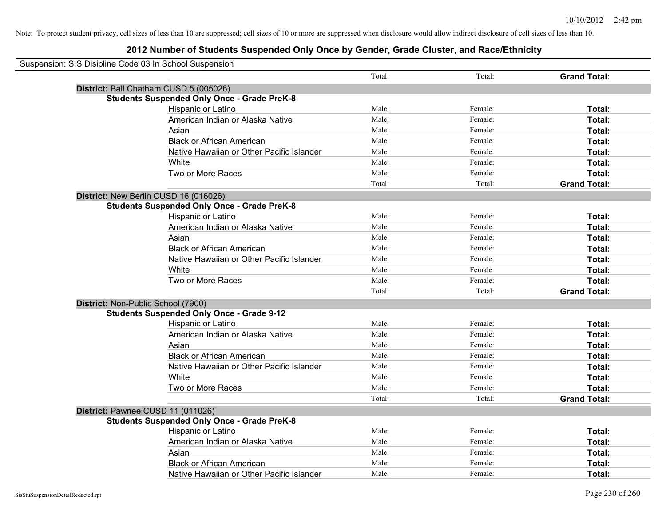| Suspension: SIS Disipline Code 03 In School Suspension |                                                    |        |         |                     |
|--------------------------------------------------------|----------------------------------------------------|--------|---------|---------------------|
|                                                        |                                                    | Total: | Total:  | <b>Grand Total:</b> |
|                                                        | District: Ball Chatham CUSD 5 (005026)             |        |         |                     |
|                                                        | <b>Students Suspended Only Once - Grade PreK-8</b> |        |         |                     |
|                                                        | Hispanic or Latino                                 | Male:  | Female: | Total:              |
|                                                        | American Indian or Alaska Native                   | Male:  | Female: | Total:              |
|                                                        | Asian                                              | Male:  | Female: | Total:              |
|                                                        | <b>Black or African American</b>                   | Male:  | Female: | Total:              |
|                                                        | Native Hawaiian or Other Pacific Islander          | Male:  | Female: | Total:              |
|                                                        | White                                              | Male:  | Female: | Total:              |
|                                                        | Two or More Races                                  | Male:  | Female: | Total:              |
|                                                        |                                                    | Total: | Total:  | <b>Grand Total:</b> |
|                                                        | District: New Berlin CUSD 16 (016026)              |        |         |                     |
|                                                        | <b>Students Suspended Only Once - Grade PreK-8</b> |        |         |                     |
|                                                        | Hispanic or Latino                                 | Male:  | Female: | Total:              |
|                                                        | American Indian or Alaska Native                   | Male:  | Female: | Total:              |
|                                                        | Asian                                              | Male:  | Female: | Total:              |
|                                                        | <b>Black or African American</b>                   | Male:  | Female: | Total:              |
|                                                        | Native Hawaiian or Other Pacific Islander          | Male:  | Female: | Total:              |
|                                                        | White                                              | Male:  | Female: | Total:              |
|                                                        | Two or More Races                                  | Male:  | Female: | Total:              |
|                                                        |                                                    | Total: | Total:  | <b>Grand Total:</b> |
|                                                        | District: Non-Public School (7900)                 |        |         |                     |
|                                                        | <b>Students Suspended Only Once - Grade 9-12</b>   |        |         |                     |
|                                                        | Hispanic or Latino                                 | Male:  | Female: | Total:              |
|                                                        | American Indian or Alaska Native                   | Male:  | Female: | Total:              |
|                                                        | Asian                                              | Male:  | Female: | Total:              |
|                                                        | <b>Black or African American</b>                   | Male:  | Female: | Total:              |
|                                                        | Native Hawaiian or Other Pacific Islander          | Male:  | Female: | Total:              |
|                                                        | <b>White</b>                                       | Male:  | Female: | Total:              |
|                                                        | Two or More Races                                  | Male:  | Female: | Total:              |
|                                                        |                                                    | Total: | Total:  | <b>Grand Total:</b> |
|                                                        | District: Pawnee CUSD 11 (011026)                  |        |         |                     |
|                                                        | <b>Students Suspended Only Once - Grade PreK-8</b> |        |         |                     |
|                                                        | Hispanic or Latino                                 | Male:  | Female: | Total:              |
|                                                        | American Indian or Alaska Native                   | Male:  | Female: | Total:              |
|                                                        | Asian                                              | Male:  | Female: | Total:              |
|                                                        | <b>Black or African American</b>                   | Male:  | Female: | Total:              |
|                                                        | Native Hawaiian or Other Pacific Islander          | Male:  | Female: | Total:              |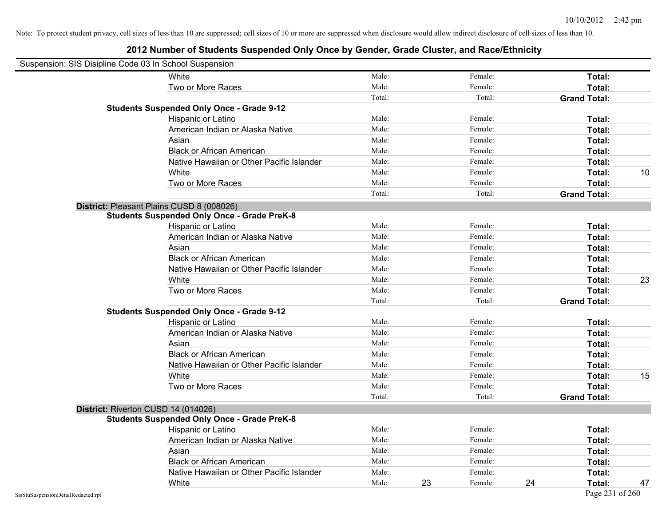|                                    | Suspension: SIS Disipline Code 03 In School Suspension |        |    |         |    |                     |    |
|------------------------------------|--------------------------------------------------------|--------|----|---------|----|---------------------|----|
|                                    | White                                                  | Male:  |    | Female: |    | Total:              |    |
|                                    | Two or More Races                                      | Male:  |    | Female: |    | Total:              |    |
|                                    |                                                        | Total: |    | Total:  |    | <b>Grand Total:</b> |    |
|                                    | <b>Students Suspended Only Once - Grade 9-12</b>       |        |    |         |    |                     |    |
|                                    | Hispanic or Latino                                     | Male:  |    | Female: |    | Total:              |    |
|                                    | American Indian or Alaska Native                       | Male:  |    | Female: |    | Total:              |    |
|                                    | Asian                                                  | Male:  |    | Female: |    | Total:              |    |
|                                    | <b>Black or African American</b>                       | Male:  |    | Female: |    | Total:              |    |
|                                    | Native Hawaiian or Other Pacific Islander              | Male:  |    | Female: |    | Total:              |    |
|                                    | White                                                  | Male:  |    | Female: |    | Total:              | 10 |
|                                    | Two or More Races                                      | Male:  |    | Female: |    | Total:              |    |
|                                    |                                                        | Total: |    | Total:  |    | <b>Grand Total:</b> |    |
|                                    | District: Pleasant Plains CUSD 8 (008026)              |        |    |         |    |                     |    |
|                                    | <b>Students Suspended Only Once - Grade PreK-8</b>     |        |    |         |    |                     |    |
|                                    | Hispanic or Latino                                     | Male:  |    | Female: |    | Total:              |    |
|                                    | American Indian or Alaska Native                       | Male:  |    | Female: |    | Total:              |    |
|                                    | Asian                                                  | Male:  |    | Female: |    | Total:              |    |
|                                    | <b>Black or African American</b>                       | Male:  |    | Female: |    | Total:              |    |
|                                    | Native Hawaiian or Other Pacific Islander              | Male:  |    | Female: |    | Total:              |    |
|                                    | White                                                  | Male:  |    | Female: |    | Total:              | 23 |
|                                    | Two or More Races                                      | Male:  |    | Female: |    | Total:              |    |
|                                    |                                                        | Total: |    | Total:  |    | <b>Grand Total:</b> |    |
|                                    | <b>Students Suspended Only Once - Grade 9-12</b>       |        |    |         |    |                     |    |
|                                    | Hispanic or Latino                                     | Male:  |    | Female: |    | Total:              |    |
|                                    | American Indian or Alaska Native                       | Male:  |    | Female: |    | Total:              |    |
|                                    | Asian                                                  | Male:  |    | Female: |    | Total:              |    |
|                                    | <b>Black or African American</b>                       | Male:  |    | Female: |    | Total:              |    |
|                                    | Native Hawaiian or Other Pacific Islander              | Male:  |    | Female: |    | Total:              |    |
|                                    | White                                                  | Male:  |    | Female: |    | Total:              | 15 |
|                                    | Two or More Races                                      | Male:  |    | Female: |    | Total:              |    |
|                                    |                                                        | Total: |    | Total:  |    | <b>Grand Total:</b> |    |
|                                    | District: Riverton CUSD 14 (014026)                    |        |    |         |    |                     |    |
|                                    | <b>Students Suspended Only Once - Grade PreK-8</b>     |        |    |         |    |                     |    |
|                                    | Hispanic or Latino                                     | Male:  |    | Female: |    | Total:              |    |
|                                    | American Indian or Alaska Native                       | Male:  |    | Female: |    | Total:              |    |
|                                    | Asian                                                  | Male:  |    | Female: |    | Total:              |    |
|                                    | <b>Black or African American</b>                       | Male:  |    | Female: |    | Total:              |    |
|                                    | Native Hawaiian or Other Pacific Islander              | Male:  |    | Female: |    | Total:              |    |
|                                    | White                                                  | Male:  | 23 | Female: | 24 | Total:              | 47 |
| SisStuSuspensionDetailRedacted.rpt |                                                        |        |    |         |    | Page 231 of 260     |    |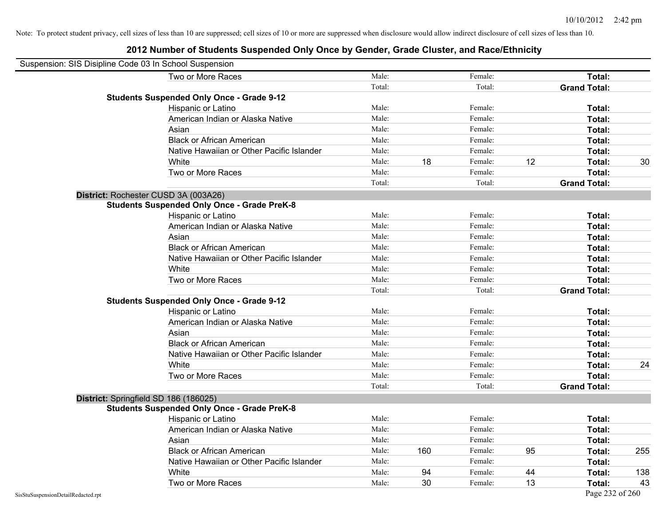| Suspension: SIS Disipline Code 03 In School Suspension |                                                    |        |     |         |    |                     |     |
|--------------------------------------------------------|----------------------------------------------------|--------|-----|---------|----|---------------------|-----|
|                                                        | Two or More Races                                  | Male:  |     | Female: |    | Total:              |     |
|                                                        |                                                    | Total: |     | Total:  |    | <b>Grand Total:</b> |     |
|                                                        | <b>Students Suspended Only Once - Grade 9-12</b>   |        |     |         |    |                     |     |
|                                                        | Hispanic or Latino                                 | Male:  |     | Female: |    | Total:              |     |
|                                                        | American Indian or Alaska Native                   | Male:  |     | Female: |    | Total:              |     |
|                                                        | Asian                                              | Male:  |     | Female: |    | Total:              |     |
|                                                        | <b>Black or African American</b>                   | Male:  |     | Female: |    | Total:              |     |
|                                                        | Native Hawaiian or Other Pacific Islander          | Male:  |     | Female: |    | Total:              |     |
|                                                        | White                                              | Male:  | 18  | Female: | 12 | Total:              | 30  |
|                                                        | Two or More Races                                  | Male:  |     | Female: |    | Total:              |     |
|                                                        |                                                    | Total: |     | Total:  |    | <b>Grand Total:</b> |     |
|                                                        | District: Rochester CUSD 3A (003A26)               |        |     |         |    |                     |     |
|                                                        | <b>Students Suspended Only Once - Grade PreK-8</b> |        |     |         |    |                     |     |
|                                                        | Hispanic or Latino                                 | Male:  |     | Female: |    | Total:              |     |
|                                                        | American Indian or Alaska Native                   | Male:  |     | Female: |    | Total:              |     |
|                                                        | Asian                                              | Male:  |     | Female: |    | Total:              |     |
|                                                        | <b>Black or African American</b>                   | Male:  |     | Female: |    | Total:              |     |
|                                                        | Native Hawaiian or Other Pacific Islander          | Male:  |     | Female: |    | Total:              |     |
|                                                        | White                                              | Male:  |     | Female: |    | Total:              |     |
|                                                        | Two or More Races                                  | Male:  |     | Female: |    | Total:              |     |
|                                                        |                                                    | Total: |     | Total:  |    | <b>Grand Total:</b> |     |
|                                                        | <b>Students Suspended Only Once - Grade 9-12</b>   |        |     |         |    |                     |     |
|                                                        | Hispanic or Latino                                 | Male:  |     | Female: |    | Total:              |     |
|                                                        | American Indian or Alaska Native                   | Male:  |     | Female: |    | Total:              |     |
|                                                        | Asian                                              | Male:  |     | Female: |    | Total:              |     |
|                                                        | <b>Black or African American</b>                   | Male:  |     | Female: |    | Total:              |     |
|                                                        | Native Hawaiian or Other Pacific Islander          | Male:  |     | Female: |    | Total:              |     |
|                                                        | White                                              | Male:  |     | Female: |    | Total:              | 24  |
|                                                        | Two or More Races                                  | Male:  |     | Female: |    | Total:              |     |
|                                                        |                                                    | Total: |     | Total:  |    | <b>Grand Total:</b> |     |
|                                                        | District: Springfield SD 186 (186025)              |        |     |         |    |                     |     |
|                                                        | <b>Students Suspended Only Once - Grade PreK-8</b> |        |     |         |    |                     |     |
|                                                        | Hispanic or Latino                                 | Male:  |     | Female: |    | Total:              |     |
|                                                        | American Indian or Alaska Native                   | Male:  |     | Female: |    | Total:              |     |
|                                                        | Asian                                              | Male:  |     | Female: |    | Total:              |     |
|                                                        | <b>Black or African American</b>                   | Male:  | 160 | Female: | 95 | Total:              | 255 |
|                                                        | Native Hawaiian or Other Pacific Islander          | Male:  |     | Female: |    | Total:              |     |
|                                                        | White                                              | Male:  | 94  | Female: | 44 | Total:              | 138 |
|                                                        | Two or More Races                                  | Male:  | 30  | Female: | 13 | Total:              | 43  |
| SisStuSuspensionDetailRedacted.rpt                     |                                                    |        |     |         |    | Page 232 of 260     |     |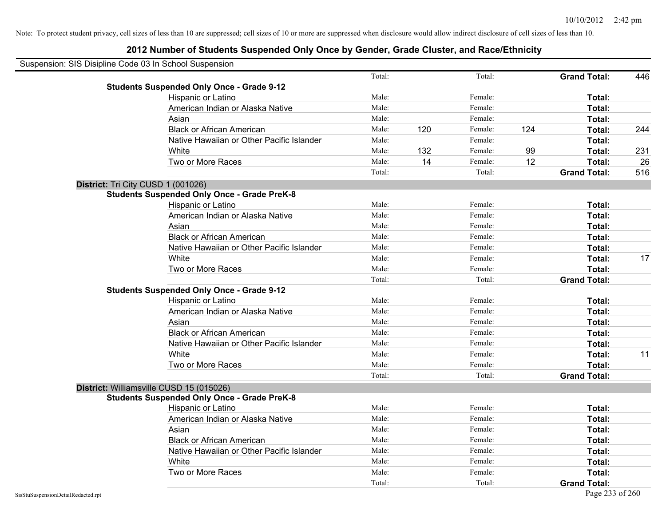| Suspension: SIS Disipline Code 03 In School Suspension |                                                    |        |     |         |     |                     |     |
|--------------------------------------------------------|----------------------------------------------------|--------|-----|---------|-----|---------------------|-----|
|                                                        |                                                    | Total: |     | Total:  |     | <b>Grand Total:</b> | 446 |
|                                                        | <b>Students Suspended Only Once - Grade 9-12</b>   |        |     |         |     |                     |     |
|                                                        | Hispanic or Latino                                 | Male:  |     | Female: |     | Total:              |     |
|                                                        | American Indian or Alaska Native                   | Male:  |     | Female: |     | Total:              |     |
|                                                        | Asian                                              | Male:  |     | Female: |     | Total:              |     |
|                                                        | <b>Black or African American</b>                   | Male:  | 120 | Female: | 124 | Total:              | 244 |
|                                                        | Native Hawaiian or Other Pacific Islander          | Male:  |     | Female: |     | Total:              |     |
|                                                        | White                                              | Male:  | 132 | Female: | 99  | Total:              | 231 |
|                                                        | Two or More Races                                  | Male:  | 14  | Female: | 12  | Total:              | 26  |
|                                                        |                                                    | Total: |     | Total:  |     | <b>Grand Total:</b> | 516 |
| District: Tri City CUSD 1 (001026)                     |                                                    |        |     |         |     |                     |     |
|                                                        | <b>Students Suspended Only Once - Grade PreK-8</b> |        |     |         |     |                     |     |
|                                                        | Hispanic or Latino                                 | Male:  |     | Female: |     | Total:              |     |
|                                                        | American Indian or Alaska Native                   | Male:  |     | Female: |     | Total:              |     |
|                                                        | Asian                                              | Male:  |     | Female: |     | Total:              |     |
|                                                        | <b>Black or African American</b>                   | Male:  |     | Female: |     | Total:              |     |
|                                                        | Native Hawaiian or Other Pacific Islander          | Male:  |     | Female: |     | Total:              |     |
|                                                        | White                                              | Male:  |     | Female: |     | Total:              | 17  |
|                                                        | Two or More Races                                  | Male:  |     | Female: |     | Total:              |     |
|                                                        |                                                    | Total: |     | Total:  |     | <b>Grand Total:</b> |     |
|                                                        | <b>Students Suspended Only Once - Grade 9-12</b>   |        |     |         |     |                     |     |
|                                                        | Hispanic or Latino                                 | Male:  |     | Female: |     | Total:              |     |
|                                                        | American Indian or Alaska Native                   | Male:  |     | Female: |     | Total:              |     |
|                                                        | Asian                                              | Male:  |     | Female: |     | Total:              |     |
|                                                        | <b>Black or African American</b>                   | Male:  |     | Female: |     | Total:              |     |
|                                                        | Native Hawaiian or Other Pacific Islander          | Male:  |     | Female: |     | Total:              |     |
|                                                        | White                                              | Male:  |     | Female: |     | Total:              | 11  |
|                                                        | Two or More Races                                  | Male:  |     | Female: |     | Total:              |     |
|                                                        |                                                    | Total: |     | Total:  |     | <b>Grand Total:</b> |     |
|                                                        | District: Williamsville CUSD 15 (015026)           |        |     |         |     |                     |     |
|                                                        | <b>Students Suspended Only Once - Grade PreK-8</b> |        |     |         |     |                     |     |
|                                                        | Hispanic or Latino                                 | Male:  |     | Female: |     | Total:              |     |
|                                                        | American Indian or Alaska Native                   | Male:  |     | Female: |     | Total:              |     |
|                                                        | Asian                                              | Male:  |     | Female: |     | Total:              |     |
|                                                        | <b>Black or African American</b>                   | Male:  |     | Female: |     | Total:              |     |
|                                                        | Native Hawaiian or Other Pacific Islander          | Male:  |     | Female: |     | Total:              |     |
|                                                        | White                                              | Male:  |     | Female: |     | Total:              |     |
|                                                        | Two or More Races                                  | Male:  |     | Female: |     | <b>Total:</b>       |     |
|                                                        |                                                    | Total: |     | Total:  |     | <b>Grand Total:</b> |     |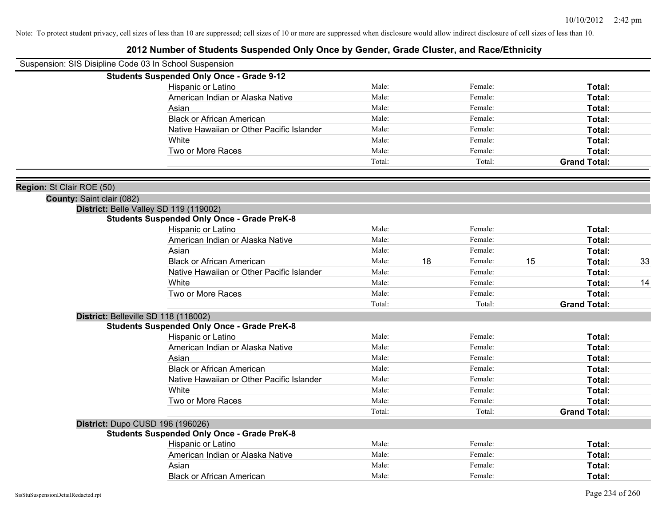| Suspension: SIS Disipline Code 03 In School Suspension |                                                    |        |    |         |    |                     |    |
|--------------------------------------------------------|----------------------------------------------------|--------|----|---------|----|---------------------|----|
|                                                        | <b>Students Suspended Only Once - Grade 9-12</b>   |        |    |         |    |                     |    |
|                                                        | Hispanic or Latino                                 | Male:  |    | Female: |    | Total:              |    |
|                                                        | American Indian or Alaska Native                   | Male:  |    | Female: |    | Total:              |    |
|                                                        | Asian                                              | Male:  |    | Female: |    | Total:              |    |
|                                                        | <b>Black or African American</b>                   | Male:  |    | Female: |    | Total:              |    |
|                                                        | Native Hawaiian or Other Pacific Islander          | Male:  |    | Female: |    | Total:              |    |
|                                                        | White                                              | Male:  |    | Female: |    | Total:              |    |
|                                                        | Two or More Races                                  | Male:  |    | Female: |    | Total:              |    |
|                                                        |                                                    | Total: |    | Total:  |    | <b>Grand Total:</b> |    |
| Region: St Clair ROE (50)                              |                                                    |        |    |         |    |                     |    |
| County: Saint clair (082)                              |                                                    |        |    |         |    |                     |    |
|                                                        | District: Belle Valley SD 119 (119002)             |        |    |         |    |                     |    |
|                                                        | <b>Students Suspended Only Once - Grade PreK-8</b> |        |    |         |    |                     |    |
|                                                        | Hispanic or Latino                                 | Male:  |    | Female: |    | Total:              |    |
|                                                        | American Indian or Alaska Native                   | Male:  |    | Female: |    | Total:              |    |
|                                                        | Asian                                              | Male:  |    | Female: |    | Total:              |    |
|                                                        | <b>Black or African American</b>                   | Male:  | 18 | Female: | 15 | Total:              | 33 |
|                                                        | Native Hawaiian or Other Pacific Islander          | Male:  |    | Female: |    | Total:              |    |
|                                                        | White                                              | Male:  |    | Female: |    | Total:              | 14 |
|                                                        | Two or More Races                                  | Male:  |    | Female: |    | Total:              |    |
|                                                        |                                                    | Total: |    | Total:  |    | <b>Grand Total:</b> |    |
|                                                        | District: Belleville SD 118 (118002)               |        |    |         |    |                     |    |
|                                                        | <b>Students Suspended Only Once - Grade PreK-8</b> |        |    |         |    |                     |    |
|                                                        | Hispanic or Latino                                 | Male:  |    | Female: |    | Total:              |    |
|                                                        | American Indian or Alaska Native                   | Male:  |    | Female: |    | Total:              |    |
|                                                        | Asian                                              | Male:  |    | Female: |    | Total:              |    |
|                                                        | <b>Black or African American</b>                   | Male:  |    | Female: |    | Total:              |    |
|                                                        | Native Hawaiian or Other Pacific Islander          | Male:  |    | Female: |    | Total:              |    |
|                                                        | <b>White</b>                                       | Male:  |    | Female: |    | Total:              |    |
|                                                        | Two or More Races                                  | Male:  |    | Female: |    | Total:              |    |
|                                                        |                                                    | Total: |    | Total:  |    | <b>Grand Total:</b> |    |
|                                                        | District: Dupo CUSD 196 (196026)                   |        |    |         |    |                     |    |
|                                                        | <b>Students Suspended Only Once - Grade PreK-8</b> |        |    |         |    |                     |    |
|                                                        | Hispanic or Latino                                 | Male:  |    | Female: |    | Total:              |    |
|                                                        | American Indian or Alaska Native                   | Male:  |    | Female: |    | Total:              |    |
|                                                        | Asian                                              | Male:  |    | Female: |    | Total:              |    |
|                                                        | <b>Black or African American</b>                   | Male:  |    | Female: |    | Total:              |    |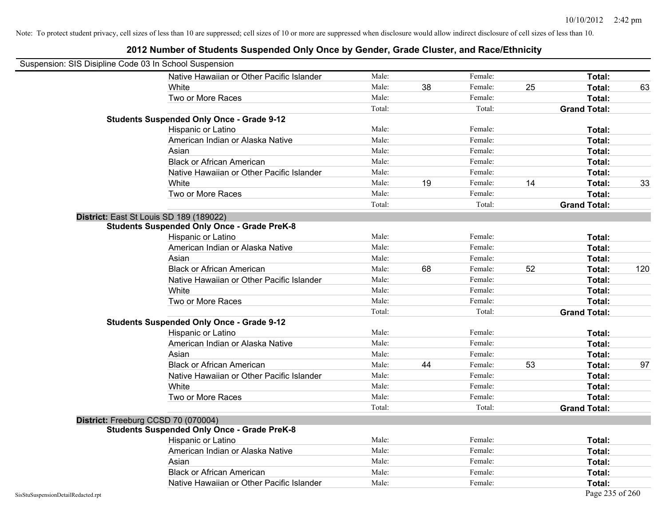|                                    | Suspension: SIS Disipline Code 03 In School Suspension |        |    |         |    |                     |     |
|------------------------------------|--------------------------------------------------------|--------|----|---------|----|---------------------|-----|
|                                    | Native Hawaiian or Other Pacific Islander              | Male:  |    | Female: |    | Total:              |     |
|                                    | White                                                  | Male:  | 38 | Female: | 25 | Total:              | 63  |
|                                    | Two or More Races                                      | Male:  |    | Female: |    | Total:              |     |
|                                    |                                                        | Total: |    | Total:  |    | <b>Grand Total:</b> |     |
|                                    | <b>Students Suspended Only Once - Grade 9-12</b>       |        |    |         |    |                     |     |
|                                    | Hispanic or Latino                                     | Male:  |    | Female: |    | Total:              |     |
|                                    | American Indian or Alaska Native                       | Male:  |    | Female: |    | Total:              |     |
|                                    | Asian                                                  | Male:  |    | Female: |    | Total:              |     |
|                                    | <b>Black or African American</b>                       | Male:  |    | Female: |    | Total:              |     |
|                                    | Native Hawaiian or Other Pacific Islander              | Male:  |    | Female: |    | Total:              |     |
|                                    | White                                                  | Male:  | 19 | Female: | 14 | Total:              | 33  |
|                                    | Two or More Races                                      | Male:  |    | Female: |    | Total:              |     |
|                                    |                                                        | Total: |    | Total:  |    | <b>Grand Total:</b> |     |
|                                    | District: East St Louis SD 189 (189022)                |        |    |         |    |                     |     |
|                                    | <b>Students Suspended Only Once - Grade PreK-8</b>     |        |    |         |    |                     |     |
|                                    | Hispanic or Latino                                     | Male:  |    | Female: |    | Total:              |     |
|                                    | American Indian or Alaska Native                       | Male:  |    | Female: |    | Total:              |     |
|                                    | Asian                                                  | Male:  |    | Female: |    | Total:              |     |
|                                    | <b>Black or African American</b>                       | Male:  | 68 | Female: | 52 | Total:              | 120 |
|                                    | Native Hawaiian or Other Pacific Islander              | Male:  |    | Female: |    | Total:              |     |
|                                    | White                                                  | Male:  |    | Female: |    | Total:              |     |
|                                    | Two or More Races                                      | Male:  |    | Female: |    | Total:              |     |
|                                    |                                                        | Total: |    | Total:  |    | <b>Grand Total:</b> |     |
|                                    | <b>Students Suspended Only Once - Grade 9-12</b>       |        |    |         |    |                     |     |
|                                    | Hispanic or Latino                                     | Male:  |    | Female: |    | Total:              |     |
|                                    | American Indian or Alaska Native                       | Male:  |    | Female: |    | Total:              |     |
|                                    | Asian                                                  | Male:  |    | Female: |    | Total:              |     |
|                                    | <b>Black or African American</b>                       | Male:  | 44 | Female: | 53 | Total:              | 97  |
|                                    | Native Hawaiian or Other Pacific Islander              | Male:  |    | Female: |    | Total:              |     |
|                                    | White                                                  | Male:  |    | Female: |    | Total:              |     |
|                                    | Two or More Races                                      | Male:  |    | Female: |    | Total:              |     |
|                                    |                                                        | Total: |    | Total:  |    | <b>Grand Total:</b> |     |
|                                    | District: Freeburg CCSD 70 (070004)                    |        |    |         |    |                     |     |
|                                    | <b>Students Suspended Only Once - Grade PreK-8</b>     |        |    |         |    |                     |     |
|                                    | Hispanic or Latino                                     | Male:  |    | Female: |    | Total:              |     |
|                                    | American Indian or Alaska Native                       | Male:  |    | Female: |    | Total:              |     |
|                                    | Asian                                                  | Male:  |    | Female: |    | Total:              |     |
|                                    | <b>Black or African American</b>                       | Male:  |    | Female: |    | Total:              |     |
|                                    | Native Hawaiian or Other Pacific Islander              | Male:  |    | Female: |    | Total:              |     |
| SisStuSuspensionDetailRedacted.rpt |                                                        |        |    |         |    | Page 235 of 260     |     |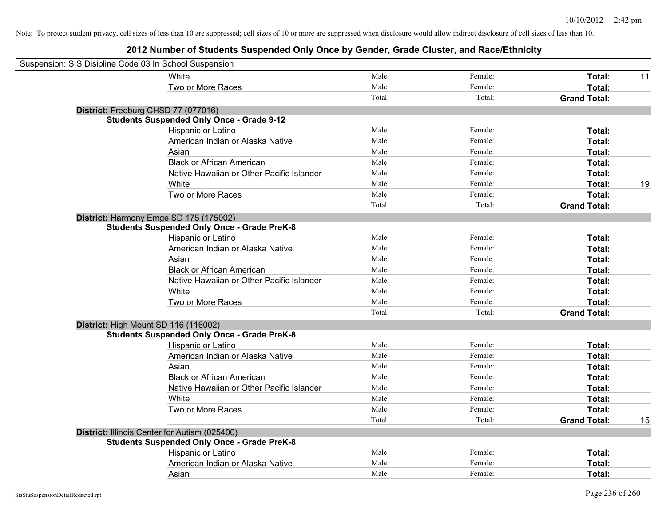| Suspension: SIS Disipline Code 03 In School Suspension |                                                    |        |         |                     |    |
|--------------------------------------------------------|----------------------------------------------------|--------|---------|---------------------|----|
|                                                        | White                                              | Male:  | Female: | Total:              | 11 |
|                                                        | Two or More Races                                  | Male:  | Female: | Total:              |    |
|                                                        |                                                    | Total: | Total:  | <b>Grand Total:</b> |    |
|                                                        | District: Freeburg CHSD 77 (077016)                |        |         |                     |    |
|                                                        | <b>Students Suspended Only Once - Grade 9-12</b>   |        |         |                     |    |
|                                                        | Hispanic or Latino                                 | Male:  | Female: | Total:              |    |
|                                                        | American Indian or Alaska Native                   | Male:  | Female: | Total:              |    |
|                                                        | Asian                                              | Male:  | Female: | Total:              |    |
|                                                        | <b>Black or African American</b>                   | Male:  | Female: | Total:              |    |
|                                                        | Native Hawaiian or Other Pacific Islander          | Male:  | Female: | Total:              |    |
|                                                        | White                                              | Male:  | Female: | Total:              | 19 |
|                                                        | Two or More Races                                  | Male:  | Female: | Total:              |    |
|                                                        |                                                    | Total: | Total:  | <b>Grand Total:</b> |    |
|                                                        | District: Harmony Emge SD 175 (175002)             |        |         |                     |    |
|                                                        | <b>Students Suspended Only Once - Grade PreK-8</b> |        |         |                     |    |
|                                                        | Hispanic or Latino                                 | Male:  | Female: | Total:              |    |
|                                                        | American Indian or Alaska Native                   | Male:  | Female: | Total:              |    |
|                                                        | Asian                                              | Male:  | Female: | Total:              |    |
|                                                        | <b>Black or African American</b>                   | Male:  | Female: | Total:              |    |
|                                                        | Native Hawaiian or Other Pacific Islander          | Male:  | Female: | Total:              |    |
|                                                        | White                                              | Male:  | Female: | Total:              |    |
|                                                        | Two or More Races                                  | Male:  | Female: | Total:              |    |
|                                                        |                                                    | Total: | Total:  | <b>Grand Total:</b> |    |
|                                                        | District: High Mount SD 116 (116002)               |        |         |                     |    |
|                                                        | <b>Students Suspended Only Once - Grade PreK-8</b> |        |         |                     |    |
|                                                        | Hispanic or Latino                                 | Male:  | Female: | Total:              |    |
|                                                        | American Indian or Alaska Native                   | Male:  | Female: | Total:              |    |
|                                                        | Asian                                              | Male:  | Female: | Total:              |    |
|                                                        | <b>Black or African American</b>                   | Male:  | Female: | Total:              |    |
|                                                        | Native Hawaiian or Other Pacific Islander          | Male:  | Female: | Total:              |    |
|                                                        | White                                              | Male:  | Female: | Total:              |    |
|                                                        | Two or More Races                                  | Male:  | Female: | Total:              |    |
|                                                        |                                                    | Total: | Total:  | <b>Grand Total:</b> | 15 |
|                                                        | District: Illinois Center for Autism (025400)      |        |         |                     |    |
|                                                        | <b>Students Suspended Only Once - Grade PreK-8</b> |        |         |                     |    |
|                                                        | Hispanic or Latino                                 | Male:  | Female: | Total:              |    |
|                                                        | American Indian or Alaska Native                   | Male:  | Female: | Total:              |    |
|                                                        | Asian                                              | Male:  | Female: | Total:              |    |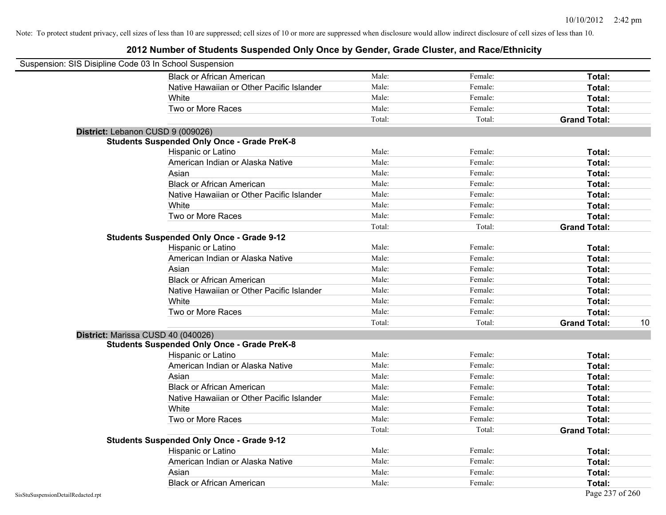| Suspension: SIS Disipline Code 03 In School Suspension |                                                    |        |         |                     |    |
|--------------------------------------------------------|----------------------------------------------------|--------|---------|---------------------|----|
|                                                        | <b>Black or African American</b>                   | Male:  | Female: | Total:              |    |
|                                                        | Native Hawaiian or Other Pacific Islander          | Male:  | Female: | Total:              |    |
|                                                        | White                                              | Male:  | Female: | Total:              |    |
|                                                        | Two or More Races                                  | Male:  | Female: | Total:              |    |
|                                                        |                                                    | Total: | Total:  | <b>Grand Total:</b> |    |
|                                                        | District: Lebanon CUSD 9 (009026)                  |        |         |                     |    |
|                                                        | <b>Students Suspended Only Once - Grade PreK-8</b> |        |         |                     |    |
|                                                        | Hispanic or Latino                                 | Male:  | Female: | Total:              |    |
|                                                        | American Indian or Alaska Native                   | Male:  | Female: | Total:              |    |
|                                                        | Asian                                              | Male:  | Female: | Total:              |    |
|                                                        | <b>Black or African American</b>                   | Male:  | Female: | Total:              |    |
|                                                        | Native Hawaiian or Other Pacific Islander          | Male:  | Female: | Total:              |    |
|                                                        | White                                              | Male:  | Female: | Total:              |    |
|                                                        | Two or More Races                                  | Male:  | Female: | Total:              |    |
|                                                        |                                                    | Total: | Total:  | <b>Grand Total:</b> |    |
|                                                        | <b>Students Suspended Only Once - Grade 9-12</b>   |        |         |                     |    |
|                                                        | Hispanic or Latino                                 | Male:  | Female: | Total:              |    |
|                                                        | American Indian or Alaska Native                   | Male:  | Female: | Total:              |    |
|                                                        | Asian                                              | Male:  | Female: | Total:              |    |
|                                                        | <b>Black or African American</b>                   | Male:  | Female: | Total:              |    |
|                                                        | Native Hawaiian or Other Pacific Islander          | Male:  | Female: | Total:              |    |
|                                                        | White                                              | Male:  | Female: | Total:              |    |
|                                                        | Two or More Races                                  | Male:  | Female: | Total:              |    |
|                                                        |                                                    | Total: | Total:  | <b>Grand Total:</b> | 10 |
|                                                        | District: Marissa CUSD 40 (040026)                 |        |         |                     |    |
|                                                        | <b>Students Suspended Only Once - Grade PreK-8</b> |        |         |                     |    |
|                                                        | Hispanic or Latino                                 | Male:  | Female: | Total:              |    |
|                                                        | American Indian or Alaska Native                   | Male:  | Female: | Total:              |    |
|                                                        | Asian                                              | Male:  | Female: | Total:              |    |
|                                                        | <b>Black or African American</b>                   | Male:  | Female: | Total:              |    |
|                                                        | Native Hawaiian or Other Pacific Islander          | Male:  | Female: | Total:              |    |
|                                                        | White                                              | Male:  | Female: | Total:              |    |
|                                                        | Two or More Races                                  | Male:  | Female: | Total:              |    |
|                                                        |                                                    | Total: | Total:  | <b>Grand Total:</b> |    |
|                                                        | <b>Students Suspended Only Once - Grade 9-12</b>   |        |         |                     |    |
|                                                        | Hispanic or Latino                                 | Male:  | Female: | Total:              |    |
|                                                        | American Indian or Alaska Native                   | Male:  | Female: | Total:              |    |
|                                                        | Asian                                              | Male:  | Female: | Total:              |    |
|                                                        | <b>Black or African American</b>                   | Male:  | Female: | Total:              |    |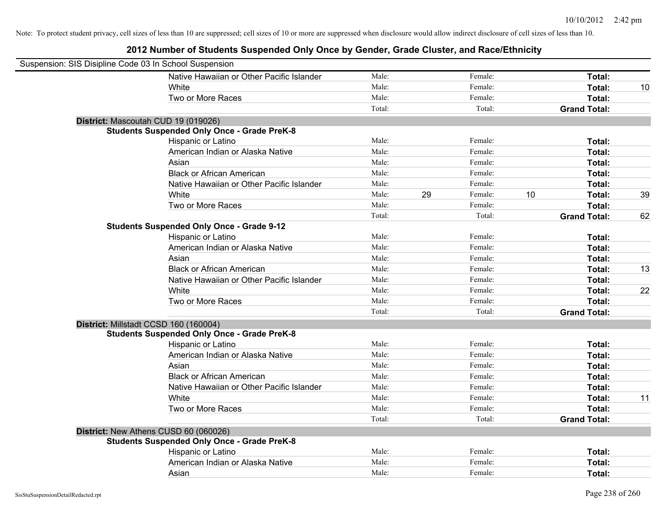| Suspension: SIS Disipline Code 03 In School Suspension |                                                    |        |    |         |    |                     |    |
|--------------------------------------------------------|----------------------------------------------------|--------|----|---------|----|---------------------|----|
|                                                        | Native Hawaiian or Other Pacific Islander          | Male:  |    | Female: |    | Total:              |    |
|                                                        | White                                              | Male:  |    | Female: |    | Total:              | 10 |
|                                                        | Two or More Races                                  | Male:  |    | Female: |    | Total:              |    |
|                                                        |                                                    | Total: |    | Total:  |    | <b>Grand Total:</b> |    |
| District: Mascoutah CUD 19 (019026)                    |                                                    |        |    |         |    |                     |    |
|                                                        | <b>Students Suspended Only Once - Grade PreK-8</b> |        |    |         |    |                     |    |
|                                                        | Hispanic or Latino                                 | Male:  |    | Female: |    | Total:              |    |
|                                                        | American Indian or Alaska Native                   | Male:  |    | Female: |    | Total:              |    |
|                                                        | Asian                                              | Male:  |    | Female: |    | Total:              |    |
|                                                        | <b>Black or African American</b>                   | Male:  |    | Female: |    | Total:              |    |
|                                                        | Native Hawaiian or Other Pacific Islander          | Male:  |    | Female: |    | Total:              |    |
|                                                        | White                                              | Male:  | 29 | Female: | 10 | Total:              | 39 |
|                                                        | Two or More Races                                  | Male:  |    | Female: |    | Total:              |    |
|                                                        |                                                    | Total: |    | Total:  |    | <b>Grand Total:</b> | 62 |
|                                                        | <b>Students Suspended Only Once - Grade 9-12</b>   |        |    |         |    |                     |    |
|                                                        | Hispanic or Latino                                 | Male:  |    | Female: |    | Total:              |    |
|                                                        | American Indian or Alaska Native                   | Male:  |    | Female: |    | Total:              |    |
|                                                        | Asian                                              | Male:  |    | Female: |    | Total:              |    |
|                                                        | <b>Black or African American</b>                   | Male:  |    | Female: |    | Total:              | 13 |
|                                                        | Native Hawaiian or Other Pacific Islander          | Male:  |    | Female: |    | Total:              |    |
|                                                        | White                                              | Male:  |    | Female: |    | Total:              | 22 |
|                                                        | Two or More Races                                  | Male:  |    | Female: |    | Total:              |    |
|                                                        |                                                    | Total: |    | Total:  |    | <b>Grand Total:</b> |    |
| District: Millstadt CCSD 160 (160004)                  |                                                    |        |    |         |    |                     |    |
|                                                        | <b>Students Suspended Only Once - Grade PreK-8</b> |        |    |         |    |                     |    |
|                                                        | Hispanic or Latino                                 | Male:  |    | Female: |    | Total:              |    |
|                                                        | American Indian or Alaska Native                   | Male:  |    | Female: |    | Total:              |    |
|                                                        | Asian                                              | Male:  |    | Female: |    | Total:              |    |
|                                                        | <b>Black or African American</b>                   | Male:  |    | Female: |    | Total:              |    |
|                                                        | Native Hawaiian or Other Pacific Islander          | Male:  |    | Female: |    | Total:              |    |
|                                                        | White                                              | Male:  |    | Female: |    | Total:              | 11 |
|                                                        | Two or More Races                                  | Male:  |    | Female: |    | Total:              |    |
|                                                        |                                                    | Total: |    | Total:  |    | <b>Grand Total:</b> |    |
| District: New Athens CUSD 60 (060026)                  |                                                    |        |    |         |    |                     |    |
|                                                        | <b>Students Suspended Only Once - Grade PreK-8</b> |        |    |         |    |                     |    |
|                                                        | Hispanic or Latino                                 | Male:  |    | Female: |    | Total:              |    |
|                                                        | American Indian or Alaska Native                   | Male:  |    | Female: |    | Total:              |    |
|                                                        | Asian                                              | Male:  |    | Female: |    | Total:              |    |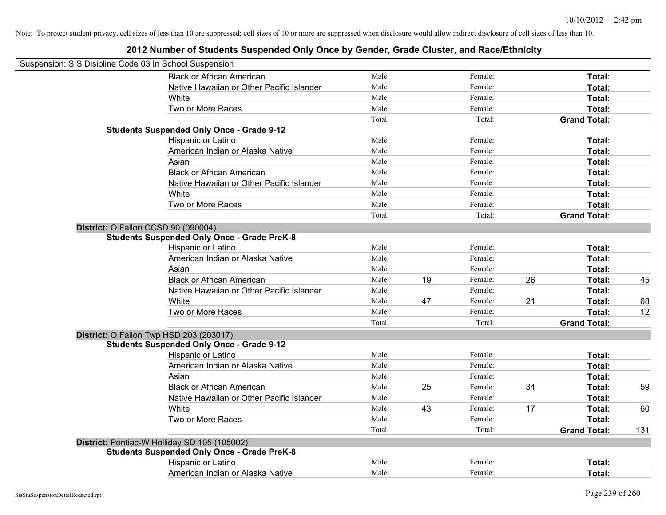| Suspension: SIS Disipline Code 03 In School Suspension |                                                    |        |    |         |    |                     |     |
|--------------------------------------------------------|----------------------------------------------------|--------|----|---------|----|---------------------|-----|
|                                                        | <b>Black or African American</b>                   | Male:  |    | Female: |    | Total:              |     |
|                                                        | Native Hawaiian or Other Pacific Islander          | Male:  |    | Female: |    | Total:              |     |
|                                                        | White                                              | Male:  |    | Female: |    | Total:              |     |
|                                                        | Two or More Races                                  | Male:  |    | Female: |    | Total:              |     |
|                                                        |                                                    | Total: |    | Total:  |    | <b>Grand Total:</b> |     |
|                                                        | <b>Students Suspended Only Once - Grade 9-12</b>   |        |    |         |    |                     |     |
|                                                        | Hispanic or Latino                                 | Male:  |    | Female: |    | Total:              |     |
|                                                        | American Indian or Alaska Native                   | Male:  |    | Female: |    | Total:              |     |
|                                                        | Asian                                              | Male:  |    | Female: |    | Total:              |     |
|                                                        | <b>Black or African American</b>                   | Male:  |    | Female: |    | Total:              |     |
|                                                        | Native Hawaiian or Other Pacific Islander          | Male:  |    | Female: |    | Total:              |     |
|                                                        | White                                              | Male:  |    | Female: |    | Total:              |     |
|                                                        | Two or More Races                                  | Male:  |    | Female: |    | Total:              |     |
|                                                        |                                                    | Total: |    | Total:  |    | <b>Grand Total:</b> |     |
| District: O Fallon CCSD 90 (090004)                    |                                                    |        |    |         |    |                     |     |
|                                                        | <b>Students Suspended Only Once - Grade PreK-8</b> |        |    |         |    |                     |     |
|                                                        | Hispanic or Latino                                 | Male:  |    | Female: |    | Total:              |     |
|                                                        | American Indian or Alaska Native                   | Male:  |    | Female: |    | Total:              |     |
|                                                        | Asian                                              | Male:  |    | Female: |    | Total:              |     |
|                                                        | <b>Black or African American</b>                   | Male:  | 19 | Female: | 26 | Total:              | 45  |
|                                                        | Native Hawaiian or Other Pacific Islander          | Male:  |    | Female: |    | Total:              |     |
|                                                        | White                                              | Male:  | 47 | Female: | 21 | Total:              | 68  |
|                                                        | Two or More Races                                  | Male:  |    | Female: |    | Total:              | 12  |
|                                                        |                                                    | Total: |    | Total:  |    | <b>Grand Total:</b> |     |
|                                                        | District: O Fallon Twp HSD 203 (203017)            |        |    |         |    |                     |     |
|                                                        | <b>Students Suspended Only Once - Grade 9-12</b>   |        |    |         |    |                     |     |
|                                                        | Hispanic or Latino                                 | Male:  |    | Female: |    | Total:              |     |
|                                                        | American Indian or Alaska Native                   | Male:  |    | Female: |    | Total:              |     |
|                                                        | Asian                                              | Male:  |    | Female: |    | Total:              |     |
|                                                        | <b>Black or African American</b>                   | Male:  | 25 | Female: | 34 | Total:              | 59  |
|                                                        | Native Hawaiian or Other Pacific Islander          | Male:  |    | Female: |    | Total:              |     |
|                                                        | <b>White</b>                                       | Male:  | 43 | Female: | 17 | Total:              | 60  |
|                                                        | Two or More Races                                  | Male:  |    | Female: |    | Total:              |     |
|                                                        |                                                    | Total: |    | Total:  |    | <b>Grand Total:</b> | 131 |
|                                                        | District: Pontiac-W Holliday SD 105 (105002)       |        |    |         |    |                     |     |
|                                                        | <b>Students Suspended Only Once - Grade PreK-8</b> |        |    |         |    |                     |     |
|                                                        | Hispanic or Latino                                 | Male:  |    | Female: |    | Total:              |     |
|                                                        | American Indian or Alaska Native                   | Male:  |    | Female: |    | Total:              |     |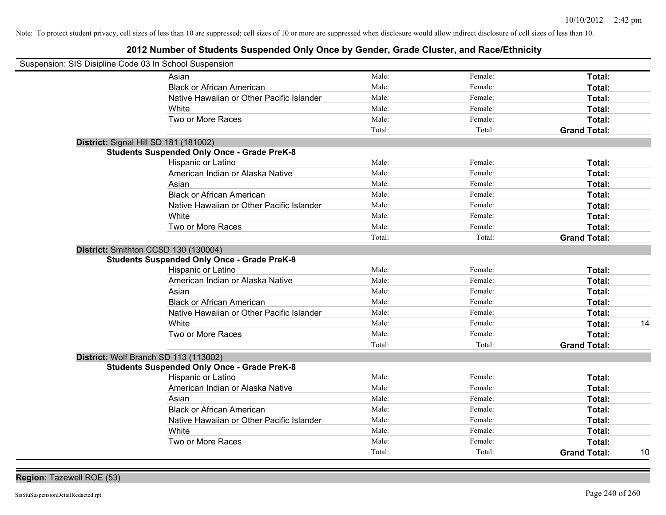| Suspension: SIS Disipline Code 03 In School Suspension |                                                    |        |         |                     |    |
|--------------------------------------------------------|----------------------------------------------------|--------|---------|---------------------|----|
|                                                        | Asian                                              | Male:  | Female: | Total:              |    |
|                                                        | <b>Black or African American</b>                   | Male:  | Female: | Total:              |    |
|                                                        | Native Hawaiian or Other Pacific Islander          | Male:  | Female: | Total:              |    |
|                                                        | White                                              | Male:  | Female: | Total:              |    |
|                                                        | Two or More Races                                  | Male:  | Female: | Total:              |    |
|                                                        |                                                    | Total: | Total:  | <b>Grand Total:</b> |    |
| District: Signal Hill SD 181 (181002)                  |                                                    |        |         |                     |    |
|                                                        | <b>Students Suspended Only Once - Grade PreK-8</b> |        |         |                     |    |
|                                                        | Hispanic or Latino                                 | Male:  | Female: | Total:              |    |
|                                                        | American Indian or Alaska Native                   | Male:  | Female: | Total:              |    |
|                                                        | Asian                                              | Male:  | Female: | Total:              |    |
|                                                        | <b>Black or African American</b>                   | Male:  | Female: | Total:              |    |
|                                                        | Native Hawaiian or Other Pacific Islander          | Male:  | Female: | Total:              |    |
|                                                        | White                                              | Male:  | Female: | Total:              |    |
|                                                        | Two or More Races                                  | Male:  | Female: | Total:              |    |
|                                                        |                                                    | Total: | Total:  | <b>Grand Total:</b> |    |
| District: Smithton CCSD 130 (130004)                   |                                                    |        |         |                     |    |
|                                                        | <b>Students Suspended Only Once - Grade PreK-8</b> |        |         |                     |    |
|                                                        | Hispanic or Latino                                 | Male:  | Female: | Total:              |    |
|                                                        | American Indian or Alaska Native                   | Male:  | Female: | Total:              |    |
|                                                        | Asian                                              | Male:  | Female: | Total:              |    |
|                                                        | <b>Black or African American</b>                   | Male:  | Female: | Total:              |    |
|                                                        | Native Hawaiian or Other Pacific Islander          | Male:  | Female: | Total:              |    |
|                                                        | White                                              | Male:  | Female: | Total:              | 14 |
|                                                        | Two or More Races                                  | Male:  | Female: | Total:              |    |
|                                                        |                                                    | Total: | Total:  | <b>Grand Total:</b> |    |
| District: Wolf Branch SD 113 (113002)                  |                                                    |        |         |                     |    |
|                                                        | <b>Students Suspended Only Once - Grade PreK-8</b> |        |         |                     |    |
|                                                        | Hispanic or Latino                                 | Male:  | Female: | Total:              |    |
|                                                        | American Indian or Alaska Native                   | Male:  | Female: | Total:              |    |
|                                                        | Asian                                              | Male:  | Female: | Total:              |    |
|                                                        | <b>Black or African American</b>                   | Male:  | Female: | Total:              |    |
|                                                        | Native Hawaiian or Other Pacific Islander          | Male:  | Female: | Total:              |    |
|                                                        | White                                              | Male:  | Female: | Total:              |    |
|                                                        | Two or More Races                                  | Male:  | Female: | <b>Total:</b>       |    |
|                                                        |                                                    | Total: | Total:  | <b>Grand Total:</b> | 10 |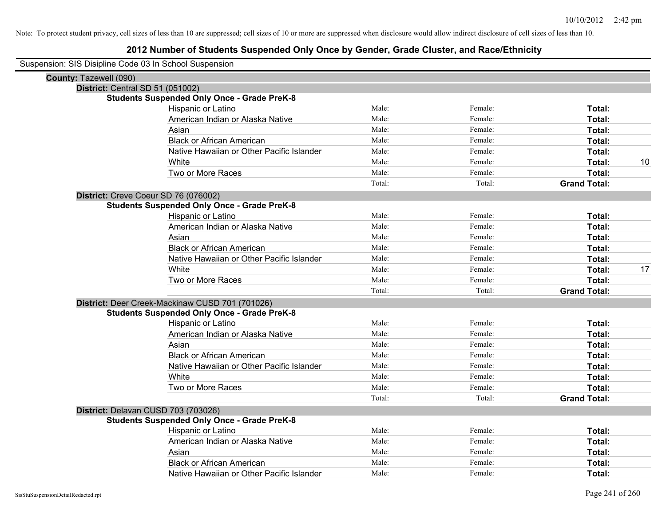| Suspension: SIS Disipline Code 03 In School Suspension |                                                    |        |         |                     |    |
|--------------------------------------------------------|----------------------------------------------------|--------|---------|---------------------|----|
| County: Tazewell (090)                                 |                                                    |        |         |                     |    |
| District: Central SD 51 (051002)                       |                                                    |        |         |                     |    |
|                                                        | <b>Students Suspended Only Once - Grade PreK-8</b> |        |         |                     |    |
|                                                        | Hispanic or Latino                                 | Male:  | Female: | Total:              |    |
|                                                        | American Indian or Alaska Native                   | Male:  | Female: | Total:              |    |
|                                                        | Asian                                              | Male:  | Female: | Total:              |    |
|                                                        | <b>Black or African American</b>                   | Male:  | Female: | <b>Total:</b>       |    |
|                                                        | Native Hawaiian or Other Pacific Islander          | Male:  | Female: | Total:              |    |
|                                                        | White                                              | Male:  | Female: | Total:              | 10 |
|                                                        | Two or More Races                                  | Male:  | Female: | Total:              |    |
|                                                        |                                                    | Total: | Total:  | <b>Grand Total:</b> |    |
| District: Creve Coeur SD 76 (076002)                   |                                                    |        |         |                     |    |
|                                                        | <b>Students Suspended Only Once - Grade PreK-8</b> |        |         |                     |    |
|                                                        | Hispanic or Latino                                 | Male:  | Female: | Total:              |    |
|                                                        | American Indian or Alaska Native                   | Male:  | Female: | Total:              |    |
|                                                        | Asian                                              | Male:  | Female: | Total:              |    |
|                                                        | <b>Black or African American</b>                   | Male:  | Female: | Total:              |    |
|                                                        | Native Hawaiian or Other Pacific Islander          | Male:  | Female: | Total:              |    |
|                                                        | White                                              | Male:  | Female: | Total:              | 17 |
|                                                        | Two or More Races                                  | Male:  | Female: | Total:              |    |
|                                                        |                                                    | Total: | Total:  | <b>Grand Total:</b> |    |
|                                                        | District: Deer Creek-Mackinaw CUSD 701 (701026)    |        |         |                     |    |
|                                                        | <b>Students Suspended Only Once - Grade PreK-8</b> |        |         |                     |    |
|                                                        | Hispanic or Latino                                 | Male:  | Female: | Total:              |    |
|                                                        | American Indian or Alaska Native                   | Male:  | Female: | Total:              |    |
|                                                        | Asian                                              | Male:  | Female: | Total:              |    |
|                                                        | <b>Black or African American</b>                   | Male:  | Female: | Total:              |    |
|                                                        | Native Hawaiian or Other Pacific Islander          | Male:  | Female: | Total:              |    |
|                                                        | White                                              | Male:  | Female: | Total:              |    |
|                                                        | Two or More Races                                  | Male:  | Female: | Total:              |    |
|                                                        |                                                    | Total: | Total:  | <b>Grand Total:</b> |    |
| District: Delavan CUSD 703 (703026)                    |                                                    |        |         |                     |    |
|                                                        | <b>Students Suspended Only Once - Grade PreK-8</b> |        |         |                     |    |
|                                                        | Hispanic or Latino                                 | Male:  | Female: | Total:              |    |
|                                                        | American Indian or Alaska Native                   | Male:  | Female: | Total:              |    |
|                                                        | Asian                                              | Male:  | Female: | Total:              |    |
|                                                        | <b>Black or African American</b>                   | Male:  | Female: | <b>Total:</b>       |    |
|                                                        | Native Hawaiian or Other Pacific Islander          | Male:  | Female: | Total:              |    |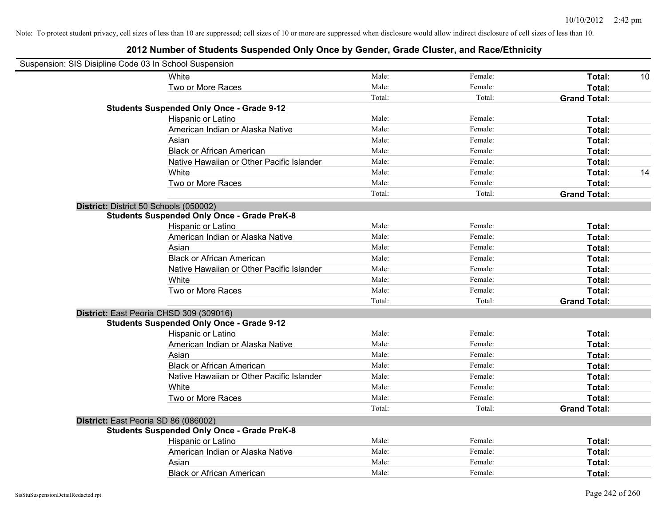| Suspension: SIS Disipline Code 03 In School Suspension |                                                    |        |         |                     |    |
|--------------------------------------------------------|----------------------------------------------------|--------|---------|---------------------|----|
|                                                        | White                                              | Male:  | Female: | Total:              | 10 |
|                                                        | Two or More Races                                  | Male:  | Female: | Total:              |    |
|                                                        |                                                    | Total: | Total:  | <b>Grand Total:</b> |    |
|                                                        | <b>Students Suspended Only Once - Grade 9-12</b>   |        |         |                     |    |
|                                                        | Hispanic or Latino                                 | Male:  | Female: | Total:              |    |
|                                                        | American Indian or Alaska Native                   | Male:  | Female: | Total:              |    |
|                                                        | Asian                                              | Male:  | Female: | Total:              |    |
|                                                        | <b>Black or African American</b>                   | Male:  | Female: | Total:              |    |
|                                                        | Native Hawaiian or Other Pacific Islander          | Male:  | Female: | Total:              |    |
|                                                        | White                                              | Male:  | Female: | Total:              | 14 |
|                                                        | Two or More Races                                  | Male:  | Female: | Total:              |    |
|                                                        |                                                    | Total: | Total:  | <b>Grand Total:</b> |    |
|                                                        | District: District 50 Schools (050002)             |        |         |                     |    |
|                                                        | <b>Students Suspended Only Once - Grade PreK-8</b> |        |         |                     |    |
|                                                        | Hispanic or Latino                                 | Male:  | Female: | Total:              |    |
|                                                        | American Indian or Alaska Native                   | Male:  | Female: | Total:              |    |
|                                                        | Asian                                              | Male:  | Female: | Total:              |    |
|                                                        | <b>Black or African American</b>                   | Male:  | Female: | Total:              |    |
|                                                        | Native Hawaiian or Other Pacific Islander          | Male:  | Female: | Total:              |    |
|                                                        | White                                              | Male:  | Female: | Total:              |    |
|                                                        | Two or More Races                                  | Male:  | Female: | Total:              |    |
|                                                        |                                                    | Total: | Total:  | <b>Grand Total:</b> |    |
|                                                        | District: East Peoria CHSD 309 (309016)            |        |         |                     |    |
|                                                        | <b>Students Suspended Only Once - Grade 9-12</b>   |        |         |                     |    |
|                                                        | Hispanic or Latino                                 | Male:  | Female: | Total:              |    |
|                                                        | American Indian or Alaska Native                   | Male:  | Female: | Total:              |    |
|                                                        | Asian                                              | Male:  | Female: | Total:              |    |
|                                                        | <b>Black or African American</b>                   | Male:  | Female: | Total:              |    |
|                                                        | Native Hawaiian or Other Pacific Islander          | Male:  | Female: | Total:              |    |
|                                                        | White                                              | Male:  | Female: | Total:              |    |
|                                                        | Two or More Races                                  | Male:  | Female: | Total:              |    |
|                                                        |                                                    | Total: | Total:  | <b>Grand Total:</b> |    |
|                                                        | District: East Peoria SD 86 (086002)               |        |         |                     |    |
|                                                        | <b>Students Suspended Only Once - Grade PreK-8</b> |        |         |                     |    |
|                                                        | Hispanic or Latino                                 | Male:  | Female: | Total:              |    |
|                                                        | American Indian or Alaska Native                   | Male:  | Female: | Total:              |    |
|                                                        | Asian                                              | Male:  | Female: | Total:              |    |
|                                                        | <b>Black or African American</b>                   | Male:  | Female: | Total:              |    |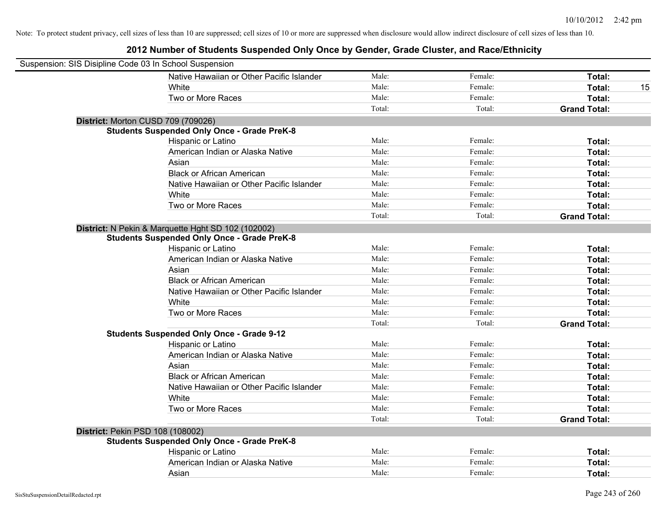| Suspension: SIS Disipline Code 03 In School Suspension |                                                    |        |         |                     |
|--------------------------------------------------------|----------------------------------------------------|--------|---------|---------------------|
|                                                        | Native Hawaiian or Other Pacific Islander          | Male:  | Female: | Total:              |
|                                                        | White                                              | Male:  | Female: | Total:<br>15        |
|                                                        | Two or More Races                                  | Male:  | Female: | Total:              |
|                                                        |                                                    | Total: | Total:  | <b>Grand Total:</b> |
| District: Morton CUSD 709 (709026)                     |                                                    |        |         |                     |
|                                                        | <b>Students Suspended Only Once - Grade PreK-8</b> |        |         |                     |
|                                                        | Hispanic or Latino                                 | Male:  | Female: | Total:              |
|                                                        | American Indian or Alaska Native                   | Male:  | Female: | Total:              |
|                                                        | Asian                                              | Male:  | Female: | Total:              |
|                                                        | <b>Black or African American</b>                   | Male:  | Female: | Total:              |
|                                                        | Native Hawaiian or Other Pacific Islander          | Male:  | Female: | Total:              |
|                                                        | White                                              | Male:  | Female: | Total:              |
|                                                        | Two or More Races                                  | Male:  | Female: | Total:              |
|                                                        |                                                    | Total: | Total:  | <b>Grand Total:</b> |
|                                                        | District: N Pekin & Marquette Hght SD 102 (102002) |        |         |                     |
|                                                        | <b>Students Suspended Only Once - Grade PreK-8</b> |        |         |                     |
|                                                        | Hispanic or Latino                                 | Male:  | Female: | Total:              |
|                                                        | American Indian or Alaska Native                   | Male:  | Female: | Total:              |
|                                                        | Asian                                              | Male:  | Female: | Total:              |
|                                                        | <b>Black or African American</b>                   | Male:  | Female: | Total:              |
|                                                        | Native Hawaiian or Other Pacific Islander          | Male:  | Female: | Total:              |
|                                                        | White                                              | Male:  | Female: | Total:              |
|                                                        | Two or More Races                                  | Male:  | Female: | Total:              |
|                                                        |                                                    | Total: | Total:  | <b>Grand Total:</b> |
|                                                        | <b>Students Suspended Only Once - Grade 9-12</b>   |        |         |                     |
|                                                        | Hispanic or Latino                                 | Male:  | Female: | Total:              |
|                                                        | American Indian or Alaska Native                   | Male:  | Female: | Total:              |
|                                                        | Asian                                              | Male:  | Female: | Total:              |
|                                                        | <b>Black or African American</b>                   | Male:  | Female: | Total:              |
|                                                        | Native Hawaiian or Other Pacific Islander          | Male:  | Female: | Total:              |
|                                                        | White                                              | Male:  | Female: | Total:              |
|                                                        | Two or More Races                                  | Male:  | Female: | Total:              |
|                                                        |                                                    | Total: | Total:  | <b>Grand Total:</b> |
| District: Pekin PSD 108 (108002)                       |                                                    |        |         |                     |
|                                                        | <b>Students Suspended Only Once - Grade PreK-8</b> |        |         |                     |
|                                                        | Hispanic or Latino                                 | Male:  | Female: | Total:              |
|                                                        | American Indian or Alaska Native                   | Male:  | Female: | Total:              |
|                                                        | Asian                                              | Male:  | Female: | Total:              |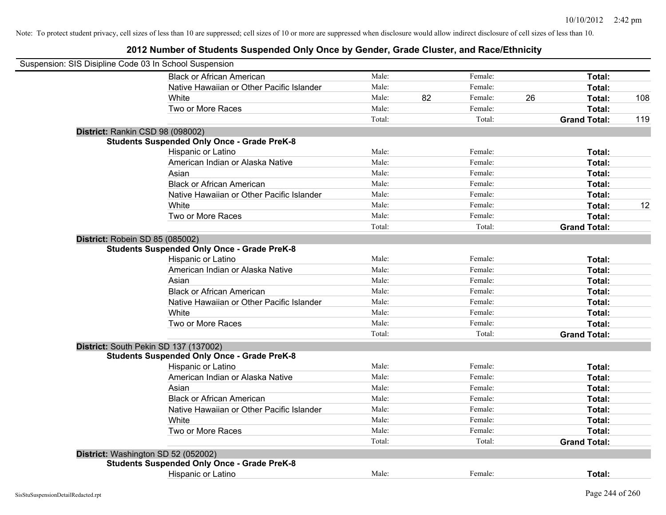| Suspension: SIS Disipline Code 03 In School Suspension |        |    |         |    |                     |     |
|--------------------------------------------------------|--------|----|---------|----|---------------------|-----|
| <b>Black or African American</b>                       | Male:  |    | Female: |    | Total:              |     |
| Native Hawaiian or Other Pacific Islander              | Male:  |    | Female: |    | Total:              |     |
| White                                                  | Male:  | 82 | Female: | 26 | Total:              | 108 |
| Two or More Races                                      | Male:  |    | Female: |    | Total:              |     |
|                                                        | Total: |    | Total:  |    | <b>Grand Total:</b> | 119 |
| District: Rankin CSD 98 (098002)                       |        |    |         |    |                     |     |
| <b>Students Suspended Only Once - Grade PreK-8</b>     |        |    |         |    |                     |     |
| Hispanic or Latino                                     | Male:  |    | Female: |    | Total:              |     |
| American Indian or Alaska Native                       | Male:  |    | Female: |    | Total:              |     |
| Asian                                                  | Male:  |    | Female: |    | Total:              |     |
| <b>Black or African American</b>                       | Male:  |    | Female: |    | Total:              |     |
| Native Hawaiian or Other Pacific Islander              | Male:  |    | Female: |    | Total:              |     |
| White                                                  | Male:  |    | Female: |    | Total:              | 12  |
| Two or More Races                                      | Male:  |    | Female: |    | Total:              |     |
|                                                        | Total: |    | Total:  |    | <b>Grand Total:</b> |     |
| District: Robein SD 85 (085002)                        |        |    |         |    |                     |     |
| <b>Students Suspended Only Once - Grade PreK-8</b>     |        |    |         |    |                     |     |
| Hispanic or Latino                                     | Male:  |    | Female: |    | Total:              |     |
| American Indian or Alaska Native                       | Male:  |    | Female: |    | Total:              |     |
| Asian                                                  | Male:  |    | Female: |    | Total:              |     |
| <b>Black or African American</b>                       | Male:  |    | Female: |    | Total:              |     |
| Native Hawaiian or Other Pacific Islander              | Male:  |    | Female: |    | Total:              |     |
| White                                                  | Male:  |    | Female: |    | Total:              |     |
| Two or More Races                                      | Male:  |    | Female: |    | Total:              |     |
|                                                        | Total: |    | Total:  |    | <b>Grand Total:</b> |     |
| District: South Pekin SD 137 (137002)                  |        |    |         |    |                     |     |
| <b>Students Suspended Only Once - Grade PreK-8</b>     |        |    |         |    |                     |     |
| Hispanic or Latino                                     | Male:  |    | Female: |    | Total:              |     |
| American Indian or Alaska Native                       | Male:  |    | Female: |    | Total:              |     |
| Asian                                                  | Male:  |    | Female: |    | Total:              |     |
| <b>Black or African American</b>                       | Male:  |    | Female: |    | Total:              |     |
| Native Hawaiian or Other Pacific Islander              | Male:  |    | Female: |    | Total:              |     |
| White                                                  | Male:  |    | Female: |    | Total:              |     |
| Two or More Races                                      | Male:  |    | Female: |    | Total:              |     |
|                                                        | Total: |    | Total:  |    | <b>Grand Total:</b> |     |
| District: Washington SD 52 (052002)                    |        |    |         |    |                     |     |
| <b>Students Suspended Only Once - Grade PreK-8</b>     |        |    |         |    |                     |     |
| Hispanic or Latino                                     | Male:  |    | Female: |    | Total:              |     |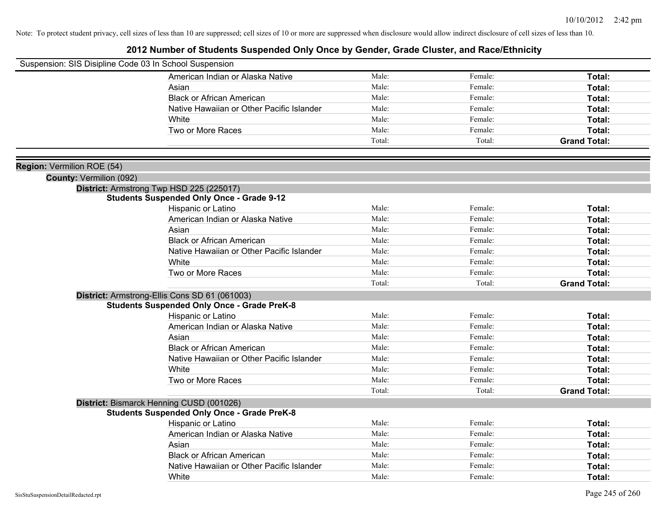| Suspension: SIS Disipline Code 03 In School Suspension |                                                    |        |         |                     |
|--------------------------------------------------------|----------------------------------------------------|--------|---------|---------------------|
|                                                        | American Indian or Alaska Native                   | Male:  | Female: | Total:              |
|                                                        | Asian                                              | Male:  | Female: | Total:              |
|                                                        | <b>Black or African American</b>                   | Male:  | Female: | Total:              |
|                                                        | Native Hawaiian or Other Pacific Islander          | Male:  | Female: | Total:              |
|                                                        | White                                              | Male:  | Female: | Total:              |
|                                                        | Two or More Races                                  | Male:  | Female: | Total:              |
|                                                        |                                                    | Total: | Total:  | <b>Grand Total:</b> |
|                                                        |                                                    |        |         |                     |
| Region: Vermilion ROE (54)                             |                                                    |        |         |                     |
| County: Vermilion (092)                                |                                                    |        |         |                     |
|                                                        | District: Armstrong Twp HSD 225 (225017)           |        |         |                     |
|                                                        | <b>Students Suspended Only Once - Grade 9-12</b>   |        |         |                     |
|                                                        | Hispanic or Latino                                 | Male:  | Female: | Total:              |
|                                                        | American Indian or Alaska Native                   | Male:  | Female: | Total:              |
|                                                        | Asian                                              | Male:  | Female: | Total:              |
|                                                        | <b>Black or African American</b>                   | Male:  | Female: | Total:              |
|                                                        | Native Hawaiian or Other Pacific Islander          | Male:  | Female: | Total:              |
|                                                        | White                                              | Male:  | Female: | Total:              |
|                                                        | Two or More Races                                  | Male:  | Female: | Total:              |
|                                                        |                                                    | Total: | Total:  | <b>Grand Total:</b> |
|                                                        | District: Armstrong-Ellis Cons SD 61 (061003)      |        |         |                     |
|                                                        | <b>Students Suspended Only Once - Grade PreK-8</b> |        |         |                     |
|                                                        | Hispanic or Latino                                 | Male:  | Female: | Total:              |
|                                                        | American Indian or Alaska Native                   | Male:  | Female: | Total:              |
|                                                        | Asian                                              | Male:  | Female: | Total:              |
|                                                        | <b>Black or African American</b>                   | Male:  | Female: | Total:              |
|                                                        | Native Hawaiian or Other Pacific Islander          | Male:  | Female: | Total:              |
|                                                        | White                                              | Male:  | Female: | Total:              |
|                                                        | Two or More Races                                  | Male:  | Female: | Total:              |
|                                                        |                                                    | Total: | Total:  | <b>Grand Total:</b> |
|                                                        | District: Bismarck Henning CUSD (001026)           |        |         |                     |
|                                                        | <b>Students Suspended Only Once - Grade PreK-8</b> |        |         |                     |
|                                                        | Hispanic or Latino                                 | Male:  | Female: | Total:              |
|                                                        | American Indian or Alaska Native                   | Male:  | Female: | Total:              |
|                                                        | Asian                                              | Male:  | Female: | Total:              |
|                                                        | <b>Black or African American</b>                   | Male:  | Female: | Total:              |
|                                                        | Native Hawaiian or Other Pacific Islander          | Male:  | Female: | Total:              |
|                                                        | White                                              | Male:  | Female: | Total:              |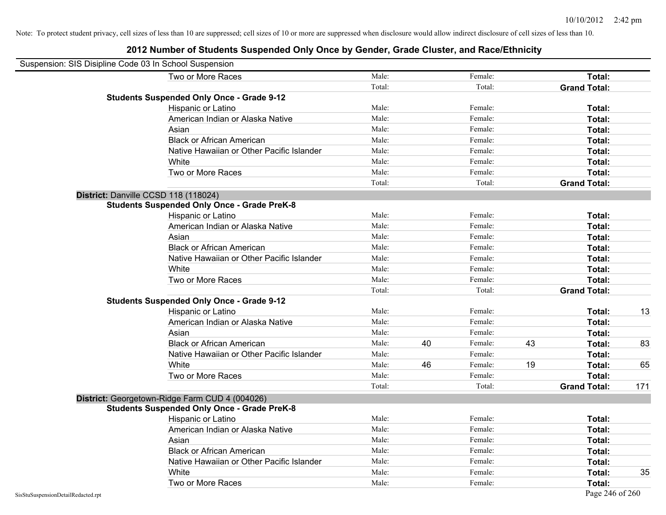| Suspension: SIS Disipline Code 03 In School Suspension |                                                    |        |    |         |    |                     |     |
|--------------------------------------------------------|----------------------------------------------------|--------|----|---------|----|---------------------|-----|
|                                                        | Two or More Races                                  | Male:  |    | Female: |    | Total:              |     |
|                                                        |                                                    | Total: |    | Total:  |    | <b>Grand Total:</b> |     |
|                                                        | <b>Students Suspended Only Once - Grade 9-12</b>   |        |    |         |    |                     |     |
|                                                        | Hispanic or Latino                                 | Male:  |    | Female: |    | Total:              |     |
|                                                        | American Indian or Alaska Native                   | Male:  |    | Female: |    | <b>Total:</b>       |     |
|                                                        | Asian                                              | Male:  |    | Female: |    | Total:              |     |
|                                                        | <b>Black or African American</b>                   | Male:  |    | Female: |    | Total:              |     |
|                                                        | Native Hawaiian or Other Pacific Islander          | Male:  |    | Female: |    | Total:              |     |
|                                                        | White                                              | Male:  |    | Female: |    | Total:              |     |
|                                                        | Two or More Races                                  | Male:  |    | Female: |    | <b>Total:</b>       |     |
|                                                        |                                                    | Total: |    | Total:  |    | <b>Grand Total:</b> |     |
|                                                        | District: Danville CCSD 118 (118024)               |        |    |         |    |                     |     |
|                                                        | <b>Students Suspended Only Once - Grade PreK-8</b> |        |    |         |    |                     |     |
|                                                        | Hispanic or Latino                                 | Male:  |    | Female: |    | Total:              |     |
|                                                        | American Indian or Alaska Native                   | Male:  |    | Female: |    | Total:              |     |
|                                                        | Asian                                              | Male:  |    | Female: |    | <b>Total:</b>       |     |
|                                                        | <b>Black or African American</b>                   | Male:  |    | Female: |    | <b>Total:</b>       |     |
|                                                        | Native Hawaiian or Other Pacific Islander          | Male:  |    | Female: |    | Total:              |     |
|                                                        | White                                              | Male:  |    | Female: |    | Total:              |     |
|                                                        | Two or More Races                                  | Male:  |    | Female: |    | Total:              |     |
|                                                        |                                                    | Total: |    | Total:  |    | <b>Grand Total:</b> |     |
|                                                        | <b>Students Suspended Only Once - Grade 9-12</b>   |        |    |         |    |                     |     |
|                                                        | Hispanic or Latino                                 | Male:  |    | Female: |    | <b>Total:</b>       | 13  |
|                                                        | American Indian or Alaska Native                   | Male:  |    | Female: |    | <b>Total:</b>       |     |
|                                                        | Asian                                              | Male:  |    | Female: |    | <b>Total:</b>       |     |
|                                                        | <b>Black or African American</b>                   | Male:  | 40 | Female: | 43 | Total:              | 83  |
|                                                        | Native Hawaiian or Other Pacific Islander          | Male:  |    | Female: |    | Total:              |     |
|                                                        | White                                              | Male:  | 46 | Female: | 19 | <b>Total:</b>       | 65  |
|                                                        | Two or More Races                                  | Male:  |    | Female: |    | Total:              |     |
|                                                        |                                                    | Total: |    | Total:  |    | <b>Grand Total:</b> | 171 |
|                                                        | District: Georgetown-Ridge Farm CUD 4 (004026)     |        |    |         |    |                     |     |
|                                                        | <b>Students Suspended Only Once - Grade PreK-8</b> |        |    |         |    |                     |     |
|                                                        | Hispanic or Latino                                 | Male:  |    | Female: |    | <b>Total:</b>       |     |
|                                                        | American Indian or Alaska Native                   | Male:  |    | Female: |    | <b>Total:</b>       |     |
|                                                        | Asian                                              | Male:  |    | Female: |    | <b>Total:</b>       |     |
|                                                        | <b>Black or African American</b>                   | Male:  |    | Female: |    | Total:              |     |
|                                                        | Native Hawaiian or Other Pacific Islander          | Male:  |    | Female: |    | Total:              |     |
|                                                        | White                                              | Male:  |    | Female: |    | <b>Total:</b>       | 35  |
|                                                        | Two or More Races                                  | Male:  |    | Female: |    | <b>Total:</b>       |     |
| SisStuSuspensionDetailRedacted.rpt                     |                                                    |        |    |         |    | Page 246 of 260     |     |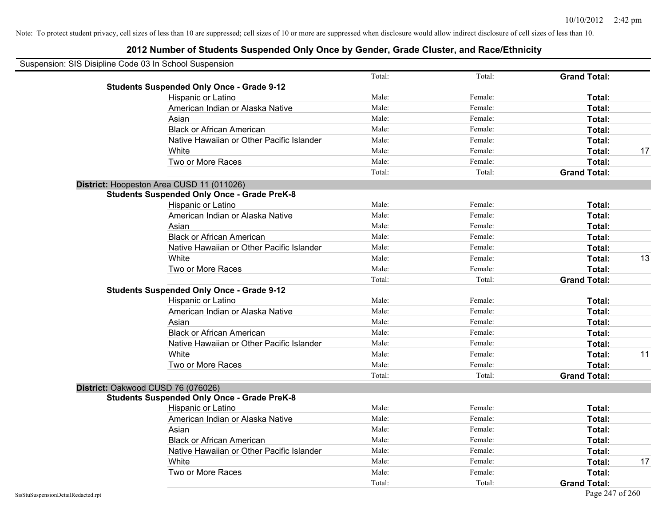| Suspension: SIS Disipline Code 03 In School Suspension |                                                    |        |         |                     |    |
|--------------------------------------------------------|----------------------------------------------------|--------|---------|---------------------|----|
|                                                        |                                                    | Total: | Total:  | <b>Grand Total:</b> |    |
|                                                        | <b>Students Suspended Only Once - Grade 9-12</b>   |        |         |                     |    |
|                                                        | Hispanic or Latino                                 | Male:  | Female: | Total:              |    |
|                                                        | American Indian or Alaska Native                   | Male:  | Female: | Total:              |    |
|                                                        | Asian                                              | Male:  | Female: | Total:              |    |
|                                                        | <b>Black or African American</b>                   | Male:  | Female: | Total:              |    |
|                                                        | Native Hawaiian or Other Pacific Islander          | Male:  | Female: | Total:              |    |
|                                                        | White                                              | Male:  | Female: | Total:              | 17 |
|                                                        | Two or More Races                                  | Male:  | Female: | Total:              |    |
|                                                        |                                                    | Total: | Total:  | <b>Grand Total:</b> |    |
|                                                        | District: Hoopeston Area CUSD 11 (011026)          |        |         |                     |    |
|                                                        | <b>Students Suspended Only Once - Grade PreK-8</b> |        |         |                     |    |
|                                                        | Hispanic or Latino                                 | Male:  | Female: | Total:              |    |
|                                                        | American Indian or Alaska Native                   | Male:  | Female: | Total:              |    |
|                                                        | Asian                                              | Male:  | Female: | Total:              |    |
|                                                        | <b>Black or African American</b>                   | Male:  | Female: | Total:              |    |
|                                                        | Native Hawaiian or Other Pacific Islander          | Male:  | Female: | Total:              |    |
|                                                        | White                                              | Male:  | Female: | Total:              | 13 |
|                                                        | Two or More Races                                  | Male:  | Female: | Total:              |    |
|                                                        |                                                    | Total: | Total:  | <b>Grand Total:</b> |    |
|                                                        | <b>Students Suspended Only Once - Grade 9-12</b>   |        |         |                     |    |
|                                                        | Hispanic or Latino                                 | Male:  | Female: | Total:              |    |
|                                                        | American Indian or Alaska Native                   | Male:  | Female: | Total:              |    |
|                                                        | Asian                                              | Male:  | Female: | Total:              |    |
|                                                        | <b>Black or African American</b>                   | Male:  | Female: | Total:              |    |
|                                                        | Native Hawaiian or Other Pacific Islander          | Male:  | Female: | Total:              |    |
|                                                        | White                                              | Male:  | Female: | Total:              | 11 |
|                                                        | Two or More Races                                  | Male:  | Female: | Total:              |    |
|                                                        |                                                    | Total: | Total:  | <b>Grand Total:</b> |    |
|                                                        | District: Oakwood CUSD 76 (076026)                 |        |         |                     |    |
|                                                        | <b>Students Suspended Only Once - Grade PreK-8</b> |        |         |                     |    |
|                                                        | Hispanic or Latino                                 | Male:  | Female: | Total:              |    |
|                                                        | American Indian or Alaska Native                   | Male:  | Female: | Total:              |    |
|                                                        | Asian                                              | Male:  | Female: | Total:              |    |
|                                                        | <b>Black or African American</b>                   | Male:  | Female: | Total:              |    |
|                                                        | Native Hawaiian or Other Pacific Islander          | Male:  | Female: | Total:              |    |
|                                                        | White                                              | Male:  | Female: | Total:              | 17 |
|                                                        | Two or More Races                                  | Male:  | Female: | <b>Total:</b>       |    |
|                                                        |                                                    | Total: | Total:  | <b>Grand Total:</b> |    |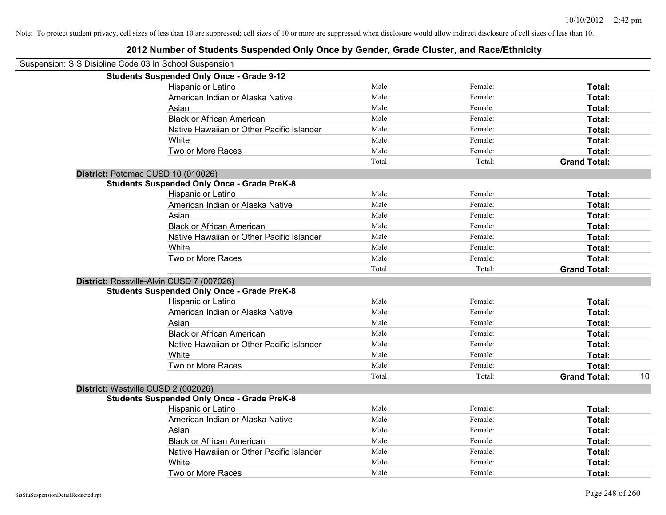| Suspension: SIS Disipline Code 03 In School Suspension |        |         |                     |    |
|--------------------------------------------------------|--------|---------|---------------------|----|
| <b>Students Suspended Only Once - Grade 9-12</b>       |        |         |                     |    |
| Hispanic or Latino                                     | Male:  | Female: | Total:              |    |
| American Indian or Alaska Native                       | Male:  | Female: | Total:              |    |
| Asian                                                  | Male:  | Female: | Total:              |    |
| <b>Black or African American</b>                       | Male:  | Female: | Total:              |    |
| Native Hawaiian or Other Pacific Islander              | Male:  | Female: | Total:              |    |
| White                                                  | Male:  | Female: | Total:              |    |
| Two or More Races                                      | Male:  | Female: | Total:              |    |
|                                                        | Total: | Total:  | <b>Grand Total:</b> |    |
| District: Potomac CUSD 10 (010026)                     |        |         |                     |    |
| <b>Students Suspended Only Once - Grade PreK-8</b>     |        |         |                     |    |
| Hispanic or Latino                                     | Male:  | Female: | Total:              |    |
| American Indian or Alaska Native                       | Male:  | Female: | Total:              |    |
| Asian                                                  | Male:  | Female: | Total:              |    |
| <b>Black or African American</b>                       | Male:  | Female: | Total:              |    |
| Native Hawaiian or Other Pacific Islander              | Male:  | Female: | Total:              |    |
| White                                                  | Male:  | Female: | Total:              |    |
| Two or More Races                                      | Male:  | Female: | Total:              |    |
|                                                        | Total: | Total:  | <b>Grand Total:</b> |    |
| District: Rossville-Alvin CUSD 7 (007026)              |        |         |                     |    |
| <b>Students Suspended Only Once - Grade PreK-8</b>     |        |         |                     |    |
| Hispanic or Latino                                     | Male:  | Female: | Total:              |    |
| American Indian or Alaska Native                       | Male:  | Female: | Total:              |    |
| Asian                                                  | Male:  | Female: | Total:              |    |
| <b>Black or African American</b>                       | Male:  | Female: | Total:              |    |
| Native Hawaiian or Other Pacific Islander              | Male:  | Female: | Total:              |    |
| White                                                  | Male:  | Female: | Total:              |    |
| Two or More Races                                      | Male:  | Female: | <b>Total:</b>       |    |
|                                                        | Total: | Total:  | <b>Grand Total:</b> | 10 |
| District: Westville CUSD 2 (002026)                    |        |         |                     |    |
| <b>Students Suspended Only Once - Grade PreK-8</b>     |        |         |                     |    |
| Hispanic or Latino                                     | Male:  | Female: | Total:              |    |
| American Indian or Alaska Native                       | Male:  | Female: | Total:              |    |
| Asian                                                  | Male:  | Female: | Total:              |    |
| <b>Black or African American</b>                       | Male:  | Female: | Total:              |    |
| Native Hawaiian or Other Pacific Islander              | Male:  | Female: | Total:              |    |
| White                                                  | Male:  | Female: | Total:              |    |
| Two or More Races                                      | Male:  | Female: | Total:              |    |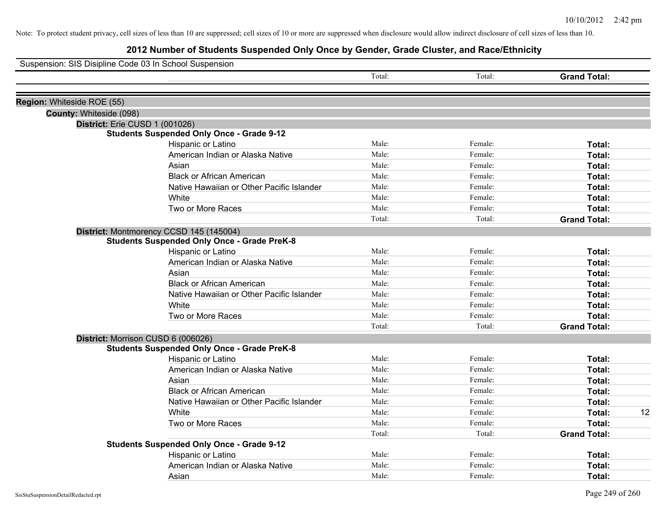| Suspension: SIS Disipline Code 03 In School Suspension |                                                                          |        |         |                     |    |
|--------------------------------------------------------|--------------------------------------------------------------------------|--------|---------|---------------------|----|
|                                                        |                                                                          | Total: | Total:  | <b>Grand Total:</b> |    |
|                                                        |                                                                          |        |         |                     |    |
| Region: Whiteside ROE (55)                             |                                                                          |        |         |                     |    |
| County: Whiteside (098)                                |                                                                          |        |         |                     |    |
|                                                        | District: Erie CUSD 1 (001026)                                           |        |         |                     |    |
|                                                        | <b>Students Suspended Only Once - Grade 9-12</b>                         | Male:  | Female: | Total:              |    |
|                                                        | Hispanic or Latino<br>American Indian or Alaska Native                   | Male:  | Female: | Total:              |    |
|                                                        | Asian                                                                    | Male:  | Female: | Total:              |    |
|                                                        | <b>Black or African American</b>                                         | Male:  | Female: | <b>Total:</b>       |    |
|                                                        | Native Hawaiian or Other Pacific Islander                                | Male:  | Female: | <b>Total:</b>       |    |
|                                                        | White                                                                    | Male:  | Female: | Total:              |    |
|                                                        | Two or More Races                                                        | Male:  | Female: | Total:              |    |
|                                                        |                                                                          | Total: | Total:  | <b>Grand Total:</b> |    |
|                                                        |                                                                          |        |         |                     |    |
|                                                        | District: Montmorency CCSD 145 (145004)                                  |        |         |                     |    |
|                                                        | <b>Students Suspended Only Once - Grade PreK-8</b><br>Hispanic or Latino | Male:  | Female: |                     |    |
|                                                        | American Indian or Alaska Native                                         | Male:  | Female: | Total:              |    |
|                                                        |                                                                          | Male:  | Female: | <b>Total:</b>       |    |
|                                                        | Asian                                                                    | Male:  |         | <b>Total:</b>       |    |
|                                                        | <b>Black or African American</b>                                         | Male:  | Female: | Total:              |    |
|                                                        | Native Hawaiian or Other Pacific Islander                                |        | Female: | Total:              |    |
|                                                        | White                                                                    | Male:  | Female: | Total:              |    |
|                                                        | Two or More Races                                                        | Male:  | Female: | Total:              |    |
|                                                        |                                                                          | Total: | Total:  | <b>Grand Total:</b> |    |
|                                                        | District: Morrison CUSD 6 (006026)                                       |        |         |                     |    |
|                                                        | <b>Students Suspended Only Once - Grade PreK-8</b>                       |        |         |                     |    |
|                                                        | Hispanic or Latino                                                       | Male:  | Female: | Total:              |    |
|                                                        | American Indian or Alaska Native                                         | Male:  | Female: | <b>Total:</b>       |    |
|                                                        | Asian                                                                    | Male:  | Female: | Total:              |    |
|                                                        | <b>Black or African American</b>                                         | Male:  | Female: | Total:              |    |
|                                                        | Native Hawaiian or Other Pacific Islander                                | Male:  | Female: | Total:              |    |
|                                                        | <b>White</b>                                                             | Male:  | Female: | Total:              | 12 |
|                                                        | Two or More Races                                                        | Male:  | Female: | Total:              |    |
|                                                        |                                                                          | Total: | Total:  | <b>Grand Total:</b> |    |
|                                                        | <b>Students Suspended Only Once - Grade 9-12</b>                         |        |         |                     |    |
|                                                        | Hispanic or Latino                                                       | Male:  | Female: | <b>Total:</b>       |    |
|                                                        | American Indian or Alaska Native                                         | Male:  | Female: | Total:              |    |
|                                                        | Asian                                                                    | Male:  | Female: | Total:              |    |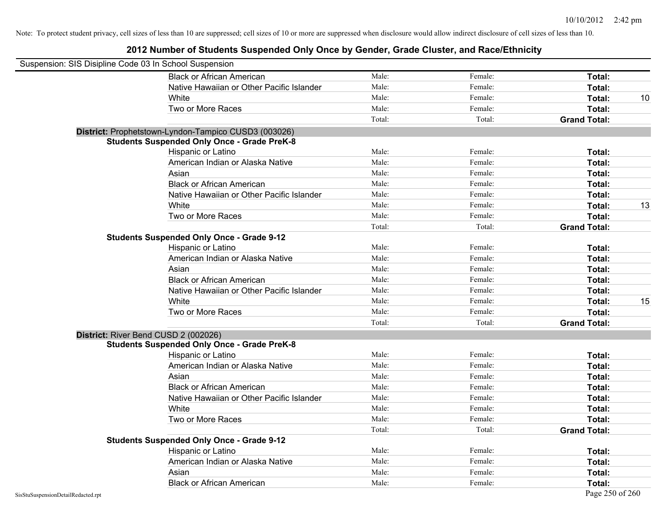| Suspension: SIS Disipline Code 03 In School Suspension |                                                      |        |         |                     |    |
|--------------------------------------------------------|------------------------------------------------------|--------|---------|---------------------|----|
|                                                        | <b>Black or African American</b>                     | Male:  | Female: | Total:              |    |
|                                                        | Native Hawaiian or Other Pacific Islander            | Male:  | Female: | Total:              |    |
|                                                        | White                                                | Male:  | Female: | Total:              | 10 |
|                                                        | Two or More Races                                    | Male:  | Female: | Total:              |    |
|                                                        |                                                      | Total: | Total:  | <b>Grand Total:</b> |    |
|                                                        | District: Prophetstown-Lyndon-Tampico CUSD3 (003026) |        |         |                     |    |
|                                                        | <b>Students Suspended Only Once - Grade PreK-8</b>   |        |         |                     |    |
|                                                        | Hispanic or Latino                                   | Male:  | Female: | Total:              |    |
|                                                        | American Indian or Alaska Native                     | Male:  | Female: | Total:              |    |
|                                                        | Asian                                                | Male:  | Female: | Total:              |    |
|                                                        | <b>Black or African American</b>                     | Male:  | Female: | Total:              |    |
|                                                        | Native Hawaiian or Other Pacific Islander            | Male:  | Female: | Total:              |    |
|                                                        | White                                                | Male:  | Female: | Total:              | 13 |
|                                                        | Two or More Races                                    | Male:  | Female: | Total:              |    |
|                                                        |                                                      | Total: | Total:  | <b>Grand Total:</b> |    |
|                                                        | <b>Students Suspended Only Once - Grade 9-12</b>     |        |         |                     |    |
|                                                        | Hispanic or Latino                                   | Male:  | Female: | Total:              |    |
|                                                        | American Indian or Alaska Native                     | Male:  | Female: | Total:              |    |
|                                                        | Asian                                                | Male:  | Female: | Total:              |    |
|                                                        | <b>Black or African American</b>                     | Male:  | Female: | Total:              |    |
|                                                        | Native Hawaiian or Other Pacific Islander            | Male:  | Female: | Total:              |    |
|                                                        | White                                                | Male:  | Female: | Total:              | 15 |
|                                                        | Two or More Races                                    | Male:  | Female: | Total:              |    |
|                                                        |                                                      | Total: | Total:  | <b>Grand Total:</b> |    |
|                                                        | District: River Bend CUSD 2 (002026)                 |        |         |                     |    |
|                                                        | <b>Students Suspended Only Once - Grade PreK-8</b>   |        |         |                     |    |
|                                                        | Hispanic or Latino                                   | Male:  | Female: | Total:              |    |
|                                                        | American Indian or Alaska Native                     | Male:  | Female: | Total:              |    |
|                                                        | Asian                                                | Male:  | Female: | Total:              |    |
|                                                        | <b>Black or African American</b>                     | Male:  | Female: | Total:              |    |
|                                                        | Native Hawaiian or Other Pacific Islander            | Male:  | Female: | Total:              |    |
|                                                        | White                                                | Male:  | Female: | Total:              |    |
|                                                        | Two or More Races                                    | Male:  | Female: | Total:              |    |
|                                                        |                                                      | Total: | Total:  | <b>Grand Total:</b> |    |
|                                                        | <b>Students Suspended Only Once - Grade 9-12</b>     |        |         |                     |    |
|                                                        | Hispanic or Latino                                   | Male:  | Female: | Total:              |    |
|                                                        | American Indian or Alaska Native                     | Male:  | Female: | Total:              |    |
|                                                        | Asian                                                | Male:  | Female: | Total:              |    |
|                                                        | <b>Black or African American</b>                     | Male:  | Female: | Total:              |    |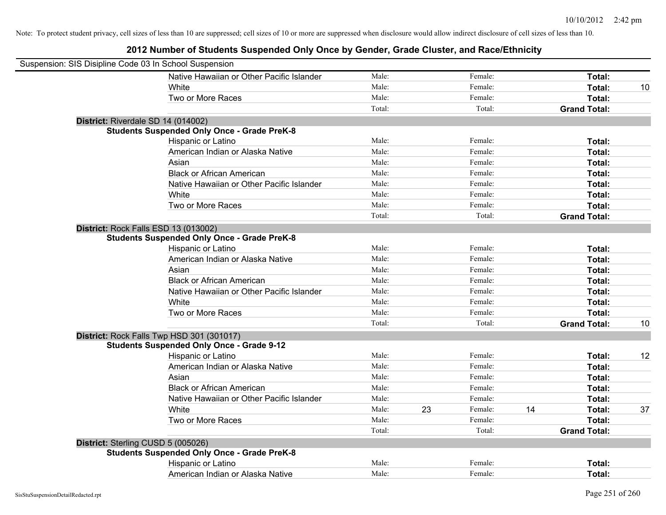| Suspension: SIS Disipline Code 03 In School Suspension |                                                    |        |    |         |    |                     |    |
|--------------------------------------------------------|----------------------------------------------------|--------|----|---------|----|---------------------|----|
|                                                        | Native Hawaiian or Other Pacific Islander          | Male:  |    | Female: |    | Total:              |    |
|                                                        | White                                              | Male:  |    | Female: |    | Total:              | 10 |
|                                                        | Two or More Races                                  | Male:  |    | Female: |    | Total:              |    |
|                                                        |                                                    | Total: |    | Total:  |    | <b>Grand Total:</b> |    |
|                                                        | District: Riverdale SD 14 (014002)                 |        |    |         |    |                     |    |
|                                                        | <b>Students Suspended Only Once - Grade PreK-8</b> |        |    |         |    |                     |    |
|                                                        | Hispanic or Latino                                 | Male:  |    | Female: |    | Total:              |    |
|                                                        | American Indian or Alaska Native                   | Male:  |    | Female: |    | Total:              |    |
|                                                        | Asian                                              | Male:  |    | Female: |    | Total:              |    |
|                                                        | <b>Black or African American</b>                   | Male:  |    | Female: |    | Total:              |    |
|                                                        | Native Hawaiian or Other Pacific Islander          | Male:  |    | Female: |    | Total:              |    |
|                                                        | White                                              | Male:  |    | Female: |    | Total:              |    |
|                                                        | Two or More Races                                  | Male:  |    | Female: |    | Total:              |    |
|                                                        |                                                    | Total: |    | Total:  |    | <b>Grand Total:</b> |    |
|                                                        | District: Rock Falls ESD 13 (013002)               |        |    |         |    |                     |    |
|                                                        | <b>Students Suspended Only Once - Grade PreK-8</b> |        |    |         |    |                     |    |
|                                                        | Hispanic or Latino                                 | Male:  |    | Female: |    | Total:              |    |
|                                                        | American Indian or Alaska Native                   | Male:  |    | Female: |    | Total:              |    |
|                                                        | Asian                                              | Male:  |    | Female: |    | Total:              |    |
|                                                        | <b>Black or African American</b>                   | Male:  |    | Female: |    | Total:              |    |
|                                                        | Native Hawaiian or Other Pacific Islander          | Male:  |    | Female: |    | Total:              |    |
|                                                        | White                                              | Male:  |    | Female: |    | Total:              |    |
|                                                        | Two or More Races                                  | Male:  |    | Female: |    | Total:              |    |
|                                                        |                                                    | Total: |    | Total:  |    | <b>Grand Total:</b> | 10 |
|                                                        | District: Rock Falls Twp HSD 301 (301017)          |        |    |         |    |                     |    |
|                                                        | <b>Students Suspended Only Once - Grade 9-12</b>   |        |    |         |    |                     |    |
|                                                        | Hispanic or Latino                                 | Male:  |    | Female: |    | Total:              | 12 |
|                                                        | American Indian or Alaska Native                   | Male:  |    | Female: |    | Total:              |    |
|                                                        | Asian                                              | Male:  |    | Female: |    | Total:              |    |
|                                                        | <b>Black or African American</b>                   | Male:  |    | Female: |    | Total:              |    |
|                                                        | Native Hawaiian or Other Pacific Islander          | Male:  |    | Female: |    | Total:              |    |
|                                                        | White                                              | Male:  | 23 | Female: | 14 | Total:              | 37 |
|                                                        | Two or More Races                                  | Male:  |    | Female: |    | Total:              |    |
|                                                        |                                                    | Total: |    | Total:  |    | <b>Grand Total:</b> |    |
|                                                        | District: Sterling CUSD 5 (005026)                 |        |    |         |    |                     |    |
|                                                        | <b>Students Suspended Only Once - Grade PreK-8</b> |        |    |         |    |                     |    |
|                                                        | Hispanic or Latino                                 | Male:  |    | Female: |    | Total:              |    |
|                                                        | American Indian or Alaska Native                   | Male:  |    | Female: |    | Total:              |    |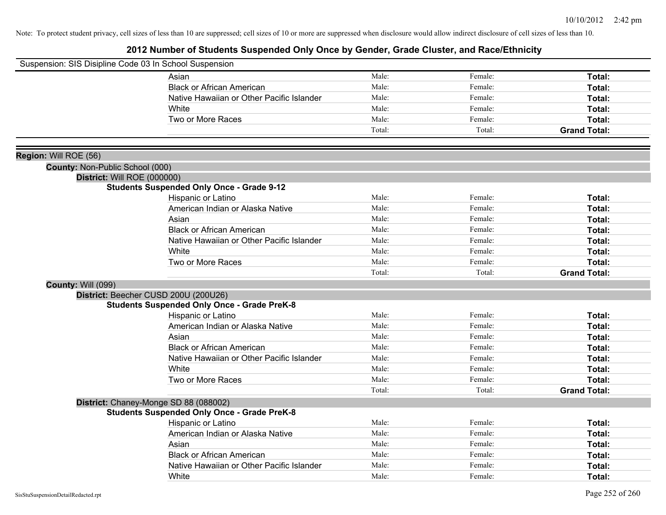| Suspension: SIS Disipline Code 03 In School Suspension |                                                    |        |         |                     |
|--------------------------------------------------------|----------------------------------------------------|--------|---------|---------------------|
|                                                        | Asian                                              | Male:  | Female: | Total:              |
|                                                        | <b>Black or African American</b>                   | Male:  | Female: | Total:              |
|                                                        | Native Hawaiian or Other Pacific Islander          | Male:  | Female: | Total:              |
|                                                        | White                                              | Male:  | Female: | Total:              |
|                                                        | Two or More Races                                  | Male:  | Female: | Total:              |
|                                                        |                                                    | Total: | Total:  | <b>Grand Total:</b> |
|                                                        |                                                    |        |         |                     |
| Region: Will ROE (56)                                  |                                                    |        |         |                     |
| County: Non-Public School (000)                        |                                                    |        |         |                     |
| District: Will ROE (000000)                            |                                                    |        |         |                     |
|                                                        | <b>Students Suspended Only Once - Grade 9-12</b>   |        |         |                     |
|                                                        | Hispanic or Latino                                 | Male:  | Female: | Total:              |
|                                                        | American Indian or Alaska Native                   | Male:  | Female: | Total:              |
|                                                        | Asian                                              | Male:  | Female: | Total:              |
|                                                        | <b>Black or African American</b>                   | Male:  | Female: | Total:              |
|                                                        | Native Hawaiian or Other Pacific Islander          | Male:  | Female: | Total:              |
|                                                        | White                                              | Male:  | Female: | Total:              |
|                                                        | Two or More Races                                  | Male:  | Female: | Total:              |
|                                                        |                                                    | Total: | Total:  | <b>Grand Total:</b> |
| <b>County: Will (099)</b>                              |                                                    |        |         |                     |
|                                                        | District: Beecher CUSD 200U (200U26)               |        |         |                     |
|                                                        | <b>Students Suspended Only Once - Grade PreK-8</b> |        |         |                     |
|                                                        | Hispanic or Latino                                 | Male:  | Female: | Total:              |
|                                                        | American Indian or Alaska Native                   | Male:  | Female: | Total:              |
|                                                        | Asian                                              | Male:  | Female: | Total:              |
|                                                        | <b>Black or African American</b>                   | Male:  | Female: | Total:              |
|                                                        | Native Hawaiian or Other Pacific Islander          | Male:  | Female: | Total:              |
|                                                        | White                                              | Male:  | Female: | Total:              |
|                                                        | Two or More Races                                  | Male:  | Female: | Total:              |
|                                                        |                                                    | Total: | Total:  | <b>Grand Total:</b> |
|                                                        | District: Chaney-Monge SD 88 (088002)              |        |         |                     |
|                                                        | <b>Students Suspended Only Once - Grade PreK-8</b> |        |         |                     |
|                                                        | Hispanic or Latino                                 | Male:  | Female: | Total:              |
|                                                        | American Indian or Alaska Native                   | Male:  | Female: | Total:              |
|                                                        | Asian                                              | Male:  | Female: | Total:              |
|                                                        | <b>Black or African American</b>                   | Male:  | Female: | Total:              |
|                                                        | Native Hawaiian or Other Pacific Islander          | Male:  | Female: | Total:              |
|                                                        | White                                              | Male:  | Female: | Total:              |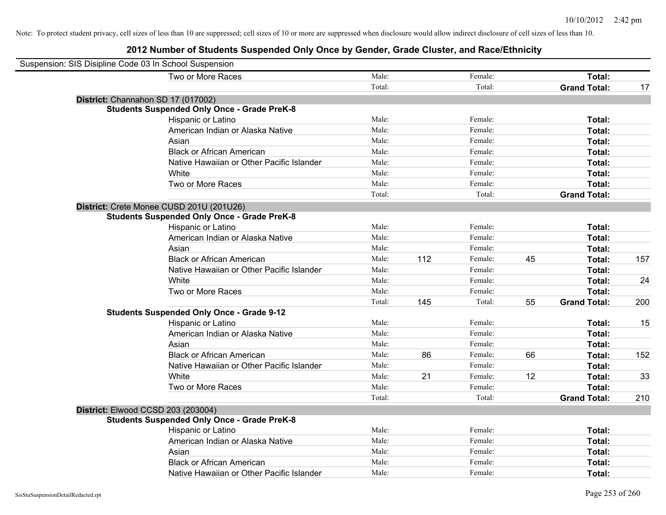| Suspension: SIS Disipline Code 03 In School Suspension |                                                    |        |     |         |    |                     |     |
|--------------------------------------------------------|----------------------------------------------------|--------|-----|---------|----|---------------------|-----|
|                                                        | Two or More Races                                  | Male:  |     | Female: |    | Total:              |     |
|                                                        |                                                    | Total: |     | Total:  |    | <b>Grand Total:</b> | 17  |
| District: Channahon SD 17 (017002)                     |                                                    |        |     |         |    |                     |     |
|                                                        | <b>Students Suspended Only Once - Grade PreK-8</b> |        |     |         |    |                     |     |
|                                                        | Hispanic or Latino                                 | Male:  |     | Female: |    | Total:              |     |
|                                                        | American Indian or Alaska Native                   | Male:  |     | Female: |    | Total:              |     |
|                                                        | Asian                                              | Male:  |     | Female: |    | Total:              |     |
|                                                        | <b>Black or African American</b>                   | Male:  |     | Female: |    | Total:              |     |
|                                                        | Native Hawaiian or Other Pacific Islander          | Male:  |     | Female: |    | Total:              |     |
|                                                        | White                                              | Male:  |     | Female: |    | Total:              |     |
|                                                        | Two or More Races                                  | Male:  |     | Female: |    | Total:              |     |
|                                                        |                                                    | Total: |     | Total:  |    | <b>Grand Total:</b> |     |
|                                                        | District: Crete Monee CUSD 201U (201U26)           |        |     |         |    |                     |     |
|                                                        | <b>Students Suspended Only Once - Grade PreK-8</b> |        |     |         |    |                     |     |
|                                                        | Hispanic or Latino                                 | Male:  |     | Female: |    | Total:              |     |
|                                                        | American Indian or Alaska Native                   | Male:  |     | Female: |    | Total:              |     |
|                                                        | Asian                                              | Male:  |     | Female: |    | Total:              |     |
|                                                        | <b>Black or African American</b>                   | Male:  | 112 | Female: | 45 | Total:              | 157 |
|                                                        | Native Hawaiian or Other Pacific Islander          | Male:  |     | Female: |    | Total:              |     |
|                                                        | White                                              | Male:  |     | Female: |    | Total:              | 24  |
|                                                        | Two or More Races                                  | Male:  |     | Female: |    | Total:              |     |
|                                                        |                                                    | Total: | 145 | Total:  | 55 | <b>Grand Total:</b> | 200 |
|                                                        | <b>Students Suspended Only Once - Grade 9-12</b>   |        |     |         |    |                     |     |
|                                                        | Hispanic or Latino                                 | Male:  |     | Female: |    | Total:              | 15  |
|                                                        | American Indian or Alaska Native                   | Male:  |     | Female: |    | Total:              |     |
|                                                        | Asian                                              | Male:  |     | Female: |    | Total:              |     |
|                                                        | <b>Black or African American</b>                   | Male:  | 86  | Female: | 66 | Total:              | 152 |
|                                                        | Native Hawaiian or Other Pacific Islander          | Male:  |     | Female: |    | Total:              |     |
|                                                        | White                                              | Male:  | 21  | Female: | 12 | Total:              | 33  |
|                                                        | Two or More Races                                  | Male:  |     | Female: |    | Total:              |     |
|                                                        |                                                    | Total: |     | Total:  |    | <b>Grand Total:</b> | 210 |
| District: Elwood CCSD 203 (203004)                     |                                                    |        |     |         |    |                     |     |
|                                                        | <b>Students Suspended Only Once - Grade PreK-8</b> |        |     |         |    |                     |     |
|                                                        | Hispanic or Latino                                 | Male:  |     | Female: |    | Total:              |     |
|                                                        | American Indian or Alaska Native                   | Male:  |     | Female: |    | Total:              |     |
|                                                        | Asian                                              | Male:  |     | Female: |    | Total:              |     |
|                                                        | <b>Black or African American</b>                   | Male:  |     | Female: |    | Total:              |     |
|                                                        | Native Hawaiian or Other Pacific Islander          | Male:  |     | Female: |    | Total:              |     |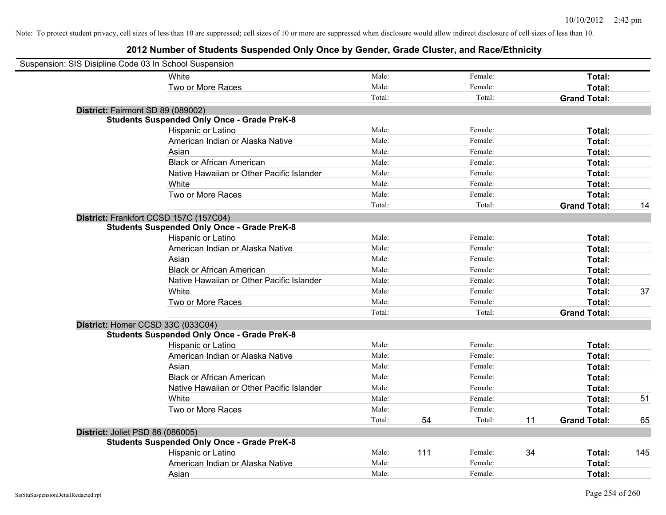| Suspension: SIS Disipline Code 03 In School Suspension |                                                    |        |     |         |    |                     |     |
|--------------------------------------------------------|----------------------------------------------------|--------|-----|---------|----|---------------------|-----|
|                                                        | White                                              | Male:  |     | Female: |    | Total:              |     |
|                                                        | Two or More Races                                  | Male:  |     | Female: |    | Total:              |     |
|                                                        |                                                    | Total: |     | Total:  |    | <b>Grand Total:</b> |     |
| District: Fairmont SD 89 (089002)                      |                                                    |        |     |         |    |                     |     |
|                                                        | <b>Students Suspended Only Once - Grade PreK-8</b> |        |     |         |    |                     |     |
|                                                        | Hispanic or Latino                                 | Male:  |     | Female: |    | Total:              |     |
|                                                        | American Indian or Alaska Native                   | Male:  |     | Female: |    | Total:              |     |
|                                                        | Asian                                              | Male:  |     | Female: |    | Total:              |     |
|                                                        | <b>Black or African American</b>                   | Male:  |     | Female: |    | Total:              |     |
|                                                        | Native Hawaiian or Other Pacific Islander          | Male:  |     | Female: |    | Total:              |     |
|                                                        | White                                              | Male:  |     | Female: |    | Total:              |     |
|                                                        | Two or More Races                                  | Male:  |     | Female: |    | Total:              |     |
|                                                        |                                                    | Total: |     | Total:  |    | <b>Grand Total:</b> | 14  |
| District: Frankfort CCSD 157C (157C04)                 |                                                    |        |     |         |    |                     |     |
|                                                        | <b>Students Suspended Only Once - Grade PreK-8</b> |        |     |         |    |                     |     |
|                                                        | Hispanic or Latino                                 | Male:  |     | Female: |    | Total:              |     |
|                                                        | American Indian or Alaska Native                   | Male:  |     | Female: |    | Total:              |     |
|                                                        | Asian                                              | Male:  |     | Female: |    | Total:              |     |
|                                                        | <b>Black or African American</b>                   | Male:  |     | Female: |    | Total:              |     |
|                                                        | Native Hawaiian or Other Pacific Islander          | Male:  |     | Female: |    | Total:              |     |
|                                                        | White                                              | Male:  |     | Female: |    | Total:              | 37  |
|                                                        | Two or More Races                                  | Male:  |     | Female: |    | Total:              |     |
|                                                        |                                                    | Total: |     | Total:  |    | <b>Grand Total:</b> |     |
| District: Homer CCSD 33C (033C04)                      |                                                    |        |     |         |    |                     |     |
|                                                        | <b>Students Suspended Only Once - Grade PreK-8</b> |        |     |         |    |                     |     |
|                                                        | Hispanic or Latino                                 | Male:  |     | Female: |    | Total:              |     |
|                                                        | American Indian or Alaska Native                   | Male:  |     | Female: |    | Total:              |     |
|                                                        | Asian                                              | Male:  |     | Female: |    | Total:              |     |
|                                                        | <b>Black or African American</b>                   | Male:  |     | Female: |    | Total:              |     |
|                                                        | Native Hawaiian or Other Pacific Islander          | Male:  |     | Female: |    | Total:              |     |
|                                                        | White                                              | Male:  |     | Female: |    | Total:              | 51  |
|                                                        | Two or More Races                                  | Male:  |     | Female: |    | Total:              |     |
|                                                        |                                                    | Total: | 54  | Total:  | 11 | <b>Grand Total:</b> | 65  |
| District: Joliet PSD 86 (086005)                       |                                                    |        |     |         |    |                     |     |
|                                                        | <b>Students Suspended Only Once - Grade PreK-8</b> |        |     |         |    |                     |     |
|                                                        | Hispanic or Latino                                 | Male:  | 111 | Female: | 34 | Total:              | 145 |
|                                                        | American Indian or Alaska Native                   | Male:  |     | Female: |    | Total:              |     |
|                                                        | Asian                                              | Male:  |     | Female: |    | Total:              |     |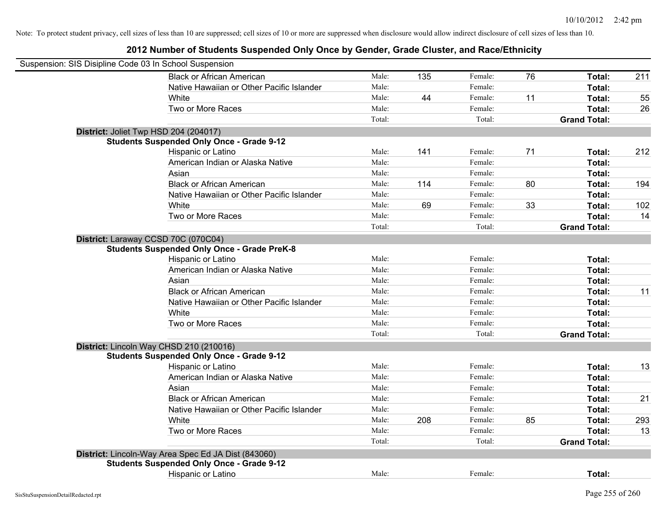| Suspension: SIS Disipline Code 03 In School Suspension |        |     |         |    |                     |     |
|--------------------------------------------------------|--------|-----|---------|----|---------------------|-----|
| <b>Black or African American</b>                       | Male:  | 135 | Female: | 76 | Total:              | 211 |
| Native Hawaiian or Other Pacific Islander              | Male:  |     | Female: |    | Total:              |     |
| White                                                  | Male:  | 44  | Female: | 11 | Total:              | 55  |
| Two or More Races                                      | Male:  |     | Female: |    | Total:              | 26  |
|                                                        | Total: |     | Total:  |    | <b>Grand Total:</b> |     |
| District: Joliet Twp HSD 204 (204017)                  |        |     |         |    |                     |     |
| <b>Students Suspended Only Once - Grade 9-12</b>       |        |     |         |    |                     |     |
| Hispanic or Latino                                     | Male:  | 141 | Female: | 71 | Total:              | 212 |
| American Indian or Alaska Native                       | Male:  |     | Female: |    | Total:              |     |
| Asian                                                  | Male:  |     | Female: |    | Total:              |     |
| <b>Black or African American</b>                       | Male:  | 114 | Female: | 80 | Total:              | 194 |
| Native Hawaiian or Other Pacific Islander              | Male:  |     | Female: |    | Total:              |     |
| White                                                  | Male:  | 69  | Female: | 33 | Total:              | 102 |
| Two or More Races                                      | Male:  |     | Female: |    | Total:              | 14  |
|                                                        | Total: |     | Total:  |    | <b>Grand Total:</b> |     |
| District: Laraway CCSD 70C (070C04)                    |        |     |         |    |                     |     |
| <b>Students Suspended Only Once - Grade PreK-8</b>     |        |     |         |    |                     |     |
| Hispanic or Latino                                     | Male:  |     | Female: |    | Total:              |     |
| American Indian or Alaska Native                       | Male:  |     | Female: |    | Total:              |     |
| Asian                                                  | Male:  |     | Female: |    | Total:              |     |
| <b>Black or African American</b>                       | Male:  |     | Female: |    | Total:              | 11  |
| Native Hawaiian or Other Pacific Islander              | Male:  |     | Female: |    | Total:              |     |
| White                                                  | Male:  |     | Female: |    | Total:              |     |
| Two or More Races                                      | Male:  |     | Female: |    | Total:              |     |
|                                                        | Total: |     | Total:  |    | <b>Grand Total:</b> |     |
| District: Lincoln Way CHSD 210 (210016)                |        |     |         |    |                     |     |
| <b>Students Suspended Only Once - Grade 9-12</b>       |        |     |         |    |                     |     |
| Hispanic or Latino                                     | Male:  |     | Female: |    | Total:              | 13  |
| American Indian or Alaska Native                       | Male:  |     | Female: |    | Total:              |     |
| Asian                                                  | Male:  |     | Female: |    | Total:              |     |
| <b>Black or African American</b>                       | Male:  |     | Female: |    | Total:              | 21  |
| Native Hawaiian or Other Pacific Islander              | Male:  |     | Female: |    | Total:              |     |
| White                                                  | Male:  | 208 | Female: | 85 | Total:              | 293 |
| Two or More Races                                      | Male:  |     | Female: |    | Total:              | 13  |
|                                                        | Total: |     | Total:  |    | <b>Grand Total:</b> |     |
| District: Lincoln-Way Area Spec Ed JA Dist (843060)    |        |     |         |    |                     |     |
| <b>Students Suspended Only Once - Grade 9-12</b>       |        |     |         |    |                     |     |
| <b>Hispanic or Latino</b>                              | Male:  |     | Female: |    | Total:              |     |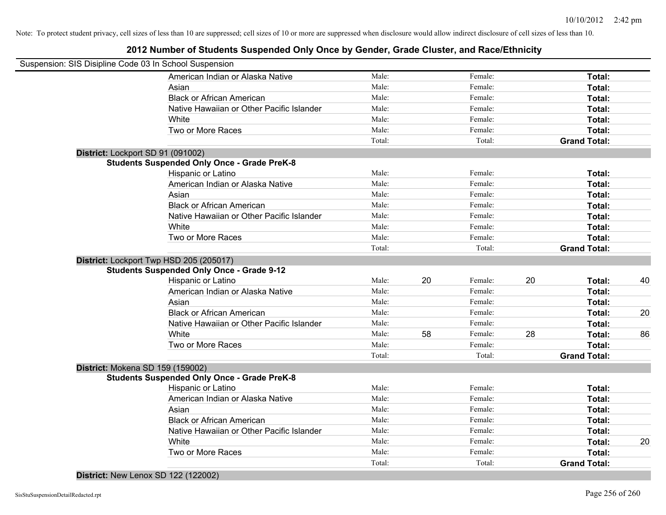# **2012 Number of Students Suspended Only Once by Gender, Grade Cluster, and Race/Ethnicity**

| Suspension: SIS Disipline Code 03 In School Suspension |                                                    |        |    |         |    |                     |    |
|--------------------------------------------------------|----------------------------------------------------|--------|----|---------|----|---------------------|----|
|                                                        | American Indian or Alaska Native                   | Male:  |    | Female: |    | Total:              |    |
|                                                        | Asian                                              | Male:  |    | Female: |    | Total:              |    |
|                                                        | <b>Black or African American</b>                   | Male:  |    | Female: |    | Total:              |    |
|                                                        | Native Hawaiian or Other Pacific Islander          | Male:  |    | Female: |    | Total:              |    |
|                                                        | White                                              | Male:  |    | Female: |    | Total:              |    |
|                                                        | Two or More Races                                  | Male:  |    | Female: |    | Total:              |    |
|                                                        |                                                    | Total: |    | Total:  |    | <b>Grand Total:</b> |    |
| District: Lockport SD 91 (091002)                      |                                                    |        |    |         |    |                     |    |
|                                                        | <b>Students Suspended Only Once - Grade PreK-8</b> |        |    |         |    |                     |    |
|                                                        | Hispanic or Latino                                 | Male:  |    | Female: |    | Total:              |    |
|                                                        | American Indian or Alaska Native                   | Male:  |    | Female: |    | Total:              |    |
|                                                        | Asian                                              | Male:  |    | Female: |    | Total:              |    |
|                                                        | <b>Black or African American</b>                   | Male:  |    | Female: |    | Total:              |    |
|                                                        | Native Hawaiian or Other Pacific Islander          | Male:  |    | Female: |    | Total:              |    |
|                                                        | White                                              | Male:  |    | Female: |    | Total:              |    |
|                                                        | Two or More Races                                  | Male:  |    | Female: |    | Total:              |    |
|                                                        |                                                    | Total: |    | Total:  |    | <b>Grand Total:</b> |    |
| District: Lockport Twp HSD 205 (205017)                |                                                    |        |    |         |    |                     |    |
|                                                        | <b>Students Suspended Only Once - Grade 9-12</b>   |        |    |         |    |                     |    |
|                                                        | Hispanic or Latino                                 | Male:  | 20 | Female: | 20 | Total:              | 40 |
|                                                        | American Indian or Alaska Native                   | Male:  |    | Female: |    | Total:              |    |
|                                                        | Asian                                              | Male:  |    | Female: |    | Total:              |    |
|                                                        | <b>Black or African American</b>                   | Male:  |    | Female: |    | Total:              | 20 |
|                                                        | Native Hawaiian or Other Pacific Islander          | Male:  |    | Female: |    | Total:              |    |
|                                                        | White                                              | Male:  | 58 | Female: | 28 | Total:              | 86 |
|                                                        | Two or More Races                                  | Male:  |    | Female: |    | Total:              |    |
|                                                        |                                                    | Total: |    | Total:  |    | <b>Grand Total:</b> |    |
| District: Mokena SD 159 (159002)                       |                                                    |        |    |         |    |                     |    |
|                                                        | <b>Students Suspended Only Once - Grade PreK-8</b> |        |    |         |    |                     |    |
|                                                        | Hispanic or Latino                                 | Male:  |    | Female: |    | Total:              |    |
|                                                        | American Indian or Alaska Native                   | Male:  |    | Female: |    | Total:              |    |
|                                                        | Asian                                              | Male:  |    | Female: |    | Total:              |    |
|                                                        | <b>Black or African American</b>                   | Male:  |    | Female: |    | Total:              |    |
|                                                        | Native Hawaiian or Other Pacific Islander          | Male:  |    | Female: |    | Total:              |    |
|                                                        | White                                              | Male:  |    | Female: |    | Total:              | 20 |
|                                                        | Two or More Races                                  | Male:  |    | Female: |    | Total:              |    |
|                                                        |                                                    | Total: |    | Total:  |    | <b>Grand Total:</b> |    |

**District:** New Lenox SD 122 (122002)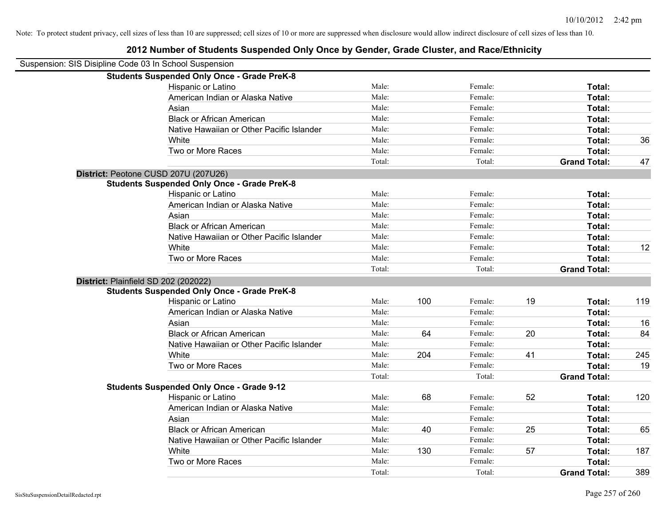| Suspension: SIS Disipline Code 03 In School Suspension |                                                    |        |     |         |    |                     |     |
|--------------------------------------------------------|----------------------------------------------------|--------|-----|---------|----|---------------------|-----|
|                                                        | <b>Students Suspended Only Once - Grade PreK-8</b> |        |     |         |    |                     |     |
|                                                        | Hispanic or Latino                                 | Male:  |     | Female: |    | Total:              |     |
|                                                        | American Indian or Alaska Native                   | Male:  |     | Female: |    | Total:              |     |
|                                                        | Asian                                              | Male:  |     | Female: |    | Total:              |     |
|                                                        | <b>Black or African American</b>                   | Male:  |     | Female: |    | Total:              |     |
|                                                        | Native Hawaiian or Other Pacific Islander          | Male:  |     | Female: |    | Total:              |     |
|                                                        | White                                              | Male:  |     | Female: |    | Total:              | 36  |
|                                                        | Two or More Races                                  | Male:  |     | Female: |    | Total:              |     |
|                                                        |                                                    | Total: |     | Total:  |    | <b>Grand Total:</b> | 47  |
|                                                        | District: Peotone CUSD 207U (207U26)               |        |     |         |    |                     |     |
|                                                        | <b>Students Suspended Only Once - Grade PreK-8</b> |        |     |         |    |                     |     |
|                                                        | Hispanic or Latino                                 | Male:  |     | Female: |    | Total:              |     |
|                                                        | American Indian or Alaska Native                   | Male:  |     | Female: |    | Total:              |     |
|                                                        | Asian                                              | Male:  |     | Female: |    | Total:              |     |
|                                                        | <b>Black or African American</b>                   | Male:  |     | Female: |    | Total:              |     |
|                                                        | Native Hawaiian or Other Pacific Islander          | Male:  |     | Female: |    | Total:              |     |
|                                                        | White                                              | Male:  |     | Female: |    | Total:              | 12  |
|                                                        | Two or More Races                                  | Male:  |     | Female: |    | Total:              |     |
|                                                        |                                                    | Total: |     | Total:  |    | <b>Grand Total:</b> |     |
| District: Plainfield SD 202 (202022)                   |                                                    |        |     |         |    |                     |     |
|                                                        | <b>Students Suspended Only Once - Grade PreK-8</b> |        |     |         |    |                     |     |
|                                                        | Hispanic or Latino                                 | Male:  | 100 | Female: | 19 | Total:              | 119 |
|                                                        | American Indian or Alaska Native                   | Male:  |     | Female: |    | Total:              |     |
|                                                        | Asian                                              | Male:  |     | Female: |    | Total:              | 16  |
|                                                        | <b>Black or African American</b>                   | Male:  | 64  | Female: | 20 | Total:              | 84  |
|                                                        | Native Hawaiian or Other Pacific Islander          | Male:  |     | Female: |    | Total:              |     |
|                                                        | White                                              | Male:  | 204 | Female: | 41 | Total:              | 245 |
|                                                        | Two or More Races                                  | Male:  |     | Female: |    | Total:              | 19  |
|                                                        |                                                    | Total: |     | Total:  |    | <b>Grand Total:</b> |     |
|                                                        | <b>Students Suspended Only Once - Grade 9-12</b>   |        |     |         |    |                     |     |
|                                                        | Hispanic or Latino                                 | Male:  | 68  | Female: | 52 | Total:              | 120 |
|                                                        | American Indian or Alaska Native                   | Male:  |     | Female: |    | Total:              |     |
|                                                        | Asian                                              | Male:  |     | Female: |    | Total:              |     |
|                                                        | <b>Black or African American</b>                   | Male:  | 40  | Female: | 25 | Total:              | 65  |
|                                                        | Native Hawaiian or Other Pacific Islander          | Male:  |     | Female: |    | Total:              |     |
|                                                        | White                                              | Male:  | 130 | Female: | 57 | Total:              | 187 |
|                                                        | Two or More Races                                  | Male:  |     | Female: |    | <b>Total:</b>       |     |
|                                                        |                                                    | Total: |     | Total:  |    | <b>Grand Total:</b> | 389 |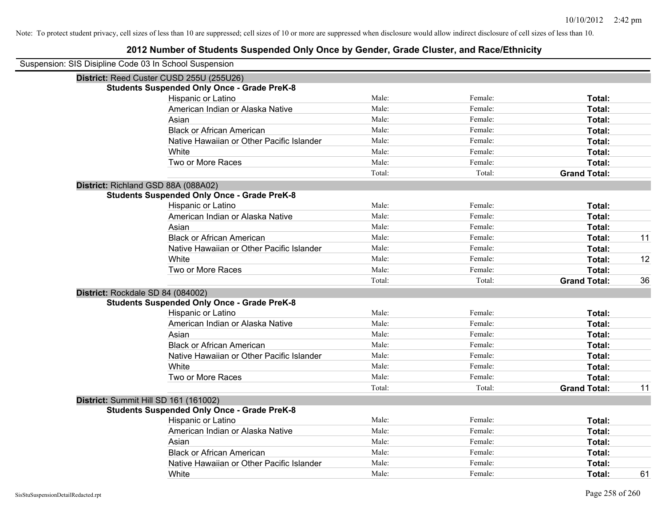| Suspension: SIS Disipline Code 03 In School Suspension |        |         |                     |    |
|--------------------------------------------------------|--------|---------|---------------------|----|
| District: Reed Custer CUSD 255U (255U26)               |        |         |                     |    |
| <b>Students Suspended Only Once - Grade PreK-8</b>     |        |         |                     |    |
| Hispanic or Latino                                     | Male:  | Female: | Total:              |    |
| American Indian or Alaska Native                       | Male:  | Female: | Total:              |    |
| Asian                                                  | Male:  | Female: | Total:              |    |
| <b>Black or African American</b>                       | Male:  | Female: | Total:              |    |
| Native Hawaiian or Other Pacific Islander              | Male:  | Female: | Total:              |    |
| White                                                  | Male:  | Female: | Total:              |    |
| Two or More Races                                      | Male:  | Female: | Total:              |    |
|                                                        | Total: | Total:  | <b>Grand Total:</b> |    |
| District: Richland GSD 88A (088A02)                    |        |         |                     |    |
| <b>Students Suspended Only Once - Grade PreK-8</b>     |        |         |                     |    |
| Hispanic or Latino                                     | Male:  | Female: | Total:              |    |
| American Indian or Alaska Native                       | Male:  | Female: | Total:              |    |
| Asian                                                  | Male:  | Female: | Total:              |    |
| <b>Black or African American</b>                       | Male:  | Female: | Total:              | 11 |
| Native Hawaiian or Other Pacific Islander              | Male:  | Female: | Total:              |    |
| White                                                  | Male:  | Female: | Total:              | 12 |
| Two or More Races                                      | Male:  | Female: | Total:              |    |
|                                                        | Total: | Total:  | <b>Grand Total:</b> | 36 |
| District: Rockdale SD 84 (084002)                      |        |         |                     |    |
| <b>Students Suspended Only Once - Grade PreK-8</b>     |        |         |                     |    |
| Hispanic or Latino                                     | Male:  | Female: | Total:              |    |
| American Indian or Alaska Native                       | Male:  | Female: | Total:              |    |
| Asian                                                  | Male:  | Female: | Total:              |    |
| <b>Black or African American</b>                       | Male:  | Female: | Total:              |    |
| Native Hawaiian or Other Pacific Islander              | Male:  | Female: | Total:              |    |
| White                                                  | Male:  | Female: | Total:              |    |
| Two or More Races                                      | Male:  | Female: | Total:              |    |
|                                                        | Total: | Total:  | <b>Grand Total:</b> | 11 |
| District: Summit Hill SD 161 (161002)                  |        |         |                     |    |
| <b>Students Suspended Only Once - Grade PreK-8</b>     |        |         |                     |    |
| Hispanic or Latino                                     | Male:  | Female: | Total:              |    |
| American Indian or Alaska Native                       | Male:  | Female: | Total:              |    |
| Asian                                                  | Male:  | Female: | Total:              |    |
| <b>Black or African American</b>                       | Male:  | Female: | Total:              |    |
| Native Hawaiian or Other Pacific Islander              | Male:  | Female: | Total:              |    |
| White                                                  | Male:  | Female: | Total:              | 61 |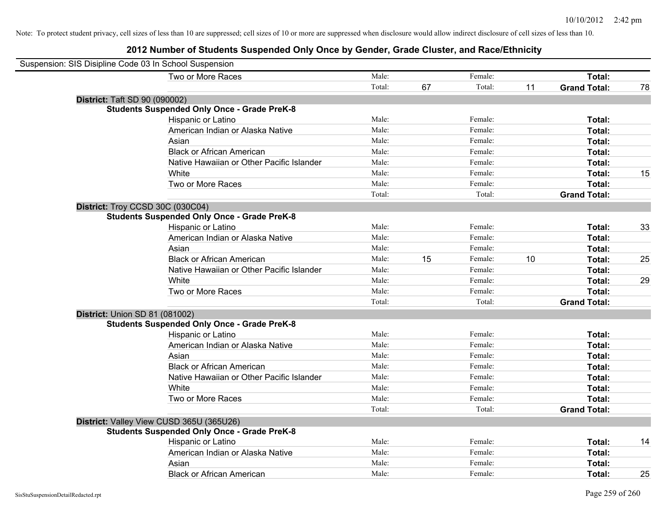| Suspension: SIS Disipline Code 03 In School Suspension |                                                    |        |    |         |    |                     |    |
|--------------------------------------------------------|----------------------------------------------------|--------|----|---------|----|---------------------|----|
|                                                        | Two or More Races                                  | Male:  |    | Female: |    | Total:              |    |
|                                                        |                                                    | Total: | 67 | Total:  | 11 | <b>Grand Total:</b> | 78 |
| <b>District: Taft SD 90 (090002)</b>                   |                                                    |        |    |         |    |                     |    |
|                                                        | <b>Students Suspended Only Once - Grade PreK-8</b> |        |    |         |    |                     |    |
|                                                        | Hispanic or Latino                                 | Male:  |    | Female: |    | Total:              |    |
|                                                        | American Indian or Alaska Native                   | Male:  |    | Female: |    | Total:              |    |
| Asian                                                  |                                                    | Male:  |    | Female: |    | Total:              |    |
|                                                        | <b>Black or African American</b>                   | Male:  |    | Female: |    | Total:              |    |
|                                                        | Native Hawaiian or Other Pacific Islander          | Male:  |    | Female: |    | Total:              |    |
| White                                                  |                                                    | Male:  |    | Female: |    | Total:              | 15 |
|                                                        | Two or More Races                                  | Male:  |    | Female: |    | Total:              |    |
|                                                        |                                                    | Total: |    | Total:  |    | <b>Grand Total:</b> |    |
| District: Troy CCSD 30C (030C04)                       |                                                    |        |    |         |    |                     |    |
|                                                        | <b>Students Suspended Only Once - Grade PreK-8</b> |        |    |         |    |                     |    |
|                                                        | Hispanic or Latino                                 | Male:  |    | Female: |    | Total:              | 33 |
|                                                        | American Indian or Alaska Native                   | Male:  |    | Female: |    | Total:              |    |
| Asian                                                  |                                                    | Male:  |    | Female: |    | Total:              |    |
|                                                        | <b>Black or African American</b>                   | Male:  | 15 | Female: | 10 | Total:              | 25 |
|                                                        | Native Hawaiian or Other Pacific Islander          | Male:  |    | Female: |    | Total:              |    |
| White                                                  |                                                    | Male:  |    | Female: |    | Total:              | 29 |
|                                                        | Two or More Races                                  | Male:  |    | Female: |    | Total:              |    |
|                                                        |                                                    | Total: |    | Total:  |    | <b>Grand Total:</b> |    |
| <b>District: Union SD 81 (081002)</b>                  |                                                    |        |    |         |    |                     |    |
|                                                        | <b>Students Suspended Only Once - Grade PreK-8</b> |        |    |         |    |                     |    |
|                                                        | Hispanic or Latino                                 | Male:  |    | Female: |    | Total:              |    |
|                                                        | American Indian or Alaska Native                   | Male:  |    | Female: |    | Total:              |    |
| Asian                                                  |                                                    | Male:  |    | Female: |    | Total:              |    |
|                                                        | <b>Black or African American</b>                   | Male:  |    | Female: |    | Total:              |    |
|                                                        | Native Hawaiian or Other Pacific Islander          | Male:  |    | Female: |    | Total:              |    |
| White                                                  |                                                    | Male:  |    | Female: |    | Total:              |    |
|                                                        | Two or More Races                                  | Male:  |    | Female: |    | Total:              |    |
|                                                        |                                                    | Total: |    | Total:  |    | <b>Grand Total:</b> |    |
| District: Valley View CUSD 365U (365U26)               |                                                    |        |    |         |    |                     |    |
|                                                        | <b>Students Suspended Only Once - Grade PreK-8</b> |        |    |         |    |                     |    |
|                                                        | Hispanic or Latino                                 | Male:  |    | Female: |    | Total:              | 14 |
|                                                        | American Indian or Alaska Native                   | Male:  |    | Female: |    | Total:              |    |
| Asian                                                  |                                                    | Male:  |    | Female: |    | Total:              |    |
|                                                        | <b>Black or African American</b>                   | Male:  |    | Female: |    | Total:              | 25 |